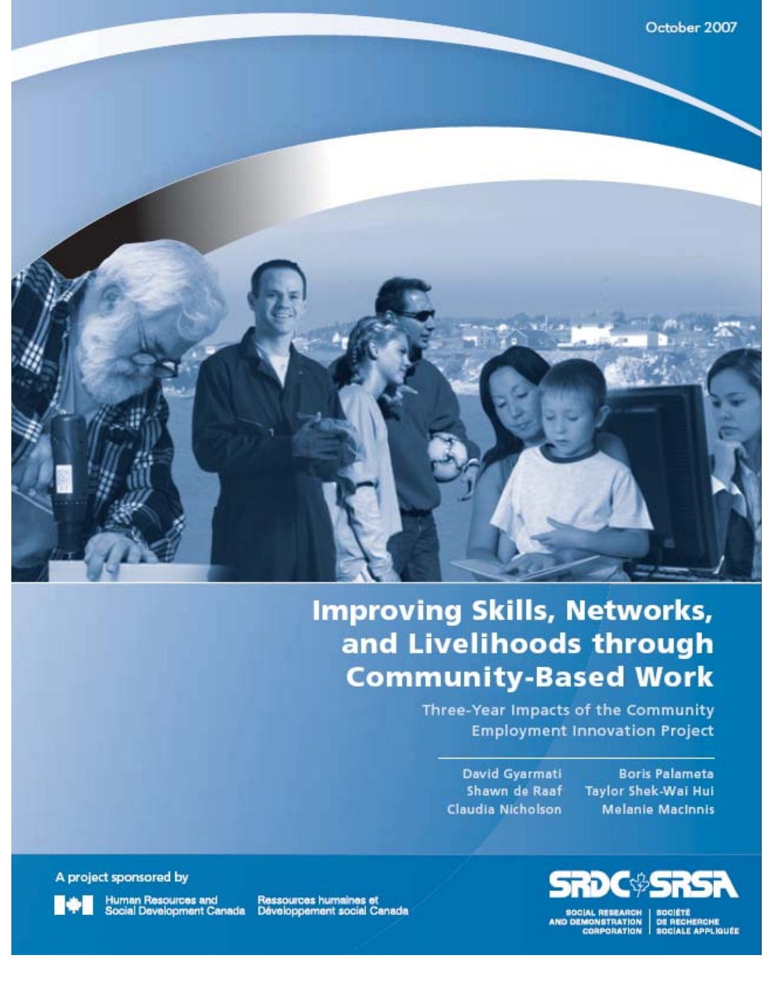

# **Improving Skills, Networks,** and Livelihoods through **Community-Based Work**

Three-Year Impacts of the Community **Employment Innovation Project** 

David Gyarmati Shawn de Raaf Claudia Nicholson

**Boris Palameta Taylor Shek-Wai Hui Melanie MacInnis** 

A project sponsored by

Human Resources and<br>Social Development Canada

Ressources humaines et<br>Développement social Canada



SOCIAL RESEARCH | SOCIÉTÉ<br>ID DEMONSTRATION | DE RECHERCHE<br>| CORPORATION | SOCIALE APPLIQUÉE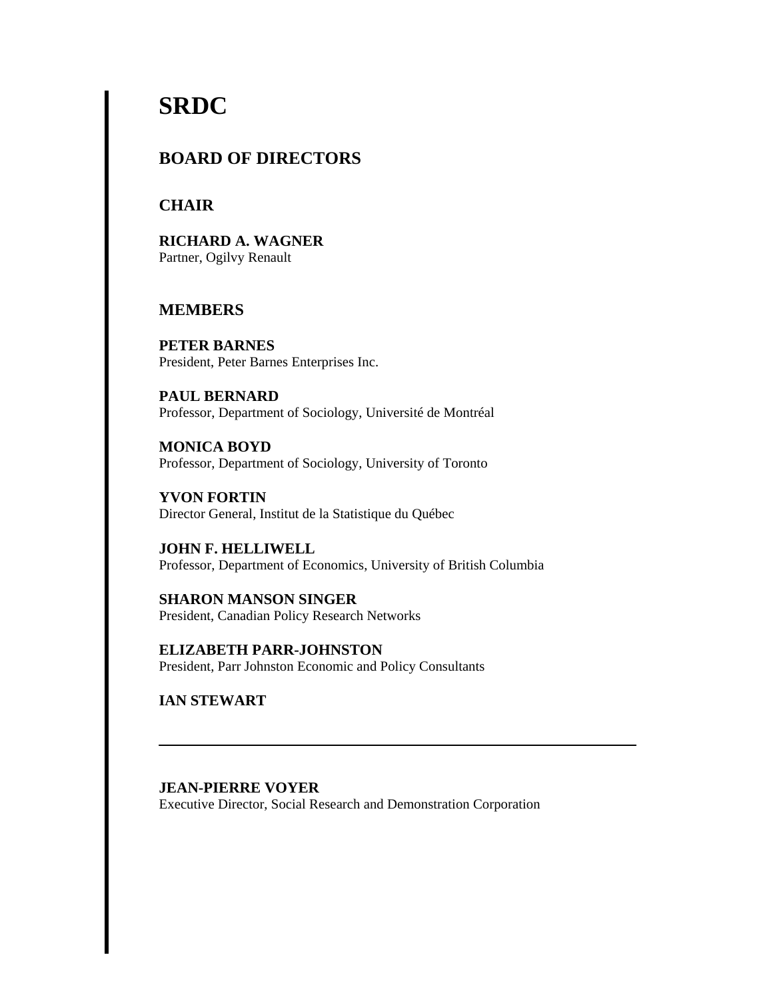# **SRDC**

## **BOARD OF DIRECTORS**

## **CHAIR**

**RICHARD A. WAGNER**  Partner, Ogilvy Renault

## **MEMBERS**

**PETER BARNES**  President, Peter Barnes Enterprises Inc.

**PAUL BERNARD**  Professor, Department of Sociology, Université de Montréal

**MONICA BOYD**  Professor, Department of Sociology, University of Toronto

**YVON FORTIN**  Director General, Institut de la Statistique du Québec

**JOHN F. HELLIWELL**  Professor, Department of Economics, University of British Columbia

**SHARON MANSON SINGER**  President, Canadian Policy Research Networks

**ELIZABETH PARR-JOHNSTON**  President, Parr Johnston Economic and Policy Consultants

**IAN STEWART** 

**JEAN-PIERRE VOYER**  Executive Director, Social Research and Demonstration Corporation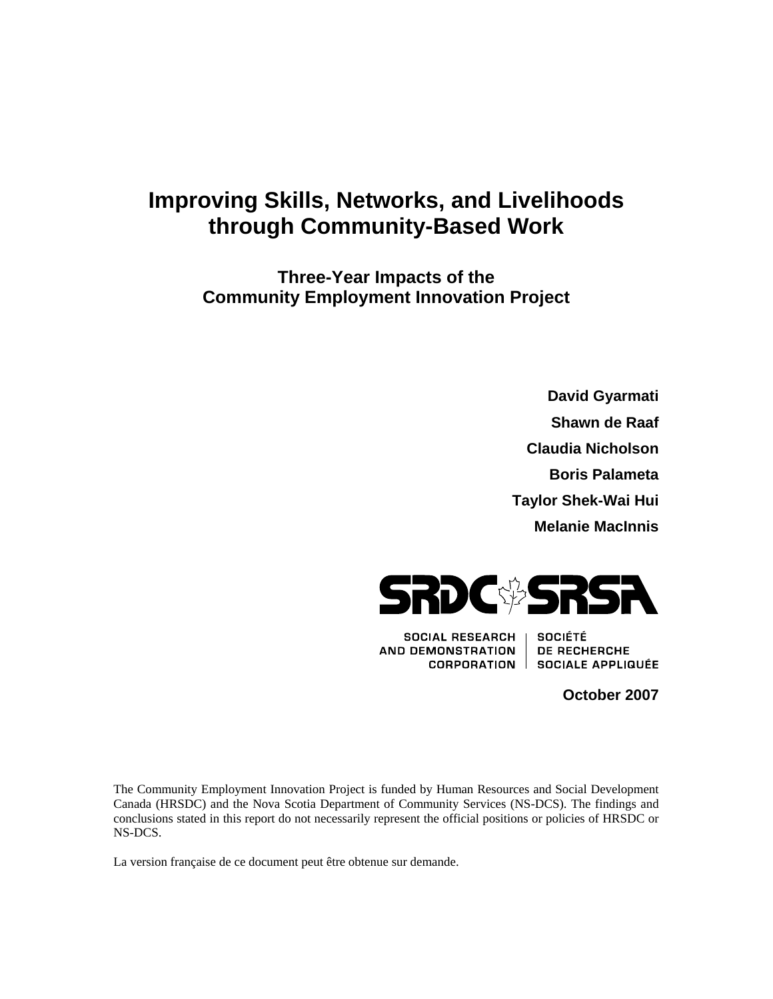## **Improving Skills, Networks, and Livelihoods through Community-Based Work**

**Three-Year Impacts of the Community Employment Innovation Project**

> **David Gyarmati Shawn de Raaf Claudia Nicholson Boris Palameta Taylor Shek-Wai Hui Melanie MacInnis**



**SOCIAL RESEARCH AND DEMONSTRATION CORPORATION** |

**SOCIÉTÉ** DE RECHERCHE SOCIALE APPLIQUÉE

**October 2007** 

The Community Employment Innovation Project is funded by Human Resources and Social Development Canada (HRSDC) and the Nova Scotia Department of Community Services (NS-DCS). The findings and conclusions stated in this report do not necessarily represent the official positions or policies of HRSDC or NS-DCS.

La version française de ce document peut être obtenue sur demande.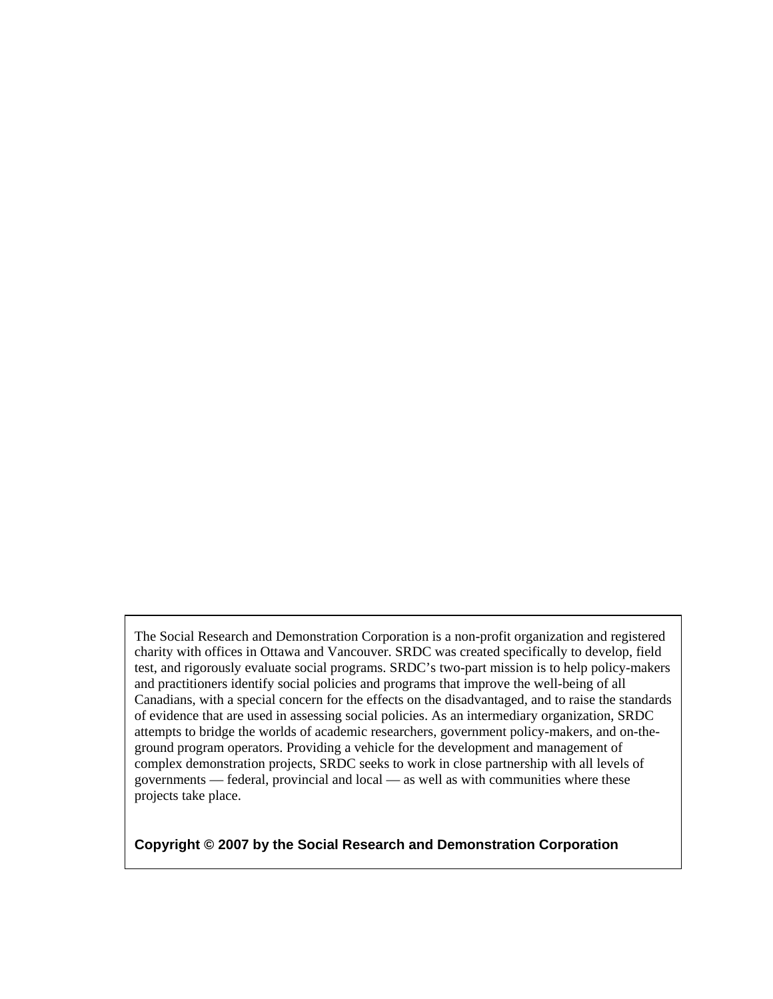The Social Research and Demonstration Corporation is a non-profit organization and registered charity with offices in Ottawa and Vancouver. SRDC was created specifically to develop, field test, and rigorously evaluate social programs. SRDC's two-part mission is to help policy-makers and practitioners identify social policies and programs that improve the well-being of all Canadians, with a special concern for the effects on the disadvantaged, and to raise the standards of evidence that are used in assessing social policies. As an intermediary organization, SRDC attempts to bridge the worlds of academic researchers, government policy-makers, and on-theground program operators. Providing a vehicle for the development and management of complex demonstration projects, SRDC seeks to work in close partnership with all levels of governments — federal, provincial and local — as well as with communities where these projects take place.

**Copyright © 2007 by the Social Research and Demonstration Corporation**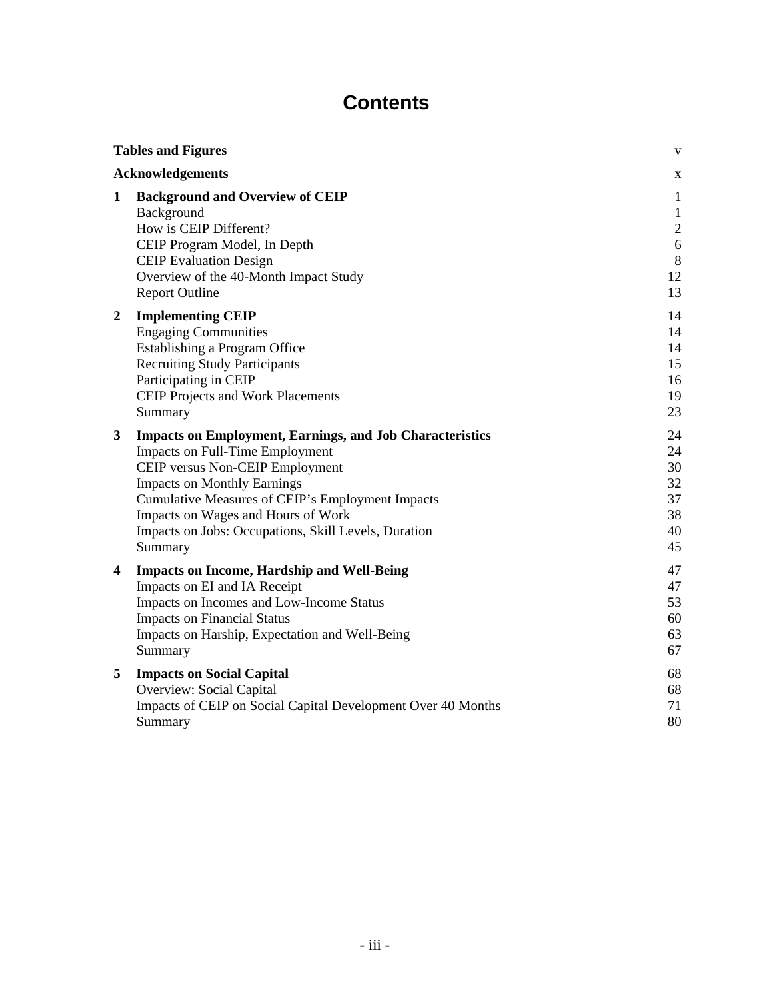## **Contents**

| <b>Tables and Figures</b> |                                                                                                                                                                                                                                                                                                                                                 | $\mathbf{V}$                                                                     |
|---------------------------|-------------------------------------------------------------------------------------------------------------------------------------------------------------------------------------------------------------------------------------------------------------------------------------------------------------------------------------------------|----------------------------------------------------------------------------------|
|                           | <b>Acknowledgements</b>                                                                                                                                                                                                                                                                                                                         | X                                                                                |
| 1                         | <b>Background and Overview of CEIP</b><br>Background<br>How is CEIP Different?<br>CEIP Program Model, In Depth<br><b>CEIP Evaluation Design</b><br>Overview of the 40-Month Impact Study<br><b>Report Outline</b>                                                                                                                               | $\mathbf{1}$<br>$\mathbf{1}$<br>$\boldsymbol{2}$<br>$6\,$<br>$\,8\,$<br>12<br>13 |
| $\mathbf{2}$              | <b>Implementing CEIP</b><br><b>Engaging Communities</b><br>Establishing a Program Office<br><b>Recruiting Study Participants</b><br>Participating in CEIP<br><b>CEIP Projects and Work Placements</b><br>Summary                                                                                                                                | 14<br>14<br>14<br>15<br>16<br>19<br>23                                           |
| 3                         | <b>Impacts on Employment, Earnings, and Job Characteristics</b><br><b>Impacts on Full-Time Employment</b><br>CEIP versus Non-CEIP Employment<br><b>Impacts on Monthly Earnings</b><br>Cumulative Measures of CEIP's Employment Impacts<br>Impacts on Wages and Hours of Work<br>Impacts on Jobs: Occupations, Skill Levels, Duration<br>Summary | 24<br>24<br>30<br>32<br>37<br>38<br>40<br>45                                     |
| 4                         | <b>Impacts on Income, Hardship and Well-Being</b><br>Impacts on EI and IA Receipt<br>Impacts on Incomes and Low-Income Status<br><b>Impacts on Financial Status</b><br>Impacts on Harship, Expectation and Well-Being<br>Summary                                                                                                                | 47<br>47<br>53<br>60<br>63<br>67                                                 |
| 5                         | <b>Impacts on Social Capital</b><br>Overview: Social Capital<br>Impacts of CEIP on Social Capital Development Over 40 Months<br>Summary                                                                                                                                                                                                         | 68<br>68<br>71<br>80                                                             |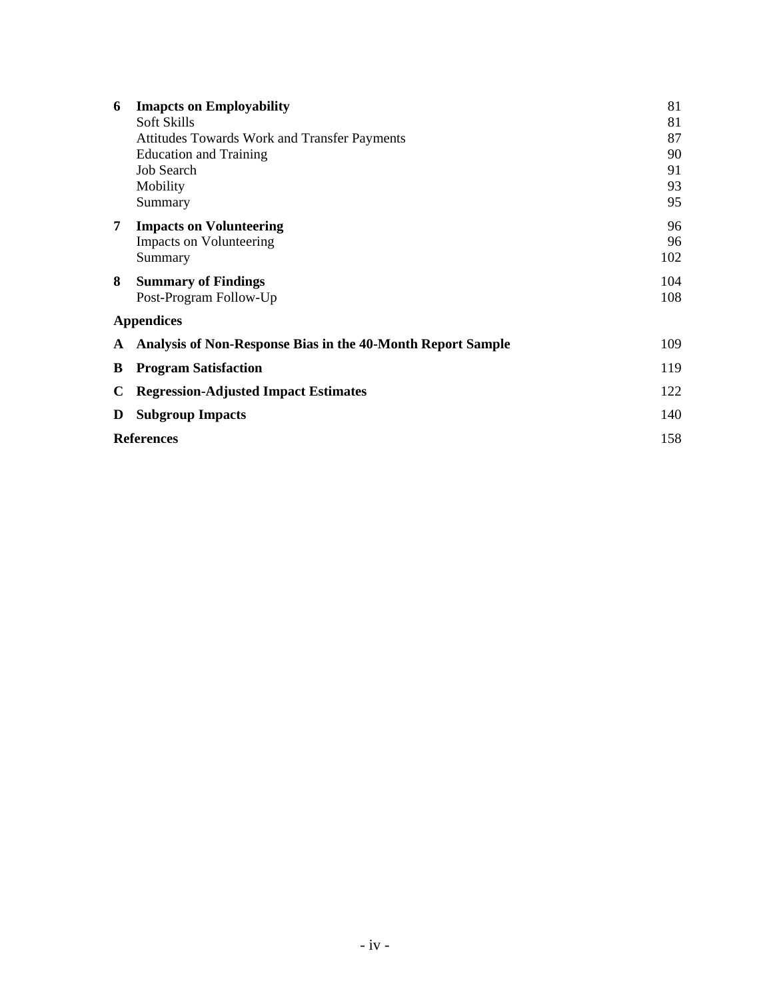| 6                 | <b>Imapcts on Employability</b><br>Soft Skills<br><b>Attitudes Towards Work and Transfer Payments</b><br><b>Education and Training</b><br>Job Search<br>Mobility<br>Summary | 81<br>81<br>87<br>90<br>91<br>93<br>95 |
|-------------------|-----------------------------------------------------------------------------------------------------------------------------------------------------------------------------|----------------------------------------|
| 7                 | <b>Impacts on Volunteering</b><br><b>Impacts on Volunteering</b><br>Summary                                                                                                 | 96<br>96<br>102                        |
| 8                 | <b>Summary of Findings</b><br>Post-Program Follow-Up                                                                                                                        | 104<br>108                             |
|                   | <b>Appendices</b>                                                                                                                                                           |                                        |
| A                 | Analysis of Non-Response Bias in the 40-Month Report Sample                                                                                                                 | 109                                    |
| В                 | <b>Program Satisfaction</b>                                                                                                                                                 | 119                                    |
| C                 | <b>Regression-Adjusted Impact Estimates</b>                                                                                                                                 | 122                                    |
| D                 | <b>Subgroup Impacts</b>                                                                                                                                                     | 140                                    |
| <b>References</b> |                                                                                                                                                                             | 158                                    |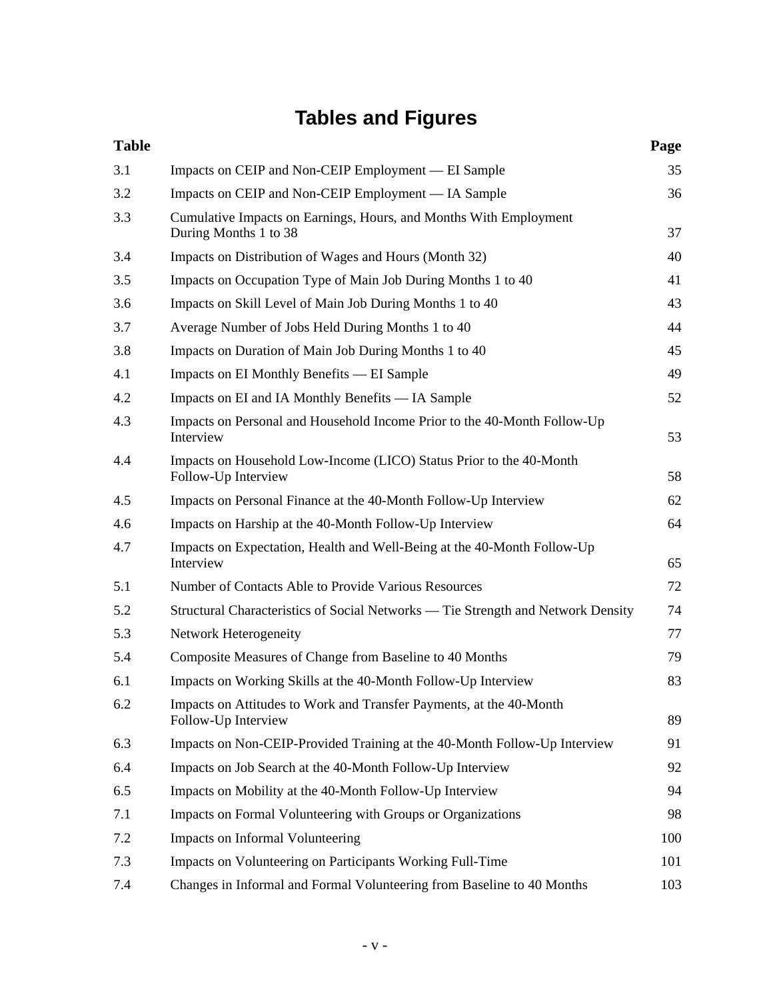# **Tables and Figures**

| <b>Table</b> |                                                                                            | Page |
|--------------|--------------------------------------------------------------------------------------------|------|
| 3.1          | Impacts on CEIP and Non-CEIP Employment — EI Sample                                        | 35   |
| 3.2          | Impacts on CEIP and Non-CEIP Employment — IA Sample                                        | 36   |
| 3.3          | Cumulative Impacts on Earnings, Hours, and Months With Employment<br>During Months 1 to 38 | 37   |
| 3.4          | Impacts on Distribution of Wages and Hours (Month 32)                                      | 40   |
| 3.5          | Impacts on Occupation Type of Main Job During Months 1 to 40                               | 41   |
| 3.6          | Impacts on Skill Level of Main Job During Months 1 to 40                                   | 43   |
| 3.7          | Average Number of Jobs Held During Months 1 to 40                                          | 44   |
| 3.8          | Impacts on Duration of Main Job During Months 1 to 40                                      | 45   |
| 4.1          | Impacts on EI Monthly Benefits — EI Sample                                                 | 49   |
| 4.2          | Impacts on EI and IA Monthly Benefits — IA Sample                                          | 52   |
| 4.3          | Impacts on Personal and Household Income Prior to the 40-Month Follow-Up<br>Interview      | 53   |
| 4.4          | Impacts on Household Low-Income (LICO) Status Prior to the 40-Month<br>Follow-Up Interview | 58   |
| 4.5          | Impacts on Personal Finance at the 40-Month Follow-Up Interview                            | 62   |
| 4.6          | Impacts on Harship at the 40-Month Follow-Up Interview                                     | 64   |
| 4.7          | Impacts on Expectation, Health and Well-Being at the 40-Month Follow-Up<br>Interview       | 65   |
| 5.1          | Number of Contacts Able to Provide Various Resources                                       | 72   |
| 5.2          | Structural Characteristics of Social Networks — Tie Strength and Network Density           | 74   |
| 5.3          | Network Heterogeneity                                                                      | 77   |
| 5.4          | Composite Measures of Change from Baseline to 40 Months                                    | 79   |
| 6.1          | Impacts on Working Skills at the 40-Month Follow-Up Interview                              | 83   |
| 6.2          | Impacts on Attitudes to Work and Transfer Payments, at the 40-Month<br>Follow-Up Interview | 89   |
| 6.3          | Impacts on Non-CEIP-Provided Training at the 40-Month Follow-Up Interview                  | 91   |
| 6.4          | Impacts on Job Search at the 40-Month Follow-Up Interview                                  | 92   |
| 6.5          | Impacts on Mobility at the 40-Month Follow-Up Interview                                    | 94   |
| 7.1          | Impacts on Formal Volunteering with Groups or Organizations                                | 98   |
| 7.2          | Impacts on Informal Volunteering                                                           | 100  |
| 7.3          | Impacts on Volunteering on Participants Working Full-Time                                  | 101  |
| 7.4          | Changes in Informal and Formal Volunteering from Baseline to 40 Months                     | 103  |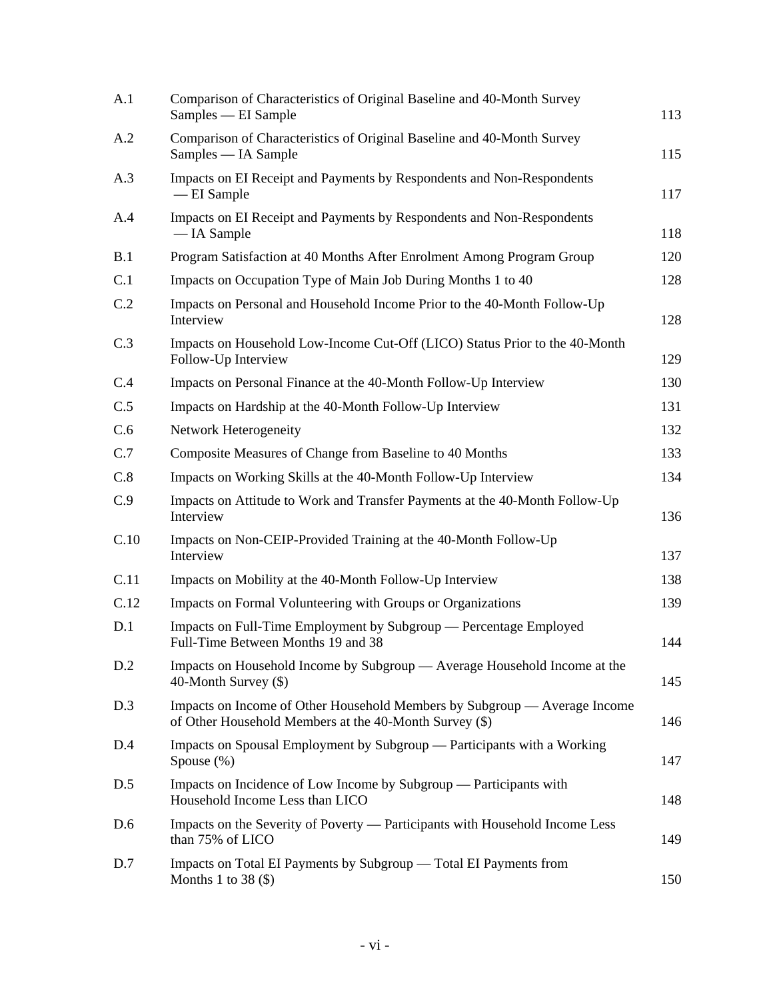| A.1  | Comparison of Characteristics of Original Baseline and 40-Month Survey<br>Samples — EI Sample                                       | 113 |
|------|-------------------------------------------------------------------------------------------------------------------------------------|-----|
| A.2  | Comparison of Characteristics of Original Baseline and 40-Month Survey<br>Samples — IA Sample                                       | 115 |
| A.3  | Impacts on EI Receipt and Payments by Respondents and Non-Respondents<br>-EI Sample                                                 | 117 |
| A.4  | Impacts on EI Receipt and Payments by Respondents and Non-Respondents<br>- IA Sample                                                | 118 |
| B.1  | Program Satisfaction at 40 Months After Enrolment Among Program Group                                                               | 120 |
| C.1  | Impacts on Occupation Type of Main Job During Months 1 to 40                                                                        | 128 |
| C.2  | Impacts on Personal and Household Income Prior to the 40-Month Follow-Up<br>Interview                                               | 128 |
| C.3  | Impacts on Household Low-Income Cut-Off (LICO) Status Prior to the 40-Month<br>Follow-Up Interview                                  | 129 |
| C.4  | Impacts on Personal Finance at the 40-Month Follow-Up Interview                                                                     | 130 |
| C.5  | Impacts on Hardship at the 40-Month Follow-Up Interview                                                                             | 131 |
| C.6  | Network Heterogeneity                                                                                                               | 132 |
| C.7  | Composite Measures of Change from Baseline to 40 Months                                                                             | 133 |
| C.8  | Impacts on Working Skills at the 40-Month Follow-Up Interview                                                                       | 134 |
| C.9  | Impacts on Attitude to Work and Transfer Payments at the 40-Month Follow-Up<br>Interview                                            | 136 |
| C.10 | Impacts on Non-CEIP-Provided Training at the 40-Month Follow-Up<br>Interview                                                        | 137 |
| C.11 | Impacts on Mobility at the 40-Month Follow-Up Interview                                                                             | 138 |
| C.12 | Impacts on Formal Volunteering with Groups or Organizations                                                                         | 139 |
| D.1  | Impacts on Full-Time Employment by Subgroup — Percentage Employed<br>Full-Time Between Months 19 and 38                             | 144 |
| D.2  | Impacts on Household Income by Subgroup — Average Household Income at the<br>40-Month Survey (\$)                                   | 145 |
| D.3  | Impacts on Income of Other Household Members by Subgroup — Average Income<br>of Other Household Members at the 40-Month Survey (\$) | 146 |
| D.4  | Impacts on Spousal Employment by Subgroup — Participants with a Working<br>Spouse $(\%)$                                            | 147 |
| D.5  | Impacts on Incidence of Low Income by Subgroup — Participants with<br>Household Income Less than LICO                               | 148 |
| D.6  | Impacts on the Severity of Poverty — Participants with Household Income Less<br>than 75% of LICO                                    | 149 |
| D.7  | Impacts on Total EI Payments by Subgroup - Total EI Payments from<br>Months 1 to 38 $($ \$)                                         | 150 |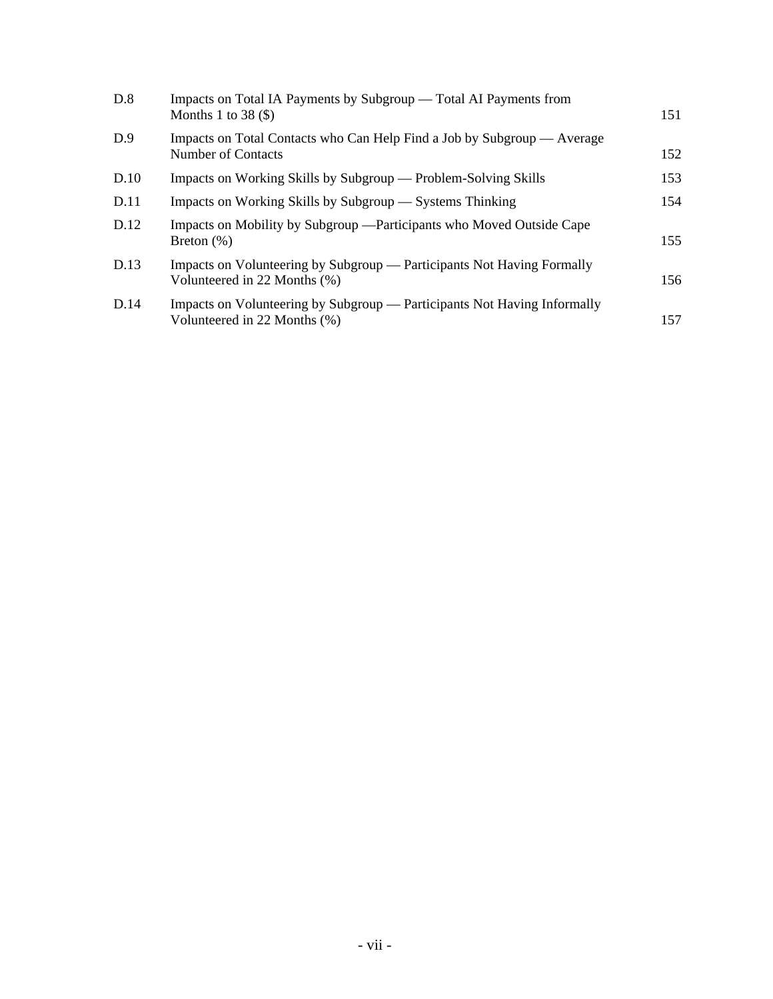| D.8  | Impacts on Total IA Payments by Subgroup — Total AI Payments from<br>Months 1 to 38 $(\$)$               | 151 |
|------|----------------------------------------------------------------------------------------------------------|-----|
| D.9  | Impacts on Total Contacts who Can Help Find a Job by Subgroup — Average<br>Number of Contacts            | 152 |
| D.10 | Impacts on Working Skills by Subgroup — Problem-Solving Skills                                           | 153 |
| D.11 | Impacts on Working Skills by Subgroup — Systems Thinking                                                 | 154 |
| D.12 | Impacts on Mobility by Subgroup — Participants who Moved Outside Cape<br>Breton $(\%)$                   | 155 |
| D.13 | Impacts on Volunteering by Subgroup — Participants Not Having Formally<br>Volunteered in 22 Months (%)   | 156 |
| D.14 | Impacts on Volunteering by Subgroup — Participants Not Having Informally<br>Volunteered in 22 Months (%) | 157 |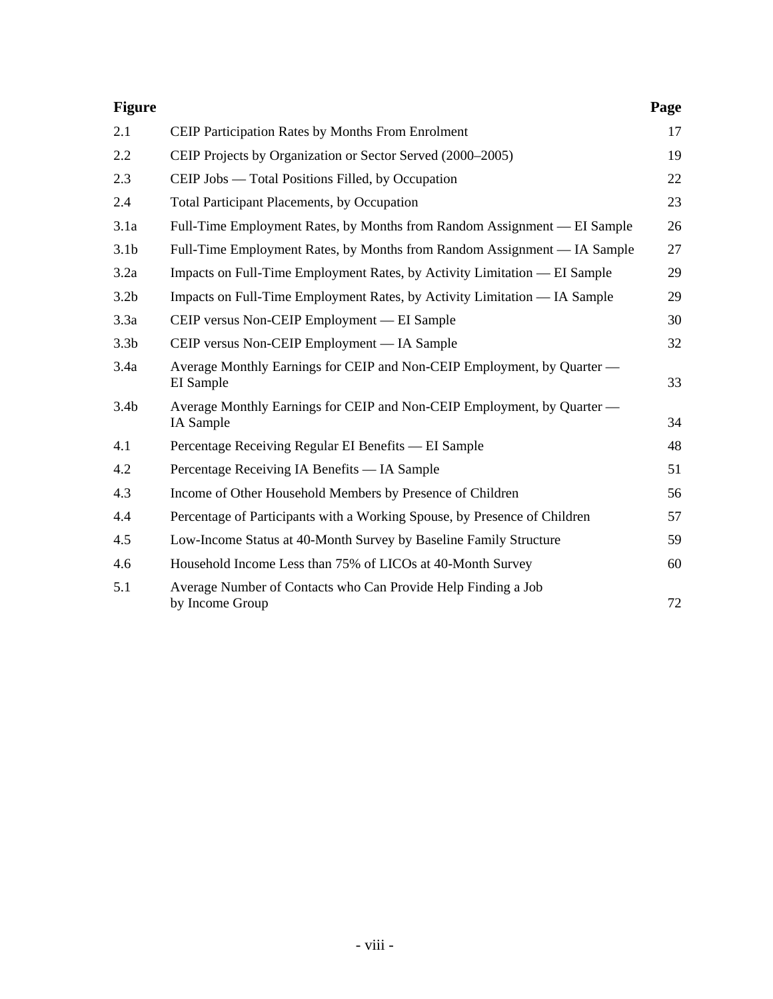| <b>Figure</b>    |                                                                                      | Page |
|------------------|--------------------------------------------------------------------------------------|------|
| 2.1              | <b>CEIP Participation Rates by Months From Enrolment</b>                             | 17   |
| 2.2              | CEIP Projects by Organization or Sector Served (2000–2005)                           | 19   |
| 2.3              | CEIP Jobs — Total Positions Filled, by Occupation                                    | 22   |
| 2.4              | <b>Total Participant Placements, by Occupation</b>                                   | 23   |
| 3.1a             | Full-Time Employment Rates, by Months from Random Assignment — EI Sample             | 26   |
| 3.1 <sub>b</sub> | Full-Time Employment Rates, by Months from Random Assignment — IA Sample             | 27   |
| 3.2a             | Impacts on Full-Time Employment Rates, by Activity Limitation — EI Sample            | 29   |
| 3.2 <sub>b</sub> | Impacts on Full-Time Employment Rates, by Activity Limitation — IA Sample            | 29   |
| 3.3a             | CEIP versus Non-CEIP Employment — EI Sample                                          | 30   |
| 3.3 <sub>b</sub> | CEIP versus Non-CEIP Employment — IA Sample                                          | 32   |
| 3.4a             | Average Monthly Earnings for CEIP and Non-CEIP Employment, by Quarter —<br>EI Sample | 33   |
| 3.4 <sub>b</sub> | Average Monthly Earnings for CEIP and Non-CEIP Employment, by Quarter —<br>IA Sample | 34   |
| 4.1              | Percentage Receiving Regular EI Benefits — EI Sample                                 | 48   |
| 4.2              | Percentage Receiving IA Benefits — IA Sample                                         | 51   |
| 4.3              | Income of Other Household Members by Presence of Children                            | 56   |
| 4.4              | Percentage of Participants with a Working Spouse, by Presence of Children            | 57   |
| 4.5              | Low-Income Status at 40-Month Survey by Baseline Family Structure                    | 59   |
| 4.6              | Household Income Less than 75% of LICOs at 40-Month Survey                           | 60   |
| 5.1              | Average Number of Contacts who Can Provide Help Finding a Job<br>by Income Group     | 72   |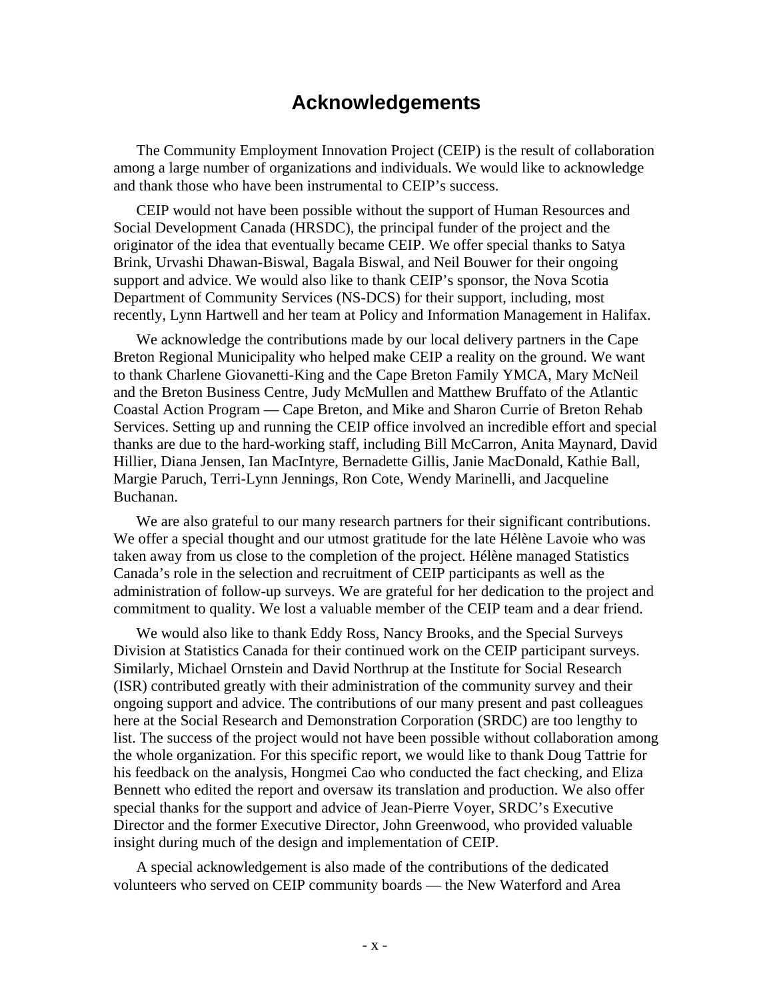## **Acknowledgements**

The Community Employment Innovation Project (CEIP) is the result of collaboration among a large number of organizations and individuals. We would like to acknowledge and thank those who have been instrumental to CEIP's success.

CEIP would not have been possible without the support of Human Resources and Social Development Canada (HRSDC), the principal funder of the project and the originator of the idea that eventually became CEIP. We offer special thanks to Satya Brink, Urvashi Dhawan-Biswal, Bagala Biswal, and Neil Bouwer for their ongoing support and advice. We would also like to thank CEIP's sponsor, the Nova Scotia Department of Community Services (NS-DCS) for their support, including, most recently, Lynn Hartwell and her team at Policy and Information Management in Halifax.

We acknowledge the contributions made by our local delivery partners in the Cape Breton Regional Municipality who helped make CEIP a reality on the ground. We want to thank Charlene Giovanetti-King and the Cape Breton Family YMCA, Mary McNeil and the Breton Business Centre, Judy McMullen and Matthew Bruffato of the Atlantic Coastal Action Program — Cape Breton, and Mike and Sharon Currie of Breton Rehab Services. Setting up and running the CEIP office involved an incredible effort and special thanks are due to the hard-working staff, including Bill McCarron, Anita Maynard, David Hillier, Diana Jensen, Ian MacIntyre, Bernadette Gillis, Janie MacDonald, Kathie Ball, Margie Paruch, Terri-Lynn Jennings, Ron Cote, Wendy Marinelli, and Jacqueline Buchanan.

We are also grateful to our many research partners for their significant contributions. We offer a special thought and our utmost gratitude for the late Hélène Lavoie who was taken away from us close to the completion of the project. Hélène managed Statistics Canada's role in the selection and recruitment of CEIP participants as well as the administration of follow-up surveys. We are grateful for her dedication to the project and commitment to quality. We lost a valuable member of the CEIP team and a dear friend.

We would also like to thank Eddy Ross, Nancy Brooks, and the Special Surveys Division at Statistics Canada for their continued work on the CEIP participant surveys. Similarly, Michael Ornstein and David Northrup at the Institute for Social Research (ISR) contributed greatly with their administration of the community survey and their ongoing support and advice. The contributions of our many present and past colleagues here at the Social Research and Demonstration Corporation (SRDC) are too lengthy to list. The success of the project would not have been possible without collaboration among the whole organization. For this specific report, we would like to thank Doug Tattrie for his feedback on the analysis, Hongmei Cao who conducted the fact checking, and Eliza Bennett who edited the report and oversaw its translation and production. We also offer special thanks for the support and advice of Jean-Pierre Voyer, SRDC's Executive Director and the former Executive Director, John Greenwood, who provided valuable insight during much of the design and implementation of CEIP.

A special acknowledgement is also made of the contributions of the dedicated volunteers who served on CEIP community boards — the New Waterford and Area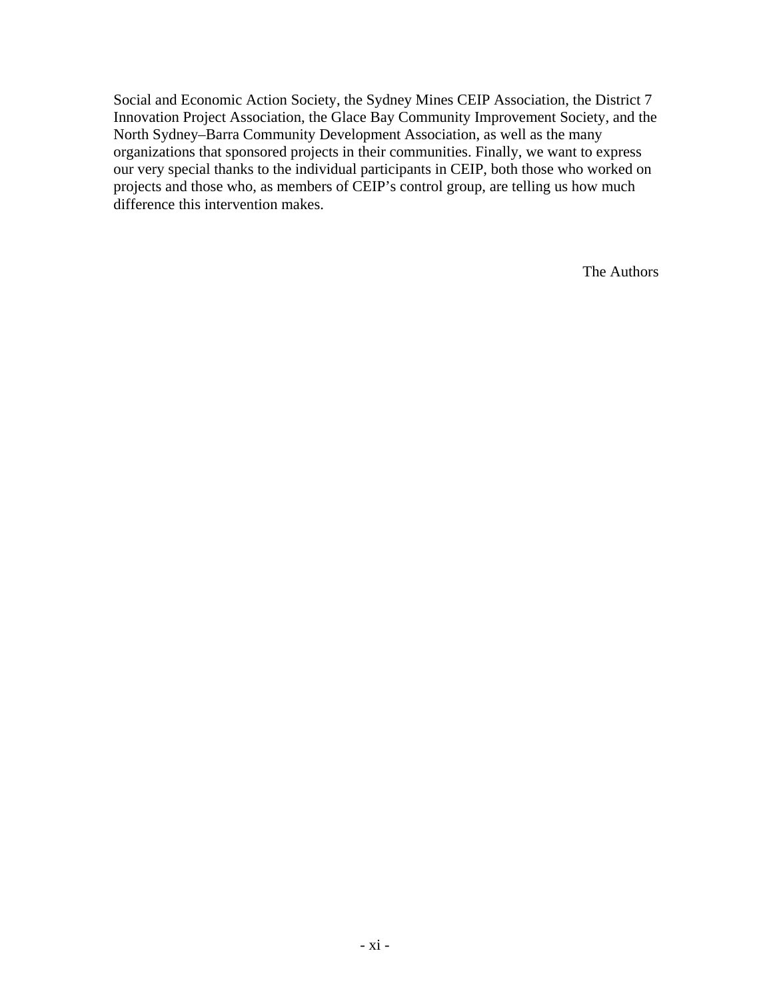Social and Economic Action Society, the Sydney Mines CEIP Association, the District 7 Innovation Project Association, the Glace Bay Community Improvement Society, and the North Sydney–Barra Community Development Association, as well as the many organizations that sponsored projects in their communities. Finally, we want to express our very special thanks to the individual participants in CEIP, both those who worked on projects and those who, as members of CEIP's control group, are telling us how much difference this intervention makes.

The Authors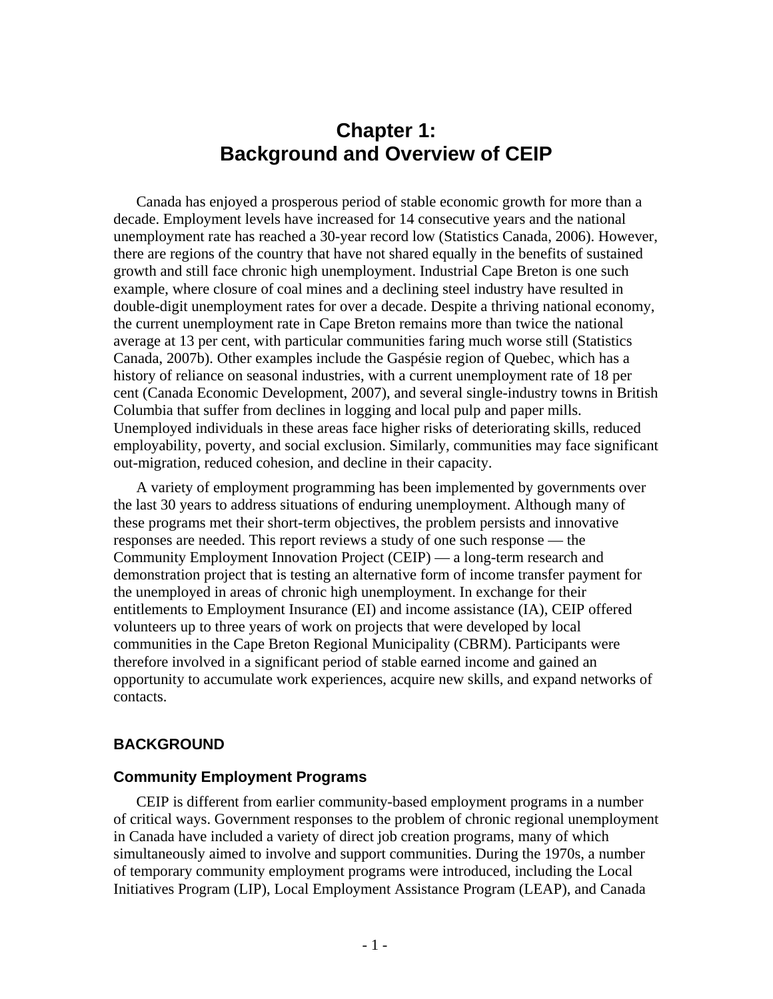## **Chapter 1: Background and Overview of CEIP**

Canada has enjoyed a prosperous period of stable economic growth for more than a decade. Employment levels have increased for 14 consecutive years and the national unemployment rate has reached a 30-year record low (Statistics Canada, 2006). However, there are regions of the country that have not shared equally in the benefits of sustained growth and still face chronic high unemployment. Industrial Cape Breton is one such example, where closure of coal mines and a declining steel industry have resulted in double-digit unemployment rates for over a decade. Despite a thriving national economy, the current unemployment rate in Cape Breton remains more than twice the national average at 13 per cent, with particular communities faring much worse still (Statistics Canada, 2007b). Other examples include the Gaspésie region of Quebec, which has a history of reliance on seasonal industries, with a current unemployment rate of 18 per cent (Canada Economic Development, 2007), and several single-industry towns in British Columbia that suffer from declines in logging and local pulp and paper mills. Unemployed individuals in these areas face higher risks of deteriorating skills, reduced employability, poverty, and social exclusion. Similarly, communities may face significant out-migration, reduced cohesion, and decline in their capacity.

A variety of employment programming has been implemented by governments over the last 30 years to address situations of enduring unemployment. Although many of these programs met their short-term objectives, the problem persists and innovative responses are needed. This report reviews a study of one such response — the Community Employment Innovation Project (CEIP) — a long-term research and demonstration project that is testing an alternative form of income transfer payment for the unemployed in areas of chronic high unemployment. In exchange for their entitlements to Employment Insurance (EI) and income assistance (IA), CEIP offered volunteers up to three years of work on projects that were developed by local communities in the Cape Breton Regional Municipality (CBRM). Participants were therefore involved in a significant period of stable earned income and gained an opportunity to accumulate work experiences, acquire new skills, and expand networks of contacts.

## **BACKGROUND**

### **Community Employment Programs**

CEIP is different from earlier community-based employment programs in a number of critical ways. Government responses to the problem of chronic regional unemployment in Canada have included a variety of direct job creation programs, many of which simultaneously aimed to involve and support communities. During the 1970s, a number of temporary community employment programs were introduced, including the Local Initiatives Program (LIP), Local Employment Assistance Program (LEAP), and Canada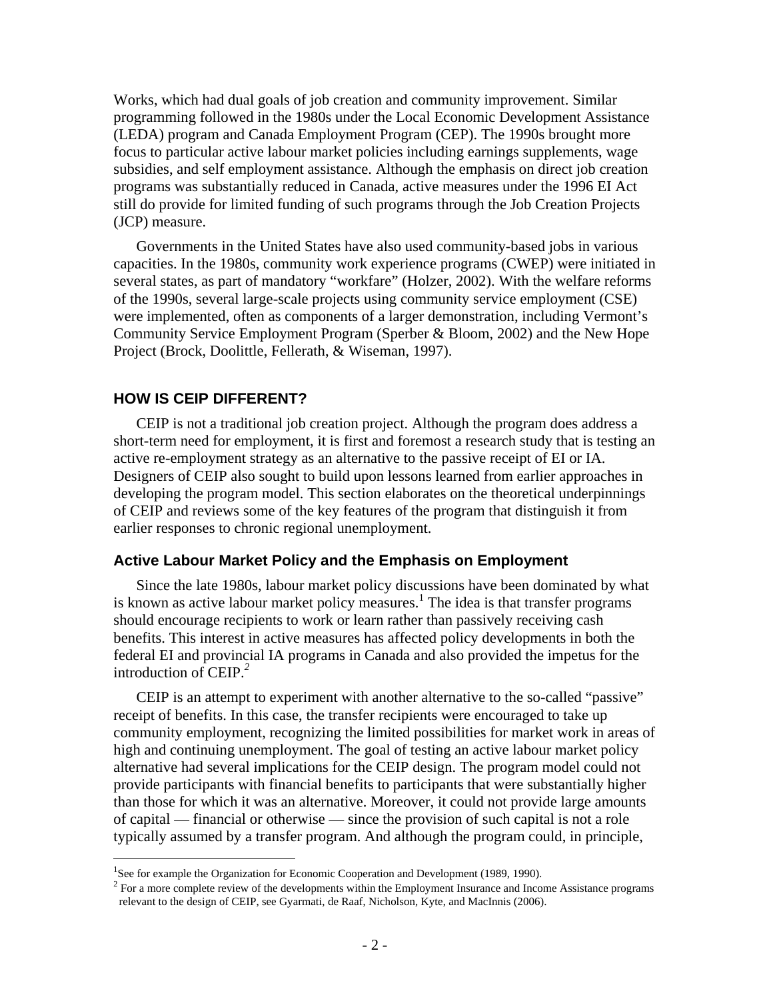Works, which had dual goals of job creation and community improvement. Similar programming followed in the 1980s under the Local Economic Development Assistance (LEDA) program and Canada Employment Program (CEP). The 1990s brought more focus to particular active labour market policies including earnings supplements, wage subsidies, and self employment assistance. Although the emphasis on direct job creation programs was substantially reduced in Canada, active measures under the 1996 EI Act still do provide for limited funding of such programs through the Job Creation Projects (JCP) measure.

Governments in the United States have also used community-based jobs in various capacities. In the 1980s, community work experience programs (CWEP) were initiated in several states, as part of mandatory "workfare" (Holzer, 2002). With the welfare reforms of the 1990s, several large-scale projects using community service employment (CSE) were implemented, often as components of a larger demonstration, including Vermont's Community Service Employment Program (Sperber & Bloom, 2002) and the New Hope Project (Brock, Doolittle, Fellerath, & Wiseman, 1997).

#### **HOW IS CEIP DIFFERENT?**

 $\overline{a}$ 

CEIP is not a traditional job creation project. Although the program does address a short-term need for employment, it is first and foremost a research study that is testing an active re-employment strategy as an alternative to the passive receipt of EI or IA. Designers of CEIP also sought to build upon lessons learned from earlier approaches in developing the program model. This section elaborates on the theoretical underpinnings of CEIP and reviews some of the key features of the program that distinguish it from earlier responses to chronic regional unemployment.

#### **Active Labour Market Policy and the Emphasis on Employment**

Since the late 1980s, labour market policy discussions have been dominated by what is known as active labour market policy measures.<sup>1</sup> The idea is that transfer programs should encourage recipients to work or learn rather than passively receiving cash benefits. This interest in active measures has affected policy developments in both the federal EI and provincial IA programs in Canada and also provided the impetus for the introduction of CEIP.*<sup>2</sup>*

CEIP is an attempt to experiment with another alternative to the so-called "passive" receipt of benefits. In this case, the transfer recipients were encouraged to take up community employment, recognizing the limited possibilities for market work in areas of high and continuing unemployment. The goal of testing an active labour market policy alternative had several implications for the CEIP design. The program model could not provide participants with financial benefits to participants that were substantially higher than those for which it was an alternative. Moreover, it could not provide large amounts of capital — financial or otherwise — since the provision of such capital is not a role typically assumed by a transfer program. And although the program could, in principle,

<sup>&</sup>lt;sup>1</sup>See for example the Organization for Economic Cooperation and Development (1989, 1990).

<sup>&</sup>lt;sup>2</sup> For a more complete review of the developments within the Employment Insurance and Income Assistance programs relevant to the design of CEIP, see Gyarmati, de Raaf, Nicholson, Kyte, and MacInnis (2006).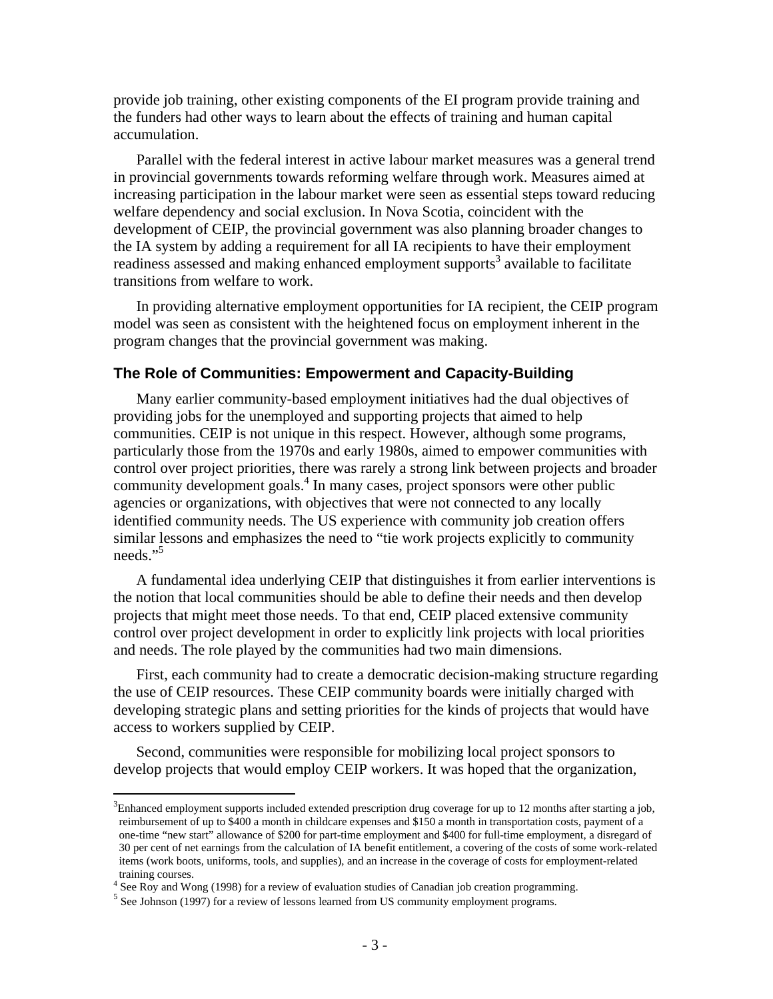provide job training, other existing components of the EI program provide training and the funders had other ways to learn about the effects of training and human capital accumulation.

Parallel with the federal interest in active labour market measures was a general trend in provincial governments towards reforming welfare through work. Measures aimed at increasing participation in the labour market were seen as essential steps toward reducing welfare dependency and social exclusion. In Nova Scotia, coincident with the development of CEIP, the provincial government was also planning broader changes to the IA system by adding a requirement for all IA recipients to have their employment readiness assessed and making enhanced employment supports<sup>3</sup> available to facilitate transitions from welfare to work.

In providing alternative employment opportunities for IA recipient, the CEIP program model was seen as consistent with the heightened focus on employment inherent in the program changes that the provincial government was making.

#### **The Role of Communities: Empowerment and Capacity-Building**

Many earlier community-based employment initiatives had the dual objectives of providing jobs for the unemployed and supporting projects that aimed to help communities. CEIP is not unique in this respect. However, although some programs, particularly those from the 1970s and early 1980s, aimed to empower communities with control over project priorities, there was rarely a strong link between projects and broader community development goals.<sup>4</sup> In many cases, project sponsors were other public agencies or organizations, with objectives that were not connected to any locally identified community needs. The US experience with community job creation offers similar lessons and emphasizes the need to "tie work projects explicitly to community needs."<sup>5</sup>

A fundamental idea underlying CEIP that distinguishes it from earlier interventions is the notion that local communities should be able to define their needs and then develop projects that might meet those needs. To that end, CEIP placed extensive community control over project development in order to explicitly link projects with local priorities and needs. The role played by the communities had two main dimensions.

First, each community had to create a democratic decision-making structure regarding the use of CEIP resources. These CEIP community boards were initially charged with developing strategic plans and setting priorities for the kinds of projects that would have access to workers supplied by CEIP.

Second, communities were responsible for mobilizing local project sponsors to develop projects that would employ CEIP workers. It was hoped that the organization,

 $\overline{a}$ 

 $3$ Enhanced employment supports included extended prescription drug coverage for up to 12 months after starting a job, reimbursement of up to \$400 a month in childcare expenses and \$150 a month in transportation costs, payment of a one-time "new start" allowance of \$200 for part-time employment and \$400 for full-time employment, a disregard of 30 per cent of net earnings from the calculation of IA benefit entitlement, a covering of the costs of some work-related items (work boots, uniforms, tools, and supplies), and an increase in the coverage of costs for employment-related training courses.

<sup>&</sup>lt;sup>4</sup> See Roy and Wong (1998) for a review of evaluation studies of Canadian job creation programming.<br><sup>5</sup> See Johnson (1997) for a gravious of lessons logged from US community anglowment programs.

 $<sup>5</sup>$  See Johnson (1997) for a review of lessons learned from US community employment programs.</sup>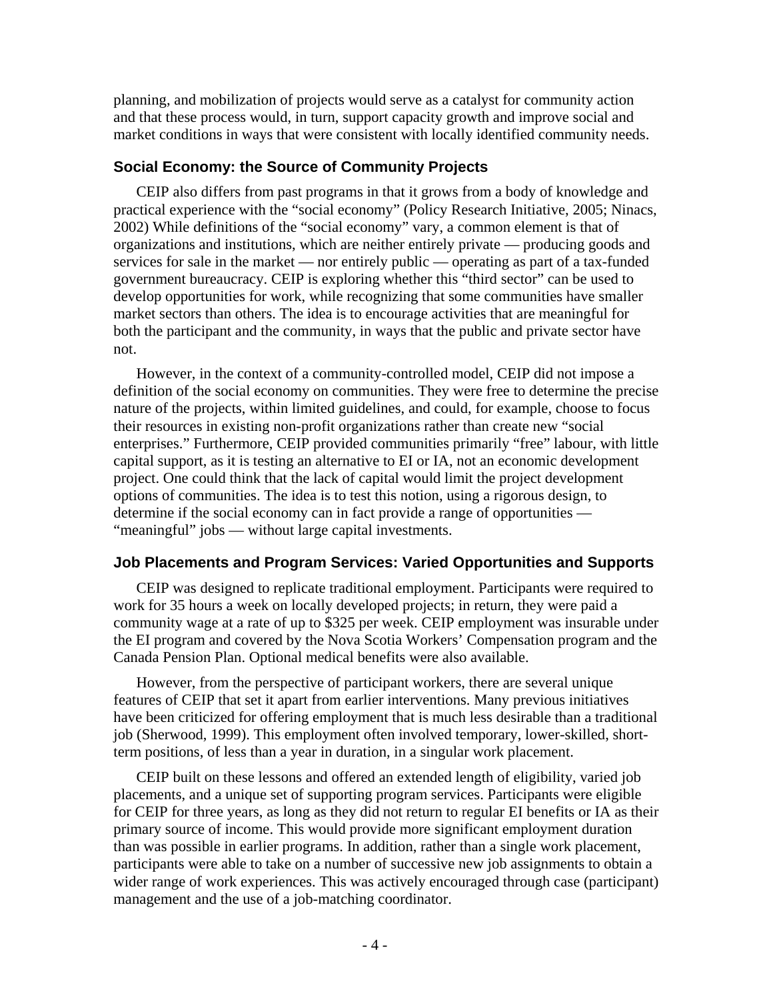planning, and mobilization of projects would serve as a catalyst for community action and that these process would, in turn, support capacity growth and improve social and market conditions in ways that were consistent with locally identified community needs.

## **Social Economy: the Source of Community Projects**

CEIP also differs from past programs in that it grows from a body of knowledge and practical experience with the "social economy" (Policy Research Initiative, 2005; Ninacs, 2002) While definitions of the "social economy" vary, a common element is that of organizations and institutions, which are neither entirely private — producing goods and services for sale in the market — nor entirely public — operating as part of a tax-funded government bureaucracy. CEIP is exploring whether this "third sector" can be used to develop opportunities for work, while recognizing that some communities have smaller market sectors than others. The idea is to encourage activities that are meaningful for both the participant and the community, in ways that the public and private sector have not.

However, in the context of a community-controlled model, CEIP did not impose a definition of the social economy on communities. They were free to determine the precise nature of the projects, within limited guidelines, and could, for example, choose to focus their resources in existing non-profit organizations rather than create new "social enterprises." Furthermore, CEIP provided communities primarily "free" labour, with little capital support, as it is testing an alternative to EI or IA, not an economic development project. One could think that the lack of capital would limit the project development options of communities. The idea is to test this notion, using a rigorous design, to determine if the social economy can in fact provide a range of opportunities — "meaningful" jobs — without large capital investments.

## **Job Placements and Program Services: Varied Opportunities and Supports**

CEIP was designed to replicate traditional employment. Participants were required to work for 35 hours a week on locally developed projects; in return, they were paid a community wage at a rate of up to \$325 per week. CEIP employment was insurable under the EI program and covered by the Nova Scotia Workers' Compensation program and the Canada Pension Plan. Optional medical benefits were also available.

However, from the perspective of participant workers, there are several unique features of CEIP that set it apart from earlier interventions. Many previous initiatives have been criticized for offering employment that is much less desirable than a traditional job (Sherwood, 1999). This employment often involved temporary, lower-skilled, shortterm positions, of less than a year in duration, in a singular work placement.

CEIP built on these lessons and offered an extended length of eligibility, varied job placements, and a unique set of supporting program services. Participants were eligible for CEIP for three years, as long as they did not return to regular EI benefits or IA as their primary source of income. This would provide more significant employment duration than was possible in earlier programs. In addition, rather than a single work placement, participants were able to take on a number of successive new job assignments to obtain a wider range of work experiences. This was actively encouraged through case (participant) management and the use of a job-matching coordinator.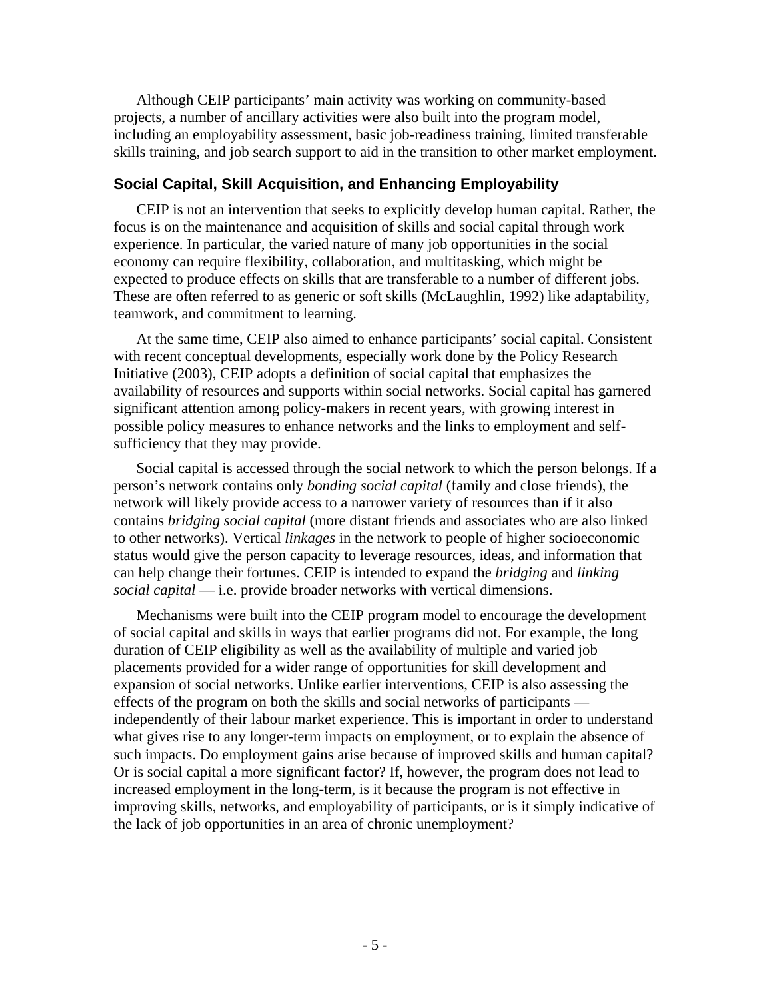Although CEIP participants' main activity was working on community-based projects, a number of ancillary activities were also built into the program model, including an employability assessment, basic job-readiness training, limited transferable skills training, and job search support to aid in the transition to other market employment.

## **Social Capital, Skill Acquisition, and Enhancing Employability**

CEIP is not an intervention that seeks to explicitly develop human capital. Rather, the focus is on the maintenance and acquisition of skills and social capital through work experience. In particular, the varied nature of many job opportunities in the social economy can require flexibility, collaboration, and multitasking, which might be expected to produce effects on skills that are transferable to a number of different jobs. These are often referred to as generic or soft skills (McLaughlin, 1992) like adaptability, teamwork, and commitment to learning.

At the same time, CEIP also aimed to enhance participants' social capital. Consistent with recent conceptual developments, especially work done by the Policy Research Initiative (2003), CEIP adopts a definition of social capital that emphasizes the availability of resources and supports within social networks. Social capital has garnered significant attention among policy-makers in recent years, with growing interest in possible policy measures to enhance networks and the links to employment and selfsufficiency that they may provide.

Social capital is accessed through the social network to which the person belongs. If a person's network contains only *bonding social capital* (family and close friends), the network will likely provide access to a narrower variety of resources than if it also contains *bridging social capital* (more distant friends and associates who are also linked to other networks). Vertical *linkages* in the network to people of higher socioeconomic status would give the person capacity to leverage resources, ideas, and information that can help change their fortunes. CEIP is intended to expand the *bridging* and *linking social capital* — i.e. provide broader networks with vertical dimensions.

Mechanisms were built into the CEIP program model to encourage the development of social capital and skills in ways that earlier programs did not. For example, the long duration of CEIP eligibility as well as the availability of multiple and varied job placements provided for a wider range of opportunities for skill development and expansion of social networks. Unlike earlier interventions, CEIP is also assessing the effects of the program on both the skills and social networks of participants independently of their labour market experience. This is important in order to understand what gives rise to any longer-term impacts on employment, or to explain the absence of such impacts. Do employment gains arise because of improved skills and human capital? Or is social capital a more significant factor? If, however, the program does not lead to increased employment in the long-term, is it because the program is not effective in improving skills, networks, and employability of participants, or is it simply indicative of the lack of job opportunities in an area of chronic unemployment?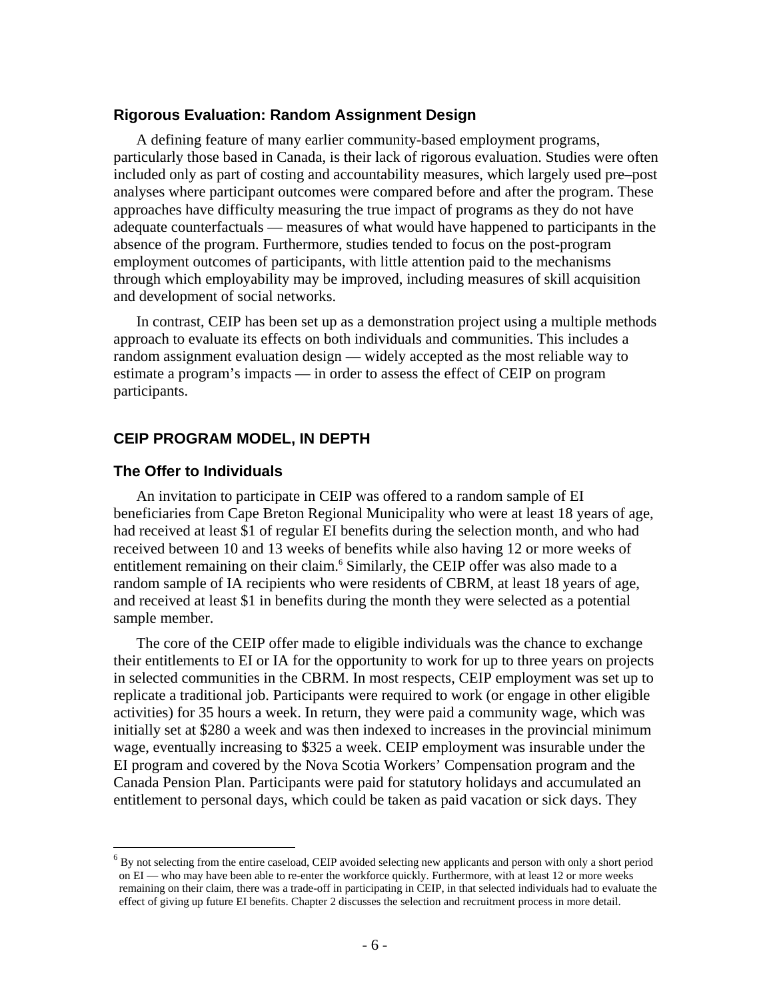### **Rigorous Evaluation: Random Assignment Design**

A defining feature of many earlier community-based employment programs, particularly those based in Canada, is their lack of rigorous evaluation. Studies were often included only as part of costing and accountability measures, which largely used pre–post analyses where participant outcomes were compared before and after the program. These approaches have difficulty measuring the true impact of programs as they do not have adequate counterfactuals — measures of what would have happened to participants in the absence of the program. Furthermore, studies tended to focus on the post-program employment outcomes of participants, with little attention paid to the mechanisms through which employability may be improved, including measures of skill acquisition and development of social networks.

In contrast, CEIP has been set up as a demonstration project using a multiple methods approach to evaluate its effects on both individuals and communities. This includes a random assignment evaluation design — widely accepted as the most reliable way to estimate a program's impacts — in order to assess the effect of CEIP on program participants.

### **CEIP PROGRAM MODEL, IN DEPTH**

#### **The Offer to Individuals**

1

An invitation to participate in CEIP was offered to a random sample of EI beneficiaries from Cape Breton Regional Municipality who were at least 18 years of age, had received at least \$1 of regular EI benefits during the selection month, and who had received between 10 and 13 weeks of benefits while also having 12 or more weeks of entitlement remaining on their claim.<sup>6</sup> Similarly, the CEIP offer was also made to a random sample of IA recipients who were residents of CBRM, at least 18 years of age, and received at least \$1 in benefits during the month they were selected as a potential sample member.

The core of the CEIP offer made to eligible individuals was the chance to exchange their entitlements to EI or IA for the opportunity to work for up to three years on projects in selected communities in the CBRM. In most respects, CEIP employment was set up to replicate a traditional job. Participants were required to work (or engage in other eligible activities) for 35 hours a week. In return, they were paid a community wage, which was initially set at \$280 a week and was then indexed to increases in the provincial minimum wage, eventually increasing to \$325 a week. CEIP employment was insurable under the EI program and covered by the Nova Scotia Workers' Compensation program and the Canada Pension Plan. Participants were paid for statutory holidays and accumulated an entitlement to personal days, which could be taken as paid vacation or sick days. They

 $<sup>6</sup>$  By not selecting from the entire caseload, CEIP avoided selecting new applicants and person with only a short period</sup> on EI — who may have been able to re-enter the workforce quickly. Furthermore, with at least 12 or more weeks remaining on their claim, there was a trade-off in participating in CEIP, in that selected individuals had to evaluate the effect of giving up future EI benefits. Chapter 2 discusses the selection and recruitment process in more detail.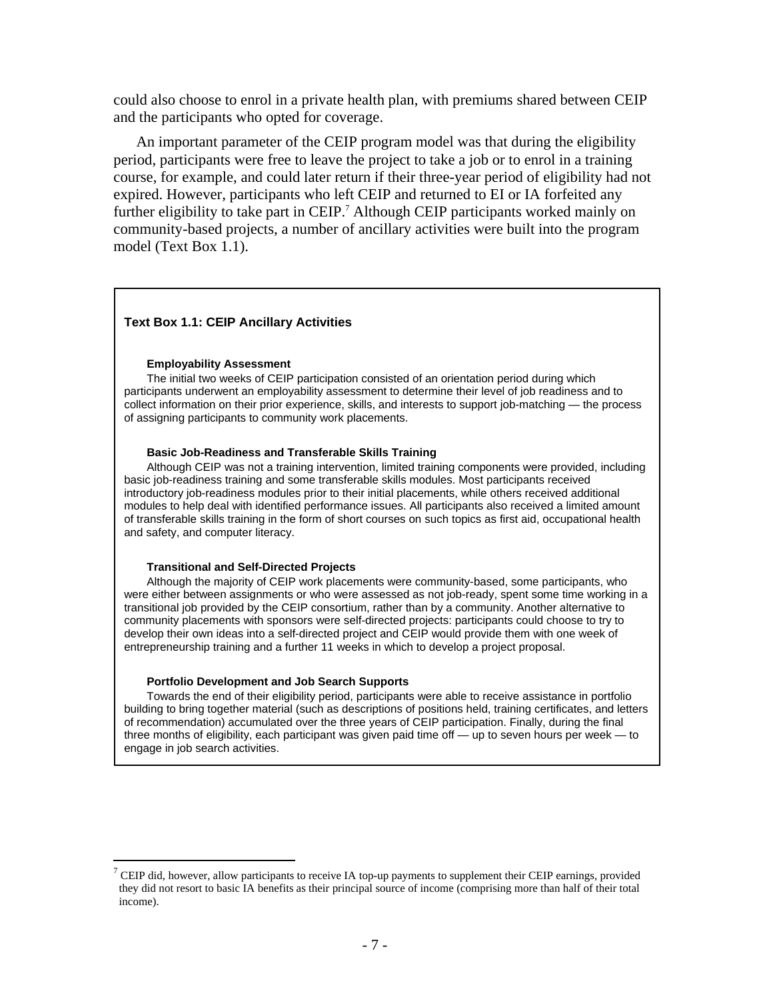could also choose to enrol in a private health plan, with premiums shared between CEIP and the participants who opted for coverage.

An important parameter of the CEIP program model was that during the eligibility period, participants were free to leave the project to take a job or to enrol in a training course, for example, and could later return if their three-year period of eligibility had not expired. However, participants who left CEIP and returned to EI or IA forfeited any further eligibility to take part in CEIP.<sup>7</sup> Although CEIP participants worked mainly on community-based projects, a number of ancillary activities were built into the program model (Text Box 1.1).

#### **Text Box 1.1: CEIP Ancillary Activities**

#### **Employability Assessment**

The initial two weeks of CEIP participation consisted of an orientation period during which participants underwent an employability assessment to determine their level of job readiness and to collect information on their prior experience, skills, and interests to support job-matching — the process of assigning participants to community work placements.

#### **Basic Job-Readiness and Transferable Skills Training**

Although CEIP was not a training intervention, limited training components were provided, including basic job-readiness training and some transferable skills modules. Most participants received introductory job-readiness modules prior to their initial placements, while others received additional modules to help deal with identified performance issues. All participants also received a limited amount of transferable skills training in the form of short courses on such topics as first aid, occupational health and safety, and computer literacy.

#### **Transitional and Self-Directed Projects**

1

Although the majority of CEIP work placements were community-based, some participants, who were either between assignments or who were assessed as not job-ready, spent some time working in a transitional job provided by the CEIP consortium, rather than by a community. Another alternative to community placements with sponsors were self-directed projects: participants could choose to try to develop their own ideas into a self-directed project and CEIP would provide them with one week of entrepreneurship training and a further 11 weeks in which to develop a project proposal.

#### **Portfolio Development and Job Search Supports**

Towards the end of their eligibility period, participants were able to receive assistance in portfolio building to bring together material (such as descriptions of positions held, training certificates, and letters of recommendation) accumulated over the three years of CEIP participation. Finally, during the final three months of eligibility, each participant was given paid time off — up to seven hours per week — to engage in job search activities.

<sup>&</sup>lt;sup>7</sup> CEIP did, however, allow participants to receive IA top-up payments to supplement their CEIP earnings, provided they did not resort to basic IA benefits as their principal source of income (comprising more than half of their total income).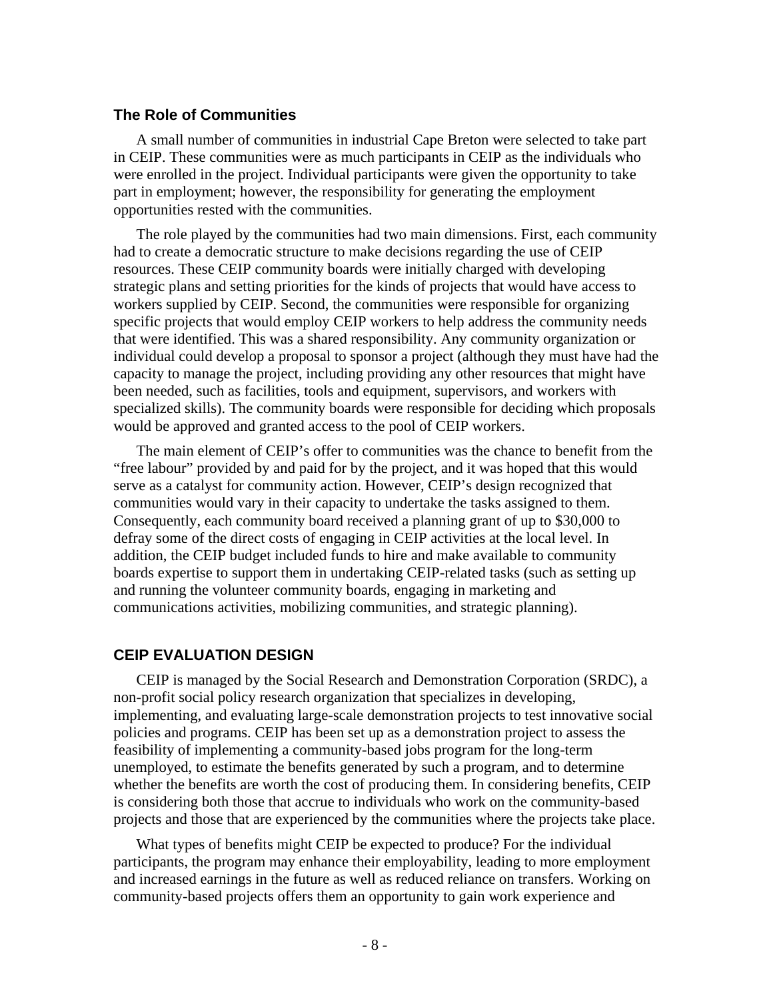### **The Role of Communities**

A small number of communities in industrial Cape Breton were selected to take part in CEIP. These communities were as much participants in CEIP as the individuals who were enrolled in the project. Individual participants were given the opportunity to take part in employment; however, the responsibility for generating the employment opportunities rested with the communities.

The role played by the communities had two main dimensions. First, each community had to create a democratic structure to make decisions regarding the use of CEIP resources. These CEIP community boards were initially charged with developing strategic plans and setting priorities for the kinds of projects that would have access to workers supplied by CEIP. Second, the communities were responsible for organizing specific projects that would employ CEIP workers to help address the community needs that were identified. This was a shared responsibility. Any community organization or individual could develop a proposal to sponsor a project (although they must have had the capacity to manage the project, including providing any other resources that might have been needed, such as facilities, tools and equipment, supervisors, and workers with specialized skills). The community boards were responsible for deciding which proposals would be approved and granted access to the pool of CEIP workers.

The main element of CEIP's offer to communities was the chance to benefit from the "free labour" provided by and paid for by the project, and it was hoped that this would serve as a catalyst for community action. However, CEIP's design recognized that communities would vary in their capacity to undertake the tasks assigned to them. Consequently, each community board received a planning grant of up to \$30,000 to defray some of the direct costs of engaging in CEIP activities at the local level. In addition, the CEIP budget included funds to hire and make available to community boards expertise to support them in undertaking CEIP-related tasks (such as setting up and running the volunteer community boards, engaging in marketing and communications activities, mobilizing communities, and strategic planning).

### **CEIP EVALUATION DESIGN**

CEIP is managed by the Social Research and Demonstration Corporation (SRDC), a non-profit social policy research organization that specializes in developing, implementing, and evaluating large-scale demonstration projects to test innovative social policies and programs. CEIP has been set up as a demonstration project to assess the feasibility of implementing a community-based jobs program for the long-term unemployed, to estimate the benefits generated by such a program, and to determine whether the benefits are worth the cost of producing them. In considering benefits, CEIP is considering both those that accrue to individuals who work on the community-based projects and those that are experienced by the communities where the projects take place.

What types of benefits might CEIP be expected to produce? For the individual participants, the program may enhance their employability, leading to more employment and increased earnings in the future as well as reduced reliance on transfers. Working on community-based projects offers them an opportunity to gain work experience and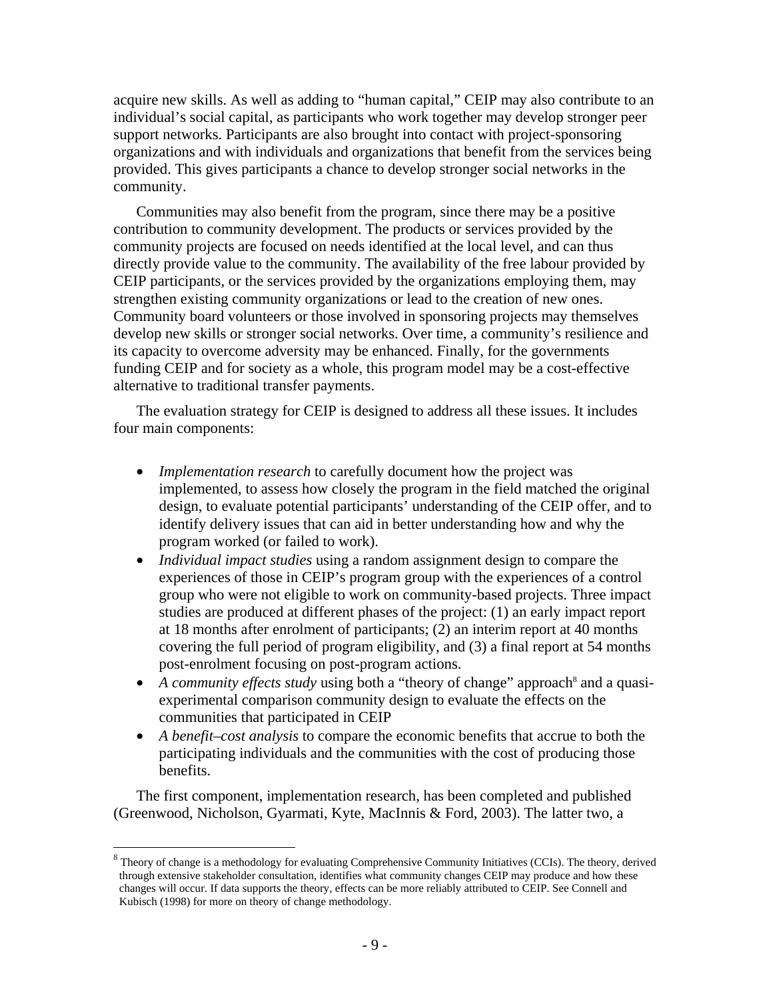acquire new skills. As well as adding to "human capital," CEIP may also contribute to an individual's social capital, as participants who work together may develop stronger peer support networks. Participants are also brought into contact with project-sponsoring organizations and with individuals and organizations that benefit from the services being provided. This gives participants a chance to develop stronger social networks in the community.

Communities may also benefit from the program, since there may be a positive contribution to community development. The products or services provided by the community projects are focused on needs identified at the local level, and can thus directly provide value to the community. The availability of the free labour provided by CEIP participants, or the services provided by the organizations employing them, may strengthen existing community organizations or lead to the creation of new ones. Community board volunteers or those involved in sponsoring projects may themselves develop new skills or stronger social networks. Over time, a community's resilience and its capacity to overcome adversity may be enhanced. Finally, for the governments funding CEIP and for society as a whole, this program model may be a cost-effective alternative to traditional transfer payments.

The evaluation strategy for CEIP is designed to address all these issues. It includes four main components:

- *Implementation research* to carefully document how the project was implemented, to assess how closely the program in the field matched the original design, to evaluate potential participants' understanding of the CEIP offer, and to identify delivery issues that can aid in better understanding how and why the program worked (or failed to work).
- *Individual impact studies* using a random assignment design to compare the experiences of those in CEIP's program group with the experiences of a control group who were not eligible to work on community-based projects. Three impact studies are produced at different phases of the project: (1) an early impact report at 18 months after enrolment of participants; (2) an interim report at 40 months covering the full period of program eligibility, and (3) a final report at 54 months post-enrolment focusing on post-program actions.
- A community effects study using both a "theory of change" approach<sup>8</sup> and a quasiexperimental comparison community design to evaluate the effects on the communities that participated in CEIP
- *A benefit–cost analysis* to compare the economic benefits that accrue to both the participating individuals and the communities with the cost of producing those benefits.

The first component, implementation research, has been completed and published (Greenwood, Nicholson, Gyarmati, Kyte, MacInnis & Ford, 2003). The latter two, a

1

 $8$  Theory of change is a methodology for evaluating Comprehensive Community Initiatives (CCIs). The theory, derived through extensive stakeholder consultation, identifies what community changes CEIP may produce and how these changes will occur. If data supports the theory, effects can be more reliably attributed to CEIP. See Connell and Kubisch (1998) for more on theory of change methodology.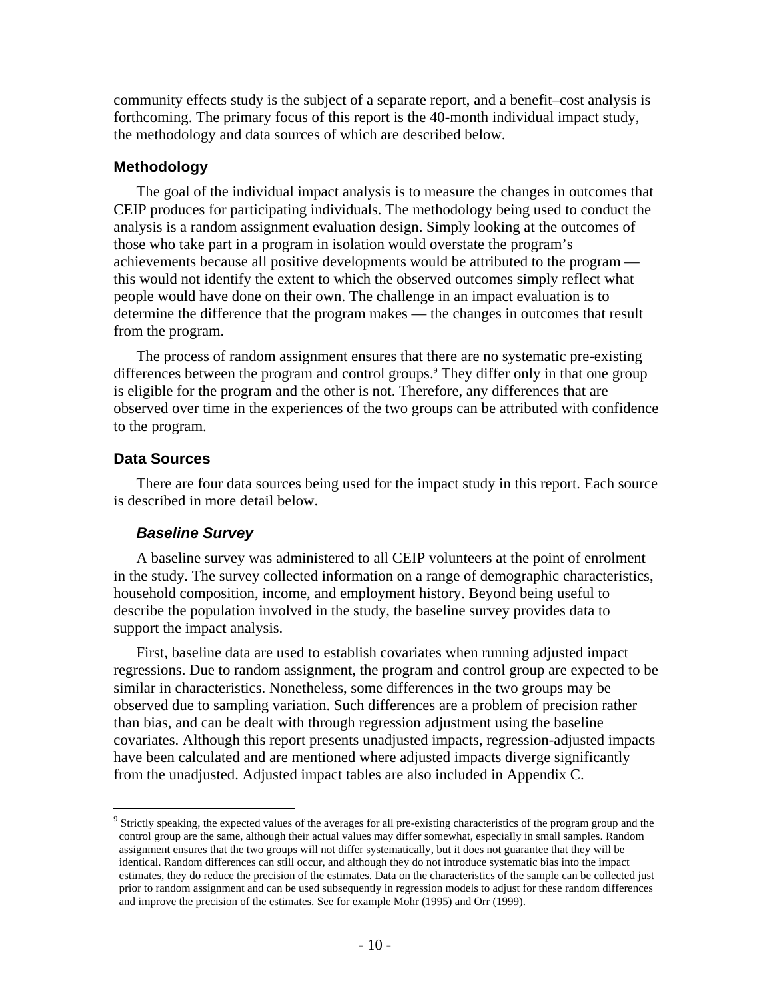community effects study is the subject of a separate report, and a benefit–cost analysis is forthcoming. The primary focus of this report is the 40-month individual impact study, the methodology and data sources of which are described below.

#### **Methodology**

The goal of the individual impact analysis is to measure the changes in outcomes that CEIP produces for participating individuals. The methodology being used to conduct the analysis is a random assignment evaluation design. Simply looking at the outcomes of those who take part in a program in isolation would overstate the program's achievements because all positive developments would be attributed to the program this would not identify the extent to which the observed outcomes simply reflect what people would have done on their own. The challenge in an impact evaluation is to determine the difference that the program makes — the changes in outcomes that result from the program.

The process of random assignment ensures that there are no systematic pre-existing differences between the program and control groups.<sup>9</sup> They differ only in that one group is eligible for the program and the other is not. Therefore, any differences that are observed over time in the experiences of the two groups can be attributed with confidence to the program.

## **Data Sources**

 $\overline{a}$ 

There are four data sources being used for the impact study in this report. Each source is described in more detail below.

#### *Baseline Survey*

A baseline survey was administered to all CEIP volunteers at the point of enrolment in the study. The survey collected information on a range of demographic characteristics, household composition, income, and employment history. Beyond being useful to describe the population involved in the study, the baseline survey provides data to support the impact analysis.

First, baseline data are used to establish covariates when running adjusted impact regressions. Due to random assignment, the program and control group are expected to be similar in characteristics. Nonetheless, some differences in the two groups may be observed due to sampling variation. Such differences are a problem of precision rather than bias, and can be dealt with through regression adjustment using the baseline covariates. Although this report presents unadjusted impacts, regression-adjusted impacts have been calculated and are mentioned where adjusted impacts diverge significantly from the unadjusted. Adjusted impact tables are also included in Appendix C.

 $9^9$  Strictly speaking, the expected values of the averages for all pre-existing characteristics of the program group and the control group are the same, although their actual values may differ somewhat, especially in small samples. Random assignment ensures that the two groups will not differ systematically, but it does not guarantee that they will be identical. Random differences can still occur, and although they do not introduce systematic bias into the impact estimates, they do reduce the precision of the estimates. Data on the characteristics of the sample can be collected just prior to random assignment and can be used subsequently in regression models to adjust for these random differences and improve the precision of the estimates. See for example Mohr (1995) and Orr (1999).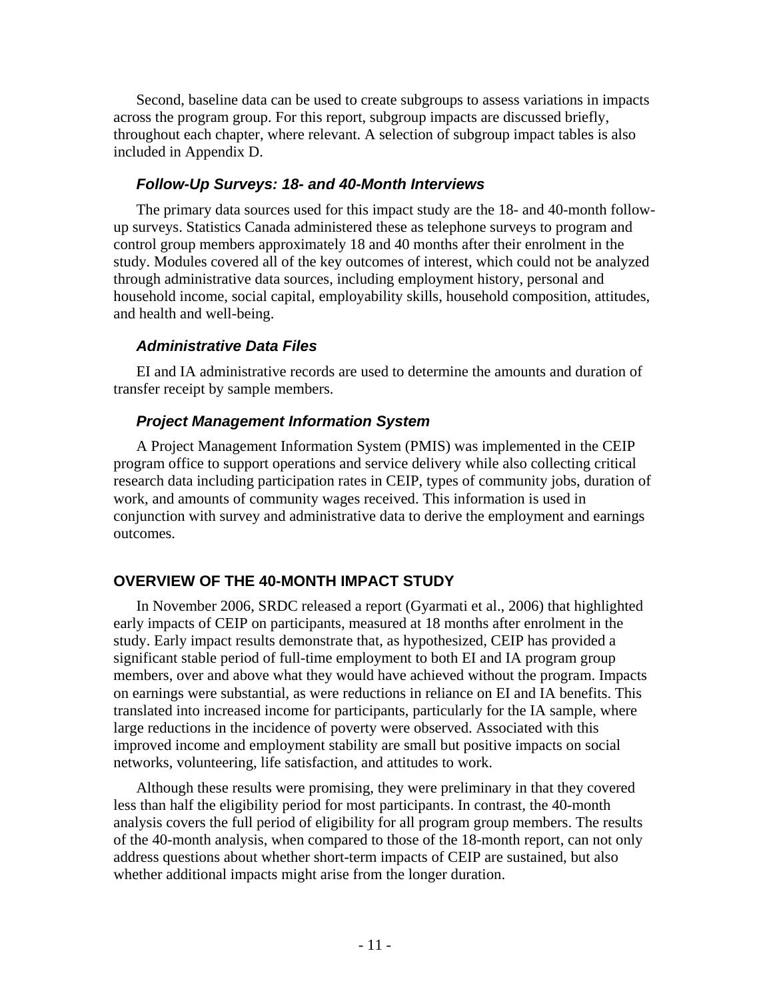Second, baseline data can be used to create subgroups to assess variations in impacts across the program group. For this report, subgroup impacts are discussed briefly, throughout each chapter, where relevant. A selection of subgroup impact tables is also included in Appendix D.

### *Follow-Up Surveys: 18- and 40-Month Interviews*

The primary data sources used for this impact study are the 18- and 40-month followup surveys. Statistics Canada administered these as telephone surveys to program and control group members approximately 18 and 40 months after their enrolment in the study. Modules covered all of the key outcomes of interest, which could not be analyzed through administrative data sources, including employment history, personal and household income, social capital, employability skills, household composition, attitudes, and health and well-being.

## *Administrative Data Files*

EI and IA administrative records are used to determine the amounts and duration of transfer receipt by sample members.

## *Project Management Information System*

A Project Management Information System (PMIS) was implemented in the CEIP program office to support operations and service delivery while also collecting critical research data including participation rates in CEIP, types of community jobs, duration of work, and amounts of community wages received. This information is used in conjunction with survey and administrative data to derive the employment and earnings outcomes.

## **OVERVIEW OF THE 40-MONTH IMPACT STUDY**

In November 2006, SRDC released a report (Gyarmati et al., 2006) that highlighted early impacts of CEIP on participants, measured at 18 months after enrolment in the study. Early impact results demonstrate that, as hypothesized, CEIP has provided a significant stable period of full-time employment to both EI and IA program group members, over and above what they would have achieved without the program. Impacts on earnings were substantial, as were reductions in reliance on EI and IA benefits. This translated into increased income for participants, particularly for the IA sample, where large reductions in the incidence of poverty were observed. Associated with this improved income and employment stability are small but positive impacts on social networks, volunteering, life satisfaction, and attitudes to work.

Although these results were promising, they were preliminary in that they covered less than half the eligibility period for most participants. In contrast, the 40-month analysis covers the full period of eligibility for all program group members. The results of the 40-month analysis, when compared to those of the 18-month report, can not only address questions about whether short-term impacts of CEIP are sustained, but also whether additional impacts might arise from the longer duration.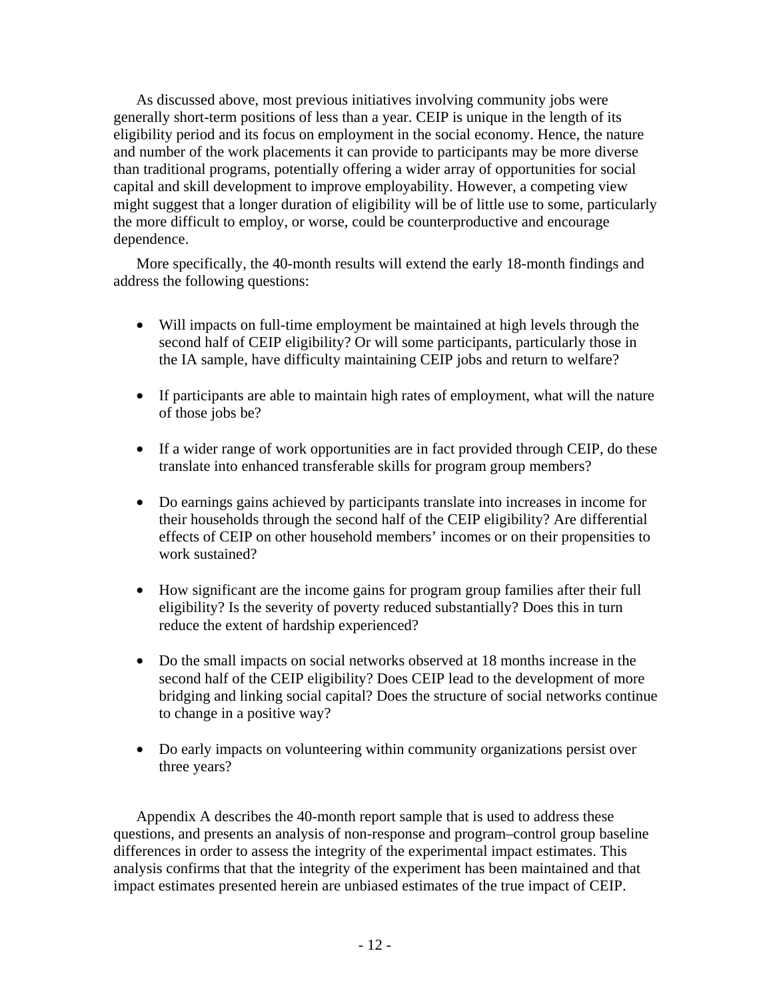As discussed above, most previous initiatives involving community jobs were generally short-term positions of less than a year. CEIP is unique in the length of its eligibility period and its focus on employment in the social economy. Hence, the nature and number of the work placements it can provide to participants may be more diverse than traditional programs, potentially offering a wider array of opportunities for social capital and skill development to improve employability. However, a competing view might suggest that a longer duration of eligibility will be of little use to some, particularly the more difficult to employ, or worse, could be counterproductive and encourage dependence.

More specifically, the 40-month results will extend the early 18-month findings and address the following questions:

- Will impacts on full-time employment be maintained at high levels through the second half of CEIP eligibility? Or will some participants, particularly those in the IA sample, have difficulty maintaining CEIP jobs and return to welfare?
- If participants are able to maintain high rates of employment, what will the nature of those jobs be?
- If a wider range of work opportunities are in fact provided through CEIP, do these translate into enhanced transferable skills for program group members?
- Do earnings gains achieved by participants translate into increases in income for their households through the second half of the CEIP eligibility? Are differential effects of CEIP on other household members' incomes or on their propensities to work sustained?
- How significant are the income gains for program group families after their full eligibility? Is the severity of poverty reduced substantially? Does this in turn reduce the extent of hardship experienced?
- Do the small impacts on social networks observed at 18 months increase in the second half of the CEIP eligibility? Does CEIP lead to the development of more bridging and linking social capital? Does the structure of social networks continue to change in a positive way?
- Do early impacts on volunteering within community organizations persist over three years?

Appendix A describes the 40-month report sample that is used to address these questions, and presents an analysis of non-response and program–control group baseline differences in order to assess the integrity of the experimental impact estimates. This analysis confirms that that the integrity of the experiment has been maintained and that impact estimates presented herein are unbiased estimates of the true impact of CEIP.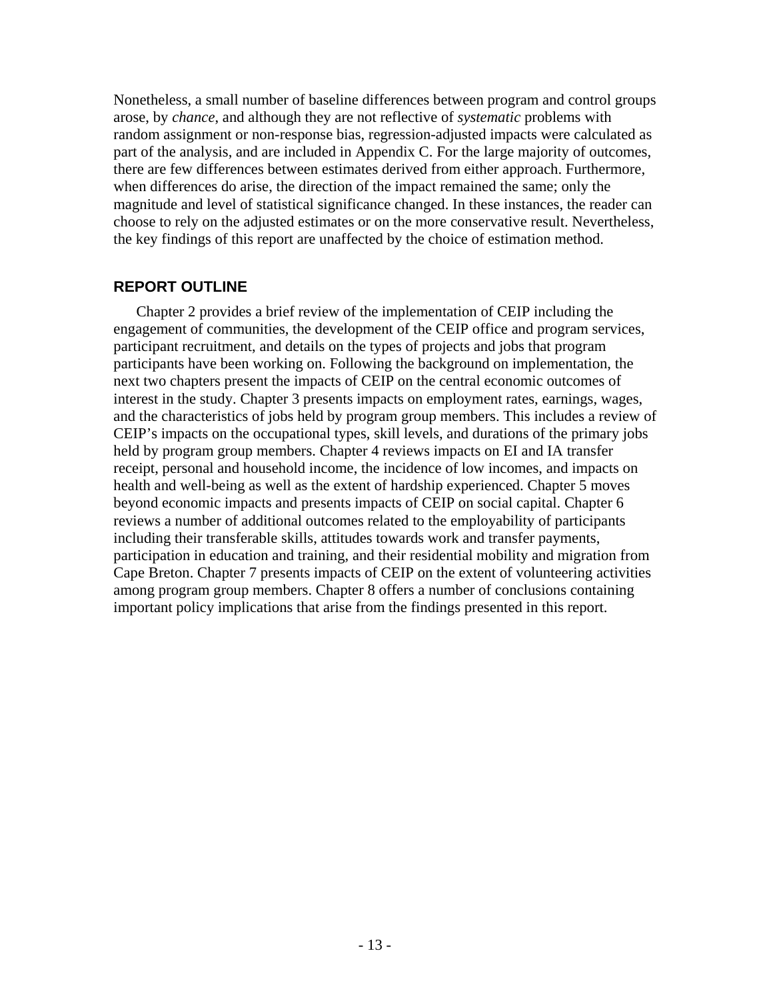Nonetheless, a small number of baseline differences between program and control groups arose, by *chance*, and although they are not reflective of *systematic* problems with random assignment or non-response bias, regression-adjusted impacts were calculated as part of the analysis, and are included in Appendix C. For the large majority of outcomes, there are few differences between estimates derived from either approach. Furthermore, when differences do arise, the direction of the impact remained the same; only the magnitude and level of statistical significance changed. In these instances, the reader can choose to rely on the adjusted estimates or on the more conservative result. Nevertheless, the key findings of this report are unaffected by the choice of estimation method.

## **REPORT OUTLINE**

Chapter 2 provides a brief review of the implementation of CEIP including the engagement of communities, the development of the CEIP office and program services, participant recruitment, and details on the types of projects and jobs that program participants have been working on. Following the background on implementation, the next two chapters present the impacts of CEIP on the central economic outcomes of interest in the study. Chapter 3 presents impacts on employment rates, earnings, wages, and the characteristics of jobs held by program group members. This includes a review of CEIP's impacts on the occupational types, skill levels, and durations of the primary jobs held by program group members. Chapter 4 reviews impacts on EI and IA transfer receipt, personal and household income, the incidence of low incomes, and impacts on health and well-being as well as the extent of hardship experienced. Chapter 5 moves beyond economic impacts and presents impacts of CEIP on social capital. Chapter 6 reviews a number of additional outcomes related to the employability of participants including their transferable skills, attitudes towards work and transfer payments, participation in education and training, and their residential mobility and migration from Cape Breton. Chapter 7 presents impacts of CEIP on the extent of volunteering activities among program group members. Chapter 8 offers a number of conclusions containing important policy implications that arise from the findings presented in this report.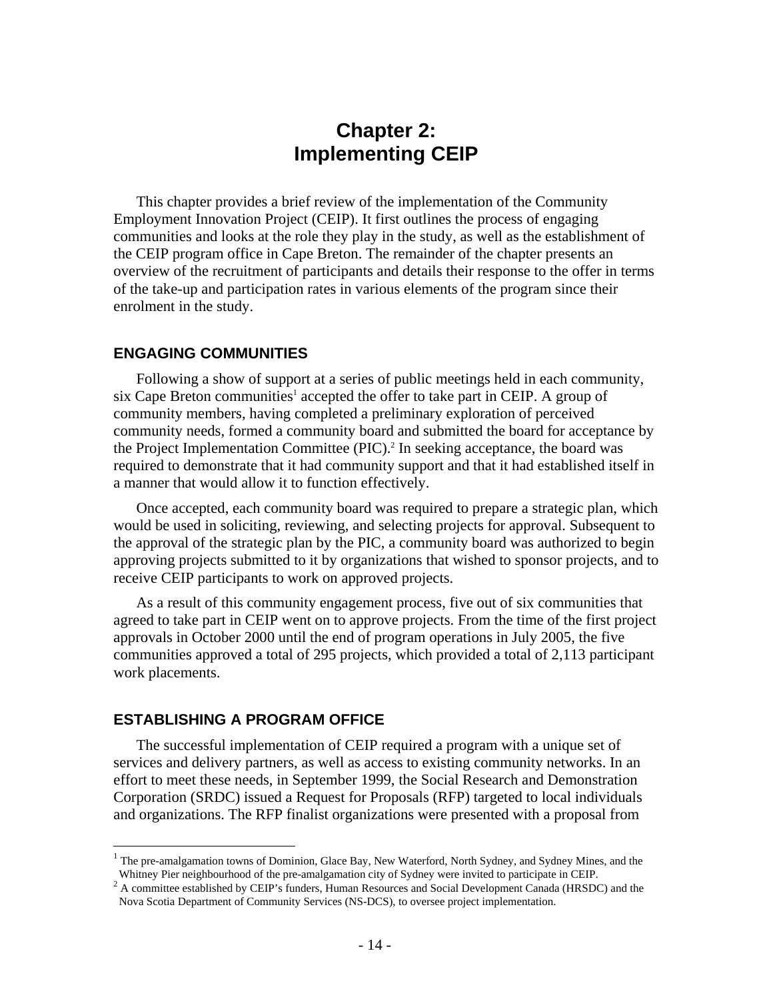## **Chapter 2: Implementing CEIP**

This chapter provides a brief review of the implementation of the Community Employment Innovation Project (CEIP). It first outlines the process of engaging communities and looks at the role they play in the study, as well as the establishment of the CEIP program office in Cape Breton. The remainder of the chapter presents an overview of the recruitment of participants and details their response to the offer in terms of the take-up and participation rates in various elements of the program since their enrolment in the study.

#### **ENGAGING COMMUNITIES**

Following a show of support at a series of public meetings held in each community, six Cape Breton communities<sup>1</sup> accepted the offer to take part in CEIP. A group of community members, having completed a preliminary exploration of perceived community needs, formed a community board and submitted the board for acceptance by the Project Implementation Committee (PIC).<sup>2</sup> In seeking acceptance, the board was required to demonstrate that it had community support and that it had established itself in a manner that would allow it to function effectively.

Once accepted, each community board was required to prepare a strategic plan, which would be used in soliciting, reviewing, and selecting projects for approval. Subsequent to the approval of the strategic plan by the PIC, a community board was authorized to begin approving projects submitted to it by organizations that wished to sponsor projects, and to receive CEIP participants to work on approved projects.

As a result of this community engagement process, five out of six communities that agreed to take part in CEIP went on to approve projects. From the time of the first project approvals in October 2000 until the end of program operations in July 2005, the five communities approved a total of 295 projects, which provided a total of 2,113 participant work placements.

#### **ESTABLISHING A PROGRAM OFFICE**

1

The successful implementation of CEIP required a program with a unique set of services and delivery partners, as well as access to existing community networks. In an effort to meet these needs, in September 1999, the Social Research and Demonstration Corporation (SRDC) issued a Request for Proposals (RFP) targeted to local individuals and organizations. The RFP finalist organizations were presented with a proposal from

<sup>&</sup>lt;sup>1</sup> The pre-amalgamation towns of Dominion, Glace Bay, New Waterford, North Sydney, and Sydney Mines, and the Whitney Pier neighbourhood of the pre-amalgamation city of Sydney were invited to participate in CEIP.

<sup>&</sup>lt;sup>2</sup> A committee established by CEIP's funders, Human Resources and Social Development Canada (HRSDC) and the Nova Scotia Department of Community Services (NS-DCS), to oversee project implementation.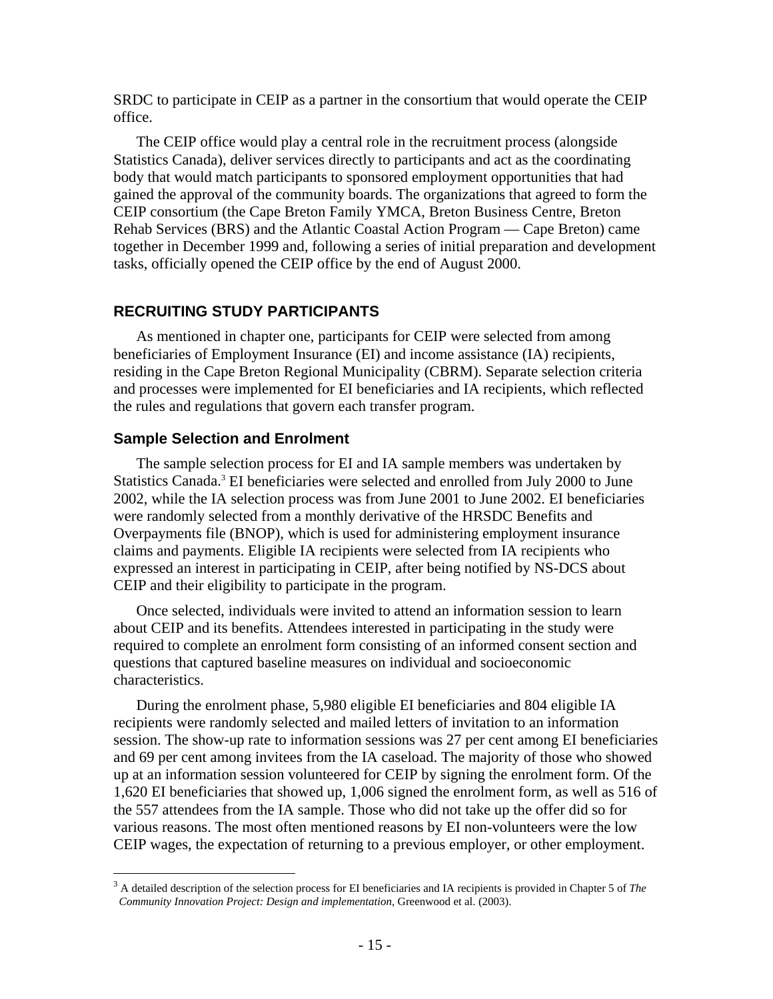SRDC to participate in CEIP as a partner in the consortium that would operate the CEIP office.

The CEIP office would play a central role in the recruitment process (alongside Statistics Canada), deliver services directly to participants and act as the coordinating body that would match participants to sponsored employment opportunities that had gained the approval of the community boards. The organizations that agreed to form the CEIP consortium (the Cape Breton Family YMCA, Breton Business Centre, Breton Rehab Services (BRS) and the Atlantic Coastal Action Program — Cape Breton) came together in December 1999 and, following a series of initial preparation and development tasks, officially opened the CEIP office by the end of August 2000.

## **RECRUITING STUDY PARTICIPANTS**

As mentioned in chapter one, participants for CEIP were selected from among beneficiaries of Employment Insurance (EI) and income assistance (IA) recipients, residing in the Cape Breton Regional Municipality (CBRM). Separate selection criteria and processes were implemented for EI beneficiaries and IA recipients, which reflected the rules and regulations that govern each transfer program.

#### **Sample Selection and Enrolment**

 $\overline{a}$ 

The sample selection process for EI and IA sample members was undertaken by Statistics Canada.<sup>3</sup> EI beneficiaries were selected and enrolled from July 2000 to June 2002, while the IA selection process was from June 2001 to June 2002. EI beneficiaries were randomly selected from a monthly derivative of the HRSDC Benefits and Overpayments file (BNOP), which is used for administering employment insurance claims and payments. Eligible IA recipients were selected from IA recipients who expressed an interest in participating in CEIP, after being notified by NS-DCS about CEIP and their eligibility to participate in the program.

Once selected, individuals were invited to attend an information session to learn about CEIP and its benefits. Attendees interested in participating in the study were required to complete an enrolment form consisting of an informed consent section and questions that captured baseline measures on individual and socioeconomic characteristics.

During the enrolment phase, 5,980 eligible EI beneficiaries and 804 eligible IA recipients were randomly selected and mailed letters of invitation to an information session. The show-up rate to information sessions was 27 per cent among EI beneficiaries and 69 per cent among invitees from the IA caseload. The majority of those who showed up at an information session volunteered for CEIP by signing the enrolment form. Of the 1,620 EI beneficiaries that showed up, 1,006 signed the enrolment form, as well as 516 of the 557 attendees from the IA sample. Those who did not take up the offer did so for various reasons. The most often mentioned reasons by EI non-volunteers were the low CEIP wages, the expectation of returning to a previous employer, or other employment.

<sup>3</sup> A detailed description of the selection process for EI beneficiaries and IA recipients is provided in Chapter 5 of *The Community Innovation Project: Design and implementation,* Greenwood et al. (2003).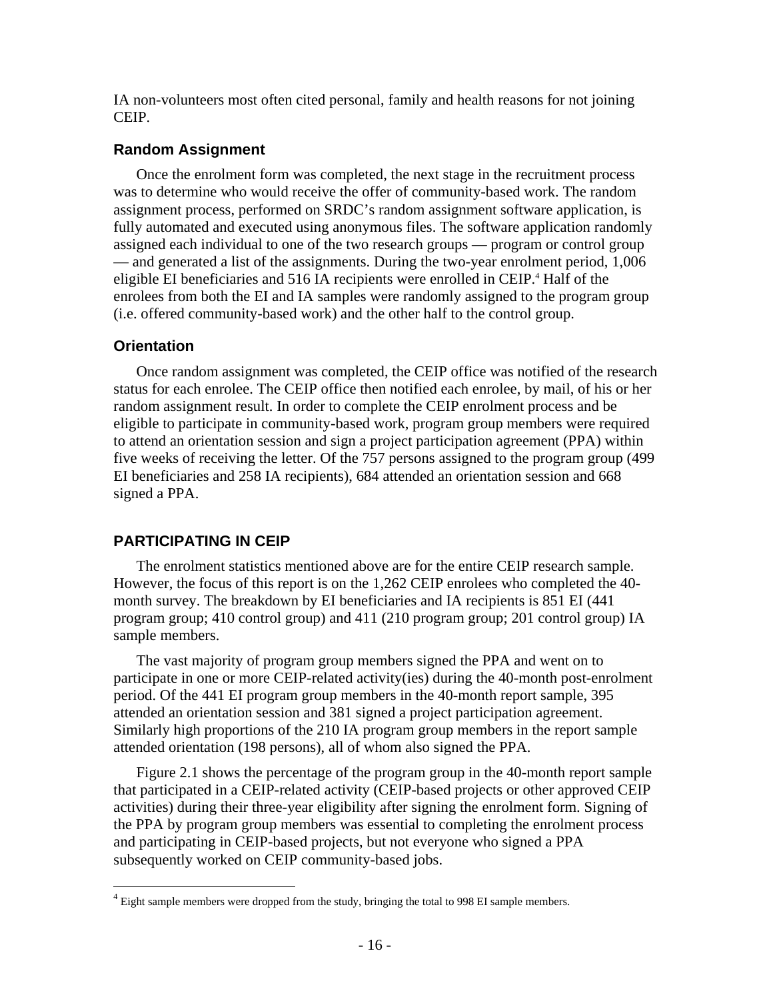IA non-volunteers most often cited personal, family and health reasons for not joining CEIP.

## **Random Assignment**

Once the enrolment form was completed, the next stage in the recruitment process was to determine who would receive the offer of community-based work. The random assignment process, performed on SRDC's random assignment software application, is fully automated and executed using anonymous files. The software application randomly assigned each individual to one of the two research groups — program or control group — and generated a list of the assignments. During the two-year enrolment period, 1,006 eligible EI beneficiaries and 516 IA recipients were enrolled in CEIP.<sup>4</sup> Half of the enrolees from both the EI and IA samples were randomly assigned to the program group (i.e. offered community-based work) and the other half to the control group.

#### **Orientation**

 $\overline{a}$ 

Once random assignment was completed, the CEIP office was notified of the research status for each enrolee. The CEIP office then notified each enrolee, by mail, of his or her random assignment result. In order to complete the CEIP enrolment process and be eligible to participate in community-based work, program group members were required to attend an orientation session and sign a project participation agreement (PPA) within five weeks of receiving the letter. Of the 757 persons assigned to the program group (499 EI beneficiaries and 258 IA recipients), 684 attended an orientation session and 668 signed a PPA.

## **PARTICIPATING IN CEIP**

The enrolment statistics mentioned above are for the entire CEIP research sample. However, the focus of this report is on the 1,262 CEIP enrolees who completed the 40 month survey. The breakdown by EI beneficiaries and IA recipients is 851 EI (441 program group; 410 control group) and 411 (210 program group; 201 control group) IA sample members.

The vast majority of program group members signed the PPA and went on to participate in one or more CEIP-related activity(ies) during the 40-month post-enrolment period. Of the 441 EI program group members in the 40-month report sample, 395 attended an orientation session and 381 signed a project participation agreement. Similarly high proportions of the 210 IA program group members in the report sample attended orientation (198 persons), all of whom also signed the PPA.

Figure 2.1 shows the percentage of the program group in the 40-month report sample that participated in a CEIP-related activity (CEIP-based projects or other approved CEIP activities) during their three-year eligibility after signing the enrolment form. Signing of the PPA by program group members was essential to completing the enrolment process and participating in CEIP-based projects, but not everyone who signed a PPA subsequently worked on CEIP community-based jobs.

 $4$  Eight sample members were dropped from the study, bringing the total to 998 EI sample members.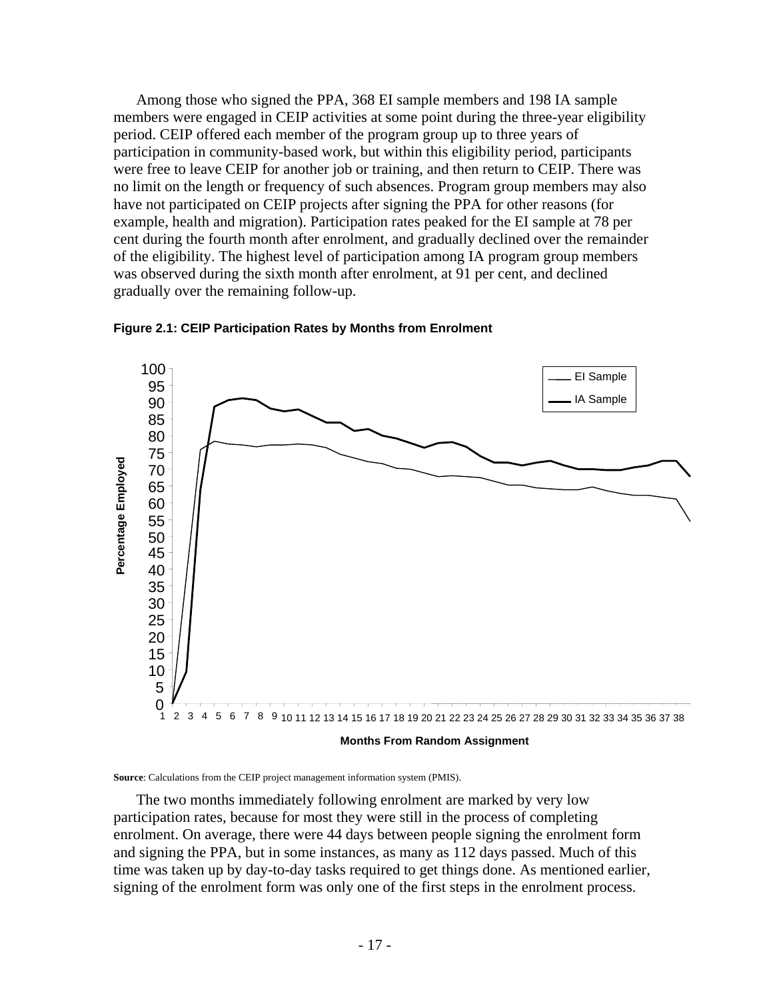Among those who signed the PPA, 368 EI sample members and 198 IA sample members were engaged in CEIP activities at some point during the three-year eligibility period. CEIP offered each member of the program group up to three years of participation in community-based work, but within this eligibility period, participants were free to leave CEIP for another job or training, and then return to CEIP. There was no limit on the length or frequency of such absences. Program group members may also have not participated on CEIP projects after signing the PPA for other reasons (for example, health and migration). Participation rates peaked for the EI sample at 78 per cent during the fourth month after enrolment, and gradually declined over the remainder of the eligibility. The highest level of participation among IA program group members was observed during the sixth month after enrolment, at 91 per cent, and declined gradually over the remaining follow-up.



**Figure 2.1: CEIP Participation Rates by Months from Enrolment** 

**Source**: Calculations from the CEIP project management information system (PMIS).

The two months immediately following enrolment are marked by very low participation rates, because for most they were still in the process of completing enrolment. On average, there were 44 days between people signing the enrolment form and signing the PPA, but in some instances, as many as 112 days passed. Much of this time was taken up by day-to-day tasks required to get things done. As mentioned earlier, signing of the enrolment form was only one of the first steps in the enrolment process.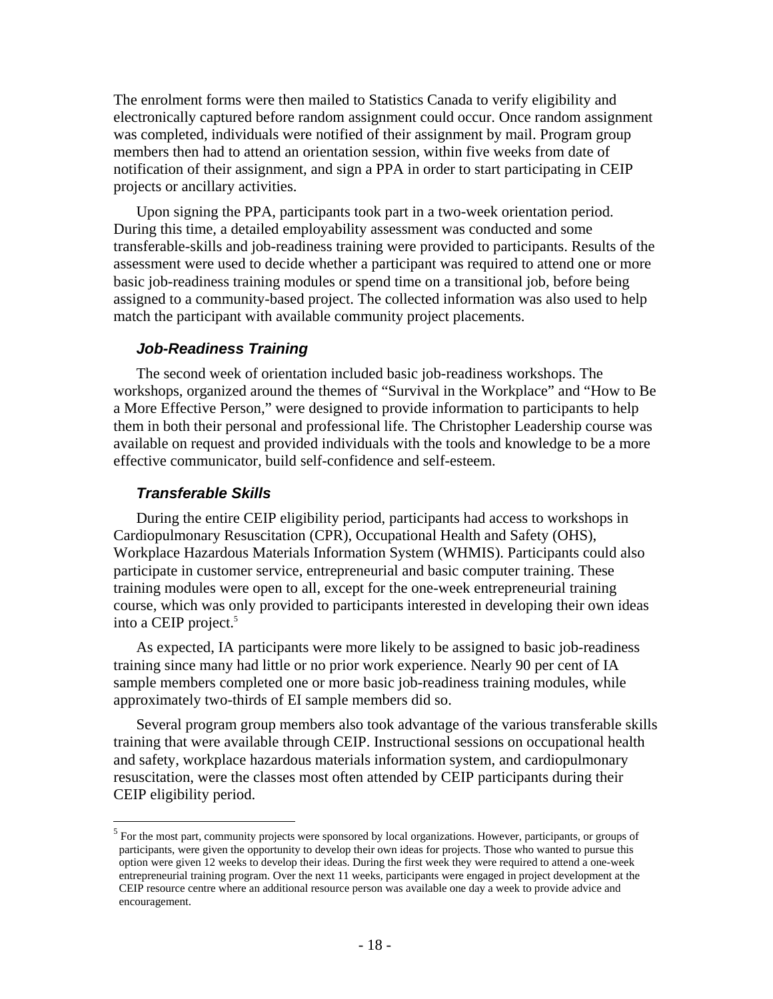The enrolment forms were then mailed to Statistics Canada to verify eligibility and electronically captured before random assignment could occur. Once random assignment was completed, individuals were notified of their assignment by mail. Program group members then had to attend an orientation session, within five weeks from date of notification of their assignment, and sign a PPA in order to start participating in CEIP projects or ancillary activities.

Upon signing the PPA, participants took part in a two-week orientation period. During this time, a detailed employability assessment was conducted and some transferable-skills and job-readiness training were provided to participants. Results of the assessment were used to decide whether a participant was required to attend one or more basic job-readiness training modules or spend time on a transitional job, before being assigned to a community-based project. The collected information was also used to help match the participant with available community project placements.

#### *Job-Readiness Training*

The second week of orientation included basic job-readiness workshops. The workshops, organized around the themes of "Survival in the Workplace" and "How to Be a More Effective Person," were designed to provide information to participants to help them in both their personal and professional life. The Christopher Leadership course was available on request and provided individuals with the tools and knowledge to be a more effective communicator, build self-confidence and self-esteem.

#### *Transferable Skills*

 $\overline{a}$ 

During the entire CEIP eligibility period, participants had access to workshops in Cardiopulmonary Resuscitation (CPR), Occupational Health and Safety (OHS), Workplace Hazardous Materials Information System (WHMIS). Participants could also participate in customer service, entrepreneurial and basic computer training. These training modules were open to all, except for the one-week entrepreneurial training course, which was only provided to participants interested in developing their own ideas into a CEIP project.<sup>5</sup>

As expected, IA participants were more likely to be assigned to basic job-readiness training since many had little or no prior work experience. Nearly 90 per cent of IA sample members completed one or more basic job-readiness training modules, while approximately two-thirds of EI sample members did so.

Several program group members also took advantage of the various transferable skills training that were available through CEIP. Instructional sessions on occupational health and safety, workplace hazardous materials information system, and cardiopulmonary resuscitation, were the classes most often attended by CEIP participants during their CEIP eligibility period.

<sup>&</sup>lt;sup>5</sup> For the most part, community projects were sponsored by local organizations. However, participants, or groups of participants, were given the opportunity to develop their own ideas for projects. Those who wanted to pursue this option were given 12 weeks to develop their ideas. During the first week they were required to attend a one-week entrepreneurial training program. Over the next 11 weeks, participants were engaged in project development at the CEIP resource centre where an additional resource person was available one day a week to provide advice and encouragement.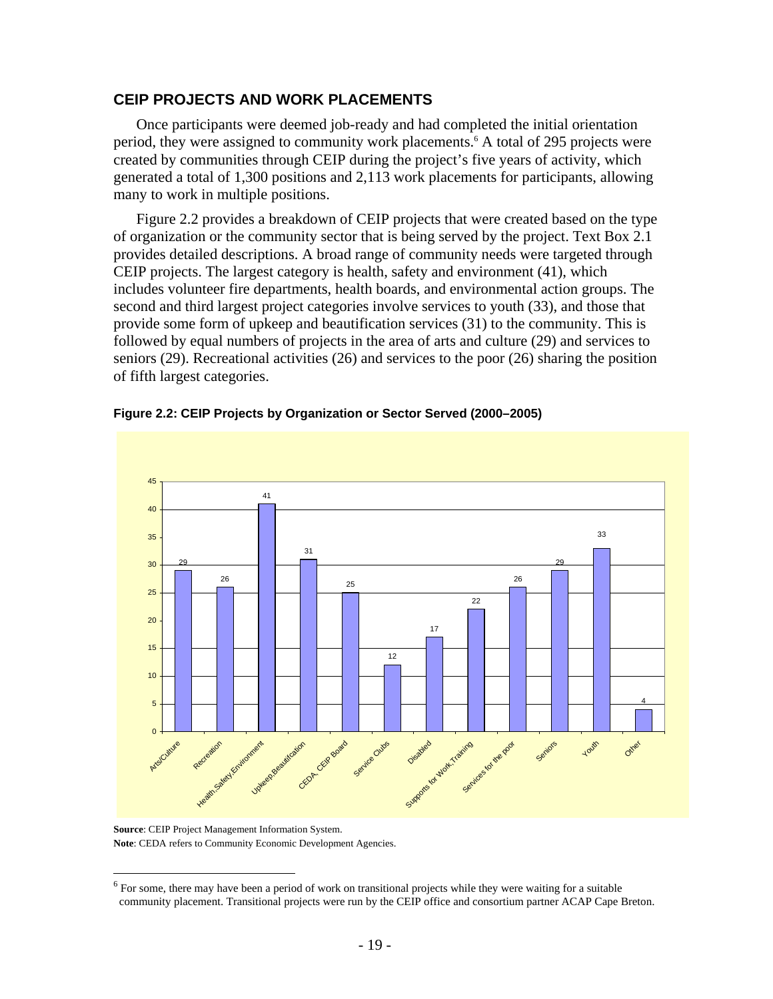## **CEIP PROJECTS AND WORK PLACEMENTS**

Once participants were deemed job-ready and had completed the initial orientation period, they were assigned to community work placements.<sup>6</sup> A total of 295 projects were created by communities through CEIP during the project's five years of activity, which generated a total of 1,300 positions and 2,113 work placements for participants, allowing many to work in multiple positions.

Figure 2.2 provides a breakdown of CEIP projects that were created based on the type of organization or the community sector that is being served by the project. Text Box 2.1 provides detailed descriptions. A broad range of community needs were targeted through CEIP projects. The largest category is health, safety and environment (41), which includes volunteer fire departments, health boards, and environmental action groups. The second and third largest project categories involve services to youth (33), and those that provide some form of upkeep and beautification services (31) to the community. This is followed by equal numbers of projects in the area of arts and culture (29) and services to seniors (29). Recreational activities (26) and services to the poor (26) sharing the position of fifth largest categories.





**Source**: CEIP Project Management Information System. **Note**: CEDA refers to Community Economic Development Agencies.

 $\overline{a}$ 

 $6$  For some, there may have been a period of work on transitional projects while they were waiting for a suitable community placement. Transitional projects were run by the CEIP office and consortium partner ACAP Cape Breton.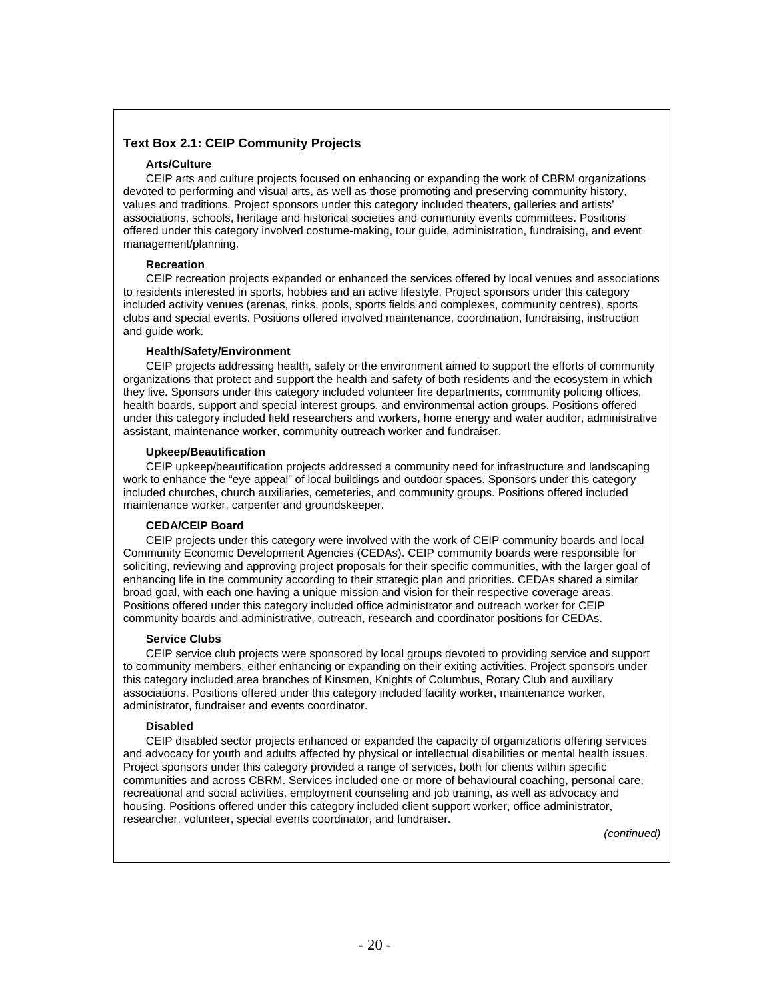#### **Text Box 2.1: CEIP Community Projects**

#### **Arts/Culture**

CEIP arts and culture projects focused on enhancing or expanding the work of CBRM organizations devoted to performing and visual arts, as well as those promoting and preserving community history, values and traditions. Project sponsors under this category included theaters, galleries and artists' associations, schools, heritage and historical societies and community events committees. Positions offered under this category involved costume-making, tour guide, administration, fundraising, and event management/planning.

#### **Recreation**

CEIP recreation projects expanded or enhanced the services offered by local venues and associations to residents interested in sports, hobbies and an active lifestyle. Project sponsors under this category included activity venues (arenas, rinks, pools, sports fields and complexes, community centres), sports clubs and special events. Positions offered involved maintenance, coordination, fundraising, instruction and guide work.

#### **Health/Safety/Environment**

CEIP projects addressing health, safety or the environment aimed to support the efforts of community organizations that protect and support the health and safety of both residents and the ecosystem in which they live. Sponsors under this category included volunteer fire departments, community policing offices, health boards, support and special interest groups, and environmental action groups. Positions offered under this category included field researchers and workers, home energy and water auditor, administrative assistant, maintenance worker, community outreach worker and fundraiser.

#### **Upkeep/Beautification**

CEIP upkeep/beautification projects addressed a community need for infrastructure and landscaping work to enhance the "eye appeal" of local buildings and outdoor spaces. Sponsors under this category included churches, church auxiliaries, cemeteries, and community groups. Positions offered included maintenance worker, carpenter and groundskeeper.

#### **CEDA/CEIP Board**

CEIP projects under this category were involved with the work of CEIP community boards and local Community Economic Development Agencies (CEDAs). CEIP community boards were responsible for soliciting, reviewing and approving project proposals for their specific communities, with the larger goal of enhancing life in the community according to their strategic plan and priorities. CEDAs shared a similar broad goal, with each one having a unique mission and vision for their respective coverage areas. Positions offered under this category included office administrator and outreach worker for CEIP community boards and administrative, outreach, research and coordinator positions for CEDAs.

#### **Service Clubs**

CEIP service club projects were sponsored by local groups devoted to providing service and support to community members, either enhancing or expanding on their exiting activities. Project sponsors under this category included area branches of Kinsmen, Knights of Columbus, Rotary Club and auxiliary associations. Positions offered under this category included facility worker, maintenance worker, administrator, fundraiser and events coordinator.

#### **Disabled**

CEIP disabled sector projects enhanced or expanded the capacity of organizations offering services and advocacy for youth and adults affected by physical or intellectual disabilities or mental health issues. Project sponsors under this category provided a range of services, both for clients within specific communities and across CBRM. Services included one or more of behavioural coaching, personal care, recreational and social activities, employment counseling and job training, as well as advocacy and housing. Positions offered under this category included client support worker, office administrator, researcher, volunteer, special events coordinator, and fundraiser.

*(continued)*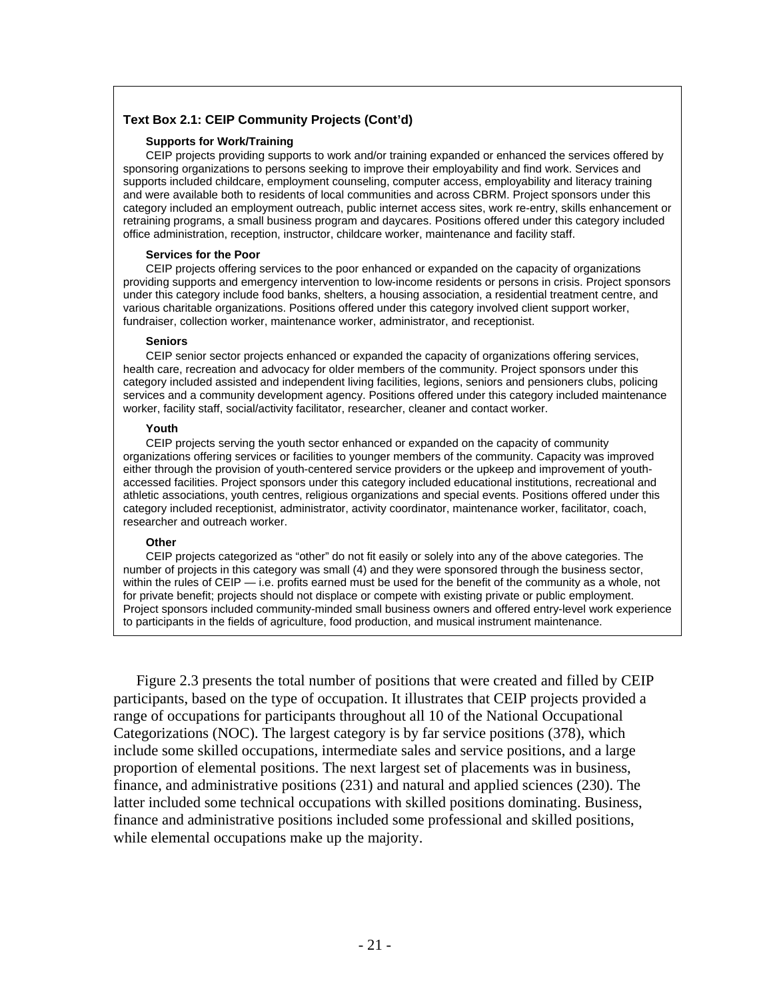#### **Text Box 2.1: CEIP Community Projects (Cont'd)**

#### **Supports for Work/Training**

CEIP projects providing supports to work and/or training expanded or enhanced the services offered by sponsoring organizations to persons seeking to improve their employability and find work. Services and supports included childcare, employment counseling, computer access, employability and literacy training and were available both to residents of local communities and across CBRM. Project sponsors under this category included an employment outreach, public internet access sites, work re-entry, skills enhancement or retraining programs, a small business program and daycares. Positions offered under this category included office administration, reception, instructor, childcare worker, maintenance and facility staff.

#### **Services for the Poor**

CEIP projects offering services to the poor enhanced or expanded on the capacity of organizations providing supports and emergency intervention to low-income residents or persons in crisis. Project sponsors under this category include food banks, shelters, a housing association, a residential treatment centre, and various charitable organizations. Positions offered under this category involved client support worker, fundraiser, collection worker, maintenance worker, administrator, and receptionist.

#### **Seniors**

CEIP senior sector projects enhanced or expanded the capacity of organizations offering services, health care, recreation and advocacy for older members of the community. Project sponsors under this category included assisted and independent living facilities, legions, seniors and pensioners clubs, policing services and a community development agency. Positions offered under this category included maintenance worker, facility staff, social/activity facilitator, researcher, cleaner and contact worker.

#### **Youth**

CEIP projects serving the youth sector enhanced or expanded on the capacity of community organizations offering services or facilities to younger members of the community. Capacity was improved either through the provision of youth-centered service providers or the upkeep and improvement of youthaccessed facilities. Project sponsors under this category included educational institutions, recreational and athletic associations, youth centres, religious organizations and special events. Positions offered under this category included receptionist, administrator, activity coordinator, maintenance worker, facilitator, coach, researcher and outreach worker.

#### **Other**

CEIP projects categorized as "other" do not fit easily or solely into any of the above categories. The number of projects in this category was small (4) and they were sponsored through the business sector, within the rules of CEIP — i.e. profits earned must be used for the benefit of the community as a whole, not for private benefit; projects should not displace or compete with existing private or public employment. Project sponsors included community-minded small business owners and offered entry-level work experience to participants in the fields of agriculture, food production, and musical instrument maintenance.

Figure 2.3 presents the total number of positions that were created and filled by CEIP participants, based on the type of occupation. It illustrates that CEIP projects provided a range of occupations for participants throughout all 10 of the National Occupational Categorizations (NOC). The largest category is by far service positions (378), which include some skilled occupations, intermediate sales and service positions, and a large proportion of elemental positions. The next largest set of placements was in business, finance, and administrative positions (231) and natural and applied sciences (230). The latter included some technical occupations with skilled positions dominating. Business, finance and administrative positions included some professional and skilled positions, while elemental occupations make up the majority.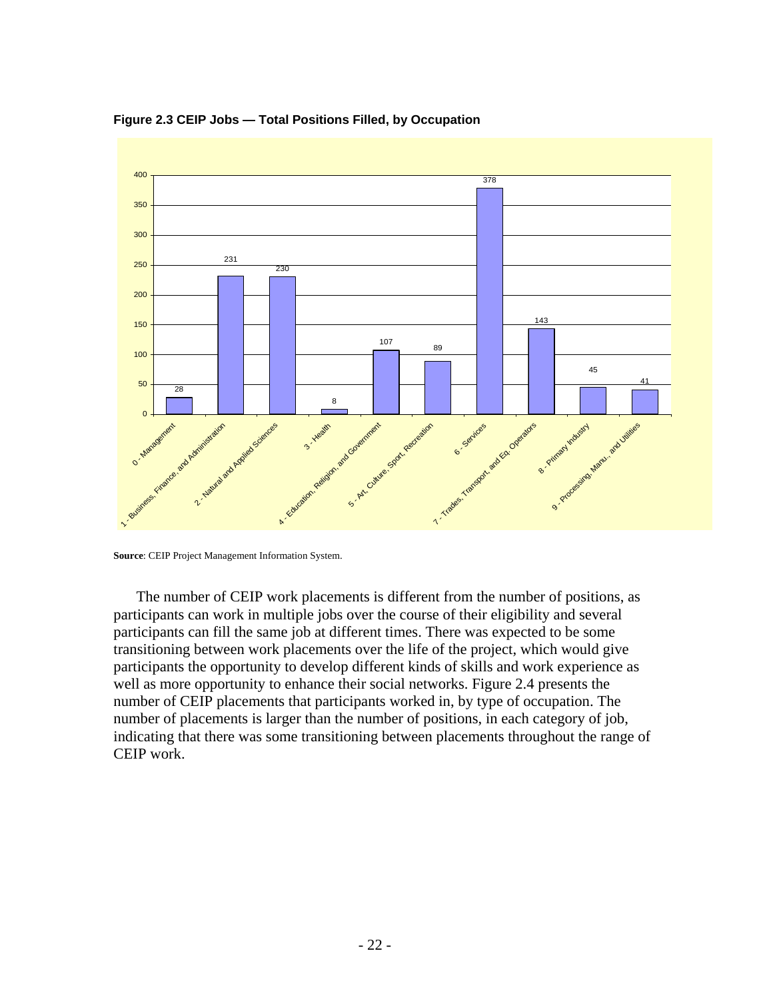

**Figure 2.3 CEIP Jobs — Total Positions Filled, by Occupation** 

The number of CEIP work placements is different from the number of positions, as participants can work in multiple jobs over the course of their eligibility and several participants can fill the same job at different times. There was expected to be some transitioning between work placements over the life of the project, which would give participants the opportunity to develop different kinds of skills and work experience as well as more opportunity to enhance their social networks. Figure 2.4 presents the number of CEIP placements that participants worked in, by type of occupation. The number of placements is larger than the number of positions, in each category of job, indicating that there was some transitioning between placements throughout the range of CEIP work.

**Source**: CEIP Project Management Information System.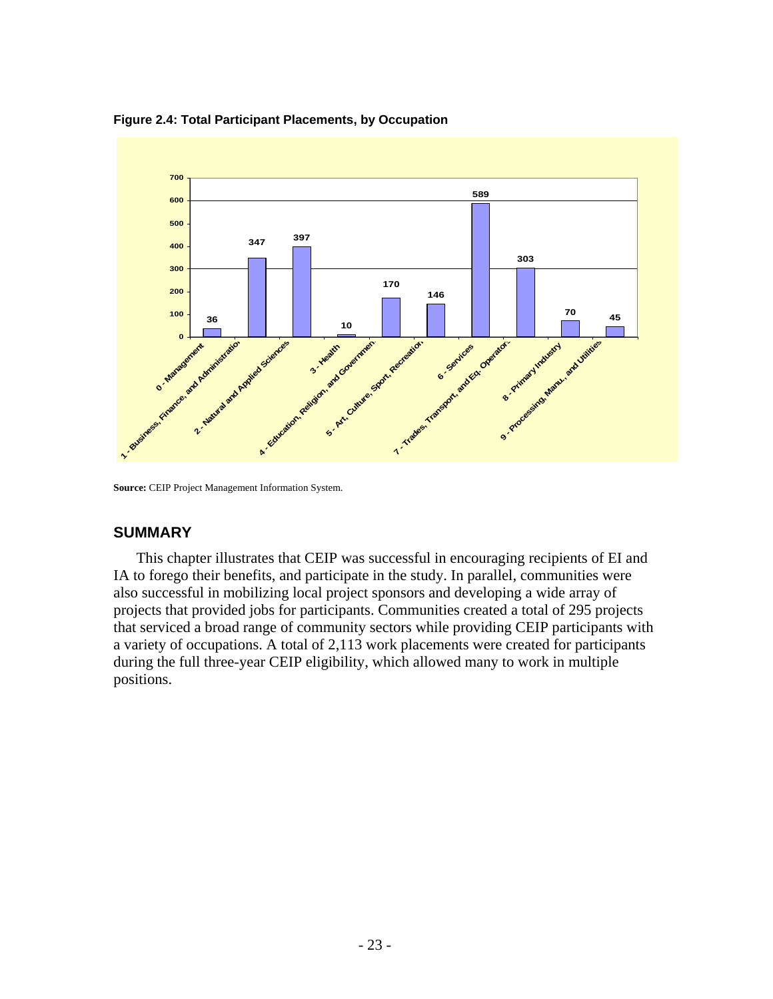**Figure 2.4: Total Participant Placements, by Occupation** 



**Source:** CEIP Project Management Information System.

#### **SUMMARY**

This chapter illustrates that CEIP was successful in encouraging recipients of EI and IA to forego their benefits, and participate in the study. In parallel, communities were also successful in mobilizing local project sponsors and developing a wide array of projects that provided jobs for participants. Communities created a total of 295 projects that serviced a broad range of community sectors while providing CEIP participants with a variety of occupations. A total of 2,113 work placements were created for participants during the full three-year CEIP eligibility, which allowed many to work in multiple positions.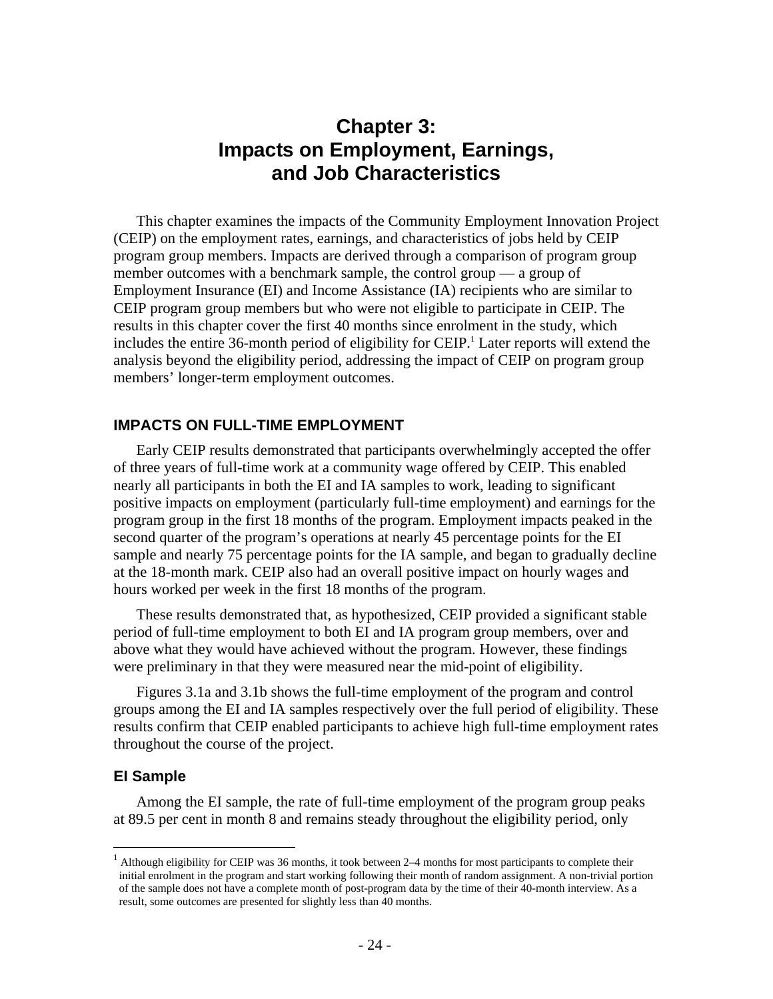# **Chapter 3: Impacts on Employment, Earnings, and Job Characteristics**

This chapter examines the impacts of the Community Employment Innovation Project (CEIP) on the employment rates, earnings, and characteristics of jobs held by CEIP program group members. Impacts are derived through a comparison of program group member outcomes with a benchmark sample, the control group — a group of Employment Insurance (EI) and Income Assistance (IA) recipients who are similar to CEIP program group members but who were not eligible to participate in CEIP. The results in this chapter cover the first 40 months since enrolment in the study, which includes the entire 36-month period of eligibility for CEIP.<sup>1</sup> Later reports will extend the analysis beyond the eligibility period, addressing the impact of CEIP on program group members' longer-term employment outcomes.

### **IMPACTS ON FULL-TIME EMPLOYMENT**

Early CEIP results demonstrated that participants overwhelmingly accepted the offer of three years of full-time work at a community wage offered by CEIP. This enabled nearly all participants in both the EI and IA samples to work, leading to significant positive impacts on employment (particularly full-time employment) and earnings for the program group in the first 18 months of the program. Employment impacts peaked in the second quarter of the program's operations at nearly 45 percentage points for the EI sample and nearly 75 percentage points for the IA sample, and began to gradually decline at the 18-month mark. CEIP also had an overall positive impact on hourly wages and hours worked per week in the first 18 months of the program.

These results demonstrated that, as hypothesized, CEIP provided a significant stable period of full-time employment to both EI and IA program group members, over and above what they would have achieved without the program. However, these findings were preliminary in that they were measured near the mid-point of eligibility.

Figures 3.1a and 3.1b shows the full-time employment of the program and control groups among the EI and IA samples respectively over the full period of eligibility. These results confirm that CEIP enabled participants to achieve high full-time employment rates throughout the course of the project.

#### **EI Sample**

 $\overline{a}$ 

Among the EI sample, the rate of full-time employment of the program group peaks at 89.5 per cent in month 8 and remains steady throughout the eligibility period, only

 $<sup>1</sup>$  Although eligibility for CEIP was 36 months, it took between 2–4 months for most participants to complete their</sup> initial enrolment in the program and start working following their month of random assignment. A non-trivial portion of the sample does not have a complete month of post-program data by the time of their 40-month interview. As a result, some outcomes are presented for slightly less than 40 months.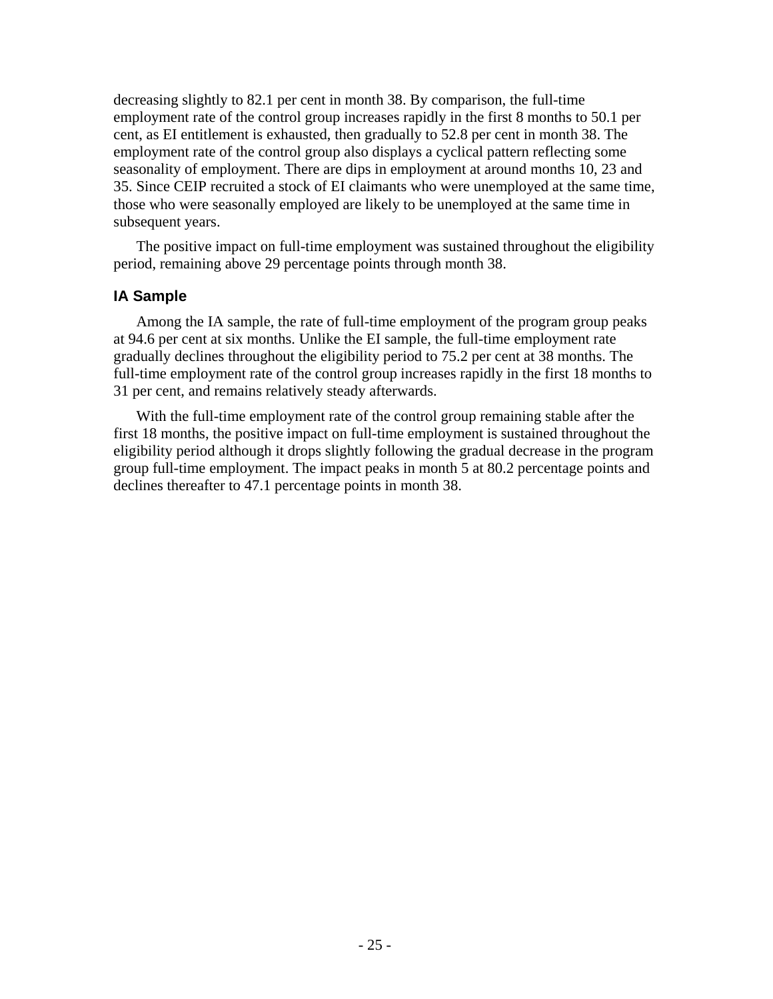decreasing slightly to 82.1 per cent in month 38. By comparison, the full-time employment rate of the control group increases rapidly in the first 8 months to 50.1 per cent, as EI entitlement is exhausted, then gradually to 52.8 per cent in month 38. The employment rate of the control group also displays a cyclical pattern reflecting some seasonality of employment. There are dips in employment at around months 10, 23 and 35. Since CEIP recruited a stock of EI claimants who were unemployed at the same time, those who were seasonally employed are likely to be unemployed at the same time in subsequent years.

The positive impact on full-time employment was sustained throughout the eligibility period, remaining above 29 percentage points through month 38.

#### **IA Sample**

Among the IA sample, the rate of full-time employment of the program group peaks at 94.6 per cent at six months. Unlike the EI sample, the full-time employment rate gradually declines throughout the eligibility period to 75.2 per cent at 38 months. The full-time employment rate of the control group increases rapidly in the first 18 months to 31 per cent, and remains relatively steady afterwards.

With the full-time employment rate of the control group remaining stable after the first 18 months, the positive impact on full-time employment is sustained throughout the eligibility period although it drops slightly following the gradual decrease in the program group full-time employment. The impact peaks in month 5 at 80.2 percentage points and declines thereafter to 47.1 percentage points in month 38.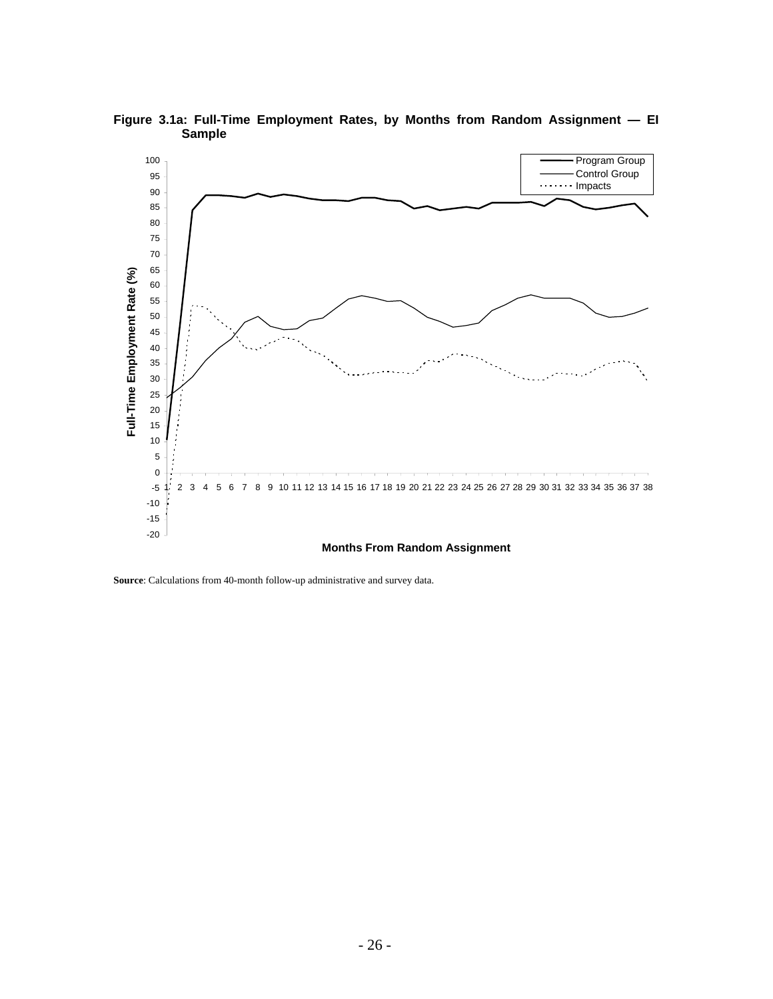

**Figure 3.1a: Full-Time Employment Rates, by Months from Random Assignment — EI Sample** 

**Source**: Calculations from 40-month follow-up administrative and survey data.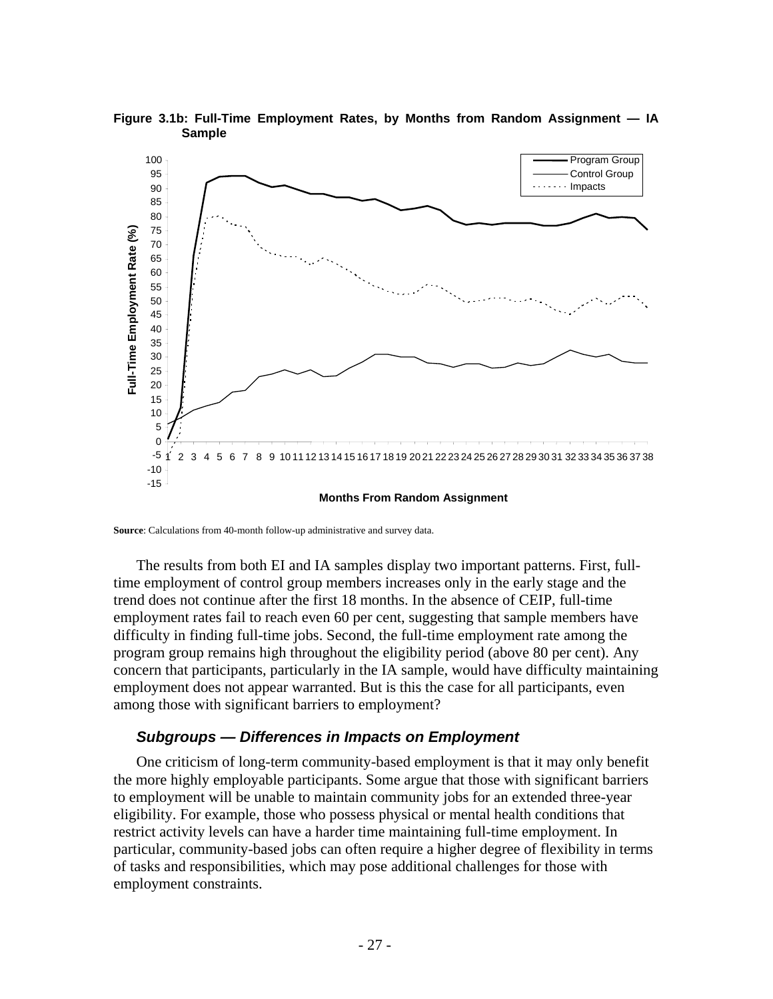

**Figure 3.1b: Full-Time Employment Rates, by Months from Random Assignment — IA Sample** 

**Source**: Calculations from 40-month follow-up administrative and survey data.

The results from both EI and IA samples display two important patterns. First, fulltime employment of control group members increases only in the early stage and the trend does not continue after the first 18 months. In the absence of CEIP, full-time employment rates fail to reach even 60 per cent, suggesting that sample members have difficulty in finding full-time jobs. Second, the full-time employment rate among the program group remains high throughout the eligibility period (above 80 per cent). Any concern that participants, particularly in the IA sample, would have difficulty maintaining employment does not appear warranted. But is this the case for all participants, even among those with significant barriers to employment?

#### *Subgroups — Differences in Impacts on Employment*

One criticism of long-term community-based employment is that it may only benefit the more highly employable participants. Some argue that those with significant barriers to employment will be unable to maintain community jobs for an extended three-year eligibility. For example, those who possess physical or mental health conditions that restrict activity levels can have a harder time maintaining full-time employment. In particular, community-based jobs can often require a higher degree of flexibility in terms of tasks and responsibilities, which may pose additional challenges for those with employment constraints.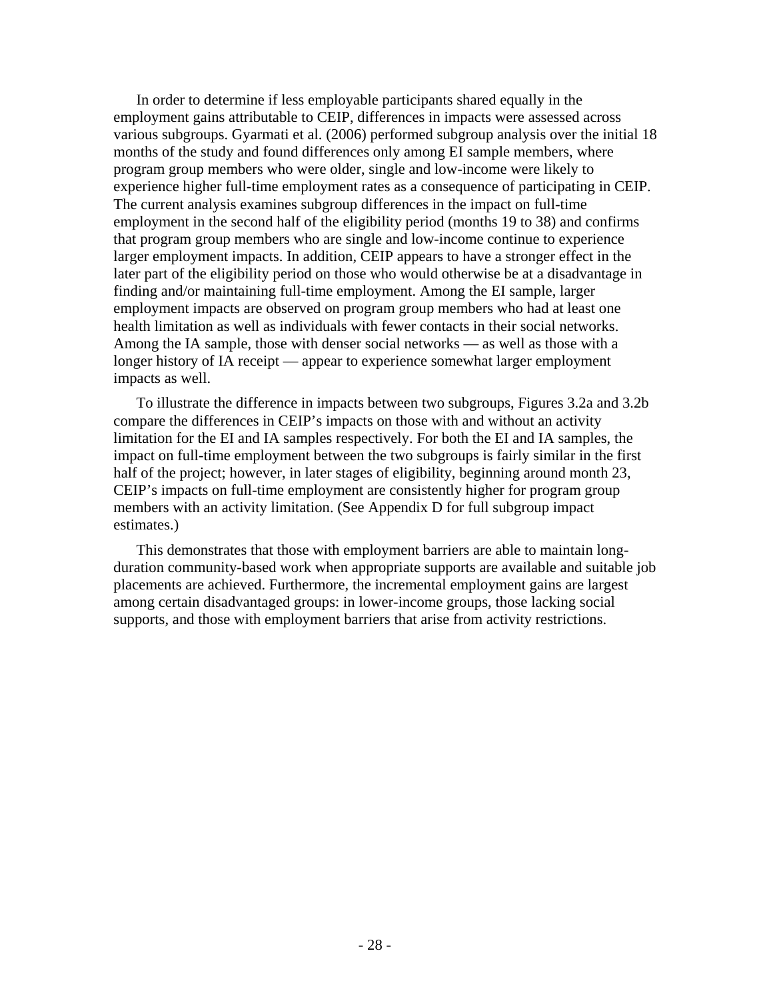In order to determine if less employable participants shared equally in the employment gains attributable to CEIP, differences in impacts were assessed across various subgroups. Gyarmati et al. (2006) performed subgroup analysis over the initial 18 months of the study and found differences only among EI sample members, where program group members who were older, single and low-income were likely to experience higher full-time employment rates as a consequence of participating in CEIP. The current analysis examines subgroup differences in the impact on full-time employment in the second half of the eligibility period (months 19 to 38) and confirms that program group members who are single and low-income continue to experience larger employment impacts. In addition, CEIP appears to have a stronger effect in the later part of the eligibility period on those who would otherwise be at a disadvantage in finding and/or maintaining full-time employment. Among the EI sample, larger employment impacts are observed on program group members who had at least one health limitation as well as individuals with fewer contacts in their social networks. Among the IA sample, those with denser social networks — as well as those with a longer history of IA receipt — appear to experience somewhat larger employment impacts as well.

To illustrate the difference in impacts between two subgroups, Figures 3.2a and 3.2b compare the differences in CEIP's impacts on those with and without an activity limitation for the EI and IA samples respectively. For both the EI and IA samples, the impact on full-time employment between the two subgroups is fairly similar in the first half of the project; however, in later stages of eligibility, beginning around month 23, CEIP's impacts on full-time employment are consistently higher for program group members with an activity limitation. (See Appendix D for full subgroup impact estimates.)

This demonstrates that those with employment barriers are able to maintain longduration community-based work when appropriate supports are available and suitable job placements are achieved. Furthermore, the incremental employment gains are largest among certain disadvantaged groups: in lower-income groups, those lacking social supports, and those with employment barriers that arise from activity restrictions.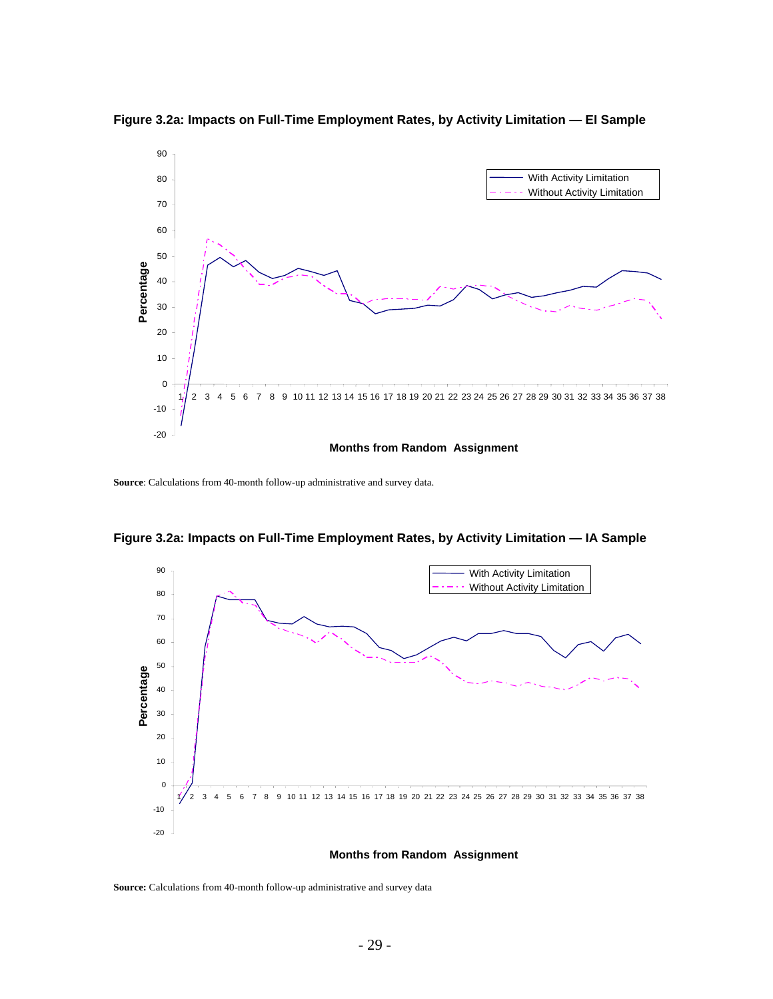

**Figure 3.2a: Impacts on Full-Time Employment Rates, by Activity Limitation — EI Sample** 

**Source**: Calculations from 40-month follow-up administrative and survey data.



**Figure 3.2a: Impacts on Full-Time Employment Rates, by Activity Limitation — IA Sample** 

**Source:** Calculations from 40-month follow-up administrative and survey data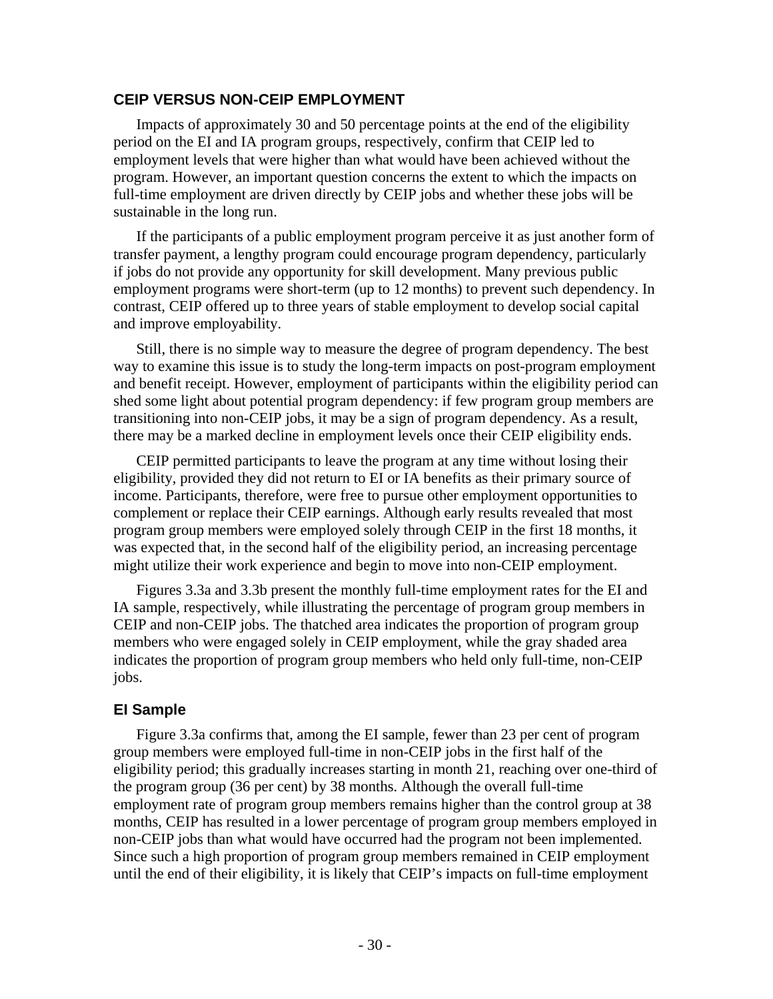# **CEIP VERSUS NON-CEIP EMPLOYMENT**

Impacts of approximately 30 and 50 percentage points at the end of the eligibility period on the EI and IA program groups, respectively, confirm that CEIP led to employment levels that were higher than what would have been achieved without the program. However, an important question concerns the extent to which the impacts on full-time employment are driven directly by CEIP jobs and whether these jobs will be sustainable in the long run.

If the participants of a public employment program perceive it as just another form of transfer payment, a lengthy program could encourage program dependency, particularly if jobs do not provide any opportunity for skill development. Many previous public employment programs were short-term (up to 12 months) to prevent such dependency. In contrast, CEIP offered up to three years of stable employment to develop social capital and improve employability.

Still, there is no simple way to measure the degree of program dependency. The best way to examine this issue is to study the long-term impacts on post-program employment and benefit receipt. However, employment of participants within the eligibility period can shed some light about potential program dependency: if few program group members are transitioning into non-CEIP jobs, it may be a sign of program dependency. As a result, there may be a marked decline in employment levels once their CEIP eligibility ends.

CEIP permitted participants to leave the program at any time without losing their eligibility, provided they did not return to EI or IA benefits as their primary source of income. Participants, therefore, were free to pursue other employment opportunities to complement or replace their CEIP earnings. Although early results revealed that most program group members were employed solely through CEIP in the first 18 months, it was expected that, in the second half of the eligibility period, an increasing percentage might utilize their work experience and begin to move into non-CEIP employment.

Figures 3.3a and 3.3b present the monthly full-time employment rates for the EI and IA sample, respectively, while illustrating the percentage of program group members in CEIP and non-CEIP jobs. The thatched area indicates the proportion of program group members who were engaged solely in CEIP employment, while the gray shaded area indicates the proportion of program group members who held only full-time, non-CEIP jobs.

# **EI Sample**

Figure 3.3a confirms that, among the EI sample, fewer than 23 per cent of program group members were employed full-time in non-CEIP jobs in the first half of the eligibility period; this gradually increases starting in month 21, reaching over one-third of the program group (36 per cent) by 38 months. Although the overall full-time employment rate of program group members remains higher than the control group at 38 months, CEIP has resulted in a lower percentage of program group members employed in non-CEIP jobs than what would have occurred had the program not been implemented. Since such a high proportion of program group members remained in CEIP employment until the end of their eligibility, it is likely that CEIP's impacts on full-time employment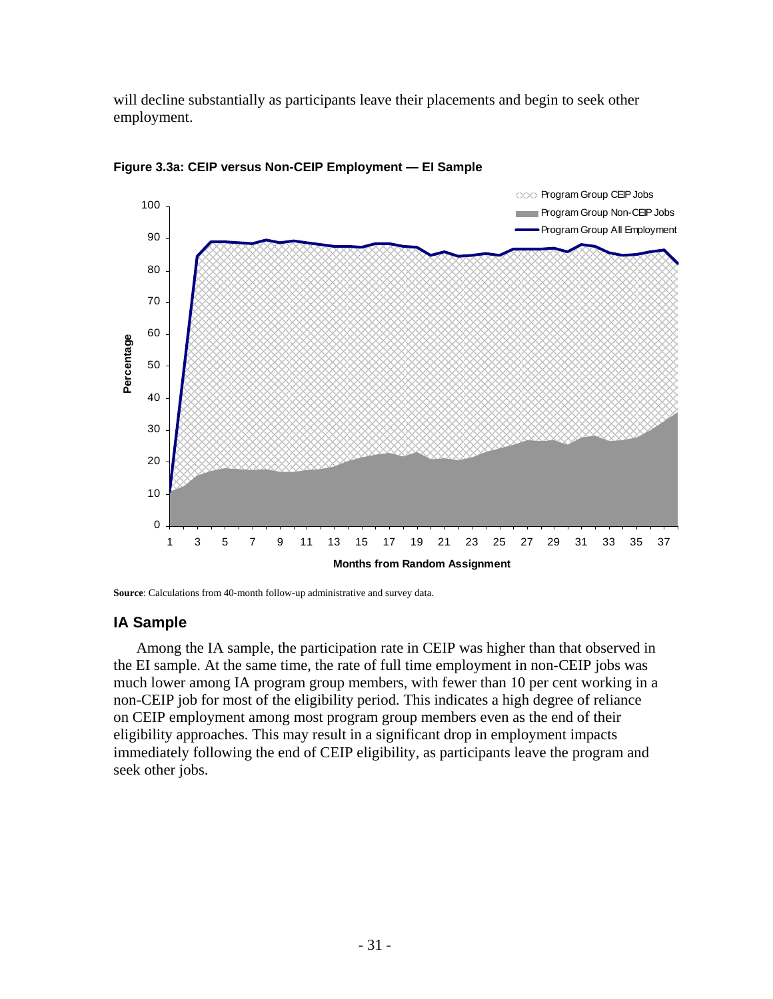will decline substantially as participants leave their placements and begin to seek other employment.



**Figure 3.3a: CEIP versus Non-CEIP Employment — EI Sample** 

**Source**: Calculations from 40-month follow-up administrative and survey data.

# **IA Sample**

Among the IA sample, the participation rate in CEIP was higher than that observed in the EI sample. At the same time, the rate of full time employment in non-CEIP jobs was much lower among IA program group members, with fewer than 10 per cent working in a non-CEIP job for most of the eligibility period. This indicates a high degree of reliance on CEIP employment among most program group members even as the end of their eligibility approaches. This may result in a significant drop in employment impacts immediately following the end of CEIP eligibility, as participants leave the program and seek other jobs.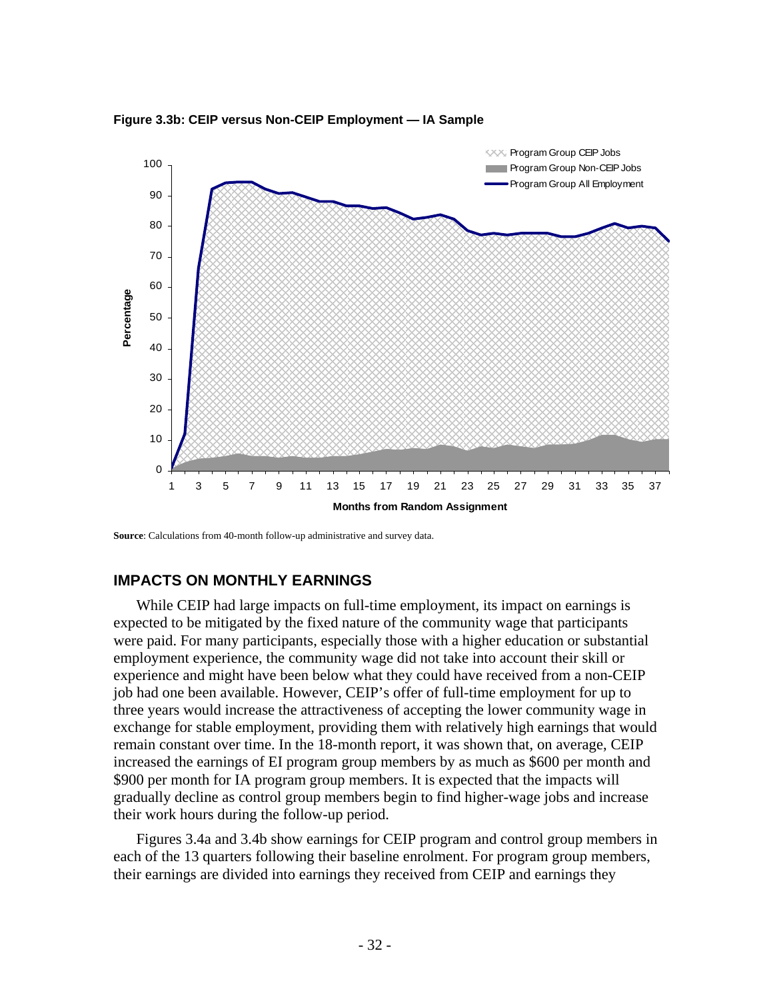

**Figure 3.3b: CEIP versus Non-CEIP Employment — IA Sample** 

**Source**: Calculations from 40-month follow-up administrative and survey data.

### **IMPACTS ON MONTHLY EARNINGS**

While CEIP had large impacts on full-time employment, its impact on earnings is expected to be mitigated by the fixed nature of the community wage that participants were paid. For many participants, especially those with a higher education or substantial employment experience, the community wage did not take into account their skill or experience and might have been below what they could have received from a non-CEIP job had one been available. However, CEIP's offer of full-time employment for up to three years would increase the attractiveness of accepting the lower community wage in exchange for stable employment, providing them with relatively high earnings that would remain constant over time. In the 18-month report, it was shown that, on average, CEIP increased the earnings of EI program group members by as much as \$600 per month and \$900 per month for IA program group members. It is expected that the impacts will gradually decline as control group members begin to find higher-wage jobs and increase their work hours during the follow-up period.

Figures 3.4a and 3.4b show earnings for CEIP program and control group members in each of the 13 quarters following their baseline enrolment. For program group members, their earnings are divided into earnings they received from CEIP and earnings they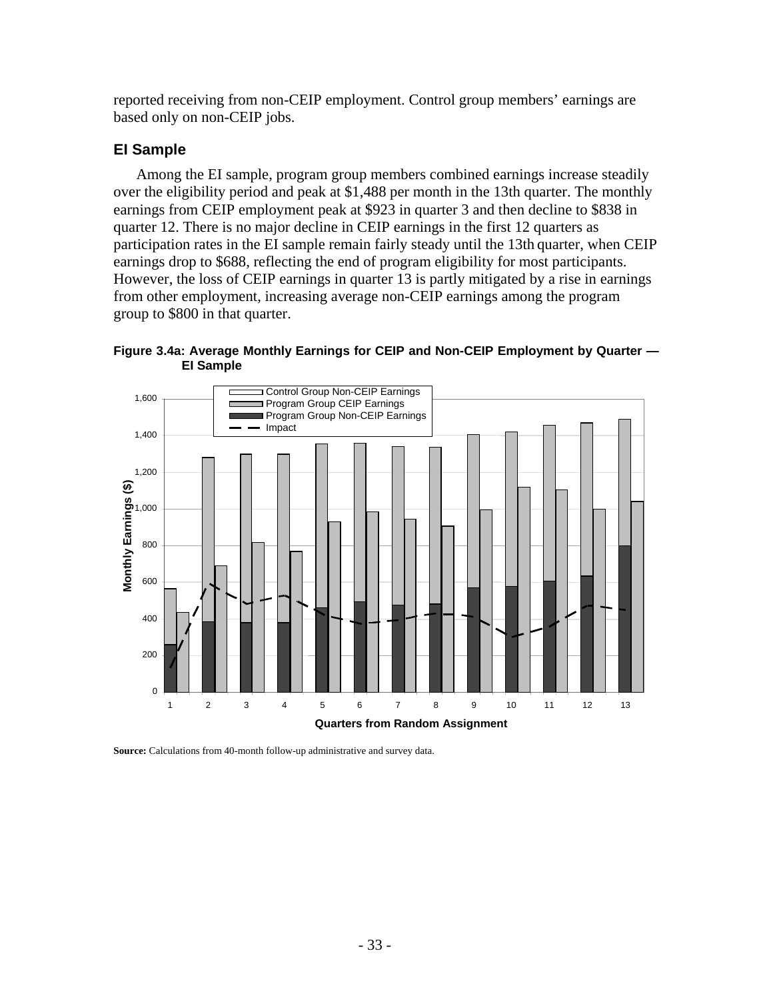reported receiving from non-CEIP employment. Control group members' earnings are based only on non-CEIP jobs.

# **EI Sample**

Among the EI sample, program group members combined earnings increase steadily over the eligibility period and peak at \$1,488 per month in the 13th quarter. The monthly earnings from CEIP employment peak at \$923 in quarter 3 and then decline to \$838 in quarter 12. There is no major decline in CEIP earnings in the first 12 quarters as participation rates in the EI sample remain fairly steady until the 13th quarter, when CEIP earnings drop to \$688, reflecting the end of program eligibility for most participants. However, the loss of CEIP earnings in quarter 13 is partly mitigated by a rise in earnings from other employment, increasing average non-CEIP earnings among the program group to \$800 in that quarter.

**Figure 3.4a: Average Monthly Earnings for CEIP and Non-CEIP Employment by Quarter — EI Sample** 



**Source:** Calculations from 40-month follow-up administrative and survey data.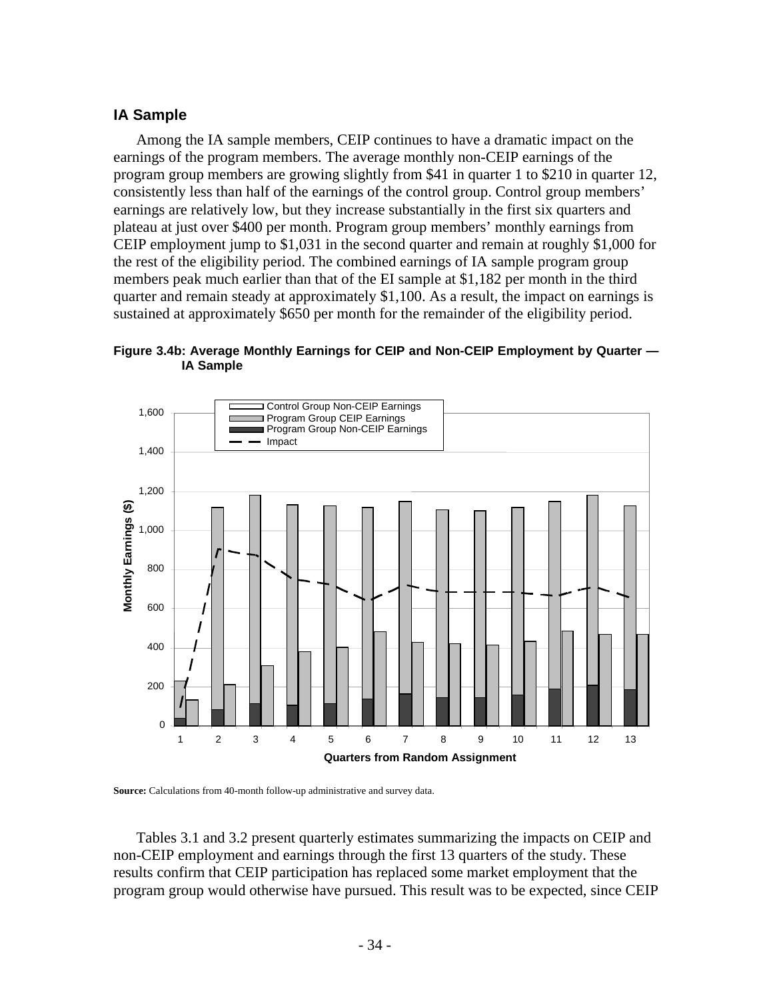### **IA Sample**

Among the IA sample members, CEIP continues to have a dramatic impact on the earnings of the program members. The average monthly non-CEIP earnings of the program group members are growing slightly from \$41 in quarter 1 to \$210 in quarter 12, consistently less than half of the earnings of the control group. Control group members' earnings are relatively low, but they increase substantially in the first six quarters and plateau at just over \$400 per month. Program group members' monthly earnings from CEIP employment jump to \$1,031 in the second quarter and remain at roughly \$1,000 for the rest of the eligibility period. The combined earnings of IA sample program group members peak much earlier than that of the EI sample at \$1,182 per month in the third quarter and remain steady at approximately \$1,100. As a result, the impact on earnings is sustained at approximately \$650 per month for the remainder of the eligibility period.

**Figure 3.4b: Average Monthly Earnings for CEIP and Non-CEIP Employment by Quarter — IA Sample** 



**Source:** Calculations from 40-month follow-up administrative and survey data.

Tables 3.1 and 3.2 present quarterly estimates summarizing the impacts on CEIP and non-CEIP employment and earnings through the first 13 quarters of the study. These results confirm that CEIP participation has replaced some market employment that the program group would otherwise have pursued. This result was to be expected, since CEIP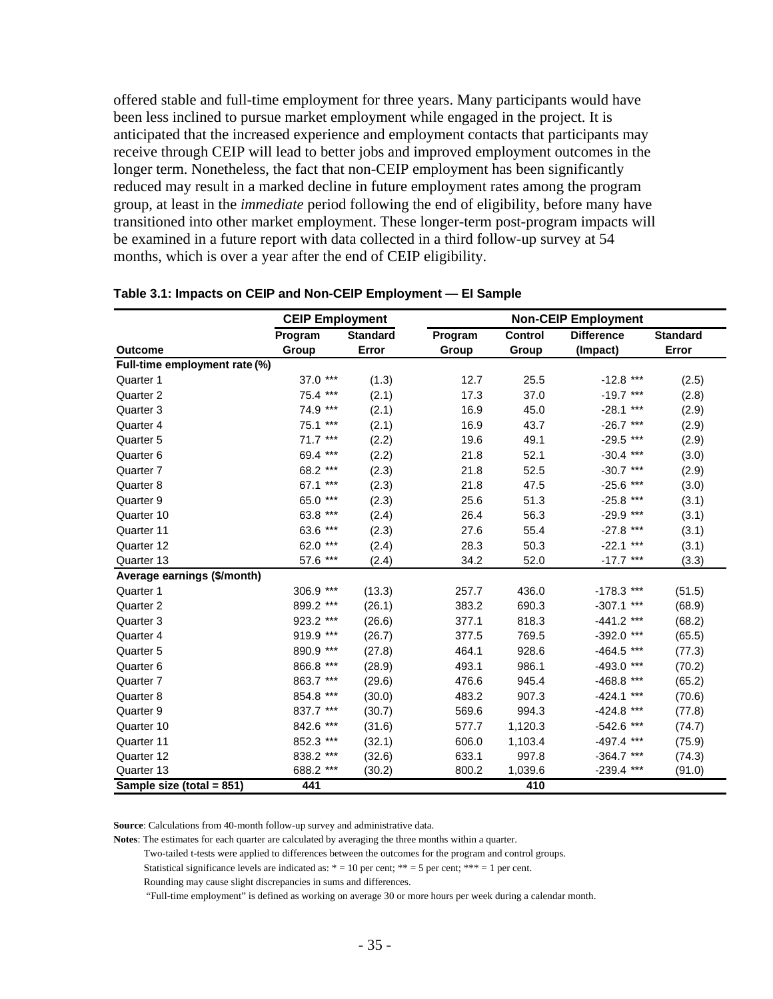offered stable and full-time employment for three years. Many participants would have been less inclined to pursue market employment while engaged in the project. It is anticipated that the increased experience and employment contacts that participants may receive through CEIP will lead to better jobs and improved employment outcomes in the longer term. Nonetheless, the fact that non-CEIP employment has been significantly reduced may result in a marked decline in future employment rates among the program group, at least in the *immediate* period following the end of eligibility, before many have transitioned into other market employment. These longer-term post-program impacts will be examined in a future report with data collected in a third follow-up survey at 54 months, which is over a year after the end of CEIP eligibility.

|                               | <b>CEIP Employment</b> |                 | <b>Non-CEIP Employment</b> |         |                   |                 |
|-------------------------------|------------------------|-----------------|----------------------------|---------|-------------------|-----------------|
|                               | Program                | <b>Standard</b> | Program                    | Control | <b>Difference</b> | <b>Standard</b> |
| <b>Outcome</b>                | Group                  | Error           | Group                      | Group   | (Impact)          | Error           |
| Full-time employment rate (%) |                        |                 |                            |         |                   |                 |
| Quarter 1                     | 37.0 ***               | (1.3)           | 12.7                       | 25.5    | $-12.8$ ***       | (2.5)           |
| Quarter 2                     | 75.4 ***               | (2.1)           | 17.3                       | 37.0    | $-19.7***$        | (2.8)           |
| Quarter 3                     | 74.9 ***               | (2.1)           | 16.9                       | 45.0    | $-28.1***$        | (2.9)           |
| Quarter 4                     | 75.1 ***               | (2.1)           | 16.9                       | 43.7    | $-26.7$ ***       | (2.9)           |
| Quarter <sub>5</sub>          | $71.7***$              | (2.2)           | 19.6                       | 49.1    | $-29.5$ ***       | (2.9)           |
| Quarter 6                     | 69.4 ***               | (2.2)           | 21.8                       | 52.1    | $-30.4$ ***       | (3.0)           |
| Quarter 7                     | 68.2 ***               | (2.3)           | 21.8                       | 52.5    | $-30.7$ ***       | (2.9)           |
| Quarter 8                     | 67.1 ***               | (2.3)           | 21.8                       | 47.5    | $-25.6$ ***       | (3.0)           |
| Quarter 9                     | 65.0 ***               | (2.3)           | 25.6                       | 51.3    | $-25.8$ ***       | (3.1)           |
| Quarter 10                    | 63.8 ***               | (2.4)           | 26.4                       | 56.3    | $-29.9$ ***       | (3.1)           |
| Quarter 11                    | 63.6 ***               | (2.3)           | 27.6                       | 55.4    | $-27.8$ ***       | (3.1)           |
| Quarter 12                    | 62.0 ***               | (2.4)           | 28.3                       | 50.3    | $-22.1$ ***       | (3.1)           |
| Quarter 13                    | 57.6 ***               | (2.4)           | 34.2                       | 52.0    | $-17.7$ ***       | (3.3)           |
| Average earnings (\$/month)   |                        |                 |                            |         |                   |                 |
| Quarter 1                     | 306.9 ***              | (13.3)          | 257.7                      | 436.0   | $-178.3$ ***      | (51.5)          |
| Quarter 2                     | 899.2 ***              | (26.1)          | 383.2                      | 690.3   | $-307.1$ ***      | (68.9)          |
| Quarter 3                     | 923.2 ***              | (26.6)          | 377.1                      | 818.3   | $-441.2$ ***      | (68.2)          |
| Quarter 4                     | 919.9 ***              | (26.7)          | 377.5                      | 769.5   | $-392.0$ ***      | (65.5)          |
| Quarter 5                     | 890.9 ***              | (27.8)          | 464.1                      | 928.6   | $-464.5$ ***      | (77.3)          |
| Quarter 6                     | 866.8 ***              | (28.9)          | 493.1                      | 986.1   | $-493.0$ ***      | (70.2)          |
| Quarter 7                     | 863.7 ***              | (29.6)          | 476.6                      | 945.4   | $-468.8$ ***      | (65.2)          |
| Quarter 8                     | 854.8 ***              | (30.0)          | 483.2                      | 907.3   | $-424.1$ ***      | (70.6)          |
| Quarter 9                     | 837.7 ***              | (30.7)          | 569.6                      | 994.3   | $-424.8$ ***      | (77.8)          |
| Quarter 10                    | 842.6 ***              | (31.6)          | 577.7                      | 1,120.3 | $-542.6$ ***      | (74.7)          |
| Quarter 11                    | 852.3 ***              | (32.1)          | 606.0                      | 1,103.4 | $-497.4$ ***      | (75.9)          |
| Quarter 12                    | 838.2 ***              | (32.6)          | 633.1                      | 997.8   | $-364.7$ ***      | (74.3)          |
| Quarter 13                    | 688.2 ***              | (30.2)          | 800.2                      | 1,039.6 | $-239.4$ ***      | (91.0)          |
| Sample size (total = 851)     | 441                    |                 |                            | 410     |                   |                 |

### **Table 3.1: Impacts on CEIP and Non-CEIP Employment — EI Sample**

**Source**: Calculations from 40-month follow-up survey and administrative data.

**Notes**: The estimates for each quarter are calculated by averaging the three months within a quarter.

Two-tailed t-tests were applied to differences between the outcomes for the program and control groups.

Statistical significance levels are indicated as:  $* = 10$  per cent;  $** = 5$  per cent;  $*** = 1$  per cent.

Rounding may cause slight discrepancies in sums and differences.

"Full-time employment" is defined as working on average 30 or more hours per week during a calendar month.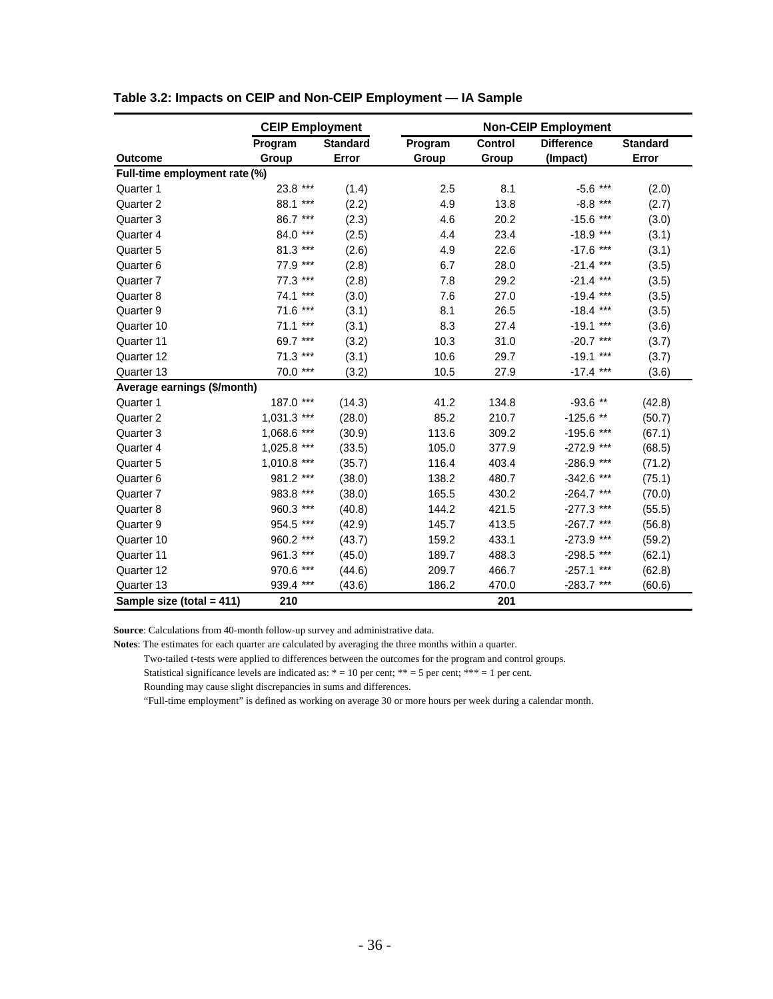|                               | <b>CEIP Employment</b> |                 | <b>Non-CEIP Employment</b> |         |                   |          |
|-------------------------------|------------------------|-----------------|----------------------------|---------|-------------------|----------|
|                               | Program                | <b>Standard</b> | Program                    | Control | <b>Difference</b> | Standard |
| <b>Outcome</b>                | Group                  | Error           | Group                      | Group   | (Impact)          | Error    |
| Full-time employment rate (%) |                        |                 |                            |         |                   |          |
| Quarter 1                     | $***$<br>23.8          | (1.4)           | 2.5                        | 8.1     | $-5.6$ ***        | (2.0)    |
| Quarter 2                     | 88.1 ***               | (2.2)           | 4.9                        | 13.8    | $-8.8$ ***        | (2.7)    |
| Quarter 3                     | 86.7 ***               | (2.3)           | 4.6                        | 20.2    | $-15.6$ ***       | (3.0)    |
| Quarter 4                     | $***$<br>84.0          | (2.5)           | 4.4                        | 23.4    | $-18.9***$        | (3.1)    |
| Quarter 5                     | 81.3 ***               | (2.6)           | 4.9                        | 22.6    | $-17.6$ ***       | (3.1)    |
| Quarter 6                     | 77.9 ***               | (2.8)           | 6.7                        | 28.0    | $-21.4$ ***       | (3.5)    |
| Quarter 7                     | 77.3<br>$***$          | (2.8)           | 7.8                        | 29.2    | $-21.4$ ***       | (3.5)    |
| Quarter 8                     | $74.1***$              | (3.0)           | 7.6                        | 27.0    | $-19.4$ ***       | (3.5)    |
| Quarter 9                     | 71.6 ***               | (3.1)           | 8.1                        | 26.5    | $-18.4$ ***       | (3.5)    |
| Quarter 10                    | $71.1***$              | (3.1)           | 8.3                        | 27.4    | $-19.1***$        | (3.6)    |
| Quarter 11                    | 69.7 ***               | (3.2)           | 10.3                       | 31.0    | $-20.7$ ***       | (3.7)    |
| Quarter 12                    | 71.3 ***               | (3.1)           | 10.6                       | 29.7    | $-19.1$ ***       | (3.7)    |
| Quarter 13                    | 70.0 ***               | (3.2)           | 10.5                       | 27.9    | $-17.4$ ***       | (3.6)    |
| Average earnings (\$/month)   |                        |                 |                            |         |                   |          |
| Quarter 1                     | 187.0 ***              | (14.3)          | 41.2                       | 134.8   | $-93.6$ **        | (42.8)   |
| Quarter 2                     | 1,031.3 ***            | (28.0)          | 85.2                       | 210.7   | $-125.6$ **       | (50.7)   |
| Quarter 3                     | 1,068.6 ***            | (30.9)          | 113.6                      | 309.2   | $-195.6$ ***      | (67.1)   |
| Quarter 4                     | $1,025.8$ ***          | (33.5)          | 105.0                      | 377.9   | $-272.9$ ***      | (68.5)   |
| Quarter 5                     | $1,010.8$ ***          | (35.7)          | 116.4                      | 403.4   | -286.9 ***        | (71.2)   |
| Quarter 6                     | 981.2 ***              | (38.0)          | 138.2                      | 480.7   | $-342.6$ ***      | (75.1)   |
| Quarter 7                     | 983.8 ***              | (38.0)          | 165.5                      | 430.2   | $-264.7$ ***      | (70.0)   |
| Quarter 8                     | 960.3 ***              | (40.8)          | 144.2                      | 421.5   | $-277.3$ ***      | (55.5)   |
| Quarter 9                     | 954.5 ***              | (42.9)          | 145.7                      | 413.5   | $-267.7$ ***      | (56.8)   |
| Quarter 10                    | 960.2 ***              | (43.7)          | 159.2                      | 433.1   | $-273.9$ ***      | (59.2)   |
| Quarter 11                    | 961.3 ***              | (45.0)          | 189.7                      | 488.3   | -298.5 ***        | (62.1)   |
| Quarter 12                    | 970.6<br>$***$         | (44.6)          | 209.7                      | 466.7   | $-257.1$ ***      | (62.8)   |
| Quarter 13                    | 939.4 ***              | (43.6)          | 186.2                      | 470.0   | $-283.7$ ***      | (60.6)   |
| Sample size (total = 411)     | 210                    |                 |                            | 201     |                   |          |

#### **Table 3.2: Impacts on CEIP and Non-CEIP Employment — IA Sample**

**Source**: Calculations from 40-month follow-up survey and administrative data.

**Notes**: The estimates for each quarter are calculated by averaging the three months within a quarter.

Two-tailed t-tests were applied to differences between the outcomes for the program and control groups.

Statistical significance levels are indicated as:  $* = 10$  per cent;  $** = 5$  per cent;  $*** = 1$  per cent.

Rounding may cause slight discrepancies in sums and differences.

"Full-time employment" is defined as working on average 30 or more hours per week during a calendar month.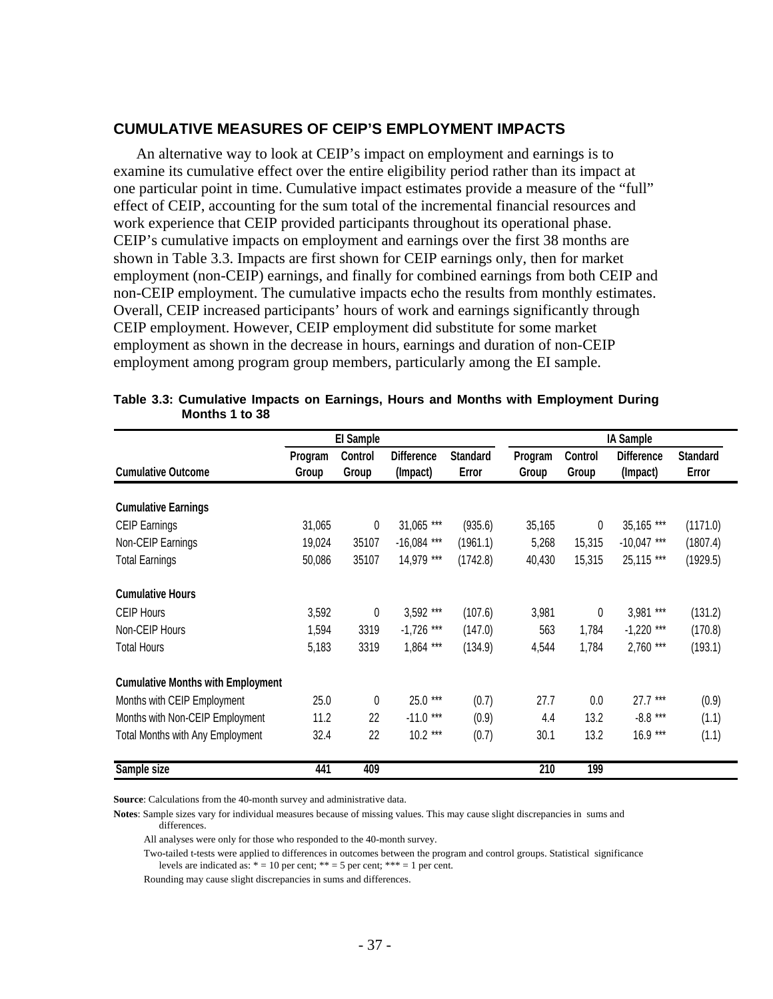#### **CUMULATIVE MEASURES OF CEIP'S EMPLOYMENT IMPACTS**

An alternative way to look at CEIP's impact on employment and earnings is to examine its cumulative effect over the entire eligibility period rather than its impact at one particular point in time. Cumulative impact estimates provide a measure of the "full" effect of CEIP, accounting for the sum total of the incremental financial resources and work experience that CEIP provided participants throughout its operational phase. CEIP's cumulative impacts on employment and earnings over the first 38 months are shown in Table 3.3. Impacts are first shown for CEIP earnings only, then for market employment (non-CEIP) earnings, and finally for combined earnings from both CEIP and non-CEIP employment. The cumulative impacts echo the results from monthly estimates. Overall, CEIP increased participants' hours of work and earnings significantly through CEIP employment. However, CEIP employment did substitute for some market employment as shown in the decrease in hours, earnings and duration of non-CEIP employment among program group members, particularly among the EI sample.

|                                          |                  | El Sample        |                               |                          |                  |                  | <b>IA Sample</b>              |                          |  |
|------------------------------------------|------------------|------------------|-------------------------------|--------------------------|------------------|------------------|-------------------------------|--------------------------|--|
| <b>Cumulative Outcome</b>                | Program<br>Group | Control<br>Group | <b>Difference</b><br>(Impact) | <b>Standard</b><br>Error | Program<br>Group | Control<br>Group | <b>Difference</b><br>(Impact) | <b>Standard</b><br>Error |  |
| <b>Cumulative Earnings</b>               |                  |                  |                               |                          |                  |                  |                               |                          |  |
| <b>CEIP Earnings</b>                     | 31,065           | 0                | 31,065 ***                    | (935.6)                  | 35,165           | 0                | 35,165 ***                    | (1171.0)                 |  |
| Non-CEIP Earnings                        | 19,024           | 35107            | $-16,084$ ***                 | (1961.1)                 | 5,268            | 15,315           | $-10,047$ ***                 | (1807.4)                 |  |
| <b>Total Earnings</b>                    | 50,086           | 35107            | 14,979 ***                    | (1742.8)                 | 40,430           | 15,315           | 25,115 ***                    | (1929.5)                 |  |
| <b>Cumulative Hours</b>                  |                  |                  |                               |                          |                  |                  |                               |                          |  |
| <b>CEIP Hours</b>                        | 3,592            | 0                | 3,592 ***                     | (107.6)                  | 3,981            | 0                | 3,981 ***                     | (131.2)                  |  |
| Non-CEIP Hours                           | 1,594            | 3319             | $-1,726$ ***                  | (147.0)                  | 563              | 1,784            | $-1,220$ ***                  | (170.8)                  |  |
| <b>Total Hours</b>                       | 5,183            | 3319             | $1,864$ ***                   | (134.9)                  | 4,544            | 1,784            | 2,760 ***                     | (193.1)                  |  |
| <b>Cumulative Months with Employment</b> |                  |                  |                               |                          |                  |                  |                               |                          |  |
| Months with CEIP Employment              | 25.0             | $\theta$         | 25.0 ***                      | (0.7)                    | 27.7             | 0.0              | $27.7***$                     | (0.9)                    |  |
| Months with Non-CEIP Employment          | 11.2             | 22               | $-11.0$ ***                   | (0.9)                    | 4.4              | 13.2             | $-8.8***$                     | (1.1)                    |  |
| <b>Total Months with Any Employment</b>  | 32.4             | 22               | $10.2***$                     | (0.7)                    | 30.1             | 13.2             | $16.9***$                     | (1.1)                    |  |
| Sample size                              | 441              | 409              |                               |                          | 210              | 199              |                               |                          |  |

| Table 3.3: Cumulative Impacts on Earnings, Hours and Months with Employment During |  |  |
|------------------------------------------------------------------------------------|--|--|
| Months 1 to 38                                                                     |  |  |

**Source**: Calculations from the 40-month survey and administrative data.

**Notes**: Sample sizes vary for individual measures because of missing values. This may cause slight discrepancies in sums and differences.

All analyses were only for those who responded to the 40-month survey.

 Two-tailed t-tests were applied to differences in outcomes between the program and control groups. Statistical significance levels are indicated as:  $* = 10$  per cent;  $** = 5$  per cent;  $*** = 1$  per cent.

Rounding may cause slight discrepancies in sums and differences.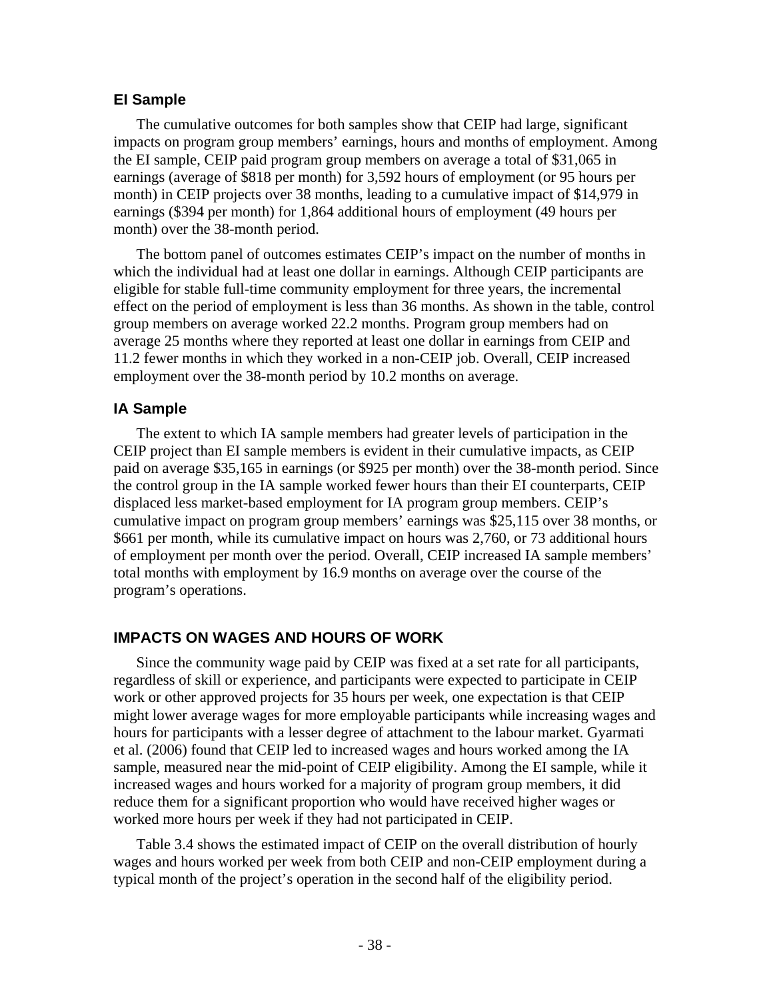## **EI Sample**

The cumulative outcomes for both samples show that CEIP had large, significant impacts on program group members' earnings, hours and months of employment. Among the EI sample, CEIP paid program group members on average a total of \$31,065 in earnings (average of \$818 per month) for 3,592 hours of employment (or 95 hours per month) in CEIP projects over 38 months, leading to a cumulative impact of \$14,979 in earnings (\$394 per month) for 1,864 additional hours of employment (49 hours per month) over the 38-month period.

The bottom panel of outcomes estimates CEIP's impact on the number of months in which the individual had at least one dollar in earnings. Although CEIP participants are eligible for stable full-time community employment for three years, the incremental effect on the period of employment is less than 36 months. As shown in the table, control group members on average worked 22.2 months. Program group members had on average 25 months where they reported at least one dollar in earnings from CEIP and 11.2 fewer months in which they worked in a non-CEIP job. Overall, CEIP increased employment over the 38-month period by 10.2 months on average.

# **IA Sample**

The extent to which IA sample members had greater levels of participation in the CEIP project than EI sample members is evident in their cumulative impacts, as CEIP paid on average \$35,165 in earnings (or \$925 per month) over the 38-month period. Since the control group in the IA sample worked fewer hours than their EI counterparts, CEIP displaced less market-based employment for IA program group members. CEIP's cumulative impact on program group members' earnings was \$25,115 over 38 months, or \$661 per month, while its cumulative impact on hours was 2,760, or 73 additional hours of employment per month over the period. Overall, CEIP increased IA sample members' total months with employment by 16.9 months on average over the course of the program's operations.

# **IMPACTS ON WAGES AND HOURS OF WORK**

Since the community wage paid by CEIP was fixed at a set rate for all participants, regardless of skill or experience, and participants were expected to participate in CEIP work or other approved projects for 35 hours per week, one expectation is that CEIP might lower average wages for more employable participants while increasing wages and hours for participants with a lesser degree of attachment to the labour market. Gyarmati et al. (2006) found that CEIP led to increased wages and hours worked among the IA sample, measured near the mid-point of CEIP eligibility. Among the EI sample, while it increased wages and hours worked for a majority of program group members, it did reduce them for a significant proportion who would have received higher wages or worked more hours per week if they had not participated in CEIP.

Table 3.4 shows the estimated impact of CEIP on the overall distribution of hourly wages and hours worked per week from both CEIP and non-CEIP employment during a typical month of the project's operation in the second half of the eligibility period.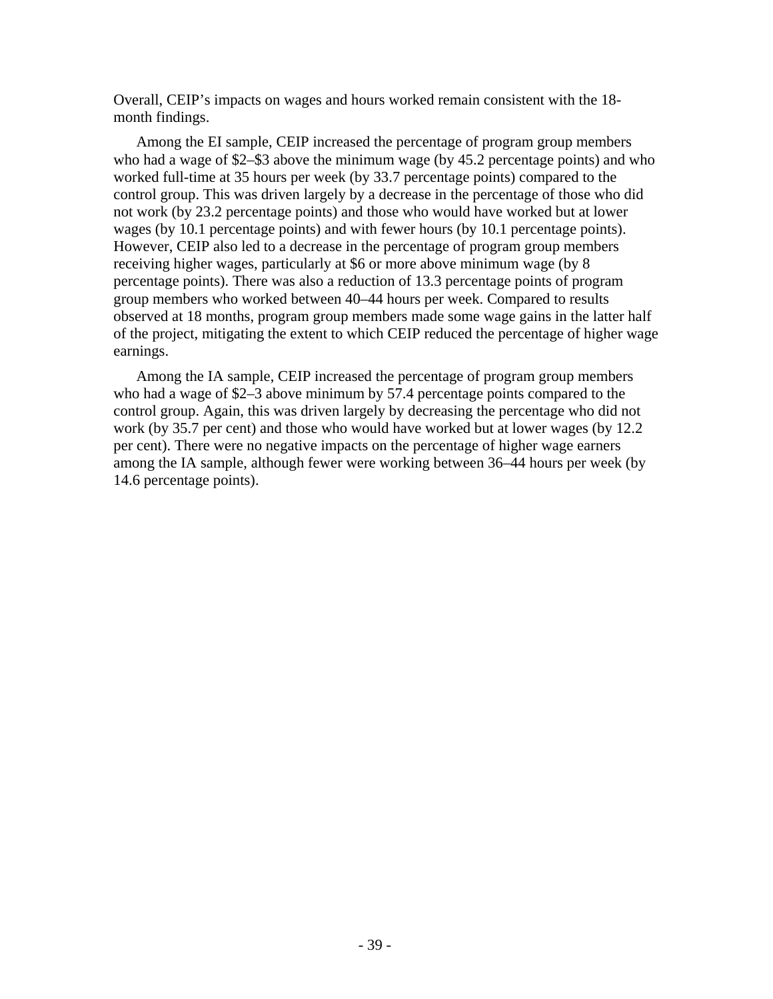Overall, CEIP's impacts on wages and hours worked remain consistent with the 18 month findings.

Among the EI sample, CEIP increased the percentage of program group members who had a wage of \$2–\$3 above the minimum wage (by 45.2 percentage points) and who worked full-time at 35 hours per week (by 33.7 percentage points) compared to the control group. This was driven largely by a decrease in the percentage of those who did not work (by 23.2 percentage points) and those who would have worked but at lower wages (by 10.1 percentage points) and with fewer hours (by 10.1 percentage points). However, CEIP also led to a decrease in the percentage of program group members receiving higher wages, particularly at \$6 or more above minimum wage (by 8 percentage points). There was also a reduction of 13.3 percentage points of program group members who worked between 40–44 hours per week. Compared to results observed at 18 months, program group members made some wage gains in the latter half of the project, mitigating the extent to which CEIP reduced the percentage of higher wage earnings.

Among the IA sample, CEIP increased the percentage of program group members who had a wage of \$2–3 above minimum by 57.4 percentage points compared to the control group. Again, this was driven largely by decreasing the percentage who did not work (by 35.7 per cent) and those who would have worked but at lower wages (by 12.2 per cent). There were no negative impacts on the percentage of higher wage earners among the IA sample, although fewer were working between 36–44 hours per week (by 14.6 percentage points).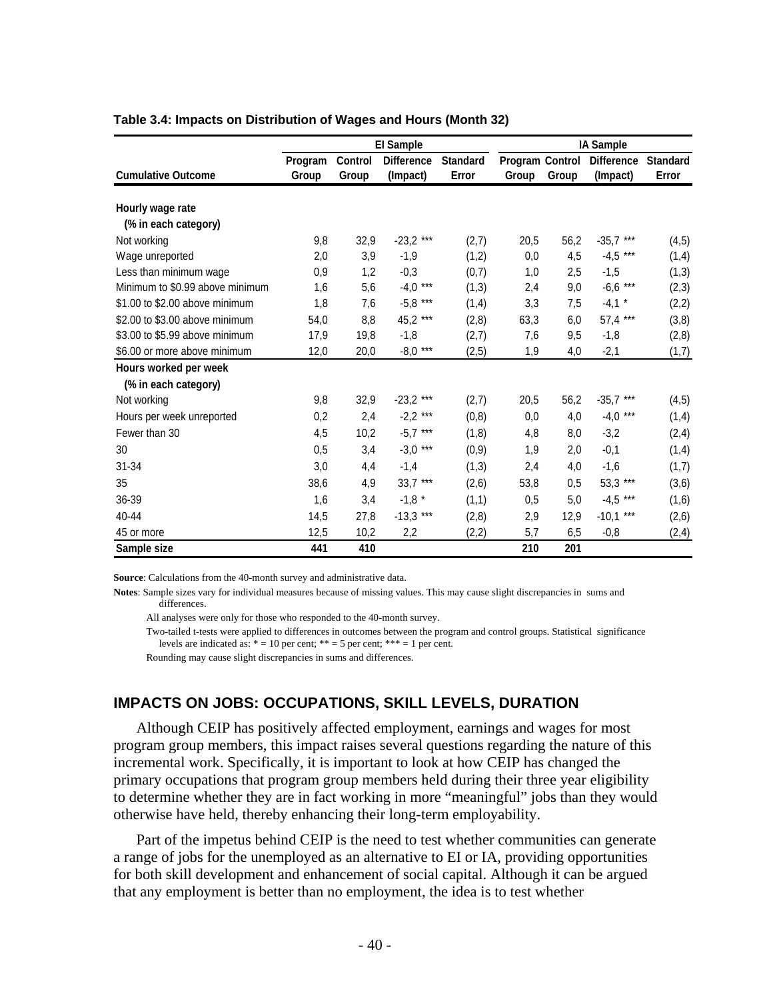|                                 | <b>El Sample</b> |         |                   |                 |                        |       | <b>IA Sample</b>  |                 |
|---------------------------------|------------------|---------|-------------------|-----------------|------------------------|-------|-------------------|-----------------|
|                                 | Program          | Control | <b>Difference</b> | <b>Standard</b> | <b>Program Control</b> |       | <b>Difference</b> | <b>Standard</b> |
| <b>Cumulative Outcome</b>       | Group            | Group   | (Impact)          | Error           | Group                  | Group | (Impact)          | Error           |
|                                 |                  |         |                   |                 |                        |       |                   |                 |
| Hourly wage rate                |                  |         |                   |                 |                        |       |                   |                 |
| (% in each category)            |                  |         |                   |                 |                        |       |                   |                 |
| Not working                     | 9,8              | 32,9    | $-23,2$ ***       | (2,7)           | 20,5                   | 56,2  | $-35,7$ ***       | (4, 5)          |
| Wage unreported                 | 2,0              | 3,9     | $-1,9$            | (1,2)           | 0,0                    | 4,5   | $-4,5$ ***        | (1,4)           |
| Less than minimum wage          | 0,9              | 1,2     | $-0,3$            | (0,7)           | 1,0                    | 2,5   | $-1,5$            | (1,3)           |
| Minimum to \$0.99 above minimum | 1,6              | 5,6     | $-4,0$ ***        | (1,3)           | 2,4                    | 9,0   | $-6,6$ ***        | (2,3)           |
| \$1.00 to \$2.00 above minimum  | 1,8              | 7,6     | $-5,8$ ***        | (1,4)           | 3,3                    | 7,5   | $-4,1$ *          | (2,2)           |
| \$2.00 to \$3.00 above minimum  | 54,0             | 8,8     | 45,2 ***          | (2,8)           | 63,3                   | 6,0   | 57,4 ***          | (3,8)           |
| \$3.00 to \$5.99 above minimum  | 17,9             | 19,8    | $-1,8$            | (2,7)           | 7,6                    | 9,5   | $-1,8$            | (2,8)           |
| \$6.00 or more above minimum    | 12,0             | 20,0    | $-8,0$ ***        | (2, 5)          | 1,9                    | 4,0   | $-2,1$            | (1,7)           |
| Hours worked per week           |                  |         |                   |                 |                        |       |                   |                 |
| (% in each category)            |                  |         |                   |                 |                        |       |                   |                 |
| Not working                     | 9,8              | 32,9    | $-23,2$ ***       | (2,7)           | 20,5                   | 56,2  | $-35,7$ ***       | (4, 5)          |
| Hours per week unreported       | 0,2              | 2,4     | $-2,2$ ***        | (0, 8)          | 0,0                    | 4,0   | $-4,0$ ***        | (1,4)           |
| Fewer than 30                   | 4,5              | 10,2    | $-5,7$ ***        | (1,8)           | 4,8                    | 8,0   | $-3,2$            | (2, 4)          |
| 30                              | 0,5              | 3,4     | $-3,0$ ***        | (0, 9)          | 1,9                    | 2,0   | $-0,1$            | (1,4)           |
| 31-34                           | 3,0              | 4,4     | $-1,4$            | (1,3)           | 2,4                    | 4,0   | $-1,6$            | (1,7)           |
| 35                              | 38,6             | 4,9     | $33,7$ ***        | (2,6)           | 53,8                   | 0,5   | 53,3 ***          | (3,6)           |
| 36-39                           | 1,6              | 3,4     | $-1,8$ *          | (1,1)           | 0,5                    | 5,0   | $-4,5$ ***        | (1,6)           |
| 40-44                           | 14,5             | 27,8    | $-13,3$ ***       | (2,8)           | 2,9                    | 12,9  | $-10,1$ ***       | (2,6)           |
| 45 or more                      | 12,5             | 10,2    | 2,2               | (2,2)           | 5,7                    | 6,5   | $-0,8$            | (2, 4)          |
| Sample size                     | 441              | 410     |                   |                 | 210                    | 201   |                   |                 |

#### **Table 3.4: Impacts on Distribution of Wages and Hours (Month 32)**

**Source**: Calculations from the 40-month survey and administrative data.

**Notes**: Sample sizes vary for individual measures because of missing values. This may cause slight discrepancies in sums and differences.

All analyses were only for those who responded to the 40-month survey.

 Two-tailed t-tests were applied to differences in outcomes between the program and control groups. Statistical significance levels are indicated as:  $* = 10$  per cent;  $** = 5$  per cent;  $*** = 1$  per cent.

Rounding may cause slight discrepancies in sums and differences.

# **IMPACTS ON JOBS: OCCUPATIONS, SKILL LEVELS, DURATION**

Although CEIP has positively affected employment, earnings and wages for most program group members, this impact raises several questions regarding the nature of this incremental work. Specifically, it is important to look at how CEIP has changed the primary occupations that program group members held during their three year eligibility to determine whether they are in fact working in more "meaningful" jobs than they would otherwise have held, thereby enhancing their long-term employability.

Part of the impetus behind CEIP is the need to test whether communities can generate a range of jobs for the unemployed as an alternative to EI or IA, providing opportunities for both skill development and enhancement of social capital. Although it can be argued that any employment is better than no employment, the idea is to test whether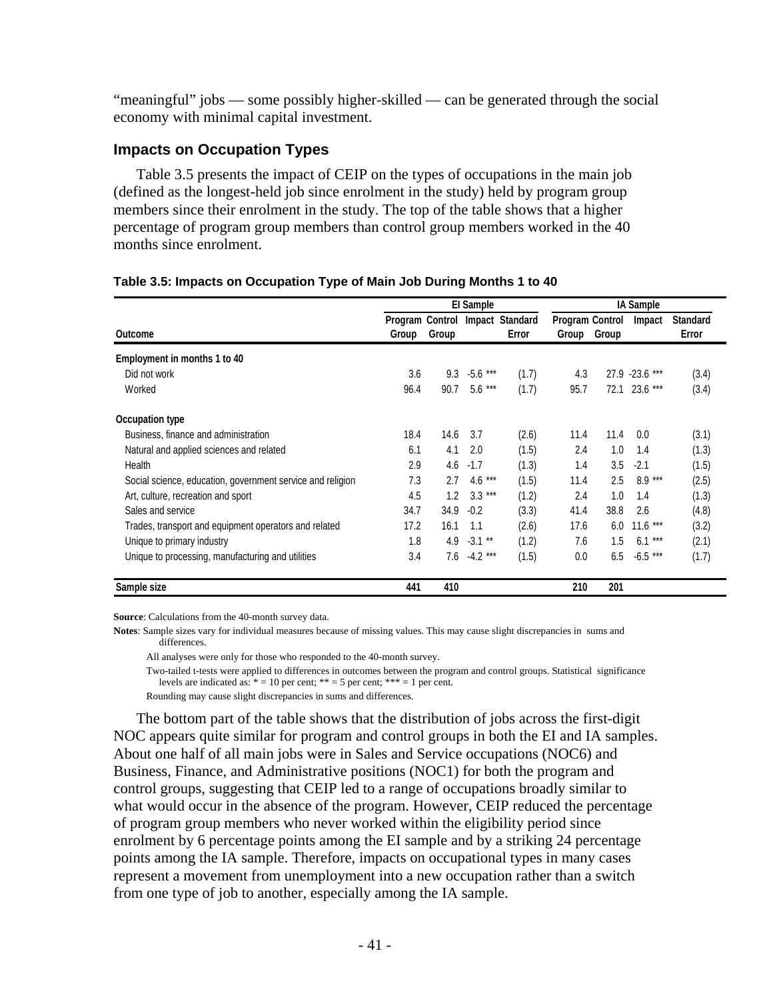"meaningful" jobs — some possibly higher-skilled — can be generated through the social economy with minimal capital investment.

# **Impacts on Occupation Types**

Table 3.5 presents the impact of CEIP on the types of occupations in the main job (defined as the longest-held job since enrolment in the study) held by program group members since their enrolment in the study. The top of the table shows that a higher percentage of program group members than control group members worked in the 40 months since enrolment.

### **Table 3.5: Impacts on Occupation Type of Main Job During Months 1 to 40**

|                                                            |       |       | <b>IA Sample</b> |                                          |                                 |       |                |                          |
|------------------------------------------------------------|-------|-------|------------------|------------------------------------------|---------------------------------|-------|----------------|--------------------------|
| Outcome                                                    | Group | Group |                  | Program Control Impact Standard<br>Error | <b>Program Control</b><br>Group | Group | Impact         | <b>Standard</b><br>Error |
| Employment in months 1 to 40                               |       |       |                  |                                          |                                 |       |                |                          |
| Did not work                                               | 3.6   | 9.3   | $-5.6$ ***       | (1.7)                                    | 4.3                             |       | 27.9 -23.6 *** | (3.4)                    |
| Worked                                                     | 96.4  | 90.7  | $5.6***$         | (1.7)                                    | 95.7                            | 72.1  | $23.6***$      | (3.4)                    |
| Occupation type                                            |       |       |                  |                                          |                                 |       |                |                          |
| Business, finance and administration                       | 18.4  | 14.6  | 3.7              | (2.6)                                    | 11.4                            | 11.4  | 0.0            | (3.1)                    |
| Natural and applied sciences and related                   | 6.1   | 4.1   | 2.0              | (1.5)                                    | 2.4                             | 1.0   | 1.4            | (1.3)                    |
| Health                                                     | 2.9   | 4.6   | $-1.7$           | (1.3)                                    | 1.4                             | 3.5   | $-2.1$         | (1.5)                    |
| Social science, education, government service and religion | 7.3   | 2.7   | $4.6***$         | (1.5)                                    | 11.4                            | 2.5   | $8.9***$       | (2.5)                    |
| Art, culture, recreation and sport                         | 4.5   | 1.2   | $3.3***$         | (1.2)                                    | 2.4                             | 1.0   | 1.4            | (1.3)                    |
| Sales and service                                          | 34.7  | 34.9  | $-0.2$           | (3.3)                                    | 41.4                            | 38.8  | 2.6            | (4.8)                    |
| Trades, transport and equipment operators and related      | 17.2  | 16.1  | 1.1              | (2.6)                                    | 17.6                            | 6.0   | $11.6***$      | (3.2)                    |
| Unique to primary industry                                 | 1.8   | 4.9   | $-3.1$ **        | (1.2)                                    | 7.6                             | 1.5   | $6.1***$       | (2.1)                    |
| Unique to processing, manufacturing and utilities          | 3.4   | 7.6   | $-4.2***$        | (1.5)                                    | 0.0                             | 6.5   | $-6.5$ ***     | (1.7)                    |
| Sample size                                                | 441   | 410   |                  |                                          | 210                             | 201   |                |                          |

**Source**: Calculations from the 40-month survey data.

**Notes**: Sample sizes vary for individual measures because of missing values. This may cause slight discrepancies in sums and differences.

All analyses were only for those who responded to the 40-month survey.

 Two-tailed t-tests were applied to differences in outcomes between the program and control groups. Statistical significance levels are indicated as:  $* = 10$  per cent;  $** = 5$  per cent;  $*** = 1$  per cent.

Rounding may cause slight discrepancies in sums and differences.

The bottom part of the table shows that the distribution of jobs across the first-digit NOC appears quite similar for program and control groups in both the EI and IA samples. About one half of all main jobs were in Sales and Service occupations (NOC6) and Business, Finance, and Administrative positions (NOC1) for both the program and control groups, suggesting that CEIP led to a range of occupations broadly similar to what would occur in the absence of the program. However, CEIP reduced the percentage of program group members who never worked within the eligibility period since enrolment by 6 percentage points among the EI sample and by a striking 24 percentage points among the IA sample. Therefore, impacts on occupational types in many cases represent a movement from unemployment into a new occupation rather than a switch from one type of job to another, especially among the IA sample.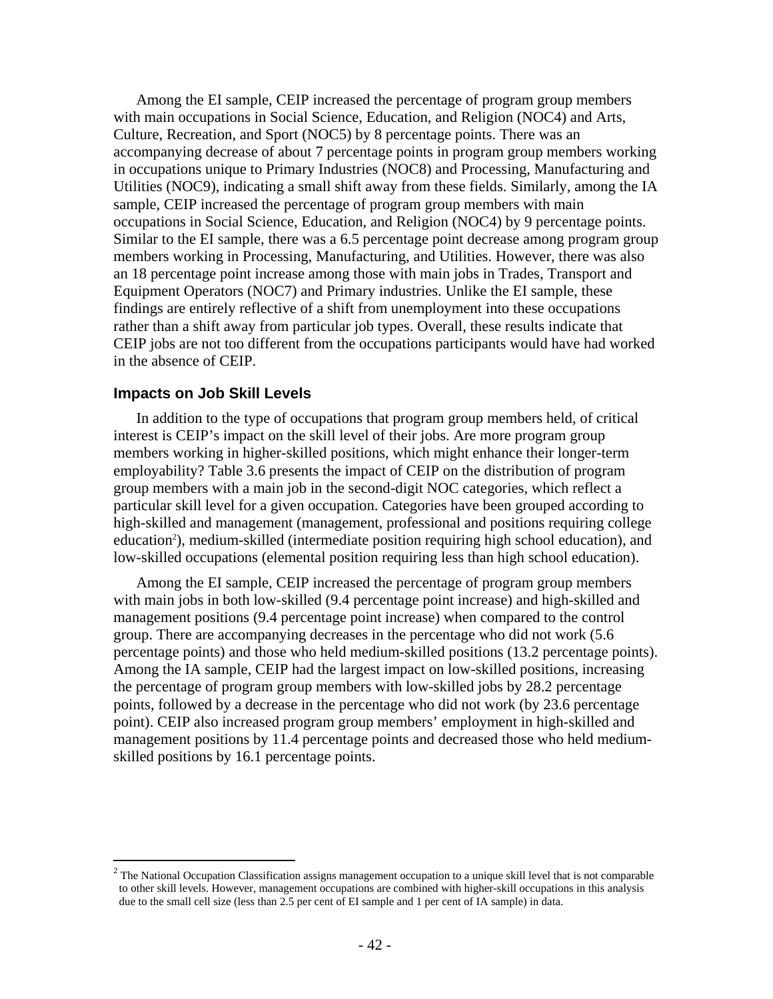Among the EI sample, CEIP increased the percentage of program group members with main occupations in Social Science, Education, and Religion (NOC4) and Arts, Culture, Recreation, and Sport (NOC5) by 8 percentage points. There was an accompanying decrease of about 7 percentage points in program group members working in occupations unique to Primary Industries (NOC8) and Processing, Manufacturing and Utilities (NOC9), indicating a small shift away from these fields. Similarly, among the IA sample, CEIP increased the percentage of program group members with main occupations in Social Science, Education, and Religion (NOC4) by 9 percentage points. Similar to the EI sample, there was a 6.5 percentage point decrease among program group members working in Processing, Manufacturing, and Utilities. However, there was also an 18 percentage point increase among those with main jobs in Trades, Transport and Equipment Operators (NOC7) and Primary industries. Unlike the EI sample, these findings are entirely reflective of a shift from unemployment into these occupations rather than a shift away from particular job types. Overall, these results indicate that CEIP jobs are not too different from the occupations participants would have had worked in the absence of CEIP.

#### **Impacts on Job Skill Levels**

 $\overline{a}$ 

In addition to the type of occupations that program group members held, of critical interest is CEIP's impact on the skill level of their jobs. Are more program group members working in higher-skilled positions, which might enhance their longer-term employability? Table 3.6 presents the impact of CEIP on the distribution of program group members with a main job in the second-digit NOC categories, which reflect a particular skill level for a given occupation. Categories have been grouped according to high-skilled and management (management, professional and positions requiring college education<sup>2</sup>), medium-skilled (intermediate position requiring high school education), and low-skilled occupations (elemental position requiring less than high school education).

Among the EI sample, CEIP increased the percentage of program group members with main jobs in both low-skilled (9.4 percentage point increase) and high-skilled and management positions (9.4 percentage point increase) when compared to the control group. There are accompanying decreases in the percentage who did not work (5.6 percentage points) and those who held medium-skilled positions (13.2 percentage points). Among the IA sample, CEIP had the largest impact on low-skilled positions, increasing the percentage of program group members with low-skilled jobs by 28.2 percentage points, followed by a decrease in the percentage who did not work (by 23.6 percentage point). CEIP also increased program group members' employment in high-skilled and management positions by 11.4 percentage points and decreased those who held mediumskilled positions by 16.1 percentage points.

 $2$  The National Occupation Classification assigns management occupation to a unique skill level that is not comparable to other skill levels. However, management occupations are combined with higher-skill occupations in this analysis due to the small cell size (less than 2.5 per cent of EI sample and 1 per cent of IA sample) in data.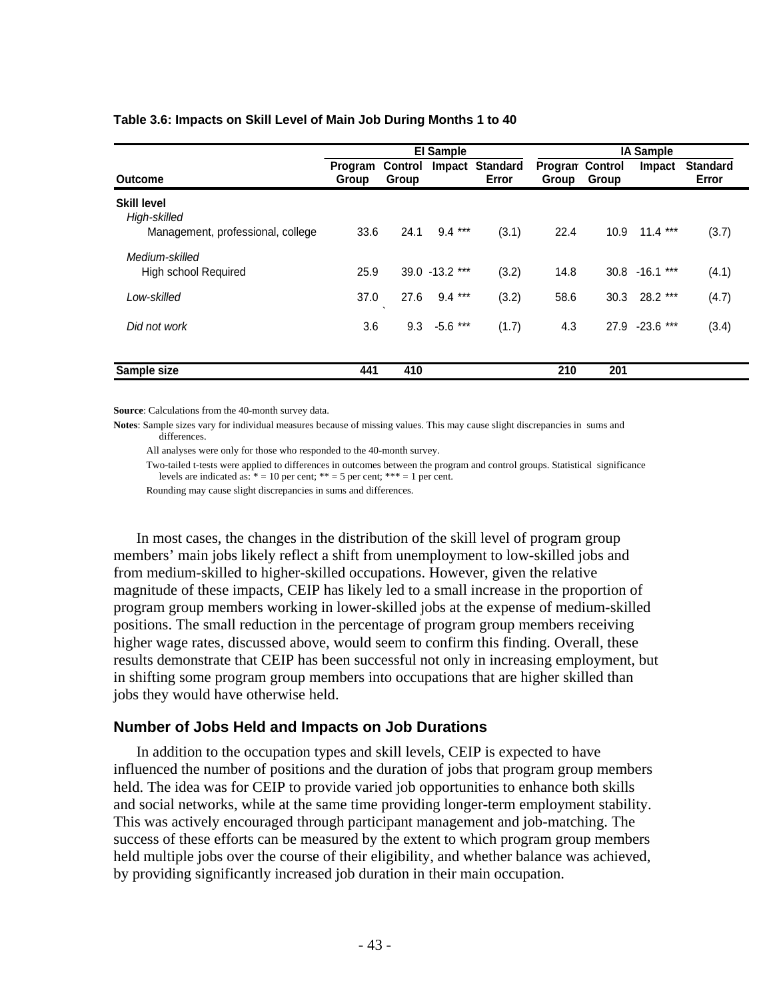| Table 3.6: Impacts on Skill Level of Main Job During Months 1 to 40 |  |
|---------------------------------------------------------------------|--|
|---------------------------------------------------------------------|--|

|                                                                         | <b>El Sample</b> |                         |                   |                          | <b>IA Sample</b>                |                   |                   |                          |
|-------------------------------------------------------------------------|------------------|-------------------------|-------------------|--------------------------|---------------------------------|-------------------|-------------------|--------------------------|
| Outcome                                                                 | Program<br>Group | <b>Control</b><br>Group | Impact            | <b>Standard</b><br>Error | <b>Progran Control</b><br>Group | Group             | <b>Impact</b>     | <b>Standard</b><br>Error |
| <b>Skill level</b><br>High-skilled<br>Management, professional, college | 33.6             | 24.1                    | $9.4***$          | (3.1)                    | 22.4                            | 10.9 <sup>°</sup> | $11.4***$         | (3.7)                    |
| Medium-skilled<br><b>High school Required</b>                           | 25.9             |                         | $39.0 - 13.2$ *** | (3.2)                    | 14.8                            |                   | $30.8 - 16.1$ *** | (4.1)                    |
| Low-skilled                                                             | 37.0             | 27.6                    | $9.4***$          | (3.2)                    | 58.6                            | 30.3              | 28.2 ***          | (4.7)                    |
| Did not work                                                            | 3.6              | 9.3                     | $-5.6$ ***        | (1.7)                    | 4.3                             |                   | 27.9 -23.6 ***    | (3.4)                    |
| Sample size                                                             | 441              | 410                     |                   |                          | 210                             | 201               |                   |                          |

**Source**: Calculations from the 40-month survey data.

**Notes**: Sample sizes vary for individual measures because of missing values. This may cause slight discrepancies in sums and differences.

All analyses were only for those who responded to the 40-month survey.

 Two-tailed t-tests were applied to differences in outcomes between the program and control groups. Statistical significance levels are indicated as:  $* = 10$  per cent;  $** = 5$  per cent;  $*** = 1$  per cent.

Rounding may cause slight discrepancies in sums and differences.

In most cases, the changes in the distribution of the skill level of program group members' main jobs likely reflect a shift from unemployment to low-skilled jobs and from medium-skilled to higher-skilled occupations. However, given the relative magnitude of these impacts, CEIP has likely led to a small increase in the proportion of program group members working in lower-skilled jobs at the expense of medium-skilled positions. The small reduction in the percentage of program group members receiving higher wage rates, discussed above, would seem to confirm this finding. Overall, these results demonstrate that CEIP has been successful not only in increasing employment, but in shifting some program group members into occupations that are higher skilled than jobs they would have otherwise held.

### **Number of Jobs Held and Impacts on Job Durations**

In addition to the occupation types and skill levels, CEIP is expected to have influenced the number of positions and the duration of jobs that program group members held. The idea was for CEIP to provide varied job opportunities to enhance both skills and social networks, while at the same time providing longer-term employment stability. This was actively encouraged through participant management and job-matching. The success of these efforts can be measured by the extent to which program group members held multiple jobs over the course of their eligibility, and whether balance was achieved, by providing significantly increased job duration in their main occupation.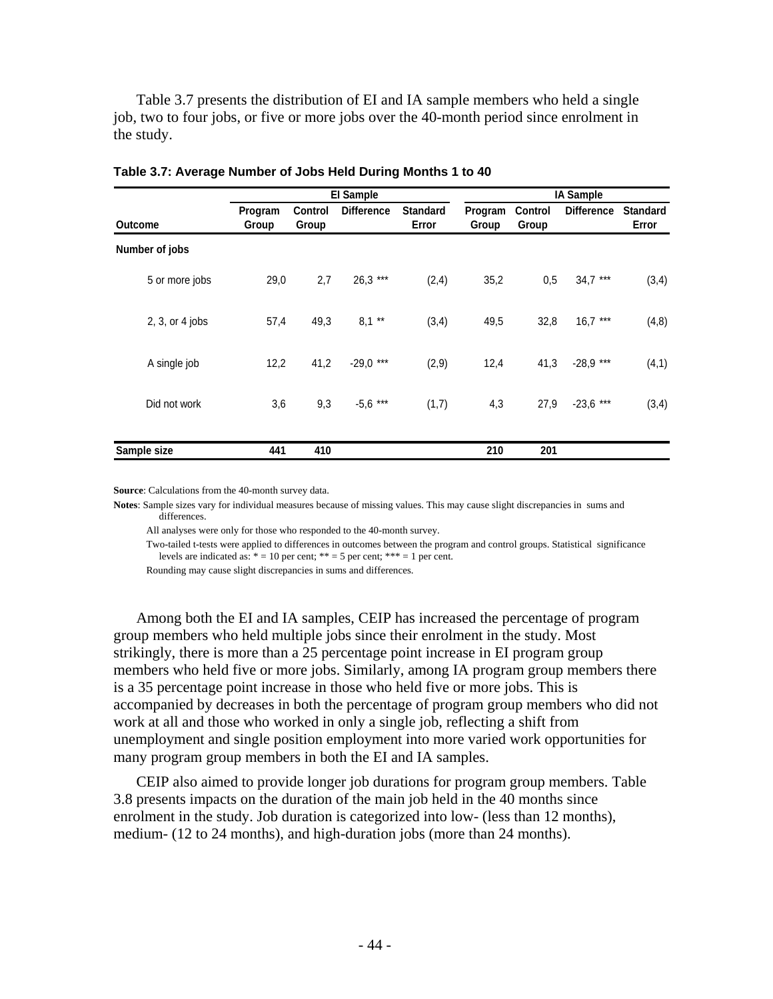Table 3.7 presents the distribution of EI and IA sample members who held a single job, two to four jobs, or five or more jobs over the 40-month period since enrolment in the study.

|                   |                  |                         | <b>El Sample</b>  |                          |                  |                         | <b>IA Sample</b>  |                          |
|-------------------|------------------|-------------------------|-------------------|--------------------------|------------------|-------------------------|-------------------|--------------------------|
| <b>Outcome</b>    | Program<br>Group | <b>Control</b><br>Group | <b>Difference</b> | <b>Standard</b><br>Error | Program<br>Group | <b>Control</b><br>Group | <b>Difference</b> | <b>Standard</b><br>Error |
| Number of jobs    |                  |                         |                   |                          |                  |                         |                   |                          |
| 5 or more jobs    | 29,0             | 2,7                     | $26,3$ ***        | (2, 4)                   | 35,2             | 0,5                     | $34,7$ ***        | (3,4)                    |
| $2, 3, or 4$ jobs | 57,4             | 49,3                    | $8,1$ **          | (3,4)                    | 49,5             | 32,8                    | $16,7$ ***        | (4, 8)                   |
| A single job      | 12,2             | 41,2                    | $-29,0$ ***       | (2,9)                    | 12,4             | 41,3                    | $-28.9$ ***       | (4,1)                    |
| Did not work      | 3,6              | 9,3                     | $-5,6$ ***        | (1,7)                    | 4,3              | 27,9                    | $-23,6$ ***       | (3,4)                    |
| Sample size       | 441              | 410                     |                   |                          | 210              | 201                     |                   |                          |

**Table 3.7: Average Number of Jobs Held During Months 1 to 40** 

**Source**: Calculations from the 40-month survey data.

**Notes**: Sample sizes vary for individual measures because of missing values. This may cause slight discrepancies in sums and differences.

All analyses were only for those who responded to the 40-month survey.

 Two-tailed t-tests were applied to differences in outcomes between the program and control groups. Statistical significance levels are indicated as:  $* = 10$  per cent;  $** = 5$  per cent;  $*** = 1$  per cent.

Rounding may cause slight discrepancies in sums and differences.

Among both the EI and IA samples, CEIP has increased the percentage of program group members who held multiple jobs since their enrolment in the study. Most strikingly, there is more than a 25 percentage point increase in EI program group members who held five or more jobs. Similarly, among IA program group members there is a 35 percentage point increase in those who held five or more jobs. This is accompanied by decreases in both the percentage of program group members who did not work at all and those who worked in only a single job, reflecting a shift from unemployment and single position employment into more varied work opportunities for many program group members in both the EI and IA samples.

CEIP also aimed to provide longer job durations for program group members. Table 3.8 presents impacts on the duration of the main job held in the 40 months since enrolment in the study. Job duration is categorized into low- (less than 12 months), medium- (12 to 24 months), and high-duration jobs (more than 24 months).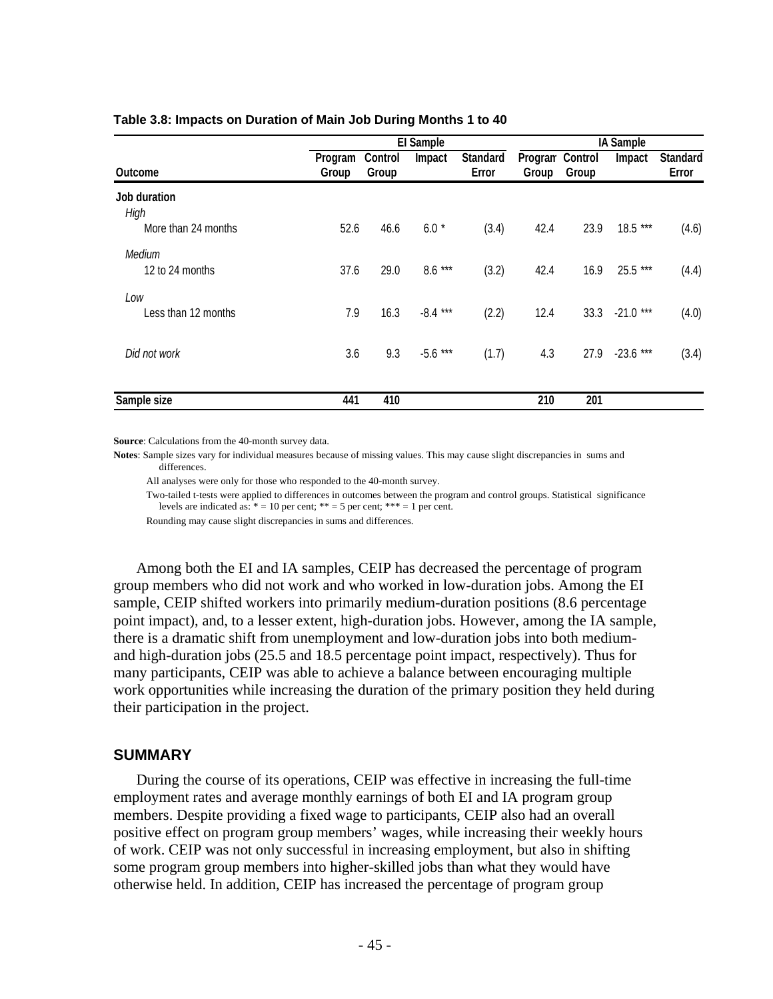|                                             |                  | <b>El Sample</b> |            |                          |                          |       | <b>IA Sample</b> |                          |  |  |
|---------------------------------------------|------------------|------------------|------------|--------------------------|--------------------------|-------|------------------|--------------------------|--|--|
| <b>Outcome</b>                              | Program<br>Group | Control<br>Group | Impact     | <b>Standard</b><br>Error | Program Control<br>Group | Group | Impact           | <b>Standard</b><br>Error |  |  |
| Job duration<br>High<br>More than 24 months | 52.6             | 46.6             | $6.0*$     | (3.4)                    | 42.4                     | 23.9  | 18.5 ***         |                          |  |  |
|                                             |                  |                  |            |                          |                          |       |                  | (4.6)                    |  |  |
| Medium<br>12 to 24 months                   | 37.6             | 29.0             | $8.6***$   | (3.2)                    | 42.4                     | 16.9  | 25.5 ***         | (4.4)                    |  |  |
| Low<br>Less than 12 months                  | 7.9              | 16.3             | $-8.4***$  | (2.2)                    | 12.4                     | 33.3  | $-21.0$ ***      | (4.0)                    |  |  |
| Did not work                                | 3.6              | 9.3              | $-5.6$ *** | (1.7)                    | 4.3                      | 27.9  | $-23.6***$       | (3.4)                    |  |  |
| Sample size                                 | 441              | 410              |            |                          | 210                      | 201   |                  |                          |  |  |

#### **Table 3.8: Impacts on Duration of Main Job During Months 1 to 40**

**Source**: Calculations from the 40-month survey data.

**Notes**: Sample sizes vary for individual measures because of missing values. This may cause slight discrepancies in sums and differences.

All analyses were only for those who responded to the 40-month survey.

 Two-tailed t-tests were applied to differences in outcomes between the program and control groups. Statistical significance levels are indicated as:  $* = 10$  per cent;  $** = 5$  per cent;  $*** = 1$  per cent.

Rounding may cause slight discrepancies in sums and differences.

Among both the EI and IA samples, CEIP has decreased the percentage of program group members who did not work and who worked in low-duration jobs. Among the EI sample, CEIP shifted workers into primarily medium-duration positions (8.6 percentage point impact), and, to a lesser extent, high-duration jobs. However, among the IA sample, there is a dramatic shift from unemployment and low-duration jobs into both mediumand high-duration jobs (25.5 and 18.5 percentage point impact, respectively). Thus for many participants, CEIP was able to achieve a balance between encouraging multiple work opportunities while increasing the duration of the primary position they held during their participation in the project.

### **SUMMARY**

During the course of its operations, CEIP was effective in increasing the full-time employment rates and average monthly earnings of both EI and IA program group members. Despite providing a fixed wage to participants, CEIP also had an overall positive effect on program group members' wages, while increasing their weekly hours of work. CEIP was not only successful in increasing employment, but also in shifting some program group members into higher-skilled jobs than what they would have otherwise held. In addition, CEIP has increased the percentage of program group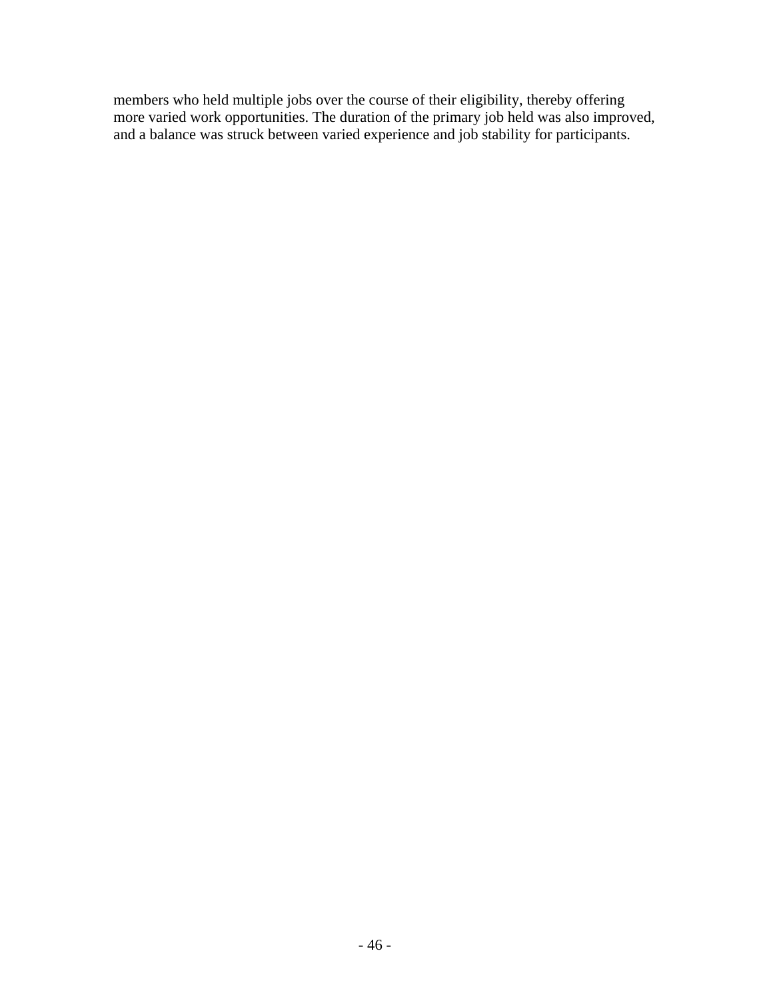members who held multiple jobs over the course of their eligibility, thereby offering more varied work opportunities. The duration of the primary job held was also improved, and a balance was struck between varied experience and job stability for participants.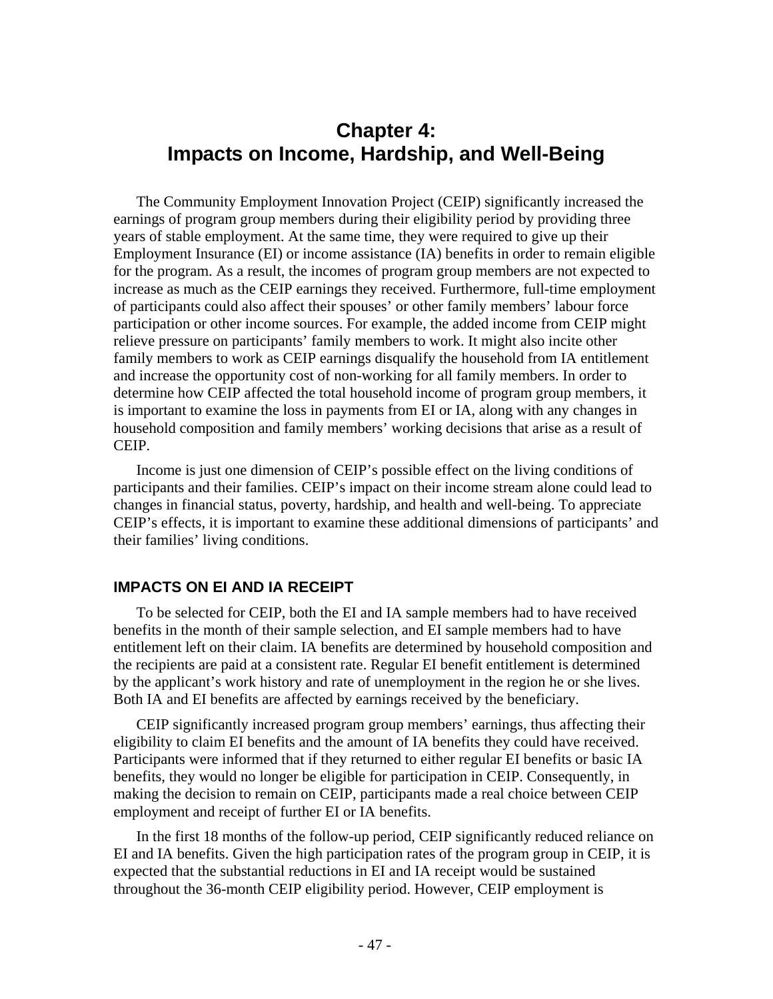# **Chapter 4: Impacts on Income, Hardship, and Well-Being**

The Community Employment Innovation Project (CEIP) significantly increased the earnings of program group members during their eligibility period by providing three years of stable employment. At the same time, they were required to give up their Employment Insurance (EI) or income assistance (IA) benefits in order to remain eligible for the program. As a result, the incomes of program group members are not expected to increase as much as the CEIP earnings they received. Furthermore, full-time employment of participants could also affect their spouses' or other family members' labour force participation or other income sources. For example, the added income from CEIP might relieve pressure on participants' family members to work. It might also incite other family members to work as CEIP earnings disqualify the household from IA entitlement and increase the opportunity cost of non-working for all family members. In order to determine how CEIP affected the total household income of program group members, it is important to examine the loss in payments from EI or IA, along with any changes in household composition and family members' working decisions that arise as a result of CEIP.

Income is just one dimension of CEIP's possible effect on the living conditions of participants and their families. CEIP's impact on their income stream alone could lead to changes in financial status, poverty, hardship, and health and well-being. To appreciate CEIP's effects, it is important to examine these additional dimensions of participants' and their families' living conditions.

# **IMPACTS ON EI AND IA RECEIPT**

To be selected for CEIP, both the EI and IA sample members had to have received benefits in the month of their sample selection, and EI sample members had to have entitlement left on their claim. IA benefits are determined by household composition and the recipients are paid at a consistent rate. Regular EI benefit entitlement is determined by the applicant's work history and rate of unemployment in the region he or she lives. Both IA and EI benefits are affected by earnings received by the beneficiary.

CEIP significantly increased program group members' earnings, thus affecting their eligibility to claim EI benefits and the amount of IA benefits they could have received. Participants were informed that if they returned to either regular EI benefits or basic IA benefits, they would no longer be eligible for participation in CEIP. Consequently, in making the decision to remain on CEIP, participants made a real choice between CEIP employment and receipt of further EI or IA benefits.

In the first 18 months of the follow-up period, CEIP significantly reduced reliance on EI and IA benefits. Given the high participation rates of the program group in CEIP, it is expected that the substantial reductions in EI and IA receipt would be sustained throughout the 36-month CEIP eligibility period. However, CEIP employment is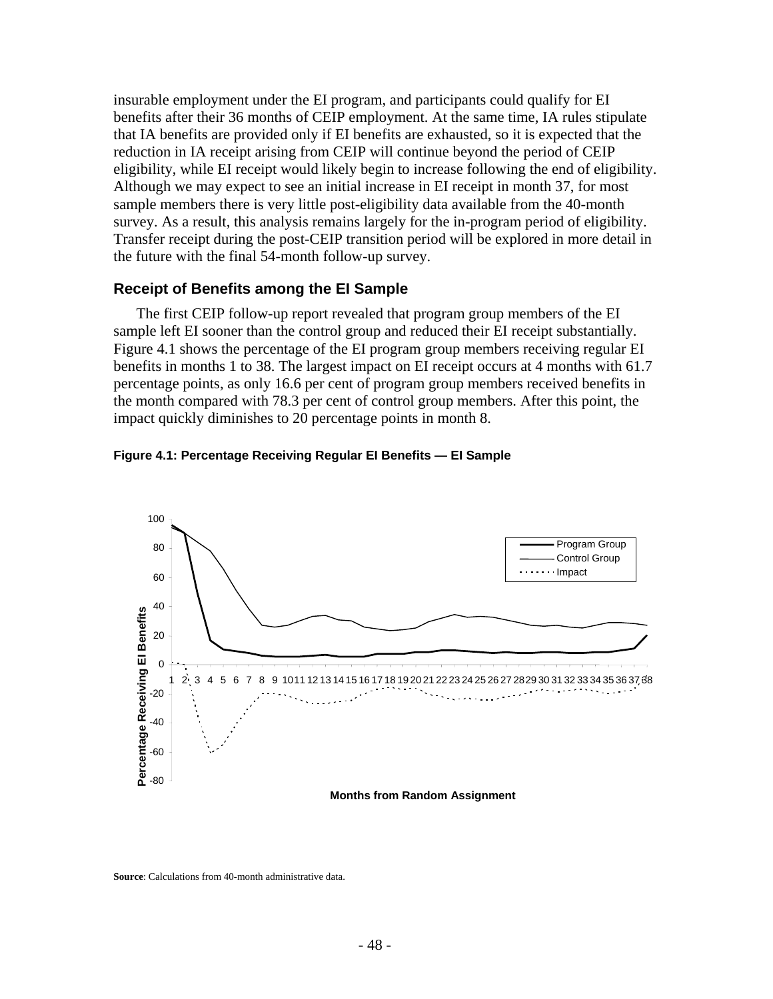insurable employment under the EI program, and participants could qualify for EI benefits after their 36 months of CEIP employment. At the same time, IA rules stipulate that IA benefits are provided only if EI benefits are exhausted, so it is expected that the reduction in IA receipt arising from CEIP will continue beyond the period of CEIP eligibility, while EI receipt would likely begin to increase following the end of eligibility. Although we may expect to see an initial increase in EI receipt in month 37, for most sample members there is very little post-eligibility data available from the 40-month survey. As a result, this analysis remains largely for the in-program period of eligibility. Transfer receipt during the post-CEIP transition period will be explored in more detail in the future with the final 54-month follow-up survey.

#### **Receipt of Benefits among the EI Sample**

The first CEIP follow-up report revealed that program group members of the EI sample left EI sooner than the control group and reduced their EI receipt substantially. Figure 4.1 shows the percentage of the EI program group members receiving regular EI benefits in months 1 to 38. The largest impact on EI receipt occurs at 4 months with 61.7 percentage points, as only 16.6 per cent of program group members received benefits in the month compared with 78.3 per cent of control group members. After this point, the impact quickly diminishes to 20 percentage points in month 8.





**Months from Random Assignment**

**Source**: Calculations from 40-month administrative data.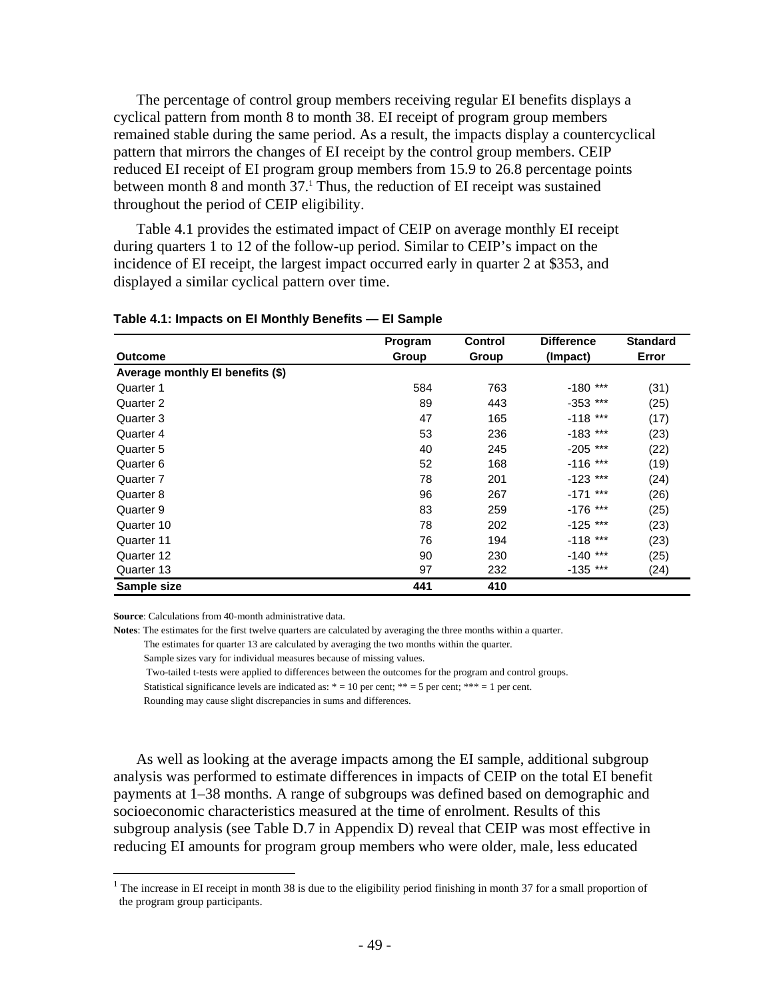The percentage of control group members receiving regular EI benefits displays a cyclical pattern from month 8 to month 38. EI receipt of program group members remained stable during the same period. As a result, the impacts display a countercyclical pattern that mirrors the changes of EI receipt by the control group members. CEIP reduced EI receipt of EI program group members from 15.9 to 26.8 percentage points between month 8 and month 37.<sup>1</sup> Thus, the reduction of EI receipt was sustained throughout the period of CEIP eligibility.

Table 4.1 provides the estimated impact of CEIP on average monthly EI receipt during quarters 1 to 12 of the follow-up period. Similar to CEIP's impact on the incidence of EI receipt, the largest impact occurred early in quarter 2 at \$353, and displayed a similar cyclical pattern over time.

|                                  | Program | <b>Control</b> | <b>Difference</b> | <b>Standard</b> |
|----------------------------------|---------|----------------|-------------------|-----------------|
| <b>Outcome</b>                   | Group   | Group          | (Impact)          | Error           |
| Average monthly El benefits (\$) |         |                |                   |                 |
| Quarter 1                        | 584     | 763            | $-180$ ***        | (31)            |
| Quarter 2                        | 89      | 443            | $-353$ ***        | (25)            |
| Quarter 3                        | 47      | 165            | $-118$ ***        | (17)            |
| Quarter 4                        | 53      | 236            | $-183$ ***        | (23)            |
| Quarter 5                        | 40      | 245            | $-205$ ***        | (22)            |
| Quarter 6                        | 52      | 168            | $-116$ ***        | (19)            |
| Quarter 7                        | 78      | 201            | $-123$ ***        | (24)            |
| Quarter 8                        | 96      | 267            | $-171$ ***        | (26)            |
| Quarter 9                        | 83      | 259            | $-176$ ***        | (25)            |
| Quarter 10                       | 78      | 202            | $-125$ ***        | (23)            |
| Quarter 11                       | 76      | 194            | $-118$ ***        | (23)            |
| Quarter 12                       | 90      | 230            | $-140$ ***        | (25)            |
| Quarter 13                       | 97      | 232            | $-135$ ***        | (24)            |
| Sample size                      | 441     | 410            |                   |                 |

#### **Table 4.1: Impacts on EI Monthly Benefits — EI Sample**

**Source**: Calculations from 40-month administrative data.

 $\overline{a}$ 

**Notes**: The estimates for the first twelve quarters are calculated by averaging the three months within a quarter.

The estimates for quarter 13 are calculated by averaging the two months within the quarter.

Sample sizes vary for individual measures because of missing values.

Two-tailed t-tests were applied to differences between the outcomes for the program and control groups.

Statistical significance levels are indicated as:  $* = 10$  per cent;  $** = 5$  per cent;  $*** = 1$  per cent.

Rounding may cause slight discrepancies in sums and differences.

As well as looking at the average impacts among the EI sample, additional subgroup analysis was performed to estimate differences in impacts of CEIP on the total EI benefit payments at 1–38 months. A range of subgroups was defined based on demographic and socioeconomic characteristics measured at the time of enrolment. Results of this subgroup analysis (see Table D.7 in Appendix D) reveal that CEIP was most effective in reducing EI amounts for program group members who were older, male, less educated

<sup>&</sup>lt;sup>1</sup> The increase in EI receipt in month 38 is due to the eligibility period finishing in month 37 for a small proportion of the program group participants.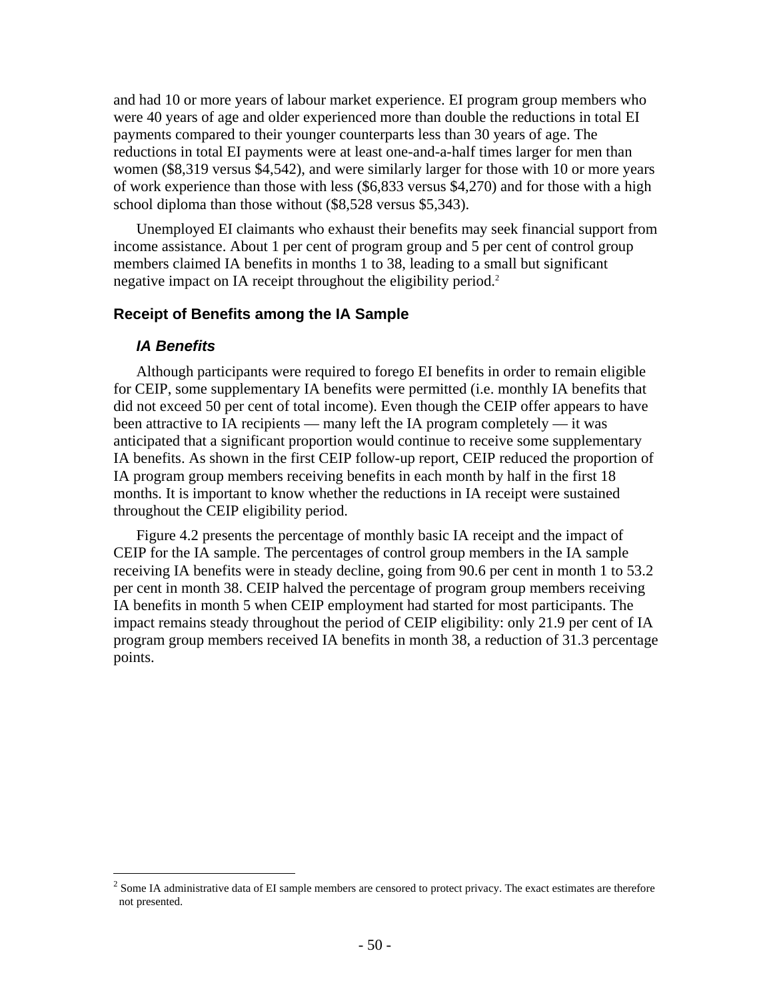and had 10 or more years of labour market experience. EI program group members who were 40 years of age and older experienced more than double the reductions in total EI payments compared to their younger counterparts less than 30 years of age. The reductions in total EI payments were at least one-and-a-half times larger for men than women (\$8,319 versus \$4,542), and were similarly larger for those with 10 or more years of work experience than those with less (\$6,833 versus \$4,270) and for those with a high school diploma than those without (\$8,528 versus \$5,343).

Unemployed EI claimants who exhaust their benefits may seek financial support from income assistance. About 1 per cent of program group and 5 per cent of control group members claimed IA benefits in months 1 to 38, leading to a small but significant negative impact on IA receipt throughout the eligibility period.<sup>2</sup>

### **Receipt of Benefits among the IA Sample**

### *IA Benefits*

 $\overline{a}$ 

Although participants were required to forego EI benefits in order to remain eligible for CEIP, some supplementary IA benefits were permitted (i.e. monthly IA benefits that did not exceed 50 per cent of total income). Even though the CEIP offer appears to have been attractive to IA recipients — many left the IA program completely — it was anticipated that a significant proportion would continue to receive some supplementary IA benefits. As shown in the first CEIP follow-up report, CEIP reduced the proportion of IA program group members receiving benefits in each month by half in the first 18 months. It is important to know whether the reductions in IA receipt were sustained throughout the CEIP eligibility period.

Figure 4.2 presents the percentage of monthly basic IA receipt and the impact of CEIP for the IA sample. The percentages of control group members in the IA sample receiving IA benefits were in steady decline, going from 90.6 per cent in month 1 to 53.2 per cent in month 38. CEIP halved the percentage of program group members receiving IA benefits in month 5 when CEIP employment had started for most participants. The impact remains steady throughout the period of CEIP eligibility: only 21.9 per cent of IA program group members received IA benefits in month 38, a reduction of 31.3 percentage points.

 $2^2$  Some IA administrative data of EI sample members are censored to protect privacy. The exact estimates are therefore not presented.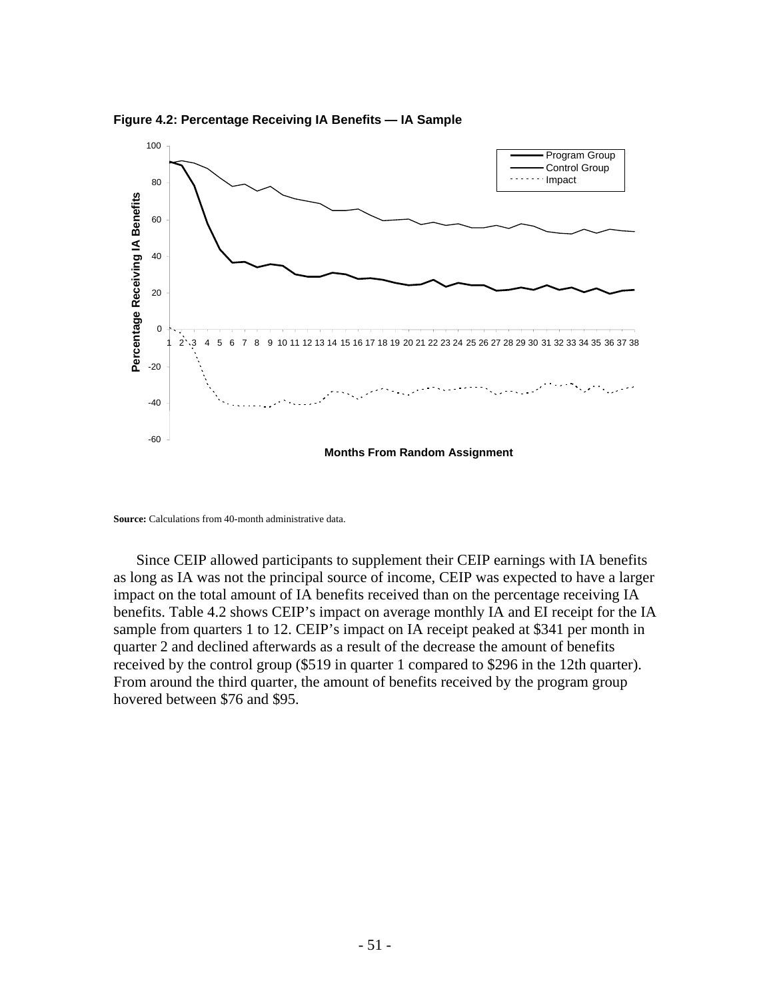**Figure 4.2: Percentage Receiving IA Benefits — IA Sample** 



**Source:** Calculations from 40-month administrative data.

Since CEIP allowed participants to supplement their CEIP earnings with IA benefits as long as IA was not the principal source of income, CEIP was expected to have a larger impact on the total amount of IA benefits received than on the percentage receiving IA benefits. Table 4.2 shows CEIP's impact on average monthly IA and EI receipt for the IA sample from quarters 1 to 12. CEIP's impact on IA receipt peaked at \$341 per month in quarter 2 and declined afterwards as a result of the decrease the amount of benefits received by the control group (\$519 in quarter 1 compared to \$296 in the 12th quarter). From around the third quarter, the amount of benefits received by the program group hovered between \$76 and \$95.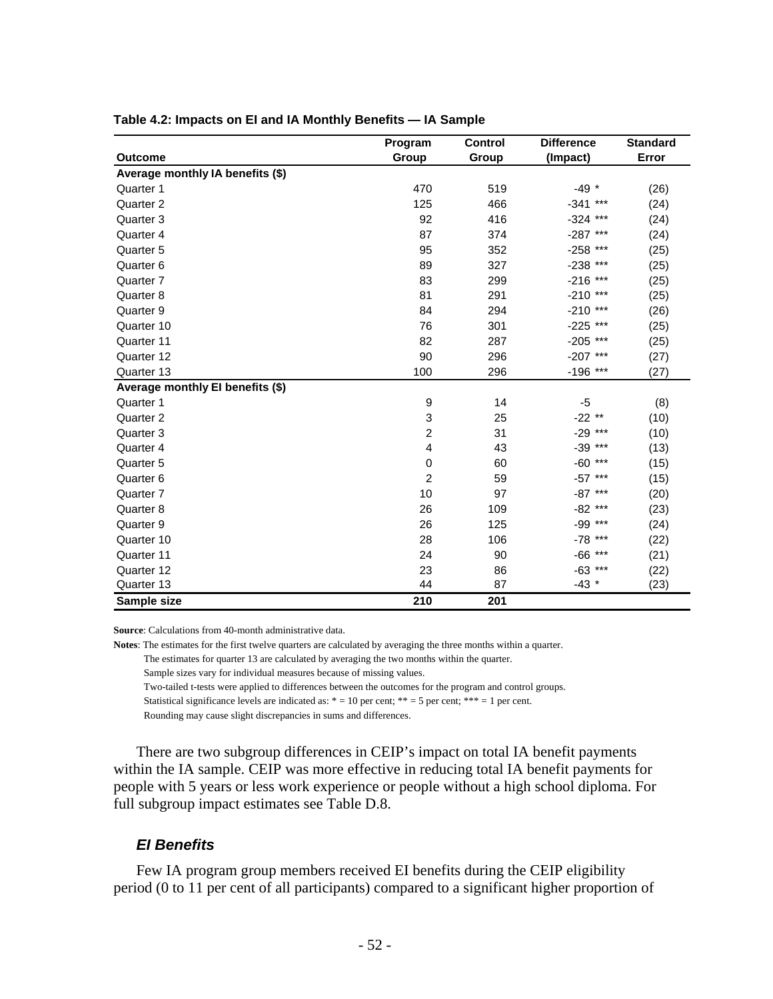|                                  | Program          | <b>Control</b> | <b>Difference</b> | <b>Standard</b> |
|----------------------------------|------------------|----------------|-------------------|-----------------|
| <b>Outcome</b>                   | Group            | Group          | (Impact)          | Error           |
| Average monthly IA benefits (\$) |                  |                |                   |                 |
| Quarter 1                        | 470              | 519            | $-49$ *           | (26)            |
| Quarter 2                        | 125              | 466            | $-341$<br>***     | (24)            |
| Quarter 3                        | 92               | 416            | $-324$ ***        | (24)            |
| Quarter 4                        | 87               | 374            | $-287$<br>***     | (24)            |
| Quarter 5                        | 95               | 352            | $-258$<br>***     | (25)            |
| Quarter 6                        | 89               | 327            | ***<br>$-238$     | (25)            |
| Quarter 7                        | 83               | 299            | $-216$<br>***     | (25)            |
| Quarter 8                        | 81               | 291            | $-210$ ***        | (25)            |
| Quarter 9                        | 84               | 294            | $***$<br>$-210$   | (26)            |
| Quarter 10                       | 76               | 301            | $-225$<br>$***$   | (25)            |
| Quarter 11                       | 82               | 287            | $***$<br>$-205$   | (25)            |
| Quarter 12                       | 90               | 296            | $-207$<br>***     | (27)            |
| Quarter 13                       | 100              | 296            | $-196$ ***        | (27)            |
| Average monthly El benefits (\$) |                  |                |                   |                 |
| Quarter 1                        | $\boldsymbol{9}$ | 14             | $-5$              | (8)             |
| Quarter 2                        | 3                | 25             | $-22$ **          | (10)            |
| Quarter 3                        | $\overline{c}$   | 31             | $-29$ ***         | (10)            |
| Quarter 4                        | $\overline{4}$   | 43             | $-39$ ***         | (13)            |
| Quarter 5                        | $\mathbf 0$      | 60             | $***$<br>$-60$    | (15)            |
| Quarter 6                        | $\overline{2}$   | 59             | $-57$ ***         | (15)            |
| Quarter 7                        | 10               | 97             | $-87$ ***         | (20)            |
| Quarter 8                        | 26               | 109            | $-82$ ***         | (23)            |
| Quarter 9                        | 26               | 125            | -99 ***           | (24)            |
| Quarter 10                       | 28               | 106            | -78 ***           | (22)            |
| Quarter 11                       | 24               | 90             | $-66$ ***         | (21)            |
| Quarter 12                       | 23               | 86             | $-63$ ***         | (22)            |
| Quarter 13                       | 44               | 87             | $-43$ *           | (23)            |
| Sample size                      | 210              | 201            |                   |                 |

#### **Table 4.2: Impacts on EI and IA Monthly Benefits — IA Sample**

**Source**: Calculations from 40-month administrative data.

**Notes**: The estimates for the first twelve quarters are calculated by averaging the three months within a quarter.

The estimates for quarter 13 are calculated by averaging the two months within the quarter.

Sample sizes vary for individual measures because of missing values.

Two-tailed t-tests were applied to differences between the outcomes for the program and control groups.

Statistical significance levels are indicated as:  $* = 10$  per cent;  $** = 5$  per cent;  $*** = 1$  per cent.

Rounding may cause slight discrepancies in sums and differences.

There are two subgroup differences in CEIP's impact on total IA benefit payments within the IA sample. CEIP was more effective in reducing total IA benefit payments for people with 5 years or less work experience or people without a high school diploma. For full subgroup impact estimates see Table D.8.

#### *EI Benefits*

Few IA program group members received EI benefits during the CEIP eligibility period (0 to 11 per cent of all participants) compared to a significant higher proportion of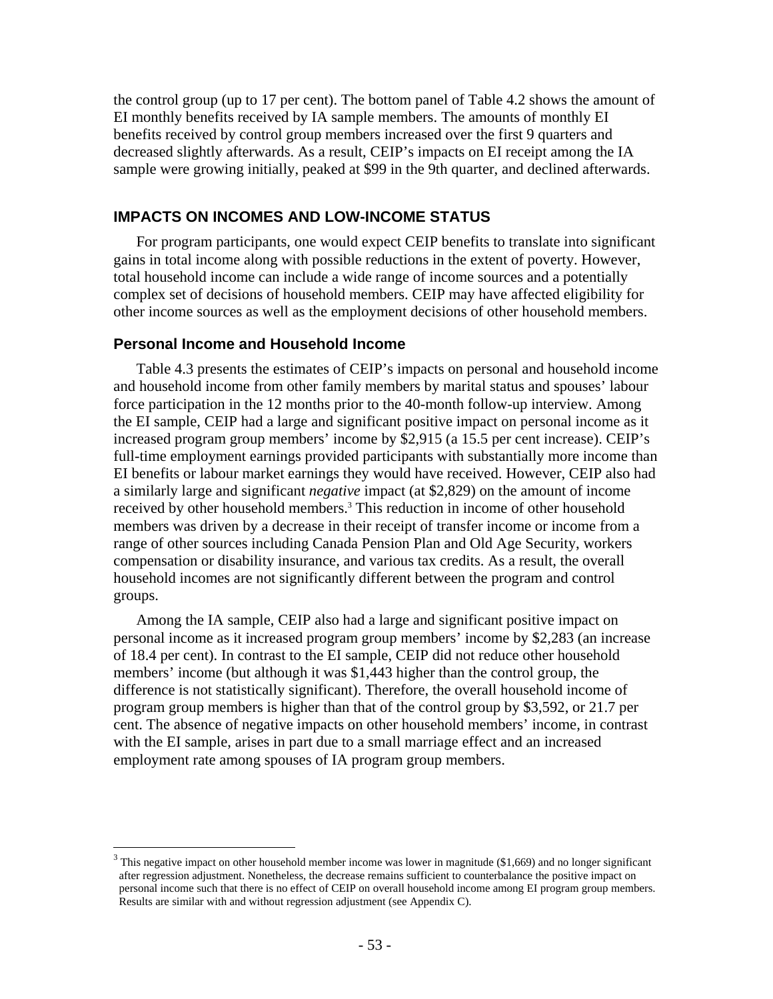the control group (up to 17 per cent). The bottom panel of Table 4.2 shows the amount of EI monthly benefits received by IA sample members. The amounts of monthly EI benefits received by control group members increased over the first 9 quarters and decreased slightly afterwards. As a result, CEIP's impacts on EI receipt among the IA sample were growing initially, peaked at \$99 in the 9th quarter, and declined afterwards.

### **IMPACTS ON INCOMES AND LOW-INCOME STATUS**

For program participants, one would expect CEIP benefits to translate into significant gains in total income along with possible reductions in the extent of poverty. However, total household income can include a wide range of income sources and a potentially complex set of decisions of household members. CEIP may have affected eligibility for other income sources as well as the employment decisions of other household members.

## **Personal Income and Household Income**

 $\overline{a}$ 

Table 4.3 presents the estimates of CEIP's impacts on personal and household income and household income from other family members by marital status and spouses' labour force participation in the 12 months prior to the 40-month follow-up interview. Among the EI sample, CEIP had a large and significant positive impact on personal income as it increased program group members' income by \$2,915 (a 15.5 per cent increase). CEIP's full-time employment earnings provided participants with substantially more income than EI benefits or labour market earnings they would have received. However, CEIP also had a similarly large and significant *negative* impact (at \$2,829) on the amount of income received by other household members.<sup>3</sup> This reduction in income of other household members was driven by a decrease in their receipt of transfer income or income from a range of other sources including Canada Pension Plan and Old Age Security, workers compensation or disability insurance, and various tax credits. As a result, the overall household incomes are not significantly different between the program and control groups.

Among the IA sample, CEIP also had a large and significant positive impact on personal income as it increased program group members' income by \$2,283 (an increase of 18.4 per cent). In contrast to the EI sample, CEIP did not reduce other household members' income (but although it was \$1,443 higher than the control group, the difference is not statistically significant). Therefore, the overall household income of program group members is higher than that of the control group by \$3,592, or 21.7 per cent. The absence of negative impacts on other household members' income, in contrast with the EI sample, arises in part due to a small marriage effect and an increased employment rate among spouses of IA program group members.

 $3$  This negative impact on other household member income was lower in magnitude (\$1,669) and no longer significant after regression adjustment. Nonetheless, the decrease remains sufficient to counterbalance the positive impact on personal income such that there is no effect of CEIP on overall household income among EI program group members. Results are similar with and without regression adjustment (see Appendix C).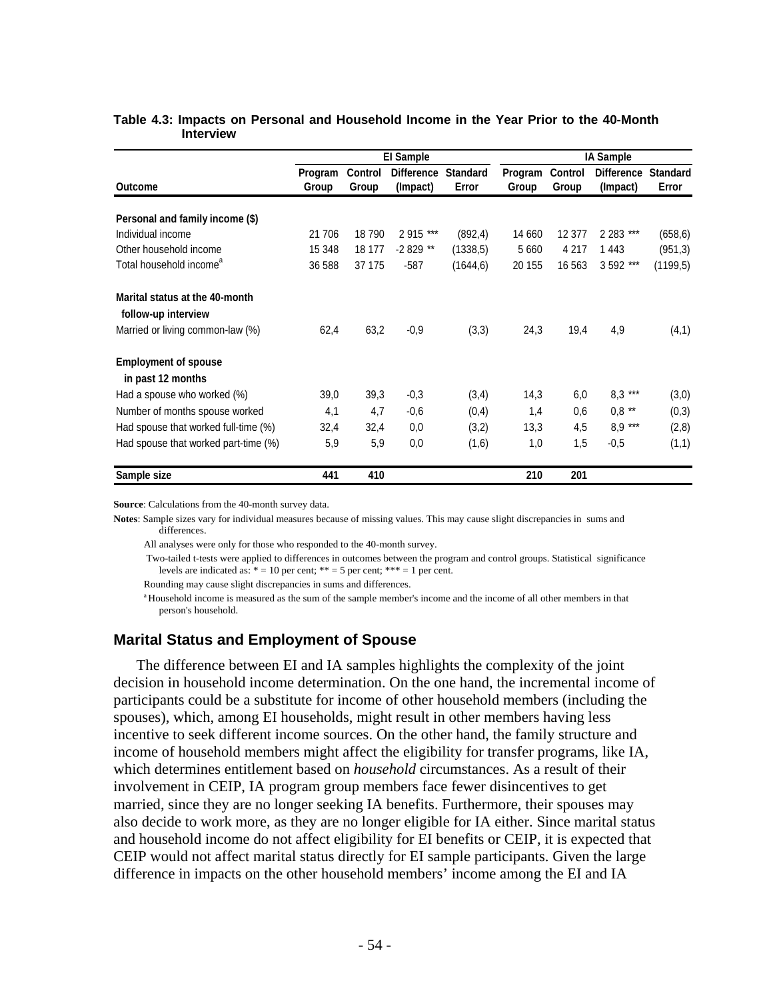|                                      | <b>El Sample</b> |                         |                               |                          | <b>IA Sample</b> |                         |                               |                          |
|--------------------------------------|------------------|-------------------------|-------------------------------|--------------------------|------------------|-------------------------|-------------------------------|--------------------------|
| <b>Outcome</b>                       | Program<br>Group | <b>Control</b><br>Group | <b>Difference</b><br>(Impact) | <b>Standard</b><br>Error | Program<br>Group | <b>Control</b><br>Group | <b>Difference</b><br>(Impact) | <b>Standard</b><br>Error |
| Personal and family income (\$)      |                  |                         |                               |                          |                  |                         |                               |                          |
| Individual income                    | 21 706           | 18790                   | 2 915 ***                     | (892, 4)                 | 14 660           | 12 377                  | 2 2 8 ***                     | (658, 6)                 |
| Other household income               | 15 348           | 18 177                  | -2 829 **                     | (1338.5)                 | 5 6 6 0          | 4 2 1 7                 | 1443                          | (951, 3)                 |
| Total household income <sup>a</sup>  | 36 588           | 37 175                  | $-587$                        | (1644, 6)                | 20 155           | 16 563                  | 3 592 ***                     | (1199,5)                 |
| Marital status at the 40-month       |                  |                         |                               |                          |                  |                         |                               |                          |
| follow-up interview                  |                  |                         |                               |                          |                  |                         |                               |                          |
| Married or living common-law (%)     | 62,4             | 63,2                    | $-0,9$                        | (3,3)                    | 24,3             | 19,4                    | 4,9                           | (4,1)                    |
| <b>Employment of spouse</b>          |                  |                         |                               |                          |                  |                         |                               |                          |
| in past 12 months                    |                  |                         |                               |                          |                  |                         |                               |                          |
| Had a spouse who worked (%)          | 39,0             | 39,3                    | $-0,3$                        | (3,4)                    | 14,3             | 6,0                     | $8.3***$                      | (3,0)                    |
| Number of months spouse worked       | 4,1              | 4,7                     | $-0,6$                        | (0,4)                    | 1,4              | 0,6                     | $0,8$ **                      | (0,3)                    |
| Had spouse that worked full-time (%) | 32,4             | 32,4                    | 0,0                           | (3,2)                    | 13,3             | 4,5                     | $8,9$ ***                     | (2,8)                    |
| Had spouse that worked part-time (%) | 5,9              | 5,9                     | 0,0                           | (1,6)                    | 1,0              | 1,5                     | $-0,5$                        | (1,1)                    |
| Sample size                          | 441              | 410                     |                               |                          | 210              | 201                     |                               |                          |

#### **Table 4.3: Impacts on Personal and Household Income in the Year Prior to the 40-Month Interview**

**Source**: Calculations from the 40-month survey data.

**Notes**: Sample sizes vary for individual measures because of missing values. This may cause slight discrepancies in sums and differences.

All analyses were only for those who responded to the 40-month survey.

 Two-tailed t-tests were applied to differences in outcomes between the program and control groups. Statistical significance levels are indicated as:  $* = 10$  per cent;  $** = 5$  per cent;  $*** = 1$  per cent.

Rounding may cause slight discrepancies in sums and differences.

 a Household income is measured as the sum of the sample member's income and the income of all other members in that person's household.

#### **Marital Status and Employment of Spouse**

The difference between EI and IA samples highlights the complexity of the joint decision in household income determination. On the one hand, the incremental income of participants could be a substitute for income of other household members (including the spouses), which, among EI households, might result in other members having less incentive to seek different income sources. On the other hand, the family structure and income of household members might affect the eligibility for transfer programs, like IA, which determines entitlement based on *household* circumstances. As a result of their involvement in CEIP, IA program group members face fewer disincentives to get married, since they are no longer seeking IA benefits. Furthermore, their spouses may also decide to work more, as they are no longer eligible for IA either. Since marital status and household income do not affect eligibility for EI benefits or CEIP, it is expected that CEIP would not affect marital status directly for EI sample participants. Given the large difference in impacts on the other household members' income among the EI and IA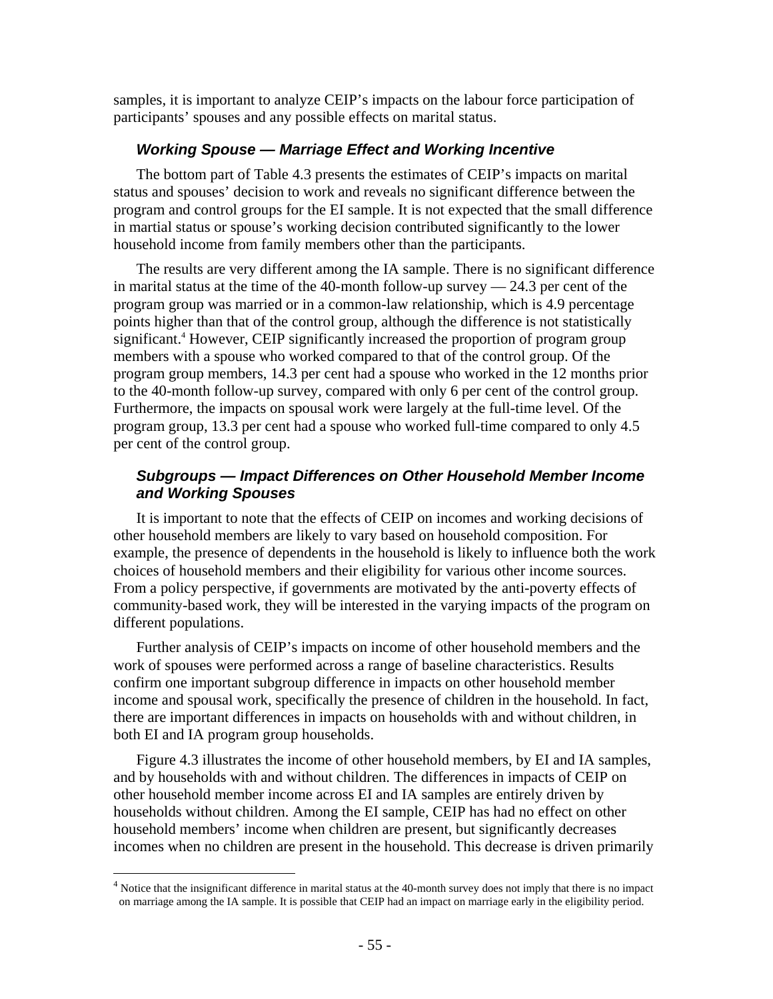samples, it is important to analyze CEIP's impacts on the labour force participation of participants' spouses and any possible effects on marital status.

# *Working Spouse — Marriage Effect and Working Incentive*

The bottom part of Table 4.3 presents the estimates of CEIP's impacts on marital status and spouses' decision to work and reveals no significant difference between the program and control groups for the EI sample. It is not expected that the small difference in martial status or spouse's working decision contributed significantly to the lower household income from family members other than the participants.

The results are very different among the IA sample. There is no significant difference in marital status at the time of the 40-month follow-up survey  $-24.3$  per cent of the program group was married or in a common-law relationship, which is 4.9 percentage points higher than that of the control group, although the difference is not statistically significant.<sup>4</sup> However, CEIP significantly increased the proportion of program group members with a spouse who worked compared to that of the control group. Of the program group members, 14.3 per cent had a spouse who worked in the 12 months prior to the 40-month follow-up survey, compared with only 6 per cent of the control group. Furthermore, the impacts on spousal work were largely at the full-time level. Of the program group, 13.3 per cent had a spouse who worked full-time compared to only 4.5 per cent of the control group.

# *Subgroups — Impact Differences on Other Household Member Income and Working Spouses*

It is important to note that the effects of CEIP on incomes and working decisions of other household members are likely to vary based on household composition. For example, the presence of dependents in the household is likely to influence both the work choices of household members and their eligibility for various other income sources. From a policy perspective, if governments are motivated by the anti-poverty effects of community-based work, they will be interested in the varying impacts of the program on different populations.

Further analysis of CEIP's impacts on income of other household members and the work of spouses were performed across a range of baseline characteristics. Results confirm one important subgroup difference in impacts on other household member income and spousal work, specifically the presence of children in the household. In fact, there are important differences in impacts on households with and without children, in both EI and IA program group households.

Figure 4.3 illustrates the income of other household members, by EI and IA samples, and by households with and without children. The differences in impacts of CEIP on other household member income across EI and IA samples are entirely driven by households without children. Among the EI sample, CEIP has had no effect on other household members' income when children are present, but significantly decreases incomes when no children are present in the household. This decrease is driven primarily

 $\overline{a}$ 

 $4$  Notice that the insignificant difference in marital status at the 40-month survey does not imply that there is no impact on marriage among the IA sample. It is possible that CEIP had an impact on marriage early in the eligibility period.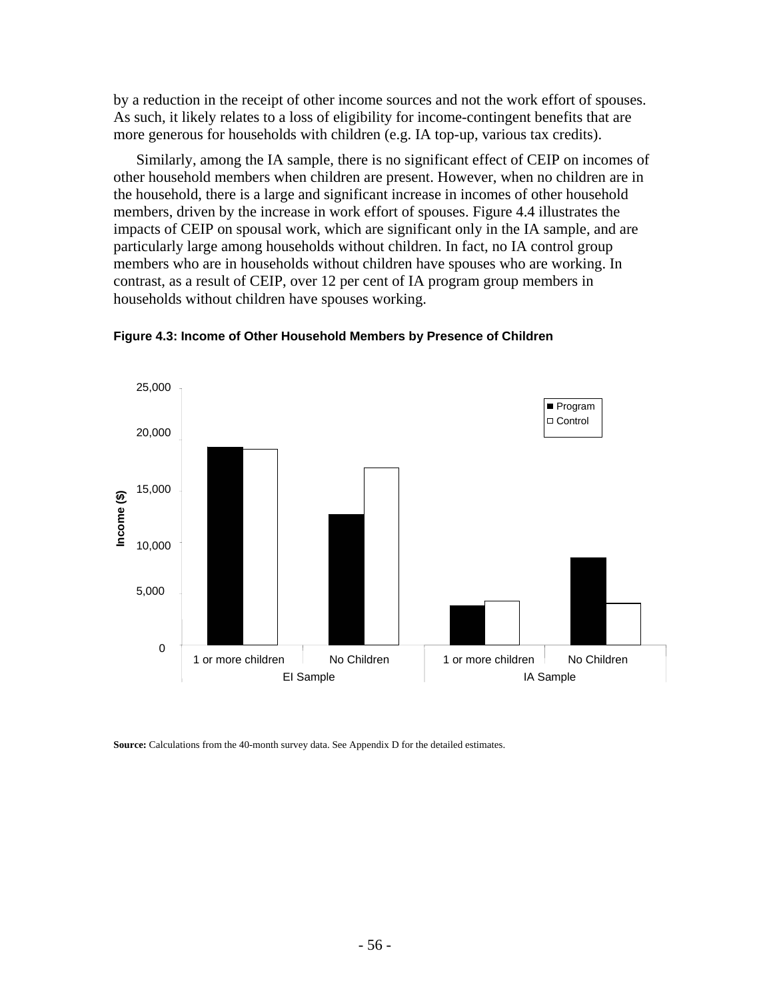by a reduction in the receipt of other income sources and not the work effort of spouses. As such, it likely relates to a loss of eligibility for income-contingent benefits that are more generous for households with children (e.g. IA top-up, various tax credits).

Similarly, among the IA sample, there is no significant effect of CEIP on incomes of other household members when children are present. However, when no children are in the household, there is a large and significant increase in incomes of other household members, driven by the increase in work effort of spouses. Figure 4.4 illustrates the impacts of CEIP on spousal work, which are significant only in the IA sample, and are particularly large among households without children. In fact, no IA control group members who are in households without children have spouses who are working. In contrast, as a result of CEIP, over 12 per cent of IA program group members in households without children have spouses working.



**Figure 4.3: Income of Other Household Members by Presence of Children** 

**Source:** Calculations from the 40-month survey data. See Appendix D for the detailed estimates.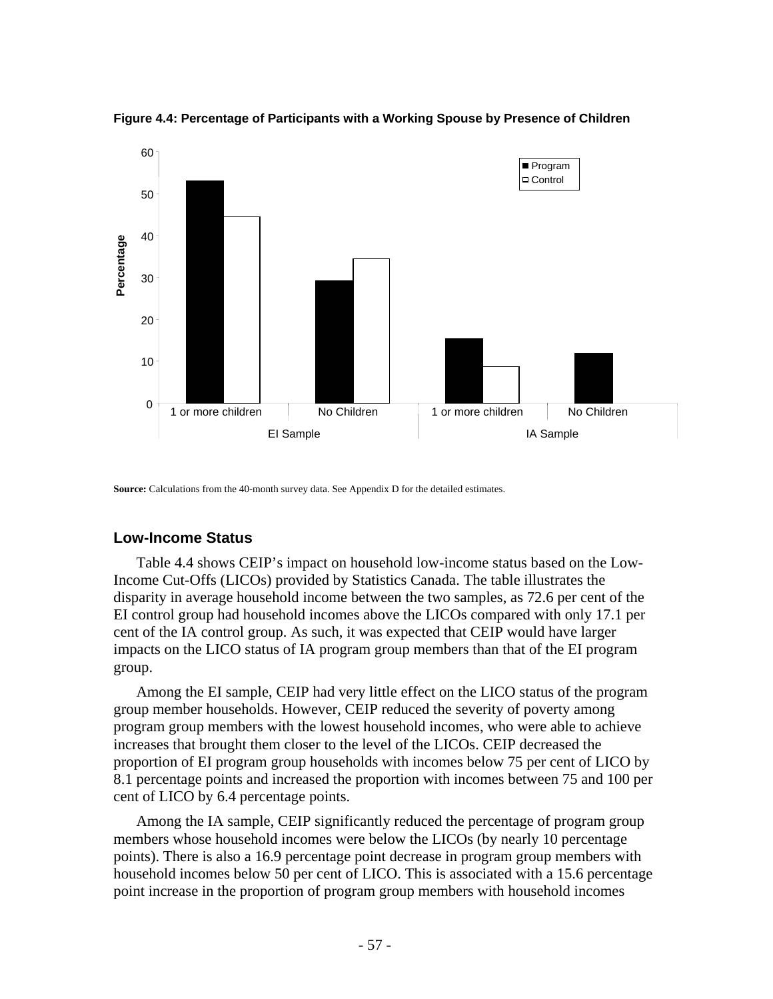

**Figure 4.4: Percentage of Participants with a Working Spouse by Presence of Children** 

**Source:** Calculations from the 40-month survey data. See Appendix D for the detailed estimates.

# **Low-Income Status**

Table 4.4 shows CEIP's impact on household low-income status based on the Low-Income Cut-Offs (LICOs) provided by Statistics Canada. The table illustrates the disparity in average household income between the two samples, as 72.6 per cent of the EI control group had household incomes above the LICOs compared with only 17.1 per cent of the IA control group. As such, it was expected that CEIP would have larger impacts on the LICO status of IA program group members than that of the EI program group.

Among the EI sample, CEIP had very little effect on the LICO status of the program group member households. However, CEIP reduced the severity of poverty among program group members with the lowest household incomes, who were able to achieve increases that brought them closer to the level of the LICOs. CEIP decreased the proportion of EI program group households with incomes below 75 per cent of LICO by 8.1 percentage points and increased the proportion with incomes between 75 and 100 per cent of LICO by 6.4 percentage points.

Among the IA sample, CEIP significantly reduced the percentage of program group members whose household incomes were below the LICOs (by nearly 10 percentage points). There is also a 16.9 percentage point decrease in program group members with household incomes below 50 per cent of LICO. This is associated with a 15.6 percentage point increase in the proportion of program group members with household incomes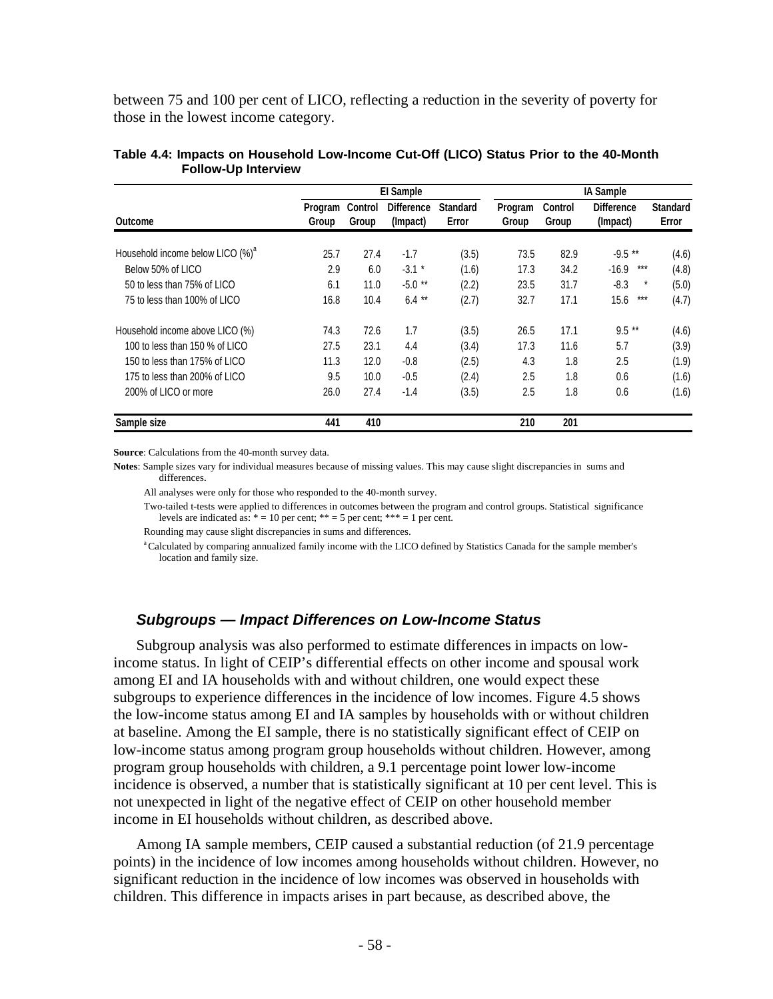between 75 and 100 per cent of LICO, reflecting a reduction in the severity of poverty for those in the lowest income category.

| Outcome                                      | El Sample        |                  |                               |                          | <b>IA Sample</b> |                  |                               |                          |
|----------------------------------------------|------------------|------------------|-------------------------------|--------------------------|------------------|------------------|-------------------------------|--------------------------|
|                                              | Program<br>Group | Control<br>Group | <b>Difference</b><br>(Impact) | <b>Standard</b><br>Error | Program<br>Group | Control<br>Group | <b>Difference</b><br>(Impact) | <b>Standard</b><br>Error |
| Household income below LICO (%) <sup>a</sup> | 25.7             | 27.4             | $-1.7$                        | (3.5)                    | 73.5             | 82.9             | $-9.5**$                      | (4.6)                    |
| Below 50% of LICO                            | 2.9              | 6.0              | $-3.1$ *                      | (1.6)                    | 17.3             | 34.2             | ***<br>$-16.9$                | (4.8)                    |
| 50 to less than 75% of LICO                  | 6.1              | 11.0             | $-5.0$ **                     | (2.2)                    | 23.5             | 31.7             | $-8.3$<br>$^\star$            | (5.0)                    |
| 75 to less than 100% of LICO                 | 16.8             | 10.4             | $6.4**$                       | (2.7)                    | 32.7             | 17.1             | 15.6<br>***                   | (4.7)                    |
| Household income above LICO (%)              | 74.3             | 72.6             | 1.7                           | (3.5)                    | 26.5             | 17.1             | $9.5**$                       | (4.6)                    |
| 100 to less than 150 % of LICO               | 27.5             | 23.1             | 4.4                           | (3.4)                    | 17.3             | 11.6             | 5.7                           | (3.9)                    |
| 150 to less than 175% of LICO                | 11.3             | 12.0             | $-0.8$                        | (2.5)                    | 4.3              | 1.8              | 2.5                           | (1.9)                    |
| 175 to less than 200% of LICO                | 9.5              | 10.0             | $-0.5$                        | (2.4)                    | 2.5              | 1.8              | 0.6                           | (1.6)                    |
| 200% of LICO or more                         | 26.0             | 27.4             | $-1.4$                        | (3.5)                    | 2.5              | 1.8              | 0.6                           | (1.6)                    |
| Sample size                                  | 441              | 410              |                               |                          | 210              | 201              |                               |                          |

#### **Table 4.4: Impacts on Household Low-Income Cut-Off (LICO) Status Prior to the 40-Month Follow-Up Interview**

**Source**: Calculations from the 40-month survey data.

**Notes**: Sample sizes vary for individual measures because of missing values. This may cause slight discrepancies in sums and differences.

All analyses were only for those who responded to the 40-month survey.

 Two-tailed t-tests were applied to differences in outcomes between the program and control groups. Statistical significance levels are indicated as:  $* = 10$  per cent;  $** = 5$  per cent;  $*** = 1$  per cent.

Rounding may cause slight discrepancies in sums and differences.

<sup>a</sup> Calculated by comparing annualized family income with the LICO defined by Statistics Canada for the sample member's location and family size.

### *Subgroups — Impact Differences on Low-Income Status*

Subgroup analysis was also performed to estimate differences in impacts on lowincome status. In light of CEIP's differential effects on other income and spousal work among EI and IA households with and without children, one would expect these subgroups to experience differences in the incidence of low incomes. Figure 4.5 shows the low-income status among EI and IA samples by households with or without children at baseline. Among the EI sample, there is no statistically significant effect of CEIP on low-income status among program group households without children. However, among program group households with children, a 9.1 percentage point lower low-income incidence is observed, a number that is statistically significant at 10 per cent level. This is not unexpected in light of the negative effect of CEIP on other household member income in EI households without children, as described above.

Among IA sample members, CEIP caused a substantial reduction (of 21.9 percentage points) in the incidence of low incomes among households without children. However, no significant reduction in the incidence of low incomes was observed in households with children. This difference in impacts arises in part because, as described above, the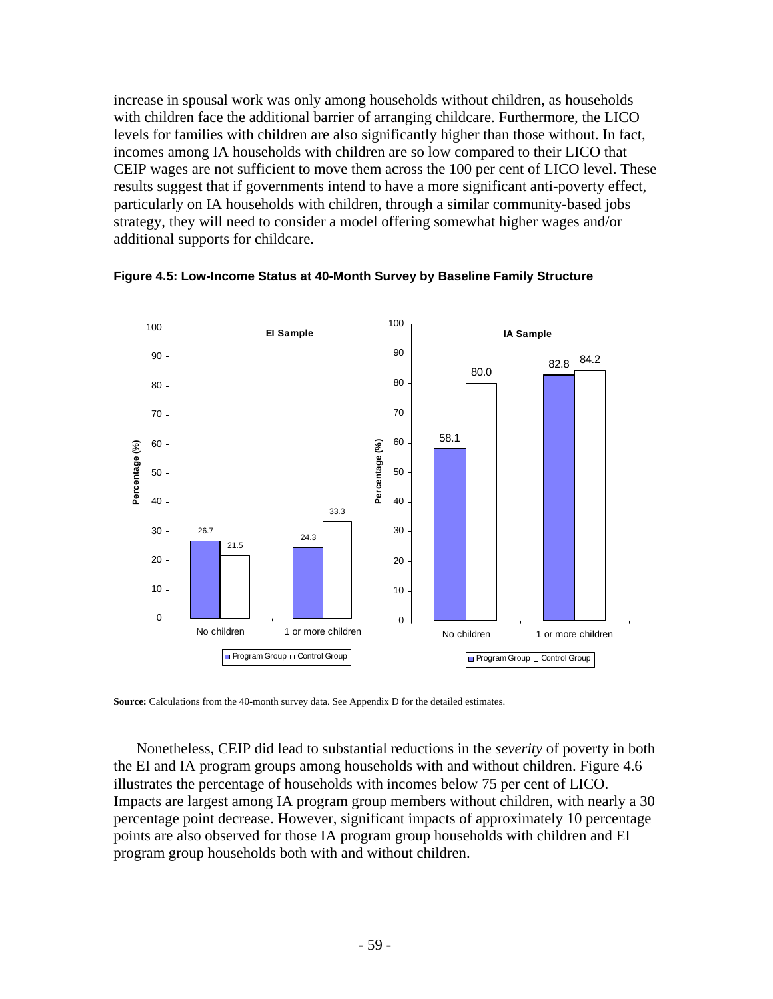increase in spousal work was only among households without children, as households with children face the additional barrier of arranging childcare. Furthermore, the LICO levels for families with children are also significantly higher than those without. In fact, incomes among IA households with children are so low compared to their LICO that CEIP wages are not sufficient to move them across the 100 per cent of LICO level. These results suggest that if governments intend to have a more significant anti-poverty effect, particularly on IA households with children, through a similar community-based jobs strategy, they will need to consider a model offering somewhat higher wages and/or additional supports for childcare.



**Figure 4.5: Low-Income Status at 40-Month Survey by Baseline Family Structure** 

**Source:** Calculations from the 40-month survey data. See Appendix D for the detailed estimates.

Nonetheless, CEIP did lead to substantial reductions in the *severity* of poverty in both the EI and IA program groups among households with and without children. Figure 4.6 illustrates the percentage of households with incomes below 75 per cent of LICO. Impacts are largest among IA program group members without children, with nearly a 30 percentage point decrease. However, significant impacts of approximately 10 percentage points are also observed for those IA program group households with children and EI program group households both with and without children.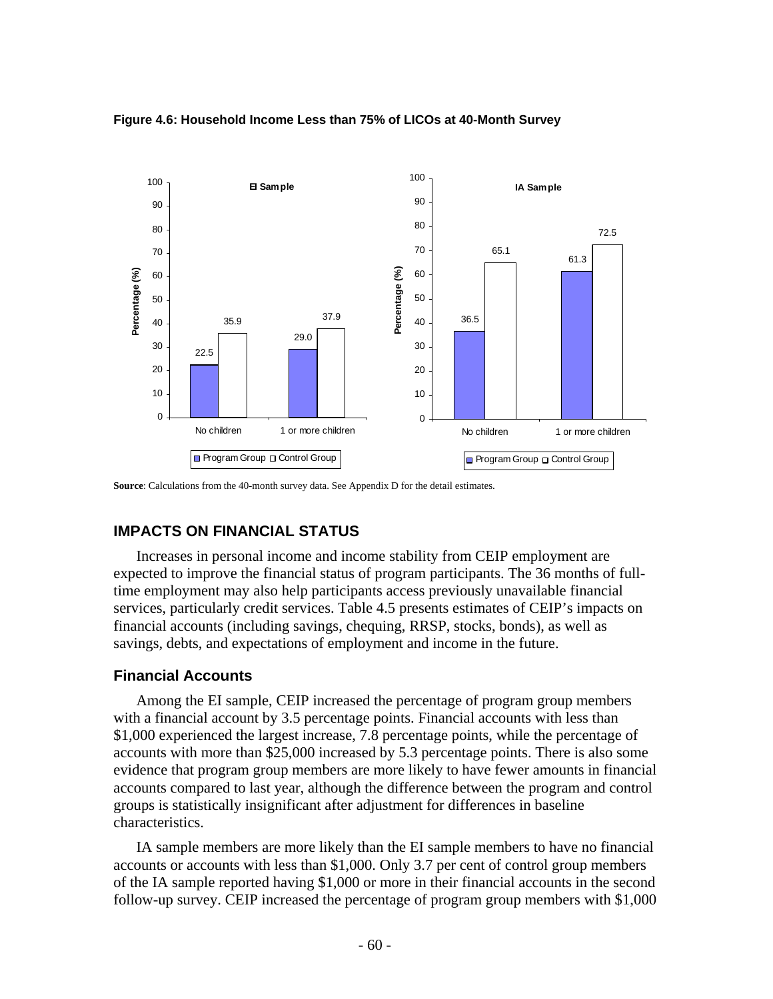

#### **Figure 4.6: Household Income Less than 75% of LICOs at 40-Month Survey**

**Source**: Calculations from the 40-month survey data. See Appendix D for the detail estimates.

# **IMPACTS ON FINANCIAL STATUS**

Increases in personal income and income stability from CEIP employment are expected to improve the financial status of program participants. The 36 months of fulltime employment may also help participants access previously unavailable financial services, particularly credit services. Table 4.5 presents estimates of CEIP's impacts on financial accounts (including savings, chequing, RRSP, stocks, bonds), as well as savings, debts, and expectations of employment and income in the future.

# **Financial Accounts**

Among the EI sample, CEIP increased the percentage of program group members with a financial account by 3.5 percentage points. Financial accounts with less than \$1,000 experienced the largest increase, 7.8 percentage points, while the percentage of accounts with more than \$25,000 increased by 5.3 percentage points. There is also some evidence that program group members are more likely to have fewer amounts in financial accounts compared to last year, although the difference between the program and control groups is statistically insignificant after adjustment for differences in baseline characteristics.

IA sample members are more likely than the EI sample members to have no financial accounts or accounts with less than \$1,000. Only 3.7 per cent of control group members of the IA sample reported having \$1,000 or more in their financial accounts in the second follow-up survey. CEIP increased the percentage of program group members with \$1,000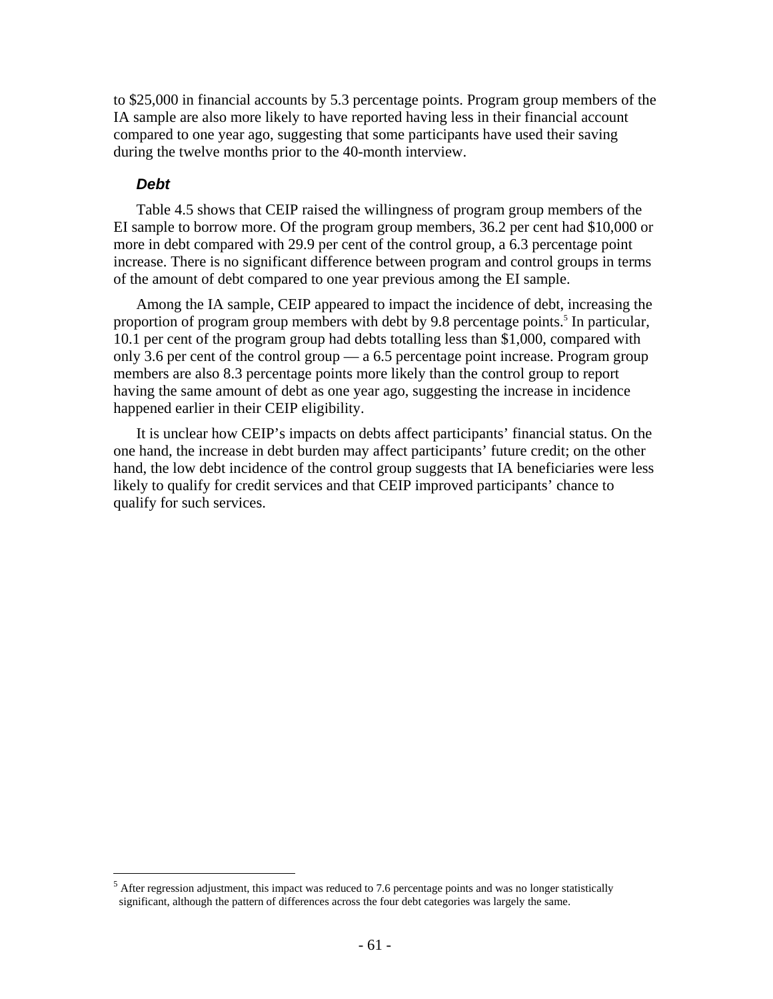to \$25,000 in financial accounts by 5.3 percentage points. Program group members of the IA sample are also more likely to have reported having less in their financial account compared to one year ago, suggesting that some participants have used their saving during the twelve months prior to the 40-month interview.

### *Debt*

1

Table 4.5 shows that CEIP raised the willingness of program group members of the EI sample to borrow more. Of the program group members, 36.2 per cent had \$10,000 or more in debt compared with 29.9 per cent of the control group, a 6.3 percentage point increase. There is no significant difference between program and control groups in terms of the amount of debt compared to one year previous among the EI sample.

Among the IA sample, CEIP appeared to impact the incidence of debt, increasing the proportion of program group members with debt by 9.8 percentage points.<sup>5</sup> In particular, 10.1 per cent of the program group had debts totalling less than \$1,000, compared with only 3.6 per cent of the control group — a 6.5 percentage point increase. Program group members are also 8.3 percentage points more likely than the control group to report having the same amount of debt as one year ago, suggesting the increase in incidence happened earlier in their CEIP eligibility.

It is unclear how CEIP's impacts on debts affect participants' financial status. On the one hand, the increase in debt burden may affect participants' future credit; on the other hand, the low debt incidence of the control group suggests that IA beneficiaries were less likely to qualify for credit services and that CEIP improved participants' chance to qualify for such services.

 $<sup>5</sup>$  After regression adjustment, this impact was reduced to 7.6 percentage points and was no longer statistically</sup> significant, although the pattern of differences across the four debt categories was largely the same.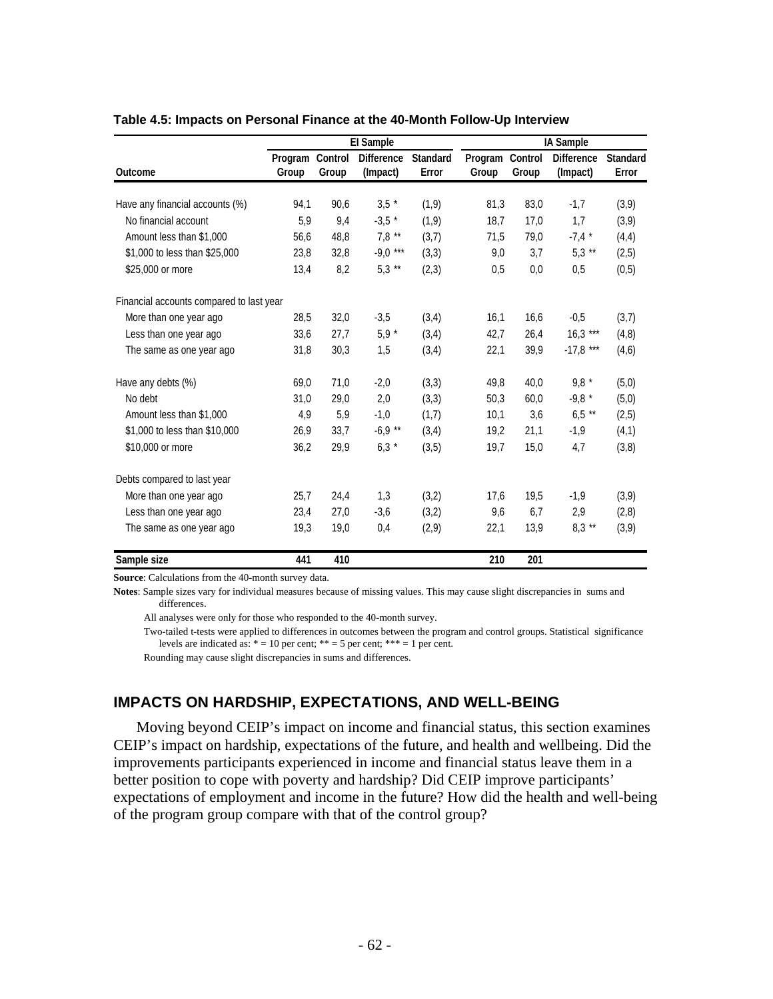|                                          |                  |                  | El Sample                     |                          |                  |                  | IA Sample                     |                          |
|------------------------------------------|------------------|------------------|-------------------------------|--------------------------|------------------|------------------|-------------------------------|--------------------------|
| <b>Outcome</b>                           | Program<br>Group | Control<br>Group | <b>Difference</b><br>(Impact) | <b>Standard</b><br>Error | Program<br>Group | Control<br>Group | <b>Difference</b><br>(Impact) | <b>Standard</b><br>Error |
|                                          |                  |                  |                               |                          |                  |                  |                               |                          |
| Have any financial accounts (%)          | 94,1             | 90,6             | $3,5 *$                       | (1, 9)                   | 81,3             | 83,0             | $-1,7$                        | (3,9)                    |
| No financial account                     | 5,9              | 9,4              | $-3,5$ *                      | (1,9)                    | 18,7             | 17,0             | 1,7                           | (3,9)                    |
| Amount less than \$1,000                 | 56,6             | 48,8             | $7,8$ **                      | (3,7)                    | 71,5             | 79,0             | $-7,4*$                       | (4,4)                    |
| \$1,000 to less than \$25,000            | 23,8             | 32,8             | $-9,0$ ***                    | (3,3)                    | 9,0              | 3,7              | $5,3$ **                      | (2,5)                    |
| \$25,000 or more                         | 13,4             | 8,2              | $5,3$ **                      | (2,3)                    | 0,5              | 0,0              | 0,5                           | (0, 5)                   |
| Financial accounts compared to last year |                  |                  |                               |                          |                  |                  |                               |                          |
| More than one year ago                   | 28,5             | 32,0             | $-3,5$                        | (3,4)                    | 16,1             | 16,6             | $-0.5$                        | (3,7)                    |
| Less than one year ago                   | 33,6             | 27,7             | $5,9 *$                       | (3,4)                    | 42,7             | 26,4             | $16,3$ ***                    | (4, 8)                   |
| The same as one year ago                 | 31,8             | 30,3             | 1,5                           | (3,4)                    | 22,1             | 39,9             | $-17,8$ ***                   | (4,6)                    |
| Have any debts (%)                       | 69,0             | 71,0             | $-2,0$                        | (3,3)                    | 49,8             | 40,0             | $9.8*$                        | (5,0)                    |
| No debt                                  | 31,0             | 29,0             | 2,0                           | (3,3)                    | 50,3             | 60,0             | $-9,8 *$                      | (5,0)                    |
| Amount less than \$1,000                 | 4,9              | 5,9              | $-1,0$                        | (1,7)                    | 10,1             | 3,6              | $6,5$ **                      | (2,5)                    |
| \$1,000 to less than \$10,000            | 26,9             | 33,7             | $-6,9$ **                     | (3,4)                    | 19,2             | 21,1             | $-1,9$                        | (4,1)                    |
| \$10,000 or more                         | 36,2             | 29,9             | $6,3*$                        | (3,5)                    | 19,7             | 15,0             | 4,7                           | (3,8)                    |
| Debts compared to last year              |                  |                  |                               |                          |                  |                  |                               |                          |
| More than one year ago                   | 25,7             | 24,4             | 1,3                           | (3,2)                    | 17,6             | 19,5             | $-1,9$                        | (3,9)                    |
| Less than one year ago                   | 23,4             | 27,0             | $-3,6$                        | (3,2)                    | 9,6              | 6,7              | 2,9                           | (2,8)                    |
| The same as one year ago                 | 19,3             | 19,0             | 0,4                           | (2,9)                    | 22,1             | 13,9             | $8,3$ **                      | (3,9)                    |
| Sample size                              | 441              | 410              |                               |                          | 210              | 201              |                               |                          |

#### **Table 4.5: Impacts on Personal Finance at the 40-Month Follow-Up Interview**

**Source**: Calculations from the 40-month survey data.

**Notes**: Sample sizes vary for individual measures because of missing values. This may cause slight discrepancies in sums and differences.

All analyses were only for those who responded to the 40-month survey.

 Two-tailed t-tests were applied to differences in outcomes between the program and control groups. Statistical significance levels are indicated as:  $* = 10$  per cent;  $** = 5$  per cent;  $*** = 1$  per cent.

Rounding may cause slight discrepancies in sums and differences.

# **IMPACTS ON HARDSHIP, EXPECTATIONS, AND WELL-BEING**

Moving beyond CEIP's impact on income and financial status, this section examines CEIP's impact on hardship, expectations of the future, and health and wellbeing. Did the improvements participants experienced in income and financial status leave them in a better position to cope with poverty and hardship? Did CEIP improve participants' expectations of employment and income in the future? How did the health and well-being of the program group compare with that of the control group?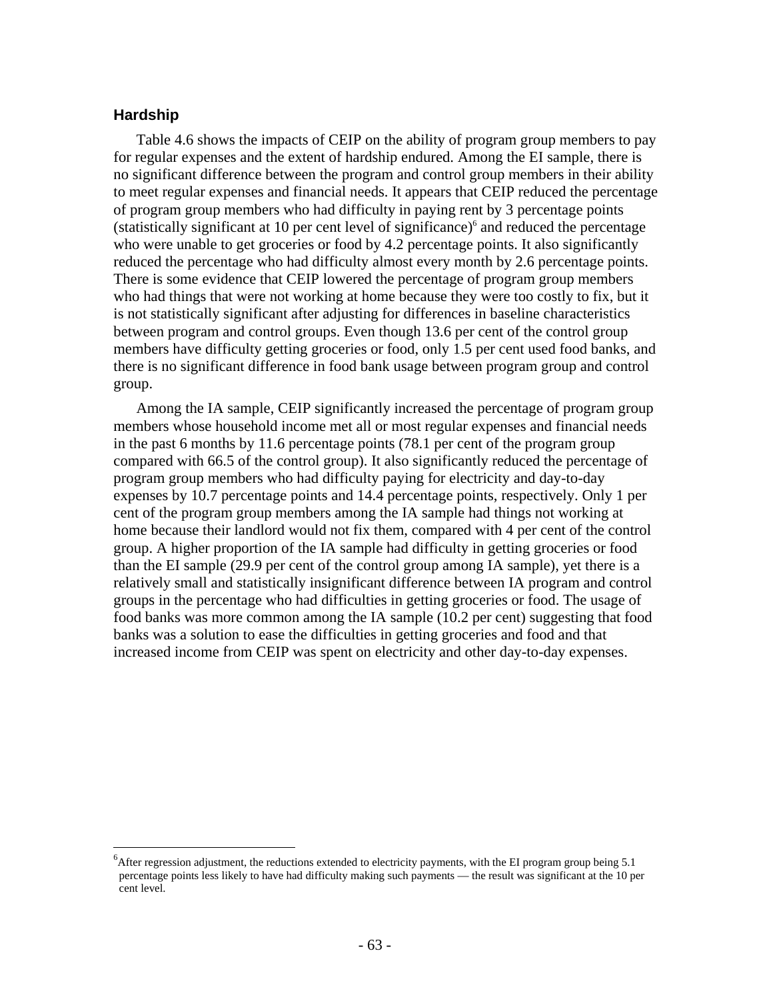# **Hardship**

 $\overline{a}$ 

Table 4.6 shows the impacts of CEIP on the ability of program group members to pay for regular expenses and the extent of hardship endured. Among the EI sample, there is no significant difference between the program and control group members in their ability to meet regular expenses and financial needs. It appears that CEIP reduced the percentage of program group members who had difficulty in paying rent by 3 percentage points (statistically significant at 10 per cent level of significance)<sup>6</sup> and reduced the percentage who were unable to get groceries or food by 4.2 percentage points. It also significantly reduced the percentage who had difficulty almost every month by 2.6 percentage points. There is some evidence that CEIP lowered the percentage of program group members who had things that were not working at home because they were too costly to fix, but it is not statistically significant after adjusting for differences in baseline characteristics between program and control groups. Even though 13.6 per cent of the control group members have difficulty getting groceries or food, only 1.5 per cent used food banks, and there is no significant difference in food bank usage between program group and control group.

Among the IA sample, CEIP significantly increased the percentage of program group members whose household income met all or most regular expenses and financial needs in the past 6 months by 11.6 percentage points (78.1 per cent of the program group compared with 66.5 of the control group). It also significantly reduced the percentage of program group members who had difficulty paying for electricity and day-to-day expenses by 10.7 percentage points and 14.4 percentage points, respectively. Only 1 per cent of the program group members among the IA sample had things not working at home because their landlord would not fix them, compared with 4 per cent of the control group. A higher proportion of the IA sample had difficulty in getting groceries or food than the EI sample (29.9 per cent of the control group among IA sample), yet there is a relatively small and statistically insignificant difference between IA program and control groups in the percentage who had difficulties in getting groceries or food. The usage of food banks was more common among the IA sample (10.2 per cent) suggesting that food banks was a solution to ease the difficulties in getting groceries and food and that increased income from CEIP was spent on electricity and other day-to-day expenses.

 ${}^{6}$ After regression adjustment, the reductions extended to electricity payments, with the EI program group being 5.1 percentage points less likely to have had difficulty making such payments — the result was significant at the 10 per cent level.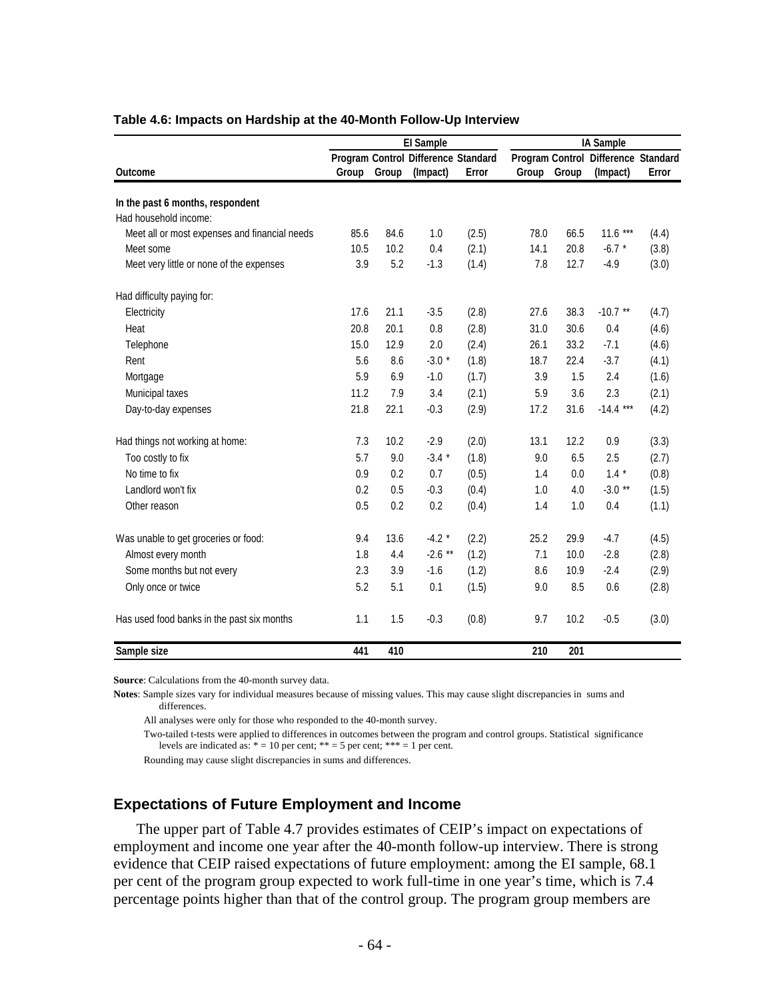|                                               | <b>El Sample</b> |       |                                     |       |       |       | IA Sample                           |       |  |
|-----------------------------------------------|------------------|-------|-------------------------------------|-------|-------|-------|-------------------------------------|-------|--|
|                                               |                  |       | Program Control Difference Standard |       |       |       | Program Control Difference Standard |       |  |
| <b>Outcome</b>                                | Group            | Group | (Impact)                            | Error | Group | Group | (Impact)                            | Error |  |
| In the past 6 months, respondent              |                  |       |                                     |       |       |       |                                     |       |  |
| Had household income:                         |                  |       |                                     |       |       |       |                                     |       |  |
| Meet all or most expenses and financial needs | 85.6             | 84.6  | 1.0                                 | (2.5) | 78.0  | 66.5  | $11.6***$                           | (4.4) |  |
| Meet some                                     | 10.5             | 10.2  | 0.4                                 | (2.1) | 14.1  | 20.8  | $-6.7$ *                            | (3.8) |  |
| Meet very little or none of the expenses      | 3.9              | 5.2   | $-1.3$                              | (1.4) | 7.8   | 12.7  | $-4.9$                              | (3.0) |  |
| Had difficulty paying for:                    |                  |       |                                     |       |       |       |                                     |       |  |
| Electricity                                   | 17.6             | 21.1  | $-3.5$                              | (2.8) | 27.6  | 38.3  | $-10.7$ **                          | (4.7) |  |
| Heat                                          | 20.8             | 20.1  | 0.8                                 | (2.8) | 31.0  | 30.6  | 0.4                                 | (4.6) |  |
| Telephone                                     | 15.0             | 12.9  | 2.0                                 | (2.4) | 26.1  | 33.2  | $-7.1$                              | (4.6) |  |
| Rent                                          | 5.6              | 8.6   | $-3.0*$                             | (1.8) | 18.7  | 22.4  | $-3.7$                              | (4.1) |  |
| Mortgage                                      | 5.9              | 6.9   | $-1.0$                              | (1.7) | 3.9   | 1.5   | 2.4                                 | (1.6) |  |
| Municipal taxes                               | 11.2             | 7.9   | 3.4                                 | (2.1) | 5.9   | 3.6   | 2.3                                 | (2.1) |  |
| Day-to-day expenses                           | 21.8             | 22.1  | $-0.3$                              | (2.9) | 17.2  | 31.6  | $-14.4$ ***                         | (4.2) |  |
| Had things not working at home:               | 7.3              | 10.2  | $-2.9$                              | (2.0) | 13.1  | 12.2  | 0.9                                 | (3.3) |  |
| Too costly to fix                             | 5.7              | 9.0   | $-3.4*$                             | (1.8) | 9.0   | 6.5   | 2.5                                 | (2.7) |  |
| No time to fix                                | 0.9              | 0.2   | 0.7                                 | (0.5) | 1.4   | 0.0   | $1.4 *$                             | (0.8) |  |
| Landlord won't fix                            | 0.2              | 0.5   | $-0.3$                              | (0.4) | 1.0   | 4.0   | $-3.0**$                            | (1.5) |  |
| Other reason                                  | 0.5              | 0.2   | 0.2                                 | (0.4) | 1.4   | 1.0   | 0.4                                 | (1.1) |  |
| Was unable to get groceries or food:          | 9.4              | 13.6  | $-4.2$ *                            | (2.2) | 25.2  | 29.9  | $-4.7$                              | (4.5) |  |
| Almost every month                            | 1.8              | 4.4   | $-2.6$ **                           | (1.2) | 7.1   | 10.0  | $-2.8$                              | (2.8) |  |
| Some months but not every                     | 2.3              | 3.9   | $-1.6$                              | (1.2) | 8.6   | 10.9  | $-2.4$                              | (2.9) |  |
| Only once or twice                            | 5.2              | 5.1   | 0.1                                 | (1.5) | 9.0   | 8.5   | 0.6                                 | (2.8) |  |
| Has used food banks in the past six months    | 1.1              | 1.5   | $-0.3$                              | (0.8) | 9.7   | 10.2  | $-0.5$                              | (3.0) |  |
| Sample size                                   | 441              | 410   |                                     |       | 210   | 201   |                                     |       |  |

#### **Table 4.6: Impacts on Hardship at the 40-Month Follow-Up Interview**

**Source**: Calculations from the 40-month survey data.

**Notes**: Sample sizes vary for individual measures because of missing values. This may cause slight discrepancies in sums and differences.

All analyses were only for those who responded to the 40-month survey.

 Two-tailed t-tests were applied to differences in outcomes between the program and control groups. Statistical significance levels are indicated as:  $* = 10$  per cent;  $** = 5$  per cent;  $*** = 1$  per cent.

Rounding may cause slight discrepancies in sums and differences.

### **Expectations of Future Employment and Income**

The upper part of Table 4.7 provides estimates of CEIP's impact on expectations of employment and income one year after the 40-month follow-up interview. There is strong evidence that CEIP raised expectations of future employment: among the EI sample, 68.1 per cent of the program group expected to work full-time in one year's time, which is 7.4 percentage points higher than that of the control group. The program group members are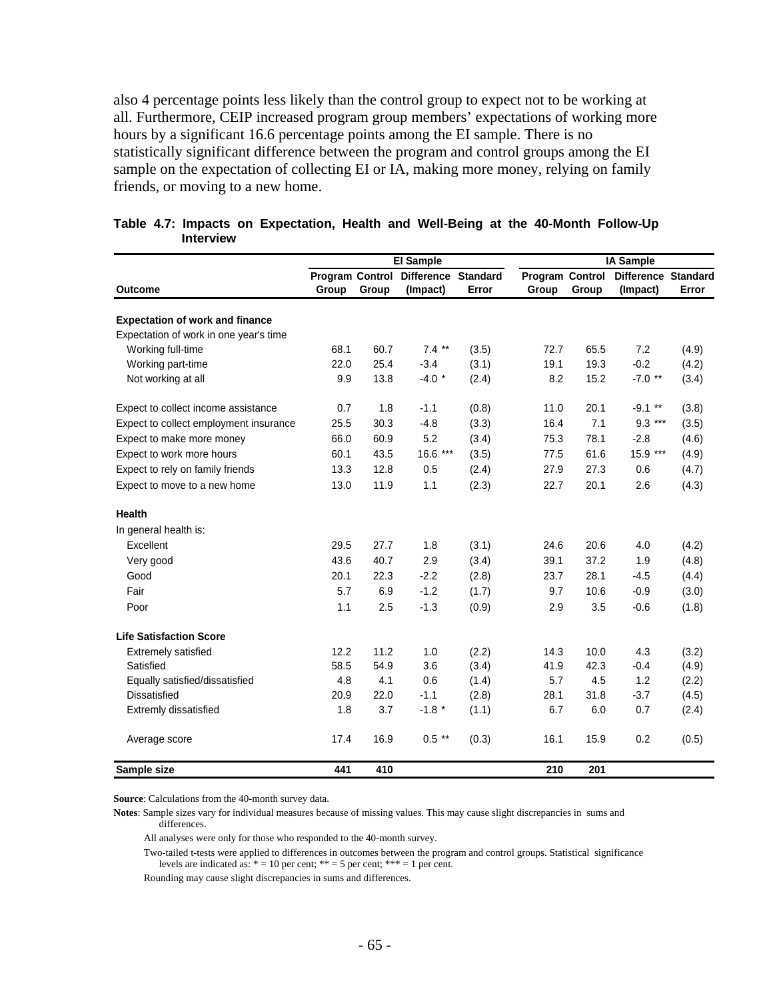also 4 percentage points less likely than the control group to expect not to be working at all. Furthermore, CEIP increased program group members' expectations of working more hours by a significant 16.6 percentage points among the EI sample. There is no statistically significant difference between the program and control groups among the EI sample on the expectation of collecting EI or IA, making more money, relying on family friends, or moving to a new home.

|                                        |       |       | El Sample                              |                          |                          |       | <b>IA Sample</b>                |       |
|----------------------------------------|-------|-------|----------------------------------------|--------------------------|--------------------------|-------|---------------------------------|-------|
| <b>Outcome</b>                         | Group | Group | Program Control Difference<br>(Impact) | <b>Standard</b><br>Error | Program Control<br>Group | Group | Difference Standard<br>(Impact) | Error |
| <b>Expectation of work and finance</b> |       |       |                                        |                          |                          |       |                                 |       |
| Expectation of work in one year's time |       |       |                                        |                          |                          |       |                                 |       |
| Working full-time                      | 68.1  | 60.7  | $7.4***$                               | (3.5)                    | 72.7                     | 65.5  | 7.2                             | (4.9) |
| Working part-time                      | 22.0  | 25.4  | $-3.4$                                 | (3.1)                    | 19.1                     | 19.3  | $-0.2$                          | (4.2) |
| Not working at all                     | 9.9   | 13.8  | $-4.0*$                                | (2.4)                    | 8.2                      | 15.2  | $-7.0$ **                       | (3.4) |
| Expect to collect income assistance    | 0.7   | 1.8   | $-1.1$                                 | (0.8)                    | 11.0                     | 20.1  | $-9.1$ **                       | (3.8) |
| Expect to collect employment insurance | 25.5  | 30.3  | $-4.8$                                 | (3.3)                    | 16.4                     | 7.1   | $9.3***$                        | (3.5) |
| Expect to make more money              | 66.0  | 60.9  | 5.2                                    | (3.4)                    | 75.3                     | 78.1  | $-2.8$                          | (4.6) |
| Expect to work more hours              | 60.1  | 43.5  | 16.6 ***                               | (3.5)                    | 77.5                     | 61.6  | 15.9 ***                        | (4.9) |
| Expect to rely on family friends       | 13.3  | 12.8  | 0.5                                    | (2.4)                    | 27.9                     | 27.3  | 0.6                             | (4.7) |
| Expect to move to a new home           | 13.0  | 11.9  | 1.1                                    | (2.3)                    | 22.7                     | 20.1  | 2.6                             | (4.3) |
| <b>Health</b>                          |       |       |                                        |                          |                          |       |                                 |       |
| In general health is:                  |       |       |                                        |                          |                          |       |                                 |       |
| Excellent                              | 29.5  | 27.7  | 1.8                                    | (3.1)                    | 24.6                     | 20.6  | 4.0                             | (4.2) |
| Very good                              | 43.6  | 40.7  | 2.9                                    | (3.4)                    | 39.1                     | 37.2  | 1.9                             | (4.8) |
| Good                                   | 20.1  | 22.3  | $-2.2$                                 | (2.8)                    | 23.7                     | 28.1  | $-4.5$                          | (4.4) |
| Fair                                   | 5.7   | 6.9   | $-1.2$                                 | (1.7)                    | 9.7                      | 10.6  | $-0.9$                          | (3.0) |
| Poor                                   | 1.1   | 2.5   | $-1.3$                                 | (0.9)                    | 2.9                      | 3.5   | $-0.6$                          | (1.8) |
| <b>Life Satisfaction Score</b>         |       |       |                                        |                          |                          |       |                                 |       |
| <b>Extremely satisfied</b>             | 12.2  | 11.2  | 1.0                                    | (2.2)                    | 14.3                     | 10.0  | 4.3                             | (3.2) |
| Satisfied                              | 58.5  | 54.9  | 3.6                                    | (3.4)                    | 41.9                     | 42.3  | $-0.4$                          | (4.9) |
| Equally satisfied/dissatisfied         | 4.8   | 4.1   | 0.6                                    | (1.4)                    | 5.7                      | 4.5   | 1.2                             | (2.2) |
| <b>Dissatisfied</b>                    | 20.9  | 22.0  | $-1.1$                                 | (2.8)                    | 28.1                     | 31.8  | $-3.7$                          | (4.5) |
| Extremly dissatisfied                  | 1.8   | 3.7   | $-1.8$ *                               | (1.1)                    | 6.7                      | 6.0   | 0.7                             | (2.4) |
| Average score                          | 17.4  | 16.9  | $0.5$ **                               | (0.3)                    | 16.1                     | 15.9  | 0.2                             | (0.5) |
| Sample size                            | 441   | 410   |                                        |                          | 210                      | 201   |                                 |       |

#### **Table 4.7: Impacts on Expectation, Health and Well-Being at the 40-Month Follow-Up Interview**

**Source**: Calculations from the 40-month survey data.

**Notes**: Sample sizes vary for individual measures because of missing values. This may cause slight discrepancies in sums and differences.

All analyses were only for those who responded to the 40-month survey.

 Two-tailed t-tests were applied to differences in outcomes between the program and control groups. Statistical significance levels are indicated as:  $* = 10$  per cent;  $** = 5$  per cent;  $*** = 1$  per cent.

Rounding may cause slight discrepancies in sums and differences.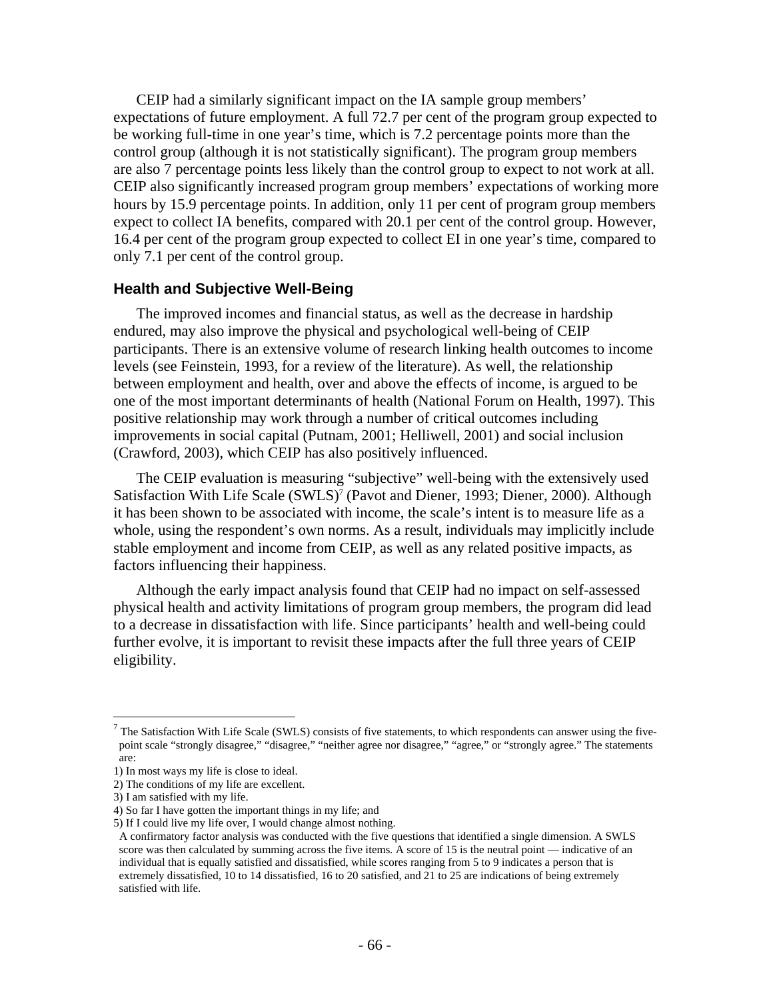CEIP had a similarly significant impact on the IA sample group members' expectations of future employment. A full 72.7 per cent of the program group expected to be working full-time in one year's time, which is 7.2 percentage points more than the control group (although it is not statistically significant). The program group members are also 7 percentage points less likely than the control group to expect to not work at all. CEIP also significantly increased program group members' expectations of working more hours by 15.9 percentage points. In addition, only 11 per cent of program group members expect to collect IA benefits, compared with 20.1 per cent of the control group. However, 16.4 per cent of the program group expected to collect EI in one year's time, compared to only 7.1 per cent of the control group.

### **Health and Subjective Well-Being**

The improved incomes and financial status, as well as the decrease in hardship endured, may also improve the physical and psychological well-being of CEIP participants. There is an extensive volume of research linking health outcomes to income levels (see Feinstein, 1993, for a review of the literature). As well, the relationship between employment and health, over and above the effects of income, is argued to be one of the most important determinants of health (National Forum on Health, 1997). This positive relationship may work through a number of critical outcomes including improvements in social capital (Putnam, 2001; Helliwell, 2001) and social inclusion (Crawford, 2003), which CEIP has also positively influenced.

The CEIP evaluation is measuring "subjective" well-being with the extensively used Satisfaction With Life Scale (SWLS)<sup>7</sup> (Pavot and Diener, 1993; Diener, 2000). Although it has been shown to be associated with income, the scale's intent is to measure life as a whole, using the respondent's own norms. As a result, individuals may implicitly include stable employment and income from CEIP, as well as any related positive impacts, as factors influencing their happiness.

Although the early impact analysis found that CEIP had no impact on self-assessed physical health and activity limitations of program group members, the program did lead to a decrease in dissatisfaction with life. Since participants' health and well-being could further evolve, it is important to revisit these impacts after the full three years of CEIP eligibility.

1

 $<sup>7</sup>$  The Satisfaction With Life Scale (SWLS) consists of five statements, to which respondents can answer using the five-</sup> point scale "strongly disagree," "disagree," "neither agree nor disagree," "agree," or "strongly agree." The statements are:

<sup>1)</sup> In most ways my life is close to ideal.

<sup>2)</sup> The conditions of my life are excellent.

<sup>3)</sup> I am satisfied with my life.

<sup>4)</sup> So far I have gotten the important things in my life; and

<sup>5)</sup> If I could live my life over, I would change almost nothing.

A confirmatory factor analysis was conducted with the five questions that identified a single dimension. A SWLS score was then calculated by summing across the five items. A score of 15 is the neutral point — indicative of an individual that is equally satisfied and dissatisfied, while scores ranging from 5 to 9 indicates a person that is extremely dissatisfied, 10 to 14 dissatisfied, 16 to 20 satisfied, and 21 to 25 are indications of being extremely satisfied with life.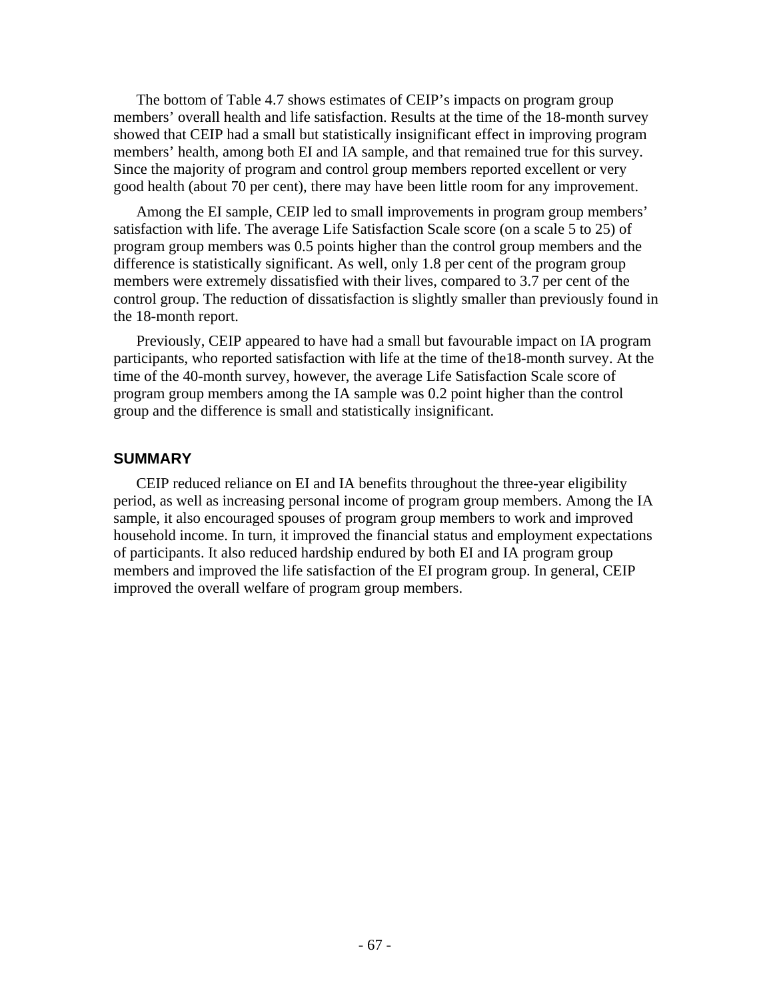The bottom of Table 4.7 shows estimates of CEIP's impacts on program group members' overall health and life satisfaction. Results at the time of the 18-month survey showed that CEIP had a small but statistically insignificant effect in improving program members' health, among both EI and IA sample, and that remained true for this survey. Since the majority of program and control group members reported excellent or very good health (about 70 per cent), there may have been little room for any improvement.

Among the EI sample, CEIP led to small improvements in program group members' satisfaction with life. The average Life Satisfaction Scale score (on a scale 5 to 25) of program group members was 0.5 points higher than the control group members and the difference is statistically significant. As well, only 1.8 per cent of the program group members were extremely dissatisfied with their lives, compared to 3.7 per cent of the control group. The reduction of dissatisfaction is slightly smaller than previously found in the 18-month report.

Previously, CEIP appeared to have had a small but favourable impact on IA program participants, who reported satisfaction with life at the time of the18-month survey. At the time of the 40-month survey, however, the average Life Satisfaction Scale score of program group members among the IA sample was 0.2 point higher than the control group and the difference is small and statistically insignificant.

# **SUMMARY**

CEIP reduced reliance on EI and IA benefits throughout the three-year eligibility period, as well as increasing personal income of program group members. Among the IA sample, it also encouraged spouses of program group members to work and improved household income. In turn, it improved the financial status and employment expectations of participants. It also reduced hardship endured by both EI and IA program group members and improved the life satisfaction of the EI program group. In general, CEIP improved the overall welfare of program group members.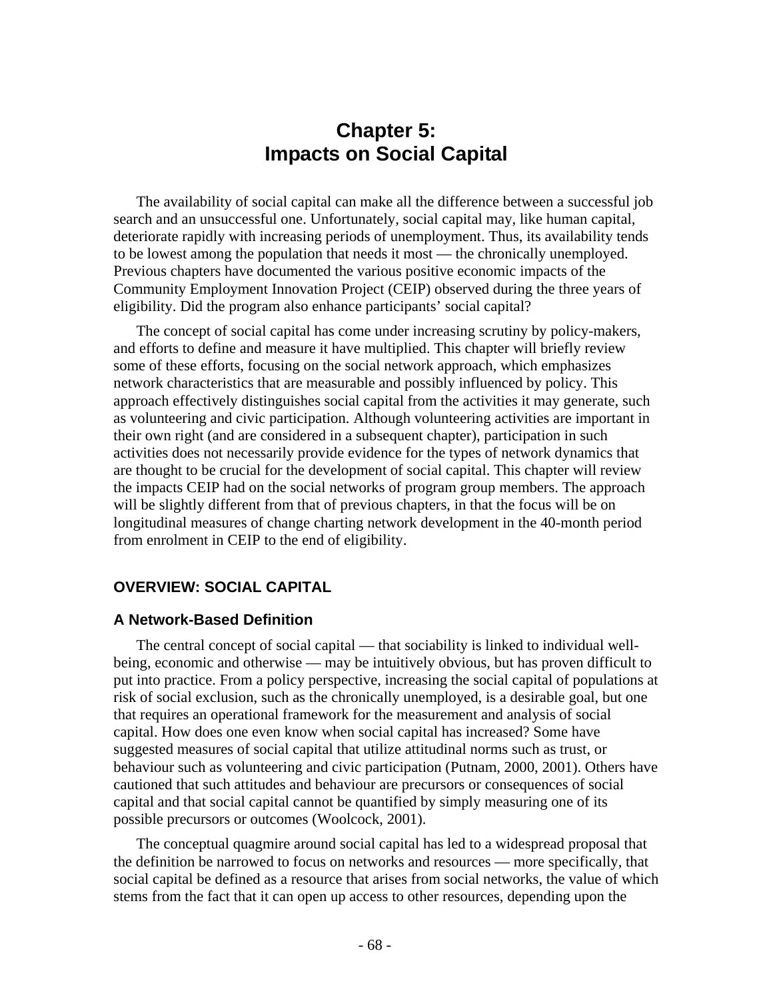# **Chapter 5: Impacts on Social Capital**

The availability of social capital can make all the difference between a successful job search and an unsuccessful one. Unfortunately, social capital may, like human capital, deteriorate rapidly with increasing periods of unemployment. Thus, its availability tends to be lowest among the population that needs it most — the chronically unemployed. Previous chapters have documented the various positive economic impacts of the Community Employment Innovation Project (CEIP) observed during the three years of eligibility. Did the program also enhance participants' social capital?

The concept of social capital has come under increasing scrutiny by policy-makers, and efforts to define and measure it have multiplied. This chapter will briefly review some of these efforts, focusing on the social network approach, which emphasizes network characteristics that are measurable and possibly influenced by policy. This approach effectively distinguishes social capital from the activities it may generate, such as volunteering and civic participation. Although volunteering activities are important in their own right (and are considered in a subsequent chapter), participation in such activities does not necessarily provide evidence for the types of network dynamics that are thought to be crucial for the development of social capital. This chapter will review the impacts CEIP had on the social networks of program group members. The approach will be slightly different from that of previous chapters, in that the focus will be on longitudinal measures of change charting network development in the 40-month period from enrolment in CEIP to the end of eligibility.

# **OVERVIEW: SOCIAL CAPITAL**

### **A Network-Based Definition**

The central concept of social capital — that sociability is linked to individual wellbeing, economic and otherwise — may be intuitively obvious, but has proven difficult to put into practice. From a policy perspective, increasing the social capital of populations at risk of social exclusion, such as the chronically unemployed, is a desirable goal, but one that requires an operational framework for the measurement and analysis of social capital. How does one even know when social capital has increased? Some have suggested measures of social capital that utilize attitudinal norms such as trust, or behaviour such as volunteering and civic participation (Putnam, 2000, 2001). Others have cautioned that such attitudes and behaviour are precursors or consequences of social capital and that social capital cannot be quantified by simply measuring one of its possible precursors or outcomes (Woolcock, 2001).

The conceptual quagmire around social capital has led to a widespread proposal that the definition be narrowed to focus on networks and resources — more specifically, that social capital be defined as a resource that arises from social networks, the value of which stems from the fact that it can open up access to other resources, depending upon the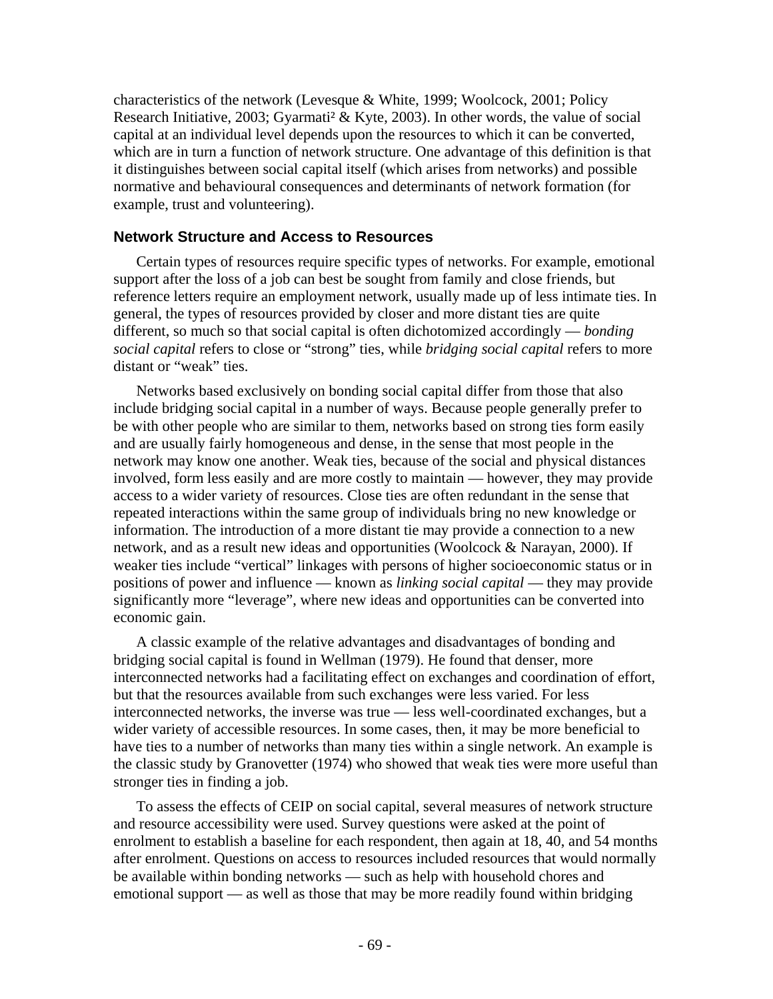characteristics of the network (Levesque & White, 1999; Woolcock, 2001; Policy Research Initiative, 2003; Gyarmati<sup>2</sup> & Kyte, 2003). In other words, the value of social capital at an individual level depends upon the resources to which it can be converted, which are in turn a function of network structure. One advantage of this definition is that it distinguishes between social capital itself (which arises from networks) and possible normative and behavioural consequences and determinants of network formation (for example, trust and volunteering).

# **Network Structure and Access to Resources**

Certain types of resources require specific types of networks. For example, emotional support after the loss of a job can best be sought from family and close friends, but reference letters require an employment network, usually made up of less intimate ties. In general, the types of resources provided by closer and more distant ties are quite different, so much so that social capital is often dichotomized accordingly — *bonding social capital* refers to close or "strong" ties, while *bridging social capital* refers to more distant or "weak" ties.

Networks based exclusively on bonding social capital differ from those that also include bridging social capital in a number of ways. Because people generally prefer to be with other people who are similar to them, networks based on strong ties form easily and are usually fairly homogeneous and dense, in the sense that most people in the network may know one another. Weak ties, because of the social and physical distances involved, form less easily and are more costly to maintain — however, they may provide access to a wider variety of resources. Close ties are often redundant in the sense that repeated interactions within the same group of individuals bring no new knowledge or information. The introduction of a more distant tie may provide a connection to a new network, and as a result new ideas and opportunities (Woolcock & Narayan, 2000). If weaker ties include "vertical" linkages with persons of higher socioeconomic status or in positions of power and influence — known as *linking social capital* — they may provide significantly more "leverage", where new ideas and opportunities can be converted into economic gain.

A classic example of the relative advantages and disadvantages of bonding and bridging social capital is found in Wellman (1979). He found that denser, more interconnected networks had a facilitating effect on exchanges and coordination of effort, but that the resources available from such exchanges were less varied. For less interconnected networks, the inverse was true — less well-coordinated exchanges, but a wider variety of accessible resources. In some cases, then, it may be more beneficial to have ties to a number of networks than many ties within a single network. An example is the classic study by Granovetter (1974) who showed that weak ties were more useful than stronger ties in finding a job.

To assess the effects of CEIP on social capital, several measures of network structure and resource accessibility were used. Survey questions were asked at the point of enrolment to establish a baseline for each respondent, then again at 18, 40, and 54 months after enrolment. Questions on access to resources included resources that would normally be available within bonding networks — such as help with household chores and emotional support — as well as those that may be more readily found within bridging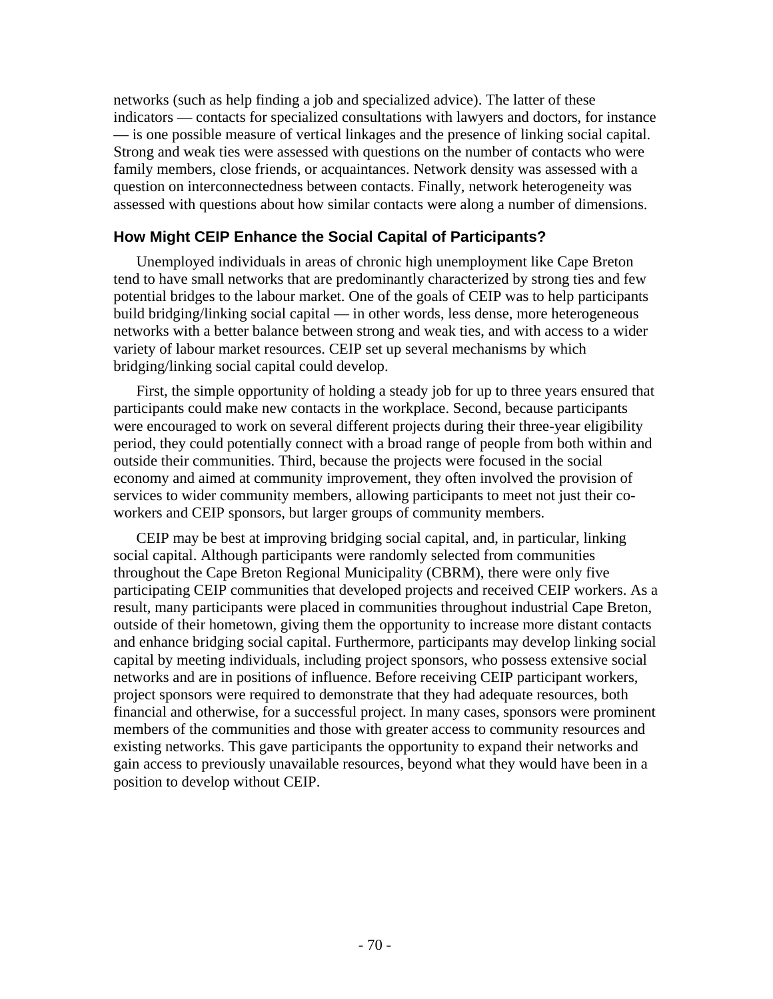networks (such as help finding a job and specialized advice). The latter of these indicators — contacts for specialized consultations with lawyers and doctors, for instance — is one possible measure of vertical linkages and the presence of linking social capital. Strong and weak ties were assessed with questions on the number of contacts who were family members, close friends, or acquaintances. Network density was assessed with a question on interconnectedness between contacts. Finally, network heterogeneity was assessed with questions about how similar contacts were along a number of dimensions.

# **How Might CEIP Enhance the Social Capital of Participants?**

Unemployed individuals in areas of chronic high unemployment like Cape Breton tend to have small networks that are predominantly characterized by strong ties and few potential bridges to the labour market. One of the goals of CEIP was to help participants build bridging/linking social capital — in other words, less dense, more heterogeneous networks with a better balance between strong and weak ties, and with access to a wider variety of labour market resources. CEIP set up several mechanisms by which bridging/linking social capital could develop.

First, the simple opportunity of holding a steady job for up to three years ensured that participants could make new contacts in the workplace. Second, because participants were encouraged to work on several different projects during their three-year eligibility period, they could potentially connect with a broad range of people from both within and outside their communities. Third, because the projects were focused in the social economy and aimed at community improvement, they often involved the provision of services to wider community members, allowing participants to meet not just their coworkers and CEIP sponsors, but larger groups of community members.

CEIP may be best at improving bridging social capital, and, in particular, linking social capital. Although participants were randomly selected from communities throughout the Cape Breton Regional Municipality (CBRM), there were only five participating CEIP communities that developed projects and received CEIP workers. As a result, many participants were placed in communities throughout industrial Cape Breton, outside of their hometown, giving them the opportunity to increase more distant contacts and enhance bridging social capital. Furthermore, participants may develop linking social capital by meeting individuals, including project sponsors, who possess extensive social networks and are in positions of influence. Before receiving CEIP participant workers, project sponsors were required to demonstrate that they had adequate resources, both financial and otherwise, for a successful project. In many cases, sponsors were prominent members of the communities and those with greater access to community resources and existing networks. This gave participants the opportunity to expand their networks and gain access to previously unavailable resources, beyond what they would have been in a position to develop without CEIP.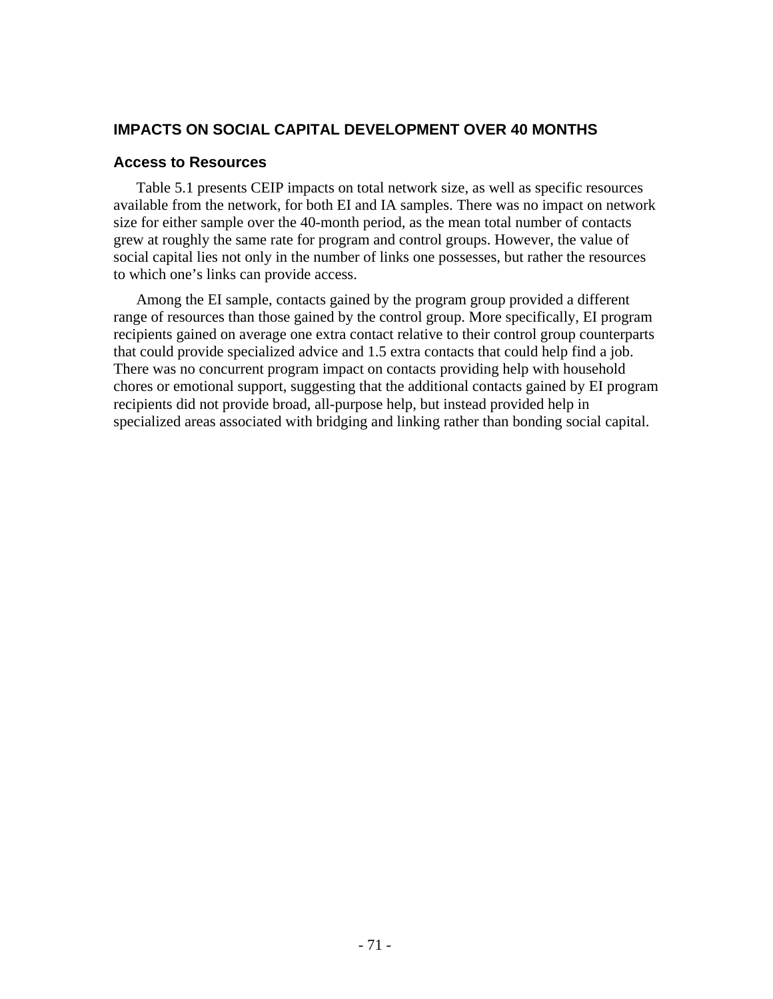# **IMPACTS ON SOCIAL CAPITAL DEVELOPMENT OVER 40 MONTHS**

# **Access to Resources**

Table 5.1 presents CEIP impacts on total network size, as well as specific resources available from the network, for both EI and IA samples. There was no impact on network size for either sample over the 40-month period, as the mean total number of contacts grew at roughly the same rate for program and control groups. However, the value of social capital lies not only in the number of links one possesses, but rather the resources to which one's links can provide access.

Among the EI sample, contacts gained by the program group provided a different range of resources than those gained by the control group. More specifically, EI program recipients gained on average one extra contact relative to their control group counterparts that could provide specialized advice and 1.5 extra contacts that could help find a job. There was no concurrent program impact on contacts providing help with household chores or emotional support, suggesting that the additional contacts gained by EI program recipients did not provide broad, all-purpose help, but instead provided help in specialized areas associated with bridging and linking rather than bonding social capital.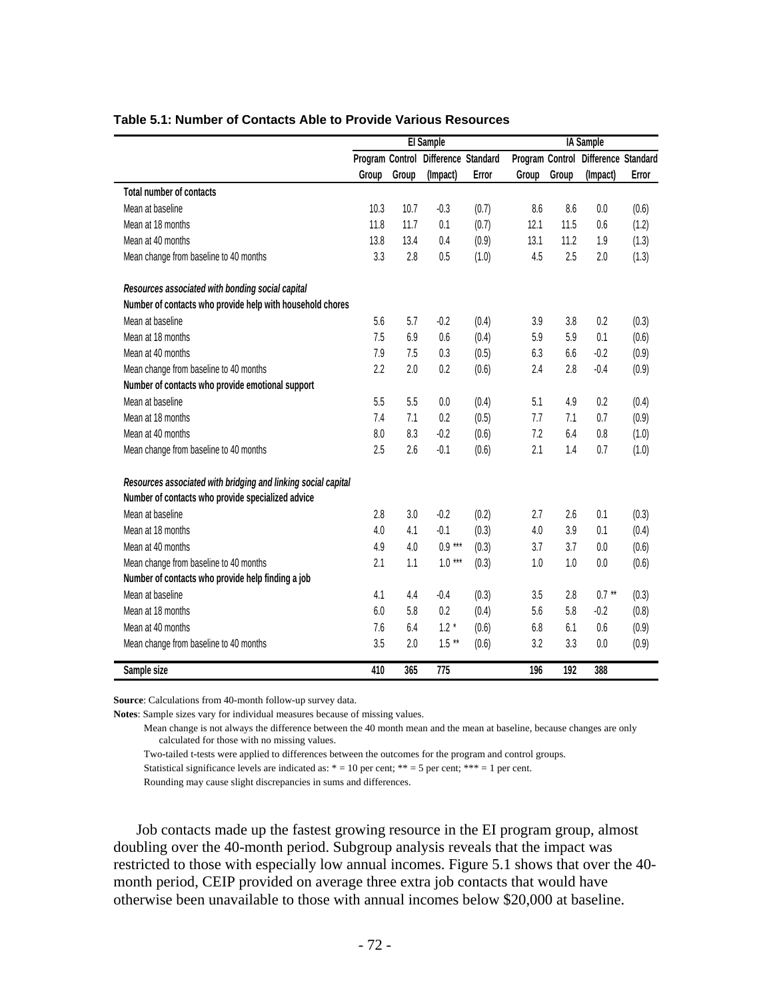|                                                               |       |       | El Sample                           |       |       |       | <b>IA Sample</b>                    |       |
|---------------------------------------------------------------|-------|-------|-------------------------------------|-------|-------|-------|-------------------------------------|-------|
|                                                               |       |       | Program Control Difference Standard |       |       |       | Program Control Difference Standard |       |
|                                                               | Group | Group | (Impact)                            | Error | Group | Group | (Impact)                            | Error |
| <b>Total number of contacts</b>                               |       |       |                                     |       |       |       |                                     |       |
| Mean at baseline                                              | 10.3  | 10.7  | $-0.3$                              | (0.7) | 8.6   | 8.6   | 0.0                                 | (0.6) |
| Mean at 18 months                                             | 11.8  | 11.7  | 0.1                                 | (0.7) | 12.1  | 11.5  | 0.6                                 | (1.2) |
| Mean at 40 months                                             | 13.8  | 13.4  | 0.4                                 | (0.9) | 13.1  | 11.2  | 1.9                                 | (1.3) |
| Mean change from baseline to 40 months                        | 3.3   | 2.8   | 0.5                                 | (1.0) | 4.5   | 2.5   | 2.0                                 | (1.3) |
| Resources associated with bonding social capital              |       |       |                                     |       |       |       |                                     |       |
| Number of contacts who provide help with household chores     |       |       |                                     |       |       |       |                                     |       |
| Mean at baseline                                              | 5.6   | 5.7   | $-0.2$                              | (0.4) | 3.9   | 3.8   | 0.2                                 | (0.3) |
| Mean at 18 months                                             | 7.5   | 6.9   | 0.6                                 | (0.4) | 5.9   | 5.9   | 0.1                                 | (0.6) |
| Mean at 40 months                                             | 7.9   | 7.5   | 0.3                                 | (0.5) | 6.3   | 6.6   | $-0.2$                              | (0.9) |
| Mean change from baseline to 40 months                        | 2.2   | 2.0   | 0.2                                 | (0.6) | 2.4   | 2.8   | $-0.4$                              | (0.9) |
| Number of contacts who provide emotional support              |       |       |                                     |       |       |       |                                     |       |
| Mean at baseline                                              | 5.5   | 5.5   | 0.0                                 | (0.4) | 5.1   | 4.9   | 0.2                                 | (0.4) |
| Mean at 18 months                                             | 7.4   | 7.1   | 0.2                                 | (0.5) | 7.7   | 7.1   | 0.7                                 | (0.9) |
| Mean at 40 months                                             | 8.0   | 8.3   | $-0.2$                              | (0.6) | 7.2   | 6.4   | 0.8                                 | (1.0) |
| Mean change from baseline to 40 months                        | 2.5   | 2.6   | $-0.1$                              | (0.6) | 2.1   | 1.4   | 0.7                                 | (1.0) |
| Resources associated with bridging and linking social capital |       |       |                                     |       |       |       |                                     |       |
| Number of contacts who provide specialized advice             |       |       |                                     |       |       |       |                                     |       |
| Mean at baseline                                              | 2.8   | 3.0   | $-0.2$                              | (0.2) | 2.7   | 2.6   | 0.1                                 | (0.3) |
| Mean at 18 months                                             | 4.0   | 4.1   | $-0.1$                              | (0.3) | 4.0   | 3.9   | 0.1                                 | (0.4) |
| Mean at 40 months                                             | 4.9   | 4.0   | $0.9***$                            | (0.3) | 3.7   | 3.7   | 0.0                                 | (0.6) |
| Mean change from baseline to 40 months                        | 2.1   | 1.1   | $1.0***$                            | (0.3) | 1.0   | 1.0   | 0.0                                 | (0.6) |
| Number of contacts who provide help finding a job             |       |       |                                     |       |       |       |                                     |       |
| Mean at baseline                                              | 4.1   | 4.4   | $-0.4$                              | (0.3) | 3.5   | 2.8   | $0.7***$                            | (0.3) |
| Mean at 18 months                                             | 6.0   | 5.8   | 0.2                                 | (0.4) | 5.6   | 5.8   | $-0.2$                              | (0.8) |
| Mean at 40 months                                             | 7.6   | 6.4   | $1.2*$                              | (0.6) | 6.8   | 6.1   | 0.6                                 | (0.9) |
| Mean change from baseline to 40 months                        | 3.5   | 2.0   | $1.5**$                             | (0.6) | 3.2   | 3.3   | 0.0                                 | (0.9) |
| Sample size                                                   | 410   | 365   | 775                                 |       | 196   | 192   | 388                                 |       |

### **Table 5.1: Number of Contacts Able to Provide Various Resources**

**Source**: Calculations from 40-month follow-up survey data.

**Notes**: Sample sizes vary for individual measures because of missing values.

 Mean change is not always the difference between the 40 month mean and the mean at baseline, because changes are only calculated for those with no missing values.

Two-tailed t-tests were applied to differences between the outcomes for the program and control groups.

Statistical significance levels are indicated as:  $* = 10$  per cent;  $** = 5$  per cent;  $*** = 1$  per cent.

Rounding may cause slight discrepancies in sums and differences.

Job contacts made up the fastest growing resource in the EI program group, almost doubling over the 40-month period. Subgroup analysis reveals that the impact was restricted to those with especially low annual incomes. Figure 5.1 shows that over the 40 month period, CEIP provided on average three extra job contacts that would have otherwise been unavailable to those with annual incomes below \$20,000 at baseline.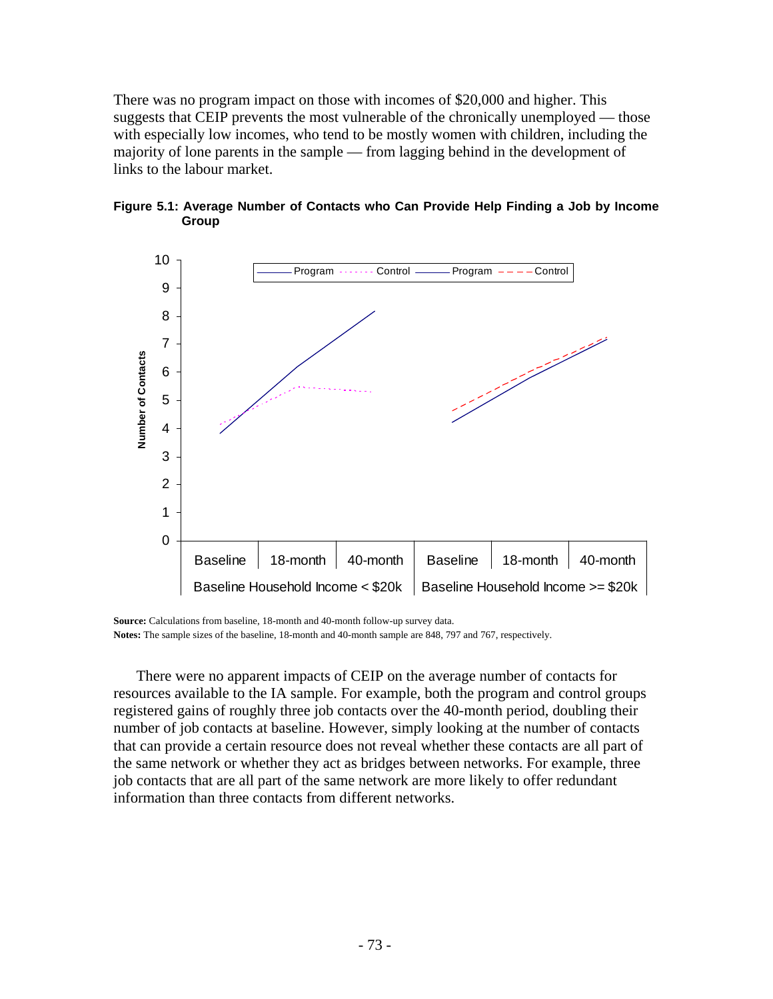There was no program impact on those with incomes of \$20,000 and higher. This suggests that CEIP prevents the most vulnerable of the chronically unemployed — those with especially low incomes, who tend to be mostly women with children, including the majority of lone parents in the sample — from lagging behind in the development of links to the labour market.



**Figure 5.1: Average Number of Contacts who Can Provide Help Finding a Job by Income Group** 

**Source:** Calculations from baseline, 18-month and 40-month follow-up survey data. **Notes:** The sample sizes of the baseline, 18-month and 40-month sample are 848, 797 and 767, respectively.

There were no apparent impacts of CEIP on the average number of contacts for resources available to the IA sample. For example, both the program and control groups registered gains of roughly three job contacts over the 40-month period, doubling their number of job contacts at baseline. However, simply looking at the number of contacts that can provide a certain resource does not reveal whether these contacts are all part of the same network or whether they act as bridges between networks. For example, three job contacts that are all part of the same network are more likely to offer redundant information than three contacts from different networks.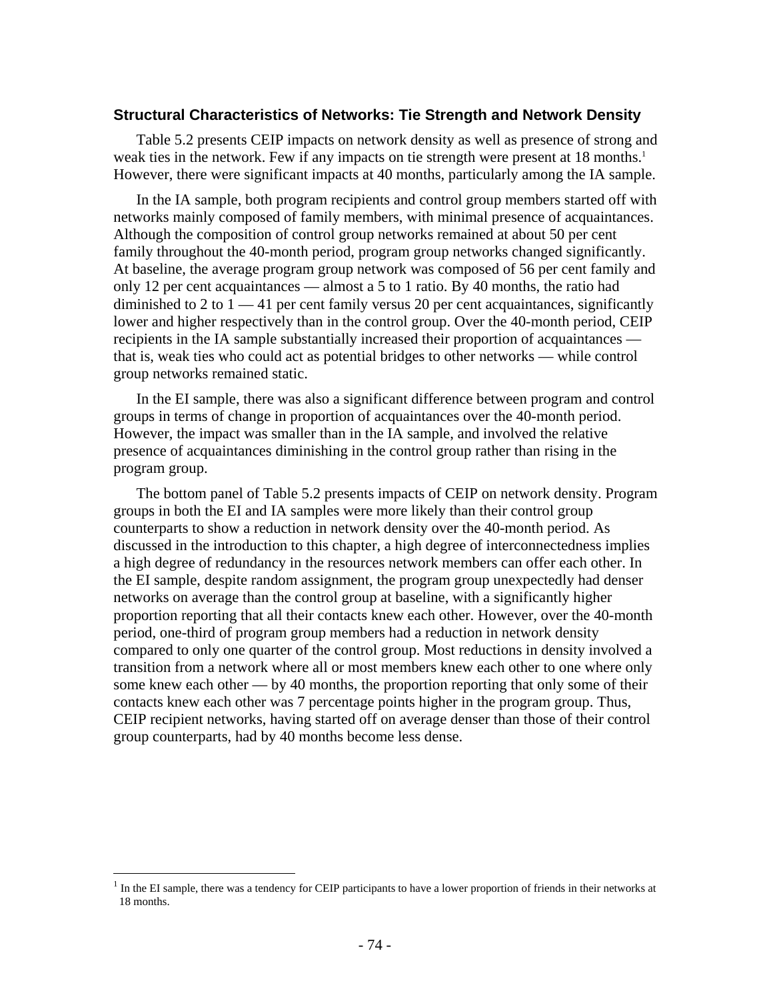### **Structural Characteristics of Networks: Tie Strength and Network Density**

Table 5.2 presents CEIP impacts on network density as well as presence of strong and weak ties in the network. Few if any impacts on tie strength were present at 18 months.<sup>1</sup> However, there were significant impacts at 40 months, particularly among the IA sample.

In the IA sample, both program recipients and control group members started off with networks mainly composed of family members, with minimal presence of acquaintances. Although the composition of control group networks remained at about 50 per cent family throughout the 40-month period, program group networks changed significantly. At baseline, the average program group network was composed of 56 per cent family and only 12 per cent acquaintances — almost a 5 to 1 ratio. By 40 months, the ratio had diminished to 2 to  $1 - 41$  per cent family versus 20 per cent acquaintances, significantly lower and higher respectively than in the control group. Over the 40-month period, CEIP recipients in the IA sample substantially increased their proportion of acquaintances that is, weak ties who could act as potential bridges to other networks — while control group networks remained static.

In the EI sample, there was also a significant difference between program and control groups in terms of change in proportion of acquaintances over the 40-month period. However, the impact was smaller than in the IA sample, and involved the relative presence of acquaintances diminishing in the control group rather than rising in the program group.

The bottom panel of Table 5.2 presents impacts of CEIP on network density. Program groups in both the EI and IA samples were more likely than their control group counterparts to show a reduction in network density over the 40-month period. As discussed in the introduction to this chapter, a high degree of interconnectedness implies a high degree of redundancy in the resources network members can offer each other. In the EI sample, despite random assignment, the program group unexpectedly had denser networks on average than the control group at baseline, with a significantly higher proportion reporting that all their contacts knew each other. However, over the 40-month period, one-third of program group members had a reduction in network density compared to only one quarter of the control group. Most reductions in density involved a transition from a network where all or most members knew each other to one where only some knew each other — by 40 months, the proportion reporting that only some of their contacts knew each other was 7 percentage points higher in the program group. Thus, CEIP recipient networks, having started off on average denser than those of their control group counterparts, had by 40 months become less dense.

1

 $<sup>1</sup>$  In the EI sample, there was a tendency for CEIP participants to have a lower proportion of friends in their networks at</sup> 18 months.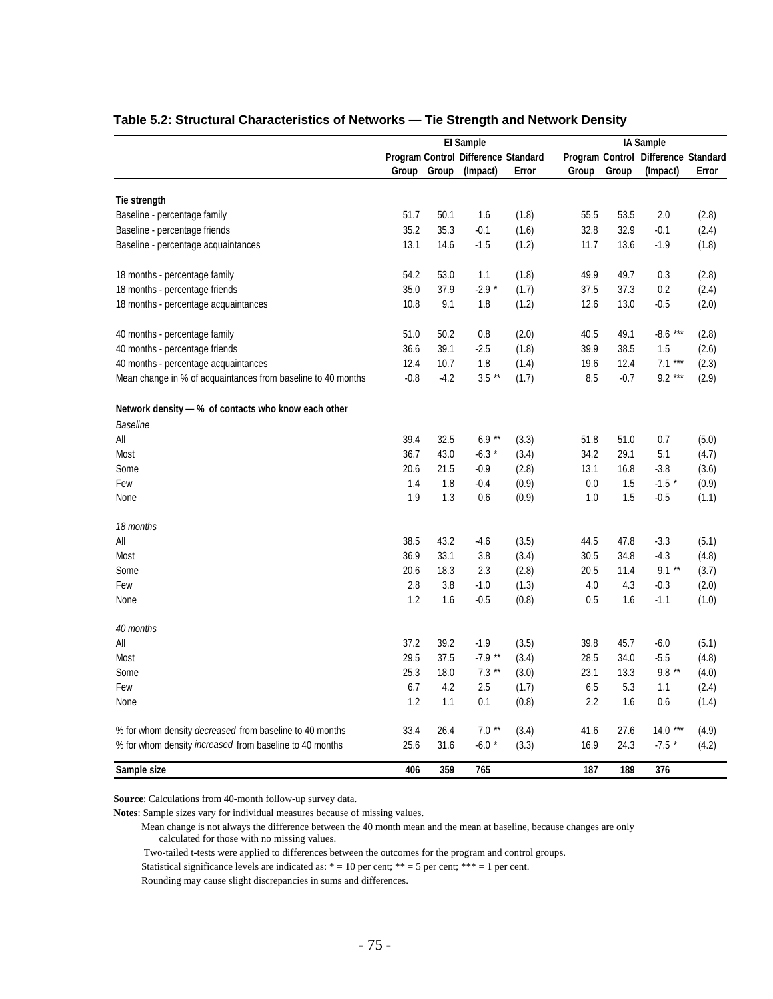|                                                                | El Sample |             |                                     |       |       |        | IA Sample                           |       |
|----------------------------------------------------------------|-----------|-------------|-------------------------------------|-------|-------|--------|-------------------------------------|-------|
|                                                                |           |             | Program Control Difference Standard |       |       |        | Program Control Difference Standard |       |
|                                                                |           | Group Group | (Impact)                            | Error | Group | Group  | (Impact)                            | Error |
| Tie strength                                                   |           |             |                                     |       |       |        |                                     |       |
| Baseline - percentage family                                   | 51.7      | 50.1        | 1.6                                 | (1.8) | 55.5  | 53.5   | 2.0                                 | (2.8) |
| Baseline - percentage friends                                  | 35.2      | 35.3        | $-0.1$                              | (1.6) | 32.8  | 32.9   | $-0.1$                              | (2.4) |
| Baseline - percentage acquaintances                            | 13.1      | 14.6        | $-1.5$                              | (1.2) | 11.7  | 13.6   | $-1.9$                              | (1.8) |
| 18 months - percentage family                                  | 54.2      | 53.0        | 1.1                                 | (1.8) | 49.9  | 49.7   | 0.3                                 | (2.8) |
| 18 months - percentage friends                                 | 35.0      | 37.9        | $-2.9*$                             | (1.7) | 37.5  | 37.3   | 0.2                                 | (2.4) |
| 18 months - percentage acquaintances                           | 10.8      | 9.1         | 1.8                                 | (1.2) | 12.6  | 13.0   | $-0.5$                              | (2.0) |
| 40 months - percentage family                                  | 51.0      | 50.2        | 0.8                                 | (2.0) | 40.5  | 49.1   | $-8.6***$                           | (2.8) |
| 40 months - percentage friends                                 | 36.6      | 39.1        | $-2.5$                              | (1.8) | 39.9  | 38.5   | 1.5                                 | (2.6) |
| 40 months - percentage acquaintances                           | 12.4      | 10.7        | 1.8                                 | (1.4) | 19.6  | 12.4   | $7.1***$                            | (2.3) |
| Mean change in % of acquaintances from baseline to 40 months   | $-0.8$    | $-4.2$      | $3.5$ **                            | (1.7) | 8.5   | $-0.7$ | $9.2***$                            | (2.9) |
| Network density $-$ % of contacts who know each other          |           |             |                                     |       |       |        |                                     |       |
| <b>Baseline</b>                                                |           |             |                                     |       |       |        |                                     |       |
| All                                                            | 39.4      | 32.5        | $6.9**$                             | (3.3) | 51.8  | 51.0   | 0.7                                 | (5.0) |
| Most                                                           | 36.7      | 43.0        | $-6.3*$                             | (3.4) | 34.2  | 29.1   | 5.1                                 | (4.7) |
| Some                                                           | 20.6      | 21.5        | $-0.9$                              | (2.8) | 13.1  | 16.8   | $-3.8$                              | (3.6) |
| Few                                                            | 1.4       | 1.8         | $-0.4$                              | (0.9) | 0.0   | 1.5    | $-1.5*$                             | (0.9) |
| None                                                           | 1.9       | 1.3         | 0.6                                 | (0.9) | 1.0   | 1.5    | $-0.5$                              | (1.1) |
| 18 months                                                      |           |             |                                     |       |       |        |                                     |       |
| All                                                            | 38.5      | 43.2        | -4.6                                | (3.5) | 44.5  | 47.8   | $-3.3$                              | (5.1) |
| Most                                                           | 36.9      | 33.1        | 3.8                                 | (3.4) | 30.5  | 34.8   | $-4.3$                              | (4.8) |
| Some                                                           | 20.6      | 18.3        | 2.3                                 | (2.8) | 20.5  | 11.4   | $9.1***$                            | (3.7) |
| Few                                                            | 2.8       | 3.8         | $-1.0$                              | (1.3) | 4.0   | 4.3    | $-0.3$                              | (2.0) |
| None                                                           | 1.2       | 1.6         | $-0.5$                              | (0.8) | 0.5   | 1.6    | $-1.1$                              | (1.0) |
| 40 months                                                      |           |             |                                     |       |       |        |                                     |       |
| All                                                            | 37.2      | 39.2        | $-1.9$                              | (3.5) | 39.8  | 45.7   | $-6.0$                              | (5.1) |
| Most                                                           | 29.5      | 37.5        | $-7.9**$                            | (3.4) | 28.5  | 34.0   | $-5.5$                              | (4.8) |
| Some                                                           | 25.3      | 18.0        | $7.3***$                            | (3.0) | 23.1  | 13.3   | $9.8$ $^{\star\star}$               | (4.0) |
| Few                                                            | 6.7       | 4.2         | 2.5                                 | (1.7) | 6.5   | 5.3    | 1.1                                 | (2.4) |
| None                                                           | 1.2       | 1.1         | 0.1                                 | (0.8) | 2.2   | 1.6    | 0.6                                 | (1.4) |
| % for whom density decreased from baseline to 40 months        | 33.4      | 26.4        | $7.0**$                             | (3.4) | 41.6  | 27.6   | $14.0***$                           | (4.9) |
| % for whom density <i>increased</i> from baseline to 40 months | 25.6      | 31.6        | $-6.0*$                             | (3.3) | 16.9  | 24.3   | $-7.5$ *                            | (4.2) |
| Sample size                                                    | 406       | 359         | 765                                 |       | 187   | 189    | 376                                 |       |

# **Table 5.2: Structural Characteristics of Networks — Tie Strength and Network Density**

**Source**: Calculations from 40-month follow-up survey data.

**Notes**: Sample sizes vary for individual measures because of missing values.

 Mean change is not always the difference between the 40 month mean and the mean at baseline, because changes are only calculated for those with no missing values.

Two-tailed t-tests were applied to differences between the outcomes for the program and control groups.

Statistical significance levels are indicated as:  $* = 10$  per cent;  $** = 5$  per cent;  $*** = 1$  per cent.

Rounding may cause slight discrepancies in sums and differences.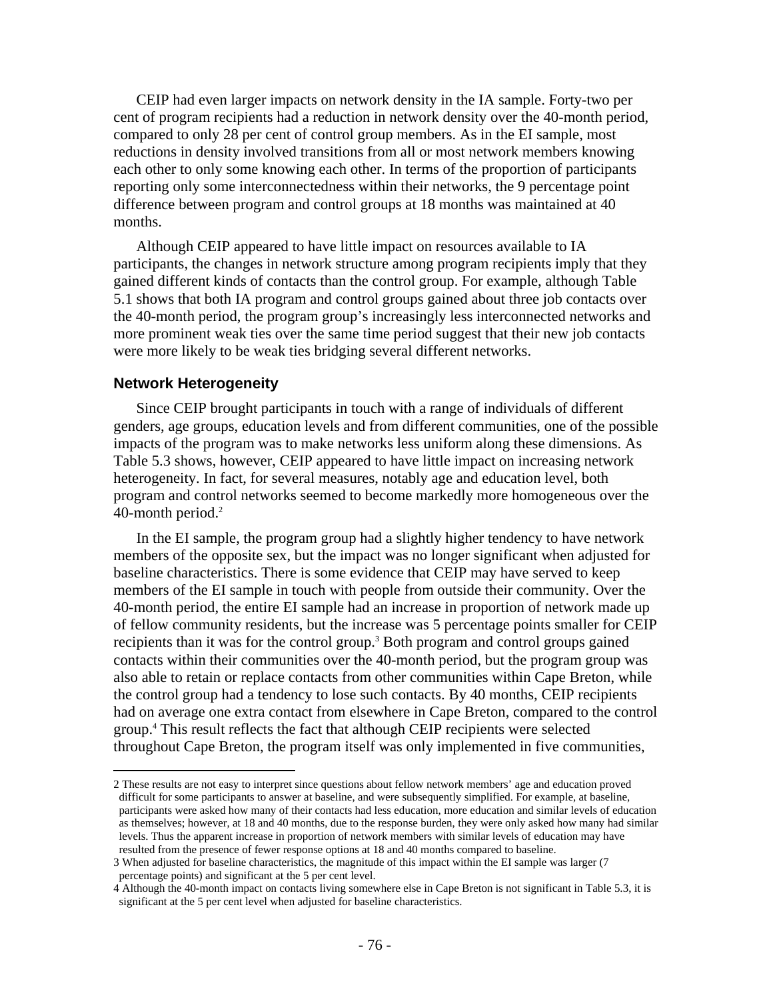CEIP had even larger impacts on network density in the IA sample. Forty-two per cent of program recipients had a reduction in network density over the 40-month period, compared to only 28 per cent of control group members. As in the EI sample, most reductions in density involved transitions from all or most network members knowing each other to only some knowing each other. In terms of the proportion of participants reporting only some interconnectedness within their networks, the 9 percentage point difference between program and control groups at 18 months was maintained at 40 months.

Although CEIP appeared to have little impact on resources available to IA participants, the changes in network structure among program recipients imply that they gained different kinds of contacts than the control group. For example, although Table 5.1 shows that both IA program and control groups gained about three job contacts over the 40-month period, the program group's increasingly less interconnected networks and more prominent weak ties over the same time period suggest that their new job contacts were more likely to be weak ties bridging several different networks.

### **Network Heterogeneity**

 $\overline{a}$ 

Since CEIP brought participants in touch with a range of individuals of different genders, age groups, education levels and from different communities, one of the possible impacts of the program was to make networks less uniform along these dimensions. As Table 5.3 shows, however, CEIP appeared to have little impact on increasing network heterogeneity. In fact, for several measures, notably age and education level, both program and control networks seemed to become markedly more homogeneous over the 40-month period.<sup>2</sup>

In the EI sample, the program group had a slightly higher tendency to have network members of the opposite sex, but the impact was no longer significant when adjusted for baseline characteristics. There is some evidence that CEIP may have served to keep members of the EI sample in touch with people from outside their community. Over the 40-month period, the entire EI sample had an increase in proportion of network made up of fellow community residents, but the increase was 5 percentage points smaller for CEIP recipients than it was for the control group.<sup>3</sup> Both program and control groups gained contacts within their communities over the 40-month period, but the program group was also able to retain or replace contacts from other communities within Cape Breton, while the control group had a tendency to lose such contacts. By 40 months, CEIP recipients had on average one extra contact from elsewhere in Cape Breton, compared to the control group.4 This result reflects the fact that although CEIP recipients were selected throughout Cape Breton, the program itself was only implemented in five communities,

<sup>2</sup> These results are not easy to interpret since questions about fellow network members' age and education proved difficult for some participants to answer at baseline, and were subsequently simplified. For example, at baseline, participants were asked how many of their contacts had less education, more education and similar levels of education as themselves; however, at 18 and 40 months, due to the response burden, they were only asked how many had similar levels. Thus the apparent increase in proportion of network members with similar levels of education may have resulted from the presence of fewer response options at 18 and 40 months compared to baseline.

<sup>3</sup> When adjusted for baseline characteristics, the magnitude of this impact within the EI sample was larger (7 percentage points) and significant at the 5 per cent level.

<sup>4</sup> Although the 40-month impact on contacts living somewhere else in Cape Breton is not significant in Table 5.3, it is significant at the 5 per cent level when adjusted for baseline characteristics.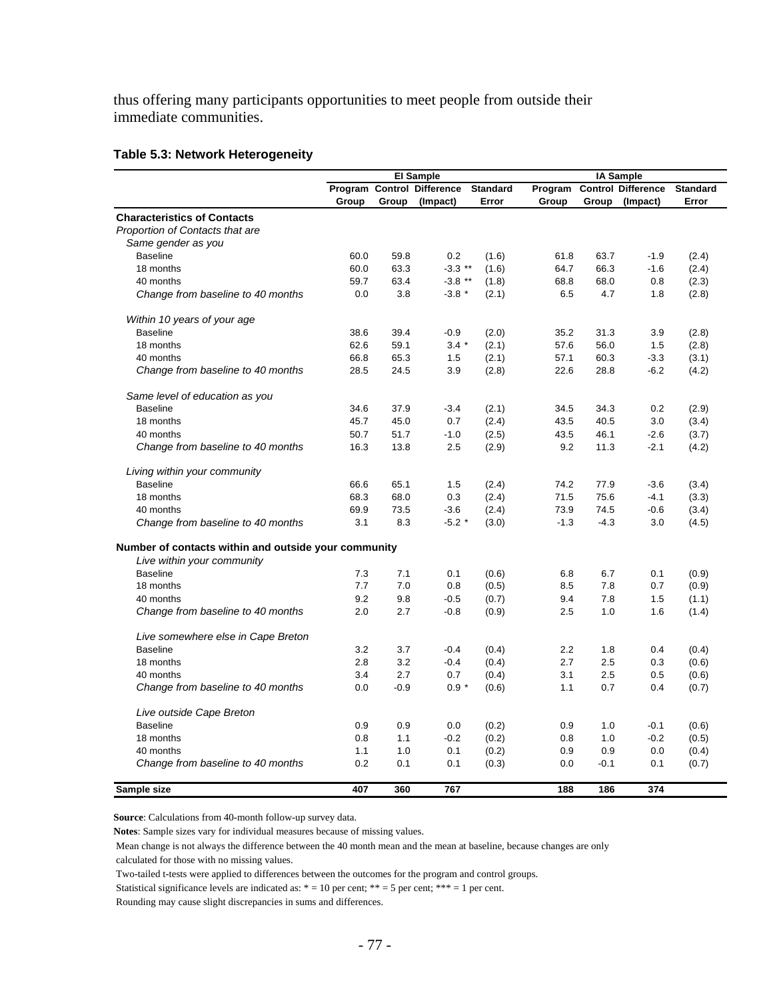thus offering many participants opportunities to meet people from outside their immediate communities.

#### **Table 5.3: Network Heterogeneity**

|                                                      |       |        | <b>El Sample</b>           |                 |         |        | <b>IA Sample</b>          |                 |
|------------------------------------------------------|-------|--------|----------------------------|-----------------|---------|--------|---------------------------|-----------------|
|                                                      |       |        | Program Control Difference | <b>Standard</b> | Program |        | <b>Control Difference</b> | <b>Standard</b> |
|                                                      | Group | Group  | (Impact)                   | Error           | Group   | Group  | (Impact)                  | Error           |
| <b>Characteristics of Contacts</b>                   |       |        |                            |                 |         |        |                           |                 |
| Proportion of Contacts that are                      |       |        |                            |                 |         |        |                           |                 |
| Same gender as you                                   |       |        |                            |                 |         |        |                           |                 |
| <b>Baseline</b>                                      | 60.0  | 59.8   | 0.2                        | (1.6)           | 61.8    | 63.7   | $-1.9$                    | (2.4)           |
| 18 months                                            | 60.0  | 63.3   | $-3.3$ **                  | (1.6)           | 64.7    | 66.3   | $-1.6$                    | (2.4)           |
| 40 months                                            | 59.7  | 63.4   | $-3.8$ **                  | (1.8)           | 68.8    | 68.0   | 0.8                       | (2.3)           |
| Change from baseline to 40 months                    | 0.0   | 3.8    | $-3.8$ *                   | (2.1)           | 6.5     | 4.7    | 1.8                       | (2.8)           |
| Within 10 years of your age                          |       |        |                            |                 |         |        |                           |                 |
| <b>Baseline</b>                                      | 38.6  | 39.4   | $-0.9$                     | (2.0)           | 35.2    | 31.3   | 3.9                       | (2.8)           |
| 18 months                                            | 62.6  | 59.1   | $3.4*$                     | (2.1)           | 57.6    | 56.0   | 1.5                       | (2.8)           |
| 40 months                                            | 66.8  | 65.3   | 1.5                        | (2.1)           | 57.1    | 60.3   | $-3.3$                    | (3.1)           |
| Change from baseline to 40 months                    | 28.5  | 24.5   | 3.9                        | (2.8)           | 22.6    | 28.8   | $-6.2$                    | (4.2)           |
| Same level of education as you                       |       |        |                            |                 |         |        |                           |                 |
| <b>Baseline</b>                                      | 34.6  | 37.9   | $-3.4$                     | (2.1)           | 34.5    | 34.3   | 0.2                       | (2.9)           |
| 18 months                                            | 45.7  | 45.0   | 0.7                        | (2.4)           | 43.5    | 40.5   | 3.0                       | (3.4)           |
| 40 months                                            | 50.7  | 51.7   | $-1.0$                     | (2.5)           | 43.5    | 46.1   | $-2.6$                    | (3.7)           |
| Change from baseline to 40 months                    | 16.3  | 13.8   | 2.5                        | (2.9)           | 9.2     | 11.3   | $-2.1$                    | (4.2)           |
| Living within your community                         |       |        |                            |                 |         |        |                           |                 |
| <b>Baseline</b>                                      | 66.6  | 65.1   | 1.5                        | (2.4)           | 74.2    | 77.9   | $-3.6$                    | (3.4)           |
| 18 months                                            | 68.3  | 68.0   | 0.3                        | (2.4)           | 71.5    | 75.6   | $-4.1$                    | (3.3)           |
| 40 months                                            | 69.9  | 73.5   | $-3.6$                     | (2.4)           | 73.9    | 74.5   | $-0.6$                    | (3.4)           |
| Change from baseline to 40 months                    | 3.1   | 8.3    | $-5.2$ *                   | (3.0)           | $-1.3$  | $-4.3$ | 3.0                       | (4.5)           |
| Number of contacts within and outside your community |       |        |                            |                 |         |        |                           |                 |
| Live within your community                           |       |        |                            |                 |         |        |                           |                 |
| <b>Baseline</b>                                      | 7.3   | 7.1    | 0.1                        | (0.6)           | 6.8     | 6.7    | 0.1                       | (0.9)           |
| 18 months                                            | 7.7   | 7.0    | 0.8                        | (0.5)           | 8.5     | 7.8    | 0.7                       | (0.9)           |
| 40 months                                            | 9.2   | 9.8    | $-0.5$                     | (0.7)           | 9.4     | 7.8    | 1.5                       | (1.1)           |
| Change from baseline to 40 months                    | 2.0   | 2.7    | $-0.8$                     | (0.9)           | 2.5     | 1.0    | 1.6                       | (1.4)           |
| Live somewhere else in Cape Breton                   |       |        |                            |                 |         |        |                           |                 |
| <b>Baseline</b>                                      | 3.2   | 3.7    | $-0.4$                     | (0.4)           | 2.2     | 1.8    | 0.4                       | (0.4)           |
| 18 months                                            | 2.8   | 3.2    | $-0.4$                     | (0.4)           | 2.7     | 2.5    | 0.3                       | (0.6)           |
| 40 months                                            | 3.4   | 2.7    | 0.7                        | (0.4)           | 3.1     | 2.5    | 0.5                       | (0.6)           |
| Change from baseline to 40 months                    | 0.0   | $-0.9$ | $0.9 *$                    | (0.6)           | 1.1     | 0.7    | 0.4                       | (0.7)           |
| Live outside Cape Breton                             |       |        |                            |                 |         |        |                           |                 |
| <b>Baseline</b>                                      | 0.9   | 0.9    | 0.0                        | (0.2)           | 0.9     | 1.0    | $-0.1$                    | (0.6)           |
| 18 months                                            | 0.8   | 1.1    | $-0.2$                     | (0.2)           | 0.8     | 1.0    | $-0.2$                    | (0.5)           |
| 40 months                                            | 1.1   | 1.0    | 0.1                        | (0.2)           | 0.9     | 0.9    | 0.0                       | (0.4)           |
| Change from baseline to 40 months                    | 0.2   | 0.1    | 0.1                        | (0.3)           | 0.0     | $-0.1$ | 0.1                       | (0.7)           |
| Sample size                                          | 407   | 360    | 767                        |                 | 188     | 186    | 374                       |                 |

**Source**: Calculations from 40-month follow-up survey data.

**Notes**: Sample sizes vary for individual measures because of missing values.

 Mean change is not always the difference between the 40 month mean and the mean at baseline, because changes are only calculated for those with no missing values.

Two-tailed t-tests were applied to differences between the outcomes for the program and control groups.

Statistical significance levels are indicated as:  $* = 10$  per cent;  $** = 5$  per cent;  $*** = 1$  per cent.

Rounding may cause slight discrepancies in sums and differences.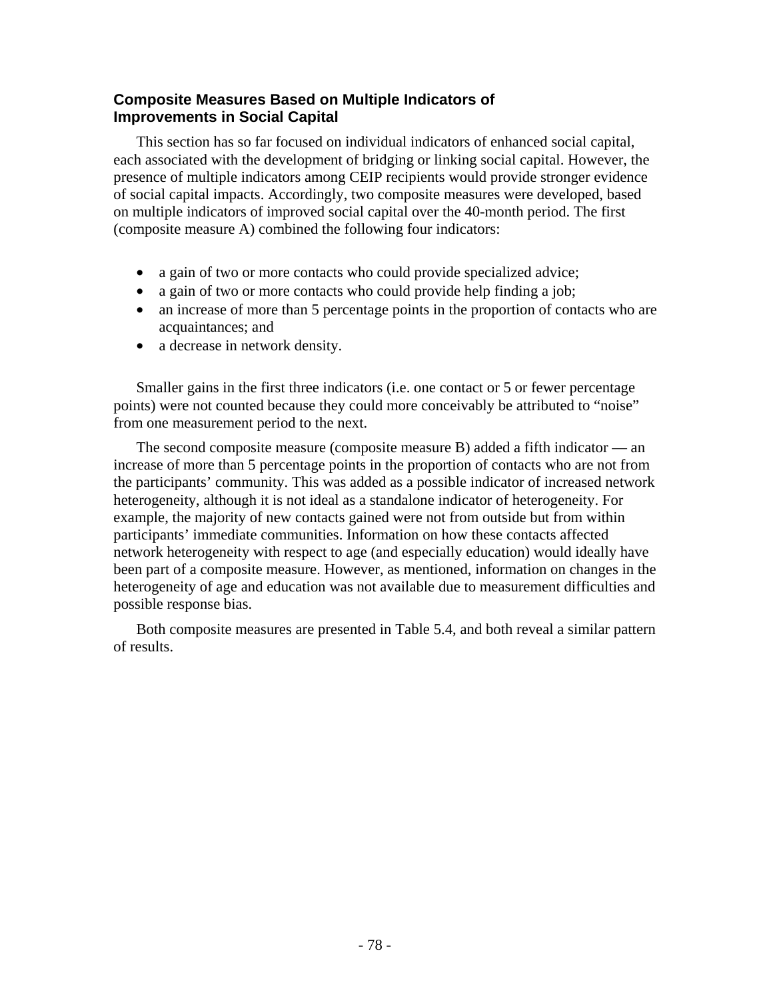# **Composite Measures Based on Multiple Indicators of Improvements in Social Capital**

This section has so far focused on individual indicators of enhanced social capital, each associated with the development of bridging or linking social capital. However, the presence of multiple indicators among CEIP recipients would provide stronger evidence of social capital impacts. Accordingly, two composite measures were developed, based on multiple indicators of improved social capital over the 40-month period. The first (composite measure A) combined the following four indicators:

- a gain of two or more contacts who could provide specialized advice;
- a gain of two or more contacts who could provide help finding a job;
- an increase of more than 5 percentage points in the proportion of contacts who are acquaintances; and
- a decrease in network density.

Smaller gains in the first three indicators (i.e. one contact or 5 or fewer percentage points) were not counted because they could more conceivably be attributed to "noise" from one measurement period to the next.

The second composite measure (composite measure B) added a fifth indicator — an increase of more than 5 percentage points in the proportion of contacts who are not from the participants' community. This was added as a possible indicator of increased network heterogeneity, although it is not ideal as a standalone indicator of heterogeneity. For example, the majority of new contacts gained were not from outside but from within participants' immediate communities. Information on how these contacts affected network heterogeneity with respect to age (and especially education) would ideally have been part of a composite measure. However, as mentioned, information on changes in the heterogeneity of age and education was not available due to measurement difficulties and possible response bias.

Both composite measures are presented in Table 5.4, and both reveal a similar pattern of results.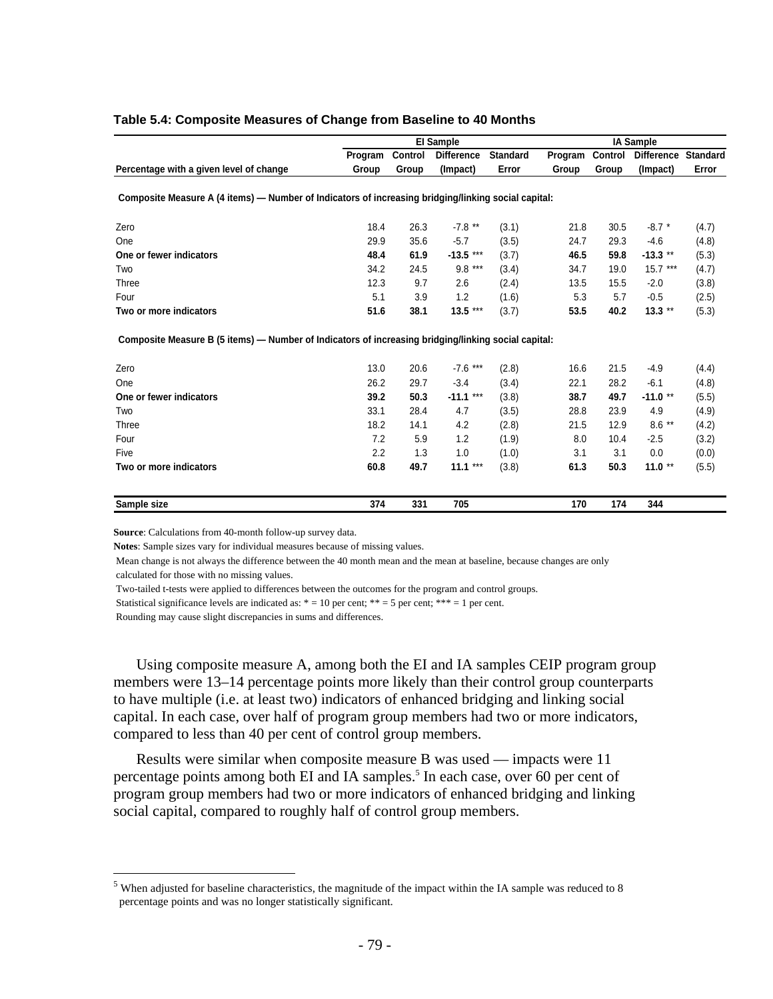|                                                                                                     |         |                | El Sample         |                 |         |         | <b>IA Sample</b>  |                 |
|-----------------------------------------------------------------------------------------------------|---------|----------------|-------------------|-----------------|---------|---------|-------------------|-----------------|
|                                                                                                     | Program | <b>Control</b> | <b>Difference</b> | <b>Standard</b> | Program | Control | <b>Difference</b> | <b>Standard</b> |
| Percentage with a given level of change                                                             | Group   | Group          | (Impact)          | Error           | Group   | Group   | (Impact)          | Error           |
| Composite Measure A (4 items) - Number of Indicators of increasing bridging/linking social capital: |         |                |                   |                 |         |         |                   |                 |
| Zero                                                                                                | 18.4    | 26.3           | $-7.8$ **         | (3.1)           | 21.8    | 30.5    | $-8.7$ *          | (4.7)           |
| One                                                                                                 | 29.9    | 35.6           | $-5.7$            | (3.5)           | 24.7    | 29.3    | $-4.6$            | (4.8)           |
| One or fewer indicators                                                                             | 48.4    | 61.9           | $-13.5$ ***       | (3.7)           | 46.5    | 59.8    | $-13.3**$         | (5.3)           |
| Two                                                                                                 | 34.2    | 24.5           | $9.8***$          | (3.4)           | 34.7    | 19.0    | $15.7***$         | (4.7)           |
| Three                                                                                               | 12.3    | 9.7            | 2.6               | (2.4)           | 13.5    | 15.5    | $-2.0$            | (3.8)           |
| Four                                                                                                | 5.1     | 3.9            | 1.2               | (1.6)           | 5.3     | 5.7     | $-0.5$            | (2.5)           |
| Two or more indicators                                                                              | 51.6    | 38.1           | $13.5***$         | (3.7)           | 53.5    | 40.2    | $13.3$ **         | (5.3)           |
| Composite Measure B (5 items) — Number of Indicators of increasing bridging/linking social capital: |         |                |                   |                 |         |         |                   |                 |
| Zero                                                                                                | 13.0    | 20.6           | $-7.6***$         | (2.8)           | 16.6    | 21.5    | $-4.9$            | (4.4)           |
| One                                                                                                 | 26.2    | 29.7           | $-3.4$            | (3.4)           | 22.1    | 28.2    | $-6.1$            | (4.8)           |
| One or fewer indicators                                                                             | 39.2    | 50.3           | $-11.1***$        | (3.8)           | 38.7    | 49.7    | $-11.0**$         | (5.5)           |
| Two                                                                                                 | 33.1    | 28.4           | 4.7               | (3.5)           | 28.8    | 23.9    | 4.9               | (4.9)           |
| Three                                                                                               | 18.2    | 14.1           | 4.2               | (2.8)           | 21.5    | 12.9    | $8.6***$          | (4.2)           |
| Four                                                                                                | 7.2     | 5.9            | 1.2               | (1.9)           | 8.0     | 10.4    | $-2.5$            | (3.2)           |
| Five                                                                                                | 2.2     | 1.3            | 1.0               | (1.0)           | 3.1     | 3.1     | 0.0               | (0.0)           |
| Two or more indicators                                                                              | 60.8    | 49.7           | $11.1***$         | (3.8)           | 61.3    | 50.3    | $11.0**$          | (5.5)           |
| Sample size                                                                                         | 374     | 331            | 705               |                 | 170     | 174     | 344               |                 |

#### **Table 5.4: Composite Measures of Change from Baseline to 40 Months**

**Source**: Calculations from 40-month follow-up survey data.

**Notes**: Sample sizes vary for individual measures because of missing values.

 Mean change is not always the difference between the 40 month mean and the mean at baseline, because changes are only calculated for those with no missing values.

Two-tailed t-tests were applied to differences between the outcomes for the program and control groups.

Statistical significance levels are indicated as:  $* = 10$  per cent;  $** = 5$  per cent;  $*** = 1$  per cent.

Rounding may cause slight discrepancies in sums and differences.

 $\overline{a}$ 

Using composite measure A, among both the EI and IA samples CEIP program group members were 13–14 percentage points more likely than their control group counterparts to have multiple (i.e. at least two) indicators of enhanced bridging and linking social capital. In each case, over half of program group members had two or more indicators, compared to less than 40 per cent of control group members.

Results were similar when composite measure B was used — impacts were 11 percentage points among both EI and IA samples.<sup>5</sup> In each case, over 60 per cent of program group members had two or more indicators of enhanced bridging and linking social capital, compared to roughly half of control group members.

 $<sup>5</sup>$  When adjusted for baseline characteristics, the magnitude of the impact within the IA sample was reduced to 8</sup> percentage points and was no longer statistically significant.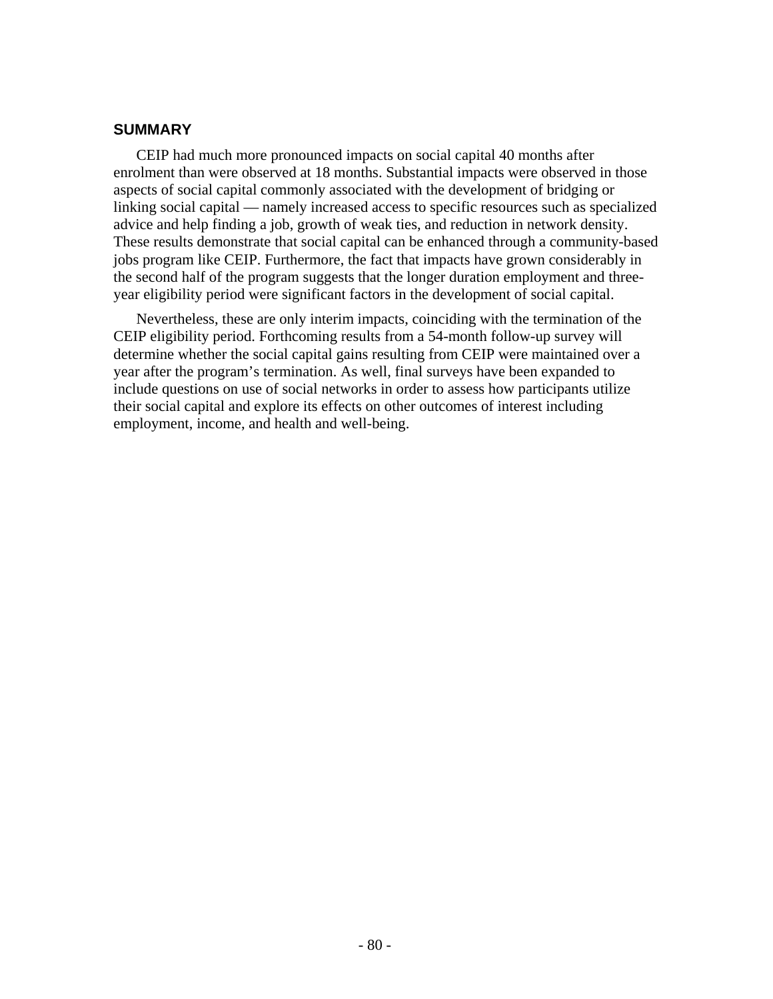# **SUMMARY**

CEIP had much more pronounced impacts on social capital 40 months after enrolment than were observed at 18 months. Substantial impacts were observed in those aspects of social capital commonly associated with the development of bridging or linking social capital — namely increased access to specific resources such as specialized advice and help finding a job, growth of weak ties, and reduction in network density. These results demonstrate that social capital can be enhanced through a community-based jobs program like CEIP. Furthermore, the fact that impacts have grown considerably in the second half of the program suggests that the longer duration employment and threeyear eligibility period were significant factors in the development of social capital.

Nevertheless, these are only interim impacts, coinciding with the termination of the CEIP eligibility period. Forthcoming results from a 54-month follow-up survey will determine whether the social capital gains resulting from CEIP were maintained over a year after the program's termination. As well, final surveys have been expanded to include questions on use of social networks in order to assess how participants utilize their social capital and explore its effects on other outcomes of interest including employment, income, and health and well-being.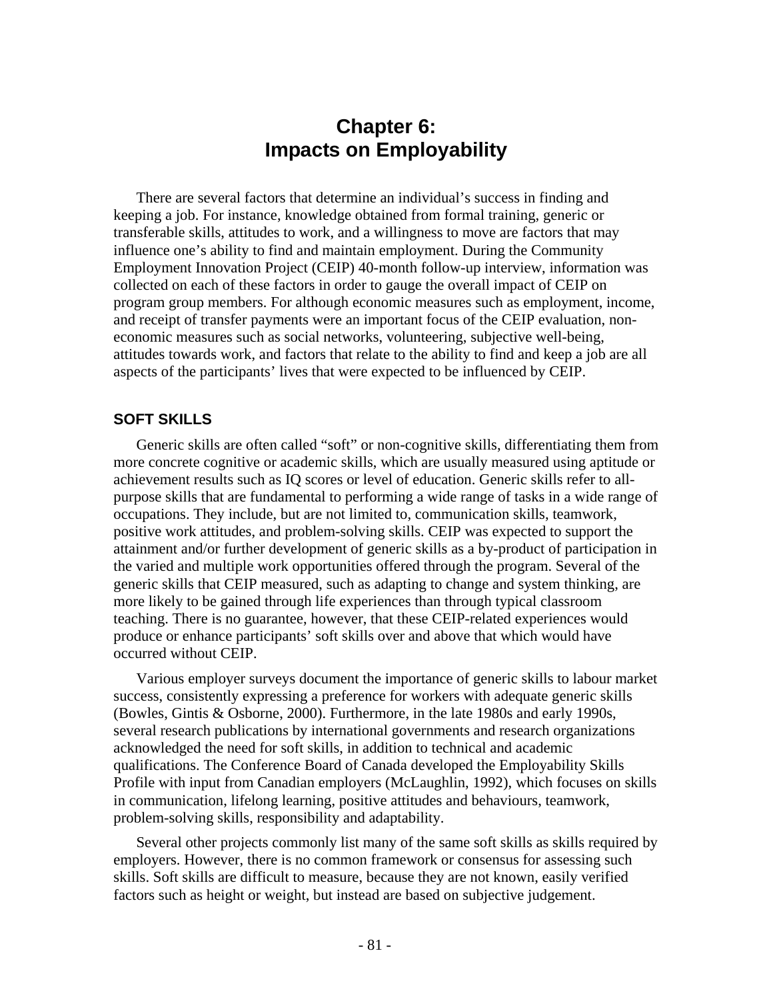# **Chapter 6: Impacts on Employability**

There are several factors that determine an individual's success in finding and keeping a job. For instance, knowledge obtained from formal training, generic or transferable skills, attitudes to work, and a willingness to move are factors that may influence one's ability to find and maintain employment. During the Community Employment Innovation Project (CEIP) 40-month follow-up interview, information was collected on each of these factors in order to gauge the overall impact of CEIP on program group members. For although economic measures such as employment, income, and receipt of transfer payments were an important focus of the CEIP evaluation, noneconomic measures such as social networks, volunteering, subjective well-being, attitudes towards work, and factors that relate to the ability to find and keep a job are all aspects of the participants' lives that were expected to be influenced by CEIP.

# **SOFT SKILLS**

Generic skills are often called "soft" or non-cognitive skills, differentiating them from more concrete cognitive or academic skills, which are usually measured using aptitude or achievement results such as IQ scores or level of education. Generic skills refer to allpurpose skills that are fundamental to performing a wide range of tasks in a wide range of occupations. They include, but are not limited to, communication skills, teamwork, positive work attitudes, and problem-solving skills. CEIP was expected to support the attainment and/or further development of generic skills as a by-product of participation in the varied and multiple work opportunities offered through the program. Several of the generic skills that CEIP measured, such as adapting to change and system thinking, are more likely to be gained through life experiences than through typical classroom teaching. There is no guarantee, however, that these CEIP-related experiences would produce or enhance participants' soft skills over and above that which would have occurred without CEIP.

Various employer surveys document the importance of generic skills to labour market success, consistently expressing a preference for workers with adequate generic skills (Bowles, Gintis & Osborne, 2000). Furthermore, in the late 1980s and early 1990s, several research publications by international governments and research organizations acknowledged the need for soft skills, in addition to technical and academic qualifications. The Conference Board of Canada developed the Employability Skills Profile with input from Canadian employers (McLaughlin, 1992), which focuses on skills in communication, lifelong learning, positive attitudes and behaviours, teamwork, problem-solving skills, responsibility and adaptability.

Several other projects commonly list many of the same soft skills as skills required by employers. However, there is no common framework or consensus for assessing such skills. Soft skills are difficult to measure, because they are not known, easily verified factors such as height or weight, but instead are based on subjective judgement.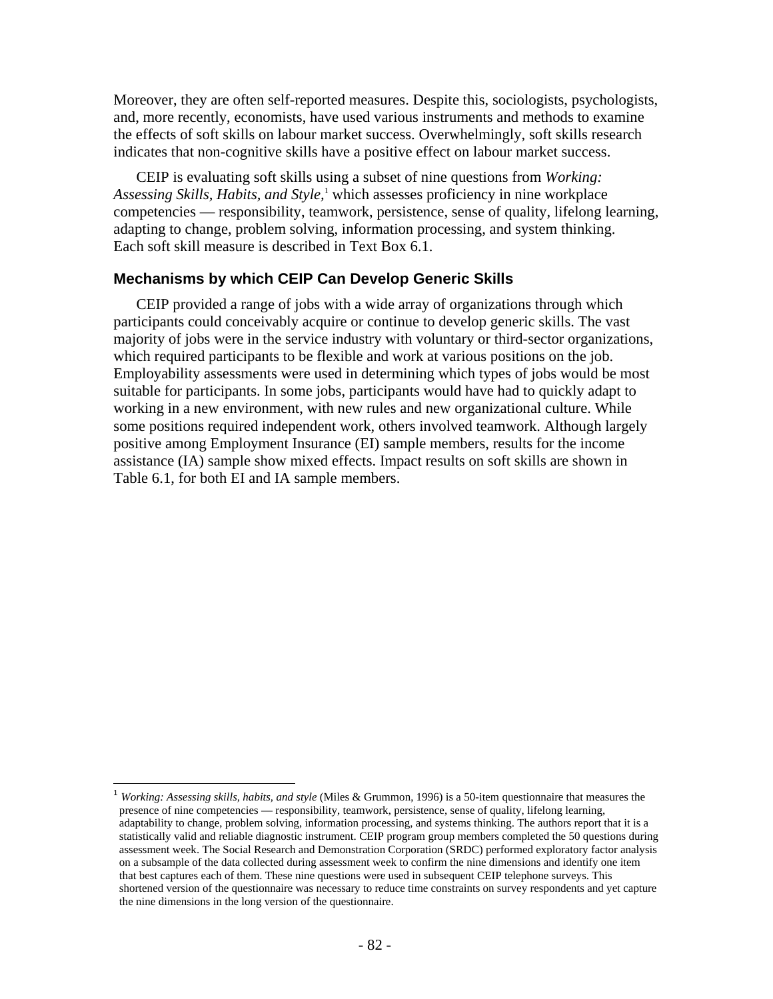Moreover, they are often self-reported measures. Despite this, sociologists, psychologists, and, more recently, economists, have used various instruments and methods to examine the effects of soft skills on labour market success. Overwhelmingly, soft skills research indicates that non-cognitive skills have a positive effect on labour market success.

CEIP is evaluating soft skills using a subset of nine questions from *Working: Assessing Skills, Habits, and Style,*<sup>1</sup> which assesses proficiency in nine workplace competencies — responsibility, teamwork, persistence, sense of quality, lifelong learning, adapting to change, problem solving, information processing, and system thinking. Each soft skill measure is described in Text Box 6.1.

### **Mechanisms by which CEIP Can Develop Generic Skills**

CEIP provided a range of jobs with a wide array of organizations through which participants could conceivably acquire or continue to develop generic skills. The vast majority of jobs were in the service industry with voluntary or third-sector organizations, which required participants to be flexible and work at various positions on the job. Employability assessments were used in determining which types of jobs would be most suitable for participants. In some jobs, participants would have had to quickly adapt to working in a new environment, with new rules and new organizational culture. While some positions required independent work, others involved teamwork. Although largely positive among Employment Insurance (EI) sample members, results for the income assistance (IA) sample show mixed effects. Impact results on soft skills are shown in Table 6.1, for both EI and IA sample members.

 $\overline{a}$ 

<sup>1</sup> *Working: Assessing skills, habits, and style* (Miles & Grummon, 1996) is a 50-item questionnaire that measures the presence of nine competencies — responsibility, teamwork, persistence, sense of quality, lifelong learning, adaptability to change, problem solving, information processing, and systems thinking. The authors report that it is a statistically valid and reliable diagnostic instrument. CEIP program group members completed the 50 questions during assessment week. The Social Research and Demonstration Corporation (SRDC) performed exploratory factor analysis on a subsample of the data collected during assessment week to confirm the nine dimensions and identify one item that best captures each of them. These nine questions were used in subsequent CEIP telephone surveys. This shortened version of the questionnaire was necessary to reduce time constraints on survey respondents and yet capture the nine dimensions in the long version of the questionnaire.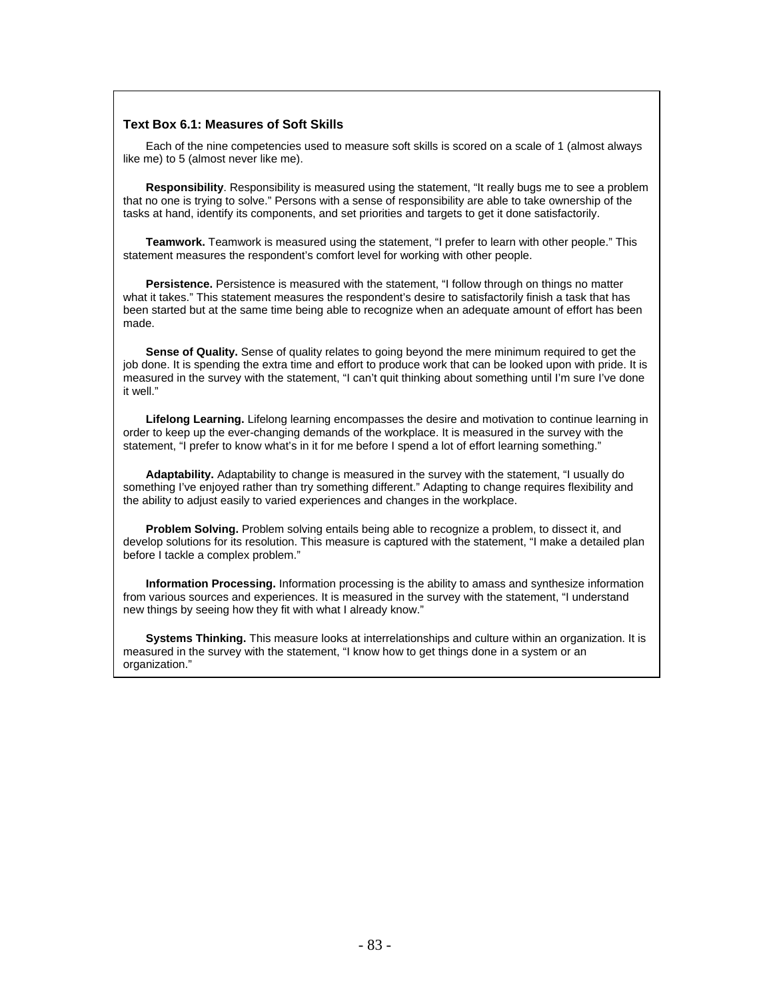#### **Text Box 6.1: Measures of Soft Skills**

Each of the nine competencies used to measure soft skills is scored on a scale of 1 (almost always like me) to 5 (almost never like me).

**Responsibility**. Responsibility is measured using the statement, "It really bugs me to see a problem that no one is trying to solve." Persons with a sense of responsibility are able to take ownership of the tasks at hand, identify its components, and set priorities and targets to get it done satisfactorily.

**Teamwork.** Teamwork is measured using the statement, "I prefer to learn with other people." This statement measures the respondent's comfort level for working with other people.

**Persistence.** Persistence is measured with the statement, "I follow through on things no matter what it takes." This statement measures the respondent's desire to satisfactorily finish a task that has been started but at the same time being able to recognize when an adequate amount of effort has been made.

**Sense of Quality.** Sense of quality relates to going beyond the mere minimum required to get the job done. It is spending the extra time and effort to produce work that can be looked upon with pride. It is measured in the survey with the statement, "I can't quit thinking about something until I'm sure I've done it well."

**Lifelong Learning.** Lifelong learning encompasses the desire and motivation to continue learning in order to keep up the ever-changing demands of the workplace. It is measured in the survey with the statement, "I prefer to know what's in it for me before I spend a lot of effort learning something."

**Adaptability.** Adaptability to change is measured in the survey with the statement, "I usually do something I've enjoyed rather than try something different." Adapting to change requires flexibility and the ability to adjust easily to varied experiences and changes in the workplace.

**Problem Solving.** Problem solving entails being able to recognize a problem, to dissect it, and develop solutions for its resolution. This measure is captured with the statement, "I make a detailed plan before I tackle a complex problem."

**Information Processing.** Information processing is the ability to amass and synthesize information from various sources and experiences. It is measured in the survey with the statement, "I understand new things by seeing how they fit with what I already know."

**Systems Thinking.** This measure looks at interrelationships and culture within an organization. It is measured in the survey with the statement, "I know how to get things done in a system or an organization."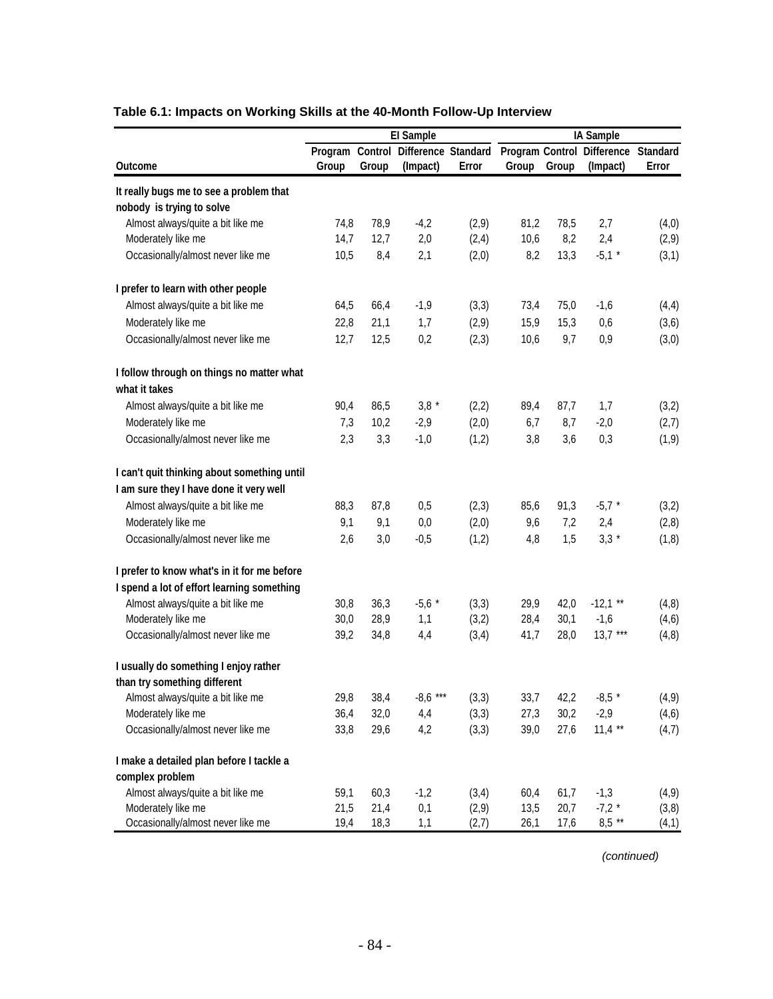|                                             |                 |       | El Sample           |       |       |       | IA Sample                  |                 |
|---------------------------------------------|-----------------|-------|---------------------|-------|-------|-------|----------------------------|-----------------|
|                                             | Program Control |       | Difference Standard |       |       |       | Program Control Difference | <b>Standard</b> |
| <b>Outcome</b>                              | Group           | Group | (Impact)            | Error | Group | Group | (Impact)                   | Error           |
| It really bugs me to see a problem that     |                 |       |                     |       |       |       |                            |                 |
| nobody is trying to solve                   |                 |       |                     |       |       |       |                            |                 |
| Almost always/quite a bit like me           | 74,8            | 78,9  | $-4,2$              | (2,9) | 81,2  | 78,5  | 2,7                        | (4,0)           |
| Moderately like me                          | 14,7            | 12,7  | 2,0                 | (2,4) | 10,6  | 8,2   | 2,4                        | (2,9)           |
| Occasionally/almost never like me           | 10,5            | 8,4   | 2,1                 | (2,0) | 8,2   | 13,3  | $-5,1$ *                   | (3,1)           |
| I prefer to learn with other people         |                 |       |                     |       |       |       |                            |                 |
| Almost always/quite a bit like me           | 64,5            | 66,4  | $-1,9$              | (3,3) | 73,4  | 75,0  | $-1,6$                     | (4, 4)          |
| Moderately like me                          | 22,8            | 21,1  | 1,7                 | (2,9) | 15,9  | 15,3  | 0,6                        | (3,6)           |
| Occasionally/almost never like me           | 12,7            | 12,5  | 0,2                 | (2,3) | 10,6  | 9,7   | 0,9                        | (3,0)           |
| I follow through on things no matter what   |                 |       |                     |       |       |       |                            |                 |
| what it takes                               |                 |       |                     |       |       |       |                            |                 |
| Almost always/quite a bit like me           | 90,4            | 86,5  | $3,8 *$             | (2,2) | 89,4  | 87,7  | 1,7                        | (3,2)           |
| Moderately like me                          | 7,3             | 10,2  | $-2,9$              | (2,0) | 6,7   | 8,7   | $-2,0$                     | (2,7)           |
| Occasionally/almost never like me           | 2,3             | 3,3   | $-1,0$              | (1,2) | 3,8   | 3,6   | 0,3                        | (1, 9)          |
| I can't quit thinking about something until |                 |       |                     |       |       |       |                            |                 |
| I am sure they I have done it very well     |                 |       |                     |       |       |       |                            |                 |
| Almost always/quite a bit like me           | 88,3            | 87,8  | 0,5                 | (2,3) | 85,6  | 91,3  | $-5,7$ *                   | (3,2)           |
| Moderately like me                          | 9,1             | 9,1   | 0,0                 | (2,0) | 9,6   | 7,2   | 2,4                        | (2, 8)          |
| Occasionally/almost never like me           | 2,6             | 3,0   | $-0,5$              | (1,2) | 4,8   | 1,5   | $3,3*$                     | (1, 8)          |
| I prefer to know what's in it for me before |                 |       |                     |       |       |       |                            |                 |
| I spend a lot of effort learning something  |                 |       |                     |       |       |       |                            |                 |
| Almost always/quite a bit like me           | 30,8            | 36,3  | $-5,6*$             | (3,3) | 29,9  | 42,0  | $-12,1$ **                 | (4, 8)          |
| Moderately like me                          | 30,0            | 28,9  | 1,1                 | (3,2) | 28,4  | 30,1  | $-1,6$                     | (4,6)           |
| Occasionally/almost never like me           | 39,2            | 34,8  | 4,4                 | (3,4) | 41,7  | 28,0  | $13,7$ ***                 | (4, 8)          |
| I usually do something I enjoy rather       |                 |       |                     |       |       |       |                            |                 |
| than try something different                |                 |       |                     |       |       |       |                            |                 |
| Almost always/quite a bit like me           | 29,8            | 38,4  | $-8,6$ ***          | (3,3) | 33,7  | 42,2  | $-8,5*$                    | (4, 9)          |
| Moderately like me                          | 36,4            | 32,0  | 4,4                 | (3,3) | 27,3  | 30,2  | $-2,9$                     | (4, 6)          |
| Occasionally/almost never like me           | 33,8            | 29,6  | 4,2                 | (3,3) | 39,0  | 27,6  | $11,4$ **                  | (4,7)           |
| I make a detailed plan before I tackle a    |                 |       |                     |       |       |       |                            |                 |
| complex problem                             |                 |       |                     |       |       |       |                            |                 |
| Almost always/quite a bit like me           | 59,1            | 60,3  | $-1,2$              | (3,4) | 60,4  | 61,7  | $-1,3$                     | (4, 9)          |
| Moderately like me                          | 21,5            | 21,4  | 0,1                 | (2,9) | 13,5  | 20,7  | $-7,2*$                    | (3,8)           |
| Occasionally/almost never like me           | 19,4            | 18,3  | 1,1                 | (2,7) | 26,1  | 17,6  | $8,5$ **                   | (4,1)           |

# **Table 6.1: Impacts on Working Skills at the 40-Month Follow-Up Interview**

*(continued)*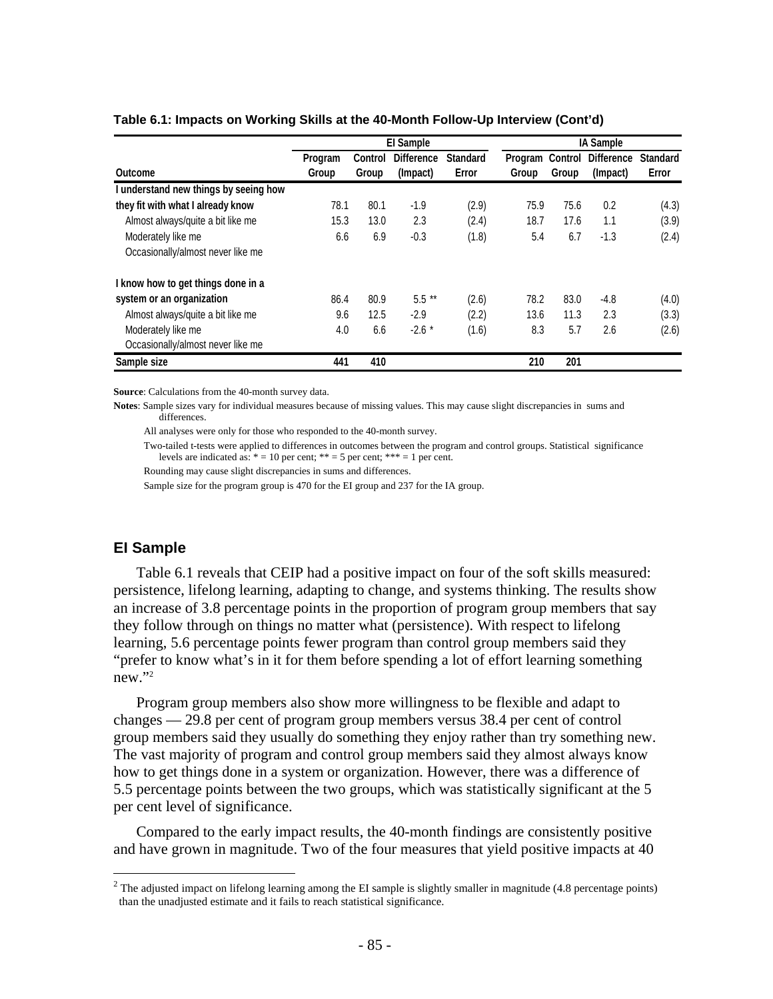|                                       |                  |                  | El Sample                     |                          |                  |                         | IA Sample                     |                          |
|---------------------------------------|------------------|------------------|-------------------------------|--------------------------|------------------|-------------------------|-------------------------------|--------------------------|
| Outcome                               | Program<br>Group | Control<br>Group | <b>Difference</b><br>(Impact) | <b>Standard</b><br>Error | Program<br>Group | <b>Control</b><br>Group | <b>Difference</b><br>(Impact) | <b>Standard</b><br>Error |
| I understand new things by seeing how |                  |                  |                               |                          |                  |                         |                               |                          |
| they fit with what I already know     | 78.1             | 80.1             | -1.9                          | (2.9)                    | 75.9             | 75.6                    | 0.2                           | (4.3)                    |
| Almost always/quite a bit like me     | 15.3             | 13.0             | 2.3                           | (2.4)                    | 18.7             | 17.6                    | 1.1                           | (3.9)                    |
| Moderately like me                    | 6.6              | 6.9              | $-0.3$                        | (1.8)                    | 5.4              | 6.7                     | $-1.3$                        | (2.4)                    |
| Occasionally/almost never like me     |                  |                  |                               |                          |                  |                         |                               |                          |
| I know how to get things done in a    |                  |                  |                               |                          |                  |                         |                               |                          |
| system or an organization             | 86.4             | 80.9             | $5.5***$                      | (2.6)                    | 78.2             | 83.0                    | -4.8                          | (4.0)                    |
| Almost always/quite a bit like me     | 9.6              | 12.5             | $-2.9$                        | (2.2)                    | 13.6             | 11.3                    | 2.3                           | (3.3)                    |
| Moderately like me                    | 4.0              | 6.6              | $-2.6*$                       | (1.6)                    | 8.3              | 5.7                     | 2.6                           | (2.6)                    |
| Occasionally/almost never like me     |                  |                  |                               |                          |                  |                         |                               |                          |
| Sample size                           | 441              | 410              |                               |                          | 210              | 201                     |                               |                          |

#### **Table 6.1: Impacts on Working Skills at the 40-Month Follow-Up Interview (Cont'd)**

**Source**: Calculations from the 40-month survey data.

**Notes**: Sample sizes vary for individual measures because of missing values. This may cause slight discrepancies in sums and differences.

All analyses were only for those who responded to the 40-month survey.

 Two-tailed t-tests were applied to differences in outcomes between the program and control groups. Statistical significance levels are indicated as:  $* = 10$  per cent;  $** = 5$  per cent;  $*** = 1$  per cent.

Rounding may cause slight discrepancies in sums and differences.

Sample size for the program group is 470 for the EI group and 237 for the IA group.

# **EI Sample**

 $\overline{a}$ 

Table 6.1 reveals that CEIP had a positive impact on four of the soft skills measured: persistence, lifelong learning, adapting to change, and systems thinking. The results show an increase of 3.8 percentage points in the proportion of program group members that say they follow through on things no matter what (persistence). With respect to lifelong learning, 5.6 percentage points fewer program than control group members said they "prefer to know what's in it for them before spending a lot of effort learning something new."2

Program group members also show more willingness to be flexible and adapt to changes — 29.8 per cent of program group members versus 38.4 per cent of control group members said they usually do something they enjoy rather than try something new. The vast majority of program and control group members said they almost always know how to get things done in a system or organization. However, there was a difference of 5.5 percentage points between the two groups, which was statistically significant at the 5 per cent level of significance.

Compared to the early impact results, the 40-month findings are consistently positive and have grown in magnitude. Two of the four measures that yield positive impacts at 40

<sup>&</sup>lt;sup>2</sup> The adjusted impact on lifelong learning among the EI sample is slightly smaller in magnitude  $(4.8$  percentage points) than the unadjusted estimate and it fails to reach statistical significance.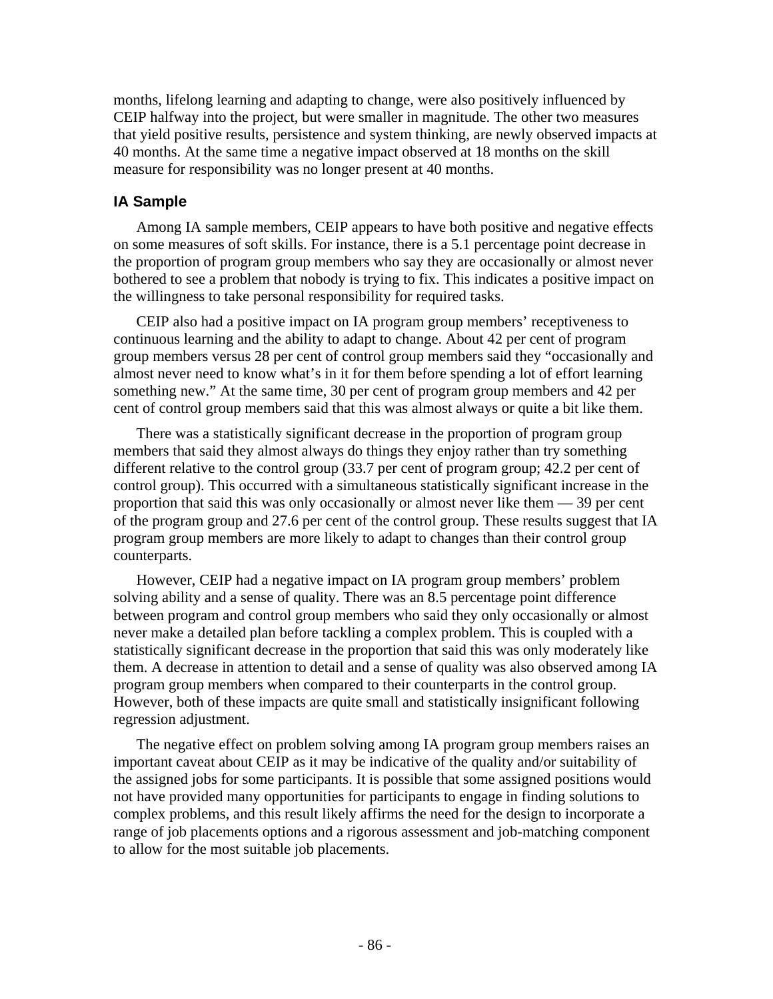months, lifelong learning and adapting to change, were also positively influenced by CEIP halfway into the project, but were smaller in magnitude. The other two measures that yield positive results, persistence and system thinking, are newly observed impacts at 40 months. At the same time a negative impact observed at 18 months on the skill measure for responsibility was no longer present at 40 months.

# **IA Sample**

Among IA sample members, CEIP appears to have both positive and negative effects on some measures of soft skills. For instance, there is a 5.1 percentage point decrease in the proportion of program group members who say they are occasionally or almost never bothered to see a problem that nobody is trying to fix. This indicates a positive impact on the willingness to take personal responsibility for required tasks.

CEIP also had a positive impact on IA program group members' receptiveness to continuous learning and the ability to adapt to change. About 42 per cent of program group members versus 28 per cent of control group members said they "occasionally and almost never need to know what's in it for them before spending a lot of effort learning something new." At the same time, 30 per cent of program group members and 42 per cent of control group members said that this was almost always or quite a bit like them.

There was a statistically significant decrease in the proportion of program group members that said they almost always do things they enjoy rather than try something different relative to the control group (33.7 per cent of program group; 42.2 per cent of control group). This occurred with a simultaneous statistically significant increase in the proportion that said this was only occasionally or almost never like them — 39 per cent of the program group and 27.6 per cent of the control group. These results suggest that IA program group members are more likely to adapt to changes than their control group counterparts.

However, CEIP had a negative impact on IA program group members' problem solving ability and a sense of quality. There was an 8.5 percentage point difference between program and control group members who said they only occasionally or almost never make a detailed plan before tackling a complex problem. This is coupled with a statistically significant decrease in the proportion that said this was only moderately like them. A decrease in attention to detail and a sense of quality was also observed among IA program group members when compared to their counterparts in the control group. However, both of these impacts are quite small and statistically insignificant following regression adjustment.

The negative effect on problem solving among IA program group members raises an important caveat about CEIP as it may be indicative of the quality and/or suitability of the assigned jobs for some participants. It is possible that some assigned positions would not have provided many opportunities for participants to engage in finding solutions to complex problems, and this result likely affirms the need for the design to incorporate a range of job placements options and a rigorous assessment and job-matching component to allow for the most suitable job placements.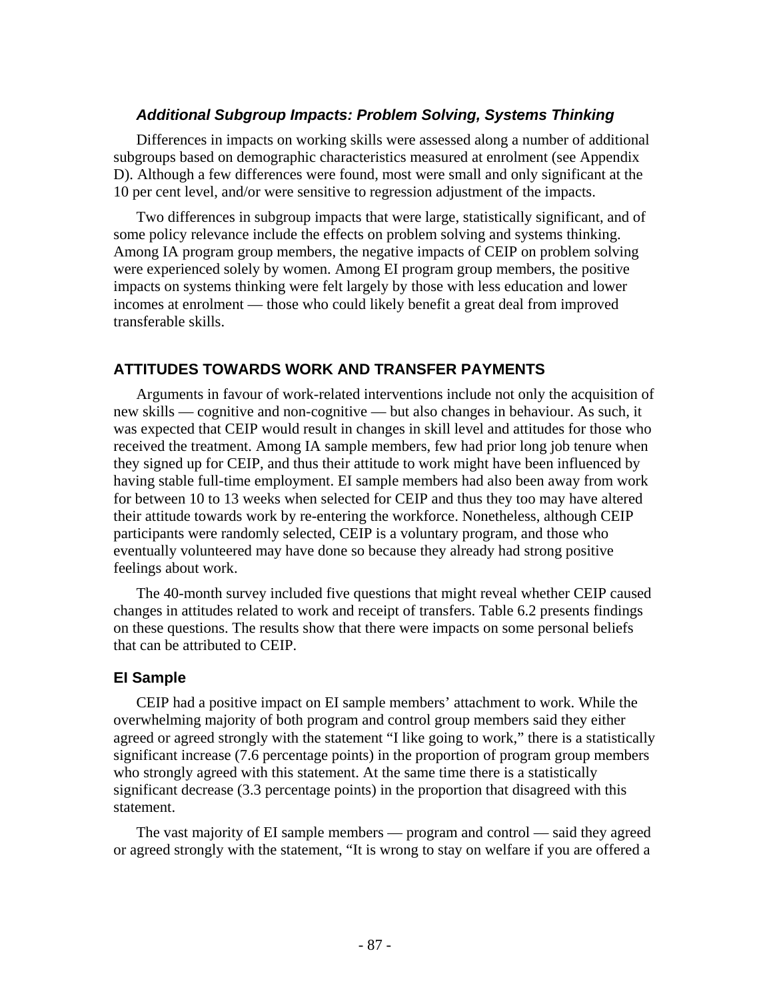# *Additional Subgroup Impacts: Problem Solving, Systems Thinking*

Differences in impacts on working skills were assessed along a number of additional subgroups based on demographic characteristics measured at enrolment (see Appendix D). Although a few differences were found, most were small and only significant at the 10 per cent level, and/or were sensitive to regression adjustment of the impacts.

Two differences in subgroup impacts that were large, statistically significant, and of some policy relevance include the effects on problem solving and systems thinking. Among IA program group members, the negative impacts of CEIP on problem solving were experienced solely by women. Among EI program group members, the positive impacts on systems thinking were felt largely by those with less education and lower incomes at enrolment — those who could likely benefit a great deal from improved transferable skills.

# **ATTITUDES TOWARDS WORK AND TRANSFER PAYMENTS**

Arguments in favour of work-related interventions include not only the acquisition of new skills — cognitive and non-cognitive — but also changes in behaviour. As such, it was expected that CEIP would result in changes in skill level and attitudes for those who received the treatment. Among IA sample members, few had prior long job tenure when they signed up for CEIP, and thus their attitude to work might have been influenced by having stable full-time employment. EI sample members had also been away from work for between 10 to 13 weeks when selected for CEIP and thus they too may have altered their attitude towards work by re-entering the workforce. Nonetheless, although CEIP participants were randomly selected, CEIP is a voluntary program, and those who eventually volunteered may have done so because they already had strong positive feelings about work.

The 40-month survey included five questions that might reveal whether CEIP caused changes in attitudes related to work and receipt of transfers. Table 6.2 presents findings on these questions. The results show that there were impacts on some personal beliefs that can be attributed to CEIP.

# **EI Sample**

CEIP had a positive impact on EI sample members' attachment to work. While the overwhelming majority of both program and control group members said they either agreed or agreed strongly with the statement "I like going to work," there is a statistically significant increase (7.6 percentage points) in the proportion of program group members who strongly agreed with this statement. At the same time there is a statistically significant decrease (3.3 percentage points) in the proportion that disagreed with this statement.

The vast majority of EI sample members — program and control — said they agreed or agreed strongly with the statement, "It is wrong to stay on welfare if you are offered a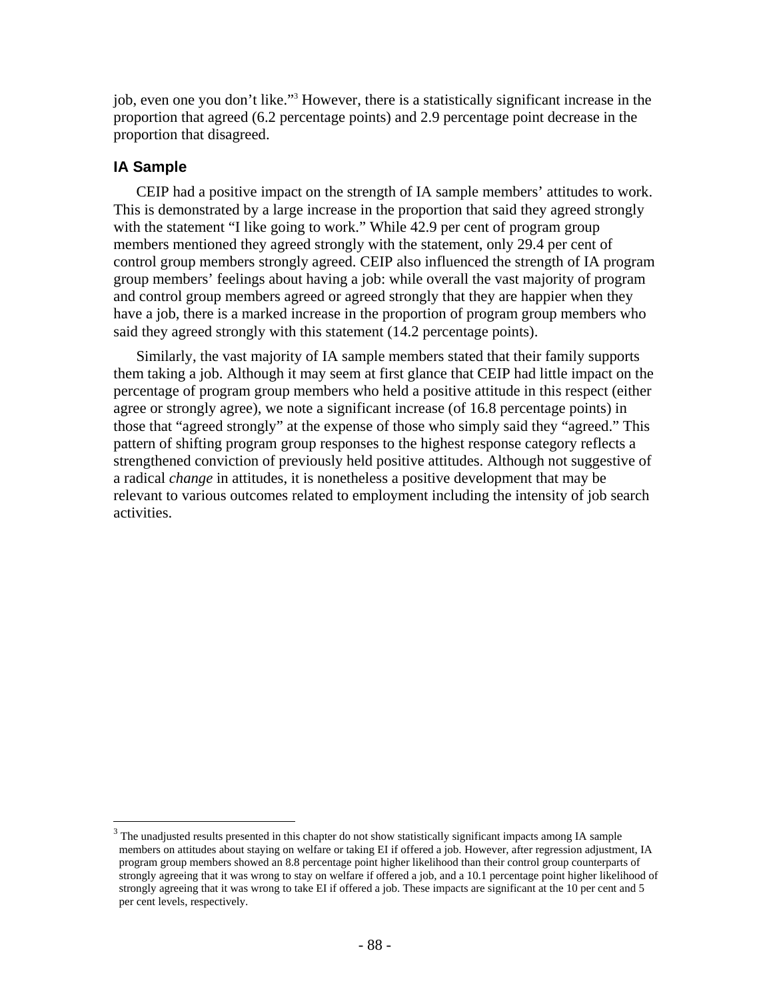job, even one you don't like."3 However, there is a statistically significant increase in the proportion that agreed (6.2 percentage points) and 2.9 percentage point decrease in the proportion that disagreed.

# **IA Sample**

 $\overline{a}$ 

CEIP had a positive impact on the strength of IA sample members' attitudes to work. This is demonstrated by a large increase in the proportion that said they agreed strongly with the statement "I like going to work." While 42.9 per cent of program group members mentioned they agreed strongly with the statement, only 29.4 per cent of control group members strongly agreed. CEIP also influenced the strength of IA program group members' feelings about having a job: while overall the vast majority of program and control group members agreed or agreed strongly that they are happier when they have a job, there is a marked increase in the proportion of program group members who said they agreed strongly with this statement (14.2 percentage points).

Similarly, the vast majority of IA sample members stated that their family supports them taking a job. Although it may seem at first glance that CEIP had little impact on the percentage of program group members who held a positive attitude in this respect (either agree or strongly agree), we note a significant increase (of 16.8 percentage points) in those that "agreed strongly" at the expense of those who simply said they "agreed." This pattern of shifting program group responses to the highest response category reflects a strengthened conviction of previously held positive attitudes. Although not suggestive of a radical *change* in attitudes, it is nonetheless a positive development that may be relevant to various outcomes related to employment including the intensity of job search activities.

 $3$  The unadjusted results presented in this chapter do not show statistically significant impacts among IA sample members on attitudes about staying on welfare or taking EI if offered a job. However, after regression adjustment, IA program group members showed an 8.8 percentage point higher likelihood than their control group counterparts of strongly agreeing that it was wrong to stay on welfare if offered a job, and a 10.1 percentage point higher likelihood of strongly agreeing that it was wrong to take EI if offered a job. These impacts are significant at the 10 per cent and 5 per cent levels, respectively.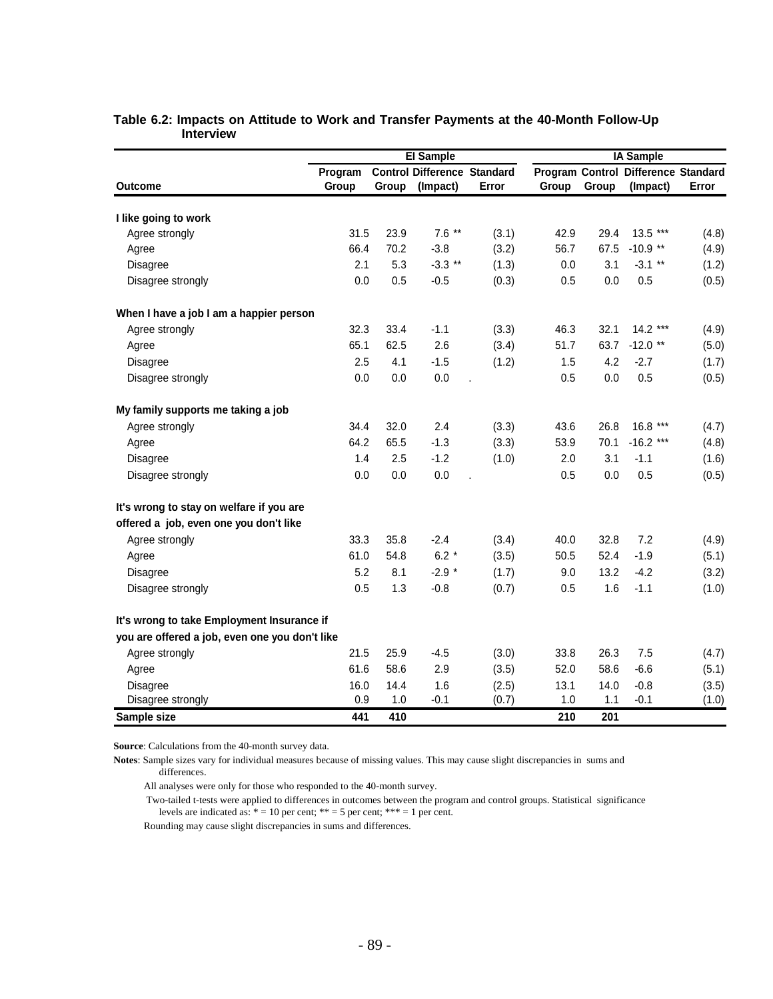|                                                |         |       | El Sample                          |       |       |       |                                     |       |
|------------------------------------------------|---------|-------|------------------------------------|-------|-------|-------|-------------------------------------|-------|
|                                                | Program |       | <b>Control Difference Standard</b> |       |       |       | Program Control Difference Standard |       |
| <b>Outcome</b>                                 | Group   | Group | (Impact)                           | Error | Group | Group | (Impact)                            | Error |
| I like going to work                           |         |       |                                    |       |       |       |                                     |       |
| Agree strongly                                 | 31.5    | 23.9  | $7.6$ **                           | (3.1) | 42.9  | 29.4  | $13.5***$                           | (4.8) |
| Agree                                          | 66.4    | 70.2  | $-3.8$                             | (3.2) | 56.7  | 67.5  | $-10.9$ **                          | (4.9) |
| Disagree                                       | 2.1     | 5.3   | $-3.3$ **                          | (1.3) | 0.0   | 3.1   | $-3.1$ **                           | (1.2) |
| Disagree strongly                              | 0.0     | 0.5   | $-0.5$                             | (0.3) | 0.5   | 0.0   | 0.5                                 | (0.5) |
| When I have a job I am a happier person        |         |       |                                    |       |       |       |                                     |       |
| Agree strongly                                 | 32.3    | 33.4  | $-1.1$                             | (3.3) | 46.3  | 32.1  | $14.2***$                           | (4.9) |
| Agree                                          | 65.1    | 62.5  | 2.6                                | (3.4) | 51.7  | 63.7  | $-12.0$ **                          | (5.0) |
| Disagree                                       | 2.5     | 4.1   | $-1.5$                             | (1.2) | 1.5   | 4.2   | $-2.7$                              | (1.7) |
| Disagree strongly                              | 0.0     | 0.0   | 0.0                                |       | 0.5   | 0.0   | 0.5                                 | (0.5) |
| My family supports me taking a job             |         |       |                                    |       |       |       |                                     |       |
| Agree strongly                                 | 34.4    | 32.0  | 2.4                                | (3.3) | 43.6  | 26.8  | 16.8<br>$***$                       | (4.7) |
| Agree                                          | 64.2    | 65.5  | $-1.3$                             | (3.3) | 53.9  | 70.1  | $-16.2$ ***                         | (4.8) |
| Disagree                                       | 1.4     | 2.5   | $-1.2$                             | (1.0) | 2.0   | 3.1   | $-1.1$                              | (1.6) |
| Disagree strongly                              | 0.0     | 0.0   | 0.0                                |       | 0.5   | 0.0   | 0.5                                 | (0.5) |
| It's wrong to stay on welfare if you are       |         |       |                                    |       |       |       |                                     |       |
| offered a job, even one you don't like         |         |       |                                    |       |       |       |                                     |       |
| Agree strongly                                 | 33.3    | 35.8  | $-2.4$                             | (3.4) | 40.0  | 32.8  | 7.2                                 | (4.9) |
| Agree                                          | 61.0    | 54.8  | $6.2*$                             | (3.5) | 50.5  | 52.4  | $-1.9$                              | (5.1) |
| <b>Disagree</b>                                | 5.2     | 8.1   | $-2.9*$                            | (1.7) | 9.0   | 13.2  | $-4.2$                              | (3.2) |
| Disagree strongly                              | 0.5     | 1.3   | $-0.8$                             | (0.7) | 0.5   | 1.6   | $-1.1$                              | (1.0) |
| It's wrong to take Employment Insurance if     |         |       |                                    |       |       |       |                                     |       |
| you are offered a job, even one you don't like |         |       |                                    |       |       |       |                                     |       |
| Agree strongly                                 | 21.5    | 25.9  | $-4.5$                             | (3.0) | 33.8  | 26.3  | 7.5                                 | (4.7) |
| Agree                                          | 61.6    | 58.6  | 2.9                                | (3.5) | 52.0  | 58.6  | $-6.6$                              | (5.1) |
| Disagree                                       | 16.0    | 14.4  | 1.6                                | (2.5) | 13.1  | 14.0  | $-0.8$                              | (3.5) |
| Disagree strongly                              | 0.9     | 1.0   | $-0.1$                             | (0.7) | 1.0   | 1.1   | $-0.1$                              | (1.0) |
| Sample size                                    | 441     | 410   |                                    |       | 210   | 201   |                                     |       |

### **Table 6.2: Impacts on Attitude to Work and Transfer Payments at the 40-Month Follow-Up Interview**

**Source**: Calculations from the 40-month survey data.

Notes: Sample sizes vary for individual measures because of missing values. This may cause slight discrepancies in sums and differences.

All analyses were only for those who responded to the 40-month survey.

 Two-tailed t-tests were applied to differences in outcomes between the program and control groups. Statistical significance levels are indicated as:  $* = 10$  per cent;  $** = 5$  per cent;  $*** = 1$  per cent.

Rounding may cause slight discrepancies in sums and differences.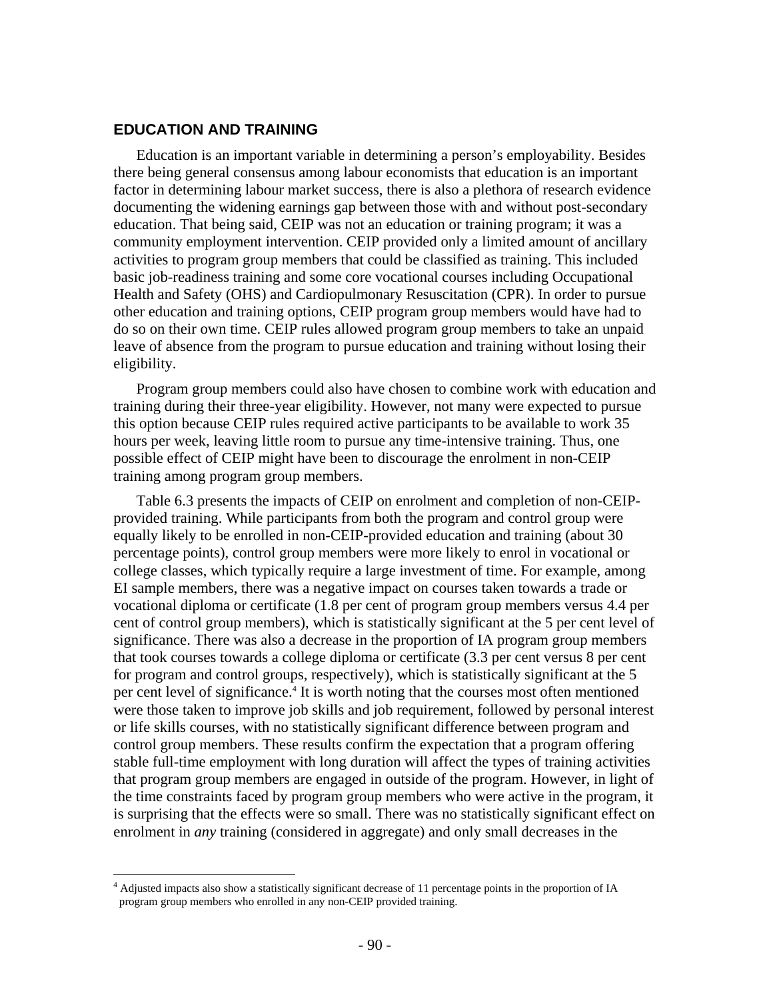### **EDUCATION AND TRAINING**

Education is an important variable in determining a person's employability. Besides there being general consensus among labour economists that education is an important factor in determining labour market success, there is also a plethora of research evidence documenting the widening earnings gap between those with and without post-secondary education. That being said, CEIP was not an education or training program; it was a community employment intervention. CEIP provided only a limited amount of ancillary activities to program group members that could be classified as training. This included basic job-readiness training and some core vocational courses including Occupational Health and Safety (OHS) and Cardiopulmonary Resuscitation (CPR). In order to pursue other education and training options, CEIP program group members would have had to do so on their own time. CEIP rules allowed program group members to take an unpaid leave of absence from the program to pursue education and training without losing their eligibility.

Program group members could also have chosen to combine work with education and training during their three-year eligibility. However, not many were expected to pursue this option because CEIP rules required active participants to be available to work 35 hours per week, leaving little room to pursue any time-intensive training. Thus, one possible effect of CEIP might have been to discourage the enrolment in non-CEIP training among program group members.

Table 6.3 presents the impacts of CEIP on enrolment and completion of non-CEIPprovided training. While participants from both the program and control group were equally likely to be enrolled in non-CEIP-provided education and training (about 30 percentage points), control group members were more likely to enrol in vocational or college classes, which typically require a large investment of time. For example, among EI sample members, there was a negative impact on courses taken towards a trade or vocational diploma or certificate (1.8 per cent of program group members versus 4.4 per cent of control group members), which is statistically significant at the 5 per cent level of significance. There was also a decrease in the proportion of IA program group members that took courses towards a college diploma or certificate (3.3 per cent versus 8 per cent for program and control groups, respectively), which is statistically significant at the 5 per cent level of significance.<sup>4</sup> It is worth noting that the courses most often mentioned were those taken to improve job skills and job requirement, followed by personal interest or life skills courses, with no statistically significant difference between program and control group members. These results confirm the expectation that a program offering stable full-time employment with long duration will affect the types of training activities that program group members are engaged in outside of the program. However, in light of the time constraints faced by program group members who were active in the program, it is surprising that the effects were so small. There was no statistically significant effect on enrolment in *any* training (considered in aggregate) and only small decreases in the

 4 Adjusted impacts also show a statistically significant decrease of 11 percentage points in the proportion of IA program group members who enrolled in any non-CEIP provided training.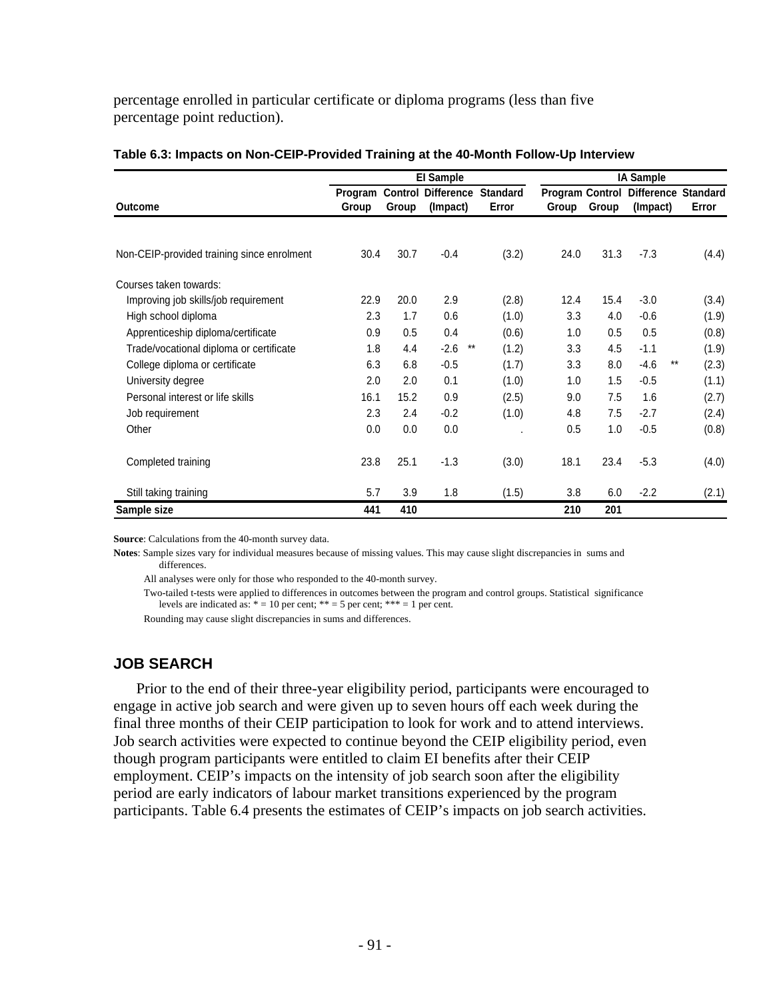percentage enrolled in particular certificate or diploma programs (less than five percentage point reduction).

|                                            |                  |       | <b>El Sample</b>                      |                          |       |       | <b>IA Sample</b>                                |       |
|--------------------------------------------|------------------|-------|---------------------------------------|--------------------------|-------|-------|-------------------------------------------------|-------|
| <b>Outcome</b>                             | Program<br>Group | Group | <b>Control Difference</b><br>(Impact) | <b>Standard</b><br>Error | Group | Group | Program Control Difference Standard<br>(Impact) | Error |
|                                            |                  |       |                                       |                          |       |       |                                                 |       |
| Non-CEIP-provided training since enrolment | 30.4             | 30.7  | $-0.4$                                | (3.2)                    | 24.0  | 31.3  | $-7.3$                                          | (4.4) |
| Courses taken towards:                     |                  |       |                                       |                          |       |       |                                                 |       |
| Improving job skills/job requirement       | 22.9             | 20.0  | 2.9                                   | (2.8)                    | 12.4  | 15.4  | $-3.0$                                          | (3.4) |
| High school diploma                        | 2.3              | 1.7   | 0.6                                   | (1.0)                    | 3.3   | 4.0   | $-0.6$                                          | (1.9) |
| Apprenticeship diploma/certificate         | 0.9              | 0.5   | 0.4                                   | (0.6)                    | 1.0   | 0.5   | 0.5                                             | (0.8) |
| Trade/vocational diploma or certificate    | 1.8              | 4.4   | $***$<br>$-2.6$                       | (1.2)                    | 3.3   | 4.5   | $-1.1$                                          | (1.9) |
| College diploma or certificate             | 6.3              | 6.8   | $-0.5$                                | (1.7)                    | 3.3   | 8.0   | $-4.6$<br>$***$                                 | (2.3) |
| University degree                          | 2.0              | 2.0   | 0.1                                   | (1.0)                    | 1.0   | 1.5   | $-0.5$                                          | (1.1) |
| Personal interest or life skills           | 16.1             | 15.2  | 0.9                                   | (2.5)                    | 9.0   | 7.5   | 1.6                                             | (2.7) |
| Job requirement                            | 2.3              | 2.4   | $-0.2$                                | (1.0)                    | 4.8   | 7.5   | $-2.7$                                          | (2.4) |
| Other                                      | 0.0              | 0.0   | 0.0                                   |                          | 0.5   | 1.0   | $-0.5$                                          | (0.8) |
| Completed training                         | 23.8             | 25.1  | $-1.3$                                | (3.0)                    | 18.1  | 23.4  | $-5.3$                                          | (4.0) |
| Still taking training                      | 5.7              | 3.9   | 1.8                                   | (1.5)                    | 3.8   | 6.0   | $-2.2$                                          | (2.1) |
| Sample size                                | 441              | 410   |                                       |                          | 210   | 201   |                                                 |       |

#### **Table 6.3: Impacts on Non-CEIP-Provided Training at the 40-Month Follow-Up Interview**

**Source**: Calculations from the 40-month survey data.

**Notes**: Sample sizes vary for individual measures because of missing values. This may cause slight discrepancies in sums and differences.

All analyses were only for those who responded to the 40-month survey.

 Two-tailed t-tests were applied to differences in outcomes between the program and control groups. Statistical significance levels are indicated as:  $* = 10$  per cent;  $** = 5$  per cent;  $*** = 1$  per cent.

Rounding may cause slight discrepancies in sums and differences.

# **JOB SEARCH**

Prior to the end of their three-year eligibility period, participants were encouraged to engage in active job search and were given up to seven hours off each week during the final three months of their CEIP participation to look for work and to attend interviews. Job search activities were expected to continue beyond the CEIP eligibility period, even though program participants were entitled to claim EI benefits after their CEIP employment. CEIP's impacts on the intensity of job search soon after the eligibility period are early indicators of labour market transitions experienced by the program participants. Table 6.4 presents the estimates of CEIP's impacts on job search activities.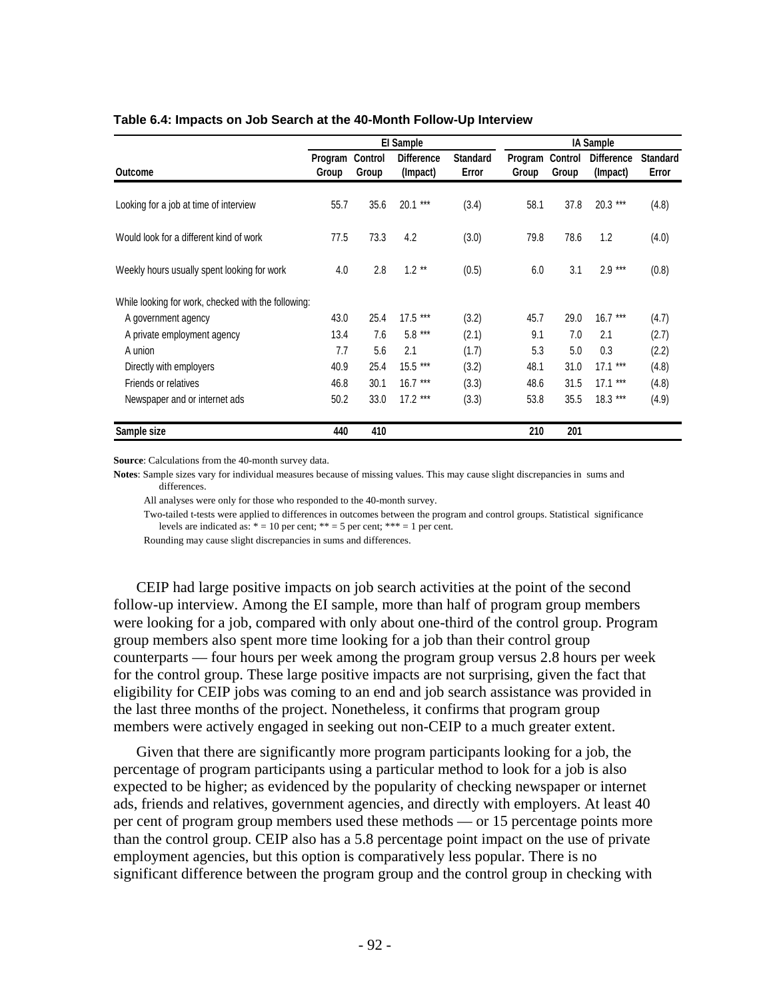|                                                     |                  |                  | El Sample                     |                          |                  |                  | <b>IA Sample</b>              |                          |
|-----------------------------------------------------|------------------|------------------|-------------------------------|--------------------------|------------------|------------------|-------------------------------|--------------------------|
| Outcome                                             | Program<br>Group | Control<br>Group | <b>Difference</b><br>(Impact) | <b>Standard</b><br>Error | Program<br>Group | Control<br>Group | <b>Difference</b><br>(Impact) | <b>Standard</b><br>Error |
| Looking for a job at time of interview              | 55.7             | 35.6             | 20.1 ***                      | (3.4)                    | 58.1             | 37.8             | $20.3***$                     | (4.8)                    |
| Would look for a different kind of work             | 77.5             | 73.3             | 4.2                           | (3.0)                    | 79.8             | 78.6             | 1.2                           | (4.0)                    |
| Weekly hours usually spent looking for work         | 4.0              | 2.8              | $1.2**$                       | (0.5)                    | 6.0              | 3.1              | $2.9***$                      | (0.8)                    |
| While looking for work, checked with the following: |                  |                  |                               |                          |                  |                  |                               |                          |
| A government agency                                 | 43.0             | 25.4             | $17.5***$                     | (3.2)                    | 45.7             | 29.0             | $16.7***$                     | (4.7)                    |
| A private employment agency                         | 13.4             | 7.6              | $5.8***$                      | (2.1)                    | 9.1              | 7.0              | 2.1                           | (2.7)                    |
| A union                                             | 7.7              | 5.6              | 2.1                           | (1.7)                    | 5.3              | 5.0              | 0.3                           | (2.2)                    |
| Directly with employers                             | 40.9             | 25.4             | 15.5 ***                      | (3.2)                    | 48.1             | 31.0             | $17.1***$                     | (4.8)                    |
| Friends or relatives                                | 46.8             | 30.1             | $16.7***$                     | (3.3)                    | 48.6             | 31.5             | $17.1***$                     | (4.8)                    |
| Newspaper and or internet ads                       | 50.2             | 33.0             | $17.2***$                     | (3.3)                    | 53.8             | 35.5             | $18.3***$                     | (4.9)                    |
| Sample size                                         | 440              | 410              |                               |                          | 210              | 201              |                               |                          |

#### **Table 6.4: Impacts on Job Search at the 40-Month Follow-Up Interview**

**Source**: Calculations from the 40-month survey data.

**Notes**: Sample sizes vary for individual measures because of missing values. This may cause slight discrepancies in sums and differences.

All analyses were only for those who responded to the 40-month survey.

 Two-tailed t-tests were applied to differences in outcomes between the program and control groups. Statistical significance levels are indicated as:  $* = 10$  per cent;  $** = 5$  per cent;  $*** = 1$  per cent.

Rounding may cause slight discrepancies in sums and differences.

CEIP had large positive impacts on job search activities at the point of the second follow-up interview. Among the EI sample, more than half of program group members were looking for a job, compared with only about one-third of the control group. Program group members also spent more time looking for a job than their control group counterparts — four hours per week among the program group versus 2.8 hours per week for the control group. These large positive impacts are not surprising, given the fact that eligibility for CEIP jobs was coming to an end and job search assistance was provided in the last three months of the project. Nonetheless, it confirms that program group members were actively engaged in seeking out non-CEIP to a much greater extent.

Given that there are significantly more program participants looking for a job, the percentage of program participants using a particular method to look for a job is also expected to be higher; as evidenced by the popularity of checking newspaper or internet ads, friends and relatives, government agencies, and directly with employers. At least 40 per cent of program group members used these methods — or 15 percentage points more than the control group. CEIP also has a 5.8 percentage point impact on the use of private employment agencies, but this option is comparatively less popular. There is no significant difference between the program group and the control group in checking with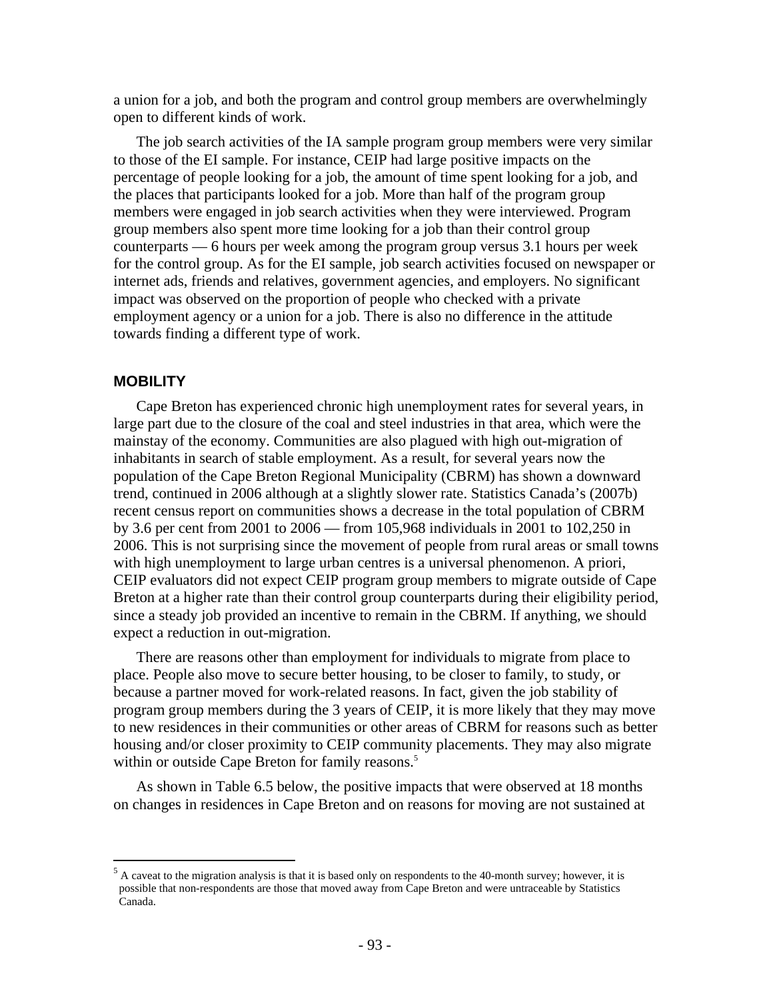a union for a job, and both the program and control group members are overwhelmingly open to different kinds of work.

The job search activities of the IA sample program group members were very similar to those of the EI sample. For instance, CEIP had large positive impacts on the percentage of people looking for a job, the amount of time spent looking for a job, and the places that participants looked for a job. More than half of the program group members were engaged in job search activities when they were interviewed. Program group members also spent more time looking for a job than their control group counterparts — 6 hours per week among the program group versus 3.1 hours per week for the control group. As for the EI sample, job search activities focused on newspaper or internet ads, friends and relatives, government agencies, and employers. No significant impact was observed on the proportion of people who checked with a private employment agency or a union for a job. There is also no difference in the attitude towards finding a different type of work.

### **MOBILITY**

 $\overline{a}$ 

Cape Breton has experienced chronic high unemployment rates for several years, in large part due to the closure of the coal and steel industries in that area, which were the mainstay of the economy. Communities are also plagued with high out-migration of inhabitants in search of stable employment. As a result, for several years now the population of the Cape Breton Regional Municipality (CBRM) has shown a downward trend, continued in 2006 although at a slightly slower rate. Statistics Canada's (2007b) recent census report on communities shows a decrease in the total population of CBRM by 3.6 per cent from 2001 to 2006 — from 105,968 individuals in 2001 to 102,250 in 2006. This is not surprising since the movement of people from rural areas or small towns with high unemployment to large urban centres is a universal phenomenon. A priori, CEIP evaluators did not expect CEIP program group members to migrate outside of Cape Breton at a higher rate than their control group counterparts during their eligibility period, since a steady job provided an incentive to remain in the CBRM. If anything, we should expect a reduction in out-migration.

There are reasons other than employment for individuals to migrate from place to place. People also move to secure better housing, to be closer to family, to study, or because a partner moved for work-related reasons. In fact, given the job stability of program group members during the 3 years of CEIP, it is more likely that they may move to new residences in their communities or other areas of CBRM for reasons such as better housing and/or closer proximity to CEIP community placements. They may also migrate within or outside Cape Breton for family reasons.<sup>5</sup>

As shown in Table 6.5 below, the positive impacts that were observed at 18 months on changes in residences in Cape Breton and on reasons for moving are not sustained at

 $<sup>5</sup>$  A caveat to the migration analysis is that it is based only on respondents to the 40-month survey; however, it is</sup> possible that non-respondents are those that moved away from Cape Breton and were untraceable by Statistics Canada.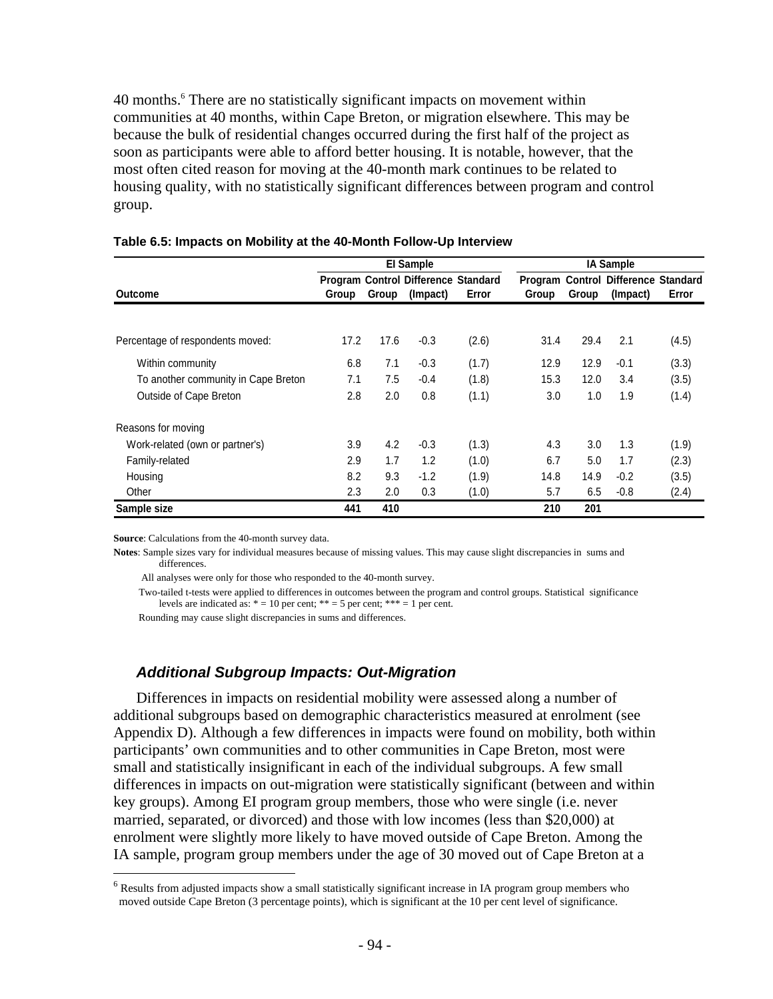40 months.<sup>6</sup> There are no statistically significant impacts on movement within communities at 40 months, within Cape Breton, or migration elsewhere. This may be because the bulk of residential changes occurred during the first half of the project as soon as participants were able to afford better housing. It is notable, however, that the most often cited reason for moving at the 40-month mark continues to be related to housing quality, with no statistically significant differences between program and control group.

|                                     | <b>El Sample</b> |       |                                            |       | <b>IA Sample</b> |       |                                     |       |
|-------------------------------------|------------------|-------|--------------------------------------------|-------|------------------|-------|-------------------------------------|-------|
|                                     |                  |       | <b>Program Control Difference Standard</b> |       |                  |       | Program Control Difference Standard |       |
| <b>Outcome</b>                      | Group            | Group | (Impact)                                   | Error | Group            | Group | (Impact)                            | Error |
|                                     |                  |       |                                            |       |                  |       |                                     |       |
| Percentage of respondents moved:    | 17.2             | 17.6  | $-0.3$                                     | (2.6) | 31.4             | 29.4  | 2.1                                 | (4.5) |
| Within community                    | 6.8              | 7.1   | $-0.3$                                     | (1.7) | 12.9             | 12.9  | $-0.1$                              | (3.3) |
| To another community in Cape Breton | 7.1              | 7.5   | $-0.4$                                     | (1.8) | 15.3             | 12.0  | 3.4                                 | (3.5) |
| Outside of Cape Breton              | 2.8              | 2.0   | 0.8                                        | (1.1) | 3.0              | 1.0   | 1.9                                 | (1.4) |
| Reasons for moving                  |                  |       |                                            |       |                  |       |                                     |       |
| Work-related (own or partner's)     | 3.9              | 4.2   | $-0.3$                                     | (1.3) | 4.3              | 3.0   | 1.3                                 | (1.9) |
| Family-related                      | 2.9              | 1.7   | 1.2                                        | (1.0) | 6.7              | 5.0   | 1.7                                 | (2.3) |
| Housing                             | 8.2              | 9.3   | $-1.2$                                     | (1.9) | 14.8             | 14.9  | $-0.2$                              | (3.5) |
| Other                               | 2.3              | 2.0   | 0.3                                        | (1.0) | 5.7              | 6.5   | $-0.8$                              | (2.4) |
| Sample size                         | 441              | 410   |                                            |       | 210              | 201   |                                     |       |

#### **Table 6.5: Impacts on Mobility at the 40-Month Follow-Up Interview**

**Source**: Calculations from the 40-month survey data.

 $\overline{a}$ 

**Notes**: Sample sizes vary for individual measures because of missing values. This may cause slight discrepancies in sums and differences.

All analyses were only for those who responded to the 40-month survey.

 Two-tailed t-tests were applied to differences in outcomes between the program and control groups. Statistical significance levels are indicated as:  $* = 10$  per cent;  $** = 5$  per cent;  $*** = 1$  per cent.

Rounding may cause slight discrepancies in sums and differences.

# *Additional Subgroup Impacts: Out-Migration*

Differences in impacts on residential mobility were assessed along a number of additional subgroups based on demographic characteristics measured at enrolment (see Appendix D). Although a few differences in impacts were found on mobility, both within participants' own communities and to other communities in Cape Breton, most were small and statistically insignificant in each of the individual subgroups. A few small differences in impacts on out-migration were statistically significant (between and within key groups). Among EI program group members, those who were single (i.e. never married, separated, or divorced) and those with low incomes (less than \$20,000) at enrolment were slightly more likely to have moved outside of Cape Breton. Among the IA sample, program group members under the age of 30 moved out of Cape Breton at a

 $<sup>6</sup>$  Results from adjusted impacts show a small statistically significant increase in IA program group members who</sup> moved outside Cape Breton (3 percentage points), which is significant at the 10 per cent level of significance.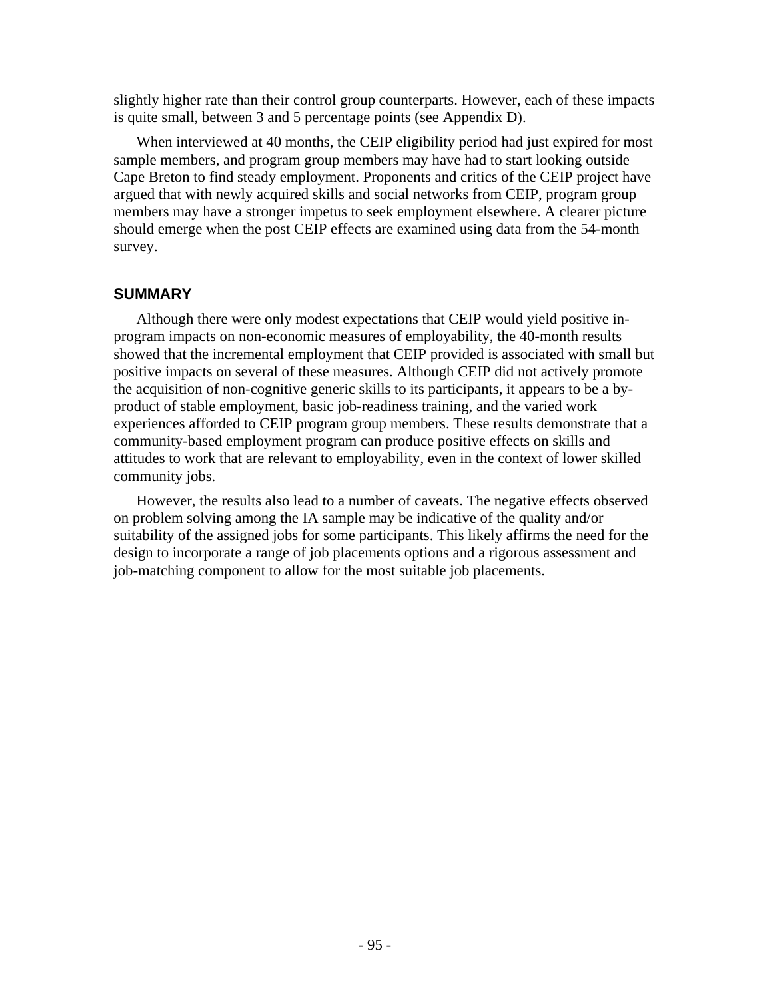slightly higher rate than their control group counterparts. However, each of these impacts is quite small, between 3 and 5 percentage points (see Appendix D).

When interviewed at 40 months, the CEIP eligibility period had just expired for most sample members, and program group members may have had to start looking outside Cape Breton to find steady employment. Proponents and critics of the CEIP project have argued that with newly acquired skills and social networks from CEIP, program group members may have a stronger impetus to seek employment elsewhere. A clearer picture should emerge when the post CEIP effects are examined using data from the 54-month survey.

# **SUMMARY**

Although there were only modest expectations that CEIP would yield positive inprogram impacts on non-economic measures of employability, the 40-month results showed that the incremental employment that CEIP provided is associated with small but positive impacts on several of these measures. Although CEIP did not actively promote the acquisition of non-cognitive generic skills to its participants, it appears to be a byproduct of stable employment, basic job-readiness training, and the varied work experiences afforded to CEIP program group members. These results demonstrate that a community-based employment program can produce positive effects on skills and attitudes to work that are relevant to employability, even in the context of lower skilled community jobs.

However, the results also lead to a number of caveats. The negative effects observed on problem solving among the IA sample may be indicative of the quality and/or suitability of the assigned jobs for some participants. This likely affirms the need for the design to incorporate a range of job placements options and a rigorous assessment and job-matching component to allow for the most suitable job placements.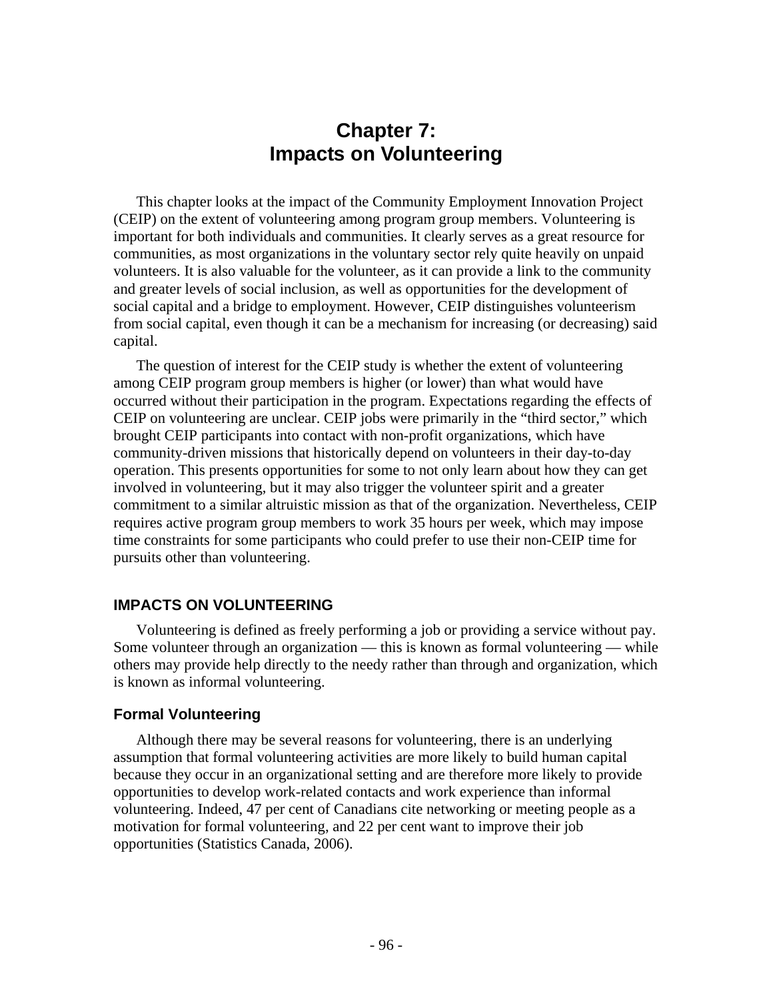# **Chapter 7: Impacts on Volunteering**

This chapter looks at the impact of the Community Employment Innovation Project (CEIP) on the extent of volunteering among program group members. Volunteering is important for both individuals and communities. It clearly serves as a great resource for communities, as most organizations in the voluntary sector rely quite heavily on unpaid volunteers. It is also valuable for the volunteer, as it can provide a link to the community and greater levels of social inclusion, as well as opportunities for the development of social capital and a bridge to employment. However, CEIP distinguishes volunteerism from social capital, even though it can be a mechanism for increasing (or decreasing) said capital.

The question of interest for the CEIP study is whether the extent of volunteering among CEIP program group members is higher (or lower) than what would have occurred without their participation in the program. Expectations regarding the effects of CEIP on volunteering are unclear. CEIP jobs were primarily in the "third sector," which brought CEIP participants into contact with non-profit organizations, which have community-driven missions that historically depend on volunteers in their day-to-day operation. This presents opportunities for some to not only learn about how they can get involved in volunteering, but it may also trigger the volunteer spirit and a greater commitment to a similar altruistic mission as that of the organization. Nevertheless, CEIP requires active program group members to work 35 hours per week, which may impose time constraints for some participants who could prefer to use their non-CEIP time for pursuits other than volunteering.

## **IMPACTS ON VOLUNTEERING**

Volunteering is defined as freely performing a job or providing a service without pay. Some volunteer through an organization — this is known as formal volunteering — while others may provide help directly to the needy rather than through and organization, which is known as informal volunteering.

## **Formal Volunteering**

Although there may be several reasons for volunteering, there is an underlying assumption that formal volunteering activities are more likely to build human capital because they occur in an organizational setting and are therefore more likely to provide opportunities to develop work-related contacts and work experience than informal volunteering. Indeed, 47 per cent of Canadians cite networking or meeting people as a motivation for formal volunteering, and 22 per cent want to improve their job opportunities (Statistics Canada, 2006).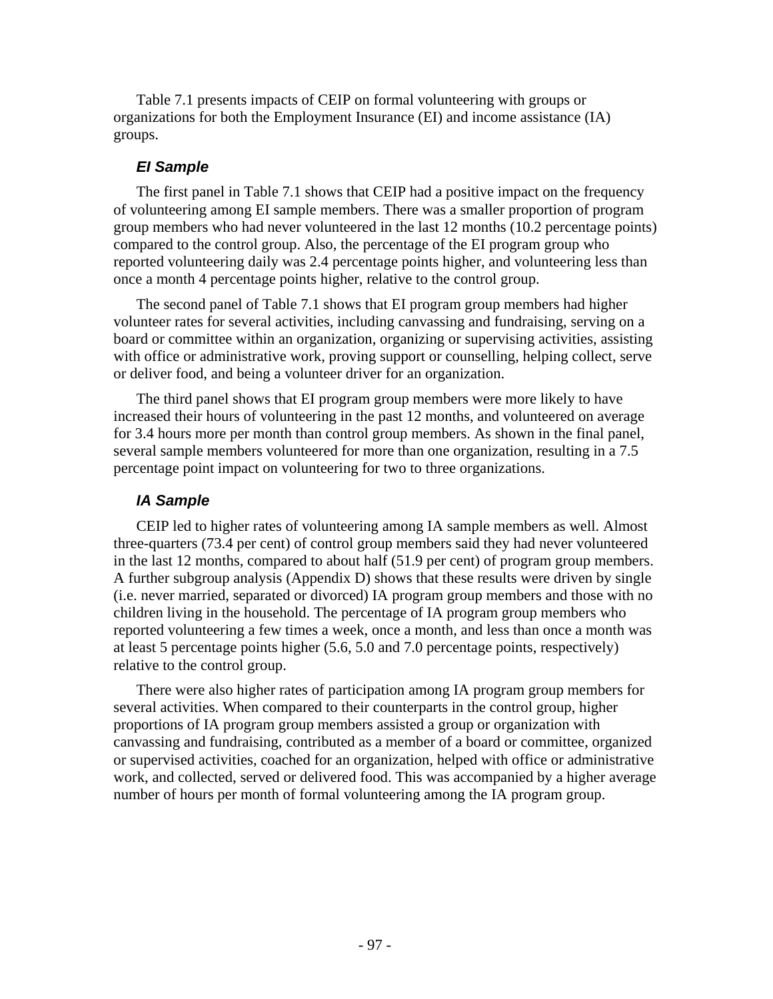Table 7.1 presents impacts of CEIP on formal volunteering with groups or organizations for both the Employment Insurance (EI) and income assistance (IA) groups.

### *EI Sample*

The first panel in Table 7.1 shows that CEIP had a positive impact on the frequency of volunteering among EI sample members. There was a smaller proportion of program group members who had never volunteered in the last 12 months (10.2 percentage points) compared to the control group. Also, the percentage of the EI program group who reported volunteering daily was 2.4 percentage points higher, and volunteering less than once a month 4 percentage points higher, relative to the control group.

The second panel of Table 7.1 shows that EI program group members had higher volunteer rates for several activities, including canvassing and fundraising, serving on a board or committee within an organization, organizing or supervising activities, assisting with office or administrative work, proving support or counselling, helping collect, serve or deliver food, and being a volunteer driver for an organization.

The third panel shows that EI program group members were more likely to have increased their hours of volunteering in the past 12 months, and volunteered on average for 3.4 hours more per month than control group members. As shown in the final panel, several sample members volunteered for more than one organization, resulting in a 7.5 percentage point impact on volunteering for two to three organizations.

## *IA Sample*

CEIP led to higher rates of volunteering among IA sample members as well. Almost three-quarters (73.4 per cent) of control group members said they had never volunteered in the last 12 months, compared to about half (51.9 per cent) of program group members. A further subgroup analysis (Appendix D) shows that these results were driven by single (i.e. never married, separated or divorced) IA program group members and those with no children living in the household. The percentage of IA program group members who reported volunteering a few times a week, once a month, and less than once a month was at least 5 percentage points higher (5.6, 5.0 and 7.0 percentage points, respectively) relative to the control group.

There were also higher rates of participation among IA program group members for several activities. When compared to their counterparts in the control group, higher proportions of IA program group members assisted a group or organization with canvassing and fundraising, contributed as a member of a board or committee, organized or supervised activities, coached for an organization, helped with office or administrative work, and collected, served or delivered food. This was accompanied by a higher average number of hours per month of formal volunteering among the IA program group.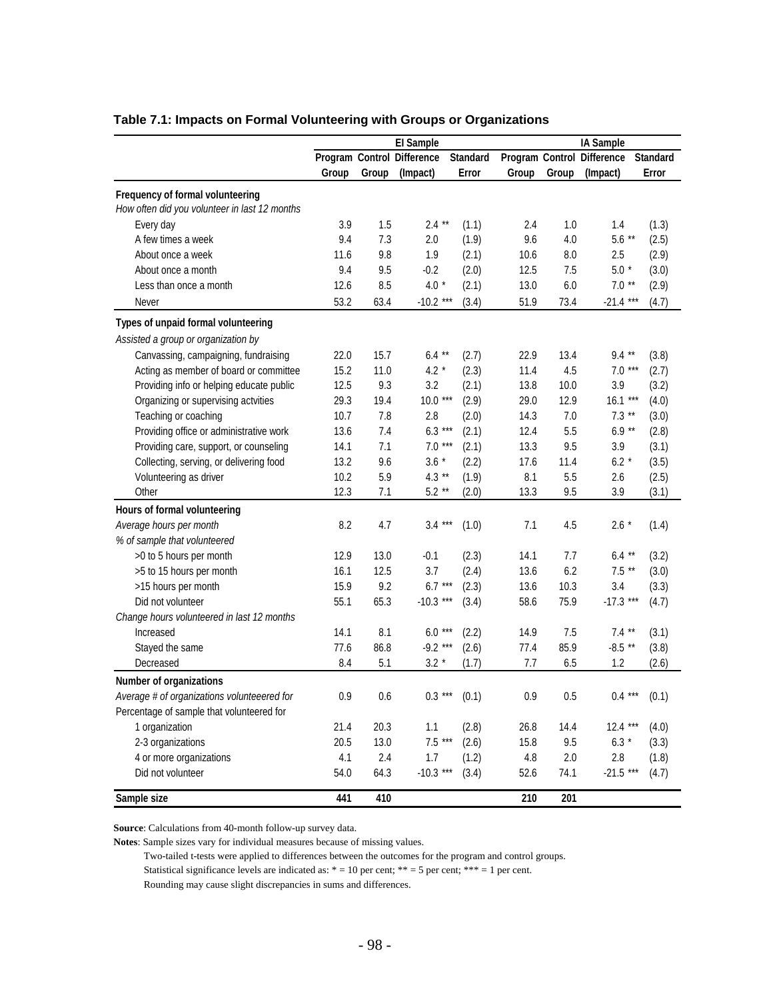|                                               |       | El Sample |                            | IA Sample       |         |       |                            |                 |
|-----------------------------------------------|-------|-----------|----------------------------|-----------------|---------|-------|----------------------------|-----------------|
|                                               |       |           | Program Control Difference | <b>Standard</b> |         |       | Program Control Difference | <b>Standard</b> |
|                                               | Group | Group     | (Impact)                   | Error           | Group   | Group | (Impact)                   | Error           |
| Frequency of formal volunteering              |       |           |                            |                 |         |       |                            |                 |
| How often did you volunteer in last 12 months |       |           |                            |                 |         |       |                            |                 |
| Every day                                     | 3.9   | 1.5       | $2.4***$                   | (1.1)           | 2.4     | 1.0   | 1.4                        | (1.3)           |
| A few times a week                            | 9.4   | 7.3       | 2.0                        | (1.9)           | 9.6     | 4.0   | $5.6***$                   | (2.5)           |
| About once a week                             | 11.6  | 9.8       | 1.9                        | (2.1)           | 10.6    | 8.0   | 2.5                        | (2.9)           |
| About once a month                            | 9.4   | 9.5       | $-0.2$                     | (2.0)           | 12.5    | 7.5   | $5.0*$                     | (3.0)           |
| Less than once a month                        | 12.6  | 8.5       | $4.0*$                     | (2.1)           | 13.0    | 6.0   | $7.0**$                    | (2.9)           |
| Never                                         | 53.2  | 63.4      | $-10.2$ ***                |                 | 51.9    | 73.4  | $-21.4$ ***                |                 |
|                                               |       |           |                            | (3.4)           |         |       |                            | (4.7)           |
| Types of unpaid formal volunteering           |       |           |                            |                 |         |       |                            |                 |
| Assisted a group or organization by           |       |           |                            |                 |         |       |                            |                 |
| Canvassing, campaigning, fundraising          | 22.0  | 15.7      | $6.4$ **                   | (2.7)           | 22.9    | 13.4  | $9.4***$                   | (3.8)           |
| Acting as member of board or committee        | 15.2  | 11.0      | $4.2*$                     | (2.3)           | 11.4    | 4.5   | $7.0***$                   | (2.7)           |
| Providing info or helping educate public      | 12.5  | 9.3       | 3.2                        | (2.1)           | 13.8    | 10.0  | 3.9                        | (3.2)           |
| Organizing or supervising actvities           | 29.3  | 19.4      | $10.0***$                  | (2.9)           | 29.0    | 12.9  | $16.1***$                  | (4.0)           |
| Teaching or coaching                          | 10.7  | 7.8       | 2.8                        | (2.0)           | 14.3    | 7.0   | $7.3**$                    | (3.0)           |
| Providing office or administrative work       | 13.6  | 7.4       | $6.3***$                   | (2.1)           | 12.4    | 5.5   | $6.9**$                    | (2.8)           |
| Providing care, support, or counseling        | 14.1  | 7.1       | $7.0***$                   | (2.1)           | 13.3    | 9.5   | 3.9                        | (3.1)           |
| Collecting, serving, or delivering food       | 13.2  | 9.6       | $3.6*$                     | (2.2)           | 17.6    | 11.4  | $6.2*$                     | (3.5)           |
| Volunteering as driver                        | 10.2  | 5.9       | $4.3**$                    | (1.9)           | 8.1     | 5.5   | 2.6                        | (2.5)           |
| Other                                         | 12.3  | 7.1       | $5.2**$                    | (2.0)           | 13.3    | 9.5   | 3.9                        | (3.1)           |
| Hours of formal volunteering                  |       |           |                            |                 |         |       |                            |                 |
| Average hours per month                       | 8.2   | 4.7       | $3.4***$                   | (1.0)           | 7.1     | 4.5   | $2.6*$                     | (1.4)           |
| % of sample that volunteered                  |       |           |                            |                 |         |       |                            |                 |
| >0 to 5 hours per month                       | 12.9  | 13.0      | $-0.1$                     | (2.3)           | 14.1    | 7.7   | $6.4**$                    | (3.2)           |
| >5 to 15 hours per month                      | 16.1  | 12.5      | 3.7                        | (2.4)           | 13.6    | 6.2   | $7.5**$                    | (3.0)           |
| >15 hours per month                           | 15.9  | 9.2       | $6.7***$                   | (2.3)           | 13.6    | 10.3  | 3.4                        | (3.3)           |
| Did not volunteer                             | 55.1  | 65.3      | $-10.3$ ***                | (3.4)           | 58.6    | 75.9  | $-17.3$ ***                | (4.7)           |
| Change hours volunteered in last 12 months    |       |           |                            |                 |         |       |                            |                 |
| Increased                                     | 14.1  | 8.1       | $6.0***$                   | (2.2)           | 14.9    | 7.5   | $7.4$ **                   | (3.1)           |
| Stayed the same                               | 77.6  | 86.8      | $-9.2***$                  | (2.6)           | 77.4    | 85.9  | $-8.5$ **                  | (3.8)           |
| Decreased                                     | 8.4   | 5.1       | $3.2*$                     | (1.7)           | 7.7     | 6.5   | 1.2                        | (2.6)           |
| <b>Number of organizations</b>                |       |           |                            |                 |         |       |                            |                 |
| Average # of organizations volunteeered for   | 0.9   | 0.6       | $0.3***$                   | (0.1)           | $0.9\,$ | 0.5   | $0.4***$                   | (0.1)           |
| Percentage of sample that volunteered for     |       |           |                            |                 |         |       |                            |                 |
|                                               | 21.4  | 20.3      | 1.1                        |                 | 26.8    |       | $12.4***$                  |                 |
| 1 organization                                | 20.5  |           | $7.5***$                   | (2.8)           |         | 14.4  |                            | (4.0)           |
| 2-3 organizations                             |       | 13.0      |                            | (2.6)           | 15.8    | 9.5   | $6.3*$                     | (3.3)           |
| 4 or more organizations                       | 4.1   | 2.4       | 1.7                        | (1.2)           | 4.8     | 2.0   | 2.8                        | (1.8)           |
| Did not volunteer                             | 54.0  | 64.3      | $-10.3***$                 | (3.4)           | 52.6    | 74.1  | $-21.5$ ***                | (4.7)           |
| Sample size                                   | 441   | 410       |                            |                 | 210     | 201   |                            |                 |

## **Table 7.1: Impacts on Formal Volunteering with Groups or Organizations**

**Source**: Calculations from 40-month follow-up survey data.

**Notes**: Sample sizes vary for individual measures because of missing values.

Two-tailed t-tests were applied to differences between the outcomes for the program and control groups.

Statistical significance levels are indicated as:  $* = 10$  per cent;  $** = 5$  per cent;  $*** = 1$  per cent.

Rounding may cause slight discrepancies in sums and differences.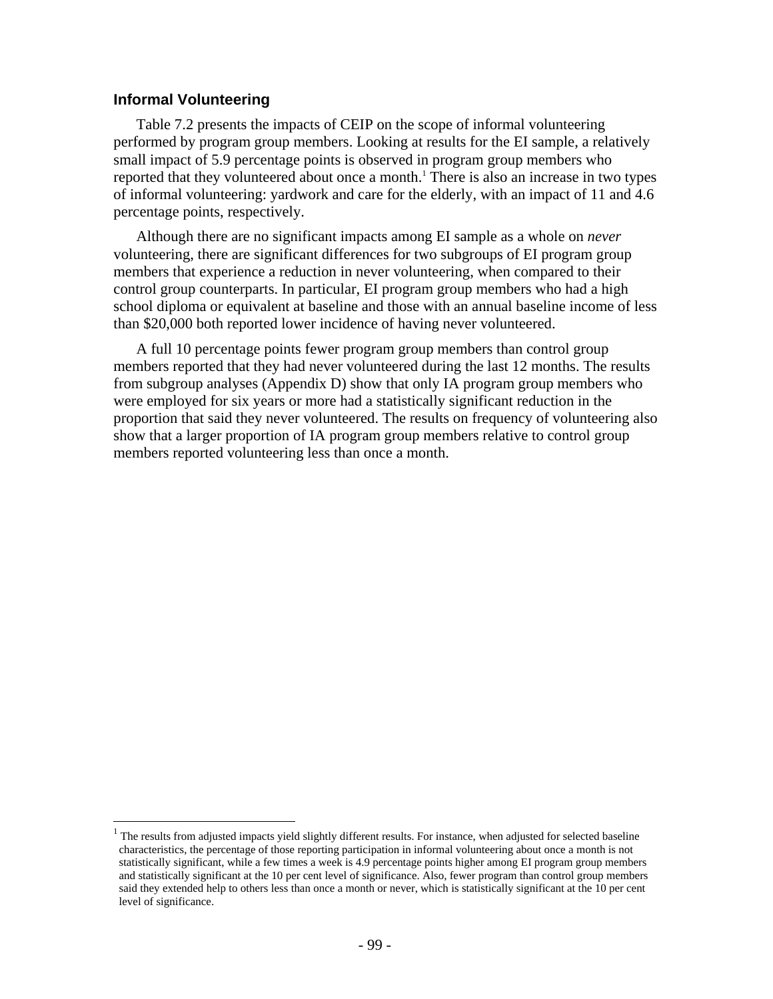## **Informal Volunteering**

 $\overline{a}$ 

Table 7.2 presents the impacts of CEIP on the scope of informal volunteering performed by program group members. Looking at results for the EI sample, a relatively small impact of 5.9 percentage points is observed in program group members who reported that they volunteered about once a month.<sup>1</sup> There is also an increase in two types of informal volunteering: yardwork and care for the elderly, with an impact of 11 and 4.6 percentage points, respectively.

Although there are no significant impacts among EI sample as a whole on *never* volunteering, there are significant differences for two subgroups of EI program group members that experience a reduction in never volunteering, when compared to their control group counterparts. In particular, EI program group members who had a high school diploma or equivalent at baseline and those with an annual baseline income of less than \$20,000 both reported lower incidence of having never volunteered.

A full 10 percentage points fewer program group members than control group members reported that they had never volunteered during the last 12 months. The results from subgroup analyses (Appendix D) show that only IA program group members who were employed for six years or more had a statistically significant reduction in the proportion that said they never volunteered. The results on frequency of volunteering also show that a larger proportion of IA program group members relative to control group members reported volunteering less than once a month.

<sup>1</sup> The results from adjusted impacts yield slightly different results. For instance, when adjusted for selected baseline characteristics, the percentage of those reporting participation in informal volunteering about once a month is not statistically significant, while a few times a week is 4.9 percentage points higher among EI program group members and statistically significant at the 10 per cent level of significance. Also, fewer program than control group members said they extended help to others less than once a month or never, which is statistically significant at the 10 per cent level of significance.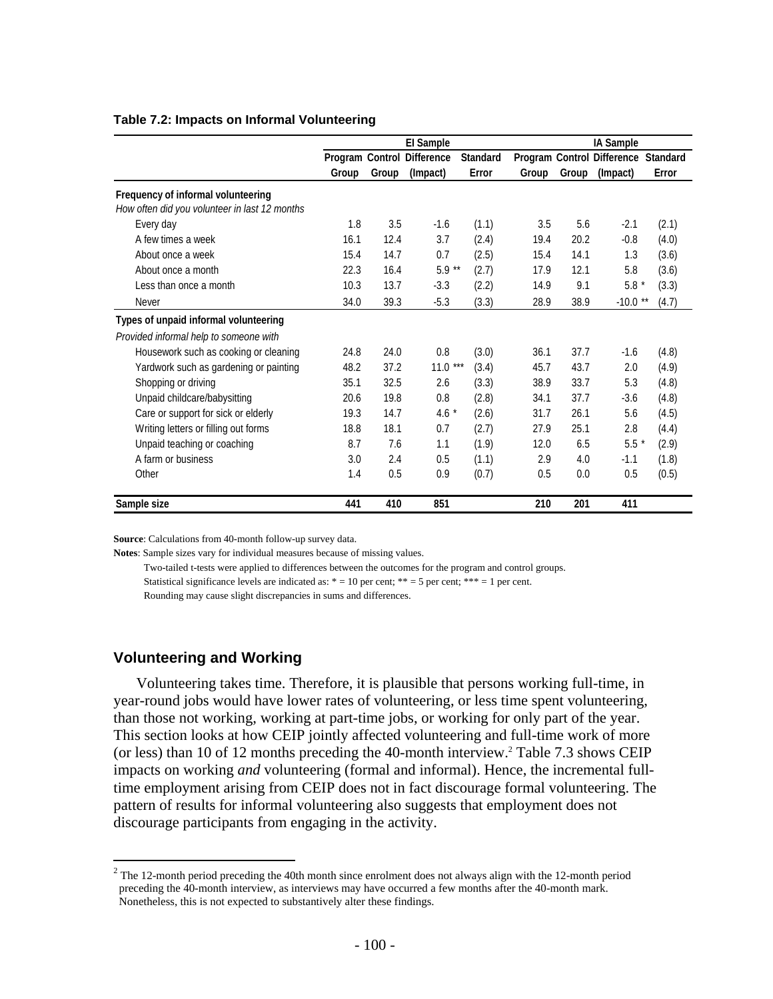### **EI Sample IA Sample Program Control Difference Standard Program Control Difference Standard Group Group (Impact) Error Group Group (Impact) Error Frequency of informal volunteering** *How often did you volunteer in last 12 months* Every day 1.8 3.5 -1.6 (1.1) 3.5 5.6 -2.1 (2.1) A few times a week 16.1 12.4 3.7 (2.4) 19.4 20.2 -0.8 (4.0) About once a week 15.4 15.4 14.7 0.7 (2.5) 15.4 14.1 1.3 (3.6) About once a month **22.3** 16.4 5.9 \*\* (2.7) 17.9 12.1 5.8 (3.6) Less than once a month 10.3 13.7 -3.3 (2.2) 14.9 9.1 5.8 \* (3.3) Never 34.0 39.3 -5.3 (3.3) 28.9 38.9 -10.0 \*\* (4.7) **Types of unpaid informal volunteering** *Provided informal help to someone with* Housework such as cooking or cleaning 24.8 24.0 0.8 (3.0) 36.1 37.7 -1.6 (4.8) Yardwork such as gardening or painting 48.2 37.2 11.0 \*\*\* (3.4) 45.7 43.7 2.0 (4.9) Shopping or driving 35.1 32.5 2.6 (3.3) 38.9 33.7 5.3 (4.8) Unpaid childcare/babysitting 20.6 19.8 0.8 (2.8) 34.1 37.7 -3.6 (4.8) Care or support for sick or elderly 19.3 14.7 4.6 \* (2.6) 31.7 26.1 5.6 (4.5) Writing letters or filling out forms 18.8 18.1 0.7 (2.7) 27.9 25.1 2.8 (4.4) Unpaid teaching or coaching  $8.7$   $7.6$   $1.1$   $(1.9)$   $12.0$   $6.5$   $5.5$   $(2.9)$ A farm or business 3.0 2.4 0.5 (1.1) 2.9 4.0 -1.1 (1.8) Other 1.4 0.5 0.9 (0.7) 0.5 0.0 0.5 (0.5)

### **Table 7.2: Impacts on Informal Volunteering**

**Source**: Calculations from 40-month follow-up survey data.

**Notes**: Sample sizes vary for individual measures because of missing values.

Two-tailed t-tests were applied to differences between the outcomes for the program and control groups.

**Sample size 441 410 851 210 201 411**

Statistical significance levels are indicated as:  $* = 10$  per cent;  $** = 5$  per cent;  $*** = 1$  per cent.

Rounding may cause slight discrepancies in sums and differences.

## **Volunteering and Working**

1

Volunteering takes time. Therefore, it is plausible that persons working full-time, in year-round jobs would have lower rates of volunteering, or less time spent volunteering, than those not working, working at part-time jobs, or working for only part of the year. This section looks at how CEIP jointly affected volunteering and full-time work of more (or less) than 10 of 12 months preceding the 40-month interview.<sup>2</sup> Table 7.3 shows CEIP impacts on working *and* volunteering (formal and informal). Hence, the incremental fulltime employment arising from CEIP does not in fact discourage formal volunteering. The pattern of results for informal volunteering also suggests that employment does not discourage participants from engaging in the activity.

 $2^2$  The 12-month period preceding the 40th month since enrolment does not always align with the 12-month period preceding the 40-month interview, as interviews may have occurred a few months after the 40-month mark. Nonetheless, this is not expected to substantively alter these findings.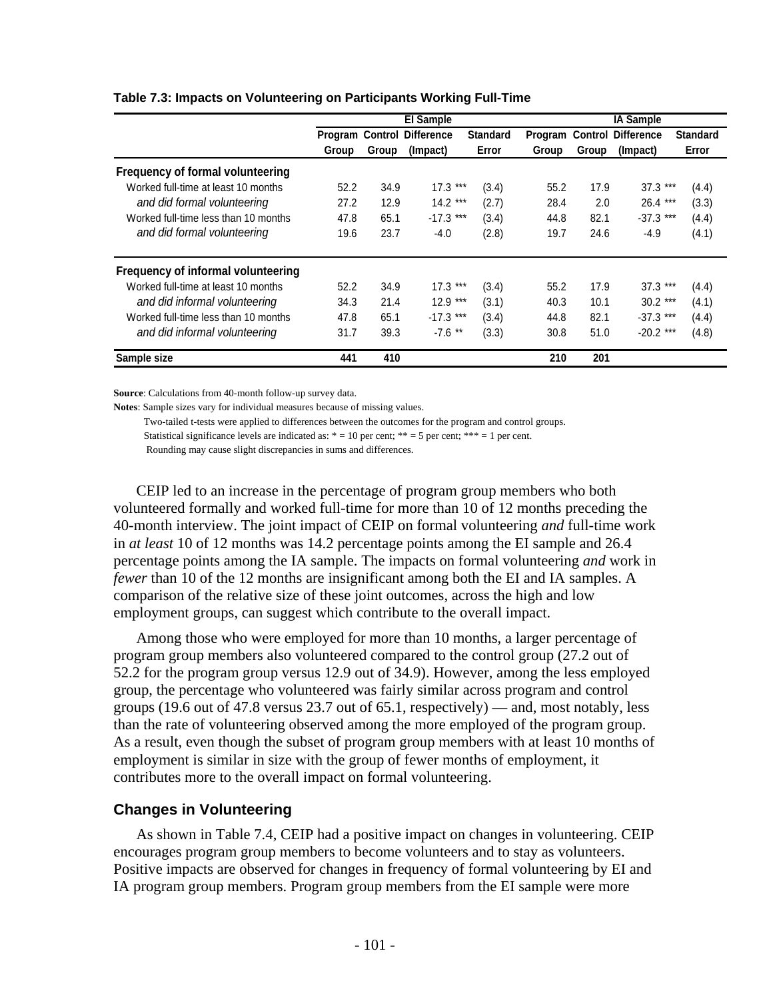|                                      |       |       | <b>El Sample</b>                  |                 | <b>IA Sample</b> |       |                   |                 |
|--------------------------------------|-------|-------|-----------------------------------|-----------------|------------------|-------|-------------------|-----------------|
|                                      |       |       | <b>Program Control Difference</b> | <b>Standard</b> | Program Control  |       | <b>Difference</b> | <b>Standard</b> |
|                                      | Group | Group | (Impact)                          | Error           | Group            | Group | (Impact)          | Error           |
| Frequency of formal volunteering     |       |       |                                   |                 |                  |       |                   |                 |
| Worked full-time at least 10 months  | 52.2  | 34.9  | $17.3***$                         | (3.4)           | 55.2             | 17.9  | $37.3***$         | (4.4)           |
| and did formal volunteering          | 27.2  | 12.9  | $14.2***$                         | (2.7)           | 28.4             | 2.0   | $26.4***$         | (3.3)           |
| Worked full-time less than 10 months | 47.8  | 65.1  | $-17.3$ ***                       | (3.4)           | 44.8             | 82.1  | $-37.3$ ***       | (4.4)           |
| and did formal volunteering          | 19.6  | 23.7  | -4.0                              | (2.8)           | 19.7             | 24.6  | $-4.9$            | (4.1)           |
| Frequency of informal volunteering   |       |       |                                   |                 |                  |       |                   |                 |
| Worked full-time at least 10 months  | 52.2  | 34.9  | $17.3***$                         | (3.4)           | 55.2             | 17.9  | $37.3***$         | (4.4)           |
| and did informal volunteering        | 34.3  | 21.4  | $12.9***$                         | (3.1)           | 40.3             | 10.1  | $30.2$ ***        | (4.1)           |
| Worked full-time less than 10 months | 47.8  | 65.1  | $-17.3$ ***                       | (3.4)           | 44.8             | 82.1  | $-37.3$ ***       | (4.4)           |
| and did informal volunteering        | 31.7  | 39.3  | $-7.6$ **                         | (3.3)           | 30.8             | 51.0  | $-20.2$ ***       | (4.8)           |
| Sample size                          | 441   | 410   |                                   |                 | 210              | 201   |                   |                 |

### **Table 7.3: Impacts on Volunteering on Participants Working Full-Time**

**Source**: Calculations from 40-month follow-up survey data.

**Notes**: Sample sizes vary for individual measures because of missing values.

Two-tailed t-tests were applied to differences between the outcomes for the program and control groups.

Statistical significance levels are indicated as:  $* = 10$  per cent;  $** = 5$  per cent;  $*** = 1$  per cent.

Rounding may cause slight discrepancies in sums and differences.

CEIP led to an increase in the percentage of program group members who both volunteered formally and worked full-time for more than 10 of 12 months preceding the 40-month interview. The joint impact of CEIP on formal volunteering *and* full-time work in *at least* 10 of 12 months was 14.2 percentage points among the EI sample and 26.4 percentage points among the IA sample. The impacts on formal volunteering *and* work in *fewer* than 10 of the 12 months are insignificant among both the EI and IA samples. A comparison of the relative size of these joint outcomes, across the high and low employment groups, can suggest which contribute to the overall impact.

Among those who were employed for more than 10 months, a larger percentage of program group members also volunteered compared to the control group (27.2 out of 52.2 for the program group versus 12.9 out of 34.9). However, among the less employed group, the percentage who volunteered was fairly similar across program and control groups (19.6 out of 47.8 versus 23.7 out of 65.1, respectively) — and, most notably, less than the rate of volunteering observed among the more employed of the program group. As a result, even though the subset of program group members with at least 10 months of employment is similar in size with the group of fewer months of employment, it contributes more to the overall impact on formal volunteering.

## **Changes in Volunteering**

As shown in Table 7.4, CEIP had a positive impact on changes in volunteering. CEIP encourages program group members to become volunteers and to stay as volunteers. Positive impacts are observed for changes in frequency of formal volunteering by EI and IA program group members. Program group members from the EI sample were more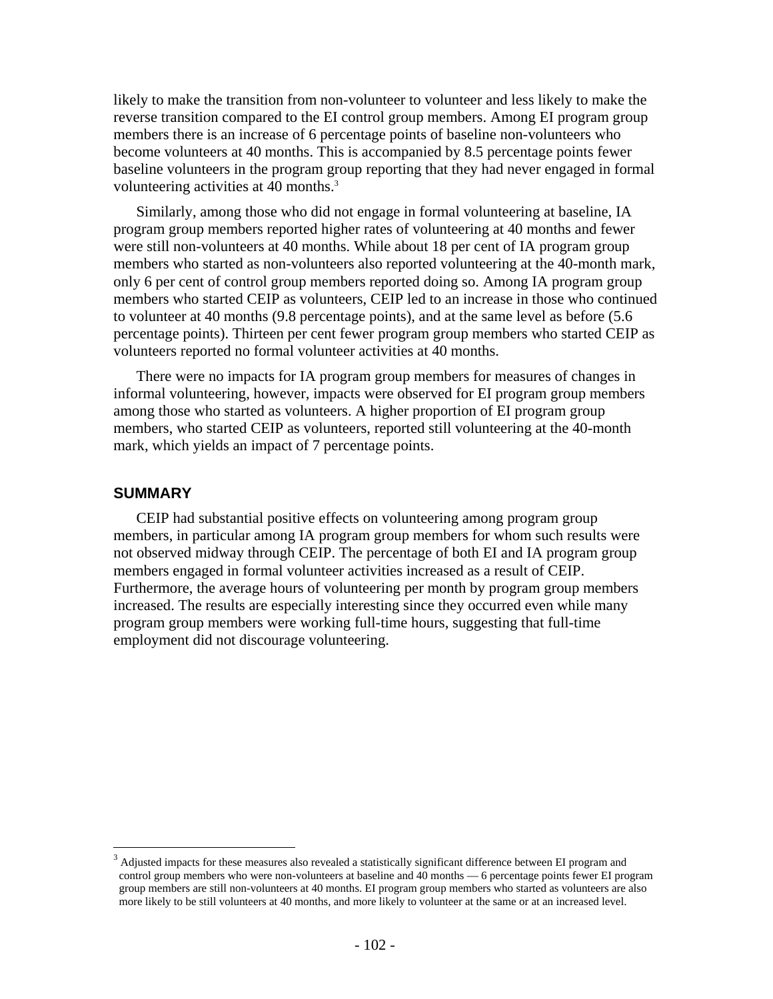likely to make the transition from non-volunteer to volunteer and less likely to make the reverse transition compared to the EI control group members. Among EI program group members there is an increase of 6 percentage points of baseline non-volunteers who become volunteers at 40 months. This is accompanied by 8.5 percentage points fewer baseline volunteers in the program group reporting that they had never engaged in formal volunteering activities at 40 months.<sup>3</sup>

Similarly, among those who did not engage in formal volunteering at baseline, IA program group members reported higher rates of volunteering at 40 months and fewer were still non-volunteers at 40 months. While about 18 per cent of IA program group members who started as non-volunteers also reported volunteering at the 40-month mark, only 6 per cent of control group members reported doing so. Among IA program group members who started CEIP as volunteers, CEIP led to an increase in those who continued to volunteer at 40 months (9.8 percentage points), and at the same level as before (5.6 percentage points). Thirteen per cent fewer program group members who started CEIP as volunteers reported no formal volunteer activities at 40 months.

There were no impacts for IA program group members for measures of changes in informal volunteering, however, impacts were observed for EI program group members among those who started as volunteers. A higher proportion of EI program group members, who started CEIP as volunteers, reported still volunteering at the 40-month mark, which yields an impact of 7 percentage points.

### **SUMMARY**

 $\overline{a}$ 

CEIP had substantial positive effects on volunteering among program group members, in particular among IA program group members for whom such results were not observed midway through CEIP. The percentage of both EI and IA program group members engaged in formal volunteer activities increased as a result of CEIP. Furthermore, the average hours of volunteering per month by program group members increased. The results are especially interesting since they occurred even while many program group members were working full-time hours, suggesting that full-time employment did not discourage volunteering.

 $3$  Adjusted impacts for these measures also revealed a statistically significant difference between EI program and control group members who were non-volunteers at baseline and 40 months — 6 percentage points fewer EI program group members are still non-volunteers at 40 months. EI program group members who started as volunteers are also more likely to be still volunteers at 40 months, and more likely to volunteer at the same or at an increased level.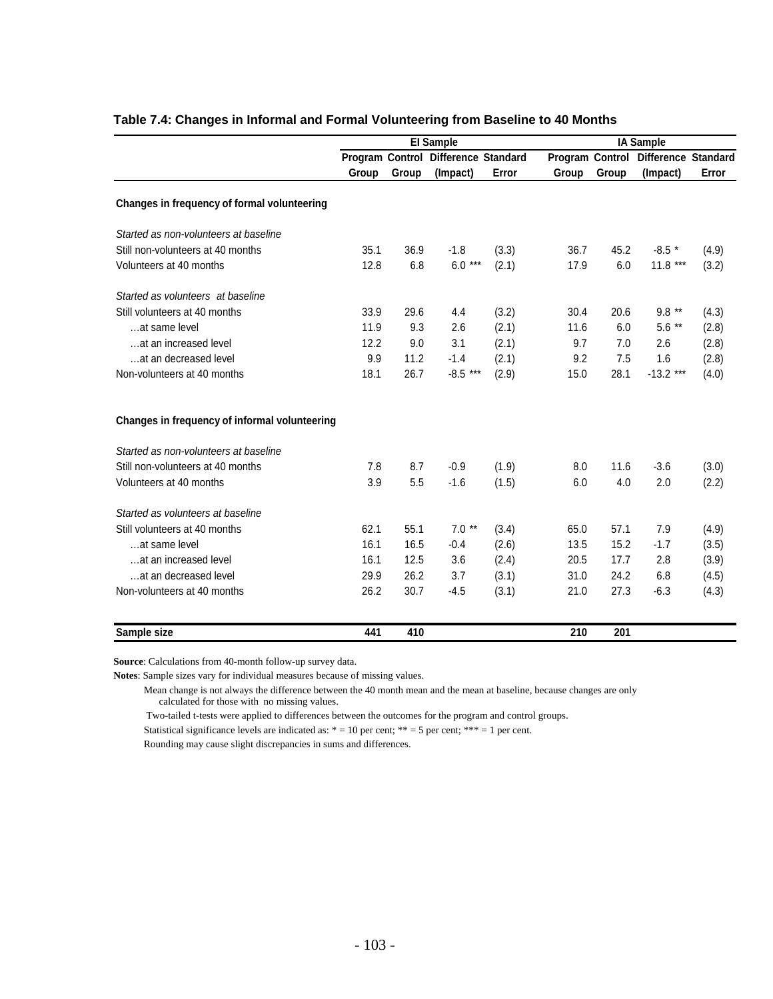|                                               | <b>El Sample</b> |       |                                     |       | <b>IA Sample</b> |       |                                     |       |  |
|-----------------------------------------------|------------------|-------|-------------------------------------|-------|------------------|-------|-------------------------------------|-------|--|
|                                               |                  |       | Program Control Difference Standard |       |                  |       | Program Control Difference Standard |       |  |
|                                               | Group            | Group | (Impact)                            | Error | Group            | Group | (Impact)                            | Error |  |
| Changes in frequency of formal volunteering   |                  |       |                                     |       |                  |       |                                     |       |  |
| Started as non-volunteers at baseline         |                  |       |                                     |       |                  |       |                                     |       |  |
| Still non-volunteers at 40 months             | 35.1             | 36.9  | $-1.8$                              | (3.3) | 36.7             | 45.2  | $-8.5$ *                            | (4.9) |  |
| Volunteers at 40 months                       | 12.8             | 6.8   | $6.0***$                            | (2.1) | 17.9             | 6.0   | $11.8***$                           | (3.2) |  |
| Started as volunteers at baseline             |                  |       |                                     |       |                  |       |                                     |       |  |
| Still volunteers at 40 months                 | 33.9             | 29.6  | 4.4                                 | (3.2) | 30.4             | 20.6  | $9.8***$                            | (4.3) |  |
| at same level                                 | 11.9             | 9.3   | 2.6                                 | (2.1) | 11.6             | 6.0   | $5.6**$                             | (2.8) |  |
| at an increased level                         | 12.2             | 9.0   | 3.1                                 | (2.1) | 9.7              | 7.0   | 2.6                                 | (2.8) |  |
| at an decreased level                         | 9.9              | 11.2  | $-1.4$                              | (2.1) | 9.2              | 7.5   | 1.6                                 | (2.8) |  |
| Non-volunteers at 40 months                   | 18.1             | 26.7  | $-8.5***$                           | (2.9) | 15.0             | 28.1  | $-13.2$ ***                         | (4.0) |  |
| Changes in frequency of informal volunteering |                  |       |                                     |       |                  |       |                                     |       |  |
| Started as non-volunteers at baseline         |                  |       |                                     |       |                  |       |                                     |       |  |
| Still non-volunteers at 40 months             | 7.8              | 8.7   | $-0.9$                              | (1.9) | 8.0              | 11.6  | $-3.6$                              | (3.0) |  |
| Volunteers at 40 months                       | 3.9              | 5.5   | $-1.6$                              | (1.5) | 6.0              | 4.0   | 2.0                                 | (2.2) |  |
| Started as volunteers at baseline             |                  |       |                                     |       |                  |       |                                     |       |  |
| Still volunteers at 40 months                 | 62.1             | 55.1  | $7.0**$                             | (3.4) | 65.0             | 57.1  | 7.9                                 | (4.9) |  |
| at same level                                 | 16.1             | 16.5  | $-0.4$                              | (2.6) | 13.5             | 15.2  | $-1.7$                              | (3.5) |  |
| at an increased level                         | 16.1             | 12.5  | 3.6                                 | (2.4) | 20.5             | 17.7  | 2.8                                 | (3.9) |  |
| at an decreased level                         | 29.9             | 26.2  | 3.7                                 | (3.1) | 31.0             | 24.2  | 6.8                                 | (4.5) |  |
| Non-volunteers at 40 months                   | 26.2             | 30.7  | $-4.5$                              | (3.1) | 21.0             | 27.3  | $-6.3$                              | (4.3) |  |
| Sample size                                   | 441              | 410   |                                     |       | 210              | 201   |                                     |       |  |

### **Table 7.4: Changes in Informal and Formal Volunteering from Baseline to 40 Months**

**Source**: Calculations from 40-month follow-up survey data.

**Notes**: Sample sizes vary for individual measures because of missing values.

 Mean change is not always the difference between the 40 month mean and the mean at baseline, because changes are only calculated for those with no missing values.

Two-tailed t-tests were applied to differences between the outcomes for the program and control groups.

Statistical significance levels are indicated as:  $* = 10$  per cent;  $** = 5$  per cent;  $*** = 1$  per cent.

Rounding may cause slight discrepancies in sums and differences.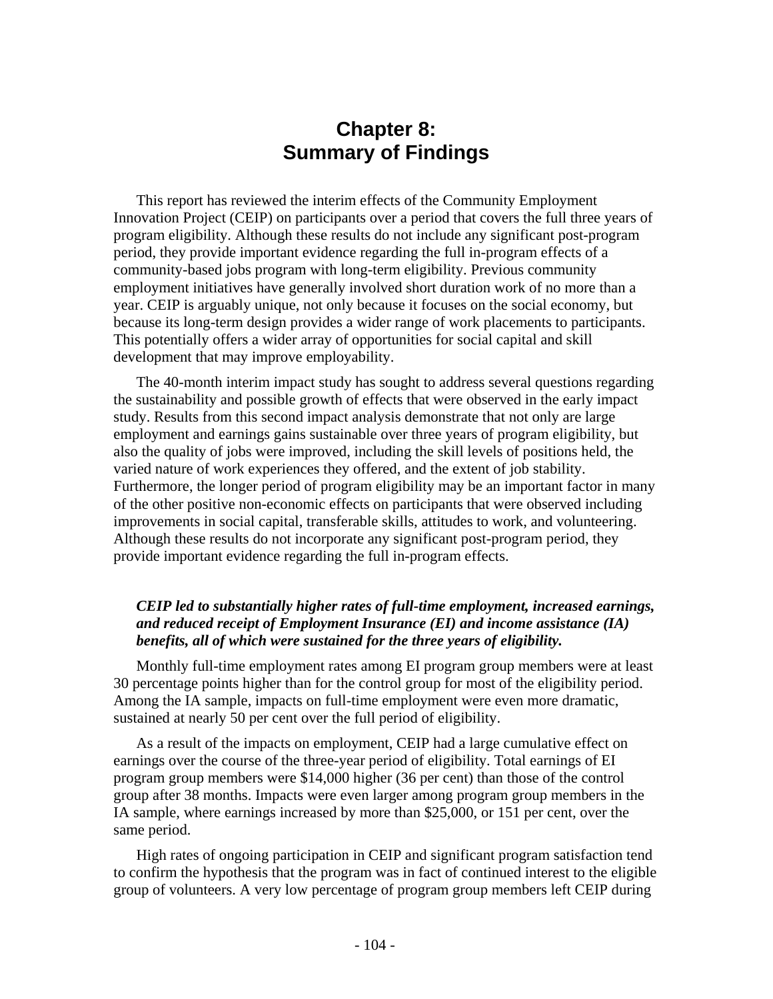# **Chapter 8: Summary of Findings**

This report has reviewed the interim effects of the Community Employment Innovation Project (CEIP) on participants over a period that covers the full three years of program eligibility. Although these results do not include any significant post-program period, they provide important evidence regarding the full in-program effects of a community-based jobs program with long-term eligibility. Previous community employment initiatives have generally involved short duration work of no more than a year. CEIP is arguably unique, not only because it focuses on the social economy, but because its long-term design provides a wider range of work placements to participants. This potentially offers a wider array of opportunities for social capital and skill development that may improve employability.

The 40-month interim impact study has sought to address several questions regarding the sustainability and possible growth of effects that were observed in the early impact study. Results from this second impact analysis demonstrate that not only are large employment and earnings gains sustainable over three years of program eligibility, but also the quality of jobs were improved, including the skill levels of positions held, the varied nature of work experiences they offered, and the extent of job stability. Furthermore, the longer period of program eligibility may be an important factor in many of the other positive non-economic effects on participants that were observed including improvements in social capital, transferable skills, attitudes to work, and volunteering. Although these results do not incorporate any significant post-program period, they provide important evidence regarding the full in-program effects.

## *CEIP led to substantially higher rates of full-time employment, increased earnings, and reduced receipt of Employment Insurance (EI) and income assistance (IA) benefits, all of which were sustained for the three years of eligibility.*

Monthly full-time employment rates among EI program group members were at least 30 percentage points higher than for the control group for most of the eligibility period. Among the IA sample, impacts on full-time employment were even more dramatic, sustained at nearly 50 per cent over the full period of eligibility.

As a result of the impacts on employment, CEIP had a large cumulative effect on earnings over the course of the three-year period of eligibility. Total earnings of EI program group members were \$14,000 higher (36 per cent) than those of the control group after 38 months. Impacts were even larger among program group members in the IA sample, where earnings increased by more than \$25,000, or 151 per cent, over the same period.

High rates of ongoing participation in CEIP and significant program satisfaction tend to confirm the hypothesis that the program was in fact of continued interest to the eligible group of volunteers. A very low percentage of program group members left CEIP during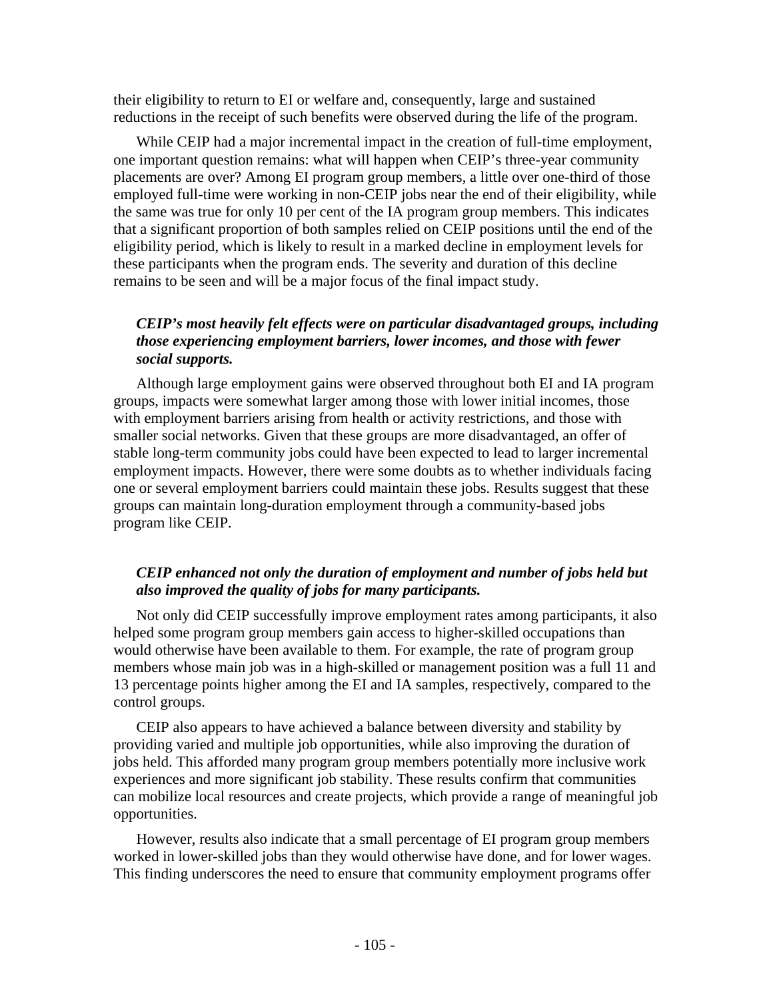their eligibility to return to EI or welfare and, consequently, large and sustained reductions in the receipt of such benefits were observed during the life of the program.

While CEIP had a major incremental impact in the creation of full-time employment, one important question remains: what will happen when CEIP's three-year community placements are over? Among EI program group members, a little over one-third of those employed full-time were working in non-CEIP jobs near the end of their eligibility, while the same was true for only 10 per cent of the IA program group members. This indicates that a significant proportion of both samples relied on CEIP positions until the end of the eligibility period, which is likely to result in a marked decline in employment levels for these participants when the program ends. The severity and duration of this decline remains to be seen and will be a major focus of the final impact study.

## *CEIP's most heavily felt effects were on particular disadvantaged groups, including those experiencing employment barriers, lower incomes, and those with fewer social supports.*

Although large employment gains were observed throughout both EI and IA program groups, impacts were somewhat larger among those with lower initial incomes, those with employment barriers arising from health or activity restrictions, and those with smaller social networks. Given that these groups are more disadvantaged, an offer of stable long-term community jobs could have been expected to lead to larger incremental employment impacts. However, there were some doubts as to whether individuals facing one or several employment barriers could maintain these jobs. Results suggest that these groups can maintain long-duration employment through a community-based jobs program like CEIP.

## *CEIP enhanced not only the duration of employment and number of jobs held but also improved the quality of jobs for many participants.*

Not only did CEIP successfully improve employment rates among participants, it also helped some program group members gain access to higher-skilled occupations than would otherwise have been available to them. For example, the rate of program group members whose main job was in a high-skilled or management position was a full 11 and 13 percentage points higher among the EI and IA samples, respectively, compared to the control groups.

CEIP also appears to have achieved a balance between diversity and stability by providing varied and multiple job opportunities, while also improving the duration of jobs held. This afforded many program group members potentially more inclusive work experiences and more significant job stability. These results confirm that communities can mobilize local resources and create projects, which provide a range of meaningful job opportunities.

However, results also indicate that a small percentage of EI program group members worked in lower-skilled jobs than they would otherwise have done, and for lower wages. This finding underscores the need to ensure that community employment programs offer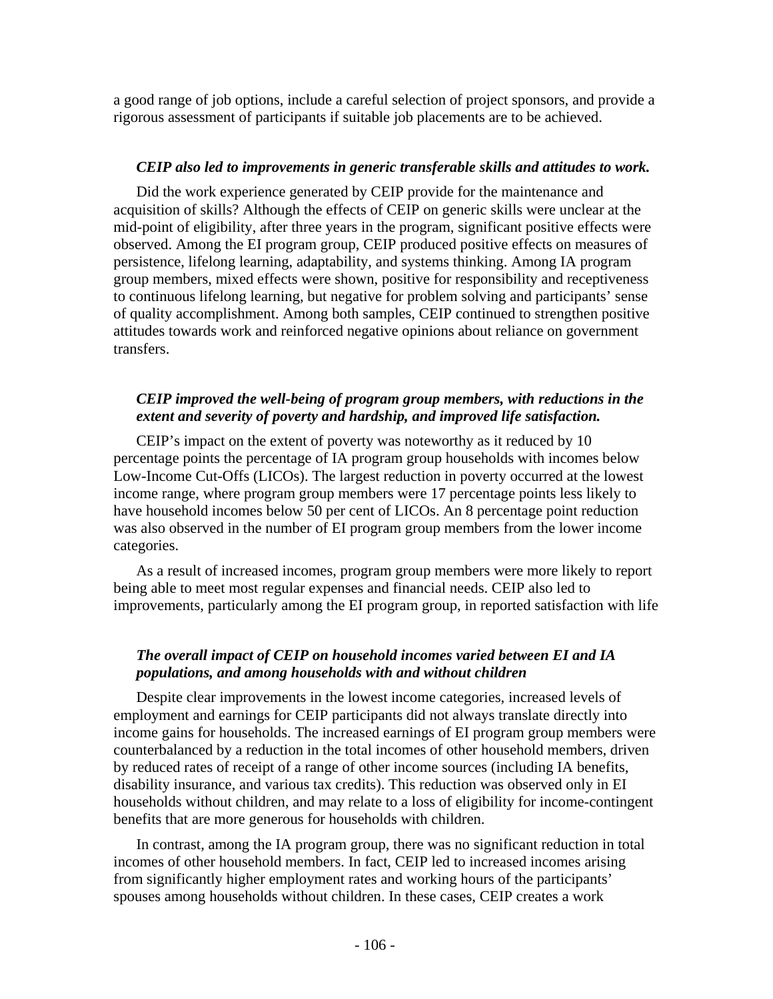a good range of job options, include a careful selection of project sponsors, and provide a rigorous assessment of participants if suitable job placements are to be achieved.

## *CEIP also led to improvements in generic transferable skills and attitudes to work.*

Did the work experience generated by CEIP provide for the maintenance and acquisition of skills? Although the effects of CEIP on generic skills were unclear at the mid-point of eligibility, after three years in the program, significant positive effects were observed. Among the EI program group, CEIP produced positive effects on measures of persistence, lifelong learning, adaptability, and systems thinking. Among IA program group members, mixed effects were shown, positive for responsibility and receptiveness to continuous lifelong learning, but negative for problem solving and participants' sense of quality accomplishment. Among both samples, CEIP continued to strengthen positive attitudes towards work and reinforced negative opinions about reliance on government transfers.

## *CEIP improved the well-being of program group members, with reductions in the extent and severity of poverty and hardship, and improved life satisfaction.*

CEIP's impact on the extent of poverty was noteworthy as it reduced by 10 percentage points the percentage of IA program group households with incomes below Low-Income Cut-Offs (LICOs). The largest reduction in poverty occurred at the lowest income range, where program group members were 17 percentage points less likely to have household incomes below 50 per cent of LICOs. An 8 percentage point reduction was also observed in the number of EI program group members from the lower income categories.

As a result of increased incomes, program group members were more likely to report being able to meet most regular expenses and financial needs. CEIP also led to improvements, particularly among the EI program group, in reported satisfaction with life

## *The overall impact of CEIP on household incomes varied between EI and IA populations, and among households with and without children*

Despite clear improvements in the lowest income categories, increased levels of employment and earnings for CEIP participants did not always translate directly into income gains for households. The increased earnings of EI program group members were counterbalanced by a reduction in the total incomes of other household members, driven by reduced rates of receipt of a range of other income sources (including IA benefits, disability insurance, and various tax credits). This reduction was observed only in EI households without children, and may relate to a loss of eligibility for income-contingent benefits that are more generous for households with children.

In contrast, among the IA program group, there was no significant reduction in total incomes of other household members. In fact, CEIP led to increased incomes arising from significantly higher employment rates and working hours of the participants' spouses among households without children. In these cases, CEIP creates a work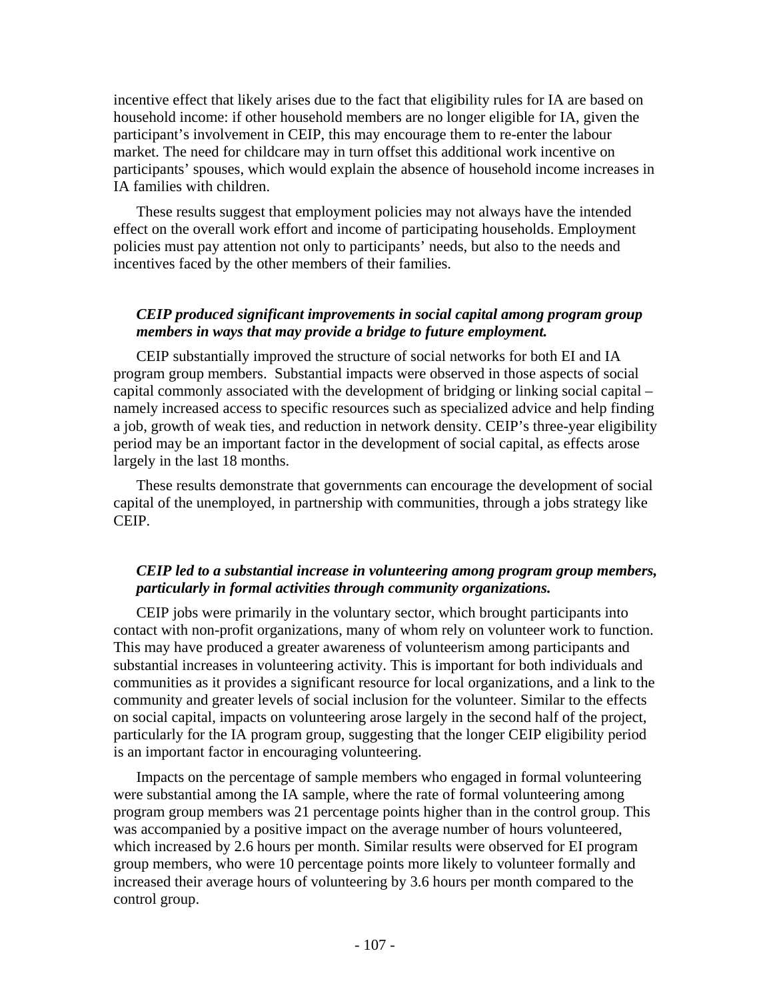incentive effect that likely arises due to the fact that eligibility rules for IA are based on household income: if other household members are no longer eligible for IA, given the participant's involvement in CEIP, this may encourage them to re-enter the labour market. The need for childcare may in turn offset this additional work incentive on participants' spouses, which would explain the absence of household income increases in IA families with children.

These results suggest that employment policies may not always have the intended effect on the overall work effort and income of participating households. Employment policies must pay attention not only to participants' needs, but also to the needs and incentives faced by the other members of their families.

## *CEIP produced significant improvements in social capital among program group members in ways that may provide a bridge to future employment.*

CEIP substantially improved the structure of social networks for both EI and IA program group members. Substantial impacts were observed in those aspects of social capital commonly associated with the development of bridging or linking social capital – namely increased access to specific resources such as specialized advice and help finding a job, growth of weak ties, and reduction in network density. CEIP's three-year eligibility period may be an important factor in the development of social capital, as effects arose largely in the last 18 months.

These results demonstrate that governments can encourage the development of social capital of the unemployed, in partnership with communities, through a jobs strategy like CEIP.

## *CEIP led to a substantial increase in volunteering among program group members, particularly in formal activities through community organizations.*

CEIP jobs were primarily in the voluntary sector, which brought participants into contact with non-profit organizations, many of whom rely on volunteer work to function. This may have produced a greater awareness of volunteerism among participants and substantial increases in volunteering activity. This is important for both individuals and communities as it provides a significant resource for local organizations, and a link to the community and greater levels of social inclusion for the volunteer. Similar to the effects on social capital, impacts on volunteering arose largely in the second half of the project, particularly for the IA program group, suggesting that the longer CEIP eligibility period is an important factor in encouraging volunteering.

Impacts on the percentage of sample members who engaged in formal volunteering were substantial among the IA sample, where the rate of formal volunteering among program group members was 21 percentage points higher than in the control group. This was accompanied by a positive impact on the average number of hours volunteered, which increased by 2.6 hours per month. Similar results were observed for EI program group members, who were 10 percentage points more likely to volunteer formally and increased their average hours of volunteering by 3.6 hours per month compared to the control group.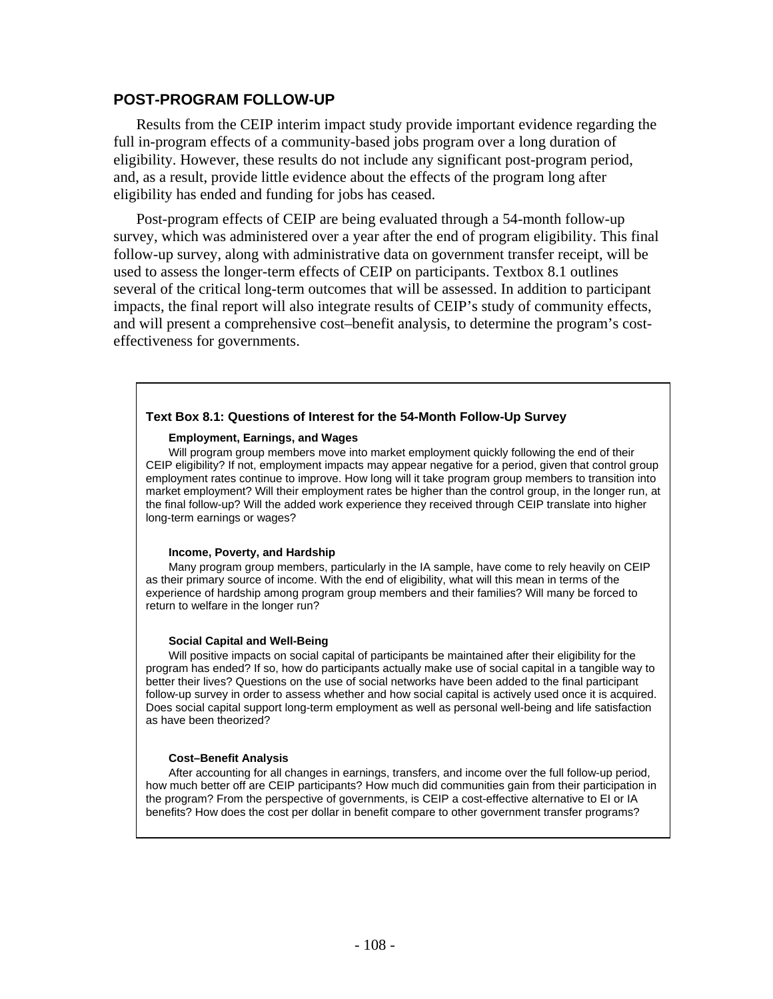### **POST-PROGRAM FOLLOW-UP**

Results from the CEIP interim impact study provide important evidence regarding the full in-program effects of a community-based jobs program over a long duration of eligibility. However, these results do not include any significant post-program period, and, as a result, provide little evidence about the effects of the program long after eligibility has ended and funding for jobs has ceased.

Post-program effects of CEIP are being evaluated through a 54-month follow-up survey, which was administered over a year after the end of program eligibility. This final follow-up survey, along with administrative data on government transfer receipt, will be used to assess the longer-term effects of CEIP on participants. Textbox 8.1 outlines several of the critical long-term outcomes that will be assessed. In addition to participant impacts, the final report will also integrate results of CEIP's study of community effects, and will present a comprehensive cost–benefit analysis, to determine the program's costeffectiveness for governments.

### **Text Box 8.1: Questions of Interest for the 54-Month Follow-Up Survey**

#### **Employment, Earnings, and Wages**

Will program group members move into market employment quickly following the end of their CEIP eligibility? If not, employment impacts may appear negative for a period, given that control group employment rates continue to improve. How long will it take program group members to transition into market employment? Will their employment rates be higher than the control group, in the longer run, at the final follow-up? Will the added work experience they received through CEIP translate into higher long-term earnings or wages?

#### **Income, Poverty, and Hardship**

Many program group members, particularly in the IA sample, have come to rely heavily on CEIP as their primary source of income. With the end of eligibility, what will this mean in terms of the experience of hardship among program group members and their families? Will many be forced to return to welfare in the longer run?

#### **Social Capital and Well-Being**

Will positive impacts on social capital of participants be maintained after their eligibility for the program has ended? If so, how do participants actually make use of social capital in a tangible way to better their lives? Questions on the use of social networks have been added to the final participant follow-up survey in order to assess whether and how social capital is actively used once it is acquired. Does social capital support long-term employment as well as personal well-being and life satisfaction as have been theorized?

#### **Cost–Benefit Analysis**

After accounting for all changes in earnings, transfers, and income over the full follow-up period, how much better off are CEIP participants? How much did communities gain from their participation in the program? From the perspective of governments, is CEIP a cost-effective alternative to EI or IA benefits? How does the cost per dollar in benefit compare to other government transfer programs?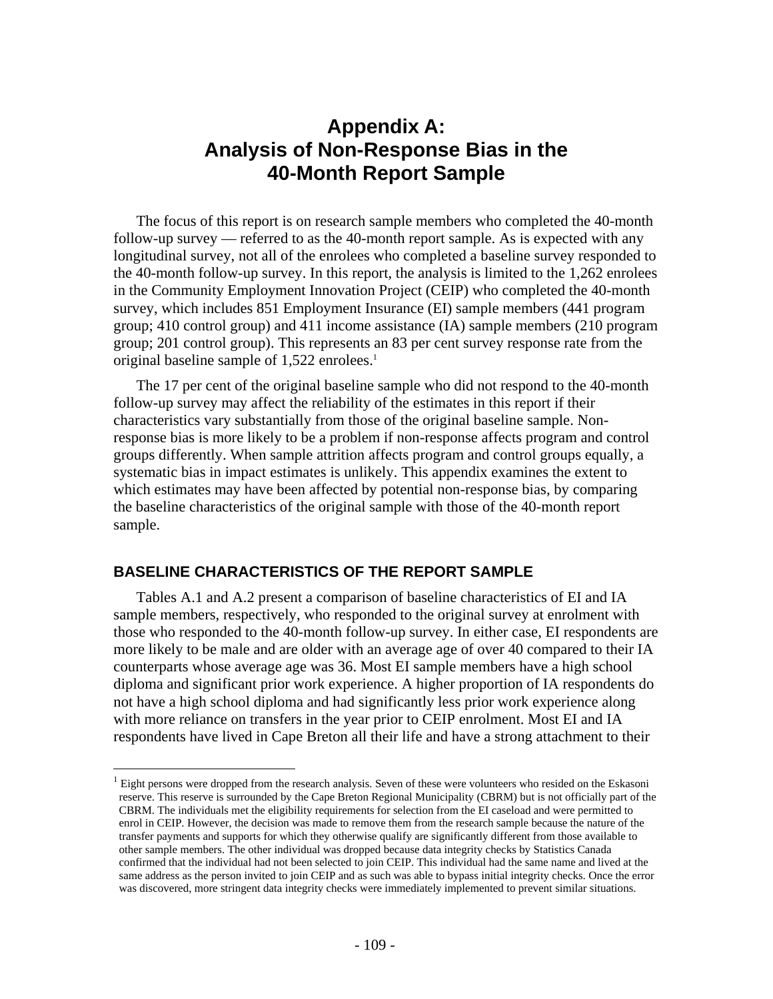# **Appendix A: Analysis of Non-Response Bias in the 40-Month Report Sample**

The focus of this report is on research sample members who completed the 40-month follow-up survey — referred to as the 40-month report sample. As is expected with any longitudinal survey, not all of the enrolees who completed a baseline survey responded to the 40-month follow-up survey. In this report, the analysis is limited to the 1,262 enrolees in the Community Employment Innovation Project (CEIP) who completed the 40-month survey, which includes 851 Employment Insurance (EI) sample members (441 program group; 410 control group) and 411 income assistance (IA) sample members (210 program group; 201 control group). This represents an 83 per cent survey response rate from the original baseline sample of 1,522 enrolees.<sup>1</sup>

The 17 per cent of the original baseline sample who did not respond to the 40-month follow-up survey may affect the reliability of the estimates in this report if their characteristics vary substantially from those of the original baseline sample. Nonresponse bias is more likely to be a problem if non-response affects program and control groups differently. When sample attrition affects program and control groups equally, a systematic bias in impact estimates is unlikely. This appendix examines the extent to which estimates may have been affected by potential non-response bias, by comparing the baseline characteristics of the original sample with those of the 40-month report sample.

### **BASELINE CHARACTERISTICS OF THE REPORT SAMPLE**

 $\overline{a}$ 

Tables A.1 and A.2 present a comparison of baseline characteristics of EI and IA sample members, respectively, who responded to the original survey at enrolment with those who responded to the 40-month follow-up survey. In either case, EI respondents are more likely to be male and are older with an average age of over 40 compared to their IA counterparts whose average age was 36. Most EI sample members have a high school diploma and significant prior work experience. A higher proportion of IA respondents do not have a high school diploma and had significantly less prior work experience along with more reliance on transfers in the year prior to CEIP enrolment. Most EI and IA respondents have lived in Cape Breton all their life and have a strong attachment to their

 $1$  Eight persons were dropped from the research analysis. Seven of these were volunteers who resided on the Eskasoni reserve. This reserve is surrounded by the Cape Breton Regional Municipality (CBRM) but is not officially part of the CBRM. The individuals met the eligibility requirements for selection from the EI caseload and were permitted to enrol in CEIP. However, the decision was made to remove them from the research sample because the nature of the transfer payments and supports for which they otherwise qualify are significantly different from those available to other sample members. The other individual was dropped because data integrity checks by Statistics Canada confirmed that the individual had not been selected to join CEIP. This individual had the same name and lived at the same address as the person invited to join CEIP and as such was able to bypass initial integrity checks. Once the error was discovered, more stringent data integrity checks were immediately implemented to prevent similar situations.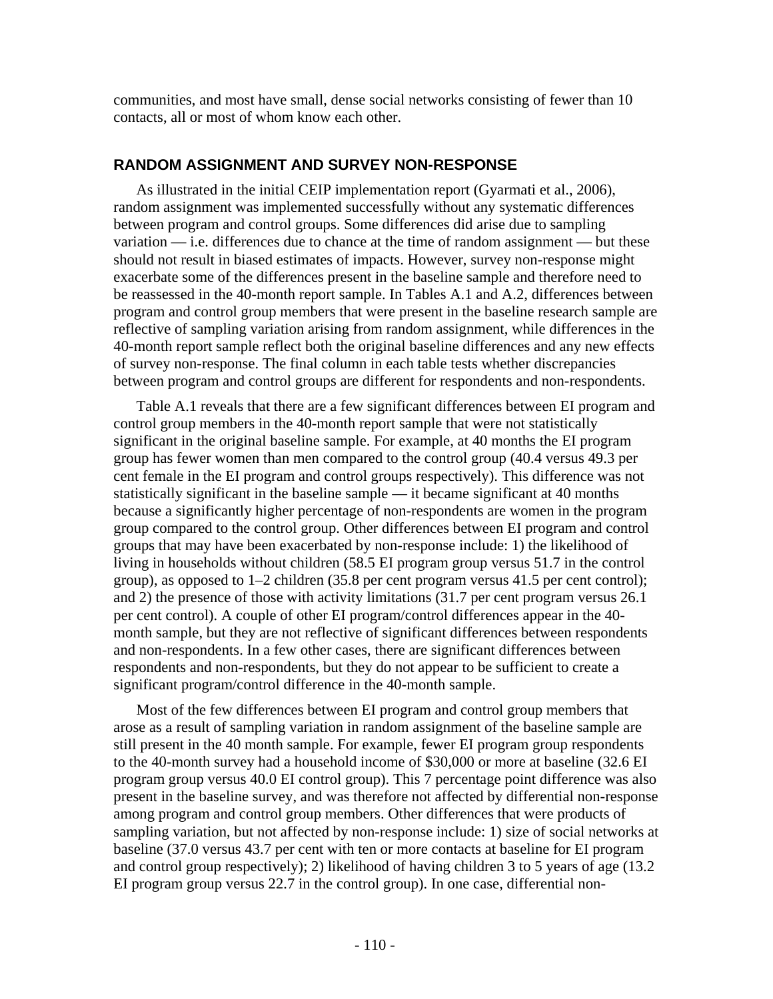communities, and most have small, dense social networks consisting of fewer than 10 contacts, all or most of whom know each other.

## **RANDOM ASSIGNMENT AND SURVEY NON-RESPONSE**

As illustrated in the initial CEIP implementation report (Gyarmati et al., 2006), random assignment was implemented successfully without any systematic differences between program and control groups. Some differences did arise due to sampling variation — i.e. differences due to chance at the time of random assignment — but these should not result in biased estimates of impacts. However, survey non-response might exacerbate some of the differences present in the baseline sample and therefore need to be reassessed in the 40-month report sample. In Tables A.1 and A.2, differences between program and control group members that were present in the baseline research sample are reflective of sampling variation arising from random assignment, while differences in the 40-month report sample reflect both the original baseline differences and any new effects of survey non-response. The final column in each table tests whether discrepancies between program and control groups are different for respondents and non-respondents.

Table A.1 reveals that there are a few significant differences between EI program and control group members in the 40-month report sample that were not statistically significant in the original baseline sample. For example, at 40 months the EI program group has fewer women than men compared to the control group (40.4 versus 49.3 per cent female in the EI program and control groups respectively). This difference was not statistically significant in the baseline sample — it became significant at 40 months because a significantly higher percentage of non-respondents are women in the program group compared to the control group. Other differences between EI program and control groups that may have been exacerbated by non-response include: 1) the likelihood of living in households without children (58.5 EI program group versus 51.7 in the control group), as opposed to  $1-2$  children (35.8 per cent program versus 41.5 per cent control); and 2) the presence of those with activity limitations (31.7 per cent program versus 26.1 per cent control). A couple of other EI program/control differences appear in the 40 month sample, but they are not reflective of significant differences between respondents and non-respondents. In a few other cases, there are significant differences between respondents and non-respondents, but they do not appear to be sufficient to create a significant program/control difference in the 40-month sample.

Most of the few differences between EI program and control group members that arose as a result of sampling variation in random assignment of the baseline sample are still present in the 40 month sample. For example, fewer EI program group respondents to the 40-month survey had a household income of \$30,000 or more at baseline (32.6 EI program group versus 40.0 EI control group). This 7 percentage point difference was also present in the baseline survey, and was therefore not affected by differential non-response among program and control group members. Other differences that were products of sampling variation, but not affected by non-response include: 1) size of social networks at baseline (37.0 versus 43.7 per cent with ten or more contacts at baseline for EI program and control group respectively); 2) likelihood of having children 3 to 5 years of age (13.2 EI program group versus 22.7 in the control group). In one case, differential non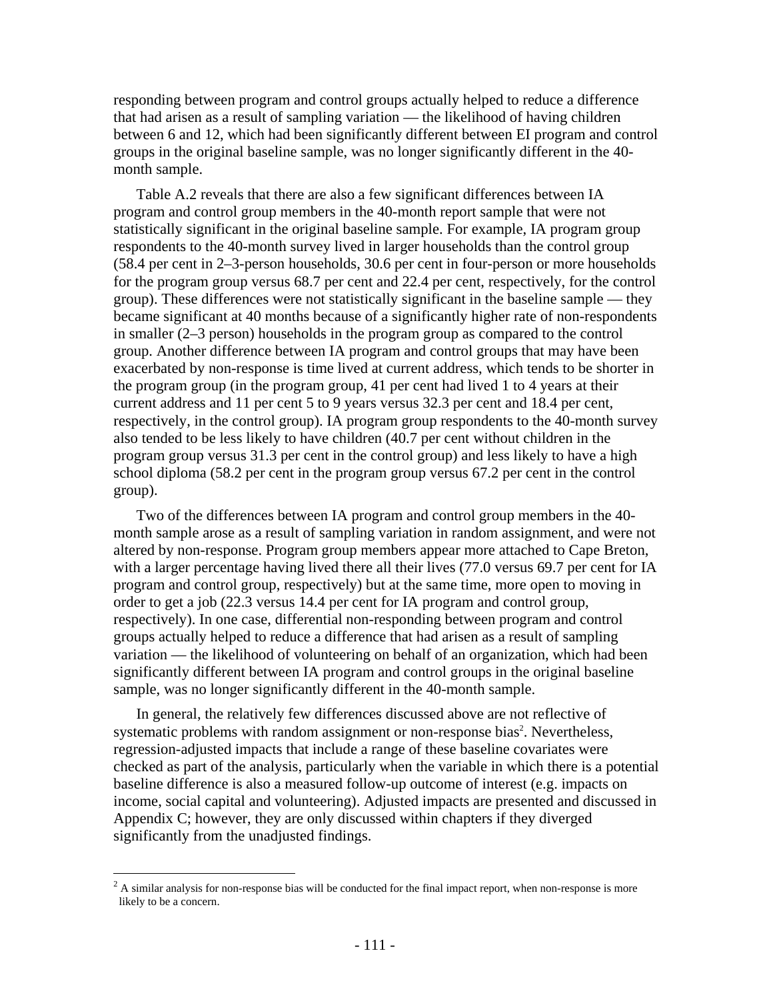responding between program and control groups actually helped to reduce a difference that had arisen as a result of sampling variation — the likelihood of having children between 6 and 12, which had been significantly different between EI program and control groups in the original baseline sample, was no longer significantly different in the 40 month sample.

Table A.2 reveals that there are also a few significant differences between IA program and control group members in the 40-month report sample that were not statistically significant in the original baseline sample. For example, IA program group respondents to the 40-month survey lived in larger households than the control group (58.4 per cent in 2–3-person households, 30.6 per cent in four-person or more households for the program group versus 68.7 per cent and 22.4 per cent, respectively, for the control group). These differences were not statistically significant in the baseline sample — they became significant at 40 months because of a significantly higher rate of non-respondents in smaller (2–3 person) households in the program group as compared to the control group. Another difference between IA program and control groups that may have been exacerbated by non-response is time lived at current address, which tends to be shorter in the program group (in the program group, 41 per cent had lived 1 to 4 years at their current address and 11 per cent 5 to 9 years versus 32.3 per cent and 18.4 per cent, respectively, in the control group). IA program group respondents to the 40-month survey also tended to be less likely to have children (40.7 per cent without children in the program group versus 31.3 per cent in the control group) and less likely to have a high school diploma (58.2 per cent in the program group versus 67.2 per cent in the control group).

Two of the differences between IA program and control group members in the 40 month sample arose as a result of sampling variation in random assignment, and were not altered by non-response. Program group members appear more attached to Cape Breton, with a larger percentage having lived there all their lives (77.0 versus 69.7 per cent for IA program and control group, respectively) but at the same time, more open to moving in order to get a job (22.3 versus 14.4 per cent for IA program and control group, respectively). In one case, differential non-responding between program and control groups actually helped to reduce a difference that had arisen as a result of sampling variation — the likelihood of volunteering on behalf of an organization, which had been significantly different between IA program and control groups in the original baseline sample, was no longer significantly different in the 40-month sample.

In general, the relatively few differences discussed above are not reflective of systematic problems with random assignment or non-response bias<sup>2</sup>. Nevertheless, regression-adjusted impacts that include a range of these baseline covariates were checked as part of the analysis, particularly when the variable in which there is a potential baseline difference is also a measured follow-up outcome of interest (e.g. impacts on income, social capital and volunteering). Adjusted impacts are presented and discussed in Appendix C; however, they are only discussed within chapters if they diverged significantly from the unadjusted findings.

 $\overline{a}$ 

 $2^2$  A similar analysis for non-response bias will be conducted for the final impact report, when non-response is more likely to be a concern.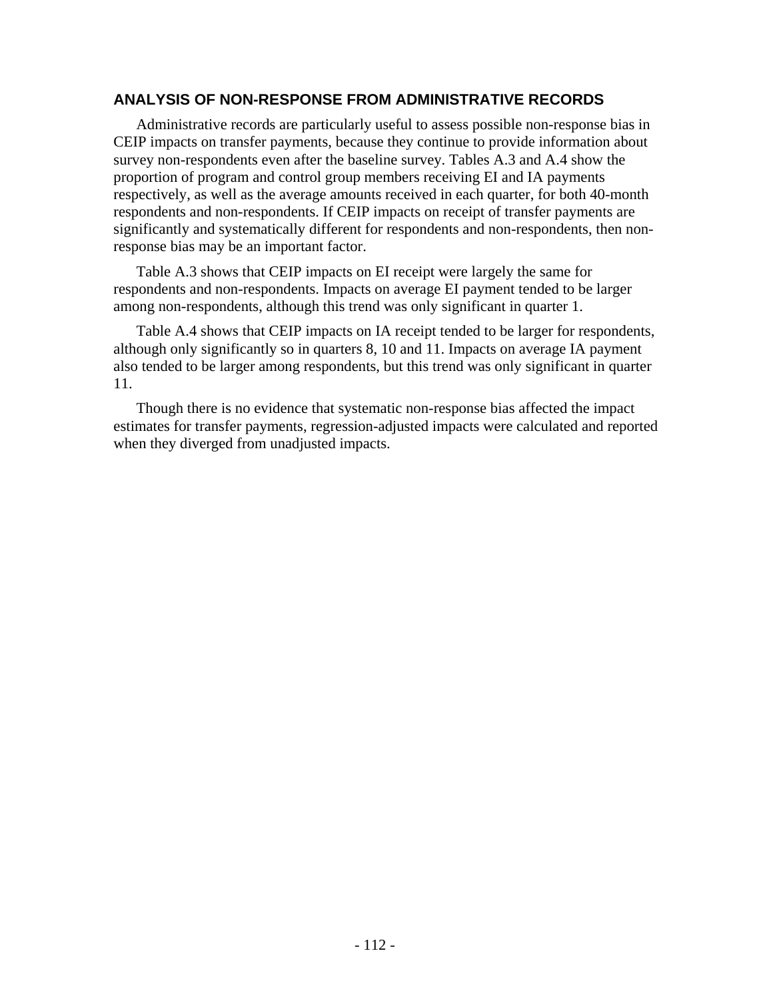## **ANALYSIS OF NON-RESPONSE FROM ADMINISTRATIVE RECORDS**

Administrative records are particularly useful to assess possible non-response bias in CEIP impacts on transfer payments, because they continue to provide information about survey non-respondents even after the baseline survey. Tables A.3 and A.4 show the proportion of program and control group members receiving EI and IA payments respectively, as well as the average amounts received in each quarter, for both 40-month respondents and non-respondents. If CEIP impacts on receipt of transfer payments are significantly and systematically different for respondents and non-respondents, then nonresponse bias may be an important factor.

Table A.3 shows that CEIP impacts on EI receipt were largely the same for respondents and non-respondents. Impacts on average EI payment tended to be larger among non-respondents, although this trend was only significant in quarter 1.

Table A.4 shows that CEIP impacts on IA receipt tended to be larger for respondents, although only significantly so in quarters 8, 10 and 11. Impacts on average IA payment also tended to be larger among respondents, but this trend was only significant in quarter 11.

Though there is no evidence that systematic non-response bias affected the impact estimates for transfer payments, regression-adjusted impacts were calculated and reported when they diverged from unadjusted impacts.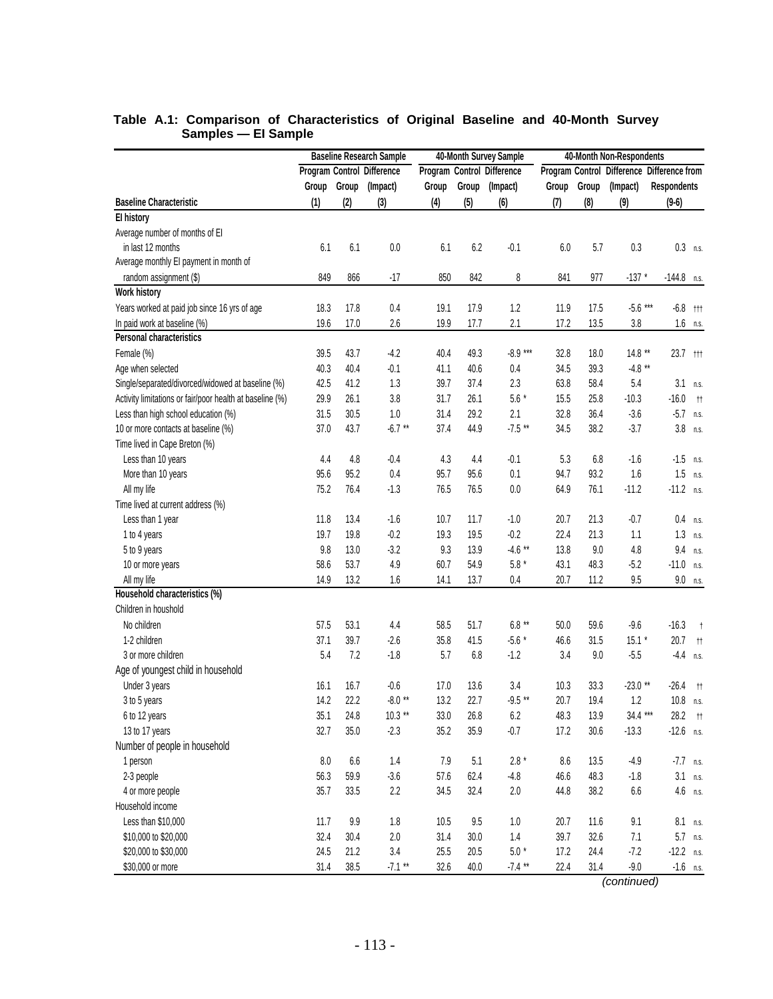|                                                          |         |       | <b>Baseline Research Sample</b> |          |         | 40-Month Survey Sample     | 40-Month Non-Respondents |       |                                            |                    |              |
|----------------------------------------------------------|---------|-------|---------------------------------|----------|---------|----------------------------|--------------------------|-------|--------------------------------------------|--------------------|--------------|
|                                                          |         |       | Program Control Difference      |          |         | Program Control Difference |                          |       | Program Control Difference Difference from |                    |              |
|                                                          | Group   | Group | (Impact)                        | Group    | Group   | (Impact)                   | Group                    | Group | (Impact)                                   | <b>Respondents</b> |              |
| <b>Baseline Characteristic</b>                           | (1)     | (2)   | (3)                             | (4)      | (5)     | (6)                        | (7)                      | (8)   | (9)                                        | $(9-6)$            |              |
| <b>El history</b>                                        |         |       |                                 |          |         |                            |                          |       |                                            |                    |              |
| Average number of months of EI                           |         |       |                                 |          |         |                            |                          |       |                                            |                    |              |
| in last 12 months                                        | 6.1     | 6.1   | $0.0\,$                         | 6.1      | 6.2     | $-0.1$                     | 6.0                      | 5.7   | 0.3                                        | $0.3$ n.s.         |              |
| Average monthly EI payment in month of                   |         |       |                                 |          |         |                            |                          |       |                                            |                    |              |
| random assignment (\$)                                   | 849     | 866   | $-17$                           | 850      | 842     | 8                          | 841                      | 977   | $-137$ *                                   | $-144.8$ n.s.      |              |
| <b>Work history</b>                                      |         |       |                                 |          |         |                            |                          |       |                                            |                    |              |
| Years worked at paid job since 16 yrs of age             | 18.3    | 17.8  | 0.4                             | 19.1     | 17.9    | 1.2                        | 11.9                     | 17.5  | $-5.6***$                                  | $-6.8$ ttt         |              |
| In paid work at baseline (%)                             | 19.6    | 17.0  | 2.6                             | 19.9     | 17.7    | 2.1                        | 17.2                     | 13.5  | 3.8                                        |                    | $1.6$ n.s.   |
| Personal characteristics                                 |         |       |                                 |          |         |                            |                          |       |                                            |                    |              |
| Female (%)                                               | 39.5    | 43.7  | $-4.2$                          | 40.4     | 49.3    | $-8.9***$                  | 32.8                     | 18.0  | $14.8$ **                                  | 23.7 ttt           |              |
| Age when selected                                        | 40.3    | 40.4  | $-0.1$                          | 41.1     | 40.6    | 0.4                        | 34.5                     | 39.3  | $-4.8$ **                                  |                    |              |
| Single/separated/divorced/widowed at baseline (%)        | 42.5    | 41.2  | 1.3                             | 39.7     | 37.4    | 2.3                        | 63.8                     | 58.4  | 5.4                                        |                    | $3.1$ n.s.   |
| Activity limitations or fair/poor health at baseline (%) | 29.9    | 26.1  | 3.8                             | 31.7     | 26.1    | $5.6*$                     | 15.5                     | 25.8  | $-10.3$                                    | $-16.0$            | $^{\dagger}$ |
| Less than high school education (%)                      | 31.5    | 30.5  | 1.0                             | 31.4     | 29.2    | 2.1                        | 32.8                     | 36.4  | $-3.6$                                     | $-5.7$ n.s.        |              |
| 10 or more contacts at baseline (%)                      | 37.0    | 43.7  | $-6.7**$                        | 37.4     | 44.9    | $-7.5**$                   | 34.5                     | 38.2  | $-3.7$                                     |                    | $3.8$ n.s.   |
| Time lived in Cape Breton (%)                            |         |       |                                 |          |         |                            |                          |       |                                            |                    |              |
| Less than 10 years                                       | 4.4     | 4.8   | $-0.4$                          | 4.3      | 4.4     | $-0.1$                     | 5.3                      | 6.8   | $-1.6$                                     | $-1.5$ n.s.        |              |
| More than 10 years                                       | 95.6    | 95.2  | 0.4                             | 95.7     | 95.6    | 0.1                        | 94.7                     | 93.2  | 1.6                                        | 1.5                | n.S.         |
| All my life                                              | 75.2    | 76.4  | $-1.3$                          | 76.5     | 76.5    | 0.0                        | 64.9                     | 76.1  | $-11.2$                                    | $-11.2$ n.s.       |              |
| Time lived at current address (%)                        |         |       |                                 |          |         |                            |                          |       |                                            |                    |              |
| Less than 1 year                                         | 11.8    | 13.4  | $-1.6$                          | 10.7     | 11.7    | $-1.0$                     | 20.7                     | 21.3  | $-0.7$                                     | 0.4                | n.S.         |
| 1 to 4 years                                             | 19.7    | 19.8  | $-0.2$                          | 19.3     | 19.5    | $-0.2$                     | 22.4                     | 21.3  | 1.1                                        | 1.3                | n.s.         |
| 5 to 9 years                                             | 9.8     | 13.0  | $-3.2$                          | 9.3      | 13.9    | $-4.6$ **                  | 13.8                     | 9.0   | 4.8                                        | 9.4                | n.s.         |
| 10 or more years                                         | 58.6    | 53.7  | 4.9                             | 60.7     | 54.9    | $5.8*$                     | 43.1                     | 48.3  | $-5.2$                                     | $-11.0$            | n.S.         |
| All my life                                              | 14.9    | 13.2  | 1.6                             | 14.1     | 13.7    | $0.4\,$                    | 20.7                     | 11.2  | 9.5                                        |                    | $9.0$ n.s.   |
| Household characteristics (%)                            |         |       |                                 |          |         |                            |                          |       |                                            |                    |              |
| Children in houshold                                     |         |       |                                 |          |         |                            |                          |       |                                            |                    |              |
| No children                                              | 57.5    | 53.1  | 4.4                             | 58.5     | 51.7    | $6.8**$                    | 50.0                     | 59.6  | $-9.6$                                     | $-16.3$            | $^{\dagger}$ |
| 1-2 children                                             | 37.1    | 39.7  | $-2.6$                          | 35.8     | 41.5    | $-5.6*$                    | 46.6                     | 31.5  | $15.1 *$                                   | 20.7               | $^{\dagger}$ |
| 3 or more children                                       | 5.4     | 7.2   | $-1.8$                          | 5.7      | 6.8     | $-1.2$                     | 3.4                      | 9.0   | $-5.5$                                     | $-4.4$             | n.S.         |
| Age of youngest child in household                       |         |       |                                 |          |         |                            |                          |       |                                            |                    |              |
| Under 3 years                                            | 16.1    | 16.7  | $-0.6$                          | 17.0     | 13.6    | 3.4                        | 10.3                     | 33.3  | $-23.0$ **                                 | $-26.4$            | tt –         |
| 3 to 5 years                                             | 14.2    | 22.2  | $-8.0**$                        | 13.2     | 22.7    | $-9.5**$                   | 20.7                     | 19.4  | 1.2                                        | $10.8$ n.s.        |              |
| 6 to 12 years                                            | 35.1    | 24.8  | $10.3**$                        | $33.0\,$ | 26.8    | $6.2\,$                    | 48.3                     | 13.9  | $34.4***$                                  | 28.2               | $^{\dagger}$ |
| 13 to 17 years                                           | 32.7    | 35.0  | $-2.3$                          | 35.2     | 35.9    | $-0.7$                     | 17.2                     | 30.6  | $-13.3$                                    | $-12.6$ n.s.       |              |
| Number of people in household                            |         |       |                                 |          |         |                            |                          |       |                                            |                    |              |
| 1 person                                                 | $8.0\,$ | 6.6   | 1.4                             | 7.9      | 5.1     | $2.8 *$                    | 8.6                      | 13.5  | $-4.9$                                     | $-7.7$ n.s.        |              |
| 2-3 people                                               | 56.3    | 59.9  | $-3.6$                          | 57.6     | 62.4    | $-4.8$                     | 46.6                     | 48.3  | $-1.8$                                     | 3.1                | n.S.         |
| 4 or more people                                         | 35.7    | 33.5  | 2.2                             | 34.5     | 32.4    | $2.0\,$                    | 44.8                     | 38.2  | $6.6\,$                                    |                    | $4.6$ n.s.   |
| Household income                                         |         |       |                                 |          |         |                            |                          |       |                                            |                    |              |
| Less than \$10,000                                       | 11.7    | 9.9   | 1.8                             | 10.5     | $9.5\,$ | $1.0\,$                    | 20.7                     | 11.6  | 9.1                                        | 8.1                | n.S.         |
| \$10,000 to \$20,000                                     | 32.4    | 30.4  | $2.0\,$                         | 31.4     | 30.0    | $1.4\,$                    | 39.7                     | 32.6  | 7.1                                        |                    | 5.7 n.s.     |
| \$20,000 to \$30,000                                     | 24.5    | 21.2  | $3.4\,$                         | 25.5     | 20.5    | $5.0$ $^{\star}$           | 17.2                     | 24.4  | $-7.2$                                     | $-12.2$ n.s.       |              |
| \$30,000 or more                                         | 31.4    | 38.5  | $-7.1**$                        | 32.6     | 40.0    | $-7.4$ **                  | 22.4                     | 31.4  | $-9.0$                                     | $-1.6$ n.s.        |              |

### **Table A.1: Comparison of Characteristics of Original Baseline and 40-Month Survey Samples — EI Sample**

*(continued)*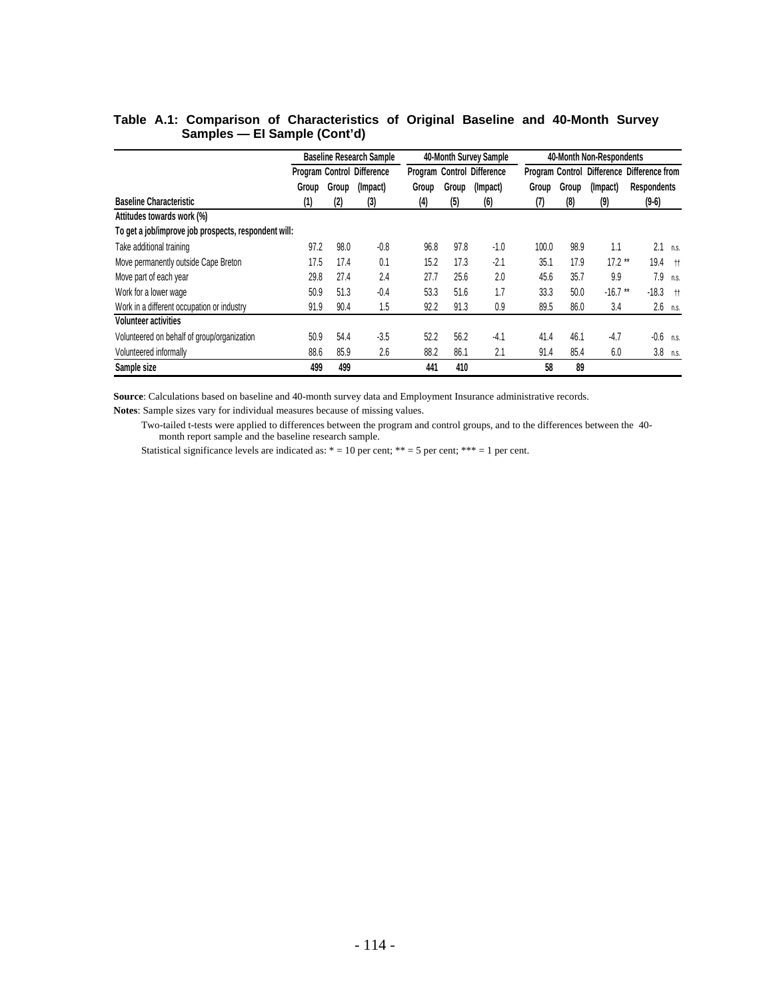|                                                      | <b>Baseline Research Sample</b> |       |                                   |       |       | 40-Month Survey Sample            |       |       | 40-Month Non-Respondents |                                            |            |
|------------------------------------------------------|---------------------------------|-------|-----------------------------------|-------|-------|-----------------------------------|-------|-------|--------------------------|--------------------------------------------|------------|
|                                                      |                                 |       | <b>Program Control Difference</b> |       |       | <b>Program Control Difference</b> |       |       |                          | Program Control Difference Difference from |            |
|                                                      | Group                           | Group | (Impact)                          | Group | Group | (Impact)                          | Group | Group | (Impact)                 | <b>Respondents</b>                         |            |
| <b>Baseline Characteristic</b>                       | (1)                             | (2)   | (3)                               | (4)   | (5)   | (6)                               | (7)   | (8)   | (9)                      | $(9-6)$                                    |            |
| Attitudes towards work (%)                           |                                 |       |                                   |       |       |                                   |       |       |                          |                                            |            |
| To get a job/improve job prospects, respondent will: |                                 |       |                                   |       |       |                                   |       |       |                          |                                            |            |
| Take additional training                             | 97.2                            | 98.0  | $-0.8$                            | 96.8  | 97.8  | $-1.0$                            | 100.0 | 98.9  | 1.1                      | 2.1                                        | n.s.       |
| Move permanently outside Cape Breton                 | 17.5                            | 17.4  | 0.1                               | 15.2  | 17.3  | $-2.1$                            | 35.1  | 17.9  | $17.2$ **                | 19.4                                       | $+$        |
| Move part of each year                               | 29.8                            | 27.4  | 2.4                               | 27.7  | 25.6  | 2.0                               | 45.6  | 35.7  | 9.9                      | 7.9                                        | n.S.       |
| Work for a lower wage                                | 50.9                            | 51.3  | $-0.4$                            | 53.3  | 51.6  | 1.7                               | 33.3  | 50.0  | $-16.7$ **               | $-18.3$                                    | $+$        |
| Work in a different occupation or industry           | 91.9                            | 90.4  | 1.5                               | 92.2  | 91.3  | 0.9                               | 89.5  | 86.0  | 3.4                      |                                            | $2.6$ n.s. |
| <b>Volunteer activities</b>                          |                                 |       |                                   |       |       |                                   |       |       |                          |                                            |            |
| Volunteered on behalf of group/organization          | 50.9                            | 54.4  | $-3.5$                            | 52.2  | 56.2  | $-4.1$                            | 41.4  | 46.1  | $-4.7$                   | $-0.6$                                     | n.S.       |
| Volunteered informally                               | 88.6                            | 85.9  | 2.6                               | 88.2  | 86.1  | 2.1                               | 91.4  | 85.4  | 6.0                      | 3.8                                        | n.s.       |
| Sample size                                          | 499                             | 499   |                                   | 441   | 410   |                                   | 58    | 89    |                          |                                            |            |

## **Table A.1: Comparison of Characteristics of Original Baseline and 40-Month Survey Samples — EI Sample (Cont'd)**

**Source**: Calculations based on baseline and 40-month survey data and Employment Insurance administrative records.

**Notes**: Sample sizes vary for individual measures because of missing values.

 Two-tailed t-tests were applied to differences between the program and control groups, and to the differences between the 40 month report sample and the baseline research sample.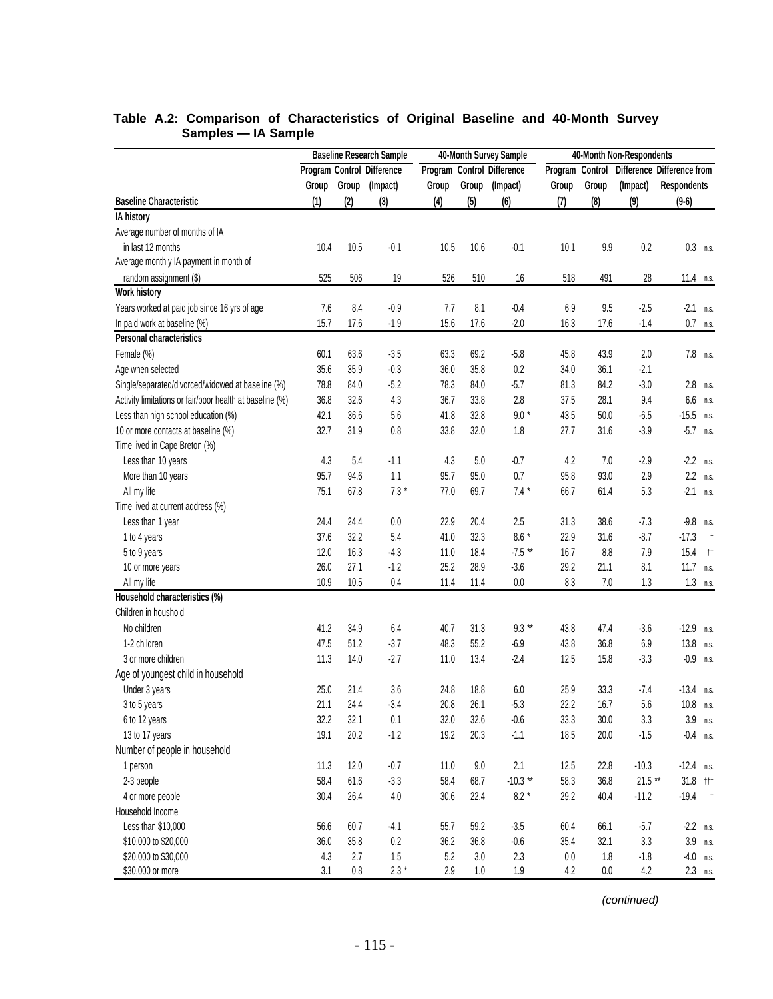|                                                          |       |         | <b>Baseline Research Sample</b> | 40-Month Survey Sample |         |                            |                 | 40-Month Non-Respondents |           |                            |  |
|----------------------------------------------------------|-------|---------|---------------------------------|------------------------|---------|----------------------------|-----------------|--------------------------|-----------|----------------------------|--|
|                                                          |       |         | Program Control Difference      |                        |         | Program Control Difference | Program Control |                          |           | Difference Difference from |  |
|                                                          | Group | Group   | (Impact)                        | Group                  | Group   | (Impact)                   | Group           | Group                    | (Impact)  | <b>Respondents</b>         |  |
| <b>Baseline Characteristic</b>                           | (1)   | (2)     | (3)                             | (4)                    | (5)     | (6)                        | (7)             | (8)                      | (9)       | $(9-6)$                    |  |
| <b>IA history</b>                                        |       |         |                                 |                        |         |                            |                 |                          |           |                            |  |
| Average number of months of IA                           |       |         |                                 |                        |         |                            |                 |                          |           |                            |  |
| in last 12 months                                        | 10.4  | 10.5    | $-0.1$                          | 10.5                   | 10.6    | $-0.1$                     | 10.1            | 9.9                      | 0.2       | $0.3$ n.s.                 |  |
| Average monthly IA payment in month of                   |       |         |                                 |                        |         |                            |                 |                          |           |                            |  |
| random assignment (\$)                                   | 525   | 506     | 19                              | 526                    | 510     | 16                         | 518             | 491                      | 28        | 11.4 $n.s.$                |  |
| <b>Work history</b>                                      |       |         |                                 |                        |         |                            |                 |                          |           |                            |  |
| Years worked at paid job since 16 yrs of age             | 7.6   | 8.4     | $-0.9$                          | 7.7                    | 8.1     | $-0.4$                     | 6.9             | 9.5                      | $-2.5$    | $-2.1$ n.s.                |  |
| In paid work at baseline (%)                             | 15.7  | 17.6    | $-1.9$                          | 15.6                   | 17.6    | $-2.0$                     | 16.3            | 17.6                     | $-1.4$    | $0.7$ n.s.                 |  |
| <b>Personal characteristics</b>                          |       |         |                                 |                        |         |                            |                 |                          |           |                            |  |
| Female (%)                                               | 60.1  | 63.6    | $-3.5$                          | 63.3                   | 69.2    | $-5.8$                     | 45.8            | 43.9                     | 2.0       | 7.8 n.s.                   |  |
| Age when selected                                        | 35.6  | 35.9    | $-0.3$                          | 36.0                   | 35.8    | 0.2                        | 34.0            | 36.1                     | $-2.1$    |                            |  |
| Single/separated/divorced/widowed at baseline (%)        | 78.8  | 84.0    | $-5.2$                          | 78.3                   | 84.0    | $-5.7$                     | 81.3            | 84.2                     | $-3.0$    | 2.8 n.s.                   |  |
| Activity limitations or fair/poor health at baseline (%) | 36.8  | 32.6    | 4.3                             | 36.7                   | 33.8    | 2.8                        | 37.5            | 28.1                     | 9.4       | $6.6$ n.s.                 |  |
| Less than high school education (%)                      | 42.1  | 36.6    | 5.6                             | 41.8                   | 32.8    | $9.0*$                     | 43.5            | 50.0                     | $-6.5$    | $-15.5$ n.s.               |  |
| 10 or more contacts at baseline (%)                      | 32.7  | 31.9    | 0.8                             | 33.8                   | 32.0    | 1.8                        | 27.7            | 31.6                     | $-3.9$    | $-5.7$ n.s.                |  |
| Time lived in Cape Breton (%)                            |       |         |                                 |                        |         |                            |                 |                          |           |                            |  |
| Less than 10 years                                       | 4.3   | 5.4     | $-1.1$                          | 4.3                    | 5.0     | $-0.7$                     | 4.2             | 7.0                      | $-2.9$    | $-2.2$ n.s.                |  |
| More than 10 years                                       | 95.7  | 94.6    | 1.1                             | 95.7                   | 95.0    | 0.7                        | 95.8            | 93.0                     | 2.9       | $2.2$ n.s.                 |  |
| All my life                                              | 75.1  | 67.8    | $7.3*$                          | 77.0                   | 69.7    | $7.4*$                     | 66.7            | 61.4                     | 5.3       | $-2.1$ n.s.                |  |
| Time lived at current address (%)                        |       |         |                                 |                        |         |                            |                 |                          |           |                            |  |
| Less than 1 year                                         | 24.4  | 24.4    | $0.0\,$                         | 22.9                   | 20.4    | 2.5                        | 31.3            | 38.6                     | $-7.3$    | $-9.8$ n.s.                |  |
| 1 to 4 years                                             | 37.6  | 32.2    | 5.4                             | 41.0                   | 32.3    | $8.6*$                     | 22.9            | 31.6                     | $-8.7$    | $-17.3$<br>$+$             |  |
| 5 to 9 years                                             | 12.0  | 16.3    | $-4.3$                          | 11.0                   | 18.4    | $-7.5**$                   | 16.7            | 8.8                      | 7.9       | 15.4<br>$+$                |  |
| 10 or more years                                         | 26.0  | 27.1    | $-1.2$                          | 25.2                   | 28.9    | $-3.6$                     | 29.2            | 21.1                     | 8.1       | 11.7 $n.s.$                |  |
| All my life                                              | 10.9  | 10.5    | 0.4                             | 11.4                   | 11.4    | $0.0\,$                    | 8.3             | 7.0                      | 1.3       | $1.3$ n.s.                 |  |
| Household characteristics (%)                            |       |         |                                 |                        |         |                            |                 |                          |           |                            |  |
| Children in houshold                                     |       |         |                                 |                        |         |                            |                 |                          |           |                            |  |
| No children                                              | 41.2  | 34.9    | 6.4                             | 40.7                   | 31.3    | $9.3***$                   | 43.8            | 47.4                     | $-3.6$    | $-12.9$ n.s.               |  |
| 1-2 children                                             | 47.5  | 51.2    | $-3.7$                          | 48.3                   | 55.2    | $-6.9$                     | 43.8            | 36.8                     | 6.9       | $13.8$ n.s.                |  |
| 3 or more children                                       | 11.3  | 14.0    | $-2.7$                          | 11.0                   | 13.4    | $-2.4$                     | 12.5            | 15.8                     | $-3.3$    | $-0.9$ n.s.                |  |
| Age of youngest child in household                       |       |         |                                 |                        |         |                            |                 |                          |           |                            |  |
| Under 3 years                                            | 25.0  | 21.4    | 3.6                             | 24.8                   | 18.8    | 6.0                        | 25.9            | 33.3                     | $-7.4$    | $-13.4$ n.s.               |  |
| 3 to 5 years                                             | 21.1  | 24.4    | $-3.4$                          | 20.8                   | 26.1    | $-5.3$                     | 22.2            | 16.7                     | 5.6       | 10.8 n.s.                  |  |
| 6 to 12 years                                            | 32.2  | 32.1    | 0.1                             | 32.0                   | 32.6    | $-0.6$                     | 33.3            | 30.0                     | 3.3       | $3.9$ n.s.                 |  |
| 13 to 17 years                                           | 19.1  | 20.2    | $-1.2$                          | 19.2                   | 20.3    | $-1.1$                     | 18.5            | 20.0                     | $-1.5$    | $-0.4$ n.s.                |  |
| Number of people in household                            |       |         |                                 |                        |         |                            |                 |                          |           |                            |  |
| 1 person                                                 | 11.3  | 12.0    | $-0.7$                          | 11.0                   | $9.0\,$ | 2.1                        | 12.5            | 22.8                     | $-10.3$   | $-12.4$ n.s.               |  |
| 2-3 people                                               | 58.4  | 61.6    | $-3.3$                          | 58.4                   | 68.7    | $-10.3$ **                 | 58.3            | 36.8                     | $21.5$ ** | $31.8$ ttt                 |  |
| 4 or more people                                         | 30.4  | 26.4    | $4.0\,$                         | 30.6                   | 22.4    | $8.2 *$                    | 29.2            | 40.4                     | $-11.2$   | $-19.4 +$                  |  |
| Household Income                                         |       |         |                                 |                        |         |                            |                 |                          |           |                            |  |
| Less than \$10,000                                       | 56.6  | 60.7    | $-4.1$                          | 55.7                   | 59.2    | $-3.5$                     | 60.4            | 66.1                     | $-5.7$    | $-2.2$ n.s.                |  |
| \$10,000 to \$20,000                                     | 36.0  | 35.8    | $0.2\,$                         | 36.2                   | 36.8    | $-0.6$                     | 35.4            | 32.1                     | 3.3       | $3.9$ n.s.                 |  |
| \$20,000 to \$30,000                                     | 4.3   | 2.7     | 1.5                             | $5.2\,$                | $3.0\,$ | 2.3                        | $0.0\,$         | 1.8                      | $-1.8$    | $-4.0$ n.s.                |  |
| \$30,000 or more                                         | 3.1   | $0.8\,$ | $2.3*$                          | 2.9                    | $1.0\,$ | $1.9$                      | 4.2             | $0.0\,$                  | 4.2       | $2.3$ n.s.                 |  |

### **Table A.2: Comparison of Characteristics of Original Baseline and 40-Month Survey Samples — IA Sample**

*(continued)*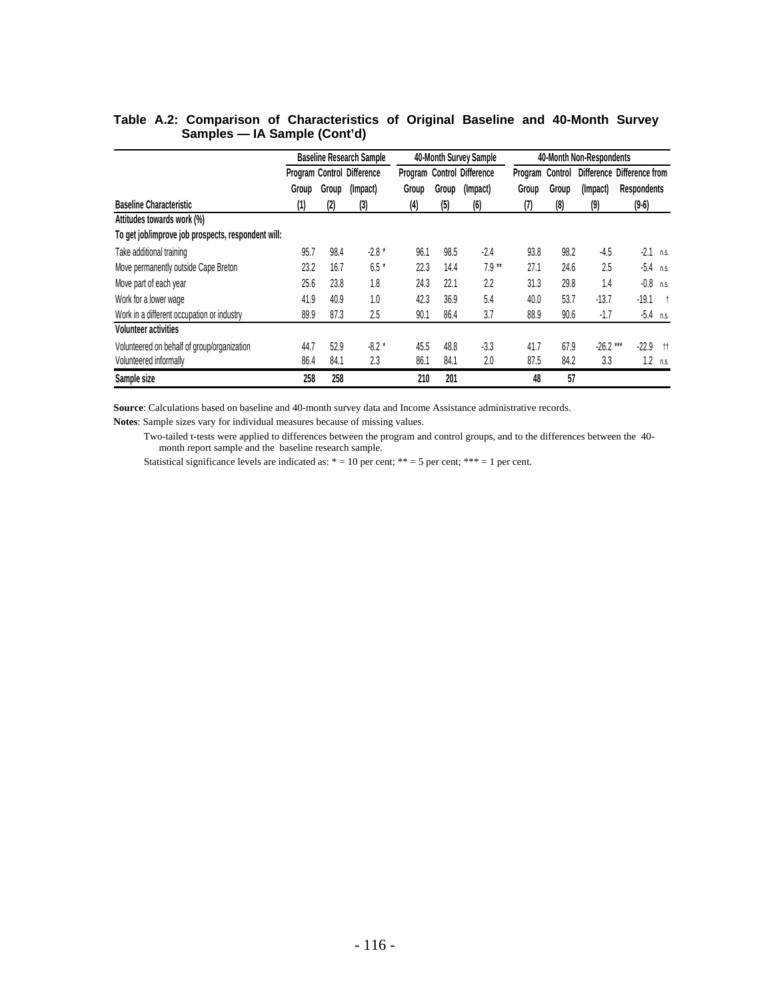|                                                    |       |       | <b>Baseline Research Sample</b>   |       |       | 40-Month Survey Sample     |                 |       | 40-Month Non-Respondents |                            |            |
|----------------------------------------------------|-------|-------|-----------------------------------|-------|-------|----------------------------|-----------------|-------|--------------------------|----------------------------|------------|
|                                                    |       |       | <b>Program Control Difference</b> |       |       | Program Control Difference | Program Control |       |                          | Difference Difference from |            |
|                                                    | Group | Group | (Impact)                          | Group | Group | (Impact)                   | Group           | Group | (Impact)                 | <b>Respondents</b>         |            |
| <b>Baseline Characteristic</b>                     | (1)   | (2)   | (3)                               | (4)   | (5)   | (6)                        | (7)             | (8)   | (9)                      | $(9-6)$                    |            |
| Attitudes towards work (%)                         |       |       |                                   |       |       |                            |                 |       |                          |                            |            |
| To get job/improve job prospects, respondent will: |       |       |                                   |       |       |                            |                 |       |                          |                            |            |
| Take additional training                           | 95.7  | 98.4  | $-2.8*$                           | 96.1  | 98.5  | $-2.4$                     | 93.8            | 98.2  | $-4.5$                   | $-2.1$                     | n.s.       |
| Move permanently outside Cape Breton               | 23.2  | 16.7  | $6.5*$                            | 22.3  | 14.4  | $7.9**$                    | 27.1            | 24.6  | 2.5                      | $-5.4$                     | n.s.       |
| Move part of each year                             | 25.6  | 23.8  | 1.8                               | 24.3  | 22.1  | 2.2                        | 31.3            | 29.8  | 1.4                      | $-0.8$                     | n.s.       |
| Work for a lower wage                              | 41.9  | 40.9  | 1.0                               | 42.3  | 36.9  | 5.4                        | 40.0            | 53.7  | $-13.7$                  | $-19.1$                    | $\ddagger$ |
| Work in a different occupation or industry         | 89.9  | 87.3  | 2.5                               | 90.1  | 86.4  | 3.7                        | 88.9            | 90.6  | $-1.7$                   | $-5.4$ n.s.                |            |
| <b>Volunteer activities</b>                        |       |       |                                   |       |       |                            |                 |       |                          |                            |            |
| Volunteered on behalf of group/organization        | 44.7  | 52.9  | $-8.2*$                           | 45.5  | 48.8  | $-3.3$                     | 41.7            | 67.9  | $-26.2***$               | $-22.9$                    | tt.        |
| Volunteered informally                             | 86.4  | 84.1  | 2.3                               | 86.1  | 84.1  | 2.0                        | 87.5            | 84.2  | 3.3                      | 1.2                        | n.s.       |
| Sample size                                        | 258   | 258   |                                   | 210   | 201   |                            | 48              | 57    |                          |                            |            |

### **Table A.2: Comparison of Characteristics of Original Baseline and 40-Month Survey Samples — IA Sample (Cont'd)**

**Source**: Calculations based on baseline and 40-month survey data and Income Assistance administrative records.

**Notes**: Sample sizes vary for individual measures because of missing values.

 Two-tailed t-tests were applied to differences between the program and control groups, and to the differences between the 40 month report sample and the baseline research sample.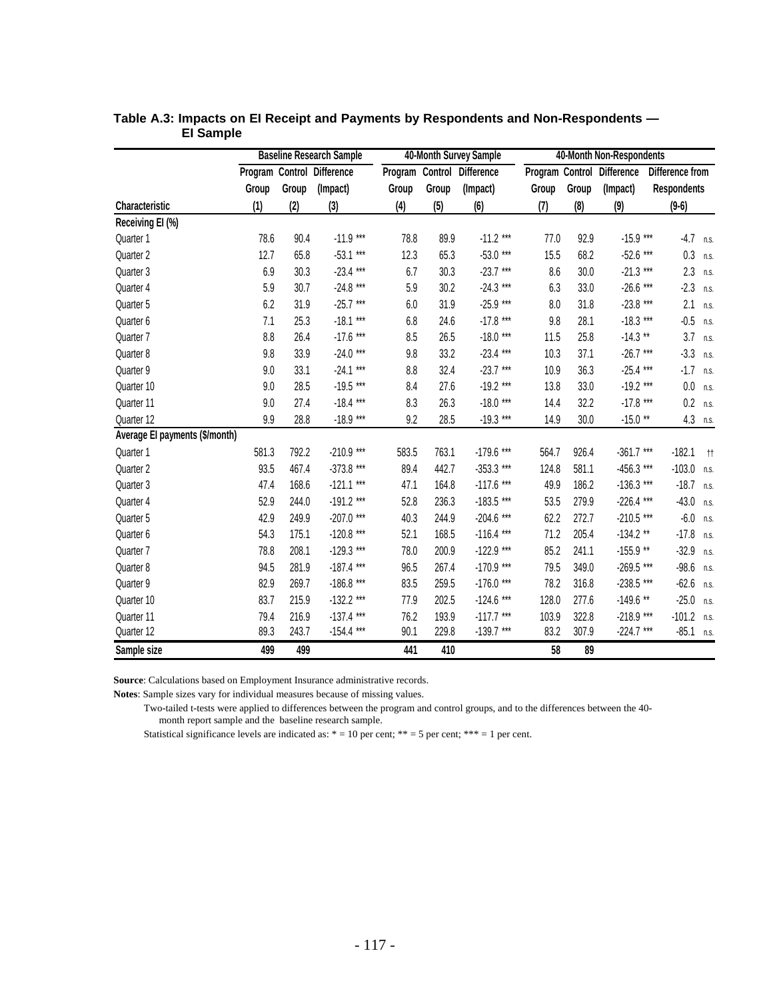|                                |       |       | <b>Baseline Research Sample</b> |       |       | 40-Month Survey Sample     | 40-Month Non-Respondents |       |                            |                    |              |  |
|--------------------------------|-------|-------|---------------------------------|-------|-------|----------------------------|--------------------------|-------|----------------------------|--------------------|--------------|--|
|                                |       |       | Program Control Difference      |       |       | Program Control Difference |                          |       | Program Control Difference | Difference from    |              |  |
|                                | Group | Group | (Impact)                        | Group | Group | (Impact)                   | Group                    | Group | (Impact)                   | <b>Respondents</b> |              |  |
| Characteristic                 | (1)   | (2)   | (3)                             | (4)   | (5)   | (6)                        | (7)                      | (8)   | (9)                        | $(9-6)$            |              |  |
| Receiving EI (%)               |       |       |                                 |       |       |                            |                          |       |                            |                    |              |  |
| Quarter 1                      | 78.6  | 90.4  | $-11.9***$                      | 78.8  | 89.9  | $-11.2$ ***                | 77.0                     | 92.9  | $-15.9***$                 | $-4.7$ n.s.        |              |  |
| Quarter 2                      | 12.7  | 65.8  | $-53.1***$                      | 12.3  | 65.3  | $-53.0***$                 | 15.5                     | 68.2  | $-52.6$ ***                | 0.3                | n.s.         |  |
| Quarter 3                      | 6.9   | 30.3  | $-23.4***$                      | 6.7   | 30.3  | $-23.7***$                 | 8.6                      | 30.0  | $-21.3***$                 | 2.3                | n.s.         |  |
| Quarter 4                      | 5.9   | 30.7  | $-24.8$ ***                     | 5.9   | 30.2  | $-24.3***$                 | 6.3                      | 33.0  | $-26.6$ ***                | $-2.3$             | n.s.         |  |
| Quarter 5                      | 6.2   | 31.9  | $-25.7***$                      | 6.0   | 31.9  | $-25.9***$                 | 8.0                      | 31.8  | $-23.8***$                 | 2.1                | n.s.         |  |
| Quarter 6                      | 7.1   | 25.3  | $-18.1***$                      | 6.8   | 24.6  | $-17.8$ ***                | 9.8                      | 28.1  | $-18.3***$                 | $-0.5$             | n.s.         |  |
| Quarter 7                      | 8.8   | 26.4  | $-17.6$ ***                     | 8.5   | 26.5  | $-18.0***$                 | 11.5                     | 25.8  | $-14.3**$                  | 3.7                | n.s.         |  |
| Quarter 8                      | 9.8   | 33.9  | $-24.0$ ***                     | 9.8   | 33.2  | $-23.4***$                 | 10.3                     | 37.1  | $-26.7***$                 | $-3.3$             | n.s.         |  |
| Quarter 9                      | 9.0   | 33.1  | $-24.1***$                      | 8.8   | 32.4  | $-23.7***$                 | 10.9                     | 36.3  | $-25.4***$                 | $-1.7$             | n.s.         |  |
| Quarter 10                     | 9.0   | 28.5  | $-19.5***$                      | 8.4   | 27.6  | $-19.2***$                 | 13.8                     | 33.0  | $-19.2***$                 | 0.0                | n.s.         |  |
| Quarter 11                     | 9.0   | 27.4  | $-18.4***$                      | 8.3   | 26.3  | $-18.0***$                 | 14.4                     | 32.2  | $-17.8***$                 | 0.2                | n.s.         |  |
| Quarter 12                     | 9.9   | 28.8  | $-18.9***$                      | 9.2   | 28.5  | $-19.3***$                 | 14.9                     | 30.0  | $-15.0**$                  | 4.3                | n.s.         |  |
| Average El payments (\$/month) |       |       |                                 |       |       |                            |                          |       |                            |                    |              |  |
| Quarter 1                      | 581.3 | 792.2 | $-210.9***$                     | 583.5 | 763.1 | $-179.6$ ***               | 564.7                    | 926.4 | $-361.7***$                | $-182.1$           | $^{\dagger}$ |  |
| Quarter 2                      | 93.5  | 467.4 | $-373.8$ ***                    | 89.4  | 442.7 | $-353.3$ ***               | 124.8                    | 581.1 | $-456.3$ ***               | $-103.0$           | n.s.         |  |
| Quarter 3                      | 47.4  | 168.6 | $-121.1***$                     | 47.1  | 164.8 | $-117.6$ ***               | 49.9                     | 186.2 | $-136.3$ ***               | $-18.7$            | n.s.         |  |
| Quarter 4                      | 52.9  | 244.0 | $-191.2***$                     | 52.8  | 236.3 | $-183.5***$                | 53.5                     | 279.9 | $-226.4$ ***               | $-43.0$            | n.s.         |  |
| Quarter 5                      | 42.9  | 249.9 | $-207.0$ ***                    | 40.3  | 244.9 | $-204.6$ ***               | 62.2                     | 272.7 | $-210.5$ ***               | $-6.0$             | n.s.         |  |
| Quarter 6                      | 54.3  | 175.1 | $-120.8***$                     | 52.1  | 168.5 | $-116.4***$                | 71.2                     | 205.4 | $-134.2$ **                | $-17.8$            | n.s.         |  |
| Quarter 7                      | 78.8  | 208.1 | $-129.3$ ***                    | 78.0  | 200.9 | $-122.9$ ***               | 85.2                     | 241.1 | $-155.9$ **                | $-32.9$            | n.s.         |  |
| Quarter 8                      | 94.5  | 281.9 | $-187.4***$                     | 96.5  | 267.4 | $-170.9$ ***               | 79.5                     | 349.0 | $-269.5***$                | $-98.6$            | n.s.         |  |
| Quarter 9                      | 82.9  | 269.7 | $-186.8***$                     | 83.5  | 259.5 | $-176.0$ ***               | 78.2                     | 316.8 | $-238.5$ ***               | $-62.6$            | n.s.         |  |
| Quarter 10                     | 83.7  | 215.9 | $-132.2$ ***                    | 77.9  | 202.5 | $-124.6$ ***               | 128.0                    | 277.6 | $-149.6$ **                | $-25.0$            | n.s.         |  |
| Quarter 11                     | 79.4  | 216.9 | $-137.4$ ***                    | 76.2  | 193.9 | $-117.7***$                | 103.9                    | 322.8 | $-218.9***$                | $-101.2$           | n.s.         |  |
| Quarter 12                     | 89.3  | 243.7 | $-154.4$ ***                    | 90.1  | 229.8 | $-139.7***$                | 83.2                     | 307.9 | $-224.7***$                | $-85.1$            | n.s.         |  |
| Sample size                    | 499   | 499   |                                 | 441   | 410   |                            | 58                       | 89    |                            |                    |              |  |

|           | Table A.3: Impacts on El Receipt and Payments by Respondents and Non-Respondents — |
|-----------|------------------------------------------------------------------------------------|
| El Sample |                                                                                    |

**Source**: Calculations based on Employment Insurance administrative records.

**Notes**: Sample sizes vary for individual measures because of missing values.

 Two-tailed t-tests were applied to differences between the program and control groups, and to the differences between the 40 month report sample and the baseline research sample.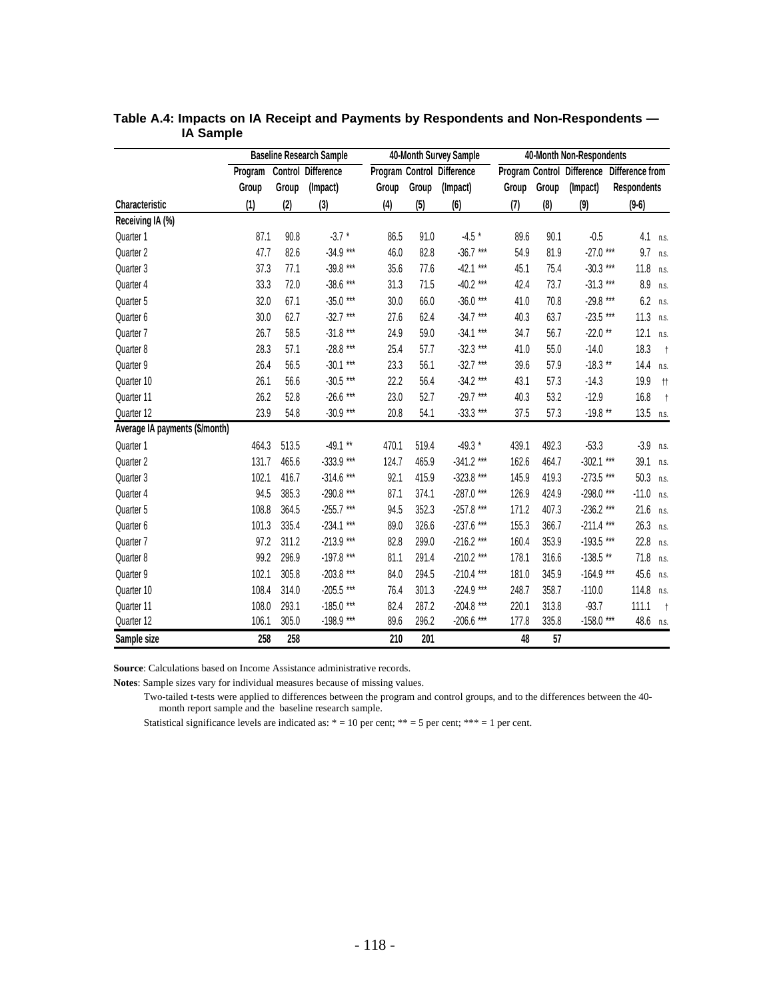|                                |         |       | <b>Baseline Research Sample</b> |       |       | 40-Month Survey Sample     | 40-Month Non-Respondents |       |              |                                            |              |
|--------------------------------|---------|-------|---------------------------------|-------|-------|----------------------------|--------------------------|-------|--------------|--------------------------------------------|--------------|
|                                | Program |       | <b>Control Difference</b>       |       |       | Program Control Difference |                          |       |              | Program Control Difference Difference from |              |
|                                | Group   | Group | (Impact)                        | Group | Group | (Impact)                   | Group                    | Group | (Impact)     | <b>Respondents</b>                         |              |
| <b>Characteristic</b>          | (1)     | (2)   | (3)                             | (4)   | (5)   | (6)                        | (7)                      | (8)   | (9)          | $(9-6)$                                    |              |
| Receiving IA (%)               |         |       |                                 |       |       |                            |                          |       |              |                                            |              |
| Quarter 1                      | 87.1    | 90.8  | $-3.7*$                         | 86.5  | 91.0  | $-4.5*$                    | 89.6                     | 90.1  | $-0.5$       | 4.1                                        | n.s.         |
| Quarter 2                      | 47.7    | 82.6  | $-34.9***$                      | 46.0  | 82.8  | $-36.7***$                 | 54.9                     | 81.9  | $-27.0$ ***  | 9.7                                        | n.s.         |
| Quarter 3                      | 37.3    | 77.1  | $-39.8***$                      | 35.6  | 77.6  | $-42.1$ ***                | 45.1                     | 75.4  | $-30.3***$   | 11.8                                       | n.s.         |
| Quarter 4                      | 33.3    | 72.0  | $-38.6***$                      | 31.3  | 71.5  | $-40.2$ ***                | 42.4                     | 73.7  | $-31.3***$   | 8.9                                        | n.s.         |
| Quarter 5                      | 32.0    | 67.1  | $-35.0***$                      | 30.0  | 66.0  | $-36.0$ ***                | 41.0                     | 70.8  | $-29.8***$   | 6.2                                        | n.s.         |
| Quarter 6                      | 30.0    | 62.7  | $-32.7***$                      | 27.6  | 62.4  | $-34.7***$                 | 40.3                     | 63.7  | $-23.5***$   | 11.3                                       | n.s.         |
| Quarter 7                      | 26.7    | 58.5  | $-31.8***$                      | 24.9  | 59.0  | $-34.1***$                 | 34.7                     | 56.7  | $-22.0**$    | 12.1                                       | n.s.         |
| Quarter 8                      | 28.3    | 57.1  | $-28.8***$                      | 25.4  | 57.7  | $-32.3***$                 | 41.0                     | 55.0  | $-14.0$      | 18.3                                       | $+$          |
| Quarter 9                      | 26.4    | 56.5  | $-30.1***$                      | 23.3  | 56.1  | $-32.7***$                 | 39.6                     | 57.9  | $-18.3**$    | 14.4                                       | n.s.         |
| Quarter 10                     | 26.1    | 56.6  | $-30.5***$                      | 22.2  | 56.4  | $-34.2$ ***                | 43.1                     | 57.3  | $-14.3$      | 19.9                                       | $^{\dagger}$ |
| Quarter 11                     | 26.2    | 52.8  | $-26.6***$                      | 23.0  | 52.7  | $-29.7***$                 | 40.3                     | 53.2  | $-12.9$      | 16.8                                       | $+$          |
| Quarter 12                     | 23.9    | 54.8  | $-30.9***$                      | 20.8  | 54.1  | $-33.3$ ***                | 37.5                     | 57.3  | $-19.8**$    | 13.5 $n.s.$                                |              |
| Average IA payments (\$/month) |         |       |                                 |       |       |                            |                          |       |              |                                            |              |
| Quarter 1                      | 464.3   | 513.5 | $-49.1**$                       | 470.1 | 519.4 | $-49.3*$                   | 439.1                    | 492.3 | $-53.3$      | $-3.9$                                     | n.s.         |
| Quarter 2                      | 131.7   | 465.6 | $-333.9$ ***                    | 124.7 | 465.9 | $-341.2$ ***               | 162.6                    | 464.7 | $-302.1***$  | 39.1                                       | n.s.         |
| Quarter 3                      | 102.1   | 416.7 | $-314.6$ ***                    | 92.1  | 415.9 | $-323.8$ ***               | 145.9                    | 419.3 | $-273.5$ *** | 50.3                                       | n.s.         |
| Quarter 4                      | 94.5    | 385.3 | $-290.8***$                     | 87.1  | 374.1 | $-287.0$ ***               | 126.9                    | 424.9 | $-298.0***$  | $-11.0$                                    | n.s.         |
| Quarter 5                      | 108.8   | 364.5 | $-255.7***$                     | 94.5  | 352.3 | $-257.8$ ***               | 171.2                    | 407.3 | $-236.2$ *** | 21.6                                       | n.s.         |
| Quarter 6                      | 101.3   | 335.4 | $-234.1***$                     | 89.0  | 326.6 | $-237.6$ ***               | 155.3                    | 366.7 | $-211.4$ *** | 26.3                                       | n.s.         |
| Quarter 7                      | 97.2    | 311.2 | $-213.9***$                     | 82.8  | 299.0 | $-216.2$ ***               | 160.4                    | 353.9 | $-193.5***$  | 22.8                                       | n.s.         |
| Quarter 8                      | 99.2    | 296.9 | $-197.8$ ***                    | 81.1  | 291.4 | $-210.2$ ***               | 178.1                    | 316.6 | $-138.5$ **  | 71.8                                       | n.s.         |
| Quarter 9                      | 102.1   | 305.8 | $-203.8$ ***                    | 84.0  | 294.5 | $-210.4$ ***               | 181.0                    | 345.9 | $-164.9***$  | 45.6                                       | n.s.         |
| Quarter 10                     | 108.4   | 314.0 | $-205.5$ ***                    | 76.4  | 301.3 | $-224.9$ ***               | 248.7                    | 358.7 | $-110.0$     | 114.8                                      | n.s.         |
| Quarter 11                     | 108.0   | 293.1 | $-185.0***$                     | 82.4  | 287.2 | $-204.8$ ***               | 220.1                    | 313.8 | $-93.7$      | 111.1                                      | $+$          |
| Quarter 12                     | 106.1   | 305.0 | $-198.9***$                     | 89.6  | 296.2 | $-206.6$ ***               | 177.8                    | 335.8 | $-158.0$ *** | 48.6                                       | n.s.         |
| Sample size                    | 258     | 258   |                                 | 210   | 201   |                            | 48                       | 57    |              |                                            |              |

### **Table A.4: Impacts on IA Receipt and Payments by Respondents and Non-Respondents — IA Sample**

**Source**: Calculations based on Income Assistance administrative records.

**Notes**: Sample sizes vary for individual measures because of missing values.

 Two-tailed t-tests were applied to differences between the program and control groups, and to the differences between the 40 month report sample and the baseline research sample.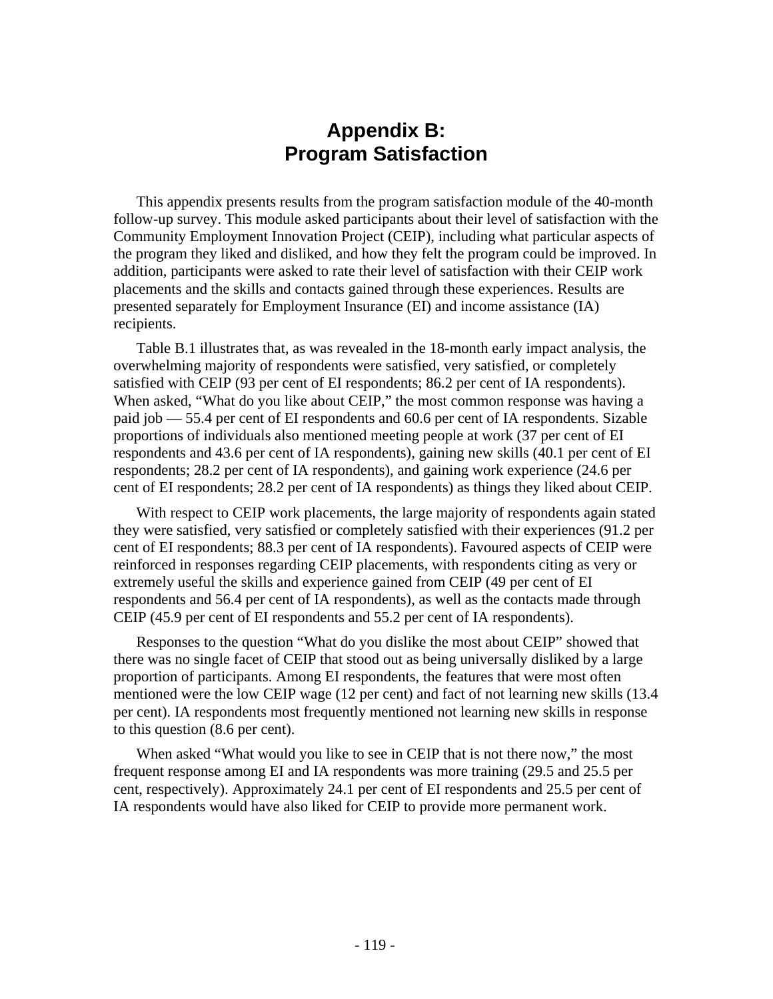# **Appendix B: Program Satisfaction**

This appendix presents results from the program satisfaction module of the 40-month follow-up survey. This module asked participants about their level of satisfaction with the Community Employment Innovation Project (CEIP), including what particular aspects of the program they liked and disliked, and how they felt the program could be improved. In addition, participants were asked to rate their level of satisfaction with their CEIP work placements and the skills and contacts gained through these experiences. Results are presented separately for Employment Insurance (EI) and income assistance (IA) recipients.

Table B.1 illustrates that, as was revealed in the 18-month early impact analysis, the overwhelming majority of respondents were satisfied, very satisfied, or completely satisfied with CEIP (93 per cent of EI respondents; 86.2 per cent of IA respondents). When asked, "What do you like about CEIP," the most common response was having a paid job — 55.4 per cent of EI respondents and 60.6 per cent of IA respondents. Sizable proportions of individuals also mentioned meeting people at work (37 per cent of EI respondents and 43.6 per cent of IA respondents), gaining new skills (40.1 per cent of EI respondents; 28.2 per cent of IA respondents), and gaining work experience (24.6 per cent of EI respondents; 28.2 per cent of IA respondents) as things they liked about CEIP.

With respect to CEIP work placements, the large majority of respondents again stated they were satisfied, very satisfied or completely satisfied with their experiences (91.2 per cent of EI respondents; 88.3 per cent of IA respondents). Favoured aspects of CEIP were reinforced in responses regarding CEIP placements, with respondents citing as very or extremely useful the skills and experience gained from CEIP (49 per cent of EI respondents and 56.4 per cent of IA respondents), as well as the contacts made through CEIP (45.9 per cent of EI respondents and 55.2 per cent of IA respondents).

Responses to the question "What do you dislike the most about CEIP" showed that there was no single facet of CEIP that stood out as being universally disliked by a large proportion of participants. Among EI respondents, the features that were most often mentioned were the low CEIP wage (12 per cent) and fact of not learning new skills (13.4 per cent). IA respondents most frequently mentioned not learning new skills in response to this question (8.6 per cent).

When asked "What would you like to see in CEIP that is not there now," the most frequent response among EI and IA respondents was more training (29.5 and 25.5 per cent, respectively). Approximately 24.1 per cent of EI respondents and 25.5 per cent of IA respondents would have also liked for CEIP to provide more permanent work.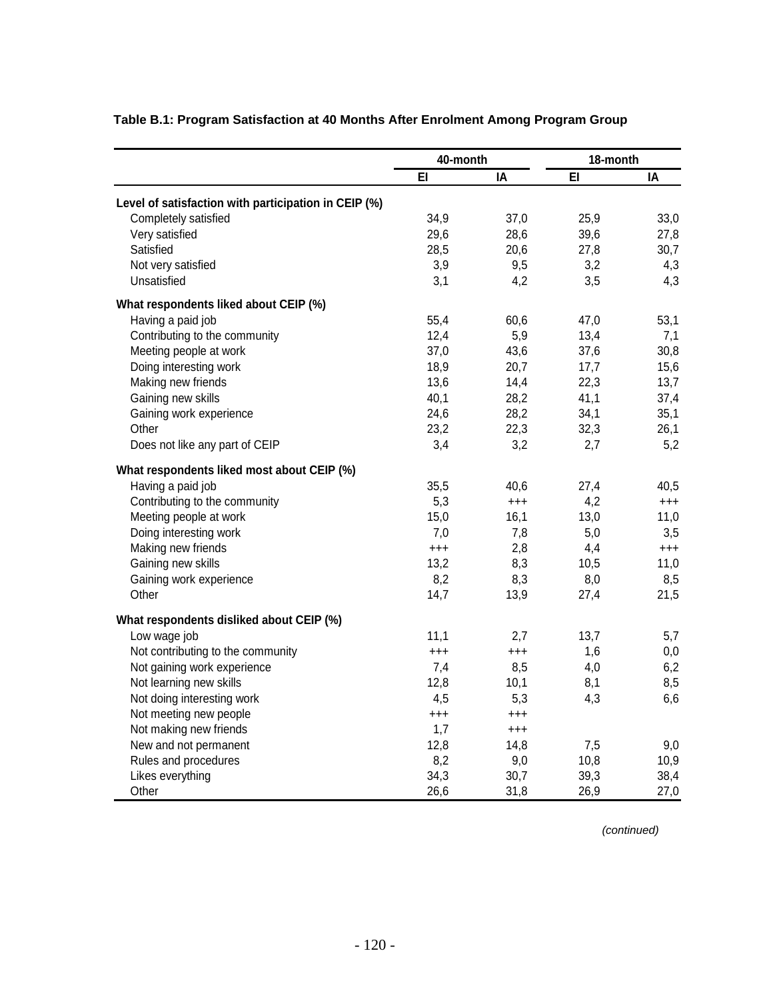|                                                      | 40-month |          | 18-month |          |  |
|------------------------------------------------------|----------|----------|----------|----------|--|
|                                                      | EI       | IA       | EI       | ΙA       |  |
| Level of satisfaction with participation in CEIP (%) |          |          |          |          |  |
| Completely satisfied                                 | 34,9     | 37,0     | 25,9     | 33,0     |  |
| Very satisfied                                       | 29,6     | 28,6     | 39,6     | 27,8     |  |
| Satisfied                                            | 28,5     | 20,6     | 27,8     | 30,7     |  |
| Not very satisfied                                   | 3,9      | 9,5      | 3,2      | 4,3      |  |
| Unsatisfied                                          | 3,1      | 4,2      | 3,5      | 4,3      |  |
| What respondents liked about CEIP (%)                |          |          |          |          |  |
| Having a paid job                                    | 55,4     | 60,6     | 47,0     | 53,1     |  |
| Contributing to the community                        | 12,4     | 5,9      | 13,4     | 7,1      |  |
| Meeting people at work                               | 37,0     | 43,6     | 37,6     | 30,8     |  |
| Doing interesting work                               | 18,9     | 20,7     | 17,7     | 15,6     |  |
| Making new friends                                   | 13,6     | 14,4     | 22,3     | 13,7     |  |
| Gaining new skills                                   | 40,1     | 28,2     | 41,1     | 37,4     |  |
| Gaining work experience                              | 24,6     | 28,2     | 34,1     | 35,1     |  |
| Other                                                | 23,2     | 22,3     | 32,3     | 26,1     |  |
| Does not like any part of CEIP                       | 3,4      | 3,2      | 2,7      | 5,2      |  |
| What respondents liked most about CEIP (%)           |          |          |          |          |  |
| Having a paid job                                    | 35,5     | 40,6     | 27,4     | 40,5     |  |
| Contributing to the community                        | 5,3      | $^{+++}$ | 4,2      | $^{+++}$ |  |
| Meeting people at work                               | 15,0     | 16,1     | 13,0     | 11,0     |  |
| Doing interesting work                               | 7,0      | 7,8      | 5,0      | 3,5      |  |
| Making new friends                                   | $^{+++}$ | 2,8      | 4,4      | $^{+++}$ |  |
| Gaining new skills                                   | 13,2     | 8,3      | 10,5     | 11,0     |  |
| Gaining work experience                              | 8,2      | 8,3      | 8,0      | 8,5      |  |
| Other                                                | 14,7     | 13,9     | 27,4     | 21,5     |  |
| What respondents disliked about CEIP (%)             |          |          |          |          |  |
| Low wage job                                         | 11,1     | 2,7      | 13,7     | 5,7      |  |
| Not contributing to the community                    | $^{+++}$ | $^{+++}$ | 1,6      | 0,0      |  |
| Not gaining work experience                          | 7,4      | 8,5      | 4,0      | 6,2      |  |
| Not learning new skills                              | 12,8     | 10,1     | 8,1      | 8,5      |  |
| Not doing interesting work                           | 4,5      | 5,3      | 4,3      | 6,6      |  |
| Not meeting new people                               | $^{+++}$ | $^{+++}$ |          |          |  |
| Not making new friends                               | 1,7      | $^{+++}$ |          |          |  |
| New and not permanent                                | 12,8     | 14,8     | 7,5      | 9,0      |  |
| Rules and procedures                                 | 8,2      | 9,0      | 10,8     | 10,9     |  |
| Likes everything                                     | 34,3     | 30,7     | 39,3     | 38,4     |  |
| Other                                                | 26,6     | 31,8     | 26,9     | 27,0     |  |

# **Table B.1: Program Satisfaction at 40 Months After Enrolment Among Program Group**

 *(continued)*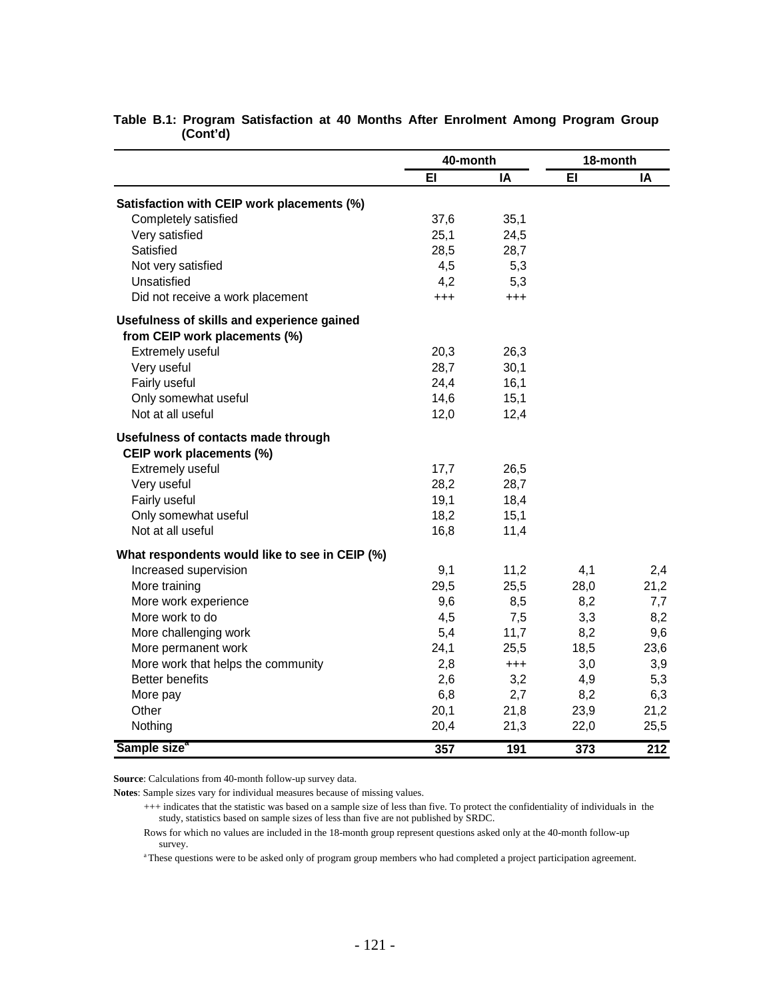|                                                | 40-month |          | 18-month |                  |  |
|------------------------------------------------|----------|----------|----------|------------------|--|
|                                                | EI       | ΙA       | EI       | IA               |  |
| Satisfaction with CEIP work placements (%)     |          |          |          |                  |  |
| Completely satisfied                           | 37,6     | 35,1     |          |                  |  |
| Very satisfied                                 | 25,1     | 24,5     |          |                  |  |
| Satisfied                                      | 28,5     | 28,7     |          |                  |  |
| Not very satisfied                             | 4,5      | 5,3      |          |                  |  |
| Unsatisfied                                    | 4,2      | 5,3      |          |                  |  |
| Did not receive a work placement               | $^{+++}$ | $^{+++}$ |          |                  |  |
| Usefulness of skills and experience gained     |          |          |          |                  |  |
| from CEIP work placements (%)                  |          |          |          |                  |  |
| Extremely useful                               | 20,3     | 26,3     |          |                  |  |
| Very useful                                    | 28,7     | 30,1     |          |                  |  |
| Fairly useful                                  | 24,4     | 16,1     |          |                  |  |
| Only somewhat useful                           | 14,6     | 15,1     |          |                  |  |
| Not at all useful                              | 12,0     | 12,4     |          |                  |  |
| Usefulness of contacts made through            |          |          |          |                  |  |
| CEIP work placements (%)                       |          |          |          |                  |  |
| Extremely useful                               | 17,7     | 26,5     |          |                  |  |
| Very useful                                    | 28,2     | 28,7     |          |                  |  |
| Fairly useful                                  | 19,1     | 18,4     |          |                  |  |
| Only somewhat useful                           | 18,2     | 15,1     |          |                  |  |
| Not at all useful                              | 16,8     | 11,4     |          |                  |  |
| What respondents would like to see in CEIP (%) |          |          |          |                  |  |
| Increased supervision                          | 9,1      | 11,2     | 4,1      | 2,4              |  |
| More training                                  | 29,5     | 25,5     | 28,0     | 21,2             |  |
| More work experience                           | 9,6      | 8,5      | 8,2      | 7,7              |  |
| More work to do                                | 4,5      | 7,5      | 3,3      | 8,2              |  |
| More challenging work                          | 5,4      | 11,7     | 8,2      | 9,6              |  |
| More permanent work                            | 24,1     | 25,5     | 18,5     | 23,6             |  |
| More work that helps the community             | 2,8      | $^{+++}$ | 3,0      | 3,9              |  |
| Better benefits                                | 2,6      | 3,2      | 4,9      | 5,3              |  |
| More pay                                       | 6,8      | 2,7      | 8,2      | 6,3              |  |
| Other                                          | 20,1     | 21,8     | 23,9     | 21,2             |  |
| Nothing                                        | 20,4     | 21,3     | 22,0     | 25,5             |  |
| Sample size <sup>®</sup>                       | 357      | 191      | 373      | $\overline{212}$ |  |

### **Table B.1: Program Satisfaction at 40 Months After Enrolment Among Program Group (Cont'd)**

**Source**: Calculations from 40-month follow-up survey data.

**Notes**: Sample sizes vary for individual measures because of missing values.

a These questions were to be asked only of program group members who had completed a project participation agreement.

 <sup>+++</sup> indicates that the statistic was based on a sample size of less than five. To protect the confidentiality of individuals in the study, statistics based on sample sizes of less than five are not published by SRDC.

Rows for which no values are included in the 18-month group represent questions asked only at the 40-month follow-up survey.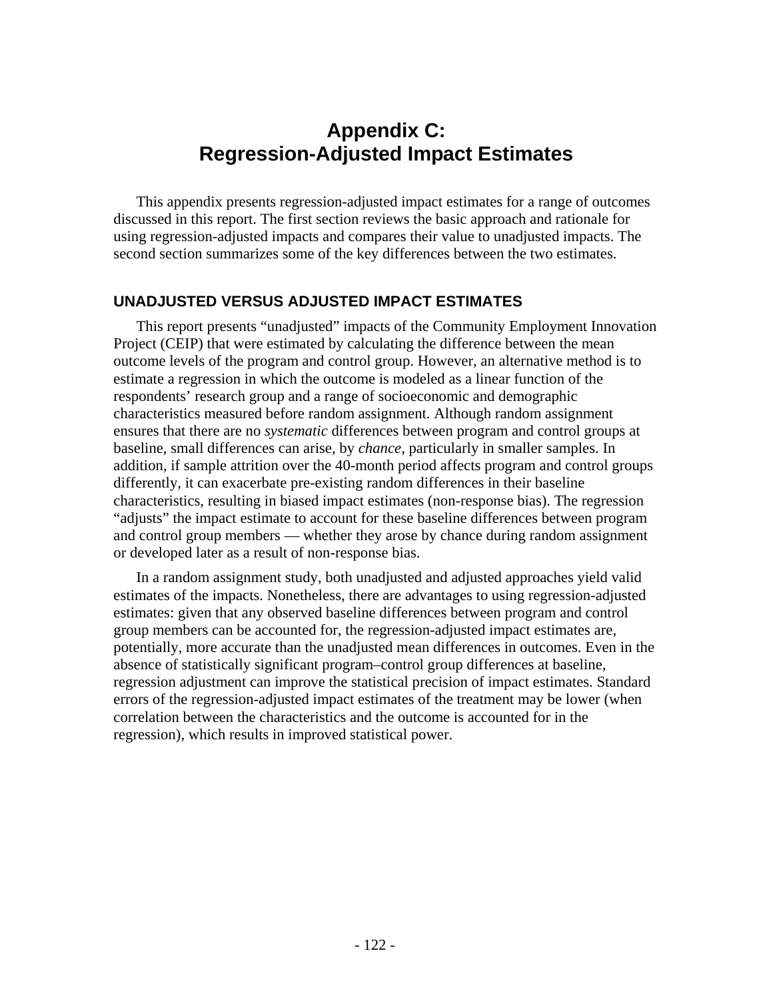# **Appendix C: Regression-Adjusted Impact Estimates**

This appendix presents regression-adjusted impact estimates for a range of outcomes discussed in this report. The first section reviews the basic approach and rationale for using regression-adjusted impacts and compares their value to unadjusted impacts. The second section summarizes some of the key differences between the two estimates.

## **UNADJUSTED VERSUS ADJUSTED IMPACT ESTIMATES**

This report presents "unadjusted" impacts of the Community Employment Innovation Project (CEIP) that were estimated by calculating the difference between the mean outcome levels of the program and control group. However, an alternative method is to estimate a regression in which the outcome is modeled as a linear function of the respondents' research group and a range of socioeconomic and demographic characteristics measured before random assignment. Although random assignment ensures that there are no *systematic* differences between program and control groups at baseline, small differences can arise, by *chance*, particularly in smaller samples. In addition, if sample attrition over the 40-month period affects program and control groups differently, it can exacerbate pre-existing random differences in their baseline characteristics, resulting in biased impact estimates (non-response bias). The regression "adjusts" the impact estimate to account for these baseline differences between program and control group members — whether they arose by chance during random assignment or developed later as a result of non-response bias.

In a random assignment study, both unadjusted and adjusted approaches yield valid estimates of the impacts. Nonetheless, there are advantages to using regression-adjusted estimates: given that any observed baseline differences between program and control group members can be accounted for, the regression-adjusted impact estimates are, potentially, more accurate than the unadjusted mean differences in outcomes. Even in the absence of statistically significant program–control group differences at baseline, regression adjustment can improve the statistical precision of impact estimates. Standard errors of the regression-adjusted impact estimates of the treatment may be lower (when correlation between the characteristics and the outcome is accounted for in the regression), which results in improved statistical power.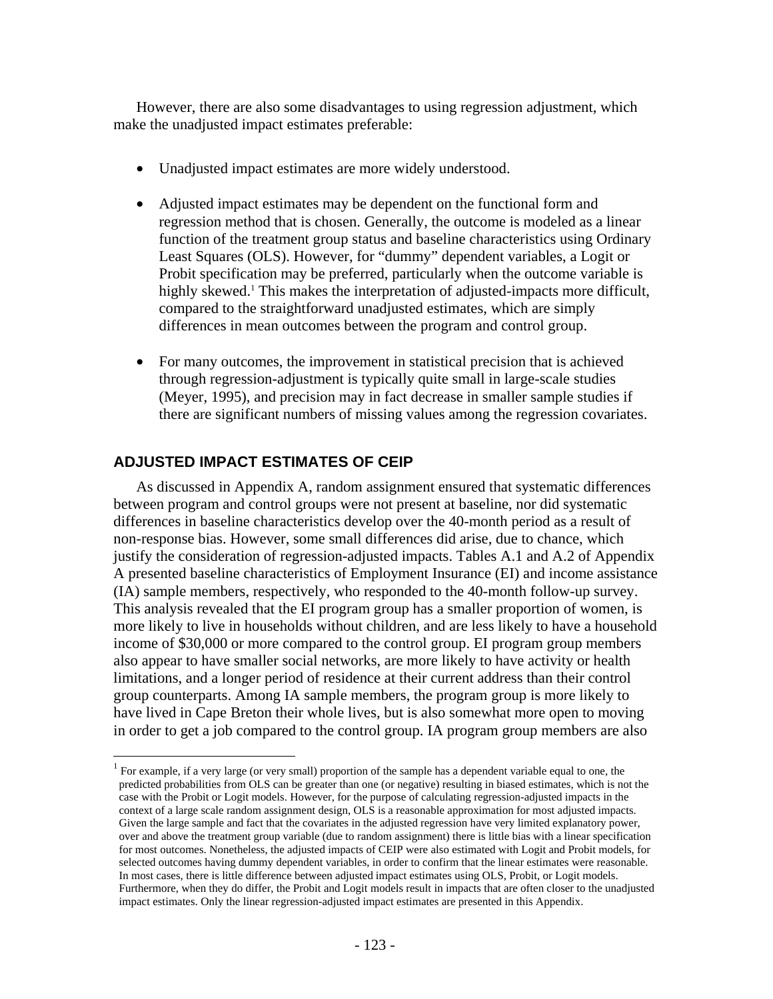However, there are also some disadvantages to using regression adjustment, which make the unadjusted impact estimates preferable:

- Unadjusted impact estimates are more widely understood.
- Adjusted impact estimates may be dependent on the functional form and regression method that is chosen. Generally, the outcome is modeled as a linear function of the treatment group status and baseline characteristics using Ordinary Least Squares (OLS). However, for "dummy" dependent variables, a Logit or Probit specification may be preferred, particularly when the outcome variable is highly skewed.<sup>1</sup> This makes the interpretation of adjusted-impacts more difficult, compared to the straightforward unadjusted estimates, which are simply differences in mean outcomes between the program and control group.
- For many outcomes, the improvement in statistical precision that is achieved through regression-adjustment is typically quite small in large-scale studies (Meyer, 1995), and precision may in fact decrease in smaller sample studies if there are significant numbers of missing values among the regression covariates.

# **ADJUSTED IMPACT ESTIMATES OF CEIP**

1

As discussed in Appendix A, random assignment ensured that systematic differences between program and control groups were not present at baseline, nor did systematic differences in baseline characteristics develop over the 40-month period as a result of non-response bias. However, some small differences did arise, due to chance, which justify the consideration of regression-adjusted impacts. Tables A.1 and A.2 of Appendix A presented baseline characteristics of Employment Insurance (EI) and income assistance (IA) sample members, respectively, who responded to the 40-month follow-up survey. This analysis revealed that the EI program group has a smaller proportion of women, is more likely to live in households without children, and are less likely to have a household income of \$30,000 or more compared to the control group. EI program group members also appear to have smaller social networks, are more likely to have activity or health limitations, and a longer period of residence at their current address than their control group counterparts. Among IA sample members, the program group is more likely to have lived in Cape Breton their whole lives, but is also somewhat more open to moving in order to get a job compared to the control group. IA program group members are also

<sup>&</sup>lt;sup>1</sup> For example, if a very large (or very small) proportion of the sample has a dependent variable equal to one, the predicted probabilities from OLS can be greater than one (or negative) resulting in biased estimates, which is not the case with the Probit or Logit models. However, for the purpose of calculating regression-adjusted impacts in the context of a large scale random assignment design, OLS is a reasonable approximation for most adjusted impacts. Given the large sample and fact that the covariates in the adjusted regression have very limited explanatory power, over and above the treatment group variable (due to random assignment) there is little bias with a linear specification for most outcomes. Nonetheless, the adjusted impacts of CEIP were also estimated with Logit and Probit models, for selected outcomes having dummy dependent variables, in order to confirm that the linear estimates were reasonable. In most cases, there is little difference between adjusted impact estimates using OLS, Probit, or Logit models. Furthermore, when they do differ, the Probit and Logit models result in impacts that are often closer to the unadjusted impact estimates. Only the linear regression-adjusted impact estimates are presented in this Appendix.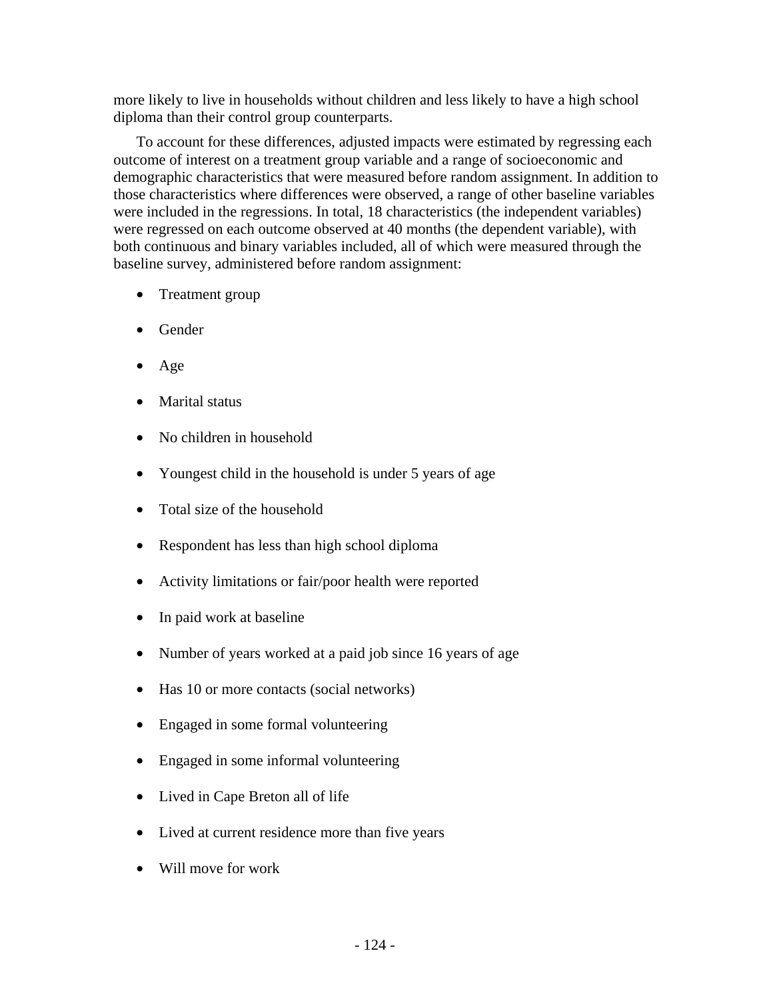more likely to live in households without children and less likely to have a high school diploma than their control group counterparts.

To account for these differences, adjusted impacts were estimated by regressing each outcome of interest on a treatment group variable and a range of socioeconomic and demographic characteristics that were measured before random assignment. In addition to those characteristics where differences were observed, a range of other baseline variables were included in the regressions. In total, 18 characteristics (the independent variables) were regressed on each outcome observed at 40 months (the dependent variable), with both continuous and binary variables included, all of which were measured through the baseline survey, administered before random assignment:

- Treatment group
- Gender
- Age
- Marital status
- No children in household
- Youngest child in the household is under 5 years of age
- Total size of the household
- Respondent has less than high school diploma
- Activity limitations or fair/poor health were reported
- In paid work at baseline
- Number of years worked at a paid job since 16 years of age
- Has 10 or more contacts (social networks)
- Engaged in some formal volunteering
- Engaged in some informal volunteering
- Lived in Cape Breton all of life
- Lived at current residence more than five years
- Will move for work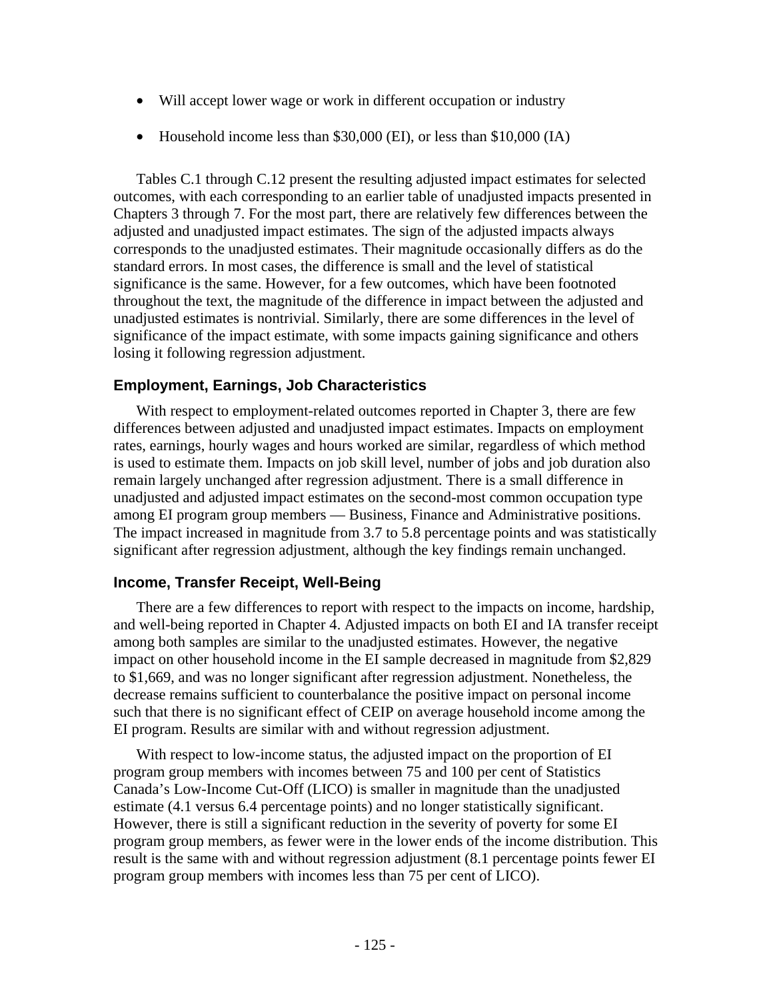- Will accept lower wage or work in different occupation or industry
- Household income less than \$30,000 (EI), or less than \$10,000 (IA)

Tables C.1 through C.12 present the resulting adjusted impact estimates for selected outcomes, with each corresponding to an earlier table of unadjusted impacts presented in Chapters 3 through 7. For the most part, there are relatively few differences between the adjusted and unadjusted impact estimates. The sign of the adjusted impacts always corresponds to the unadjusted estimates. Their magnitude occasionally differs as do the standard errors. In most cases, the difference is small and the level of statistical significance is the same. However, for a few outcomes, which have been footnoted throughout the text, the magnitude of the difference in impact between the adjusted and unadjusted estimates is nontrivial. Similarly, there are some differences in the level of significance of the impact estimate, with some impacts gaining significance and others losing it following regression adjustment.

# **Employment, Earnings, Job Characteristics**

With respect to employment-related outcomes reported in Chapter 3, there are few differences between adjusted and unadjusted impact estimates. Impacts on employment rates, earnings, hourly wages and hours worked are similar, regardless of which method is used to estimate them. Impacts on job skill level, number of jobs and job duration also remain largely unchanged after regression adjustment. There is a small difference in unadjusted and adjusted impact estimates on the second-most common occupation type among EI program group members — Business, Finance and Administrative positions. The impact increased in magnitude from 3.7 to 5.8 percentage points and was statistically significant after regression adjustment, although the key findings remain unchanged.

## **Income, Transfer Receipt, Well-Being**

There are a few differences to report with respect to the impacts on income, hardship, and well-being reported in Chapter 4. Adjusted impacts on both EI and IA transfer receipt among both samples are similar to the unadjusted estimates. However, the negative impact on other household income in the EI sample decreased in magnitude from \$2,829 to \$1,669, and was no longer significant after regression adjustment. Nonetheless, the decrease remains sufficient to counterbalance the positive impact on personal income such that there is no significant effect of CEIP on average household income among the EI program. Results are similar with and without regression adjustment.

With respect to low-income status, the adjusted impact on the proportion of EI program group members with incomes between 75 and 100 per cent of Statistics Canada's Low-Income Cut-Off (LICO) is smaller in magnitude than the unadjusted estimate (4.1 versus 6.4 percentage points) and no longer statistically significant. However, there is still a significant reduction in the severity of poverty for some EI program group members, as fewer were in the lower ends of the income distribution. This result is the same with and without regression adjustment (8.1 percentage points fewer EI program group members with incomes less than 75 per cent of LICO).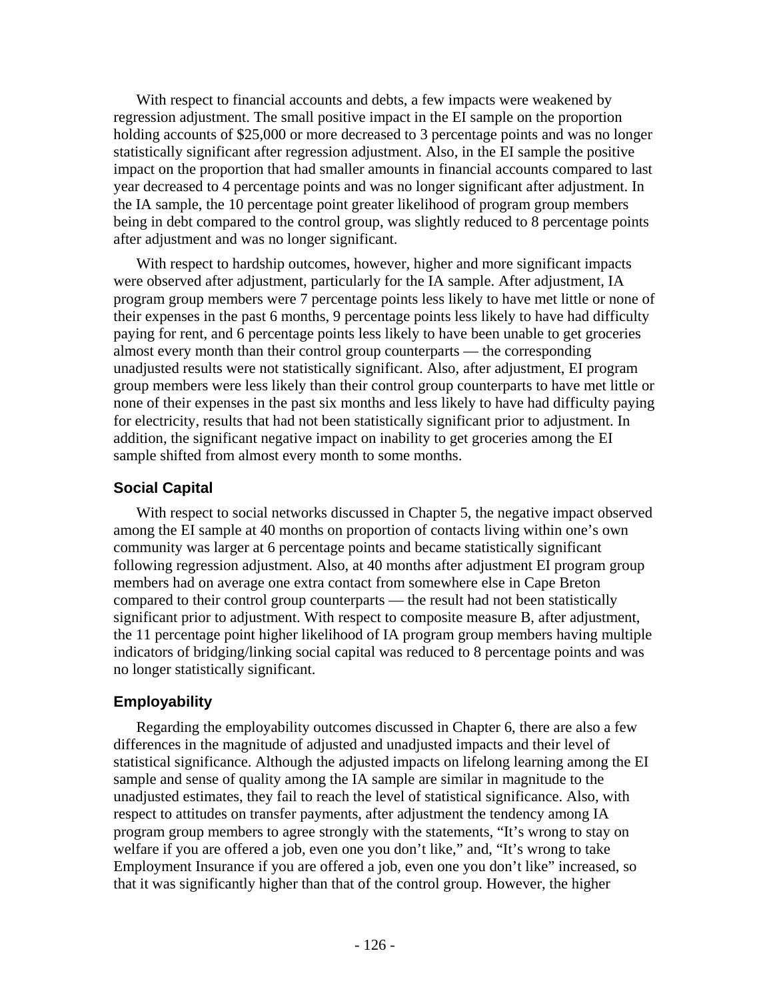With respect to financial accounts and debts, a few impacts were weakened by regression adjustment. The small positive impact in the EI sample on the proportion holding accounts of \$25,000 or more decreased to 3 percentage points and was no longer statistically significant after regression adjustment. Also, in the EI sample the positive impact on the proportion that had smaller amounts in financial accounts compared to last year decreased to 4 percentage points and was no longer significant after adjustment. In the IA sample, the 10 percentage point greater likelihood of program group members being in debt compared to the control group, was slightly reduced to 8 percentage points after adjustment and was no longer significant.

With respect to hardship outcomes, however, higher and more significant impacts were observed after adjustment, particularly for the IA sample. After adjustment, IA program group members were 7 percentage points less likely to have met little or none of their expenses in the past 6 months, 9 percentage points less likely to have had difficulty paying for rent, and 6 percentage points less likely to have been unable to get groceries almost every month than their control group counterparts — the corresponding unadjusted results were not statistically significant. Also, after adjustment, EI program group members were less likely than their control group counterparts to have met little or none of their expenses in the past six months and less likely to have had difficulty paying for electricity, results that had not been statistically significant prior to adjustment. In addition, the significant negative impact on inability to get groceries among the EI sample shifted from almost every month to some months.

# **Social Capital**

With respect to social networks discussed in Chapter 5, the negative impact observed among the EI sample at 40 months on proportion of contacts living within one's own community was larger at 6 percentage points and became statistically significant following regression adjustment. Also, at 40 months after adjustment EI program group members had on average one extra contact from somewhere else in Cape Breton compared to their control group counterparts — the result had not been statistically significant prior to adjustment. With respect to composite measure B, after adjustment, the 11 percentage point higher likelihood of IA program group members having multiple indicators of bridging/linking social capital was reduced to 8 percentage points and was no longer statistically significant.

# **Employability**

Regarding the employability outcomes discussed in Chapter 6, there are also a few differences in the magnitude of adjusted and unadjusted impacts and their level of statistical significance. Although the adjusted impacts on lifelong learning among the EI sample and sense of quality among the IA sample are similar in magnitude to the unadjusted estimates, they fail to reach the level of statistical significance. Also, with respect to attitudes on transfer payments, after adjustment the tendency among IA program group members to agree strongly with the statements, "It's wrong to stay on welfare if you are offered a job, even one you don't like," and, "It's wrong to take Employment Insurance if you are offered a job, even one you don't like" increased, so that it was significantly higher than that of the control group. However, the higher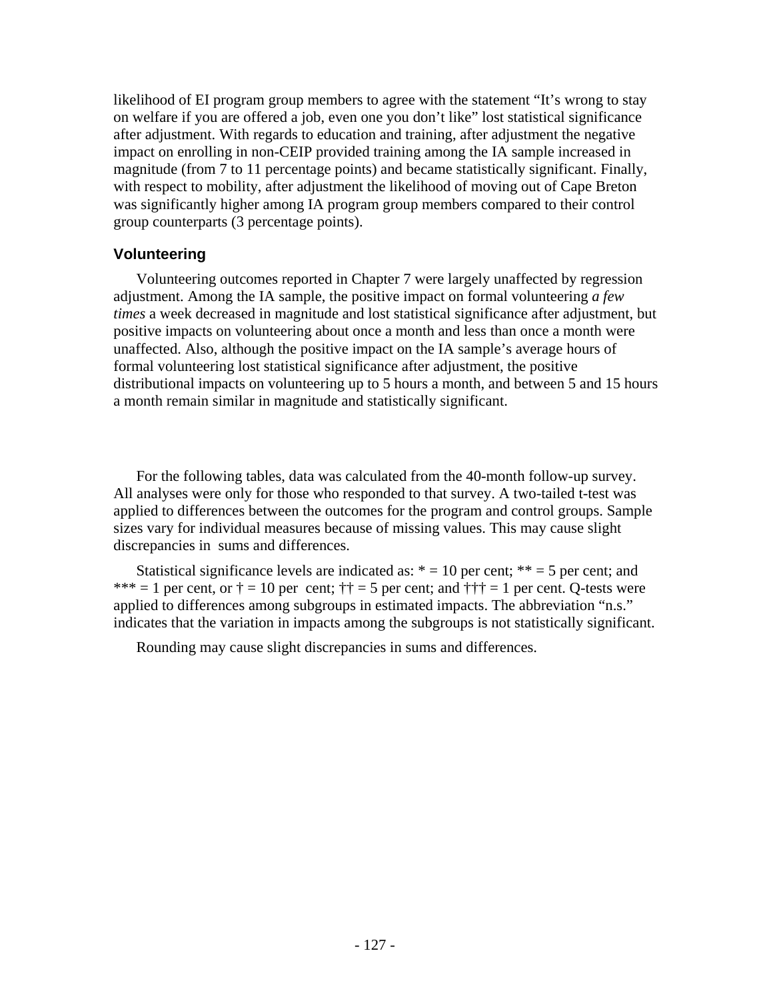likelihood of EI program group members to agree with the statement "It's wrong to stay on welfare if you are offered a job, even one you don't like" lost statistical significance after adjustment. With regards to education and training, after adjustment the negative impact on enrolling in non-CEIP provided training among the IA sample increased in magnitude (from 7 to 11 percentage points) and became statistically significant. Finally, with respect to mobility, after adjustment the likelihood of moving out of Cape Breton was significantly higher among IA program group members compared to their control group counterparts (3 percentage points).

## **Volunteering**

Volunteering outcomes reported in Chapter 7 were largely unaffected by regression adjustment. Among the IA sample, the positive impact on formal volunteering *a few times* a week decreased in magnitude and lost statistical significance after adjustment, but positive impacts on volunteering about once a month and less than once a month were unaffected. Also, although the positive impact on the IA sample's average hours of formal volunteering lost statistical significance after adjustment, the positive distributional impacts on volunteering up to 5 hours a month, and between 5 and 15 hours a month remain similar in magnitude and statistically significant.

For the following tables, data was calculated from the 40-month follow-up survey. All analyses were only for those who responded to that survey. A two-tailed t-test was applied to differences between the outcomes for the program and control groups. Sample sizes vary for individual measures because of missing values. This may cause slight discrepancies in sums and differences.

Statistical significance levels are indicated as:  $* = 10$  per cent;  $** = 5$  per cent; and \*\*\* = 1 per cent, or  $\dagger$  = 10 per cent;  $\dagger \dagger$  = 5 per cent; and  $\dagger \dagger \dagger$  = 1 per cent. Q-tests were applied to differences among subgroups in estimated impacts. The abbreviation "n.s." indicates that the variation in impacts among the subgroups is not statistically significant.

Rounding may cause slight discrepancies in sums and differences.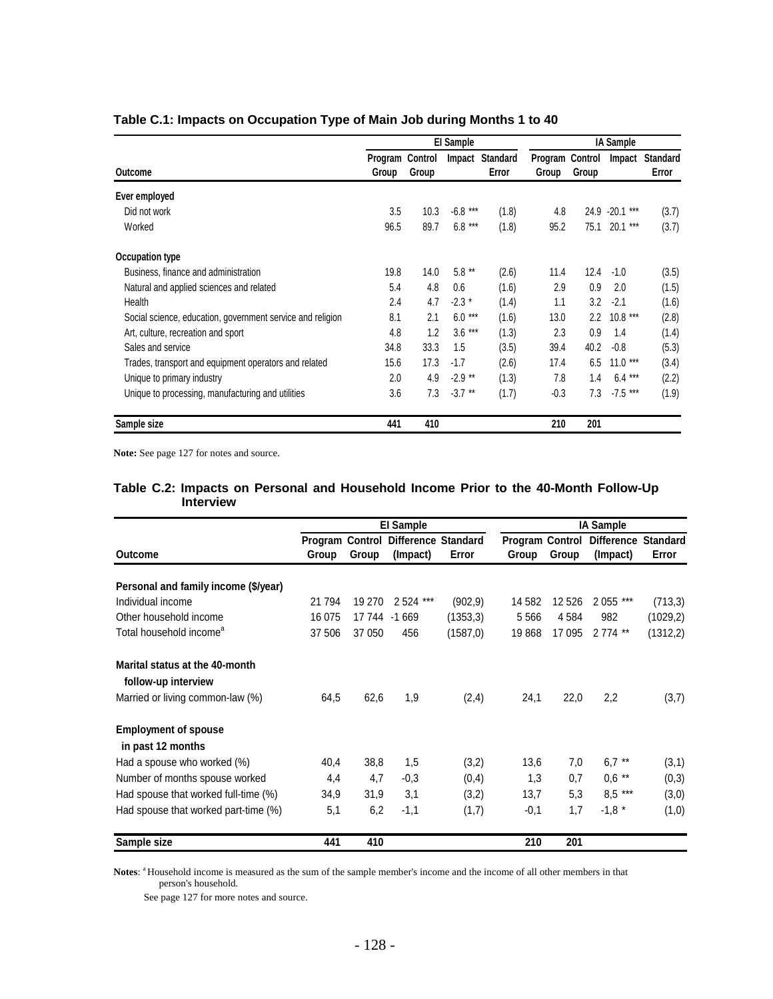|                                                            |                  |                  | El Sample |                          | <b>IA Sample</b>         |         |            |                          |
|------------------------------------------------------------|------------------|------------------|-----------|--------------------------|--------------------------|---------|------------|--------------------------|
| Outcome                                                    | Program<br>Group | Control<br>Group | Impact    | <b>Standard</b><br>Error | Program Control<br>Group | Group   | Impact     | <b>Standard</b><br>Error |
| Ever employed                                              |                  |                  |           |                          |                          |         |            |                          |
| Did not work                                               | 3.5              | 10.3             | $-6.8***$ | (1.8)                    | 4.8                      | 24.9    | $-20.1***$ | (3.7)                    |
| Worked                                                     | 96.5             | 89.7             | $6.8***$  | (1.8)                    | 95.2                     | 75.1    | $20.1***$  | (3.7)                    |
| Occupation type                                            |                  |                  |           |                          |                          |         |            |                          |
| Business, finance and administration                       | 19.8             | 14.0             | $5.8**$   | (2.6)                    | 11.4                     | 12.4    | $-1.0$     | (3.5)                    |
| Natural and applied sciences and related                   | 5.4              | 4.8              | 0.6       | (1.6)                    | 2.9                      | 0.9     | 2.0        | (1.5)                    |
| Health                                                     | 2.4              | 4.7              | $-2.3*$   | (1.4)                    | 1.1                      | 3.2     | $-2.1$     | (1.6)                    |
| Social science, education, government service and religion | 8.1              | 2.1              | $6.0***$  | (1.6)                    | 13.0                     | $2.2\,$ | $10.8***$  | (2.8)                    |
| Art, culture, recreation and sport                         | 4.8              | 1.2              | $3.6***$  | (1.3)                    | 2.3                      | 0.9     | 1.4        | (1.4)                    |
| Sales and service                                          | 34.8             | 33.3             | 1.5       | (3.5)                    | 39.4                     | 40.2    | $-0.8$     | (5.3)                    |
| Trades, transport and equipment operators and related      | 15.6             | 17.3             | $-1.7$    | (2.6)                    | 17.4                     | 6.5     | $11.0***$  | (3.4)                    |
| Unique to primary industry                                 | 2.0              | 4.9              | $-2.9$ ** | (1.3)                    | 7.8                      | 1.4     | 6.4<br>*** | (2.2)                    |
| Unique to processing, manufacturing and utilities          | 3.6              | 7.3              | $-3.7$ ** | (1.7)                    | $-0.3$                   | 7.3     | $-7.5***$  | (1.9)                    |
| Sample size                                                | 441              | 410              |           |                          | 210                      | 201     |            |                          |

## **Table C.1: Impacts on Occupation Type of Main Job during Months 1 to 40**

**Note:** See page 127 for notes and source.

|                                                       |                                 |        | <b>El Sample</b>                       |           | <b>IA Sample</b>         |         |                                        |           |  |
|-------------------------------------------------------|---------------------------------|--------|----------------------------------------|-----------|--------------------------|---------|----------------------------------------|-----------|--|
| Outcome                                               | <b>Program Control</b><br>Group | Group  | <b>Difference Standard</b><br>(Impact) | Error     | Program Control<br>Group | Group   | <b>Difference Standard</b><br>(Impact) | Error     |  |
| Personal and family income (\$/year)                  |                                 |        |                                        |           |                          |         |                                        |           |  |
| Individual income                                     | 21 7 94                         | 19 270 | 2 524 ***                              | (902, 9)  | 14 582                   | 12 5 26 | 2 0 55 ***                             | (713, 3)  |  |
| Other household income                                | 16 075                          |        | 17 744 -1 669                          | (1353,3)  | 5566                     | 4584    | 982                                    | (1029, 2) |  |
| Total household income <sup>a</sup>                   | 37 506                          | 37 050 | 456                                    | (1587, 0) | 19868                    | 17 095  | 2 774 **                               | (1312, 2) |  |
| Marital status at the 40-month<br>follow-up interview |                                 |        |                                        |           |                          |         |                                        |           |  |
| Married or living common-law (%)                      | 64,5                            | 62,6   | 1,9                                    | (2,4)     | 24,1                     | 22,0    | 2,2                                    | (3,7)     |  |
| <b>Employment of spouse</b><br>in past 12 months      |                                 |        |                                        |           |                          |         |                                        |           |  |
| Had a spouse who worked (%)                           | 40,4                            | 38,8   | 1,5                                    | (3,2)     | 13,6                     | 7,0     | $6,7$ **                               | (3,1)     |  |
| Number of months spouse worked                        | 4,4                             | 4,7    | $-0.3$                                 | (0,4)     | 1,3                      | 0,7     | $0.6$ **                               | (0,3)     |  |
| Had spouse that worked full-time (%)                  | 34,9                            | 31,9   | 3,1                                    | (3,2)     | 13,7                     | 5,3     | $8,5$ ***                              | (3,0)     |  |
| Had spouse that worked part-time (%)                  | 5,1                             | 6,2    | $-1,1$                                 | (1,7)     | $-0,1$                   | 1,7     | $-1,8$ *                               | (1,0)     |  |
| Sample size                                           | 441                             | 410    |                                        |           | 210                      | 201     |                                        |           |  |

### **Table C.2: Impacts on Personal and Household Income Prior to the 40-Month Follow-Up Interview**

Notes: <sup>a</sup> Household income is measured as the sum of the sample member's income and the income of all other members in that person's household.

See page 127 for more notes and source.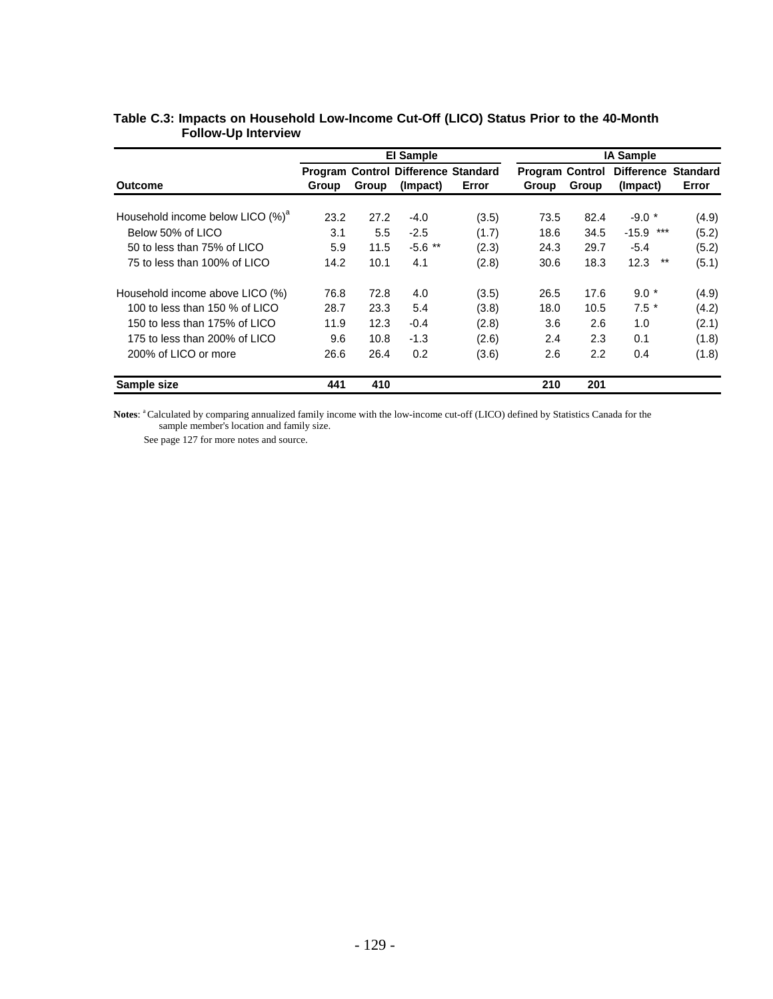|                                              |              |       | <b>El Sample</b>                           |       | <b>IA Sample</b>       |       |                            |       |  |
|----------------------------------------------|--------------|-------|--------------------------------------------|-------|------------------------|-------|----------------------------|-------|--|
|                                              |              |       | <b>Program Control Difference Standard</b> |       | <b>Program Control</b> |       | <b>Difference Standard</b> |       |  |
| Outcome                                      | <b>Group</b> | Group | (Impact)                                   | Error | Group                  | Group | (Impact)                   | Error |  |
|                                              |              |       |                                            |       |                        |       |                            |       |  |
| Household income below LICO (%) <sup>a</sup> | 23.2         | 27.2  | -4.0                                       | (3.5) | 73.5                   | 82.4  | $-9.0*$                    | (4.9) |  |
| Below 50% of LICO                            | 3.1          | 5.5   | $-2.5$                                     | (1.7) | 18.6                   | 34.5  | ***<br>$-15.9$             | (5.2) |  |
| 50 to less than 75% of LICO                  | 5.9          | 11.5  | $-5.6$ **                                  | (2.3) | 24.3                   | 29.7  | $-5.4$                     | (5.2) |  |
| 75 to less than 100% of LICO                 | 14.2         | 10.1  | 4.1                                        | (2.8) | 30.6                   | 18.3  | $***$<br>12.3              | (5.1) |  |
| Household income above LICO (%)              | 76.8         | 72.8  | 4.0                                        | (3.5) | 26.5                   | 17.6  | $9.0*$                     | (4.9) |  |
| 100 to less than 150 % of LICO               | 28.7         | 23.3  | 5.4                                        | (3.8) | 18.0                   | 10.5  | $7.5*$                     | (4.2) |  |
| 150 to less than 175% of LICO                | 11.9         | 12.3  | $-0.4$                                     | (2.8) | 3.6                    | 2.6   | 1.0                        | (2.1) |  |
| 175 to less than 200% of LICO                | 9.6          | 10.8  | $-1.3$                                     | (2.6) | 2.4                    | 2.3   | 0.1                        | (1.8) |  |
| 200% of LICO or more                         | 26.6         | 26.4  | 0.2                                        | (3.6) | 2.6                    | 2.2   | 0.4                        | (1.8) |  |
| Sample size                                  | 441          | 410   |                                            |       | 210                    | 201   |                            |       |  |

### **Table C.3: Impacts on Household Low-Income Cut-Off (LICO) Status Prior to the 40-Month Follow-Up Interview**

Notes: <sup>a</sup> Calculated by comparing annualized family income with the low-income cut-off (LICO) defined by Statistics Canada for the sample member's location and family size.

See page 127 for more notes and source.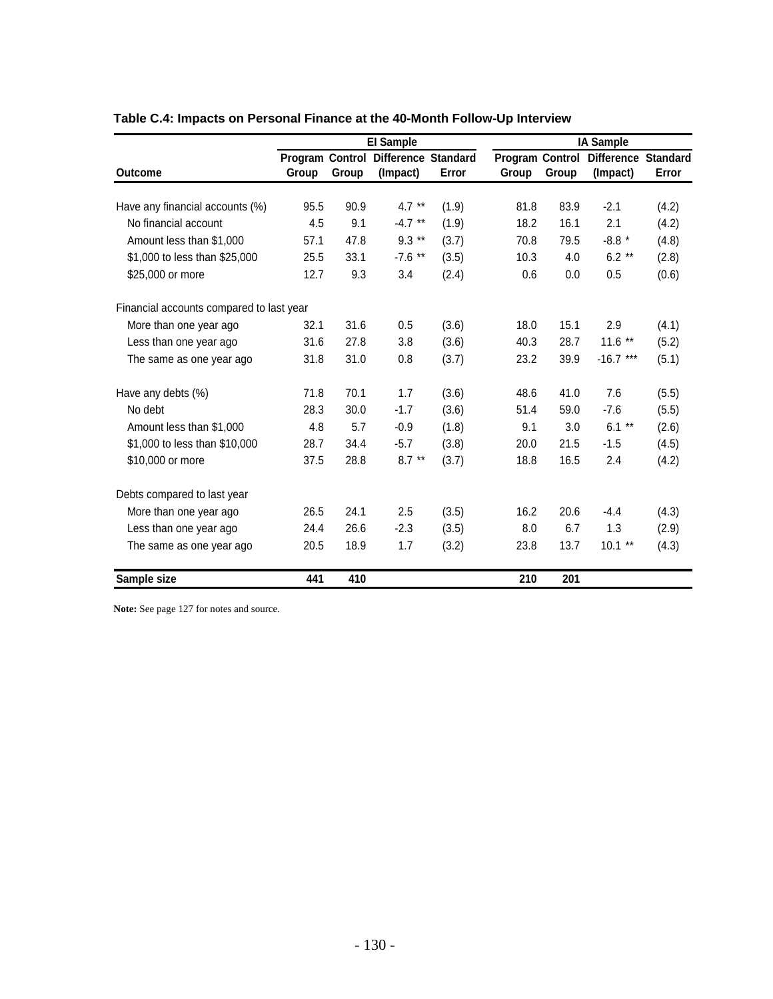|                                          | <b>El Sample</b> |       |                                                 |       | <b>IA Sample</b> |       |                                                 |       |  |  |
|------------------------------------------|------------------|-------|-------------------------------------------------|-------|------------------|-------|-------------------------------------------------|-------|--|--|
| <b>Outcome</b>                           | Group            | Group | Program Control Difference Standard<br>(Impact) | Error | Group            | Group | Program Control Difference Standard<br>(Impact) | Error |  |  |
|                                          |                  |       |                                                 |       |                  |       |                                                 |       |  |  |
| Have any financial accounts (%)          | 95.5             | 90.9  | $4.7**$                                         | (1.9) | 81.8             | 83.9  | $-2.1$                                          | (4.2) |  |  |
| No financial account                     | 4.5              | 9.1   | $-4.7$ **                                       | (1.9) | 18.2             | 16.1  | 2.1                                             | (4.2) |  |  |
| Amount less than \$1,000                 | 57.1             | 47.8  | $9.3**$                                         | (3.7) | 70.8             | 79.5  | $-8.8*$                                         | (4.8) |  |  |
| \$1,000 to less than \$25,000            | 25.5             | 33.1  | $-7.6$ **                                       | (3.5) | 10.3             | 4.0   | $6.2**$                                         | (2.8) |  |  |
| \$25,000 or more                         | 12.7             | 9.3   | 3.4                                             | (2.4) | 0.6              | 0.0   | 0.5                                             | (0.6) |  |  |
| Financial accounts compared to last year |                  |       |                                                 |       |                  |       |                                                 |       |  |  |
| More than one year ago                   | 32.1             | 31.6  | 0.5                                             | (3.6) | 18.0             | 15.1  | 2.9                                             | (4.1) |  |  |
| Less than one year ago                   | 31.6             | 27.8  | 3.8                                             | (3.6) | 40.3             | 28.7  | $11.6$ **                                       | (5.2) |  |  |
| The same as one year ago                 | 31.8             | 31.0  | 0.8                                             | (3.7) | 23.2             | 39.9  | $-16.7***$                                      | (5.1) |  |  |
| Have any debts (%)                       | 71.8             | 70.1  | 1.7                                             | (3.6) | 48.6             | 41.0  | 7.6                                             | (5.5) |  |  |
| No debt                                  | 28.3             | 30.0  | $-1.7$                                          | (3.6) | 51.4             | 59.0  | $-7.6$                                          | (5.5) |  |  |
| Amount less than \$1,000                 | 4.8              | 5.7   | $-0.9$                                          | (1.8) | 9.1              | 3.0   | $6.1**$                                         | (2.6) |  |  |
| \$1,000 to less than \$10,000            | 28.7             | 34.4  | $-5.7$                                          | (3.8) | 20.0             | 21.5  | $-1.5$                                          | (4.5) |  |  |
| \$10,000 or more                         | 37.5             | 28.8  | $8.7**$                                         | (3.7) | 18.8             | 16.5  | 2.4                                             | (4.2) |  |  |
| Debts compared to last year              |                  |       |                                                 |       |                  |       |                                                 |       |  |  |
| More than one year ago                   | 26.5             | 24.1  | 2.5                                             | (3.5) | 16.2             | 20.6  | $-4.4$                                          | (4.3) |  |  |
| Less than one year ago                   | 24.4             | 26.6  | $-2.3$                                          | (3.5) | 8.0              | 6.7   | 1.3                                             | (2.9) |  |  |
| The same as one year ago                 | 20.5             | 18.9  | 1.7                                             | (3.2) | 23.8             | 13.7  | $10.1**$                                        | (4.3) |  |  |
| Sample size                              | 441              | 410   |                                                 |       | 210              | 201   |                                                 |       |  |  |

# **Table C.4: Impacts on Personal Finance at the 40-Month Follow-Up Interview**

Note: See page 127 for notes and source.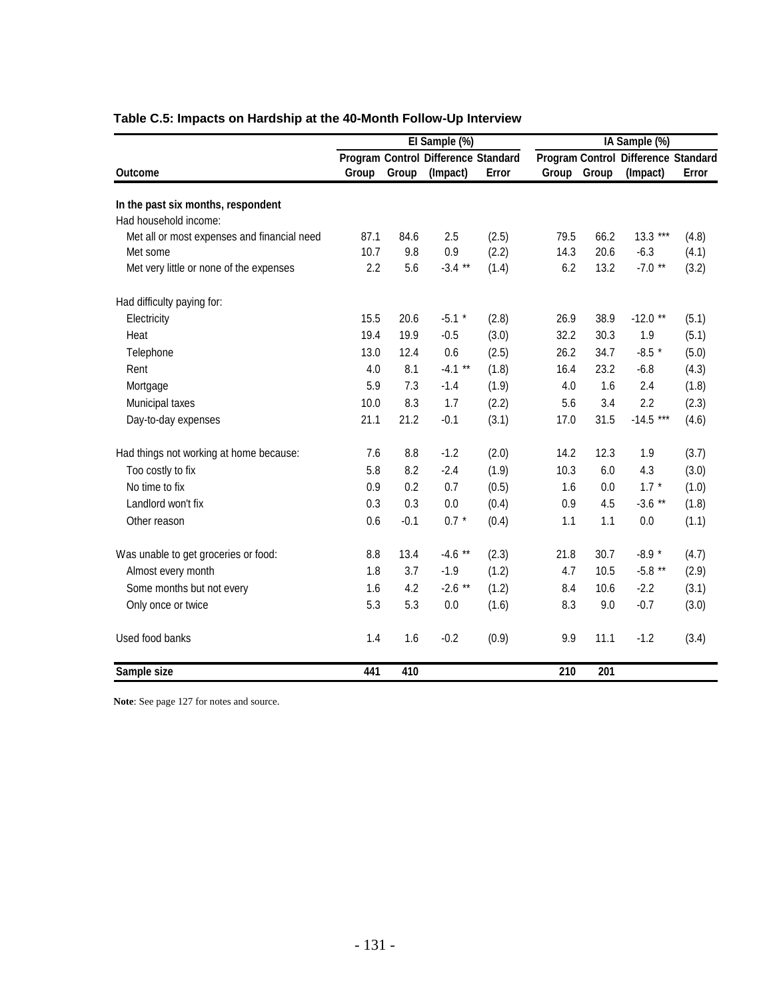|                                             |       |        | El Sample (%)                       |       | IA Sample (%) |      |                                            |       |
|---------------------------------------------|-------|--------|-------------------------------------|-------|---------------|------|--------------------------------------------|-------|
|                                             |       |        | Program Control Difference Standard |       |               |      | <b>Program Control Difference Standard</b> |       |
| <b>Outcome</b>                              | Group | Group  | (Impact)                            | Error | Group Group   |      | (Impact)                                   | Error |
| In the past six months, respondent          |       |        |                                     |       |               |      |                                            |       |
| Had household income:                       |       |        |                                     |       |               |      |                                            |       |
| Met all or most expenses and financial need | 87.1  | 84.6   | 2.5                                 | (2.5) | 79.5          | 66.2 | $13.3***$                                  | (4.8) |
| Met some                                    | 10.7  | 9.8    | 0.9                                 | (2.2) | 14.3          | 20.6 | $-6.3$                                     | (4.1) |
| Met very little or none of the expenses     | 2.2   | 5.6    | $-3.4$ **                           | (1.4) | 6.2           | 13.2 | $-7.0$ **                                  | (3.2) |
| Had difficulty paying for:                  |       |        |                                     |       |               |      |                                            |       |
| Electricity                                 | 15.5  | 20.6   | $-5.1$ *                            | (2.8) | 26.9          | 38.9 | $-12.0$ **                                 | (5.1) |
| Heat                                        | 19.4  | 19.9   | $-0.5$                              | (3.0) | 32.2          | 30.3 | 1.9                                        | (5.1) |
| Telephone                                   | 13.0  | 12.4   | 0.6                                 | (2.5) | 26.2          | 34.7 | $-8.5$ *                                   | (5.0) |
| Rent                                        | 4.0   | 8.1    | $-4.1$ **                           | (1.8) | 16.4          | 23.2 | $-6.8$                                     | (4.3) |
| Mortgage                                    | 5.9   | 7.3    | $-1.4$                              | (1.9) | 4.0           | 1.6  | 2.4                                        | (1.8) |
| Municipal taxes                             | 10.0  | 8.3    | 1.7                                 | (2.2) | 5.6           | 3.4  | 2.2                                        | (2.3) |
| Day-to-day expenses                         | 21.1  | 21.2   | $-0.1$                              | (3.1) | 17.0          | 31.5 | $-14.5***$                                 | (4.6) |
| Had things not working at home because:     | 7.6   | 8.8    | $-1.2$                              | (2.0) | 14.2          | 12.3 | 1.9                                        | (3.7) |
| Too costly to fix                           | 5.8   | 8.2    | $-2.4$                              | (1.9) | 10.3          | 6.0  | 4.3                                        | (3.0) |
| No time to fix                              | 0.9   | 0.2    | 0.7                                 | (0.5) | 1.6           | 0.0  | $1.7 *$                                    | (1.0) |
| Landlord won't fix                          | 0.3   | 0.3    | 0.0                                 | (0.4) | 0.9           | 4.5  | $-3.6$ **                                  | (1.8) |
| Other reason                                | 0.6   | $-0.1$ | $0.7 *$                             | (0.4) | 1.1           | 1.1  | 0.0                                        | (1.1) |
| Was unable to get groceries or food:        | 8.8   | 13.4   | $-4.6$ **                           | (2.3) | 21.8          | 30.7 | $-8.9*$                                    | (4.7) |
| Almost every month                          | 1.8   | 3.7    | $-1.9$                              | (1.2) | 4.7           | 10.5 | $-5.8$ **                                  | (2.9) |
| Some months but not every                   | 1.6   | 4.2    | $-2.6$ **                           | (1.2) | 8.4           | 10.6 | $-2.2$                                     | (3.1) |
| Only once or twice                          | 5.3   | 5.3    | 0.0                                 | (1.6) | 8.3           | 9.0  | $-0.7$                                     | (3.0) |
| Used food banks                             | 1.4   | 1.6    | $-0.2$                              | (0.9) | 9.9           | 11.1 | $-1.2$                                     | (3.4) |
| Sample size                                 | 441   | 410    |                                     |       | 210           | 201  |                                            |       |

# **Table C.5: Impacts on Hardship at the 40-Month Follow-Up Interview**

**Note**: See page 127 for notes and source.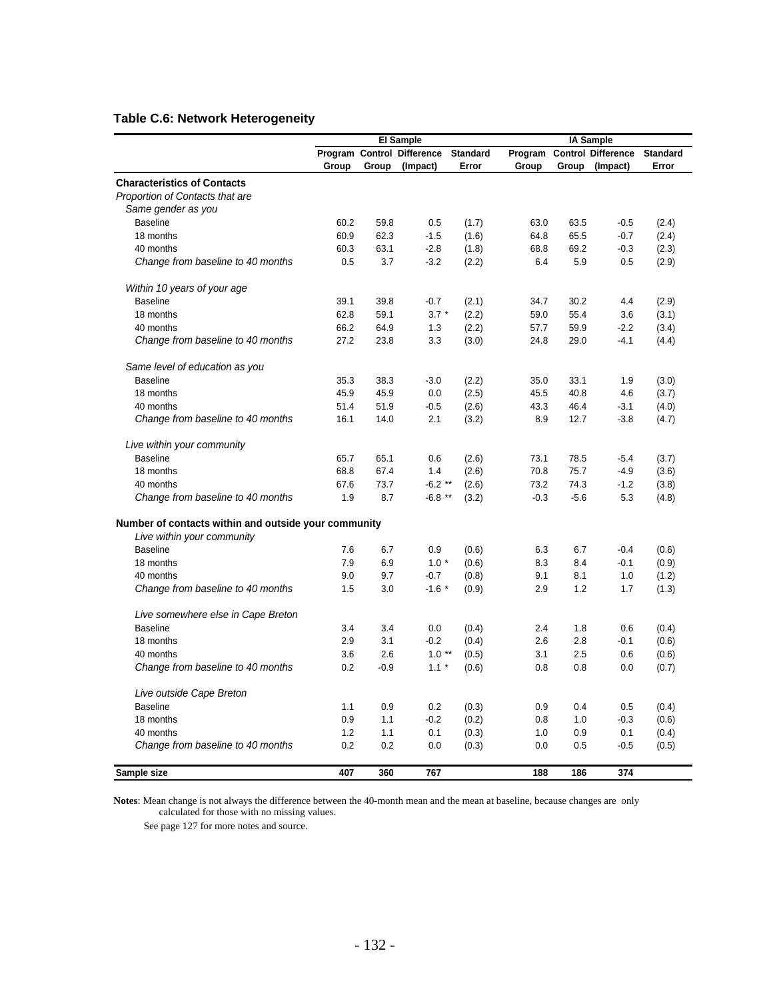## **Table C.6: Network Heterogeneity**

|                                                      |       |        | <b>El Sample</b>           |                 |         |        |                                               |                 |
|------------------------------------------------------|-------|--------|----------------------------|-----------------|---------|--------|-----------------------------------------------|-----------------|
|                                                      |       |        | Program Control Difference | <b>Standard</b> | Program |        | <b>IA Sample</b><br><b>Control Difference</b> | <b>Standard</b> |
|                                                      | Group | Group  | (Impact)                   | Error           | Group   | Group  | (Impact)                                      | Error           |
| <b>Characteristics of Contacts</b>                   |       |        |                            |                 |         |        |                                               |                 |
| Proportion of Contacts that are                      |       |        |                            |                 |         |        |                                               |                 |
| Same gender as you                                   |       |        |                            |                 |         |        |                                               |                 |
| <b>Baseline</b>                                      | 60.2  | 59.8   | 0.5                        | (1.7)           | 63.0    | 63.5   | $-0.5$                                        | (2.4)           |
| 18 months                                            | 60.9  | 62.3   | $-1.5$                     | (1.6)           | 64.8    | 65.5   | $-0.7$                                        | (2.4)           |
| 40 months                                            | 60.3  | 63.1   | $-2.8$                     | (1.8)           | 68.8    | 69.2   | $-0.3$                                        | (2.3)           |
| Change from baseline to 40 months                    | 0.5   | 3.7    | $-3.2$                     | (2.2)           | 6.4     | 5.9    | 0.5                                           | (2.9)           |
| Within 10 years of your age                          |       |        |                            |                 |         |        |                                               |                 |
| <b>Baseline</b>                                      | 39.1  | 39.8   | $-0.7$                     | (2.1)           | 34.7    | 30.2   | 4.4                                           | (2.9)           |
| 18 months                                            | 62.8  | 59.1   | $3.7 *$                    | (2.2)           | 59.0    | 55.4   | 3.6                                           | (3.1)           |
| 40 months                                            | 66.2  | 64.9   | 1.3                        | (2.2)           | 57.7    | 59.9   | $-2.2$                                        | (3.4)           |
| Change from baseline to 40 months                    | 27.2  | 23.8   | 3.3                        | (3.0)           | 24.8    | 29.0   | $-4.1$                                        | (4.4)           |
| Same level of education as you                       |       |        |                            |                 |         |        |                                               |                 |
| <b>Baseline</b>                                      | 35.3  | 38.3   | $-3.0$                     | (2.2)           | 35.0    | 33.1   | 1.9                                           | (3.0)           |
| 18 months                                            | 45.9  | 45.9   | 0.0                        | (2.5)           | 45.5    | 40.8   | 4.6                                           | (3.7)           |
| 40 months                                            | 51.4  | 51.9   | $-0.5$                     | (2.6)           | 43.3    | 46.4   | $-3.1$                                        | (4.0)           |
| Change from baseline to 40 months                    | 16.1  | 14.0   | 2.1                        | (3.2)           | 8.9     | 12.7   | $-3.8$                                        | (4.7)           |
| Live within your community                           |       |        |                            |                 |         |        |                                               |                 |
| <b>Baseline</b>                                      | 65.7  | 65.1   | 0.6                        | (2.6)           | 73.1    | 78.5   | $-5.4$                                        | (3.7)           |
| 18 months                                            | 68.8  | 67.4   | 1.4                        | (2.6)           | 70.8    | 75.7   | $-4.9$                                        | (3.6)           |
| 40 months                                            | 67.6  | 73.7   | $-6.2**$                   | (2.6)           | 73.2    | 74.3   | $-1.2$                                        | (3.8)           |
| Change from baseline to 40 months                    | 1.9   | 8.7    | $-6.8$ **                  | (3.2)           | $-0.3$  | $-5.6$ | 5.3                                           | (4.8)           |
| Number of contacts within and outside your community |       |        |                            |                 |         |        |                                               |                 |
| Live within your community                           |       |        |                            |                 |         |        |                                               |                 |
| <b>Baseline</b>                                      | 7.6   | 6.7    | 0.9                        | (0.6)           | 6.3     | 6.7    | $-0.4$                                        | (0.6)           |
| 18 months                                            | 7.9   | 6.9    | $1.0*$                     | (0.6)           | 8.3     | 8.4    | $-0.1$                                        | (0.9)           |
| 40 months                                            | 9.0   | 9.7    | $-0.7$                     | (0.8)           | 9.1     | 8.1    | 1.0                                           | (1.2)           |
| Change from baseline to 40 months                    | 1.5   | 3.0    | $-1.6$ *                   | (0.9)           | 2.9     | 1.2    | 1.7                                           | (1.3)           |
| Live somewhere else in Cape Breton                   |       |        |                            |                 |         |        |                                               |                 |
| <b>Baseline</b>                                      | 3.4   | 3.4    | 0.0                        | (0.4)           | 2.4     | 1.8    | 0.6                                           | (0.4)           |
| 18 months                                            | 2.9   | 3.1    | $-0.2$                     | (0.4)           | 2.6     | 2.8    | $-0.1$                                        | (0.6)           |
| 40 months                                            | 3.6   | 2.6    | $1.0**$                    | (0.5)           | 3.1     | 2.5    | 0.6                                           | (0.6)           |
| Change from baseline to 40 months                    | 0.2   | $-0.9$ | $1.1 *$                    | (0.6)           | 0.8     | 0.8    | 0.0                                           | (0.7)           |
| Live outside Cape Breton                             |       |        |                            |                 |         |        |                                               |                 |
| <b>Baseline</b>                                      | 1.1   | 0.9    | 0.2                        | (0.3)           | 0.9     | 0.4    | 0.5                                           | (0.4)           |
| 18 months                                            | 0.9   | 1.1    | $-0.2$                     | (0.2)           | 0.8     | 1.0    | $-0.3$                                        | (0.6)           |
| 40 months                                            | 1.2   | 1.1    | 0.1                        | (0.3)           | 1.0     | 0.9    | 0.1                                           | (0.4)           |
| Change from baseline to 40 months                    | 0.2   | 0.2    | 0.0                        | (0.3)           | 0.0     | 0.5    | $-0.5$                                        | (0.5)           |
| Sample size                                          | 407   | 360    | 767                        |                 | 188     | 186    | 374                                           |                 |

**Notes**: Mean change is not always the difference between the 40-month mean and the mean at baseline, because changes are only calculated for those with no missing values.

See page 127 for more notes and source.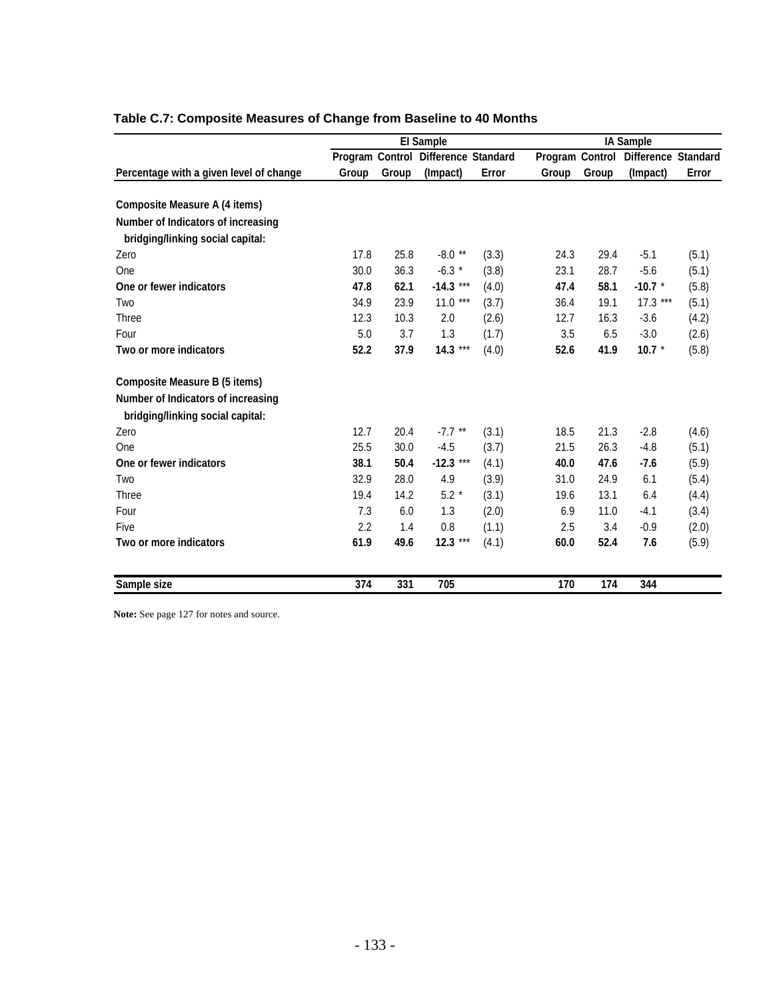|                                         |       |       | <b>El Sample</b>                    |       |                 |       | <b>IA Sample</b>    |       |
|-----------------------------------------|-------|-------|-------------------------------------|-------|-----------------|-------|---------------------|-------|
|                                         |       |       | Program Control Difference Standard |       | Program Control |       | Difference Standard |       |
| Percentage with a given level of change | Group | Group | (Impact)                            | Error | Group           | Group | (Impact)            | Error |
| <b>Composite Measure A (4 items)</b>    |       |       |                                     |       |                 |       |                     |       |
| Number of Indicators of increasing      |       |       |                                     |       |                 |       |                     |       |
| bridging/linking social capital:        |       |       |                                     |       |                 |       |                     |       |
| Zero                                    | 17.8  | 25.8  | $-8.0**$                            | (3.3) | 24.3            | 29.4  | $-5.1$              | (5.1) |
| One                                     | 30.0  | 36.3  | $-6.3*$                             | (3.8) | 23.1            | 28.7  | $-5.6$              | (5.1) |
| One or fewer indicators                 | 47.8  | 62.1  | $-14.3***$                          | (4.0) | 47.4            | 58.1  | $-10.7$ *           | (5.8) |
| Two                                     | 34.9  | 23.9  | 11.0<br>$***$                       | (3.7) | 36.4            | 19.1  | $17.3***$           | (5.1) |
| Three                                   | 12.3  | 10.3  | 2.0                                 | (2.6) | 12.7            | 16.3  | $-3.6$              | (4.2) |
| Four                                    | 5.0   | 3.7   | 1.3                                 | (1.7) | 3.5             | 6.5   | $-3.0$              | (2.6) |
| Two or more indicators                  | 52.2  | 37.9  | $14.3***$                           | (4.0) | 52.6            | 41.9  | 10.7 $*$            | (5.8) |
| <b>Composite Measure B (5 items)</b>    |       |       |                                     |       |                 |       |                     |       |
| Number of Indicators of increasing      |       |       |                                     |       |                 |       |                     |       |
| bridging/linking social capital:        |       |       |                                     |       |                 |       |                     |       |
| Zero                                    | 12.7  | 20.4  | $-7.7$ **                           | (3.1) | 18.5            | 21.3  | $-2.8$              | (4.6) |
| One                                     | 25.5  | 30.0  | $-4.5$                              | (3.7) | 21.5            | 26.3  | $-4.8$              | (5.1) |
| One or fewer indicators                 | 38.1  | 50.4  | $-12.3***$                          | (4.1) | 40.0            | 47.6  | $-7.6$              | (5.9) |
| Two                                     | 32.9  | 28.0  | 4.9                                 | (3.9) | 31.0            | 24.9  | 6.1                 | (5.4) |
| Three                                   | 19.4  | 14.2  | $5.2*$                              | (3.1) | 19.6            | 13.1  | 6.4                 | (4.4) |
| Four                                    | 7.3   | 6.0   | 1.3                                 | (2.0) | 6.9             | 11.0  | $-4.1$              | (3.4) |
| Five                                    | 2.2   | 1.4   | 0.8                                 | (1.1) | 2.5             | 3.4   | $-0.9$              | (2.0) |
| Two or more indicators                  | 61.9  | 49.6  | 12.3 ***                            | (4.1) | 60.0            | 52.4  | 7.6                 | (5.9) |
| Sample size                             | 374   | 331   | 705                                 |       | 170             | 174   | 344                 |       |

# **Table C.7: Composite Measures of Change from Baseline to 40 Months**

Note: See page 127 for notes and source.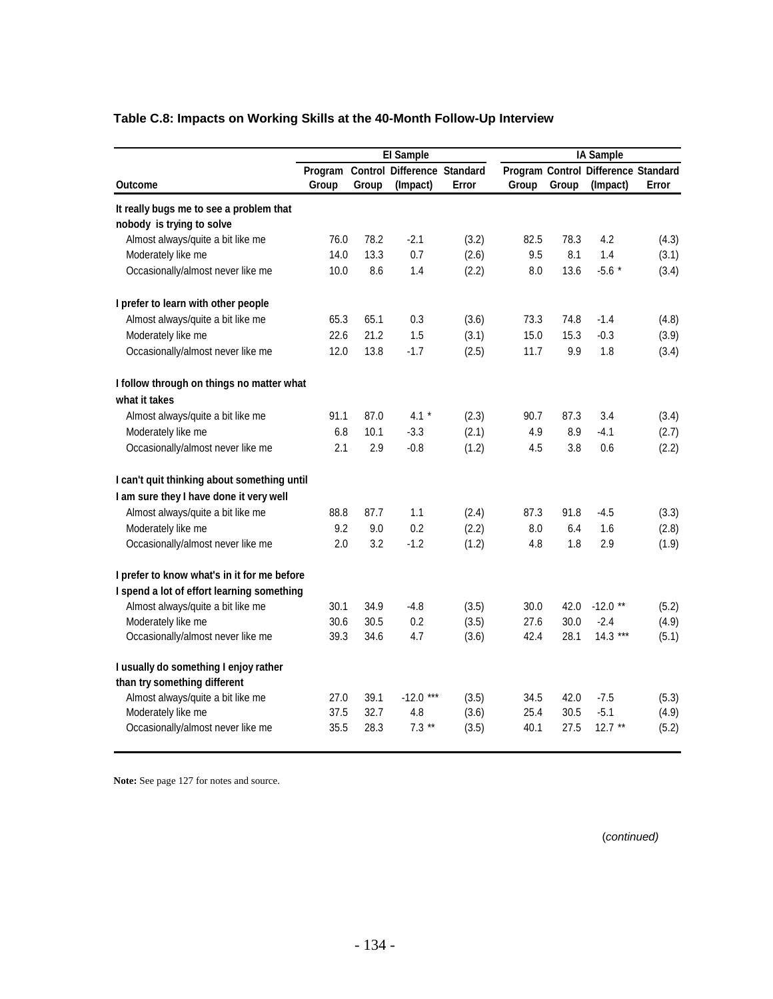|                                             |       |       | <b>El Sample</b>                    |       | <b>IA Sample</b> |       |                                     |       |  |  |
|---------------------------------------------|-------|-------|-------------------------------------|-------|------------------|-------|-------------------------------------|-------|--|--|
|                                             |       |       | Program Control Difference Standard |       |                  |       | Program Control Difference Standard |       |  |  |
| Outcome                                     | Group | Group | (Impact)                            | Error | Group            | Group | (Impact)                            | Error |  |  |
| It really bugs me to see a problem that     |       |       |                                     |       |                  |       |                                     |       |  |  |
| nobody is trying to solve                   |       |       |                                     |       |                  |       |                                     |       |  |  |
| Almost always/quite a bit like me           | 76.0  | 78.2  | $-2.1$                              | (3.2) | 82.5             | 78.3  | 4.2                                 | (4.3) |  |  |
| Moderately like me                          | 14.0  | 13.3  | 0.7                                 | (2.6) | 9.5              | 8.1   | 1.4                                 | (3.1) |  |  |
| Occasionally/almost never like me           | 10.0  | 8.6   | 1.4                                 | (2.2) | 8.0              | 13.6  | $-5.6*$                             | (3.4) |  |  |
| I prefer to learn with other people         |       |       |                                     |       |                  |       |                                     |       |  |  |
| Almost always/quite a bit like me           | 65.3  | 65.1  | 0.3                                 | (3.6) | 73.3             | 74.8  | $-1.4$                              | (4.8) |  |  |
| Moderately like me                          | 22.6  | 21.2  | 1.5                                 | (3.1) | 15.0             | 15.3  | $-0.3$                              | (3.9) |  |  |
| Occasionally/almost never like me           | 12.0  | 13.8  | $-1.7$                              | (2.5) | 11.7             | 9.9   | 1.8                                 | (3.4) |  |  |
| I follow through on things no matter what   |       |       |                                     |       |                  |       |                                     |       |  |  |
| what it takes                               |       |       |                                     |       |                  |       |                                     |       |  |  |
| Almost always/quite a bit like me           | 91.1  | 87.0  | 4.1 $*$                             | (2.3) | 90.7             | 87.3  | 3.4                                 | (3.4) |  |  |
| Moderately like me                          | 6.8   | 10.1  | $-3.3$                              | (2.1) | 4.9              | 8.9   | $-4.1$                              | (2.7) |  |  |
| Occasionally/almost never like me           | 2.1   | 2.9   | $-0.8$                              | (1.2) | 4.5              | 3.8   | 0.6                                 | (2.2) |  |  |
| I can't quit thinking about something until |       |       |                                     |       |                  |       |                                     |       |  |  |
| I am sure they I have done it very well     |       |       |                                     |       |                  |       |                                     |       |  |  |
| Almost always/quite a bit like me           | 88.8  | 87.7  | 1.1                                 | (2.4) | 87.3             | 91.8  | $-4.5$                              | (3.3) |  |  |
| Moderately like me                          | 9.2   | 9.0   | 0.2                                 | (2.2) | 8.0              | 6.4   | 1.6                                 | (2.8) |  |  |
| Occasionally/almost never like me           | 2.0   | 3.2   | $-1.2$                              | (1.2) | 4.8              | 1.8   | 2.9                                 | (1.9) |  |  |
| I prefer to know what's in it for me before |       |       |                                     |       |                  |       |                                     |       |  |  |
| I spend a lot of effort learning something  |       |       |                                     |       |                  |       |                                     |       |  |  |
| Almost always/quite a bit like me           | 30.1  | 34.9  | $-4.8$                              | (3.5) | 30.0             | 42.0  | $-12.0$ **                          | (5.2) |  |  |
| Moderately like me                          | 30.6  | 30.5  | 0.2                                 | (3.5) | 27.6             | 30.0  | $-2.4$                              | (4.9) |  |  |
| Occasionally/almost never like me           | 39.3  | 34.6  | 4.7                                 | (3.6) | 42.4             | 28.1  | $14.3***$                           | (5.1) |  |  |
| I usually do something I enjoy rather       |       |       |                                     |       |                  |       |                                     |       |  |  |
| than try something different                |       |       |                                     |       |                  |       |                                     |       |  |  |
| Almost always/quite a bit like me           | 27.0  | 39.1  | $-12.0$ ***                         | (3.5) | 34.5             | 42.0  | $-7.5$                              | (5.3) |  |  |
| Moderately like me                          | 37.5  | 32.7  | 4.8                                 | (3.6) | 25.4             | 30.5  | $-5.1$                              | (4.9) |  |  |
| Occasionally/almost never like me           | 35.5  | 28.3  | $7.3$ **                            | (3.5) | 40.1             | 27.5  | $12.7$ **                           | (5.2) |  |  |

Note: See page 127 for notes and source.

(*continued)*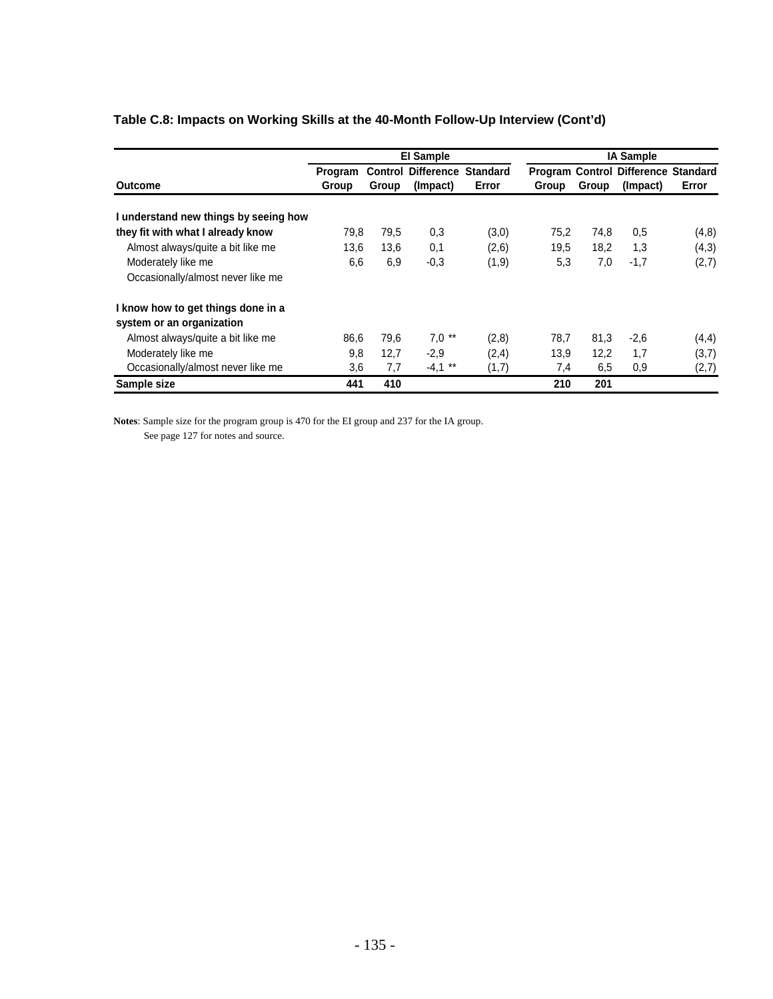|                                       |                         |       | <b>El Sample</b>                               |        |       |       | <b>IA Sample</b>                                       |       |
|---------------------------------------|-------------------------|-------|------------------------------------------------|--------|-------|-------|--------------------------------------------------------|-------|
| Outcome                               | Program<br><b>Group</b> | Group | <b>Control Difference Standard</b><br>(Impact) | Error  | Group | Group | <b>Program Control Difference Standard</b><br>(Impact) | Error |
|                                       |                         |       |                                                |        |       |       |                                                        |       |
| I understand new things by seeing how |                         |       |                                                |        |       |       |                                                        |       |
| they fit with what I already know     | 79,8                    | 79,5  | 0,3                                            | (3,0)  | 75,2  | 74,8  | 0.5                                                    | (4,8) |
| Almost always/quite a bit like me     | 13,6                    | 13,6  | 0,1                                            | (2,6)  | 19,5  | 18,2  | 1,3                                                    | (4,3) |
| Moderately like me                    | 6,6                     | 6,9   | $-0,3$                                         | (1, 9) | 5,3   | 7,0   | $-1,7$                                                 | (2,7) |
| Occasionally/almost never like me     |                         |       |                                                |        |       |       |                                                        |       |
| I know how to get things done in a    |                         |       |                                                |        |       |       |                                                        |       |
| system or an organization             |                         |       |                                                |        |       |       |                                                        |       |
| Almost always/quite a bit like me     | 86.6                    | 79,6  | $7,0$ **                                       | (2,8)  | 78,7  | 81,3  | $-2,6$                                                 | (4,4) |
| Moderately like me                    | 9,8                     | 12,7  | $-2.9$                                         | (2,4)  | 13,9  | 12,2  | 1,7                                                    | (3,7) |
| Occasionally/almost never like me     | 3,6                     | 7,7   | $-4,1$ **                                      | (1,7)  | 7,4   | 6,5   | 0,9                                                    | (2,7) |
| Sample size                           | 441                     | 410   |                                                |        | 210   | 201   |                                                        |       |

## **Table C.8: Impacts on Working Skills at the 40-Month Follow-Up Interview (Cont'd)**

**Notes**: Sample size for the program group is 470 for the EI group and 237 for the IA group.

See page 127 for notes and source.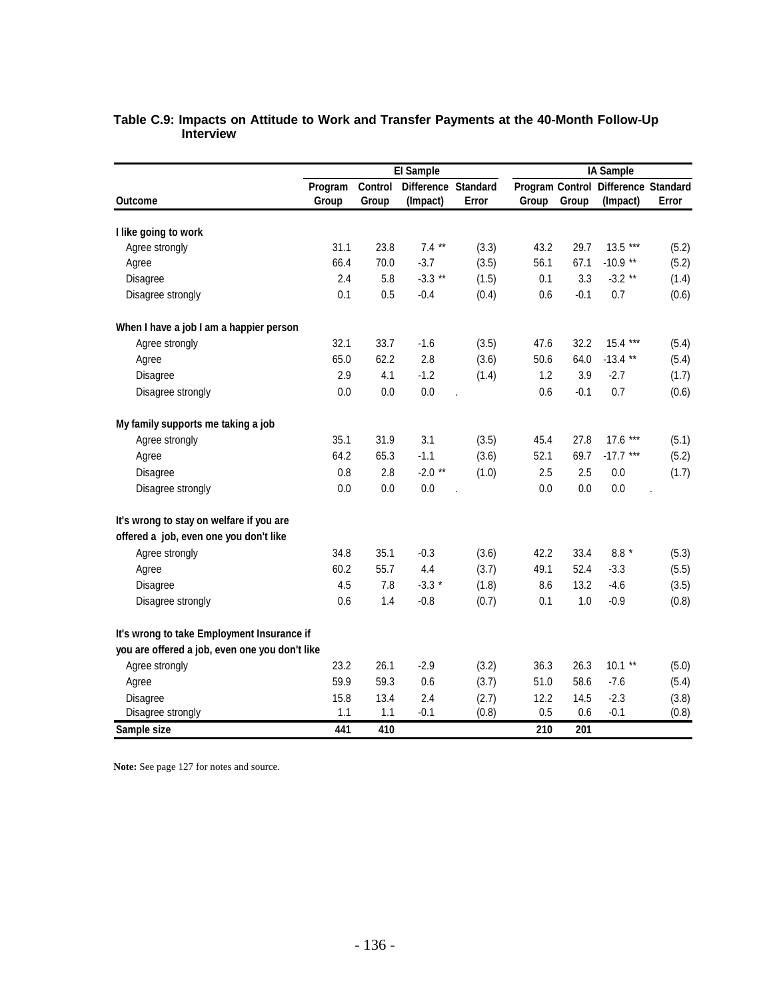|                                                |         |         | <b>El Sample</b>    |       |                        |         | <b>IA Sample</b>    |       |
|------------------------------------------------|---------|---------|---------------------|-------|------------------------|---------|---------------------|-------|
|                                                | Program | Control | Difference Standard |       | <b>Program Control</b> |         | Difference Standard |       |
| <b>Outcome</b>                                 | Group   | Group   | (Impact)            | Error | Group                  | Group   | (Impact)            | Error |
| I like going to work                           |         |         |                     |       |                        |         |                     |       |
| Agree strongly                                 | 31.1    | 23.8    | $7.4***$            | (3.3) | 43.2                   | 29.7    | $13.5***$           | (5.2) |
| Agree                                          | 66.4    | 70.0    | $-3.7$              | (3.5) | 56.1                   | 67.1    | $-10.9$ **          | (5.2) |
| Disagree                                       | 2.4     | 5.8     | $-3.3$ **           | (1.5) | 0.1                    | 3.3     | $-3.2$ **           | (1.4) |
| Disagree strongly                              | 0.1     | 0.5     | $-0.4$              | (0.4) | 0.6                    | $-0.1$  | 0.7                 | (0.6) |
| When I have a job I am a happier person        |         |         |                     |       |                        |         |                     |       |
| Agree strongly                                 | 32.1    | 33.7    | $-1.6$              | (3.5) | 47.6                   | 32.2    | 15.4 ***            | (5.4) |
| Agree                                          | 65.0    | 62.2    | 2.8                 | (3.6) | 50.6                   | 64.0    | $-13.4$ **          | (5.4) |
| <b>Disagree</b>                                | 2.9     | 4.1     | $-1.2$              | (1.4) | 1.2                    | 3.9     | $-2.7$              | (1.7) |
| Disagree strongly                              | 0.0     | 0.0     | $0.0\,$             |       | 0.6                    | $-0.1$  | 0.7                 | (0.6) |
| My family supports me taking a job             |         |         |                     |       |                        |         |                     |       |
| Agree strongly                                 | 35.1    | 31.9    | 3.1                 | (3.5) | 45.4                   | 27.8    | 17.6 ***            | (5.1) |
| Agree                                          | 64.2    | 65.3    | $-1.1$              | (3.6) | 52.1                   | 69.7    | $-17.7$ ***         | (5.2) |
| Disagree                                       | 0.8     | 2.8     | $-2.0$ **           | (1.0) | 2.5                    | 2.5     | 0.0                 | (1.7) |
| Disagree strongly                              | 0.0     | 0.0     | 0.0                 |       | 0.0                    | 0.0     | 0.0                 |       |
| It's wrong to stay on welfare if you are       |         |         |                     |       |                        |         |                     |       |
| offered a job, even one you don't like         |         |         |                     |       |                        |         |                     |       |
| Agree strongly                                 | 34.8    | 35.1    | $-0.3$              | (3.6) | 42.2                   | 33.4    | $8.8*$              | (5.3) |
| Agree                                          | 60.2    | 55.7    | 4.4                 | (3.7) | 49.1                   | 52.4    | $-3.3$              | (5.5) |
| Disagree                                       | 4.5     | 7.8     | $-3.3*$             | (1.8) | 8.6                    | 13.2    | $-4.6$              | (3.5) |
| Disagree strongly                              | 0.6     | 1.4     | $-0.8$              | (0.7) | 0.1                    | $1.0\,$ | $-0.9$              | (0.8) |
| It's wrong to take Employment Insurance if     |         |         |                     |       |                        |         |                     |       |
| you are offered a job, even one you don't like |         |         |                     |       |                        |         |                     |       |
| Agree strongly                                 | 23.2    | 26.1    | $-2.9$              | (3.2) | 36.3                   | 26.3    | $10.1$ **           | (5.0) |
| Agree                                          | 59.9    | 59.3    | 0.6                 | (3.7) | 51.0                   | 58.6    | $-7.6$              | (5.4) |
| Disagree                                       | 15.8    | 13.4    | 2.4                 | (2.7) | 12.2                   | 14.5    | $-2.3$              | (3.8) |
| Disagree strongly                              | 1.1     | 1.1     | $-0.1$              | (0.8) | 0.5                    | 0.6     | $-0.1$              | (0.8) |
| Sample size                                    | 441     | 410     |                     |       | 210                    | 201     |                     |       |

#### **Table C.9: Impacts on Attitude to Work and Transfer Payments at the 40-Month Follow-Up Interview**

Note: See page 127 for notes and source.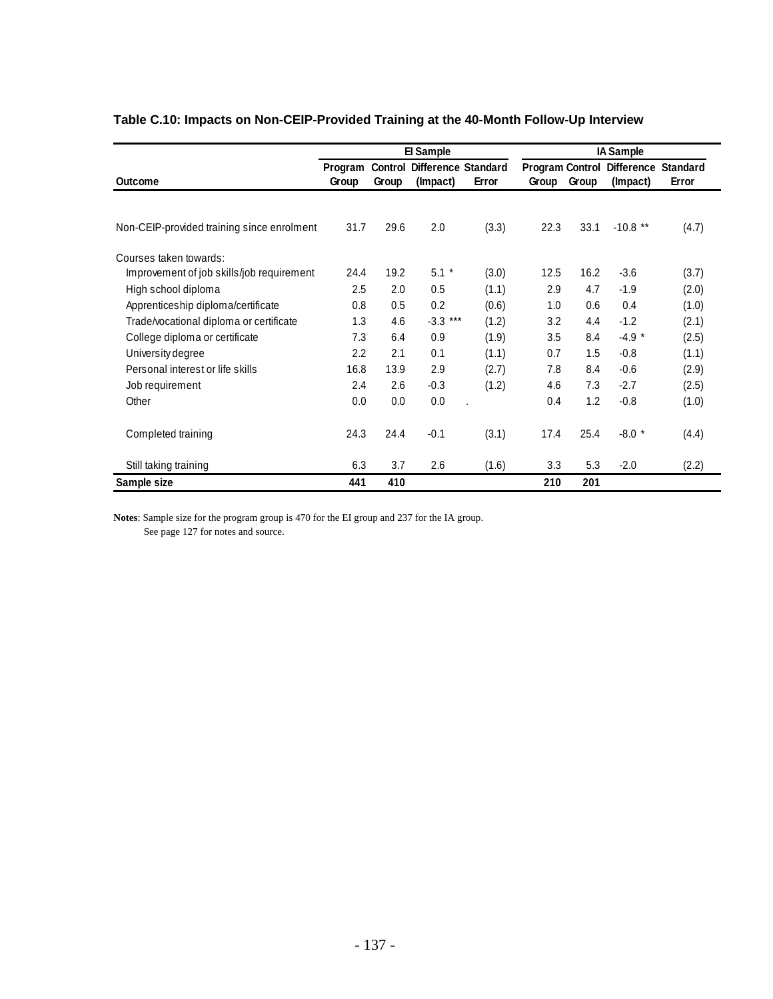|                                            |                  |                         | El Sample                              |       | <b>IA Sample</b>                |       |                               |                          |  |
|--------------------------------------------|------------------|-------------------------|----------------------------------------|-------|---------------------------------|-------|-------------------------------|--------------------------|--|
| Outcome                                    | Program<br>Group | <b>Control</b><br>Group | <b>Difference Standard</b><br>(Impact) | Error | <b>Program Control</b><br>Group | Group | <b>Difference</b><br>(Impact) | <b>Standard</b><br>Error |  |
| Non-CEIP-provided training since enrolment | 31.7             | 29.6                    | 2.0                                    | (3.3) | 22.3                            | 33.1  | $-10.8$ **                    | (4.7)                    |  |
|                                            |                  |                         |                                        |       |                                 |       |                               |                          |  |
| Courses taken towards:                     |                  |                         |                                        |       |                                 |       |                               |                          |  |
| Improvement of job skills/job requirement  | 24.4             | 19.2                    | $5.1*$                                 | (3.0) | 12.5                            | 16.2  | $-3.6$                        | (3.7)                    |  |
| High school diploma                        | 2.5              | 2.0                     | 0.5                                    | (1.1) | 2.9                             | 4.7   | $-1.9$                        | (2.0)                    |  |
| Apprenticeship diploma/certificate         | 0.8              | 0.5                     | 0.2                                    | (0.6) | 1.0                             | 0.6   | 0.4                           | (1.0)                    |  |
| Trade/vocational diploma or certificate    | 1.3              | 4.6                     | $-3.3***$                              | (1.2) | 3.2                             | 4.4   | $-1.2$                        | (2.1)                    |  |
| College diploma or certificate             | 7.3              | 6.4                     | 0.9                                    | (1.9) | 3.5                             | 8.4   | $-4.9*$                       | (2.5)                    |  |
| University degree                          | 2.2              | 2.1                     | 0.1                                    | (1.1) | 0.7                             | 1.5   | $-0.8$                        | (1.1)                    |  |
| Personal interest or life skills           | 16.8             | 13.9                    | 2.9                                    | (2.7) | 7.8                             | 8.4   | $-0.6$                        | (2.9)                    |  |
| Job requirement                            | 2.4              | 2.6                     | $-0.3$                                 | (1.2) | 4.6                             | 7.3   | $-2.7$                        | (2.5)                    |  |
| Other                                      | 0.0              | 0.0                     | 0.0                                    |       | 0.4                             | 1.2   | $-0.8$                        | (1.0)                    |  |
| Completed training                         | 24.3             | 24.4                    | $-0.1$                                 | (3.1) | 17.4                            | 25.4  | $-8.0*$                       | (4.4)                    |  |
| Still taking training                      | 6.3              | 3.7                     | 2.6                                    | (1.6) | 3.3                             | 5.3   | $-2.0$                        | (2.2)                    |  |
| Sample size                                | 441              | 410                     |                                        |       | 210                             | 201   |                               |                          |  |

## **Table C.10: Impacts on Non-CEIP-Provided Training at the 40-Month Follow-Up Interview**

**Notes**: Sample size for the program group is 470 for the EI group and 237 for the IA group. See page 127 for notes and source.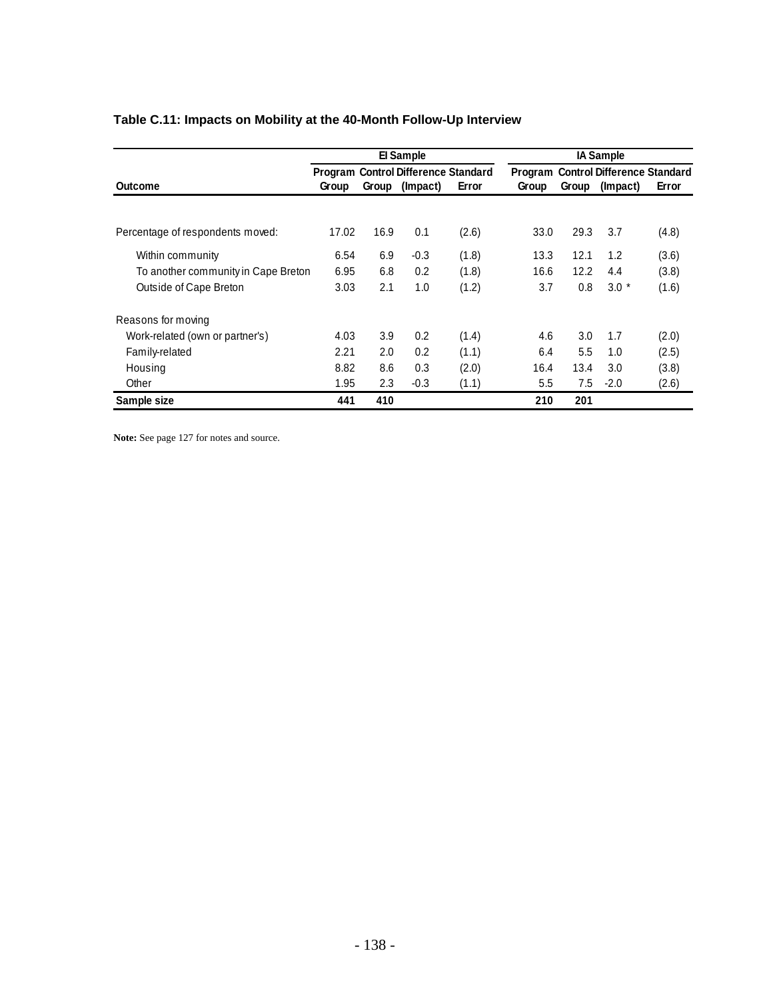|                                     |       |       | El Sample                                  |       |                                            |       | <b>IA Sample</b> |       |  |
|-------------------------------------|-------|-------|--------------------------------------------|-------|--------------------------------------------|-------|------------------|-------|--|
|                                     |       |       | <b>Program Control Difference Standard</b> |       | <b>Program Control Difference Standard</b> |       |                  |       |  |
| Outcome                             | Group | Group | (Impact)                                   | Error | Group                                      | Group | (Impact)         | Error |  |
|                                     |       |       |                                            |       |                                            |       |                  |       |  |
| Percentage of respondents moved:    | 17.02 | 16.9  | 0.1                                        | (2.6) | 33.0                                       | 29.3  | 3.7              | (4.8) |  |
| Within community                    | 6.54  | 6.9   | $-0.3$                                     | (1.8) | 13.3                                       | 12.1  | 1.2              | (3.6) |  |
| To another community in Cape Breton | 6.95  | 6.8   | 0.2                                        | (1.8) | 16.6                                       | 12.2  | 4.4              | (3.8) |  |
| Outside of Cape Breton              | 3.03  | 2.1   | 1.0                                        | (1.2) | 3.7                                        | 0.8   | $3.0*$           | (1.6) |  |
| Reasons for moving                  |       |       |                                            |       |                                            |       |                  |       |  |
| Work-related (own or partner's)     | 4.03  | 3.9   | 0.2                                        | (1.4) | 4.6                                        | 3.0   | 1.7              | (2.0) |  |
| Family-related                      | 2.21  | 2.0   | 0.2                                        | (1.1) | 6.4                                        | 5.5   | 1.0              | (2.5) |  |
| Housing                             | 8.82  | 8.6   | 0.3                                        | (2.0) | 16.4                                       | 13.4  | 3.0              | (3.8) |  |
| Other                               | 1.95  | 2.3   | $-0.3$                                     | (1.1) | 5.5                                        | 7.5   | $-2.0$           | (2.6) |  |
| Sample size                         | 441   | 410   |                                            |       | 210                                        | 201   |                  |       |  |

# **Table C.11: Impacts on Mobility at the 40-Month Follow-Up Interview**

Note: See page 127 for notes and source.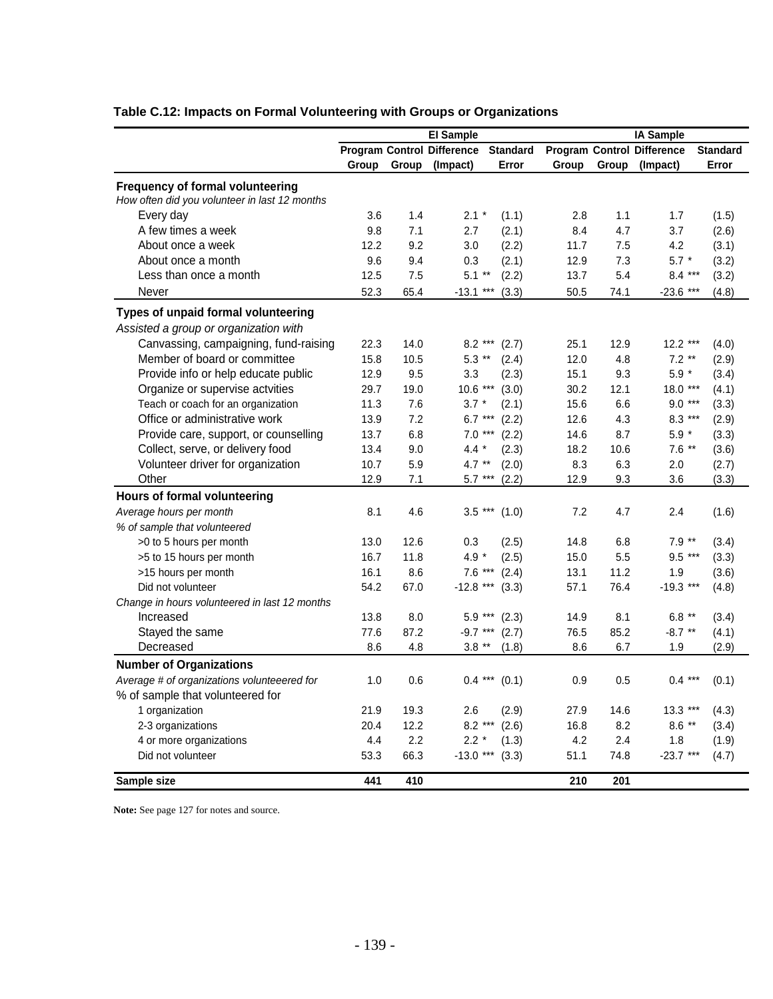|                                               |       | <b>El Sample</b> |                                   | IA Sample       |       |       |                                   |                 |
|-----------------------------------------------|-------|------------------|-----------------------------------|-----------------|-------|-------|-----------------------------------|-----------------|
|                                               |       |                  | <b>Program Control Difference</b> | <b>Standard</b> |       |       | <b>Program Control Difference</b> | <b>Standard</b> |
|                                               | Group | Group            | (Impact)                          | Error           | Group | Group | (Impact)                          | Error           |
| Frequency of formal volunteering              |       |                  |                                   |                 |       |       |                                   |                 |
| How often did you volunteer in last 12 months |       |                  |                                   |                 |       |       |                                   |                 |
| Every day                                     | 3.6   | 1.4              | $2.1 *$                           | (1.1)           | 2.8   | 1.1   | 1.7                               | (1.5)           |
| A few times a week                            | 9.8   | 7.1              | 2.7                               | (2.1)           | 8.4   | 4.7   | 3.7                               | (2.6)           |
| About once a week                             | 12.2  | 9.2              | 3.0                               | (2.2)           | 11.7  | 7.5   | 4.2                               | (3.1)           |
| About once a month                            | 9.6   | 9.4              | 0.3                               | (2.1)           | 12.9  | 7.3   | $5.7 *$                           | (3.2)           |
| Less than once a month                        | 12.5  | 7.5              | $5.1**$                           | (2.2)           | 13.7  | 5.4   | $8.4***$                          | (3.2)           |
| Never                                         | 52.3  | 65.4             | $-13.1$ ***                       | (3.3)           | 50.5  | 74.1  | $-23.6$ ***                       | (4.8)           |
|                                               |       |                  |                                   |                 |       |       |                                   |                 |
| Types of unpaid formal volunteering           |       |                  |                                   |                 |       |       |                                   |                 |
| Assisted a group or organization with         |       |                  |                                   |                 |       |       |                                   |                 |
| Canvassing, campaigning, fund-raising         | 22.3  | 14.0             | $8.2***$                          | (2.7)           | 25.1  | 12.9  | $12.2***$                         | (4.0)           |
| Member of board or committee                  | 15.8  | 10.5             | $5.3$ **                          | (2.4)           | 12.0  | 4.8   | $7.2$ **                          | (2.9)           |
| Provide info or help educate public           | 12.9  | 9.5              | 3.3                               | (2.3)           | 15.1  | 9.3   | $5.9 *$                           | (3.4)           |
| Organize or supervise actvities               | 29.7  | 19.0             | $10.6***$                         | (3.0)           | 30.2  | 12.1  | 18.0 ***                          | (4.1)           |
| Teach or coach for an organization            | 11.3  | 7.6              | $3.7 *$                           | (2.1)           | 15.6  | 6.6   | $9.0***$                          | (3.3)           |
| Office or administrative work                 | 13.9  | 7.2              | $6.7***$                          | (2.2)           | 12.6  | 4.3   | $8.3***$                          | (2.9)           |
| Provide care, support, or counselling         | 13.7  | 6.8              | $7.0***$                          | (2.2)           | 14.6  | 8.7   | $5.9$ $^{\star}$                  | (3.3)           |
| Collect, serve, or delivery food              | 13.4  | 9.0              | $4.4 *$                           | (2.3)           | 18.2  | 10.6  | $7.6$ **                          | (3.6)           |
| Volunteer driver for organization             | 10.7  | 5.9              | 4.7 $**$                          | (2.0)           | 8.3   | 6.3   | 2.0                               | (2.7)           |
| Other                                         | 12.9  | 7.1              | $5.7***$                          | (2.2)           | 12.9  | 9.3   | 3.6                               | (3.3)           |
| Hours of formal volunteering                  |       |                  |                                   |                 |       |       |                                   |                 |
| Average hours per month                       | 8.1   | 4.6              | $3.5***$                          | (1.0)           | 7.2   | 4.7   | 2.4                               | (1.6)           |
| % of sample that volunteered                  |       |                  |                                   |                 |       |       |                                   |                 |
| >0 to 5 hours per month                       | 13.0  | 12.6             | 0.3                               | (2.5)           | 14.8  | 6.8   | $7.9**$                           | (3.4)           |
| >5 to 15 hours per month                      | 16.7  | 11.8             | $4.9 *$                           | (2.5)           | 15.0  | 5.5   | 9.5 ***                           | (3.3)           |
| >15 hours per month                           | 16.1  | 8.6              | $7.6***$                          | (2.4)           | 13.1  | 11.2  | 1.9                               | (3.6)           |
| Did not volunteer                             | 54.2  | 67.0             | $-12.8$ ***                       | (3.3)           | 57.1  | 76.4  | $-19.3$ ***                       | (4.8)           |
| Change in hours volunteered in last 12 months |       |                  |                                   |                 |       |       |                                   |                 |
| Increased                                     | 13.8  | 8.0              | $5.9***$                          | (2.3)           | 14.9  | 8.1   | 6.8 $**$                          | (3.4)           |
| Stayed the same                               | 77.6  | 87.2             | $-9.7***$                         | (2.7)           | 76.5  | 85.2  | $-8.7$ **                         | (4.1)           |
| Decreased                                     | 8.6   | 4.8              | $3.8$ **                          | (1.8)           | 8.6   | 6.7   | 1.9                               | (2.9)           |
| <b>Number of Organizations</b>                |       |                  |                                   |                 |       |       |                                   |                 |
| Average # of organizations volunteeered for   | 1.0   | 0.6              |                                   | $0.4***$ (0.1)  | 0.9   | 0.5   | $0.4***$                          | (0.1)           |
| % of sample that volunteered for              |       |                  |                                   |                 |       |       |                                   |                 |
| 1 organization                                | 21.9  | 19.3             | 2.6                               | (2.9)           | 27.9  | 14.6  | $13.3***$                         | (4.3)           |
| 2-3 organizations                             | 20.4  | 12.2             | $8.2***$                          | (2.6)           | 16.8  | 8.2   | $8.6$ **                          | (3.4)           |
| 4 or more organizations                       | 4.4   | 2.2              | $2.2*$                            | (1.3)           | 4.2   | 2.4   | 1.8                               | (1.9)           |
| Did not volunteer                             | 53.3  | 66.3             | $-13.0$ ***                       | (3.3)           | 51.1  | 74.8  | $-23.7***$                        | (4.7)           |
| Sample size                                   | 441   | 410              |                                   |                 | 210   | 201   |                                   |                 |

# **Table C.12: Impacts on Formal Volunteering with Groups or Organizations**

**Note:** See page 127 for notes and source.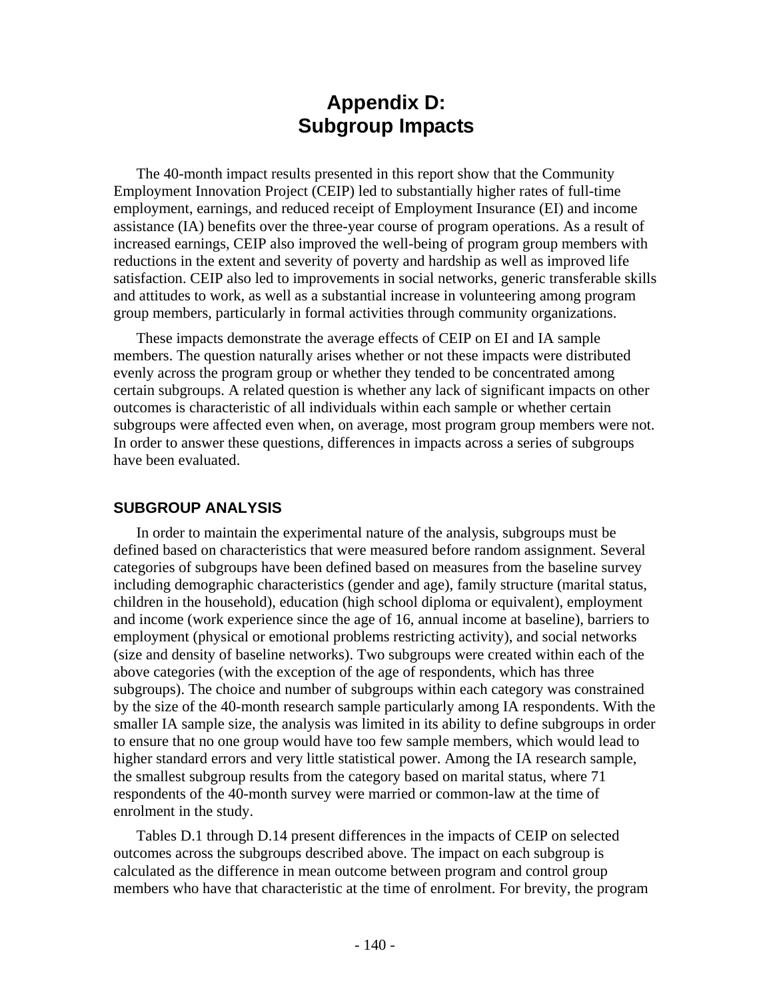# **Appendix D: Subgroup Impacts**

The 40-month impact results presented in this report show that the Community Employment Innovation Project (CEIP) led to substantially higher rates of full-time employment, earnings, and reduced receipt of Employment Insurance (EI) and income assistance (IA) benefits over the three-year course of program operations. As a result of increased earnings, CEIP also improved the well-being of program group members with reductions in the extent and severity of poverty and hardship as well as improved life satisfaction. CEIP also led to improvements in social networks, generic transferable skills and attitudes to work, as well as a substantial increase in volunteering among program group members, particularly in formal activities through community organizations.

These impacts demonstrate the average effects of CEIP on EI and IA sample members. The question naturally arises whether or not these impacts were distributed evenly across the program group or whether they tended to be concentrated among certain subgroups. A related question is whether any lack of significant impacts on other outcomes is characteristic of all individuals within each sample or whether certain subgroups were affected even when, on average, most program group members were not. In order to answer these questions, differences in impacts across a series of subgroups have been evaluated.

## **SUBGROUP ANALYSIS**

In order to maintain the experimental nature of the analysis, subgroups must be defined based on characteristics that were measured before random assignment. Several categories of subgroups have been defined based on measures from the baseline survey including demographic characteristics (gender and age), family structure (marital status, children in the household), education (high school diploma or equivalent), employment and income (work experience since the age of 16, annual income at baseline), barriers to employment (physical or emotional problems restricting activity), and social networks (size and density of baseline networks). Two subgroups were created within each of the above categories (with the exception of the age of respondents, which has three subgroups). The choice and number of subgroups within each category was constrained by the size of the 40-month research sample particularly among IA respondents. With the smaller IA sample size, the analysis was limited in its ability to define subgroups in order to ensure that no one group would have too few sample members, which would lead to higher standard errors and very little statistical power. Among the IA research sample, the smallest subgroup results from the category based on marital status, where 71 respondents of the 40-month survey were married or common-law at the time of enrolment in the study.

Tables D.1 through D.14 present differences in the impacts of CEIP on selected outcomes across the subgroups described above. The impact on each subgroup is calculated as the difference in mean outcome between program and control group members who have that characteristic at the time of enrolment. For brevity, the program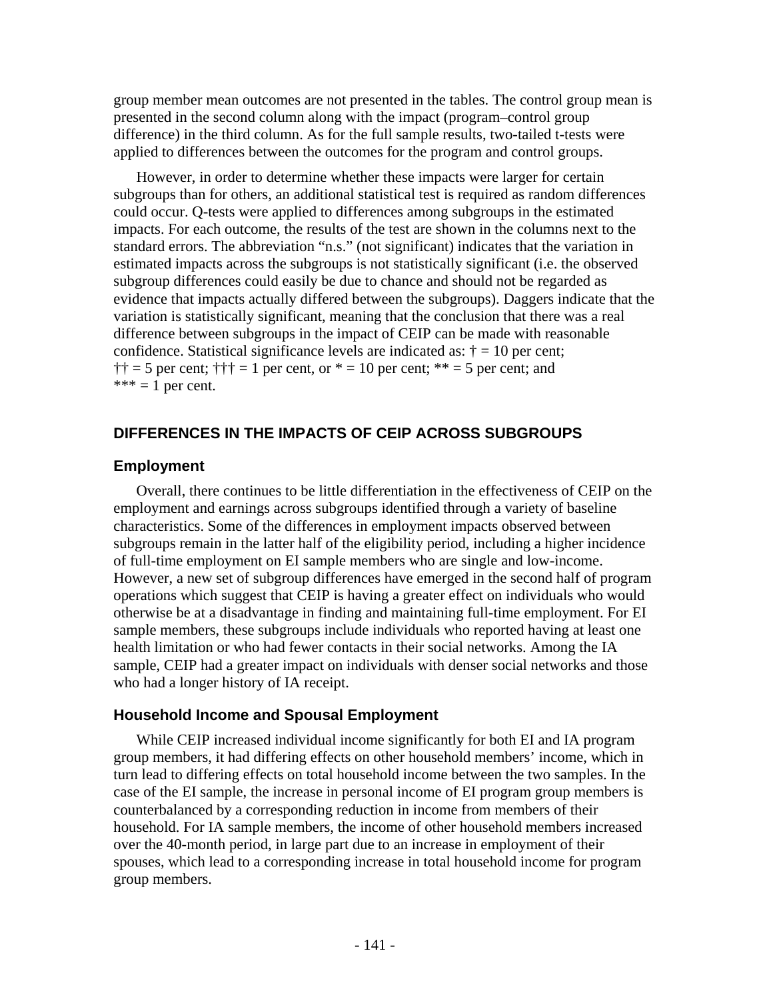group member mean outcomes are not presented in the tables. The control group mean is presented in the second column along with the impact (program–control group difference) in the third column. As for the full sample results, two-tailed t-tests were applied to differences between the outcomes for the program and control groups.

However, in order to determine whether these impacts were larger for certain subgroups than for others, an additional statistical test is required as random differences could occur. Q-tests were applied to differences among subgroups in the estimated impacts. For each outcome, the results of the test are shown in the columns next to the standard errors. The abbreviation "n.s." (not significant) indicates that the variation in estimated impacts across the subgroups is not statistically significant (i.e. the observed subgroup differences could easily be due to chance and should not be regarded as evidence that impacts actually differed between the subgroups). Daggers indicate that the variation is statistically significant, meaning that the conclusion that there was a real difference between subgroups in the impact of CEIP can be made with reasonable confidence. Statistical significance levels are indicated as:  $\dagger = 10$  per cent;  $\dagger \dagger = 5$  per cent;  $\dagger \dagger \dagger = 1$  per cent, or  $* = 10$  per cent; \*\* = 5 per cent; and  $*** = 1$  per cent.

## **DIFFERENCES IN THE IMPACTS OF CEIP ACROSS SUBGROUPS**

#### **Employment**

Overall, there continues to be little differentiation in the effectiveness of CEIP on the employment and earnings across subgroups identified through a variety of baseline characteristics. Some of the differences in employment impacts observed between subgroups remain in the latter half of the eligibility period, including a higher incidence of full-time employment on EI sample members who are single and low-income. However, a new set of subgroup differences have emerged in the second half of program operations which suggest that CEIP is having a greater effect on individuals who would otherwise be at a disadvantage in finding and maintaining full-time employment. For EI sample members, these subgroups include individuals who reported having at least one health limitation or who had fewer contacts in their social networks. Among the IA sample, CEIP had a greater impact on individuals with denser social networks and those who had a longer history of IA receipt.

### **Household Income and Spousal Employment**

While CEIP increased individual income significantly for both EI and IA program group members, it had differing effects on other household members' income, which in turn lead to differing effects on total household income between the two samples. In the case of the EI sample, the increase in personal income of EI program group members is counterbalanced by a corresponding reduction in income from members of their household. For IA sample members, the income of other household members increased over the 40-month period, in large part due to an increase in employment of their spouses, which lead to a corresponding increase in total household income for program group members.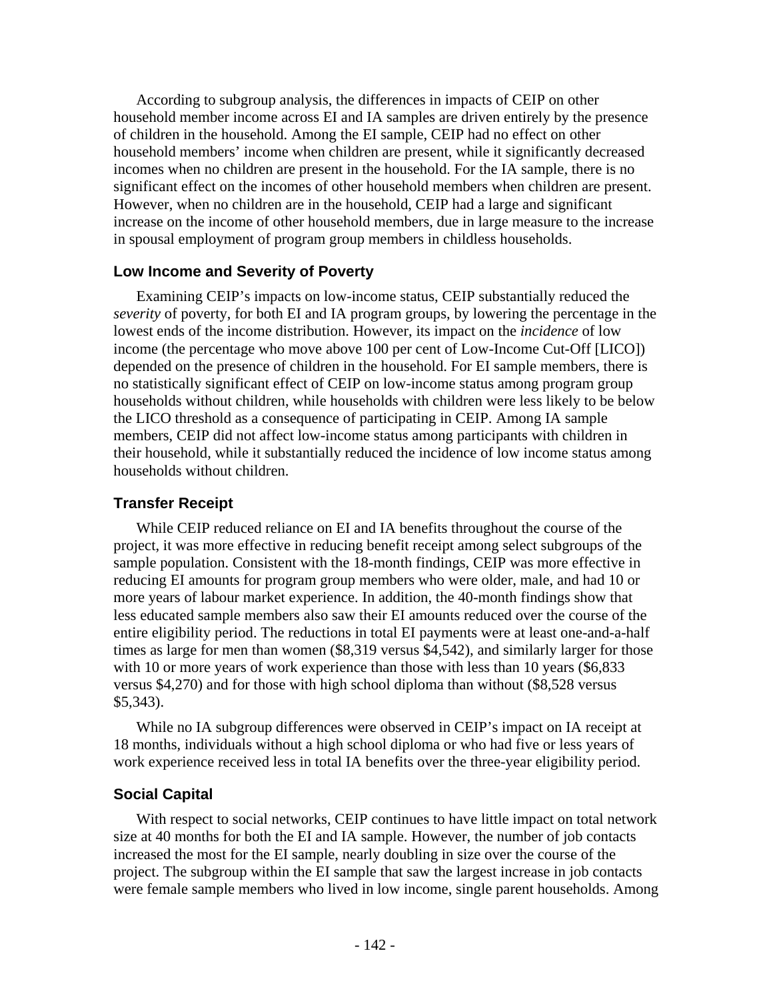According to subgroup analysis, the differences in impacts of CEIP on other household member income across EI and IA samples are driven entirely by the presence of children in the household. Among the EI sample, CEIP had no effect on other household members' income when children are present, while it significantly decreased incomes when no children are present in the household. For the IA sample, there is no significant effect on the incomes of other household members when children are present. However, when no children are in the household, CEIP had a large and significant increase on the income of other household members, due in large measure to the increase in spousal employment of program group members in childless households.

### **Low Income and Severity of Poverty**

Examining CEIP's impacts on low-income status, CEIP substantially reduced the *severity* of poverty, for both EI and IA program groups, by lowering the percentage in the lowest ends of the income distribution. However, its impact on the *incidence* of low income (the percentage who move above 100 per cent of Low-Income Cut-Off [LICO]) depended on the presence of children in the household. For EI sample members, there is no statistically significant effect of CEIP on low-income status among program group households without children, while households with children were less likely to be below the LICO threshold as a consequence of participating in CEIP. Among IA sample members, CEIP did not affect low-income status among participants with children in their household, while it substantially reduced the incidence of low income status among households without children.

#### **Transfer Receipt**

While CEIP reduced reliance on EI and IA benefits throughout the course of the project, it was more effective in reducing benefit receipt among select subgroups of the sample population. Consistent with the 18-month findings, CEIP was more effective in reducing EI amounts for program group members who were older, male, and had 10 or more years of labour market experience. In addition, the 40-month findings show that less educated sample members also saw their EI amounts reduced over the course of the entire eligibility period. The reductions in total EI payments were at least one-and-a-half times as large for men than women (\$8,319 versus \$4,542), and similarly larger for those with 10 or more years of work experience than those with less than 10 years (\$6,833) versus \$4,270) and for those with high school diploma than without (\$8,528 versus \$5,343).

While no IA subgroup differences were observed in CEIP's impact on IA receipt at 18 months, individuals without a high school diploma or who had five or less years of work experience received less in total IA benefits over the three-year eligibility period.

## **Social Capital**

With respect to social networks, CEIP continues to have little impact on total network size at 40 months for both the EI and IA sample. However, the number of job contacts increased the most for the EI sample, nearly doubling in size over the course of the project. The subgroup within the EI sample that saw the largest increase in job contacts were female sample members who lived in low income, single parent households. Among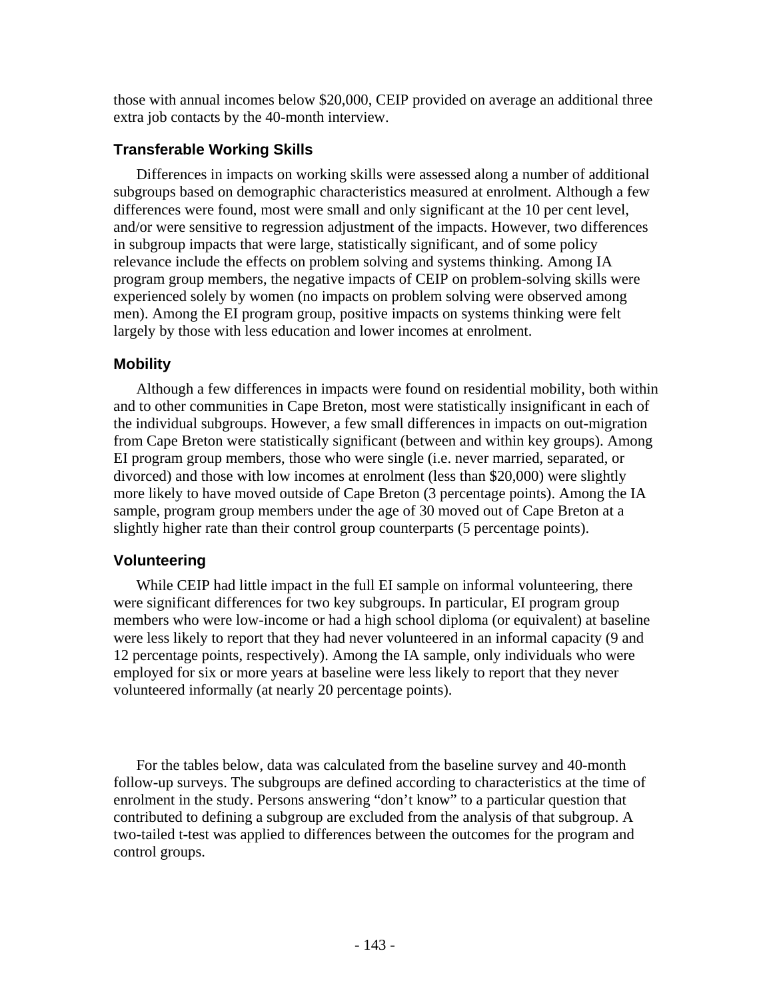those with annual incomes below \$20,000, CEIP provided on average an additional three extra job contacts by the 40-month interview.

# **Transferable Working Skills**

Differences in impacts on working skills were assessed along a number of additional subgroups based on demographic characteristics measured at enrolment. Although a few differences were found, most were small and only significant at the 10 per cent level, and/or were sensitive to regression adjustment of the impacts. However, two differences in subgroup impacts that were large, statistically significant, and of some policy relevance include the effects on problem solving and systems thinking. Among IA program group members, the negative impacts of CEIP on problem-solving skills were experienced solely by women (no impacts on problem solving were observed among men). Among the EI program group, positive impacts on systems thinking were felt largely by those with less education and lower incomes at enrolment.

## **Mobility**

Although a few differences in impacts were found on residential mobility, both within and to other communities in Cape Breton, most were statistically insignificant in each of the individual subgroups. However, a few small differences in impacts on out-migration from Cape Breton were statistically significant (between and within key groups). Among EI program group members, those who were single (i.e. never married, separated, or divorced) and those with low incomes at enrolment (less than \$20,000) were slightly more likely to have moved outside of Cape Breton (3 percentage points). Among the IA sample, program group members under the age of 30 moved out of Cape Breton at a slightly higher rate than their control group counterparts (5 percentage points).

# **Volunteering**

While CEIP had little impact in the full EI sample on informal volunteering*,* there were significant differences for two key subgroups. In particular, EI program group members who were low-income or had a high school diploma (or equivalent) at baseline were less likely to report that they had never volunteered in an informal capacity (9 and 12 percentage points, respectively). Among the IA sample, only individuals who were employed for six or more years at baseline were less likely to report that they never volunteered informally (at nearly 20 percentage points).

For the tables below, data was calculated from the baseline survey and 40-month follow-up surveys. The subgroups are defined according to characteristics at the time of enrolment in the study. Persons answering "don't know" to a particular question that contributed to defining a subgroup are excluded from the analysis of that subgroup. A two-tailed t-test was applied to differences between the outcomes for the program and control groups.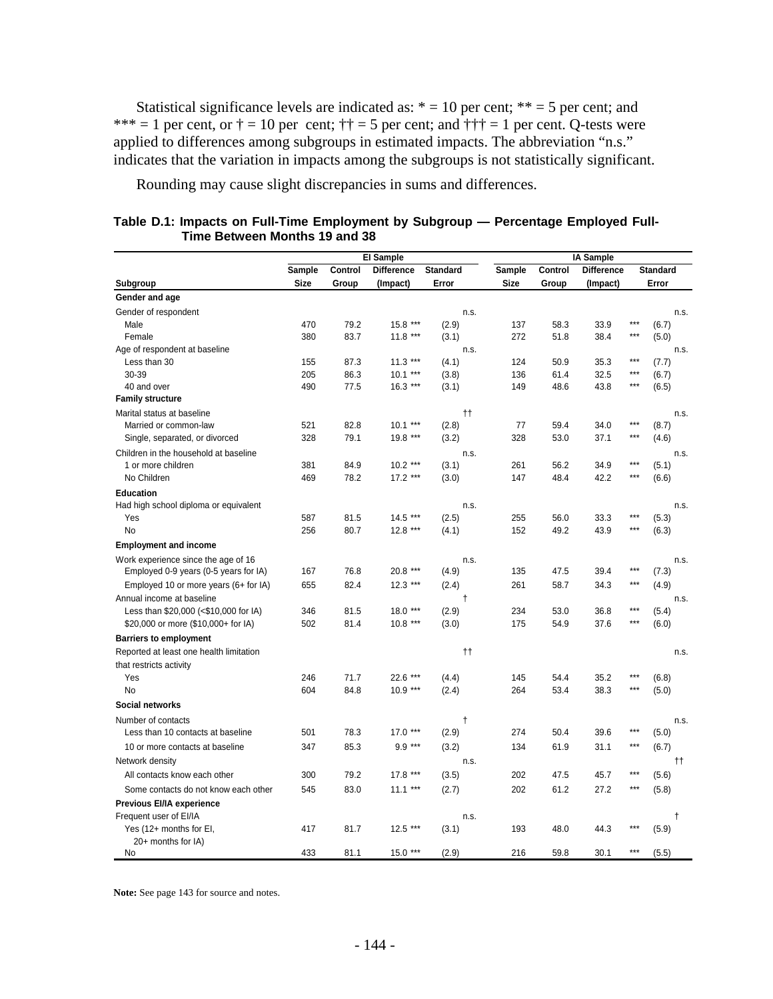Statistical significance levels are indicated as:  $* = 10$  per cent;  $** = 5$  per cent; and \*\*\* = 1 per cent, or  $\dagger$  = 10 per cent;  $\dagger \dagger$  = 5 per cent; and  $\dagger \dagger \dagger$  = 1 per cent. Q-tests were applied to differences among subgroups in estimated impacts. The abbreviation "n.s." indicates that the variation in impacts among the subgroups is not statistically significant.

Rounding may cause slight discrepancies in sums and differences.

|                                         |             |         | <b>El Sample</b>  |                     | <b>IA Sample</b> |         |                   |       |                 |  |  |
|-----------------------------------------|-------------|---------|-------------------|---------------------|------------------|---------|-------------------|-------|-----------------|--|--|
|                                         | Sample      | Control | <b>Difference</b> | <b>Standard</b>     | Sample           | Control | <b>Difference</b> |       | <b>Standard</b> |  |  |
| Subgroup                                | <b>Size</b> | Group   | (Impact)          | Error               | <b>Size</b>      | Group   | (Impact)          |       | Error           |  |  |
| Gender and age                          |             |         |                   |                     |                  |         |                   |       |                 |  |  |
| Gender of respondent                    |             |         |                   | n.s.                |                  |         |                   |       | n.s.            |  |  |
| Male                                    | 470         | 79.2    | $15.8***$         | (2.9)               | 137              | 58.3    | 33.9              | $***$ | (6.7)           |  |  |
| Female                                  | 380         | 83.7    | $11.8***$         | (3.1)               | 272              | 51.8    | 38.4              | $***$ | (5.0)           |  |  |
| Age of respondent at baseline           |             |         |                   | n.s.                |                  |         |                   |       | n.s.            |  |  |
| Less than 30                            | 155         | 87.3    | $11.3***$         | (4.1)               | 124              | 50.9    | 35.3              | $***$ | (7.7)           |  |  |
| 30-39                                   | 205         | 86.3    | $10.1***$         | (3.8)               | 136              | 61.4    | 32.5              | $***$ | (6.7)           |  |  |
| 40 and over                             | 490         | 77.5    | $16.3***$         | (3.1)               | 149              | 48.6    | 43.8              | $***$ | (6.5)           |  |  |
| <b>Family structure</b>                 |             |         |                   |                     |                  |         |                   |       |                 |  |  |
| Marital status at baseline              |             |         |                   | $^{\dagger\dagger}$ |                  |         |                   |       | n.s.            |  |  |
| Married or common-law                   | 521         | 82.8    | $10.1***$         | (2.8)               | 77               | 59.4    | 34.0              | ***   | (8.7)           |  |  |
| Single, separated, or divorced          | 328         | 79.1    | 19.8 ***          | (3.2)               | 328              | 53.0    | 37.1              | $***$ | (4.6)           |  |  |
| Children in the household at baseline   |             |         |                   | n.s.                |                  |         |                   |       | n.s.            |  |  |
| 1 or more children                      | 381         | 84.9    | $10.2***$         | (3.1)               | 261              | 56.2    | 34.9              | $***$ | (5.1)           |  |  |
| No Children                             | 469         | 78.2    | $17.2***$         | (3.0)               | 147              | 48.4    | 42.2              | $***$ | (6.6)           |  |  |
| <b>Education</b>                        |             |         |                   |                     |                  |         |                   |       |                 |  |  |
| Had high school diploma or equivalent   |             |         |                   | n.s.                |                  |         |                   |       | n.s.            |  |  |
| Yes                                     | 587         | 81.5    | $14.5***$         | (2.5)               | 255              | 56.0    | 33.3              | $***$ | (5.3)           |  |  |
| <b>No</b>                               | 256         | 80.7    | $12.8***$         | (4.1)               | 152              | 49.2    | 43.9              | $***$ | (6.3)           |  |  |
| <b>Employment and income</b>            |             |         |                   |                     |                  |         |                   |       |                 |  |  |
| Work experience since the age of 16     |             |         |                   | n.s.                |                  |         |                   |       | n.s.            |  |  |
| Employed 0-9 years (0-5 years for IA)   | 167         | 76.8    | 20.8 ***          | (4.9)               | 135              | 47.5    | 39.4              | ***   | (7.3)           |  |  |
| Employed 10 or more years (6+ for IA)   | 655         | 82.4    | $12.3***$         | (2.4)               | 261              | 58.7    | 34.3              | $***$ | (4.9)           |  |  |
| Annual income at baseline               |             |         |                   | $\ddagger$          |                  |         |                   |       | n.s.            |  |  |
| Less than \$20,000 (<\$10,000 for IA)   | 346         | 81.5    | $18.0***$         | (2.9)               | 234              | 53.0    | 36.8              | $***$ | (5.4)           |  |  |
| \$20,000 or more (\$10,000+ for IA)     | 502         | 81.4    | $10.8***$         | (3.0)               | 175              | 54.9    | 37.6              | $***$ | (6.0)           |  |  |
|                                         |             |         |                   |                     |                  |         |                   |       |                 |  |  |
| <b>Barriers to employment</b>           |             |         |                   |                     |                  |         |                   |       |                 |  |  |
| Reported at least one health limitation |             |         |                   | $^{\dagger\dagger}$ |                  |         |                   |       | n.s.            |  |  |
| that restricts activity<br>Yes          | 246         | 71.7    | 22.6 ***          |                     | 145              | 54.4    | 35.2              | $***$ | (6.8)           |  |  |
| No                                      | 604         | 84.8    | $10.9***$         | (4.4)<br>(2.4)      | 264              | 53.4    | 38.3              | ***   | (5.0)           |  |  |
|                                         |             |         |                   |                     |                  |         |                   |       |                 |  |  |
| Social networks                         |             |         |                   |                     |                  |         |                   |       |                 |  |  |
| Number of contacts                      |             |         |                   | $\ddagger$          |                  |         |                   |       | n.s.            |  |  |
| Less than 10 contacts at baseline       | 501         | 78.3    | $17.0***$         | (2.9)               | 274              | 50.4    | 39.6              | ***   | (5.0)           |  |  |
| 10 or more contacts at baseline         | 347         | 85.3    | $9.9***$          | (3.2)               | 134              | 61.9    | 31.1              | $***$ | (6.7)           |  |  |
| Network density                         |             |         |                   | n.s.                |                  |         |                   |       | tt.             |  |  |
| All contacts know each other            | 300         | 79.2    | $17.8***$         | (3.5)               | 202              | 47.5    | 45.7              | $***$ | (5.6)           |  |  |
| Some contacts do not know each other    | 545         | 83.0    | $11.1***$         | (2.7)               | 202              | 61.2    | 27.2              | $***$ | (5.8)           |  |  |
| Previous EI/IA experience               |             |         |                   |                     |                  |         |                   |       |                 |  |  |
| Frequent user of EI/IA                  |             |         |                   | n.s.                |                  |         |                   |       | $\ddagger$      |  |  |
| Yes (12+ months for EI,                 | 417         | 81.7    | $12.5***$         | (3.1)               | 193              | 48.0    | 44.3              | ***   | (5.9)           |  |  |
| 20+ months for IA)                      |             |         |                   |                     |                  |         |                   |       |                 |  |  |
| No                                      | 433         | 81.1    | $15.0***$         | (2.9)               | 216              | 59.8    | 30.1              | $***$ | (5.5)           |  |  |

| Table D.1: Impacts on Full-Time Employment by Subgroup — Percentage Employed Full- |  |  |
|------------------------------------------------------------------------------------|--|--|
| Time Between Months 19 and 38                                                      |  |  |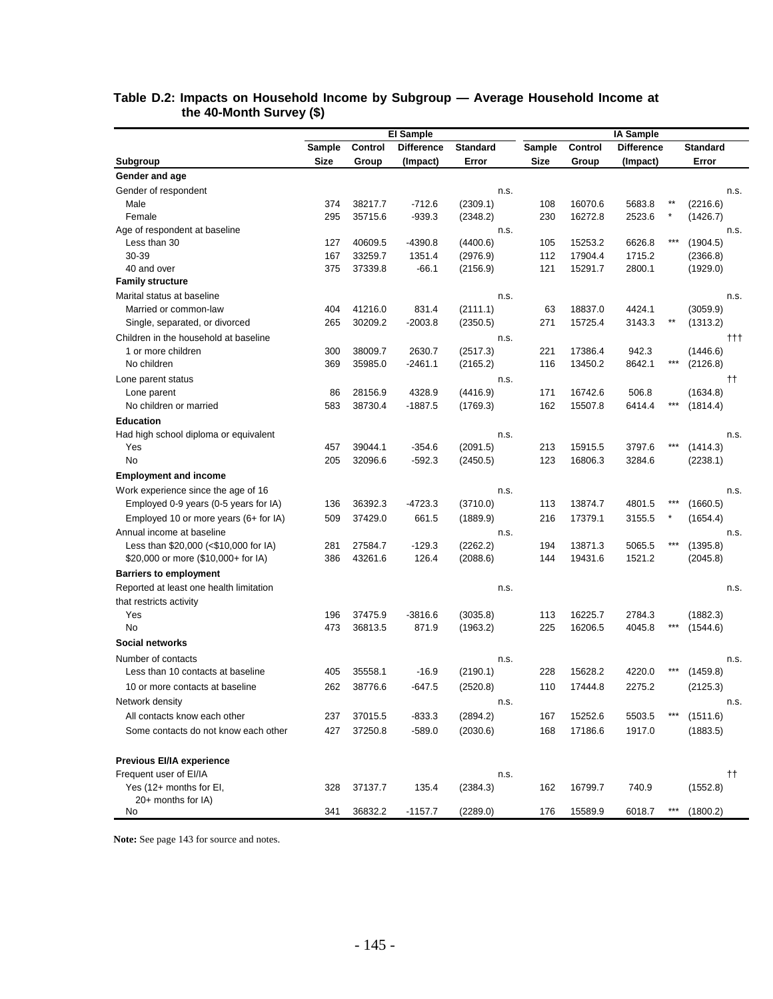|                                         |               |         | <b>El Sample</b>  |                 |             |         | <b>IA Sample</b>  |     |                 |      |
|-----------------------------------------|---------------|---------|-------------------|-----------------|-------------|---------|-------------------|-----|-----------------|------|
|                                         | <b>Sample</b> | Control | <b>Difference</b> | <b>Standard</b> | Sample      | Control | <b>Difference</b> |     | <b>Standard</b> |      |
| Subgroup                                | Size          | Group   | (Impact)          | Error           | <b>Size</b> | Group   | (Impact)          |     | Error           |      |
| Gender and age                          |               |         |                   |                 |             |         |                   |     |                 |      |
| Gender of respondent                    |               |         |                   | n.s.            |             |         |                   |     |                 | n.s. |
| Male                                    | 374           | 38217.7 | $-712.6$          | (2309.1)        | 108         | 16070.6 | 5683.8            |     | (2216.6)        |      |
| Female                                  | 295           | 35715.6 | $-939.3$          | (2348.2)        | 230         | 16272.8 | 2523.6            |     | (1426.7)        |      |
| Age of respondent at baseline           |               |         |                   | n.s.            |             |         |                   |     |                 | n.s. |
| Less than 30                            | 127           | 40609.5 | $-4390.8$         | (4400.6)        | 105         | 15253.2 | 6626.8            | *** | (1904.5)        |      |
| 30-39                                   | 167           | 33259.7 | 1351.4            | (2976.9)        | 112         | 17904.4 | 1715.2            |     | (2366.8)        |      |
| 40 and over                             | 375           | 37339.8 | $-66.1$           | (2156.9)        | 121         | 15291.7 | 2800.1            |     | (1929.0)        |      |
| <b>Family structure</b>                 |               |         |                   |                 |             |         |                   |     |                 |      |
| Marital status at baseline              |               |         |                   | n.s.            |             |         |                   |     |                 | n.s. |
| Married or common-law                   | 404           | 41216.0 | 831.4             | (2111.1)        | 63          | 18837.0 | 4424.1            |     | (3059.9)        |      |
| Single, separated, or divorced          | 265           | 30209.2 | $-2003.8$         | (2350.5)        | 271         | 15725.4 | 3143.3            |     | (1313.2)        |      |
| Children in the household at baseline   |               |         |                   | n.s.            |             |         |                   |     |                 | †††  |
| 1 or more children                      | 300           | 38009.7 | 2630.7            | (2517.3)        | 221         | 17386.4 | 942.3             |     | (1446.6)        |      |
| No children                             | 369           | 35985.0 | $-2461.1$         | (2165.2)        | 116         | 13450.2 | 8642.1            |     | (2126.8)        |      |
| Lone parent status                      |               |         |                   | n.s.            |             |         |                   |     |                 | tt.  |
| Lone parent                             | 86            | 28156.9 | 4328.9            | (4416.9)        | 171         | 16742.6 | 506.8             |     | (1634.8)        |      |
| No children or married                  | 583           | 38730.4 | $-1887.5$         | (1769.3)        | 162         | 15507.8 | 6414.4            | *** | (1814.4)        |      |
| <b>Education</b>                        |               |         |                   |                 |             |         |                   |     |                 |      |
| Had high school diploma or equivalent   |               |         |                   | n.s.            |             |         |                   |     |                 | n.s. |
| Yes                                     | 457           | 39044.1 | $-354.6$          | (2091.5)        | 213         | 15915.5 | 3797.6            |     | (1414.3)        |      |
| No                                      | 205           | 32096.6 | $-592.3$          | (2450.5)        | 123         | 16806.3 | 3284.6            |     | (2238.1)        |      |
| <b>Employment and income</b>            |               |         |                   |                 |             |         |                   |     |                 |      |
| Work experience since the age of 16     |               |         |                   | n.s.            |             |         |                   |     |                 | n.s. |
| Employed 0-9 years (0-5 years for IA)   | 136           | 36392.3 | -4723.3           | (3710.0)        | 113         | 13874.7 | 4801.5            |     | (1660.5)        |      |
| Employed 10 or more years (6+ for IA)   | 509           | 37429.0 | 661.5             | (1889.9)        | 216         | 17379.1 | 3155.5            |     | (1654.4)        |      |
| Annual income at baseline               |               |         |                   | n.s.            |             |         |                   |     |                 | n.s. |
| Less than \$20,000 (<\$10,000 for IA)   | 281           | 27584.7 | $-129.3$          | (2262.2)        | 194         | 13871.3 | 5065.5            |     | (1395.8)        |      |
| \$20,000 or more (\$10,000+ for IA)     | 386           | 43261.6 | 126.4             | (2088.6)        | 144         | 19431.6 | 1521.2            |     | (2045.8)        |      |
| <b>Barriers to employment</b>           |               |         |                   |                 |             |         |                   |     |                 |      |
| Reported at least one health limitation |               |         |                   | n.s.            |             |         |                   |     |                 | n.s. |
| that restricts activity                 |               |         |                   |                 |             |         |                   |     |                 |      |
| Yes                                     | 196           | 37475.9 | $-3816.6$         | (3035.8)        | 113         | 16225.7 | 2784.3            |     | (1882.3)        |      |
| No                                      | 473           | 36813.5 | 871.9             | (1963.2)        | 225         | 16206.5 | 4045.8            |     | (1544.6)        |      |
| <b>Social networks</b>                  |               |         |                   |                 |             |         |                   |     |                 |      |
| Number of contacts                      |               |         |                   | n.s.            |             |         |                   |     |                 | n.s. |
| Less than 10 contacts at baseline       | 405           | 35558.1 | $-16.9$           | (2190.1)        | 228         | 15628.2 | 4220.0            |     | (1459.8)        |      |
| 10 or more contacts at baseline         | 262           | 38776.6 | -647.5            | (2520.8)        | 110         | 17444.8 | 2275.2            |     | (2125.3)        |      |
| Network density                         |               |         |                   | n.s.            |             |         |                   |     |                 | n.s. |
| All contacts know each other            | 237           | 37015.5 | $-833.3$          | (2894.2)        | 167         | 15252.6 | 5503.5            | *** | (1511.6)        |      |
| Some contacts do not know each other    | 427           | 37250.8 | $-589.0$          | (2030.6)        | 168         | 17186.6 | 1917.0            |     | (1883.5)        |      |
|                                         |               |         |                   |                 |             |         |                   |     |                 |      |
| Previous EI/IA experience               |               |         |                   |                 |             |         |                   |     |                 |      |
| Frequent user of EI/IA                  |               |         |                   | n.s.            |             |         |                   |     |                 |      |
| Yes (12+ months for EI,                 | 328           | 37137.7 | 135.4             | (2384.3)        | 162         | 16799.7 | 740.9             |     | (1552.8)        | tt.  |
| 20+ months for IA)                      |               |         |                   |                 |             |         |                   |     |                 |      |
| No                                      | 341           | 36832.2 | $-1157.7$         | (2289.0)        | 176         | 15589.9 | 6018.7            |     | (1800.2)        |      |

#### **Table D.2: Impacts on Household Income by Subgroup — Average Household Income at the 40-Month Survey (\$)**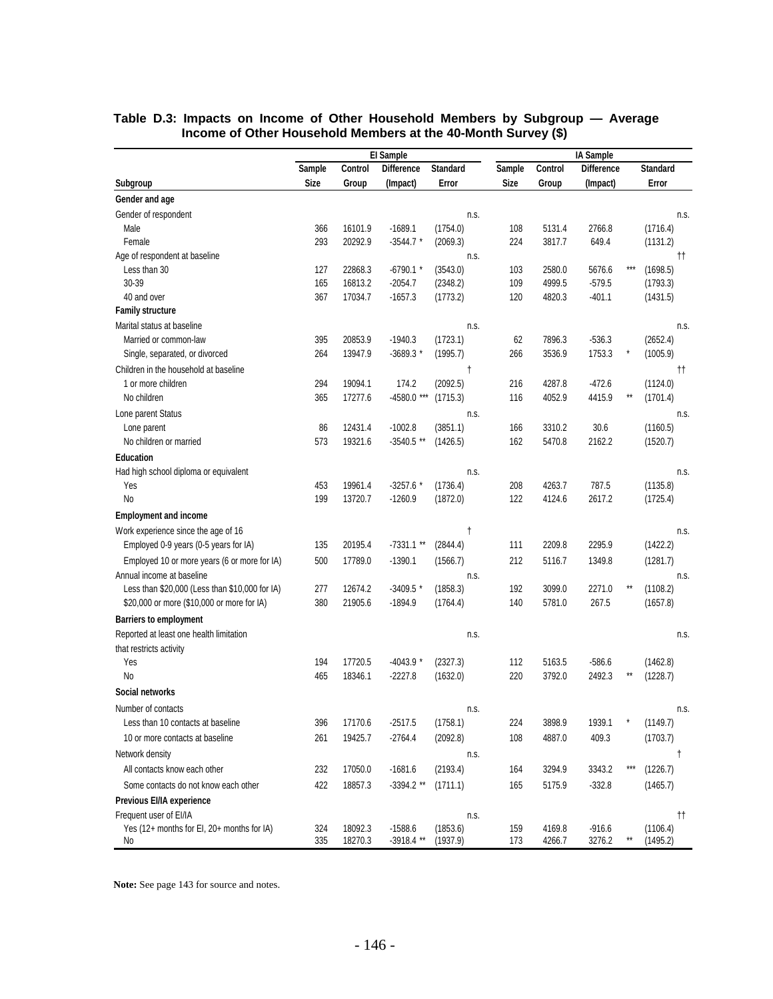|                                                | El Sample   |         |              |                 |             |         | <b>IA Sample</b>  |                 |                 |                     |  |  |  |
|------------------------------------------------|-------------|---------|--------------|-----------------|-------------|---------|-------------------|-----------------|-----------------|---------------------|--|--|--|
|                                                | Sample      | Control | Difference   | <b>Standard</b> | Sample      | Control | <b>Difference</b> |                 | <b>Standard</b> |                     |  |  |  |
| Subgroup                                       | <b>Size</b> | Group   | (Impact)     | Error           | <b>Size</b> | Group   | (Impact)          |                 | Error           |                     |  |  |  |
| Gender and age                                 |             |         |              |                 |             |         |                   |                 |                 |                     |  |  |  |
| Gender of respondent                           |             |         |              | n.s.            |             |         |                   |                 |                 | n.s.                |  |  |  |
| Male                                           | 366         | 16101.9 | $-1689.1$    | (1754.0)        | 108         | 5131.4  | 2766.8            |                 | (1716.4)        |                     |  |  |  |
| Female                                         | 293         | 20292.9 | $-3544.7$ *  | (2069.3)        | 224         | 3817.7  | 649.4             |                 | (1131.2)        |                     |  |  |  |
| Age of respondent at baseline                  |             |         |              | n.s.            |             |         |                   |                 |                 | $^{\dagger\dagger}$ |  |  |  |
| Less than 30                                   | 127         | 22868.3 | $-6790.1$ *  | (3543.0)        | 103         | 2580.0  | 5676.6            | ***             | (1698.5)        |                     |  |  |  |
| 30-39                                          | 165         | 16813.2 | $-2054.7$    | (2348.2)        | 109         | 4999.5  | $-579.5$          |                 | (1793.3)        |                     |  |  |  |
| 40 and over                                    | 367         | 17034.7 | $-1657.3$    | (1773.2)        | 120         | 4820.3  | $-401.1$          |                 | (1431.5)        |                     |  |  |  |
| <b>Family structure</b>                        |             |         |              |                 |             |         |                   |                 |                 |                     |  |  |  |
| Marital status at baseline                     |             |         |              | n.s.            |             |         |                   |                 |                 | n.s.                |  |  |  |
| Married or common-law                          | 395         | 20853.9 | $-1940.3$    | (1723.1)        | 62          | 7896.3  | $-536.3$          |                 | (2652.4)        |                     |  |  |  |
| Single, separated, or divorced                 | 264         | 13947.9 | $-3689.3*$   | (1995.7)        | 266         | 3536.9  | 1753.3            |                 | (1005.9)        |                     |  |  |  |
| Children in the household at baseline          |             |         |              | $^{\dagger}$    |             |         |                   |                 |                 | $^{\dagger\dagger}$ |  |  |  |
| 1 or more children                             | 294         | 19094.1 | 174.2        | (2092.5)        | 216         | 4287.8  | $-472.6$          |                 | (1124.0)        |                     |  |  |  |
| No children                                    | 365         | 17277.6 | -4580.0 ***  | (1715.3)        | 116         | 4052.9  | 4415.9            | $\star\star$    | (1701.4)        |                     |  |  |  |
| Lone parent Status                             |             |         |              | n.s.            |             |         |                   |                 |                 | n.s.                |  |  |  |
| Lone parent                                    | 86          | 12431.4 | $-1002.8$    | (3851.1)        | 166         | 3310.2  | 30.6              |                 | (1160.5)        |                     |  |  |  |
| No children or married                         | 573         | 19321.6 | $-3540.5$ ** | (1426.5)        | 162         | 5470.8  | 2162.2            |                 | (1520.7)        |                     |  |  |  |
| <b>Education</b>                               |             |         |              |                 |             |         |                   |                 |                 |                     |  |  |  |
| Had high school diploma or equivalent          |             |         |              | n.s.            |             |         |                   |                 |                 | n.s.                |  |  |  |
| Yes                                            | 453         | 19961.4 | $-3257.6*$   | (1736.4)        | 208         | 4263.7  | 787.5             |                 | (1135.8)        |                     |  |  |  |
| <b>No</b>                                      | 199         | 13720.7 | $-1260.9$    | (1872.0)        | 122         | 4124.6  | 2617.2            |                 | (1725.4)        |                     |  |  |  |
| <b>Employment and income</b>                   |             |         |              |                 |             |         |                   |                 |                 |                     |  |  |  |
| Work experience since the age of 16            |             |         |              | $^\dagger$      |             |         |                   |                 |                 | n.s.                |  |  |  |
| Employed 0-9 years (0-5 years for IA)          | 135         | 20195.4 | $-7331.1$ ** | (2844.4)        | 111         | 2209.8  | 2295.9            |                 | (1422.2)        |                     |  |  |  |
| Employed 10 or more years (6 or more for IA)   | 500         | 17789.0 | $-1390.1$    | (1566.7)        | 212         | 5116.7  | 1349.8            |                 | (1281.7)        |                     |  |  |  |
| Annual income at baseline                      |             |         |              | n.s.            |             |         |                   |                 |                 | n.s.                |  |  |  |
| Less than \$20,000 (Less than \$10,000 for IA) | 277         | 12674.2 | $-3409.5$ *  | (1858.3)        | 192         | 3099.0  | 2271.0            | $\star\star$    | (1108.2)        |                     |  |  |  |
| \$20,000 or more (\$10,000 or more for IA)     | 380         | 21905.6 | $-1894.9$    | (1764.4)        | 140         | 5781.0  | 267.5             |                 | (1657.8)        |                     |  |  |  |
| <b>Barriers to employment</b>                  |             |         |              |                 |             |         |                   |                 |                 |                     |  |  |  |
| Reported at least one health limitation        |             |         |              | n.s.            |             |         |                   |                 |                 | n.s.                |  |  |  |
| that restricts activity                        |             |         |              |                 |             |         |                   |                 |                 |                     |  |  |  |
| Yes                                            | 194         | 17720.5 | $-4043.9$ *  | (2327.3)        | 112         | 5163.5  | $-586.6$          |                 | (1462.8)        |                     |  |  |  |
| <b>No</b>                                      | 465         | 18346.1 | $-2227.8$    | (1632.0)        | 220         | 3792.0  | 2492.3            | $\star\star$    | (1228.7)        |                     |  |  |  |
| Social networks                                |             |         |              |                 |             |         |                   |                 |                 |                     |  |  |  |
| Number of contacts                             |             |         |              | n.s.            |             |         |                   |                 |                 | n.s.                |  |  |  |
| Less than 10 contacts at baseline              | 396         | 17170.6 | $-2517.5$    | (1758.1)        | 224         | 3898.9  | 1939.1            | $^\star$        | (1149.7)        |                     |  |  |  |
| 10 or more contacts at baseline                | 261         | 19425.7 | $-2764.4$    | (2092.8)        | 108         | 4887.0  | 409.3             |                 | (1703.7)        |                     |  |  |  |
| Network density                                |             |         |              | n.s.            |             |         |                   |                 |                 | Ť                   |  |  |  |
| All contacts know each other                   | 232         | 17050.0 | $-1681.6$    | (2193.4)        | 164         | 3294.9  | 3343.2            | ***             | (1226.7)        |                     |  |  |  |
| Some contacts do not know each other           | 422         | 18857.3 | $-3394.2$ ** | (1711.1)        | 165         | 5175.9  | $-332.8$          |                 | (1465.7)        |                     |  |  |  |
| <b>Previous EI/IA experience</b>               |             |         |              |                 |             |         |                   |                 |                 |                     |  |  |  |
| Frequent user of EI/IA                         |             |         |              | n.s.            |             |         |                   |                 |                 | Ħ                   |  |  |  |
| Yes (12+ months for EI, 20+ months for IA)     | 324         | 18092.3 | $-1588.6$    | (1853.6)        | 159         | 4169.8  | $-916.6$          |                 | (1106.4)        |                     |  |  |  |
| No                                             | 335         | 18270.3 | $-3918.4$ ** | (1937.9)        | 173         | 4266.7  | 3276.2            | $^{\star\star}$ | (1495.2)        |                     |  |  |  |

#### **Table D.3: Impacts on Income of Other Household Members by Subgroup — Average Income of Other Household Members at the 40-Month Survey (\$)**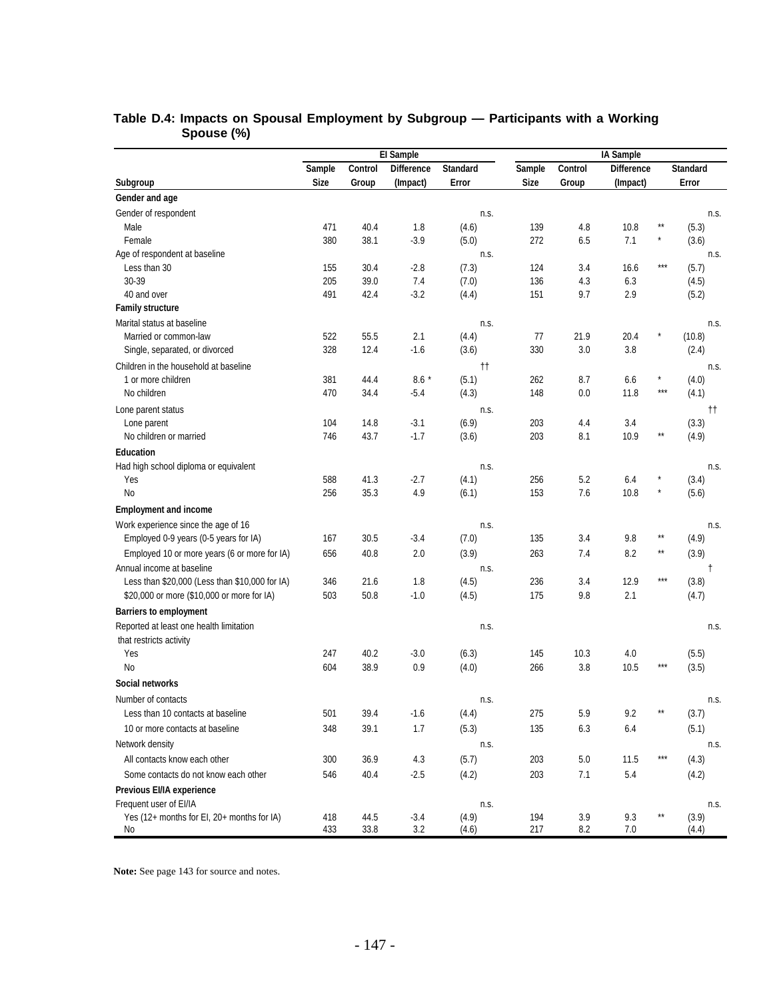|                                                | El Sample   |         |                   |                 |             |         | IA Sample         |                  |                 |  |  |  |  |
|------------------------------------------------|-------------|---------|-------------------|-----------------|-------------|---------|-------------------|------------------|-----------------|--|--|--|--|
|                                                | Sample      | Control | <b>Difference</b> | <b>Standard</b> | Sample      | Control | <b>Difference</b> |                  | <b>Standard</b> |  |  |  |  |
| Subgroup                                       | <b>Size</b> | Group   | (Impact)          | Error           | <b>Size</b> | Group   | (Impact)          |                  | Error           |  |  |  |  |
| Gender and age                                 |             |         |                   |                 |             |         |                   |                  |                 |  |  |  |  |
| Gender of respondent                           |             |         |                   | n.s.            |             |         |                   |                  | n.s.            |  |  |  |  |
| Male                                           | 471         | 40.4    | 1.8               | (4.6)           | 139         | 4.8     | 10.8              |                  | (5.3)           |  |  |  |  |
| Female                                         | 380         | 38.1    | $-3.9$            | (5.0)           | 272         | 6.5     | 7.1               |                  | (3.6)           |  |  |  |  |
| Age of respondent at baseline                  |             |         |                   | n.s.            |             |         |                   |                  | n.s.            |  |  |  |  |
| Less than 30                                   | 155         | 30.4    | $-2.8$            | (7.3)           | 124         | 3.4     | 16.6              | $***$            | (5.7)           |  |  |  |  |
| 30-39                                          | 205         | 39.0    | 7.4               | (7.0)           | 136         | 4.3     | 6.3               |                  | (4.5)           |  |  |  |  |
| 40 and over                                    | 491         | 42.4    | $-3.2$            | (4.4)           | 151         | 9.7     | 2.9               |                  | (5.2)           |  |  |  |  |
| <b>Family structure</b>                        |             |         |                   |                 |             |         |                   |                  |                 |  |  |  |  |
| Marital status at baseline                     |             |         |                   | n.s.            |             |         |                   |                  | n.s.            |  |  |  |  |
| Married or common-law                          | 522         | 55.5    | 2.1               | (4.4)           | 77          | 21.9    | 20.4              |                  | (10.8)          |  |  |  |  |
| Single, separated, or divorced                 | 328         | 12.4    | $-1.6$            | (3.6)           | 330         | 3.0     | 3.8               |                  | (2.4)           |  |  |  |  |
| Children in the household at baseline          |             |         |                   | tt.             |             |         |                   |                  | n.s.            |  |  |  |  |
| 1 or more children                             | 381         | 44.4    | $8.6*$            | (5.1)           | 262         | 8.7     | 6.6               | $\star$<br>$***$ | (4.0)           |  |  |  |  |
| No children                                    | 470         | 34.4    | $-5.4$            | (4.3)           | 148         | 0.0     | 11.8              |                  | (4.1)           |  |  |  |  |
| Lone parent status                             |             |         |                   | n.s.            |             |         |                   |                  | tt.             |  |  |  |  |
| Lone parent                                    | 104         | 14.8    | $-3.1$            | (6.9)           | 203         | 4.4     | 3.4               | $\star\star$     | (3.3)           |  |  |  |  |
| No children or married                         | 746         | 43.7    | $-1.7$            | (3.6)           | 203         | 8.1     | 10.9              |                  | (4.9)           |  |  |  |  |
| <b>Education</b>                               |             |         |                   |                 |             |         |                   |                  |                 |  |  |  |  |
| Had high school diploma or equivalent          |             |         |                   | n.s.            |             |         |                   |                  | n.s.            |  |  |  |  |
| Yes                                            | 588         | 41.3    | $-2.7$            | (4.1)           | 256         | 5.2     | 6.4               | $\star$          | (3.4)           |  |  |  |  |
| <b>No</b>                                      | 256         | 35.3    | 4.9               | (6.1)           | 153         | 7.6     | 10.8              |                  | (5.6)           |  |  |  |  |
| <b>Employment and income</b>                   |             |         |                   |                 |             |         |                   |                  |                 |  |  |  |  |
| Work experience since the age of 16            |             |         |                   | n.s.            |             |         |                   |                  | n.s.            |  |  |  |  |
| Employed 0-9 years (0-5 years for IA)          | 167         | 30.5    | $-3.4$            | (7.0)           | 135         | 3.4     | 9.8               | $^{\star\star}$  | (4.9)           |  |  |  |  |
| Employed 10 or more years (6 or more for IA)   | 656         | 40.8    | 2.0               | (3.9)           | 263         | 7.4     | 8.2               | $\star\star$     | (3.9)           |  |  |  |  |
| Annual income at baseline                      |             |         |                   | n.s.            |             |         |                   |                  | Ť               |  |  |  |  |
| Less than \$20,000 (Less than \$10,000 for IA) | 346         | 21.6    | 1.8               | (4.5)           | 236         | 3.4     | 12.9              | $***$            | (3.8)           |  |  |  |  |
| \$20,000 or more (\$10,000 or more for IA)     | 503         | 50.8    | $-1.0$            | (4.5)           | 175         | 9.8     | 2.1               |                  | (4.7)           |  |  |  |  |
| <b>Barriers to employment</b>                  |             |         |                   |                 |             |         |                   |                  |                 |  |  |  |  |
| Reported at least one health limitation        |             |         |                   | n.s.            |             |         |                   |                  | n.s.            |  |  |  |  |
| that restricts activity                        |             |         |                   |                 |             |         |                   |                  |                 |  |  |  |  |
| Yes                                            | 247         | 40.2    | $-3.0$            | (6.3)           | 145         | 10.3    | 4.0               | $***$            | (5.5)           |  |  |  |  |
| <b>No</b>                                      | 604         | 38.9    | 0.9               | (4.0)           | 266         | 3.8     | 10.5              |                  | (3.5)           |  |  |  |  |
| Social networks                                |             |         |                   |                 |             |         |                   |                  |                 |  |  |  |  |
| Number of contacts                             |             |         |                   | n.s.            |             |         |                   |                  | n.s.            |  |  |  |  |
| Less than 10 contacts at baseline              | 501         | 39.4    | $-1.6$            | (4.4)           | 275         | 5.9     | 9.2               |                  | (3.7)           |  |  |  |  |
| 10 or more contacts at baseline                | 348         | 39.1    | 1.7               | (5.3)           | 135         | 6.3     | 6.4               |                  | (5.1)           |  |  |  |  |
| Network density                                |             |         |                   | n.s.            |             |         |                   |                  | n.s.            |  |  |  |  |
| All contacts know each other                   | 300         | 36.9    | 4.3               | (5.7)           | 203         | $5.0\,$ | 11.5              | $***$            | (4.3)           |  |  |  |  |
| Some contacts do not know each other           | 546         | 40.4    | $-2.5$            | (4.2)           | 203         | $7.1$   | 5.4               |                  | (4.2)           |  |  |  |  |
| Previous EI/IA experience                      |             |         |                   |                 |             |         |                   |                  |                 |  |  |  |  |
| Frequent user of EI/IA                         |             |         |                   | n.s.            |             |         |                   |                  | n.s.            |  |  |  |  |
| Yes (12+ months for El, 20+ months for IA)     | 418         | 44.5    | $-3.4$            | (4.9)           | 194         | 3.9     | 9.3               | $^{\star\star}$  | (3.9)           |  |  |  |  |
| No                                             | 433         | 33.8    | 3.2               | (4.6)           | 217         | 8.2     | 7.0               |                  | (4.4)           |  |  |  |  |

### **Table D.4: Impacts on Spousal Employment by Subgroup — Participants with a Working Spouse (%)**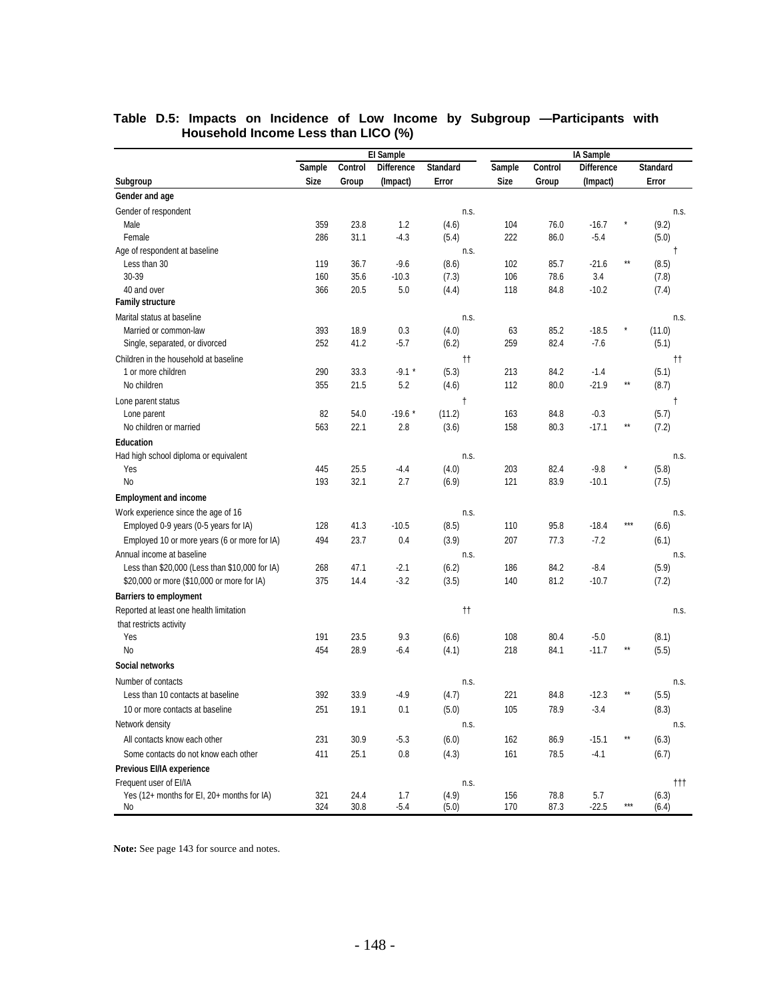|                                                  | El Sample   |              |                   |                     |            |         | IA Sample         |                 |                 |  |  |  |  |
|--------------------------------------------------|-------------|--------------|-------------------|---------------------|------------|---------|-------------------|-----------------|-----------------|--|--|--|--|
|                                                  | Sample      | Control      | <b>Difference</b> | <b>Standard</b>     | Sample     | Control | <b>Difference</b> |                 | <b>Standard</b> |  |  |  |  |
| Subgroup                                         | <b>Size</b> | Group        | (Impact)          | Error               | Size       | Group   | (Impact)          |                 | Error           |  |  |  |  |
| Gender and age                                   |             |              |                   |                     |            |         |                   |                 |                 |  |  |  |  |
| Gender of respondent                             |             |              |                   | n.s.                |            |         |                   |                 | n.s.            |  |  |  |  |
| Male                                             | 359         | 23.8         | 1.2               | (4.6)               | 104        | 76.0    | $-16.7$           |                 | (9.2)           |  |  |  |  |
| Female                                           | 286         | 31.1         | $-4.3$            | (5.4)               | 222        | 86.0    | $-5.4$            |                 | (5.0)           |  |  |  |  |
| Age of respondent at baseline                    |             |              |                   | n.s.                |            |         |                   |                 | Ť               |  |  |  |  |
| Less than 30                                     | 119         | 36.7         | $-9.6$            | (8.6)               | 102        | 85.7    | $-21.6$           | $\star\star$    | (8.5)           |  |  |  |  |
| 30-39                                            | 160         | 35.6         | $-10.3$           | (7.3)               | 106        | 78.6    | 3.4               |                 | (7.8)           |  |  |  |  |
| 40 and over                                      | 366         | 20.5         | 5.0               | (4.4)               | 118        | 84.8    | $-10.2$           |                 | (7.4)           |  |  |  |  |
| <b>Family structure</b>                          |             |              |                   |                     |            |         |                   |                 |                 |  |  |  |  |
| Marital status at baseline                       |             |              |                   | n.s.                |            |         |                   |                 | n.s.            |  |  |  |  |
| Married or common-law                            | 393         | 18.9         | 0.3               | (4.0)               | 63         | 85.2    | $-18.5$           |                 | (11.0)          |  |  |  |  |
| Single, separated, or divorced                   | 252         | 41.2         | $-5.7$            | (6.2)               | 259        | 82.4    | $-7.6$            |                 | (5.1)           |  |  |  |  |
| Children in the household at baseline            |             |              |                   | $^{\dagger\dagger}$ |            |         |                   |                 | tt.             |  |  |  |  |
| 1 or more children                               | 290         | 33.3         | $-9.1$ *          | (5.3)               | 213        | 84.2    | $-1.4$            |                 | (5.1)           |  |  |  |  |
| No children                                      | 355         | 21.5         | 5.2               | (4.6)               | 112        | 80.0    | $-21.9$           | $\star\star$    | (8.7)           |  |  |  |  |
| Lone parent status                               |             |              |                   | $\ddagger$          |            |         |                   |                 | $\ddagger$      |  |  |  |  |
| Lone parent                                      | 82          | 54.0         | $-19.6*$          | (11.2)              | 163        | 84.8    | $-0.3$            |                 | (5.7)           |  |  |  |  |
| No children or married                           | 563         | 22.1         | 2.8               | (3.6)               | 158        | 80.3    | $-17.1$           | $***$           | (7.2)           |  |  |  |  |
| <b>Education</b>                                 |             |              |                   |                     |            |         |                   |                 |                 |  |  |  |  |
| Had high school diploma or equivalent            |             |              |                   | n.s.                |            |         |                   |                 | n.s.            |  |  |  |  |
| Yes                                              | 445         | 25.5         | $-4.4$            | (4.0)               | 203        | 82.4    | $-9.8$            |                 | (5.8)           |  |  |  |  |
| No                                               | 193         | 32.1         | 2.7               | (6.9)               | 121        | 83.9    | $-10.1$           |                 | (7.5)           |  |  |  |  |
| <b>Employment and income</b>                     |             |              |                   |                     |            |         |                   |                 |                 |  |  |  |  |
| Work experience since the age of 16              |             |              |                   | n.s.                |            |         |                   |                 | n.s.            |  |  |  |  |
| Employed 0-9 years (0-5 years for IA)            | 128         | 41.3         | $-10.5$           | (8.5)               | 110        | 95.8    | $-18.4$           | $***$           | (6.6)           |  |  |  |  |
| Employed 10 or more years (6 or more for IA)     | 494         | 23.7         | 0.4               | (3.9)               | 207        | 77.3    | $-7.2$            |                 | (6.1)           |  |  |  |  |
| Annual income at baseline                        |             |              |                   | n.s.                |            |         |                   |                 | n.s.            |  |  |  |  |
| Less than \$20,000 (Less than \$10,000 for IA)   | 268         | 47.1         | $-2.1$            | (6.2)               | 186        | 84.2    | $-8.4$            |                 | (5.9)           |  |  |  |  |
| \$20,000 or more (\$10,000 or more for IA)       | 375         | 14.4         | $-3.2$            | (3.5)               | 140        | 81.2    | $-10.7$           |                 | (7.2)           |  |  |  |  |
| <b>Barriers to employment</b>                    |             |              |                   |                     |            |         |                   |                 |                 |  |  |  |  |
| Reported at least one health limitation          |             |              |                   | tt.                 |            |         |                   |                 | n.s.            |  |  |  |  |
| that restricts activity                          |             |              |                   |                     |            |         |                   |                 |                 |  |  |  |  |
| Yes                                              | 191         | 23.5         | 9.3               | (6.6)               | 108        | 80.4    | $-5.0$            |                 | (8.1)           |  |  |  |  |
| No                                               | 454         | 28.9         | $-6.4$            | (4.1)               | 218        | 84.1    | $-11.7$           | $***$           | (5.5)           |  |  |  |  |
| Social networks                                  |             |              |                   |                     |            |         |                   |                 |                 |  |  |  |  |
| Number of contacts                               |             |              |                   | n.s.                |            |         |                   |                 | n.s.            |  |  |  |  |
| Less than 10 contacts at baseline                | 392         | 33.9         | $-4.9$            | (4.7)               | 221        | 84.8    | $-12.3$           | **              | (5.5)           |  |  |  |  |
| 10 or more contacts at baseline                  | 251         | 19.1         | 0.1               | (5.0)               | 105        | 78.9    | $-3.4$            |                 | (8.3)           |  |  |  |  |
| Network density                                  |             |              |                   | n.s.                |            |         |                   |                 | n.s.            |  |  |  |  |
| All contacts know each other                     | 231         | 30.9         | $-5.3$            | (6.0)               | 162        | 86.9    | $-15.1$           | $^{\star\star}$ | (6.3)           |  |  |  |  |
| Some contacts do not know each other             | 411         |              |                   |                     | 161        |         |                   |                 |                 |  |  |  |  |
|                                                  |             | 25.1         | $0.8\,$           | (4.3)               |            | 78.5    | $-4.1$            |                 | (6.7)           |  |  |  |  |
| Previous EI/IA experience                        |             |              |                   |                     |            |         |                   |                 |                 |  |  |  |  |
| Frequent user of EI/IA                           |             |              |                   | n.s.                |            | 78.8    |                   |                 | †††             |  |  |  |  |
| Yes (12+ months for EI, 20+ months for IA)<br>No | 321<br>324  | 24.4<br>30.8 | 1.7<br>$-5.4$     | (4.9)<br>(5.0)      | 156<br>170 | 87.3    | 5.7<br>$-22.5$    | $***$           | (6.3)<br>(6.4)  |  |  |  |  |

#### **Table D.5: Impacts on Incidence of Low Income by Subgroup —Participants with Household Income Less than LICO (%)**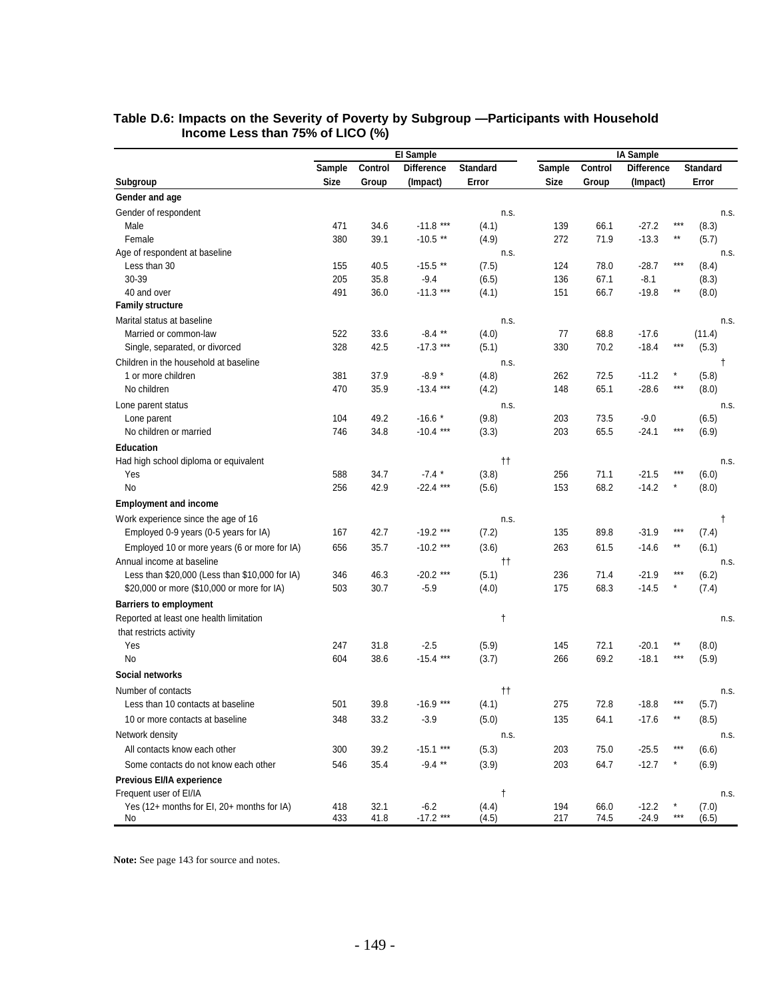| Control<br>Standard<br>Control<br><b>Difference</b><br><b>Standard</b><br>Sample<br><b>Difference</b><br>Sample<br><b>Size</b><br>Error<br><b>Size</b><br>Error<br>Subgroup<br>Group<br>(Impact)<br>Group<br>(Impact)<br>Gender and age<br>Gender of respondent<br>n.s.<br>Male<br>471<br>34.6<br>$-11.8$ ***<br>139<br>66.1<br>$-27.2$<br>***<br>(4.1)<br>(8.3)<br>**<br>380<br>39.1<br>$-10.5$ **<br>272<br>71.9<br>$-13.3$<br>Female<br>(4.9)<br>(5.7)<br>Age of respondent at baseline<br>n.s.<br>$***$<br>40.5<br>$-15.5$ **<br>124<br>78.0<br>$-28.7$<br>Less than 30<br>155<br>(7.5)<br>(8.4)<br>30-39<br>205<br>35.8<br>$-9.4$<br>(6.5)<br>136<br>67.1<br>$-8.1$<br>(8.3)<br>$-11.3***$<br>$\star\star$<br>40 and over<br>491<br>151<br>66.7<br>$-19.8$<br>36.0<br>(4.1)<br>(8.0)<br><b>Family structure</b><br>Marital status at baseline<br>n.s.<br>522<br>33.6<br>$-8.4**$<br>77<br>68.8<br>$-17.6$<br>Married or common-law<br>(4.0)<br>(11.4)<br>$-17.3$ ***<br>$***$<br>328<br>42.5<br>(5.1)<br>330<br>70.2<br>$-18.4$<br>(5.3)<br>Single, separated, or divorced<br>Children in the household at baseline<br>n.s. |      |
|----------------------------------------------------------------------------------------------------------------------------------------------------------------------------------------------------------------------------------------------------------------------------------------------------------------------------------------------------------------------------------------------------------------------------------------------------------------------------------------------------------------------------------------------------------------------------------------------------------------------------------------------------------------------------------------------------------------------------------------------------------------------------------------------------------------------------------------------------------------------------------------------------------------------------------------------------------------------------------------------------------------------------------------------------------------------------------------------------------------------------------|------|
|                                                                                                                                                                                                                                                                                                                                                                                                                                                                                                                                                                                                                                                                                                                                                                                                                                                                                                                                                                                                                                                                                                                                  |      |
|                                                                                                                                                                                                                                                                                                                                                                                                                                                                                                                                                                                                                                                                                                                                                                                                                                                                                                                                                                                                                                                                                                                                  |      |
|                                                                                                                                                                                                                                                                                                                                                                                                                                                                                                                                                                                                                                                                                                                                                                                                                                                                                                                                                                                                                                                                                                                                  |      |
|                                                                                                                                                                                                                                                                                                                                                                                                                                                                                                                                                                                                                                                                                                                                                                                                                                                                                                                                                                                                                                                                                                                                  | n.s. |
|                                                                                                                                                                                                                                                                                                                                                                                                                                                                                                                                                                                                                                                                                                                                                                                                                                                                                                                                                                                                                                                                                                                                  |      |
|                                                                                                                                                                                                                                                                                                                                                                                                                                                                                                                                                                                                                                                                                                                                                                                                                                                                                                                                                                                                                                                                                                                                  |      |
|                                                                                                                                                                                                                                                                                                                                                                                                                                                                                                                                                                                                                                                                                                                                                                                                                                                                                                                                                                                                                                                                                                                                  | n.s. |
|                                                                                                                                                                                                                                                                                                                                                                                                                                                                                                                                                                                                                                                                                                                                                                                                                                                                                                                                                                                                                                                                                                                                  |      |
|                                                                                                                                                                                                                                                                                                                                                                                                                                                                                                                                                                                                                                                                                                                                                                                                                                                                                                                                                                                                                                                                                                                                  |      |
|                                                                                                                                                                                                                                                                                                                                                                                                                                                                                                                                                                                                                                                                                                                                                                                                                                                                                                                                                                                                                                                                                                                                  |      |
|                                                                                                                                                                                                                                                                                                                                                                                                                                                                                                                                                                                                                                                                                                                                                                                                                                                                                                                                                                                                                                                                                                                                  |      |
|                                                                                                                                                                                                                                                                                                                                                                                                                                                                                                                                                                                                                                                                                                                                                                                                                                                                                                                                                                                                                                                                                                                                  | n.s. |
|                                                                                                                                                                                                                                                                                                                                                                                                                                                                                                                                                                                                                                                                                                                                                                                                                                                                                                                                                                                                                                                                                                                                  |      |
|                                                                                                                                                                                                                                                                                                                                                                                                                                                                                                                                                                                                                                                                                                                                                                                                                                                                                                                                                                                                                                                                                                                                  |      |
|                                                                                                                                                                                                                                                                                                                                                                                                                                                                                                                                                                                                                                                                                                                                                                                                                                                                                                                                                                                                                                                                                                                                  | t    |
| $-8.9*$<br>*<br>1 or more children<br>381<br>37.9<br>262<br>72.5<br>$-11.2$<br>(5.8)<br>(4.8)                                                                                                                                                                                                                                                                                                                                                                                                                                                                                                                                                                                                                                                                                                                                                                                                                                                                                                                                                                                                                                    |      |
| $***$<br>$-13.4***$<br>No children<br>470<br>35.9<br>(4.2)<br>148<br>65.1<br>$-28.6$<br>(8.0)                                                                                                                                                                                                                                                                                                                                                                                                                                                                                                                                                                                                                                                                                                                                                                                                                                                                                                                                                                                                                                    |      |
| Lone parent status<br>n.s.                                                                                                                                                                                                                                                                                                                                                                                                                                                                                                                                                                                                                                                                                                                                                                                                                                                                                                                                                                                                                                                                                                       | n.s. |
| 49.2<br>$-16.6*$<br>Lone parent<br>104<br>(9.8)<br>203<br>73.5<br>$-9.0$<br>(6.5)                                                                                                                                                                                                                                                                                                                                                                                                                                                                                                                                                                                                                                                                                                                                                                                                                                                                                                                                                                                                                                                |      |
| $-10.4$ ***<br>$***$<br>746<br>34.8<br>(3.3)<br>203<br>65.5<br>$-24.1$<br>No children or married<br>(6.9)                                                                                                                                                                                                                                                                                                                                                                                                                                                                                                                                                                                                                                                                                                                                                                                                                                                                                                                                                                                                                        |      |
| <b>Education</b>                                                                                                                                                                                                                                                                                                                                                                                                                                                                                                                                                                                                                                                                                                                                                                                                                                                                                                                                                                                                                                                                                                                 |      |
| $^{\dagger\dagger}$<br>Had high school diploma or equivalent                                                                                                                                                                                                                                                                                                                                                                                                                                                                                                                                                                                                                                                                                                                                                                                                                                                                                                                                                                                                                                                                     | n.s. |
| ***<br>588<br>34.7<br>$-7.4$ *<br>(3.8)<br>256<br>71.1<br>$-21.5$<br>Yes<br>(6.0)                                                                                                                                                                                                                                                                                                                                                                                                                                                                                                                                                                                                                                                                                                                                                                                                                                                                                                                                                                                                                                                |      |
| $-22.4$ ***<br>68.2<br>No<br>256<br>42.9<br>(5.6)<br>153<br>$-14.2$<br>(8.0)                                                                                                                                                                                                                                                                                                                                                                                                                                                                                                                                                                                                                                                                                                                                                                                                                                                                                                                                                                                                                                                     |      |
| <b>Employment and income</b>                                                                                                                                                                                                                                                                                                                                                                                                                                                                                                                                                                                                                                                                                                                                                                                                                                                                                                                                                                                                                                                                                                     |      |
| Work experience since the age of 16<br>n.s.                                                                                                                                                                                                                                                                                                                                                                                                                                                                                                                                                                                                                                                                                                                                                                                                                                                                                                                                                                                                                                                                                      | t    |
| $***$<br>42.7<br>$-19.2$ ***<br>$-31.9$<br>Employed 0-9 years (0-5 years for IA)<br>167<br>(7.2)<br>135<br>89.8<br>(7.4)                                                                                                                                                                                                                                                                                                                                                                                                                                                                                                                                                                                                                                                                                                                                                                                                                                                                                                                                                                                                         |      |
| $-10.2$ ***<br>$^{\star\star}$<br>35.7<br>(3.6)<br>263<br>61.5<br>$-14.6$<br>(6.1)<br>Employed 10 or more years (6 or more for IA)<br>656                                                                                                                                                                                                                                                                                                                                                                                                                                                                                                                                                                                                                                                                                                                                                                                                                                                                                                                                                                                        |      |
| Annual income at baseline<br>$^{\dagger\dagger}$                                                                                                                                                                                                                                                                                                                                                                                                                                                                                                                                                                                                                                                                                                                                                                                                                                                                                                                                                                                                                                                                                 | n.s. |
| $-20.2$ ***<br>$***$<br>346<br>(5.1)<br>236<br>71.4<br>$-21.9$<br>Less than $$20,000$ (Less than $$10,000$ for IA)<br>46.3<br>(6.2)                                                                                                                                                                                                                                                                                                                                                                                                                                                                                                                                                                                                                                                                                                                                                                                                                                                                                                                                                                                              |      |
| 503<br>30.7<br>$-5.9$<br>(4.0)<br>175<br>68.3<br>$-14.5$<br>\$20,000 or more (\$10,000 or more for IA)<br>(7.4)                                                                                                                                                                                                                                                                                                                                                                                                                                                                                                                                                                                                                                                                                                                                                                                                                                                                                                                                                                                                                  |      |
| <b>Barriers to employment</b>                                                                                                                                                                                                                                                                                                                                                                                                                                                                                                                                                                                                                                                                                                                                                                                                                                                                                                                                                                                                                                                                                                    |      |
| Reported at least one health limitation<br>t                                                                                                                                                                                                                                                                                                                                                                                                                                                                                                                                                                                                                                                                                                                                                                                                                                                                                                                                                                                                                                                                                     | n.s. |
| that restricts activity                                                                                                                                                                                                                                                                                                                                                                                                                                                                                                                                                                                                                                                                                                                                                                                                                                                                                                                                                                                                                                                                                                          |      |
| $\star\star$<br>Yes<br>247<br>31.8<br>$-2.5$<br>(5.9)<br>145<br>72.1<br>$-20.1$<br>(8.0)                                                                                                                                                                                                                                                                                                                                                                                                                                                                                                                                                                                                                                                                                                                                                                                                                                                                                                                                                                                                                                         |      |
| $-15.4***$<br>$***$<br>No<br>604<br>38.6<br>(3.7)<br>266<br>69.2<br>$-18.1$<br>(5.9)                                                                                                                                                                                                                                                                                                                                                                                                                                                                                                                                                                                                                                                                                                                                                                                                                                                                                                                                                                                                                                             |      |
| Social networks                                                                                                                                                                                                                                                                                                                                                                                                                                                                                                                                                                                                                                                                                                                                                                                                                                                                                                                                                                                                                                                                                                                  |      |
| Number of contacts<br>††                                                                                                                                                                                                                                                                                                                                                                                                                                                                                                                                                                                                                                                                                                                                                                                                                                                                                                                                                                                                                                                                                                         | n.s. |
| $-16.9$ ***<br>$***$<br>275<br>72.8<br>Less than 10 contacts at baseline<br>501<br>39.8<br>(4.1)<br>$-18.8$<br>(5.7)                                                                                                                                                                                                                                                                                                                                                                                                                                                                                                                                                                                                                                                                                                                                                                                                                                                                                                                                                                                                             |      |
| 33.2<br>$^{\star\star}$<br>348<br>$-3.9$<br>(5.0)<br>64.1<br>$-17.6$<br>(8.5)<br>10 or more contacts at baseline<br>135                                                                                                                                                                                                                                                                                                                                                                                                                                                                                                                                                                                                                                                                                                                                                                                                                                                                                                                                                                                                          |      |
|                                                                                                                                                                                                                                                                                                                                                                                                                                                                                                                                                                                                                                                                                                                                                                                                                                                                                                                                                                                                                                                                                                                                  |      |
| Network density<br>n.s.<br>$***$                                                                                                                                                                                                                                                                                                                                                                                                                                                                                                                                                                                                                                                                                                                                                                                                                                                                                                                                                                                                                                                                                                 | n.s. |
| All contacts know each other<br>300<br>39.2<br>$-15.1***$<br>203<br>75.0<br>$-25.5$<br>(5.3)<br>(6.6)                                                                                                                                                                                                                                                                                                                                                                                                                                                                                                                                                                                                                                                                                                                                                                                                                                                                                                                                                                                                                            |      |
| $-9.4$ **<br>546<br>35.4<br>(3.9)<br>203<br>$-12.7$<br>(6.9)<br>Some contacts do not know each other<br>64.7                                                                                                                                                                                                                                                                                                                                                                                                                                                                                                                                                                                                                                                                                                                                                                                                                                                                                                                                                                                                                     |      |
| Previous EI/IA experience                                                                                                                                                                                                                                                                                                                                                                                                                                                                                                                                                                                                                                                                                                                                                                                                                                                                                                                                                                                                                                                                                                        |      |
| Frequent user of EI/IA<br>t                                                                                                                                                                                                                                                                                                                                                                                                                                                                                                                                                                                                                                                                                                                                                                                                                                                                                                                                                                                                                                                                                                      | n.s. |
| Yes (12+ months for EI, 20+ months for IA)<br>$-6.2$<br>(4.4)<br>$-12.2$<br>418<br>32.1<br>194<br>66.0<br>(7.0)<br>$***$<br>$-17.2$ ***<br>433<br>41.8<br>(4.5)<br>217<br>74.5<br>$-24.9$<br>(6.5)<br>No                                                                                                                                                                                                                                                                                                                                                                                                                                                                                                                                                                                                                                                                                                                                                                                                                                                                                                                         |      |

#### **Table D.6: Impacts on the Severity of Poverty by Subgroup —Participants with Household Income Less than 75% of LICO (%)**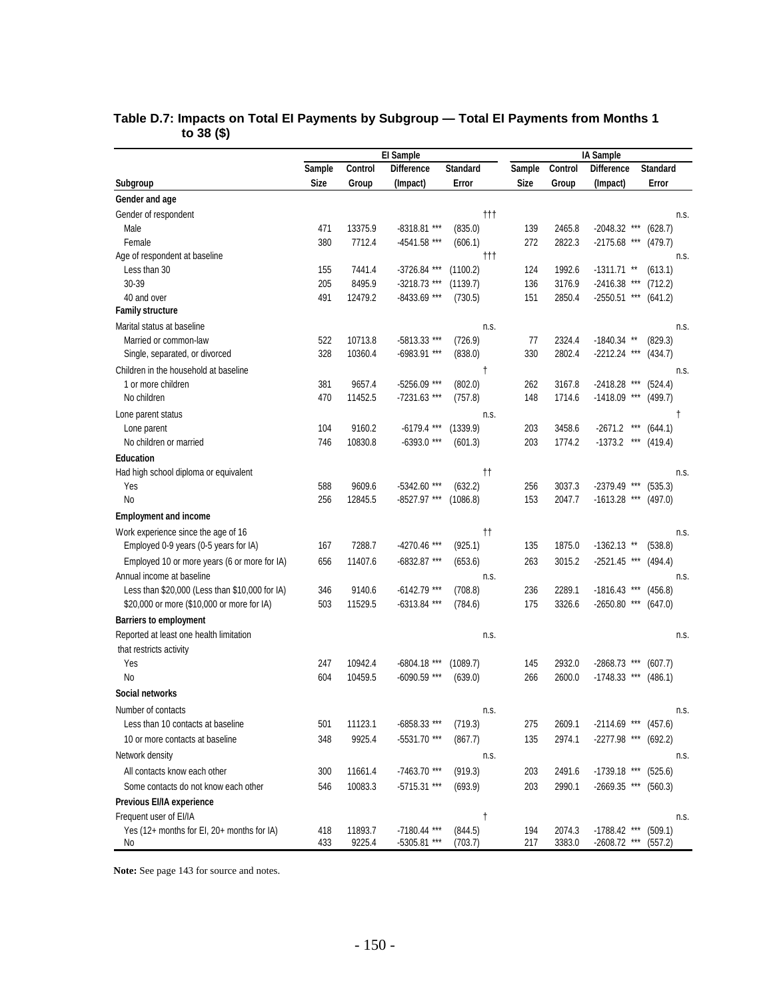|                                                                      |             |         | El Sample         |                            |             | IA Sample |                        |                  |      |  |
|----------------------------------------------------------------------|-------------|---------|-------------------|----------------------------|-------------|-----------|------------------------|------------------|------|--|
|                                                                      | Sample      | Control | <b>Difference</b> | <b>Standard</b>            | Sample      | Control   | <b>Difference</b>      | <b>Standard</b>  |      |  |
| Subgroup                                                             | <b>Size</b> | Group   | (Impact)          | Error                      | <b>Size</b> | Group     | (Impact)               | Error            |      |  |
| Gender and age                                                       |             |         |                   |                            |             |           |                        |                  |      |  |
| Gender of respondent                                                 |             |         |                   | $\ddagger$                 |             |           |                        |                  | n.s. |  |
| Male                                                                 | 471         | 13375.9 | -8318.81 ***      | (835.0)                    | 139         | 2465.8    | $-2048.32$ ***         | (628.7)          |      |  |
| Female                                                               | 380         | 7712.4  | -4541.58 ***      | (606.1)                    | 272         | 2822.3    | $-2175.68$ ***         | (479.7)          |      |  |
| Age of respondent at baseline                                        |             |         |                   | $^{\dagger\dagger\dagger}$ |             |           |                        |                  | n.s. |  |
| Less than 30                                                         | 155         | 7441.4  | -3726.84 ***      | (1100.2)                   | 124         | 1992.6    | $-1311.71$ **          | (613.1)          |      |  |
| 30-39                                                                | 205         | 8495.9  | $-3218.73$ ***    | (1139.7)                   | 136         | 3176.9    | $-2416.38$ ***         | (712.2)          |      |  |
| 40 and over                                                          | 491         | 12479.2 | -8433.69 ***      | (730.5)                    | 151         | 2850.4    | $-2550.51$ ***         | (641.2)          |      |  |
| <b>Family structure</b>                                              |             |         |                   |                            |             |           |                        |                  |      |  |
| Marital status at baseline                                           |             |         |                   | n.s.                       |             |           |                        |                  | n.s. |  |
| Married or common-law                                                | 522         | 10713.8 | -5813.33 ***      | (726.9)                    | 77          | 2324.4    | $-1840.34$ **          | (829.3)          |      |  |
| Single, separated, or divorced                                       | 328         | 10360.4 | -6983.91 ***      | (838.0)                    | 330         | 2802.4    | $-2212.24$ ***         | (434.7)          |      |  |
| Children in the household at baseline                                |             |         |                   | $^\dagger$                 |             |           |                        |                  | n.s. |  |
| 1 or more children                                                   | 381         | 9657.4  | -5256.09 ***      | (802.0)                    | 262         | 3167.8    | $-2418.28$ ***         | (524.4)          |      |  |
| No children                                                          | 470         | 11452.5 | -7231.63 ***      | (757.8)                    | 148         | 1714.6    | $-1418.09$ ***         | (499.7)          |      |  |
| Lone parent status                                                   |             |         |                   | n.s.                       |             |           |                        |                  | t    |  |
| Lone parent                                                          | 104         | 9160.2  | $-6179.4$ ***     | (1339.9)                   | 203         | 3458.6    | $-2671.2$              | $***$<br>(644.1) |      |  |
| No children or married                                               | 746         | 10830.8 | $-6393.0$ ***     | (601.3)                    | 203         | 1774.2    | $-1373.2$              | $***$<br>(419.4) |      |  |
| <b>Education</b>                                                     |             |         |                   |                            |             |           |                        |                  |      |  |
| Had high school diploma or equivalent                                |             |         |                   | $^{\dagger\dagger}$        |             |           |                        |                  | n.s. |  |
| Yes                                                                  | 588         | 9609.6  | $-5342.60$ ***    | (632.2)                    | 256         | 3037.3    | -2379.49 ***           | (535.3)          |      |  |
| N <sub>o</sub>                                                       | 256         | 12845.5 | $-8527.97$ ***    | (1086.8)                   | 153         | 2047.7    | $-1613.28$ ***         | (497.0)          |      |  |
| <b>Employment and income</b>                                         |             |         |                   |                            |             |           |                        |                  |      |  |
| Work experience since the age of 16                                  |             |         |                   | $^{\dagger\dagger}$        |             |           |                        |                  | n.s. |  |
| Employed 0-9 years (0-5 years for IA)                                | 167         | 7288.7  | -4270.46 ***      | (925.1)                    | 135         | 1875.0    | $-1362.13$ **          | (538.8)          |      |  |
| Employed 10 or more years (6 or more for IA)                         | 656         | 11407.6 | -6832.87 ***      | (653.6)                    | 263         | 3015.2    | $-2521.45$ ***         | (494.4)          |      |  |
| Annual income at baseline                                            |             |         |                   | n.s.                       |             |           |                        |                  | n.s. |  |
| Less than \$20,000 (Less than \$10,000 for IA)                       | 346         | 9140.6  | $-6142.79$ ***    | (708.8)                    | 236         | 2289.1    | $-1816.43$ ***         | (456.8)          |      |  |
| \$20,000 or more (\$10,000 or more for IA)                           | 503         | 11529.5 | $-6313.84$ ***    | (784.6)                    | 175         | 3326.6    | $-2650.80$ ***         | (647.0)          |      |  |
| <b>Barriers to employment</b>                                        |             |         |                   |                            |             |           |                        |                  |      |  |
| Reported at least one health limitation                              |             |         |                   | n.s.                       |             |           |                        |                  | n.s. |  |
| that restricts activity                                              |             |         |                   |                            |             |           |                        |                  |      |  |
| Yes                                                                  | 247         | 10942.4 | $-6804.18$ ***    | (1089.7)                   | 145         | 2932.0    | -2868.73 ***           | (607.7)          |      |  |
| No                                                                   | 604         | 10459.5 | -6090.59 ***      | (639.0)                    | 266         | 2600.0    | $-1748.33$ ***         | (486.1)          |      |  |
| Social networks                                                      |             |         |                   |                            |             |           |                        |                  |      |  |
| Number of contacts                                                   |             |         |                   | n.s.                       |             |           |                        |                  | n.s. |  |
| Less than 10 contacts at baseline                                    | 501         | 11123.1 | -6858.33 ***      | (719.3)                    | 275         | 2609.1    | $-2114.69$ ***         | (457.6)          |      |  |
| 10 or more contacts at baseline                                      | 348         | 9925.4  | -5531.70 ***      | (867.7)                    | 135         | 2974.1    | $-2277.98$ ***         | (692.2)          |      |  |
| Network density                                                      |             |         |                   | n.s.                       |             |           |                        |                  | n.s. |  |
| All contacts know each other                                         | 300         | 11661.4 | -7463.70 ***      | (919.3)                    | 203         | 2491.6    | $-1739.18$ ***         | (525.6)          |      |  |
| Some contacts do not know each other                                 | 546         | 10083.3 | -5715.31 ***      | (693.9)                    | 203         | 2990.1    | $-2669.35$ *** (560.3) |                  |      |  |
| Previous EI/IA experience                                            |             |         |                   |                            |             |           |                        |                  |      |  |
|                                                                      |             |         |                   |                            |             |           |                        |                  |      |  |
| Frequent user of EI/IA<br>Yes (12+ months for EI, 20+ months for IA) | 418         | 11893.7 | $-7180.44$ ***    | t<br>(844.5)               | 194         | 2074.3    | $-1788.42$ ***         | (509.1)          | n.s. |  |
| No                                                                   | 433         | 9225.4  | -5305.81 ***      | (703.7)                    | 217         | 3383.0    | -2608.72 *** (557.2)   |                  |      |  |

### **Table D.7: Impacts on Total EI Payments by Subgroup — Total EI Payments from Months 1 to 38 (\$)**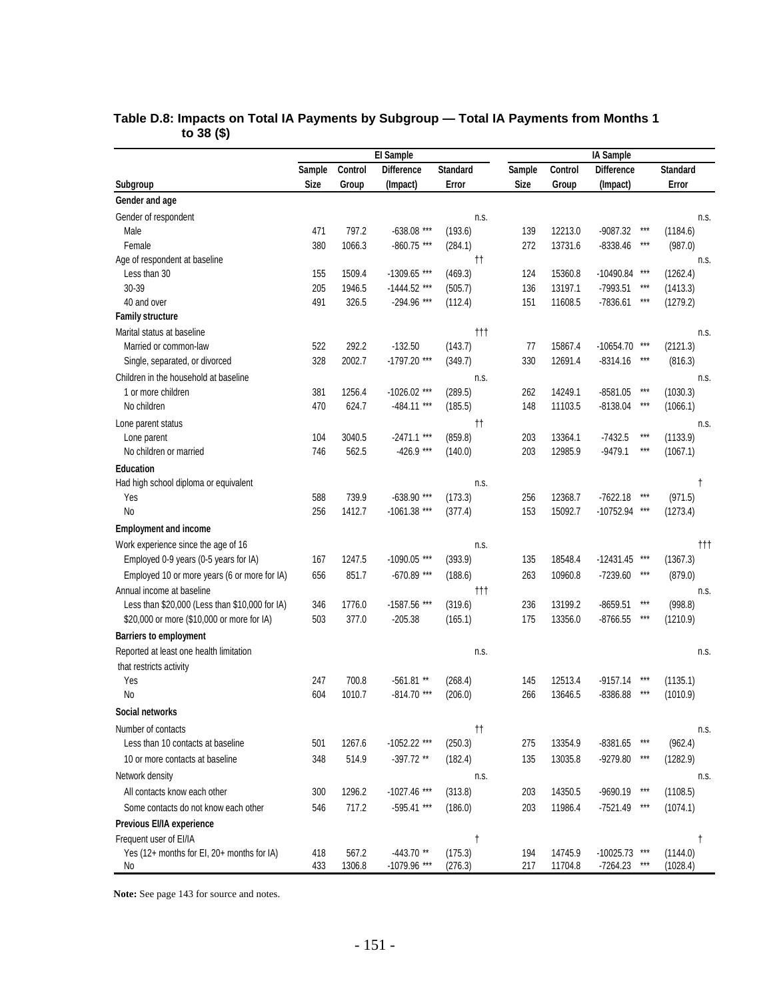|                                                                    | El Sample   |                 |                             |                            |  |             |                    |                               |                   |                            |
|--------------------------------------------------------------------|-------------|-----------------|-----------------------------|----------------------------|--|-------------|--------------------|-------------------------------|-------------------|----------------------------|
|                                                                    | Sample      | Control         | <b>Difference</b>           | <b>Standard</b>            |  | Sample      | Control            | <b>Difference</b>             |                   | <b>Standard</b>            |
| Subgroup                                                           | <b>Size</b> | Group           | (Impact)                    | Error                      |  | <b>Size</b> | Group              | (Impact)                      |                   | Error                      |
| Gender and age                                                     |             |                 |                             |                            |  |             |                    |                               |                   |                            |
| Gender of respondent                                               |             |                 |                             | n.s.                       |  |             |                    |                               |                   | n.s.                       |
| Male                                                               | 471         | 797.2           | $-638.08$ ***               | (193.6)                    |  | 139         | 12213.0            | $-9087.32$                    | $***$             | (1184.6)                   |
| Female                                                             | 380         | 1066.3          | $-860.75$ ***               | (284.1)                    |  | 272         | 13731.6            | $-8338.46$                    | ***               | (987.0)                    |
| Age of respondent at baseline                                      |             |                 |                             | Ħ                          |  |             |                    |                               |                   | n.s.                       |
| Less than 30                                                       | 155         | 1509.4          | -1309.65 ***                | (469.3)                    |  | 124         | 15360.8            | -10490.84                     | ***               | (1262.4)                   |
| 30-39                                                              | 205         | 1946.5          | $-1444.52$ ***              | (505.7)                    |  | 136         | 13197.1            | $-7993.51$                    | ***               | (1413.3)                   |
| 40 and over                                                        | 491         | 326.5           | -294.96 ***                 | (112.4)                    |  | 151         | 11608.5            | -7836.61                      | ***               | (1279.2)                   |
| <b>Family structure</b>                                            |             |                 |                             |                            |  |             |                    |                               |                   |                            |
| Marital status at baseline                                         |             |                 |                             | $^{\dagger\dagger\dagger}$ |  |             |                    |                               |                   | n.s.                       |
| Married or common-law                                              | 522         | 292.2           | $-132.50$                   | (143.7)                    |  | 77          | 15867.4            | $-10654.70$                   |                   | (2121.3)                   |
| Single, separated, or divorced                                     | 328         | 2002.7          | -1797.20 ***                | (349.7)                    |  | 330         | 12691.4            | $-8314.16$                    | ***               | (816.3)                    |
| Children in the household at baseline                              |             |                 |                             | n.s.                       |  |             |                    |                               |                   | n.s.                       |
| 1 or more children                                                 | 381         | 1256.4          | $-1026.02$ ***              | (289.5)                    |  | 262         | 14249.1            | $-8581.05$                    | ***               | (1030.3)                   |
| No children                                                        | 470         | 624.7           | $-484.11$ ***               | (185.5)                    |  | 148         | 11103.5            | $-8138.04$                    | ***               | (1066.1)                   |
| Lone parent status                                                 |             |                 |                             | $^{\dagger\dagger}$        |  |             |                    |                               |                   | n.s.                       |
| Lone parent                                                        | 104         | 3040.5          | $-2471.1$ ***               | (859.8)                    |  | 203         | 13364.1            | $-7432.5$                     | $***$             | (1133.9)                   |
| No children or married                                             | 746         | 562.5           | $-426.9$ ***                | (140.0)                    |  | 203         | 12985.9            | $-9479.1$                     | ***               | (1067.1)                   |
| <b>Education</b>                                                   |             |                 |                             |                            |  |             |                    |                               |                   |                            |
| Had high school diploma or equivalent                              |             |                 |                             | n.s.                       |  |             |                    |                               |                   | $^\dagger$                 |
| Yes                                                                | 588         | 739.9           | $-638.90$ ***               | (173.3)                    |  | 256         | 12368.7            | $-7622.18$                    |                   | (971.5)                    |
| N <sub>o</sub>                                                     | 256         | 1412.7          | $-1061.38$ ***              | (377.4)                    |  | 153         | 15092.7            | -10752.94 ***                 |                   | (1273.4)                   |
| <b>Employment and income</b>                                       |             |                 |                             |                            |  |             |                    |                               |                   |                            |
| Work experience since the age of 16                                |             |                 |                             | n.s.                       |  |             |                    |                               |                   | $^{\dagger\dagger\dagger}$ |
| Employed 0-9 years (0-5 years for IA)                              | 167         | 1247.5          | $-1090.05$ ***              | (393.9)                    |  | 135         | 18548.4            | $-12431.45$                   |                   | (1367.3)                   |
| Employed 10 or more years (6 or more for IA)                       | 656         | 851.7           | $-670.89$ ***               | (188.6)                    |  | 263         | 10960.8            | -7239.60                      |                   | (879.0)                    |
| Annual income at baseline                                          |             |                 |                             | $^{\dagger\dagger\dagger}$ |  |             |                    |                               |                   | n.s.                       |
| Less than \$20,000 (Less than \$10,000 for IA)                     | 346         | 1776.0          | -1587.56 ***                | (319.6)                    |  | 236         | 13199.2            | $-8659.51$                    | $***$             | (998.8)                    |
| \$20,000 or more (\$10,000 or more for IA)                         | 503         | 377.0           | $-205.38$                   | (165.1)                    |  | 175         | 13356.0            | $-8766.55$                    |                   | (1210.9)                   |
| <b>Barriers to employment</b>                                      |             |                 |                             |                            |  |             |                    |                               |                   |                            |
| Reported at least one health limitation<br>that restricts activity |             |                 |                             | n.s.                       |  |             |                    |                               |                   | n.s.                       |
| Yes                                                                | 247         | 700.8           | $-561.81**$                 | (268.4)                    |  | 145         | 12513.4            | $-9157.14$                    | ***               | (1135.1)                   |
| No                                                                 | 604         | 1010.7          | $-814.70$ ***               | (206.0)                    |  | 266         | 13646.5            | $-8386.88$                    | ***               | (1010.9)                   |
| Social networks                                                    |             |                 |                             |                            |  |             |                    |                               |                   |                            |
| Number of contacts                                                 |             |                 |                             | $^{\dagger\dagger}$        |  |             |                    |                               |                   | n.s.                       |
| Less than 10 contacts at baseline                                  | 501         | 1267.6          | $-1052.22$ ***              | (250.3)                    |  | 275         | 13354.9            | $-8381.65$                    | ***               | (962.4)                    |
| 10 or more contacts at baseline                                    | 348         | 514.9           | $-397.72$ **                | (182.4)                    |  | 135         | 13035.8            | -9279.80                      | $\star\star\star$ | (1282.9)                   |
| Network density                                                    |             |                 |                             | n.s.                       |  |             |                    |                               |                   | n.s.                       |
| All contacts know each other                                       | 300         | 1296.2          | -1027.46 ***                | (313.8)                    |  | 203         | 14350.5            | -9690.19                      | ***               | (1108.5)                   |
|                                                                    |             |                 |                             |                            |  |             |                    |                               | ***               |                            |
| Some contacts do not know each other                               | 546         | 717.2           | -595.41 ***                 | (186.0)                    |  | 203         | 11986.4            | $-7521.49$                    |                   | (1074.1)                   |
| Previous EI/IA experience                                          |             |                 |                             |                            |  |             |                    |                               |                   |                            |
| Frequent user of EI/IA                                             |             |                 |                             | $\dagger$                  |  |             |                    |                               |                   | t                          |
| Yes (12+ months for EI, 20+ months for IA)<br>No                   | 418<br>433  | 567.2<br>1306.8 | $-443.70**$<br>-1079.96 *** | (175.3)<br>(276.3)         |  | 194<br>217  | 14745.9<br>11704.8 | $-10025.73$ ***<br>$-7264.23$ | $***$             | (1144.0)<br>(1028.4)       |

#### **Table D.8: Impacts on Total IA Payments by Subgroup — Total IA Payments from Months 1 to 38 (\$)**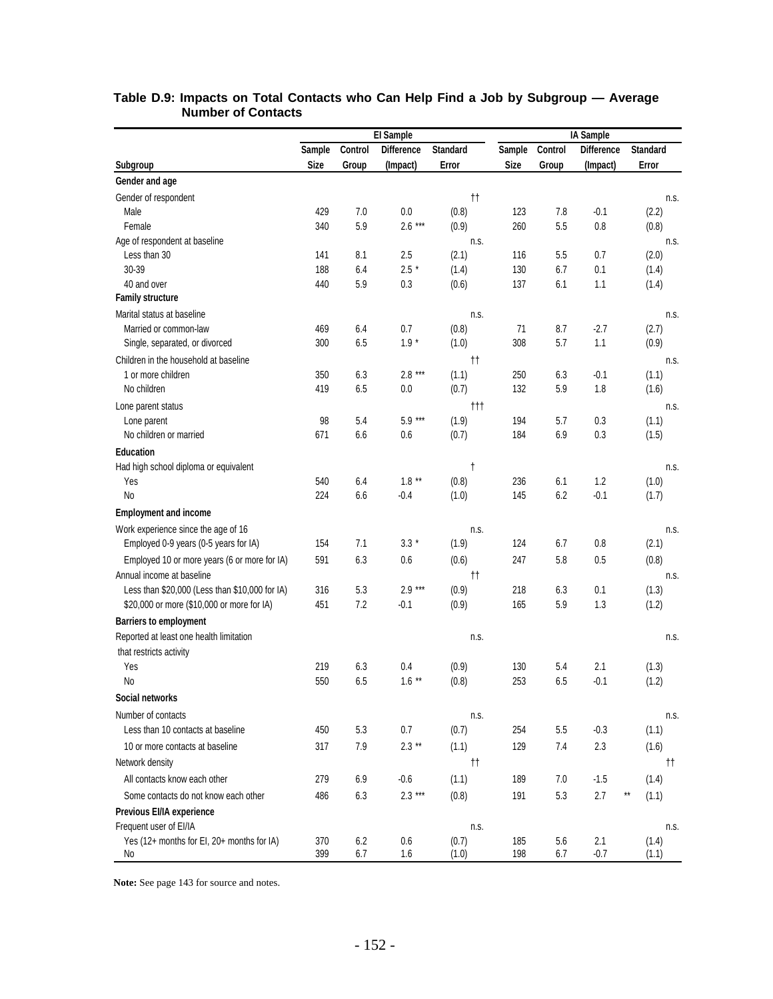|                                                                      | El Sample   |         |                   |                            |        |         | IA Sample         |                 |  |  |  |  |  |  |
|----------------------------------------------------------------------|-------------|---------|-------------------|----------------------------|--------|---------|-------------------|-----------------|--|--|--|--|--|--|
|                                                                      | Sample      | Control | <b>Difference</b> | <b>Standard</b>            | Sample | Control | <b>Difference</b> | <b>Standard</b> |  |  |  |  |  |  |
| Subgroup                                                             | <b>Size</b> | Group   | (Impact)          | Error                      | Size   | Group   | (Impact)          | Error           |  |  |  |  |  |  |
| Gender and age                                                       |             |         |                   |                            |        |         |                   |                 |  |  |  |  |  |  |
| Gender of respondent                                                 |             |         |                   | $^{\dagger\dagger}$        |        |         |                   | n.s.            |  |  |  |  |  |  |
| Male                                                                 | 429         | 7.0     | 0.0               | (0.8)                      | 123    | 7.8     | $-0.1$            | (2.2)           |  |  |  |  |  |  |
| Female                                                               | 340         | 5.9     | $2.6***$          | (0.9)                      | 260    | 5.5     | 0.8               | (0.8)           |  |  |  |  |  |  |
| Age of respondent at baseline                                        |             |         |                   | n.s.                       |        |         |                   | n.s.            |  |  |  |  |  |  |
| Less than 30                                                         | 141         | 8.1     | 2.5               | (2.1)                      | 116    | 5.5     | 0.7               | (2.0)           |  |  |  |  |  |  |
| 30-39                                                                | 188         | 6.4     | $2.5 *$           | (1.4)                      | 130    | 6.7     | 0.1               | (1.4)           |  |  |  |  |  |  |
| 40 and over                                                          | 440         | 5.9     | $0.3\,$           | (0.6)                      | 137    | 6.1     | 1.1               | (1.4)           |  |  |  |  |  |  |
| <b>Family structure</b>                                              |             |         |                   |                            |        |         |                   |                 |  |  |  |  |  |  |
| Marital status at baseline                                           |             |         |                   | n.s.                       |        |         |                   | n.s.            |  |  |  |  |  |  |
| Married or common-law                                                | 469         | 6.4     | 0.7               | (0.8)                      | 71     | 8.7     | $-2.7$            | (2.7)           |  |  |  |  |  |  |
| Single, separated, or divorced                                       | 300         | 6.5     | $1.9 *$           | (1.0)                      | 308    | 5.7     | 1.1               | (0.9)           |  |  |  |  |  |  |
| Children in the household at baseline                                |             |         |                   | $^{\dagger\dagger}$        |        |         |                   | n.s.            |  |  |  |  |  |  |
| 1 or more children                                                   | 350         | 6.3     | $2.8***$          | (1.1)                      | 250    | 6.3     | $-0.1$            | (1.1)           |  |  |  |  |  |  |
| No children                                                          | 419         | 6.5     | 0.0               | (0.7)                      | 132    | 5.9     | 1.8               | (1.6)           |  |  |  |  |  |  |
| Lone parent status                                                   |             |         |                   | $^{\dagger\dagger\dagger}$ |        |         |                   | n.s.            |  |  |  |  |  |  |
| Lone parent                                                          | 98          | 5.4     | $5.9***$          | (1.9)                      | 194    | 5.7     | 0.3               | (1.1)           |  |  |  |  |  |  |
| No children or married                                               | 671         | 6.6     | 0.6               | (0.7)                      | 184    | 6.9     | 0.3               | (1.5)           |  |  |  |  |  |  |
| <b>Education</b>                                                     |             |         |                   |                            |        |         |                   |                 |  |  |  |  |  |  |
| Had high school diploma or equivalent                                |             |         |                   | $^{\dagger}$               |        |         |                   | n.s.            |  |  |  |  |  |  |
| Yes                                                                  | 540         | 6.4     | $1.8***$          | (0.8)                      | 236    | 6.1     | 1.2               | (1.0)           |  |  |  |  |  |  |
| <b>No</b>                                                            | 224         | 6.6     | $-0.4$            | (1.0)                      | 145    | 6.2     | $-0.1$            | (1.7)           |  |  |  |  |  |  |
| <b>Employment and income</b>                                         |             |         |                   |                            |        |         |                   |                 |  |  |  |  |  |  |
| Work experience since the age of 16                                  |             |         |                   | n.s.                       |        |         |                   | n.s.            |  |  |  |  |  |  |
| Employed 0-9 years (0-5 years for IA)                                | 154         | 7.1     | $3.3*$            | (1.9)                      | 124    | 6.7     | 0.8               | (2.1)           |  |  |  |  |  |  |
| Employed 10 or more years (6 or more for IA)                         | 591         | 6.3     | 0.6               | (0.6)                      | 247    | 5.8     | 0.5               | (0.8)           |  |  |  |  |  |  |
| Annual income at baseline                                            |             |         |                   | $^{\dagger\dagger}$        |        |         |                   | n.s.            |  |  |  |  |  |  |
| Less than \$20,000 (Less than \$10,000 for IA)                       | 316         | 5.3     | $2.9***$          | (0.9)                      | 218    | 6.3     | 0.1               | (1.3)           |  |  |  |  |  |  |
| \$20,000 or more (\$10,000 or more for IA)                           | 451         | 7.2     | $-0.1$            | (0.9)                      | 165    | 5.9     | 1.3               | (1.2)           |  |  |  |  |  |  |
| <b>Barriers to employment</b>                                        |             |         |                   |                            |        |         |                   |                 |  |  |  |  |  |  |
| Reported at least one health limitation                              |             |         |                   | n.s.                       |        |         |                   | n.s.            |  |  |  |  |  |  |
| that restricts activity                                              |             |         |                   |                            |        |         |                   |                 |  |  |  |  |  |  |
| Yes                                                                  | 219         | 6.3     | 0.4               | (0.9)                      | 130    | 5.4     | 2.1               | (1.3)           |  |  |  |  |  |  |
| No                                                                   | 550         | 6.5     | $1.6***$          | (0.8)                      | 253    | 6.5     | $-0.1$            | (1.2)           |  |  |  |  |  |  |
| Social networks                                                      |             |         |                   |                            |        |         |                   |                 |  |  |  |  |  |  |
| Number of contacts                                                   |             |         |                   | n.s.                       |        |         |                   | n.s.            |  |  |  |  |  |  |
| Less than 10 contacts at baseline                                    | 450         | 5.3     | $0.7\,$           | (0.7)                      | 254    | 5.5     | $-0.3$            | (1.1)           |  |  |  |  |  |  |
| 10 or more contacts at baseline                                      | 317         | 7.9     | $2.3**$           | (1.1)                      | 129    | 7.4     | 2.3               | (1.6)           |  |  |  |  |  |  |
| Network density                                                      |             |         |                   | $^{\dagger\dagger}$        |        |         |                   | tt.             |  |  |  |  |  |  |
| All contacts know each other                                         | 279         | 6.9     | $-0.6$            | (1.1)                      | 189    | 7.0     | $-1.5$            | (1.4)           |  |  |  |  |  |  |
| Some contacts do not know each other                                 | 486         |         | $2.3***$          | (0.8)                      |        |         | 2.7               | $\star\star$    |  |  |  |  |  |  |
|                                                                      |             | 6.3     |                   |                            | 191    | 5.3     |                   | (1.1)           |  |  |  |  |  |  |
| Previous EI/IA experience                                            |             |         |                   |                            |        |         |                   |                 |  |  |  |  |  |  |
| Frequent user of EI/IA<br>Yes (12+ months for EI, 20+ months for IA) | 370         | 6.2     | 0.6               | n.s.<br>(0.7)              | 185    | 5.6     | 2.1               | n.s.<br>(1.4)   |  |  |  |  |  |  |
| No                                                                   | 399         | 6.7     | 1.6               | (1.0)                      | 198    | 6.7     | $-0.7$            | (1.1)           |  |  |  |  |  |  |

#### **Table D.9: Impacts on Total Contacts who Can Help Find a Job by Subgroup — Average Number of Contacts**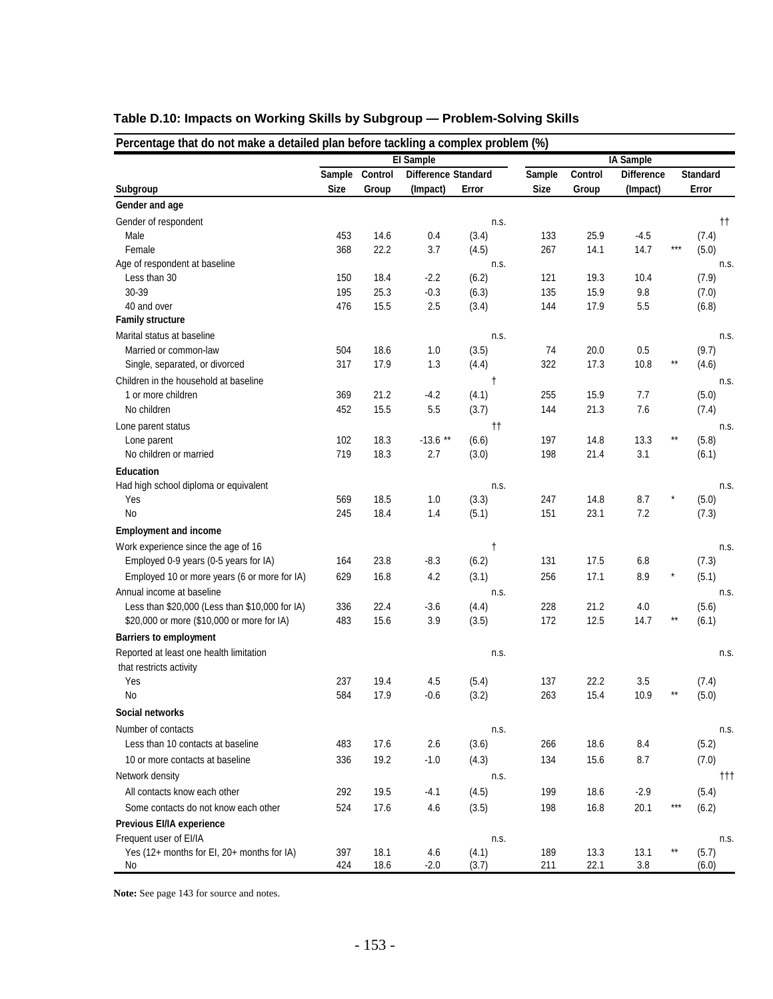| Percentage that do not make a detailed plan before tackling a complex problem (%) |        |         | <b>El Sample</b>    |                     |             |         | IA Sample         |       |                            |
|-----------------------------------------------------------------------------------|--------|---------|---------------------|---------------------|-------------|---------|-------------------|-------|----------------------------|
|                                                                                   | Sample | Control | Difference Standard |                     | Sample      | Control | <b>Difference</b> |       | <b>Standard</b>            |
| Subgroup                                                                          | Size   | Group   | (Impact)            | Error               | <b>Size</b> | Group   | (Impact)          |       | Error                      |
| Gender and age                                                                    |        |         |                     |                     |             |         |                   |       |                            |
|                                                                                   |        |         |                     |                     |             |         |                   |       |                            |
| Gender of respondent                                                              | 453    | 14.6    | 0.4                 | n.s.                |             | 25.9    | $-4.5$            |       | $^{\dagger\dagger}$        |
| Male                                                                              | 368    |         |                     | (3.4)               | 133<br>267  |         |                   | $***$ | (7.4)<br>(5.0)             |
| Female<br>Age of respondent at baseline                                           |        | 22.2    | 3.7                 | (4.5)<br>n.s.       |             | 14.1    | 14.7              |       |                            |
| Less than 30                                                                      | 150    | 18.4    | $-2.2$              | (6.2)               | 121         | 19.3    | 10.4              |       | n.s.<br>(7.9)              |
| 30-39                                                                             | 195    | 25.3    | $-0.3$              | (6.3)               | 135         | 15.9    | 9.8               |       | (7.0)                      |
| 40 and over                                                                       | 476    | 15.5    | 2.5                 | (3.4)               | 144         | 17.9    | 5.5               |       | (6.8)                      |
| <b>Family structure</b>                                                           |        |         |                     |                     |             |         |                   |       |                            |
| Marital status at baseline                                                        |        |         |                     | n.s.                |             |         |                   |       | n.s.                       |
| Married or common-law                                                             | 504    | 18.6    | 1.0                 | (3.5)               | 74          | 20.0    | 0.5               |       | (9.7)                      |
| Single, separated, or divorced                                                    | 317    | 17.9    | 1.3                 | (4.4)               | 322         | 17.3    | 10.8              | $***$ | (4.6)                      |
| Children in the household at baseline                                             |        |         |                     |                     |             |         |                   |       |                            |
| 1 or more children                                                                | 369    | 21.2    | $-4.2$              | t<br>(4.1)          | 255         | 15.9    | 7.7               |       | n.s.                       |
| No children                                                                       | 452    | 15.5    | 5.5                 | (3.7)               | 144         | 21.3    | 7.6               |       | (5.0)<br>(7.4)             |
|                                                                                   |        |         |                     |                     |             |         |                   |       |                            |
| Lone parent status                                                                |        |         |                     | $^{\dagger\dagger}$ |             |         |                   | $***$ | n.s.                       |
| Lone parent                                                                       | 102    | 18.3    | $-13.6$ **          | (6.6)               | 197         | 14.8    | 13.3              |       | (5.8)                      |
| No children or married                                                            | 719    | 18.3    | 2.7                 | (3.0)               | 198         | 21.4    | 3.1               |       | (6.1)                      |
| Education                                                                         |        |         |                     |                     |             |         |                   |       |                            |
| Had high school diploma or equivalent                                             |        |         |                     | n.s.                |             |         |                   |       | n.s.                       |
| Yes                                                                               | 569    | 18.5    | 1.0                 | (3.3)               | 247         | 14.8    | 8.7               |       | (5.0)                      |
| No                                                                                | 245    | 18.4    | 1.4                 | (5.1)               | 151         | 23.1    | 7.2               |       | (7.3)                      |
| <b>Employment and income</b>                                                      |        |         |                     |                     |             |         |                   |       |                            |
| Work experience since the age of 16                                               |        |         |                     | $^\dagger$          |             |         |                   |       | n.s.                       |
| Employed 0-9 years (0-5 years for IA)                                             | 164    | 23.8    | $-8.3$              | (6.2)               | 131         | 17.5    | 6.8               |       | (7.3)                      |
| Employed 10 or more years (6 or more for IA)                                      | 629    | 16.8    | 4.2                 | (3.1)               | 256         | 17.1    | 8.9               | ×     | (5.1)                      |
| Annual income at baseline                                                         |        |         |                     | n.s.                |             |         |                   |       | n.s.                       |
| Less than \$20,000 (Less than \$10,000 for IA)                                    | 336    | 22.4    | $-3.6$              | (4.4)               | 228         | 21.2    | 4.0               |       | (5.6)                      |
| \$20,000 or more (\$10,000 or more for IA)                                        | 483    | 15.6    | 3.9                 | (3.5)               | 172         | 12.5    | 14.7              | $***$ | (6.1)                      |
| <b>Barriers to employment</b>                                                     |        |         |                     |                     |             |         |                   |       |                            |
| Reported at least one health limitation                                           |        |         |                     | n.s.                |             |         |                   |       | n.s.                       |
| that restricts activity                                                           |        |         |                     |                     |             |         |                   |       |                            |
| Yes                                                                               | 237    | 19.4    | 4.5                 | (5.4)               | 137         | 22.2    | 3.5               |       | (7.4)                      |
| No                                                                                | 584    | 17.9    | $-0.6$              | (3.2)               | 263         | 15.4    | 10.9              | $***$ | (5.0)                      |
| Social networks                                                                   |        |         |                     |                     |             |         |                   |       |                            |
| Number of contacts                                                                |        |         |                     | n.s.                |             |         |                   |       | n.s.                       |
| Less than 10 contacts at baseline                                                 | 483    | 17.6    | 2.6                 | (3.6)               | 266         | 18.6    | 8.4               |       | (5.2)                      |
| 10 or more contacts at baseline                                                   | 336    | 19.2    | $-1.0$              |                     | 134         | 15.6    | 8.7               |       |                            |
|                                                                                   |        |         |                     | (4.3)               |             |         |                   |       | (7.0)                      |
| Network density                                                                   |        |         |                     | n.s.                |             |         |                   |       | $^{\dagger\dagger\dagger}$ |
| All contacts know each other                                                      | 292    | 19.5    | $-4.1$              | (4.5)               | 199         | 18.6    | $-2.9$            |       | (5.4)                      |
| Some contacts do not know each other                                              | 524    | 17.6    | 4.6                 | (3.5)               | 198         | 16.8    | 20.1              | $***$ | (6.2)                      |
| Previous EI/IA experience                                                         |        |         |                     |                     |             |         |                   |       |                            |
| Frequent user of EI/IA                                                            |        |         |                     | n.s.                |             |         |                   |       | n.s.                       |
| Yes (12+ months for EI, 20+ months for IA)                                        | 397    | 18.1    | 4.6                 | (4.1)               | 189         | 13.3    | 13.1              | $***$ | (5.7)                      |
| No                                                                                | 424    | 18.6    | $-2.0$              | (3.7)               | 211         | 22.1    | 3.8               |       | (6.0)                      |

# **Table D.10: Impacts on Working Skills by Subgroup — Problem-Solving Skills**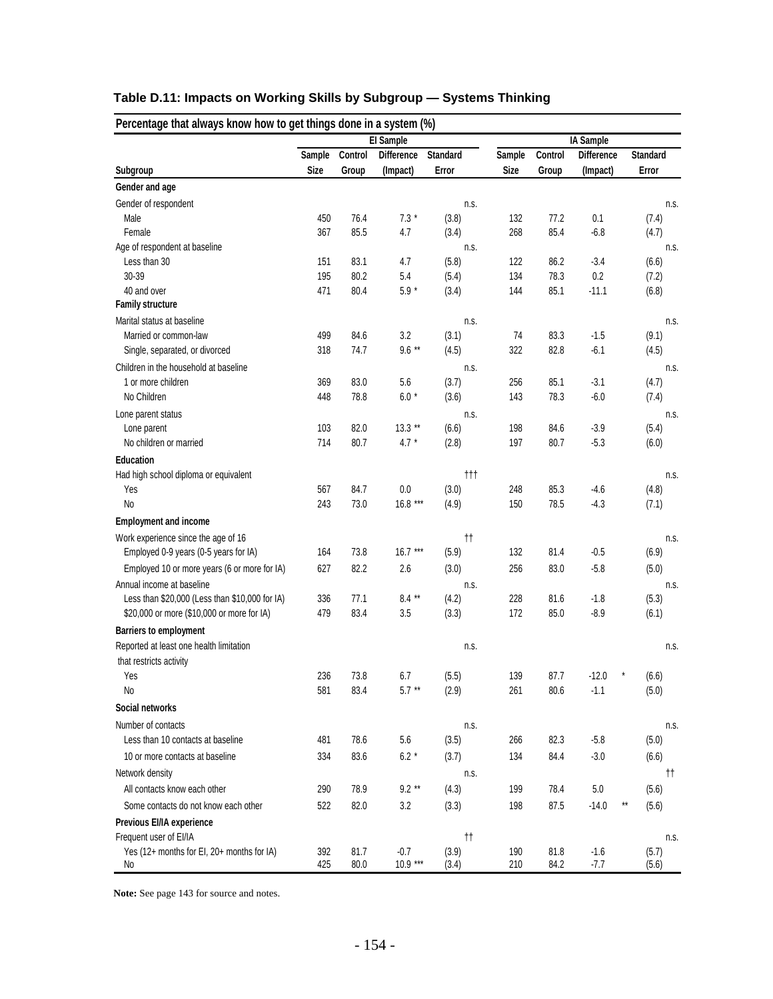|                                                |             |         | El Sample         |                            | IA Sample   |         |                   |                       |  |  |
|------------------------------------------------|-------------|---------|-------------------|----------------------------|-------------|---------|-------------------|-----------------------|--|--|
|                                                | Sample      | Control | <b>Difference</b> | <b>Standard</b>            | Sample      | Control | <b>Difference</b> | <b>Standard</b>       |  |  |
| Subgroup                                       | <b>Size</b> | Group   | (Impact)          | Error                      | <b>Size</b> | Group   | (Impact)          | Error                 |  |  |
| Gender and age                                 |             |         |                   |                            |             |         |                   |                       |  |  |
| Gender of respondent                           |             |         |                   | n.s.                       |             |         |                   | n.s.                  |  |  |
| Male                                           | 450         | 76.4    | $7.3*$            | (3.8)                      | 132         | 77.2    | 0.1               | (7.4)                 |  |  |
| Female                                         | 367         | 85.5    | 4.7               | (3.4)                      | 268         | 85.4    | $-6.8$            | (4.7)                 |  |  |
| Age of respondent at baseline                  |             |         |                   | n.s.                       |             |         |                   | n.s.                  |  |  |
| Less than 30                                   | 151         | 83.1    | 4.7               | (5.8)                      | 122         | 86.2    | $-3.4$            | (6.6)                 |  |  |
| 30-39                                          | 195         | 80.2    | 5.4               | (5.4)                      | 134         | 78.3    | 0.2               | (7.2)                 |  |  |
| 40 and over                                    | 471         | 80.4    | $5.9 *$           | (3.4)                      | 144         | 85.1    | $-11.1$           | (6.8)                 |  |  |
| <b>Family structure</b>                        |             |         |                   |                            |             |         |                   |                       |  |  |
| Marital status at baseline                     |             |         |                   | n.s.                       |             |         |                   | n.s.                  |  |  |
| Married or common-law                          | 499         | 84.6    | 3.2               | (3.1)                      | 74          | 83.3    | $-1.5$            | (9.1)                 |  |  |
| Single, separated, or divorced                 | 318         | 74.7    | $9.6***$          | (4.5)                      | 322         | 82.8    | $-6.1$            | (4.5)                 |  |  |
| Children in the household at baseline          |             |         |                   | n.s.                       |             |         |                   | n.s.                  |  |  |
| 1 or more children                             | 369         | 83.0    | 5.6               | (3.7)                      | 256         | 85.1    | $-3.1$            | (4.7)                 |  |  |
| No Children                                    | 448         | 78.8    | $6.0*$            | (3.6)                      | 143         | 78.3    | $-6.0$            | (7.4)                 |  |  |
| Lone parent status                             |             |         |                   | n.s.                       |             |         |                   | n.s.                  |  |  |
| Lone parent                                    | 103         | 82.0    | $13.3**$          | (6.6)                      | 198         | 84.6    | $-3.9$            | (5.4)                 |  |  |
| No children or married                         | 714         | 80.7    | $4.7 *$           | (2.8)                      | 197         | 80.7    | $-5.3$            | (6.0)                 |  |  |
| <b>Education</b>                               |             |         |                   |                            |             |         |                   |                       |  |  |
| Had high school diploma or equivalent          |             |         |                   | $^{\dagger\dagger\dagger}$ |             |         |                   | n.s.                  |  |  |
| Yes                                            | 567         | 84.7    | $0.0\,$           | (3.0)                      | 248         | 85.3    | $-4.6$            | (4.8)                 |  |  |
| No                                             | 243         | 73.0    | $16.8***$         | (4.9)                      | 150         | 78.5    | $-4.3$            | (7.1)                 |  |  |
| <b>Employment and income</b>                   |             |         |                   |                            |             |         |                   |                       |  |  |
| Work experience since the age of 16            |             |         |                   | $^{\dagger\dagger}$        |             |         |                   | n.s.                  |  |  |
| Employed 0-9 years (0-5 years for IA)          | 164         | 73.8    | $16.7***$         | (5.9)                      | 132         | 81.4    | $-0.5$            | (6.9)                 |  |  |
| Employed 10 or more years (6 or more for IA)   | 627         | 82.2    | 2.6               | (3.0)                      | 256         | 83.0    | $-5.8$            | (5.0)                 |  |  |
| Annual income at baseline                      |             |         |                   | n.s.                       |             |         |                   | n.s.                  |  |  |
| Less than \$20,000 (Less than \$10,000 for IA) | 336         | 77.1    | $8.4**$           | (4.2)                      | 228         | 81.6    | $-1.8$            | (5.3)                 |  |  |
| \$20,000 or more (\$10,000 or more for IA)     | 479         | 83.4    | 3.5               | (3.3)                      | 172         | 85.0    | $-8.9$            | (6.1)                 |  |  |
| <b>Barriers to employment</b>                  |             |         |                   |                            |             |         |                   |                       |  |  |
|                                                |             |         |                   |                            |             |         |                   |                       |  |  |
| Reported at least one health limitation        |             |         |                   | n.s.                       |             |         |                   | n.s.                  |  |  |
| that restricts activity<br>Yes                 | 236         | 73.8    | 6.7               |                            | 139         | 87.7    | $-12.0$           |                       |  |  |
| No                                             | 581         | 83.4    | $5.7**$           | (5.5)<br>(2.9)             | 261         | 80.6    | $-1.1$            | (6.6)                 |  |  |
|                                                |             |         |                   |                            |             |         |                   | (5.0)                 |  |  |
| Social networks                                |             |         |                   |                            |             |         |                   |                       |  |  |
| Number of contacts                             |             |         |                   | n.s.                       |             |         |                   | n.s.                  |  |  |
| Less than 10 contacts at baseline              | 481         | 78.6    | 5.6               | (3.5)                      | 266         | 82.3    | $-5.8$            | (5.0)                 |  |  |
| 10 or more contacts at baseline                | 334         | 83.6    | $6.2*$            | (3.7)                      | 134         | 84.4    | $-3.0$            | (6.6)                 |  |  |
| Network density                                |             |         |                   | n.s.                       |             |         |                   | tt.                   |  |  |
| All contacts know each other                   | 290         | 78.9    | $9.2**$           | (4.3)                      | 199         | 78.4    | 5.0               | (5.6)                 |  |  |
| Some contacts do not know each other           | 522         | 82.0    | 3.2               | (3.3)                      | 198         | 87.5    | $-14.0$           | $\star\star$<br>(5.6) |  |  |
| Previous EI/IA experience                      |             |         |                   |                            |             |         |                   |                       |  |  |
| Frequent user of EI/IA                         |             |         |                   | $^{\dagger\dagger}$        |             |         |                   | n.s.                  |  |  |
| Yes (12+ months for EI, 20+ months for IA)     | 392         | 81.7    | $-0.7$            | (3.9)                      | 190         | 81.8    | $-1.6$            | (5.7)                 |  |  |
| No                                             | 425         | 80.0    | $10.9***$         | (3.4)                      | 210         | 84.2    | $-7.7$            | (5.6)                 |  |  |

# **Table D.11: Impacts on Working Skills by Subgroup — Systems Thinking**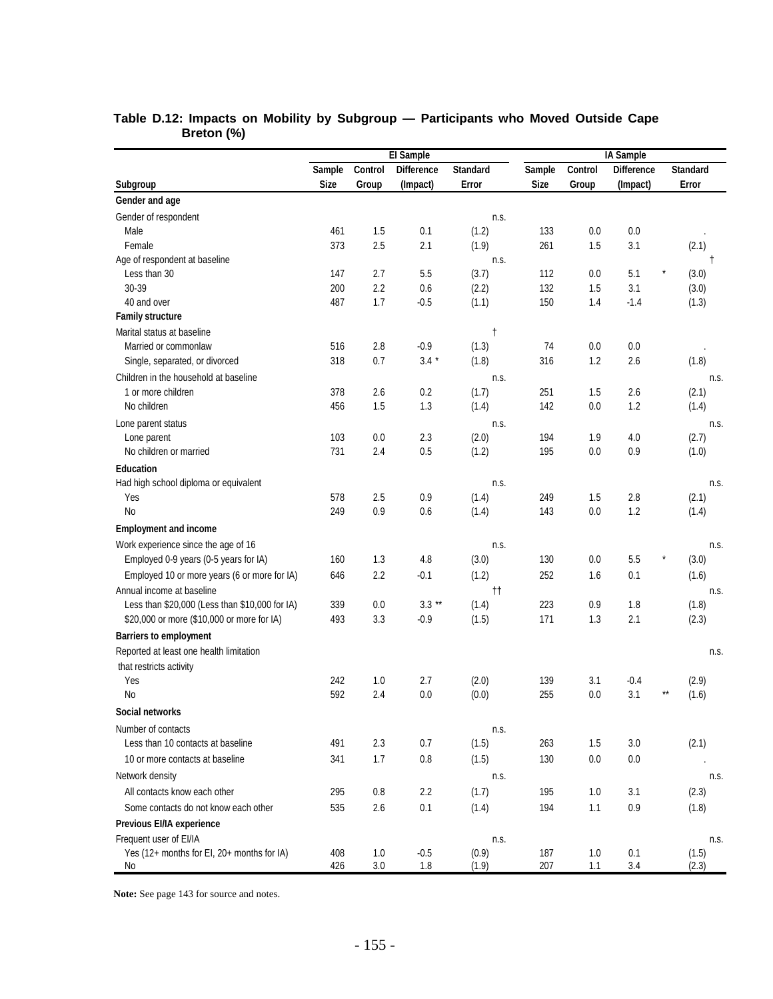|                                                  |             |                | El Sample         |                     | IA Sample   |            |                   |                 |  |  |
|--------------------------------------------------|-------------|----------------|-------------------|---------------------|-------------|------------|-------------------|-----------------|--|--|
|                                                  | Sample      | Control        | <b>Difference</b> | <b>Standard</b>     | Sample      | Control    | <b>Difference</b> | <b>Standard</b> |  |  |
| Subgroup                                         | <b>Size</b> | Group          | (Impact)          | Error               | <b>Size</b> | Group      | (Impact)          | Error           |  |  |
| Gender and age                                   |             |                |                   |                     |             |            |                   |                 |  |  |
| Gender of respondent                             |             |                |                   | n.s.                |             |            |                   |                 |  |  |
| Male                                             | 461         | 1.5            | 0.1               | (1.2)               | 133         | 0.0        | 0.0               |                 |  |  |
| Female                                           | 373         | 2.5            | 2.1               | (1.9)               | 261         | 1.5        | 3.1               | (2.1)           |  |  |
| Age of respondent at baseline                    |             |                |                   | n.s.                |             |            |                   | Ť               |  |  |
| Less than 30                                     | 147         | 2.7            | 5.5               | (3.7)               | 112         | 0.0        | 5.1               | ×<br>(3.0)      |  |  |
| 30-39                                            | 200         | 2.2            | 0.6               | (2.2)               | 132         | 1.5        | 3.1               | (3.0)           |  |  |
| 40 and over                                      | 487         | 1.7            | $-0.5$            | (1.1)               | 150         | 1.4        | $-1.4$            | (1.3)           |  |  |
| <b>Family structure</b>                          |             |                |                   |                     |             |            |                   |                 |  |  |
| Marital status at baseline                       |             |                |                   | $^\dagger$          |             |            |                   |                 |  |  |
| Married or commonlaw                             | 516         | 2.8            | $-0.9$            | (1.3)               | 74          | 0.0        | 0.0               |                 |  |  |
| Single, separated, or divorced                   | 318         | 0.7            | $3.4 *$           | (1.8)               | 316         | 1.2        | 2.6               | (1.8)           |  |  |
| Children in the household at baseline            |             |                |                   | n.s.                |             |            |                   | n.s.            |  |  |
| 1 or more children                               | 378         | 2.6            | 0.2               | (1.7)               | 251         | 1.5        | 2.6               | (2.1)           |  |  |
| No children                                      | 456         | 1.5            | 1.3               | (1.4)               | 142         | 0.0        | 1.2               | (1.4)           |  |  |
| Lone parent status                               |             |                |                   | n.s.                |             |            |                   | n.s.            |  |  |
| Lone parent                                      | 103         | 0.0            | 2.3               | (2.0)               | 194         | 1.9        | 4.0               | (2.7)           |  |  |
| No children or married                           | 731         | 2.4            | 0.5               | (1.2)               | 195         | 0.0        | 0.9               | (1.0)           |  |  |
| <b>Education</b>                                 |             |                |                   |                     |             |            |                   |                 |  |  |
| Had high school diploma or equivalent            |             |                |                   | n.s.                |             |            |                   | n.s.            |  |  |
| Yes                                              | 578         | 2.5            | 0.9               | (1.4)               | 249         | 1.5        | 2.8               | (2.1)           |  |  |
| No                                               | 249         | 0.9            | 0.6               | (1.4)               | 143         | 0.0        | 1.2               | (1.4)           |  |  |
| <b>Employment and income</b>                     |             |                |                   |                     |             |            |                   |                 |  |  |
| Work experience since the age of 16              |             |                |                   | n.s.                |             |            |                   | n.s.            |  |  |
| Employed 0-9 years (0-5 years for IA)            | 160         | 1.3            | 4.8               | (3.0)               | 130         | 0.0        | 5.5               | (3.0)           |  |  |
| Employed 10 or more years (6 or more for IA)     | 646         | 2.2            | $-0.1$            | (1.2)               | 252         | 1.6        | 0.1               | (1.6)           |  |  |
| Annual income at baseline                        |             |                |                   | $^{\dagger\dagger}$ |             |            |                   | n.s.            |  |  |
| Less than \$20,000 (Less than \$10,000 for IA)   | 339         | 0.0            | $3.3**$           | (1.4)               | 223         | 0.9        | 1.8               | (1.8)           |  |  |
| \$20,000 or more (\$10,000 or more for IA)       | 493         | 3.3            | $-0.9$            | (1.5)               | 171         | 1.3        | 2.1               | (2.3)           |  |  |
| <b>Barriers to employment</b>                    |             |                |                   |                     |             |            |                   |                 |  |  |
| Reported at least one health limitation          |             |                |                   |                     |             |            |                   | n.s.            |  |  |
| that restricts activity                          |             |                |                   |                     |             |            |                   |                 |  |  |
| Yes                                              | 242         | 1.0            | 2.7               | (2.0)               | 139         | 3.1        | $-0.4$            | (2.9)           |  |  |
| No                                               | 592         | 2.4            | 0.0               | (0.0)               | 255         | 0.0        | 3.1               | (1.6)           |  |  |
| Social networks                                  |             |                |                   |                     |             |            |                   |                 |  |  |
| Number of contacts                               |             |                |                   | n.s.                |             |            |                   |                 |  |  |
| Less than 10 contacts at baseline                | 491         | 2.3            | 0.7               | (1.5)               | 263         | 1.5        | 3.0               | (2.1)           |  |  |
| 10 or more contacts at baseline                  | 341         | 1.7            | 0.8               | (1.5)               | 130         | $0.0\,$    | 0.0               |                 |  |  |
| Network density                                  |             |                |                   | n.s.                |             |            |                   | n.s.            |  |  |
| All contacts know each other                     | 295         | 0.8            | 2.2               | (1.7)               | 195         | 1.0        | 3.1               | (2.3)           |  |  |
|                                                  |             |                |                   |                     |             |            |                   |                 |  |  |
| Some contacts do not know each other             | 535         | 2.6            | 0.1               | (1.4)               | 194         | 1.1        | 0.9               | (1.8)           |  |  |
| Previous EI/IA experience                        |             |                |                   |                     |             |            |                   |                 |  |  |
| Frequent user of EI/IA                           |             |                |                   | n.s.                |             |            |                   | n.s.            |  |  |
| Yes (12+ months for EI, 20+ months for IA)<br>No | 408<br>426  | 1.0<br>$3.0\,$ | $-0.5$<br>$1.8$   | (0.9)<br>(1.9)      | 187<br>207  | 1.0<br>1.1 | 0.1<br>3.4        | (1.5)<br>(2.3)  |  |  |

#### **Table D.12: Impacts on Mobility by Subgroup — Participants who Moved Outside Cape Breton (%)**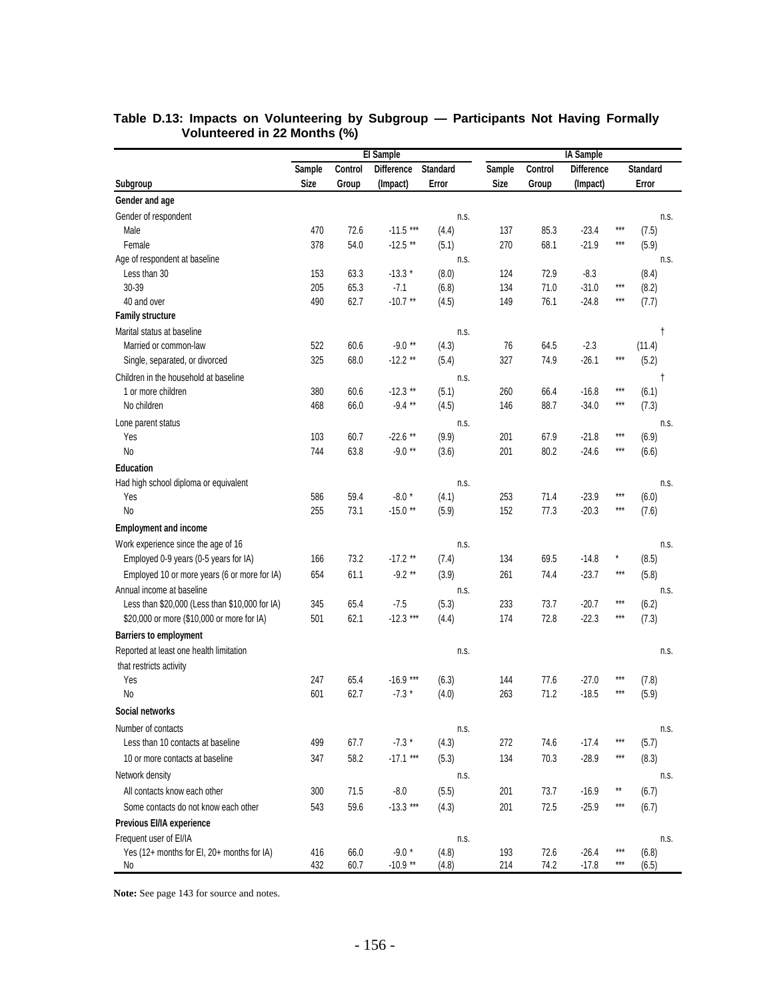|                                                  | El Sample   |              |                      |                 |             |              | <b>IA</b> Sample   |                         |  |  |  |  |
|--------------------------------------------------|-------------|--------------|----------------------|-----------------|-------------|--------------|--------------------|-------------------------|--|--|--|--|
|                                                  | Sample      | Control      | <b>Difference</b>    | <b>Standard</b> | Sample      | Control      | <b>Difference</b>  | <b>Standard</b>         |  |  |  |  |
| Subgroup                                         | <b>Size</b> | Group        | (Impact)             | Error           | <b>Size</b> | Group        | (Impact)           | Error                   |  |  |  |  |
| Gender and age                                   |             |              |                      |                 |             |              |                    |                         |  |  |  |  |
| Gender of respondent                             |             |              |                      | n.s.            |             |              |                    | n.s.                    |  |  |  |  |
| Male                                             | 470         | 72.6         | $-11.5***$           | (4.4)           | 137         | 85.3         | $-23.4$            | $***$<br>(7.5)          |  |  |  |  |
| Female                                           | 378         | 54.0         | $-12.5$ **           | (5.1)           | 270         | 68.1         | $-21.9$            | $***$<br>(5.9)          |  |  |  |  |
| Age of respondent at baseline                    |             |              |                      | n.s.            |             |              |                    | n.s.                    |  |  |  |  |
| Less than 30                                     | 153         | 63.3         | $-13.3*$             | (8.0)           | 124         | 72.9         | $-8.3$             | (8.4)                   |  |  |  |  |
| 30-39                                            | 205         | 65.3         | $-7.1$               | (6.8)           | 134         | 71.0         | $-31.0$            | $***$<br>(8.2)          |  |  |  |  |
| 40 and over                                      | 490         | 62.7         | $-10.7$ **           | (4.5)           | 149         | 76.1         | $-24.8$            | $***$<br>(7.7)          |  |  |  |  |
| <b>Family structure</b>                          |             |              |                      |                 |             |              |                    |                         |  |  |  |  |
| Marital status at baseline                       |             |              |                      | n.s.            |             |              |                    | t                       |  |  |  |  |
| Married or common-law                            | 522         | 60.6         | $-9.0**$             | (4.3)           | 76          | 64.5         | $-2.3$             | (11.4)                  |  |  |  |  |
| Single, separated, or divorced                   | 325         | 68.0         | $-12.2$ **           | (5.4)           | 327         | 74.9         | $-26.1$            | $***$<br>(5.2)          |  |  |  |  |
| Children in the household at baseline            |             |              |                      | n.s.            |             |              |                    | t                       |  |  |  |  |
| 1 or more children                               | 380         | 60.6         | $-12.3$ **           | (5.1)           | 260         | 66.4         | $-16.8$            | $***$<br>(6.1)          |  |  |  |  |
| No children                                      | 468         | 66.0         | $-9.4**$             | (4.5)           | 146         | 88.7         | $-34.0$            | $***$<br>(7.3)          |  |  |  |  |
| Lone parent status                               |             |              |                      | n.s.            |             |              |                    | n.s.                    |  |  |  |  |
| Yes                                              | 103         | 60.7         | $-22.6$ **           | (9.9)           | 201         | 67.9         | $-21.8$            | $***$<br>(6.9)          |  |  |  |  |
| No                                               | 744         | 63.8         | $-9.0**$             | (3.6)           | 201         | 80.2         | $-24.6$            | $***$<br>(6.6)          |  |  |  |  |
| <b>Education</b>                                 |             |              |                      |                 |             |              |                    |                         |  |  |  |  |
| Had high school diploma or equivalent            |             |              |                      | n.s.            |             |              |                    | n.s.                    |  |  |  |  |
| Yes                                              | 586         | 59.4         | $-8.0*$              | (4.1)           | 253         | 71.4         | $-23.9$            | ***<br>(6.0)            |  |  |  |  |
| N <sub>o</sub>                                   | 255         | 73.1         | $-15.0**$            | (5.9)           | 152         | 77.3         | $-20.3$            | $***$<br>(7.6)          |  |  |  |  |
| <b>Employment and income</b>                     |             |              |                      |                 |             |              |                    |                         |  |  |  |  |
| Work experience since the age of 16              |             |              |                      | n.s.            |             |              |                    | n.s.                    |  |  |  |  |
| Employed 0-9 years (0-5 years for IA)            | 166         | 73.2         | $-17.2$ **           | (7.4)           | 134         | 69.5         | $-14.8$            | $\star$<br>(8.5)        |  |  |  |  |
| Employed 10 or more years (6 or more for IA)     | 654         | 61.1         | $-9.2**$             | (3.9)           | 261         | 74.4         | $-23.7$            | $***$<br>(5.8)          |  |  |  |  |
| Annual income at baseline                        |             |              |                      | n.s.            |             |              |                    | n.s.                    |  |  |  |  |
| Less than \$20,000 (Less than \$10,000 for IA)   | 345         | 65.4         | $-7.5$               | (5.3)           | 233         | 73.7         | $-20.7$            | $***$<br>(6.2)          |  |  |  |  |
| \$20,000 or more (\$10,000 or more for IA)       | 501         | 62.1         | $-12.3***$           | (4.4)           | 174         | 72.8         | $-22.3$            | $***$<br>(7.3)          |  |  |  |  |
| <b>Barriers to employment</b>                    |             |              |                      |                 |             |              |                    |                         |  |  |  |  |
| Reported at least one health limitation          |             |              |                      | n.s.            |             |              |                    | n.s.                    |  |  |  |  |
| that restricts activity                          |             |              |                      |                 |             |              |                    |                         |  |  |  |  |
| Yes                                              | 247         | 65.4         | $-16.9***$           | (6.3)           | 144         | 77.6         | $-27.0$            | ***<br>(7.8)            |  |  |  |  |
| No                                               | 601         | 62.7         | $-7.3*$              | (4.0)           | 263         | 71.2         | $-18.5$            | $***$<br>(5.9)          |  |  |  |  |
| Social networks                                  |             |              |                      |                 |             |              |                    |                         |  |  |  |  |
| Number of contacts                               |             |              |                      | n.s.            |             |              |                    | n.s.                    |  |  |  |  |
| Less than 10 contacts at baseline                | 499         | 67.7         | $-7.3*$              | (4.3)           | 272         | 74.6         | $-17.4$            | $***$<br>(5.7)          |  |  |  |  |
| 10 or more contacts at baseline                  | 347         | 58.2         | $-17.1***$           | (5.3)           | 134         | 70.3         | $-28.9$            | $***$<br>(8.3)          |  |  |  |  |
| Network density                                  |             |              |                      | n.s.            |             |              |                    | n.s.                    |  |  |  |  |
| All contacts know each other                     | 300         | 71.5         | $-8.0$               |                 | 201         | 73.7         | $-16.9$            | $^{\star\star}$         |  |  |  |  |
|                                                  |             |              |                      | (5.5)           |             |              |                    | (6.7)<br>***            |  |  |  |  |
| Some contacts do not know each other             | 543         | 59.6         | $-13.3***$           | (4.3)           | 201         | 72.5         | $-25.9$            | (6.7)                   |  |  |  |  |
| Previous EI/IA experience                        |             |              |                      |                 |             |              |                    |                         |  |  |  |  |
| Frequent user of EI/IA                           |             |              |                      | n.s.            |             |              |                    | n.s.<br>$***$           |  |  |  |  |
| Yes (12+ months for EI, 20+ months for IA)<br>No | 416<br>432  | 66.0<br>60.7 | $-9.0*$<br>$-10.9**$ | (4.8)<br>(4.8)  | 193<br>214  | 72.6<br>74.2 | $-26.4$<br>$-17.8$ | (6.8)<br>$***$<br>(6.5) |  |  |  |  |

#### **Table D.13: Impacts on Volunteering by Subgroup — Participants Not Having Formally Volunteered in 22 Months (%)**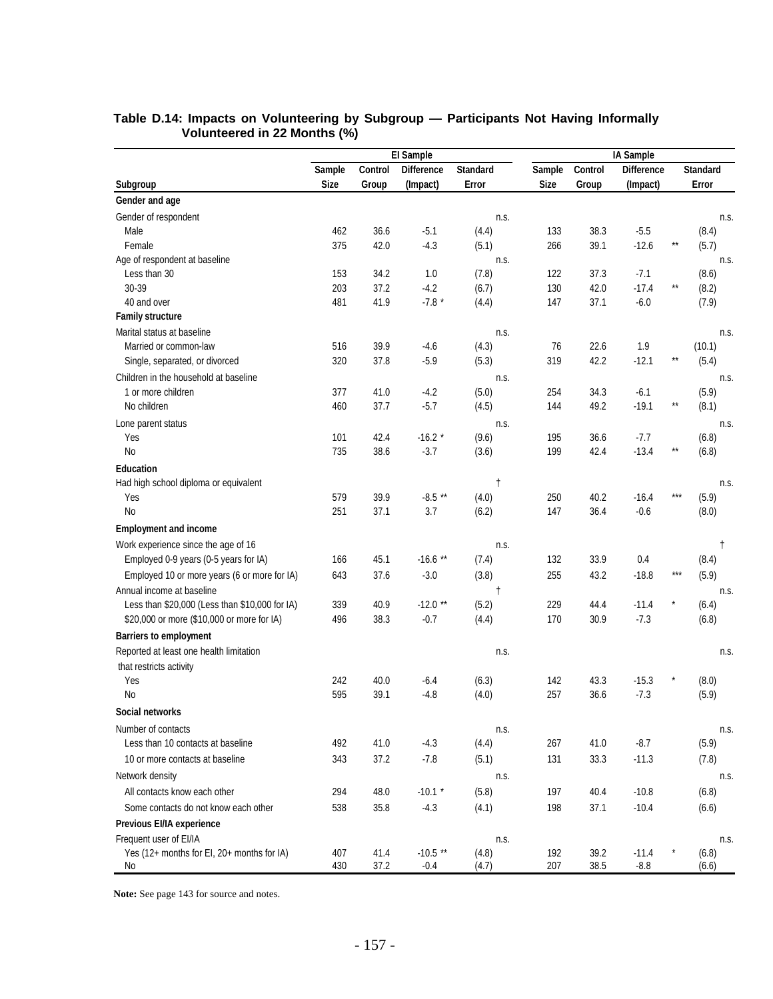|                                                |             |         | El Sample         |                 |             |         | IA Sample         |              |                 |  |  |  |  |
|------------------------------------------------|-------------|---------|-------------------|-----------------|-------------|---------|-------------------|--------------|-----------------|--|--|--|--|
|                                                | Sample      | Control | <b>Difference</b> | <b>Standard</b> | Sample      | Control | <b>Difference</b> |              | <b>Standard</b> |  |  |  |  |
| Subgroup                                       | <b>Size</b> | Group   | (Impact)          | Error           | <b>Size</b> | Group   | (Impact)          |              | Error           |  |  |  |  |
| Gender and age                                 |             |         |                   |                 |             |         |                   |              |                 |  |  |  |  |
| Gender of respondent                           |             |         |                   | n.s.            |             |         |                   |              | n.s.            |  |  |  |  |
| Male                                           | 462         | 36.6    | $-5.1$            | (4.4)           | 133         | 38.3    | $-5.5$            |              | (8.4)           |  |  |  |  |
| Female                                         | 375         | 42.0    | $-4.3$            | (5.1)           | 266         | 39.1    | $-12.6$           | $\star\star$ | (5.7)           |  |  |  |  |
| Age of respondent at baseline                  |             |         |                   | n.s.            |             |         |                   |              | n.s.            |  |  |  |  |
| Less than 30                                   | 153         | 34.2    | 1.0               | (7.8)           | 122         | 37.3    | $-7.1$            |              | (8.6)           |  |  |  |  |
| 30-39                                          | 203         | 37.2    | $-4.2$            | (6.7)           | 130         | 42.0    | $-17.4$           | $\star\star$ | (8.2)           |  |  |  |  |
| 40 and over                                    | 481         | 41.9    | $-7.8*$           | (4.4)           | 147         | 37.1    | $-6.0$            |              | (7.9)           |  |  |  |  |
| <b>Family structure</b>                        |             |         |                   |                 |             |         |                   |              |                 |  |  |  |  |
| Marital status at baseline                     |             |         |                   | n.s.            |             |         |                   |              | n.s.            |  |  |  |  |
| Married or common-law                          | 516         | 39.9    | $-4.6$            | (4.3)           | 76          | 22.6    | 1.9               |              | (10.1)          |  |  |  |  |
| Single, separated, or divorced                 | 320         | 37.8    | $-5.9$            | (5.3)           | 319         | 42.2    | $-12.1$           | $\star\star$ | (5.4)           |  |  |  |  |
| Children in the household at baseline          |             |         |                   | n.s.            |             |         |                   |              | n.s.            |  |  |  |  |
| 1 or more children                             | 377         | 41.0    | $-4.2$            | (5.0)           | 254         | 34.3    | $-6.1$            |              | (5.9)           |  |  |  |  |
| No children                                    | 460         | 37.7    | $-5.7$            | (4.5)           | 144         | 49.2    | $-19.1$           | $\star\star$ | (8.1)           |  |  |  |  |
| Lone parent status                             |             |         |                   | n.s.            |             |         |                   |              | n.s.            |  |  |  |  |
| Yes                                            | 101         | 42.4    | $-16.2$ *         | (9.6)           | 195         | 36.6    | $-7.7$            |              | (6.8)           |  |  |  |  |
| No                                             | 735         | 38.6    | $-3.7$            | (3.6)           | 199         | 42.4    | $-13.4$           | $\star\star$ | (6.8)           |  |  |  |  |
| <b>Education</b>                               |             |         |                   |                 |             |         |                   |              |                 |  |  |  |  |
| Had high school diploma or equivalent          |             |         |                   | t               |             |         |                   |              | n.s.            |  |  |  |  |
| Yes                                            | 579         | 39.9    | $-8.5**$          | (4.0)           | 250         | 40.2    | $-16.4$           | ***          | (5.9)           |  |  |  |  |
| No                                             | 251         | 37.1    | 3.7               | (6.2)           | 147         | 36.4    | $-0.6$            |              | (8.0)           |  |  |  |  |
| <b>Employment and income</b>                   |             |         |                   |                 |             |         |                   |              |                 |  |  |  |  |
| Work experience since the age of 16            |             |         |                   | n.s.            |             |         |                   |              | ŧ               |  |  |  |  |
| Employed 0-9 years (0-5 years for IA)          | 166         | 45.1    | $-16.6$ **        | (7.4)           | 132         | 33.9    | 0.4               |              | (8.4)           |  |  |  |  |
| Employed 10 or more years (6 or more for IA)   | 643         | 37.6    | $-3.0$            | (3.8)           | 255         | 43.2    | $-18.8$           | $***$        | (5.9)           |  |  |  |  |
| Annual income at baseline                      |             |         |                   | $\mathsf{t}$    |             |         |                   |              | n.s.            |  |  |  |  |
| Less than \$20,000 (Less than \$10,000 for IA) | 339         | 40.9    | $-12.0$ **        | (5.2)           | 229         | 44.4    | $-11.4$           |              | (6.4)           |  |  |  |  |
| \$20,000 or more (\$10,000 or more for IA)     | 496         | 38.3    | $-0.7$            | (4.4)           | 170         | 30.9    | $-7.3$            |              | (6.8)           |  |  |  |  |
| <b>Barriers to employment</b>                  |             |         |                   |                 |             |         |                   |              |                 |  |  |  |  |
| Reported at least one health limitation        |             |         |                   | n.s.            |             |         |                   |              | n.s.            |  |  |  |  |
| that restricts activity                        |             |         |                   |                 |             |         |                   |              |                 |  |  |  |  |
| Yes                                            | 242         | 40.0    | $-6.4$            | (6.3)           | 142         | 43.3    | $-15.3$           |              | (8.0)           |  |  |  |  |
| No                                             | 595         | 39.1    | $-4.8$            | (4.0)           | 257         | 36.6    | $-7.3$            |              | (5.9)           |  |  |  |  |
| Social networks                                |             |         |                   |                 |             |         |                   |              |                 |  |  |  |  |
| Number of contacts                             |             |         |                   | n.s.            |             |         |                   |              | n.s.            |  |  |  |  |
| Less than 10 contacts at baseline              | 492         | 41.0    | $-4.3$            | (4.4)           | 267         | 41.0    | $-8.7$            |              | (5.9)           |  |  |  |  |
| 10 or more contacts at baseline                | 343         | 37.2    | $-7.8$            | (5.1)           | 131         | 33.3    | $-11.3$           |              | (7.8)           |  |  |  |  |
| Network density                                |             |         |                   | n.s.            |             |         |                   |              | n.s.            |  |  |  |  |
| All contacts know each other                   | 294         | 48.0    | $-10.1$ *         | (5.8)           | 197         | 40.4    | $-10.8$           |              | (6.8)           |  |  |  |  |
| Some contacts do not know each other           | 538         | 35.8    | $-4.3$            | (4.1)           | 198         | 37.1    | $-10.4$           |              | (6.6)           |  |  |  |  |
| Previous EI/IA experience                      |             |         |                   |                 |             |         |                   |              |                 |  |  |  |  |
| Frequent user of EI/IA                         |             |         |                   | n.s.            |             |         |                   |              | n.s.            |  |  |  |  |
| Yes (12+ months for EI, 20+ months for IA)     | 407         | 41.4    | $-10.5$ **        | (4.8)           | 192         | 39.2    | $-11.4$           |              | (6.8)           |  |  |  |  |
| No                                             | 430         | 37.2    | $-0.4$            | (4.7)           | 207         | 38.5    | $-8.8$            |              | (6.6)           |  |  |  |  |

#### **Table D.14: Impacts on Volunteering by Subgroup — Participants Not Having Informally Volunteered in 22 Months (%)**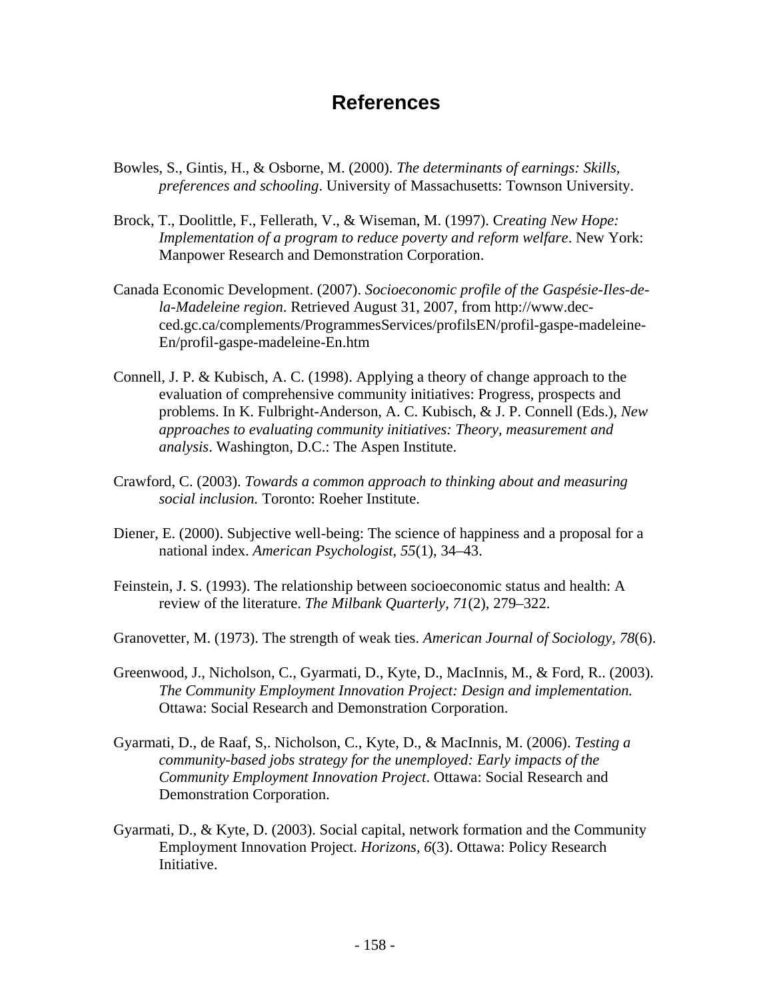# **References**

- Bowles, S., Gintis, H., & Osborne, M. (2000). *The determinants of earnings: Skills, preferences and schooling*. University of Massachusetts: Townson University.
- Brock, T., Doolittle, F., Fellerath, V., & Wiseman, M. (1997). C*reating New Hope: Implementation of a program to reduce poverty and reform welfare*. New York: Manpower Research and Demonstration Corporation.
- Canada Economic Development. (2007). *Socioeconomic profile of the Gaspésie-Iles-dela-Madeleine region*. Retrieved August 31, 2007, from http://www.decced.gc.ca/complements/ProgrammesServices/profilsEN/profil-gaspe-madeleine-En/profil-gaspe-madeleine-En.htm
- Connell, J. P. & Kubisch, A. C. (1998). Applying a theory of change approach to the evaluation of comprehensive community initiatives: Progress, prospects and problems. In K. Fulbright-Anderson, A. C. Kubisch, & J. P. Connell (Eds.), *New approaches to evaluating community initiatives: Theory, measurement and analysis*. Washington, D.C.: The Aspen Institute.
- Crawford, C. (2003). *Towards a common approach to thinking about and measuring social inclusion.* Toronto: Roeher Institute.
- Diener, E. (2000). Subjective well-being: The science of happiness and a proposal for a national index. *American Psychologist, 55*(1), 34–43.
- Feinstein, J. S. (1993). The relationship between socioeconomic status and health: A review of the literature. *The Milbank Quarterly, 71*(2), 279–322.
- Granovetter, M. (1973). The strength of weak ties. *American Journal of Sociology, 78*(6).
- Greenwood, J., Nicholson, C., Gyarmati, D., Kyte, D., MacInnis, M., & Ford, R.. (2003). *The Community Employment Innovation Project: Design and implementation.* Ottawa: Social Research and Demonstration Corporation.
- Gyarmati, D., de Raaf, S,. Nicholson, C., Kyte, D., & MacInnis, M. (2006). *Testing a community-based jobs strategy for the unemployed: Early impacts of the Community Employment Innovation Project*. Ottawa: Social Research and Demonstration Corporation.
- Gyarmati, D., & Kyte, D. (2003). Social capital, network formation and the Community Employment Innovation Project. *Horizons, 6*(3). Ottawa: Policy Research Initiative.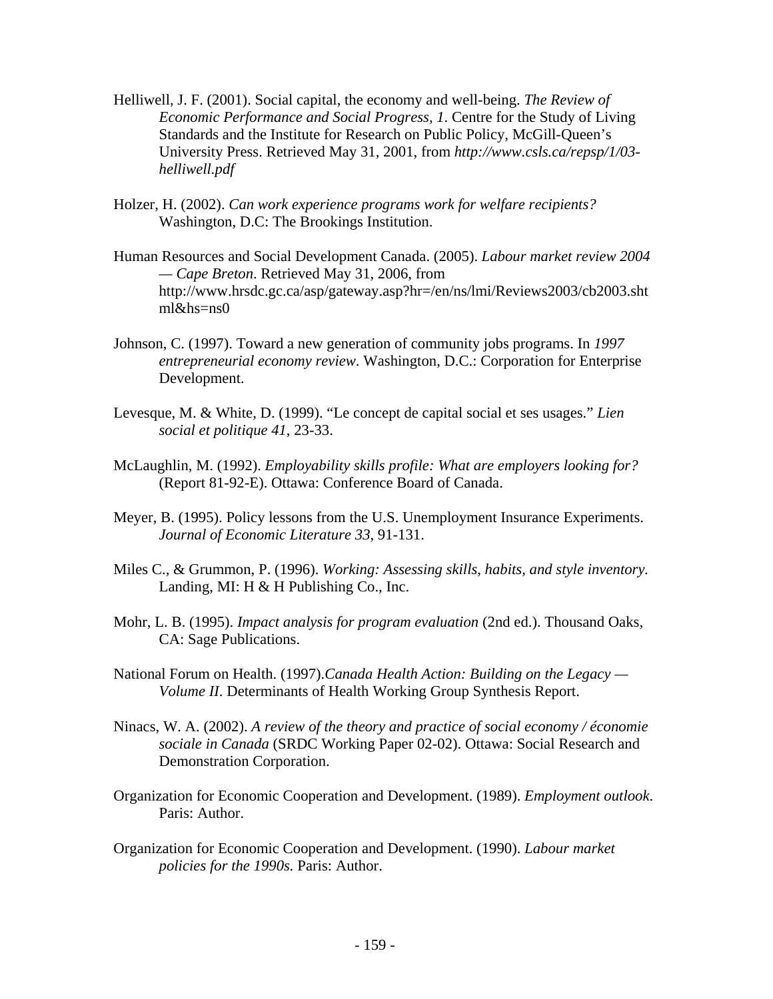- Helliwell, J. F. (2001). Social capital, the economy and well-being. *The Review of Economic Performance and Social Progress, 1*. Centre for the Study of Living Standards and the Institute for Research on Public Policy, McGill-Queen's University Press. Retrieved May 31, 2001, from *http://www.csls.ca/repsp/1/03 helliwell.pdf*
- Holzer, H. (2002). *Can work experience programs work for welfare recipients?*  Washington, D.C: The Brookings Institution.
- Human Resources and Social Development Canada. (2005). *Labour market review 2004 — Cape Breton*. Retrieved May 31, 2006, from http://www.hrsdc.gc.ca/asp/gateway.asp?hr=/en/ns/lmi/Reviews2003/cb2003.sht ml&hs=ns0
- Johnson, C. (1997). Toward a new generation of community jobs programs. In *1997 entrepreneurial economy review*. Washington, D.C.: Corporation for Enterprise Development.
- Levesque, M. & White, D. (1999). "Le concept de capital social et ses usages." *Lien social et politique 41*, 23-33.
- McLaughlin, M. (1992). *Employability skills profile: What are employers looking for?* (Report 81-92-E). Ottawa: Conference Board of Canada.
- Meyer, B. (1995). Policy lessons from the U.S. Unemployment Insurance Experiments. *Journal of Economic Literature 33*, 91-131.
- Miles C., & Grummon, P. (1996). *Working: Assessing skills, habits, and style inventory.*  Landing, MI: H & H Publishing Co., Inc.
- Mohr, L. B. (1995). *Impact analysis for program evaluation* (2nd ed.). Thousand Oaks, CA: Sage Publications.
- National Forum on Health. (1997).*Canada Health Action: Building on the Legacy Volume II*. Determinants of Health Working Group Synthesis Report.
- Ninacs, W. A. (2002). *A review of the theory and practice of social economy / économie sociale in Canada* (SRDC Working Paper 02-02). Ottawa: Social Research and Demonstration Corporation.
- Organization for Economic Cooperation and Development. (1989). *Employment outlook*. Paris: Author.
- Organization for Economic Cooperation and Development. (1990). *Labour market policies for the 1990s.* Paris: Author.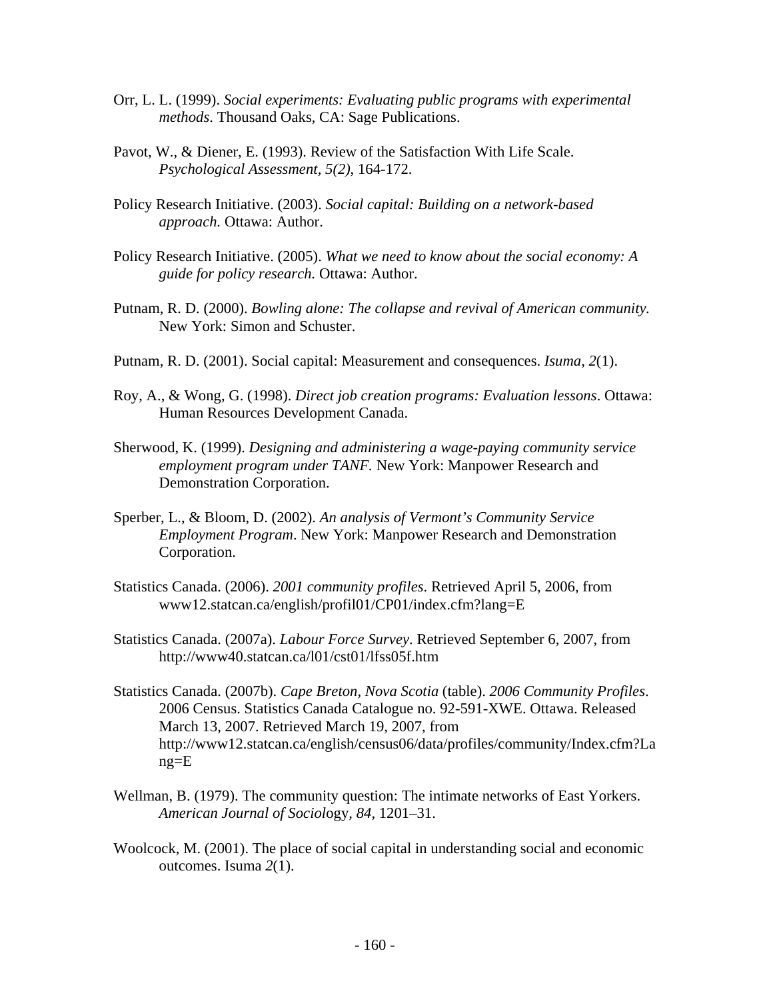- Orr, L. L. (1999). *Social experiments: Evaluating public programs with experimental methods*. Thousand Oaks, CA: Sage Publications.
- Pavot, W., & Diener, E. (1993). Review of the Satisfaction With Life Scale. *Psychological Assessment, 5(2)*, 164-172.
- Policy Research Initiative. (2003). *Social capital: Building on a network-based approach.* Ottawa: Author.
- Policy Research Initiative. (2005). *What we need to know about the social economy: A guide for policy research.* Ottawa: Author.
- Putnam, R. D. (2000). *Bowling alone: The collapse and revival of American community.* New York: Simon and Schuster.
- Putnam, R. D. (2001). Social capital: Measurement and consequences. *Isuma*, *2*(1).
- Roy, A., & Wong, G. (1998). *Direct job creation programs: Evaluation lessons*. Ottawa: Human Resources Development Canada.
- Sherwood, K. (1999). *Designing and administering a wage-paying community service employment program under TANF.* New York: Manpower Research and Demonstration Corporation.
- Sperber, L., & Bloom, D. (2002). *An analysis of Vermont's Community Service Employment Program*. New York: Manpower Research and Demonstration Corporation.
- Statistics Canada. (2006). *2001 community profiles*. Retrieved April 5, 2006, from www12.statcan.ca/english/profil01/CP01/index.cfm?lang=E
- Statistics Canada. (2007a). *Labour Force Survey*. Retrieved September 6, 2007, from http://www40.statcan.ca/l01/cst01/lfss05f.htm
- Statistics Canada. (2007b). *Cape Breton, Nova Scotia* (table). *2006 Community Profiles*. 2006 Census. Statistics Canada Catalogue no. 92-591-XWE. Ottawa. Released March 13, 2007. Retrieved March 19, 2007, from http://www12.statcan.ca/english/census06/data/profiles/community/Index.cfm?La ng=E
- Wellman, B. (1979). The community question: The intimate networks of East Yorkers. *American Journal of Sociol*ogy*, 84,* 1201–31.
- Woolcock, M. (2001). The place of social capital in understanding social and economic outcomes. Isuma *2*(1).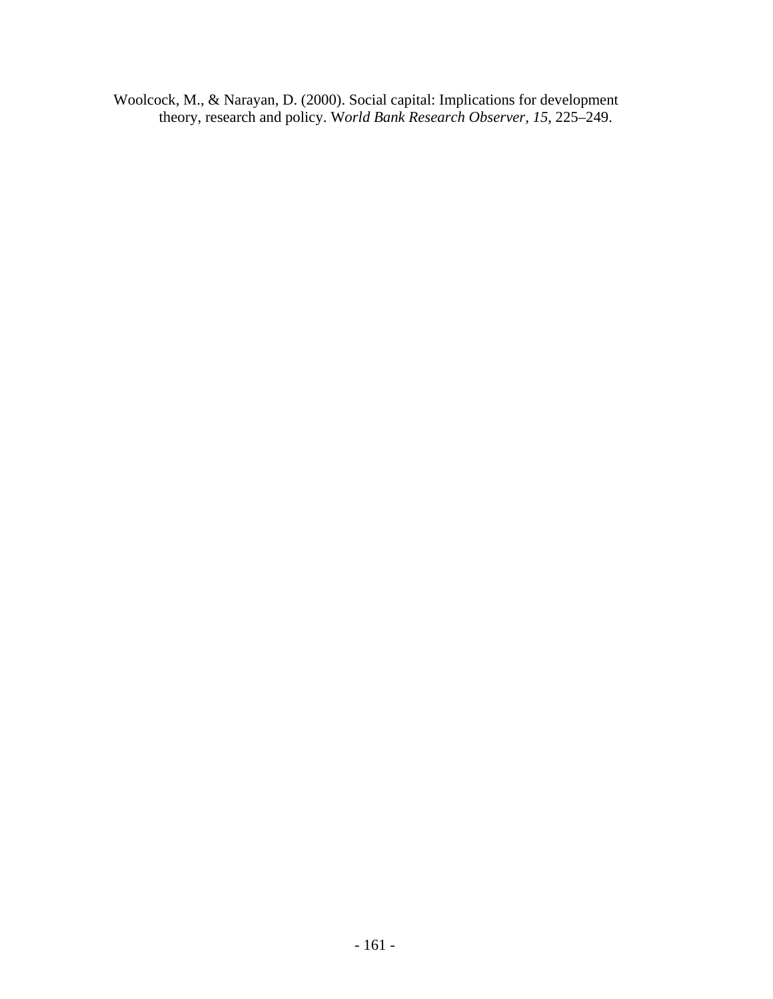Woolcock, M., & Narayan, D. (2000). Social capital: Implications for development theory, research and policy. W*orld Bank Research Observer, 15*, 225–249.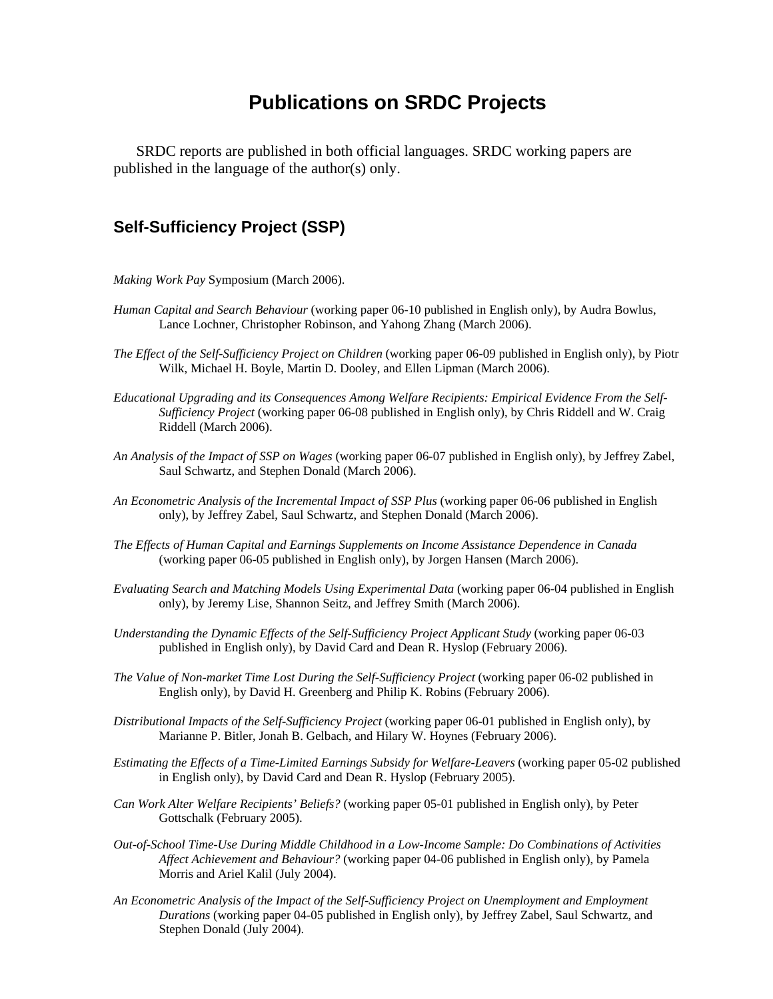# **Publications on SRDC Projects**

SRDC reports are published in both official languages. SRDC working papers are published in the language of the author(s) only.

# **Self-Sufficiency Project (SSP)**

- *Making Work Pay* Symposium (March 2006).
- *Human Capital and Search Behaviour* (working paper 06-10 published in English only), by Audra Bowlus, Lance Lochner, Christopher Robinson, and Yahong Zhang (March 2006).
- *The Effect of the Self-Sufficiency Project on Children* (working paper 06-09 published in English only), by Piotr Wilk, Michael H. Boyle, Martin D. Dooley, and Ellen Lipman (March 2006).
- *Educational Upgrading and its Consequences Among Welfare Recipients: Empirical Evidence From the Self-Sufficiency Project* (working paper 06-08 published in English only), by Chris Riddell and W. Craig Riddell (March 2006).
- *An Analysis of the Impact of SSP on Wages* (working paper 06-07 published in English only), by Jeffrey Zabel, Saul Schwartz, and Stephen Donald (March 2006).
- *An Econometric Analysis of the Incremental Impact of SSP Plus* (working paper 06-06 published in English only), by Jeffrey Zabel, Saul Schwartz, and Stephen Donald (March 2006).
- *The Effects of Human Capital and Earnings Supplements on Income Assistance Dependence in Canada* (working paper 06-05 published in English only), by Jorgen Hansen (March 2006).
- *Evaluating Search and Matching Models Using Experimental Data* (working paper 06-04 published in English only), by Jeremy Lise, Shannon Seitz, and Jeffrey Smith (March 2006).
- *Understanding the Dynamic Effects of the Self-Sufficiency Project Applicant Study* (working paper 06-03 published in English only), by David Card and Dean R. Hyslop (February 2006).
- *The Value of Non-market Time Lost During the Self-Sufficiency Project* (working paper 06-02 published in English only), by David H. Greenberg and Philip K. Robins (February 2006).
- *Distributional Impacts of the Self-Sufficiency Project* (working paper 06-01 published in English only), by Marianne P. Bitler, Jonah B. Gelbach, and Hilary W. Hoynes (February 2006).
- *Estimating the Effects of a Time-Limited Earnings Subsidy for Welfare-Leavers* (working paper 05-02 published in English only), by David Card and Dean R. Hyslop (February 2005).
- *Can Work Alter Welfare Recipients' Beliefs?* (working paper 05-01 published in English only), by Peter Gottschalk (February 2005).
- *Out-of-School Time-Use During Middle Childhood in a Low-Income Sample: Do Combinations of Activities Affect Achievement and Behaviour?* (working paper 04-06 published in English only), by Pamela Morris and Ariel Kalil (July 2004).
- *An Econometric Analysis of the Impact of the Self-Sufficiency Project on Unemployment and Employment Durations* (working paper 04-05 published in English only), by Jeffrey Zabel, Saul Schwartz, and Stephen Donald (July 2004).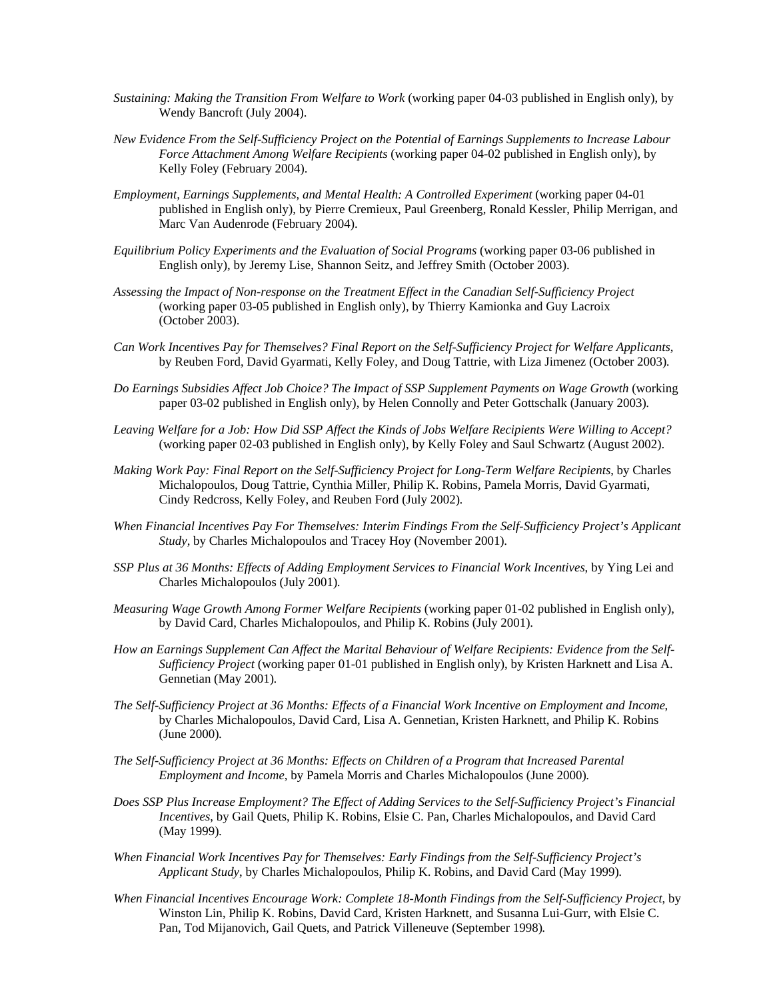- *Sustaining: Making the Transition From Welfare to Work* (working paper 04-03 published in English only), by Wendy Bancroft (July 2004).
- *New Evidence From the Self-Sufficiency Project on the Potential of Earnings Supplements to Increase Labour Force Attachment Among Welfare Recipients* (working paper 04-02 published in English only), by Kelly Foley (February 2004).
- *Employment, Earnings Supplements, and Mental Health: A Controlled Experiment* (working paper 04-01 published in English only), by Pierre Cremieux, Paul Greenberg, Ronald Kessler, Philip Merrigan, and Marc Van Audenrode (February 2004).
- *Equilibrium Policy Experiments and the Evaluation of Social Programs* (working paper 03-06 published in English only), by Jeremy Lise, Shannon Seitz, and Jeffrey Smith (October 2003).
- *Assessing the Impact of Non-response on the Treatment Effect in the Canadian Self-Sufficiency Project* (working paper 03-05 published in English only), by Thierry Kamionka and Guy Lacroix (October 2003).
- *Can Work Incentives Pay for Themselves? Final Report on the Self-Sufficiency Project for Welfare Applicants*, by Reuben Ford, David Gyarmati, Kelly Foley, and Doug Tattrie, with Liza Jimenez (October 2003)*.*
- *Do Earnings Subsidies Affect Job Choice? The Impact of SSP Supplement Payments on Wage Growth* (working paper 03-02 published in English only), by Helen Connolly and Peter Gottschalk (January 2003)*.*
- *Leaving Welfare for a Job: How Did SSP Affect the Kinds of Jobs Welfare Recipients Were Willing to Accept?* (working paper 02-03 published in English only), by Kelly Foley and Saul Schwartz (August 2002).
- *Making Work Pay: Final Report on the Self-Sufficiency Project for Long-Term Welfare Recipients*, by Charles Michalopoulos, Doug Tattrie, Cynthia Miller, Philip K. Robins, Pamela Morris, David Gyarmati, Cindy Redcross, Kelly Foley, and Reuben Ford (July 2002)*.*
- *When Financial Incentives Pay For Themselves: Interim Findings From the Self-Sufficiency Project's Applicant Study*, by Charles Michalopoulos and Tracey Hoy (November 2001)*.*
- *SSP Plus at 36 Months: Effects of Adding Employment Services to Financial Work Incentives*, by Ying Lei and Charles Michalopoulos (July 2001)*.*
- *Measuring Wage Growth Among Former Welfare Recipients* (working paper 01-02 published in English only), by David Card, Charles Michalopoulos, and Philip K. Robins (July 2001)*.*
- *How an Earnings Supplement Can Affect the Marital Behaviour of Welfare Recipients: Evidence from the Self-Sufficiency Project* (working paper 01-01 published in English only), by Kristen Harknett and Lisa A. Gennetian (May 2001)*.*
- *The Self-Sufficiency Project at 36 Months: Effects of a Financial Work Incentive on Employment and Income*, by Charles Michalopoulos, David Card, Lisa A. Gennetian, Kristen Harknett, and Philip K. Robins (June 2000)*.*
- *The Self-Sufficiency Project at 36 Months: Effects on Children of a Program that Increased Parental Employment and Income*, by Pamela Morris and Charles Michalopoulos (June 2000)*.*
- *Does SSP Plus Increase Employment? The Effect of Adding Services to the Self-Sufficiency Project's Financial Incentives*, by Gail Quets, Philip K. Robins, Elsie C. Pan, Charles Michalopoulos, and David Card (May 1999)*.*
- *When Financial Work Incentives Pay for Themselves: Early Findings from the Self-Sufficiency Project's Applicant Study*, by Charles Michalopoulos, Philip K. Robins, and David Card (May 1999)*.*
- *When Financial Incentives Encourage Work: Complete 18-Month Findings from the Self-Sufficiency Project*, by Winston Lin, Philip K. Robins, David Card, Kristen Harknett, and Susanna Lui-Gurr, with Elsie C. Pan, Tod Mijanovich, Gail Quets, and Patrick Villeneuve (September 1998)*.*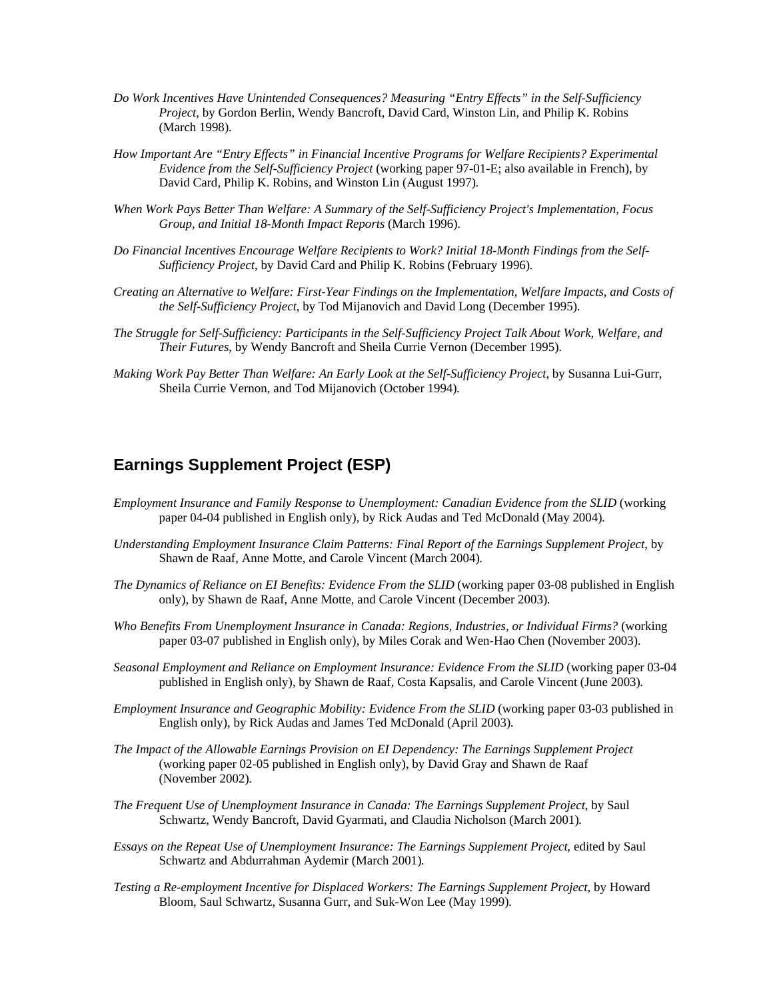- *Do Work Incentives Have Unintended Consequences? Measuring "Entry Effects" in the Self-Sufficiency Project*, by Gordon Berlin, Wendy Bancroft, David Card, Winston Lin, and Philip K. Robins (March 1998)*.*
- *How Important Are "Entry Effects" in Financial Incentive Programs for Welfare Recipients? Experimental Evidence from the Self-Sufficiency Project* (working paper 97-01-E; also available in French), by David Card, Philip K. Robins, and Winston Lin (August 1997)*.*
- *When Work Pays Better Than Welfare: A Summary of the Self-Sufficiency Project's Implementation, Focus Group, and Initial 18-Month Impact Reports* (March 1996)*.*
- *Do Financial Incentives Encourage Welfare Recipients to Work? Initial 18-Month Findings from the Self-Sufficiency Project*, by David Card and Philip K. Robins (February 1996)*.*
- *Creating an Alternative to Welfare: First-Year Findings on the Implementation, Welfare Impacts, and Costs of the Self-Sufficiency Project*, by Tod Mijanovich and David Long (December 1995)*.*
- *The Struggle for Self-Sufficiency: Participants in the Self-Sufficiency Project Talk About Work, Welfare, and Their Futures*, by Wendy Bancroft and Sheila Currie Vernon (December 1995)*.*
- *Making Work Pay Better Than Welfare: An Early Look at the Self-Sufficiency Project*, by Susanna Lui-Gurr, Sheila Currie Vernon, and Tod Mijanovich (October 1994)*.*

## **Earnings Supplement Project (ESP)**

- *Employment Insurance and Family Response to Unemployment: Canadian Evidence from the SLID* (working paper 04-04 published in English only), by Rick Audas and Ted McDonald (May 2004)*.*
- *Understanding Employment Insurance Claim Patterns: Final Report of the Earnings Supplement Project*, by Shawn de Raaf, Anne Motte, and Carole Vincent (March 2004)*.*
- *The Dynamics of Reliance on EI Benefits: Evidence From the SLID* (working paper 03-08 published in English only), by Shawn de Raaf, Anne Motte, and Carole Vincent (December 2003)*.*
- *Who Benefits From Unemployment Insurance in Canada: Regions, Industries, or Individual Firms?* (working paper 03-07 published in English only), by Miles Corak and Wen-Hao Chen (November 2003)*.*
- *Seasonal Employment and Reliance on Employment Insurance: Evidence From the SLID* (working paper 03-04 published in English only), by Shawn de Raaf, Costa Kapsalis, and Carole Vincent (June 2003)*.*
- *Employment Insurance and Geographic Mobility: Evidence From the SLID* (working paper 03-03 published in English only), by Rick Audas and James Ted McDonald (April 2003)*.*
- *The Impact of the Allowable Earnings Provision on EI Dependency: The Earnings Supplement Project* (working paper 02-05 published in English only), by David Gray and Shawn de Raaf (November 2002)*.*
- *The Frequent Use of Unemployment Insurance in Canada: The Earnings Supplement Project*, by Saul Schwartz, Wendy Bancroft, David Gyarmati, and Claudia Nicholson (March 2001)*.*
- *Essays on the Repeat Use of Unemployment Insurance: The Earnings Supplement Project*, edited by Saul Schwartz and Abdurrahman Aydemir (March 2001)*.*
- *Testing a Re-employment Incentive for Displaced Workers: The Earnings Supplement Project*, by Howard Bloom, Saul Schwartz, Susanna Gurr, and Suk-Won Lee (May 1999)*.*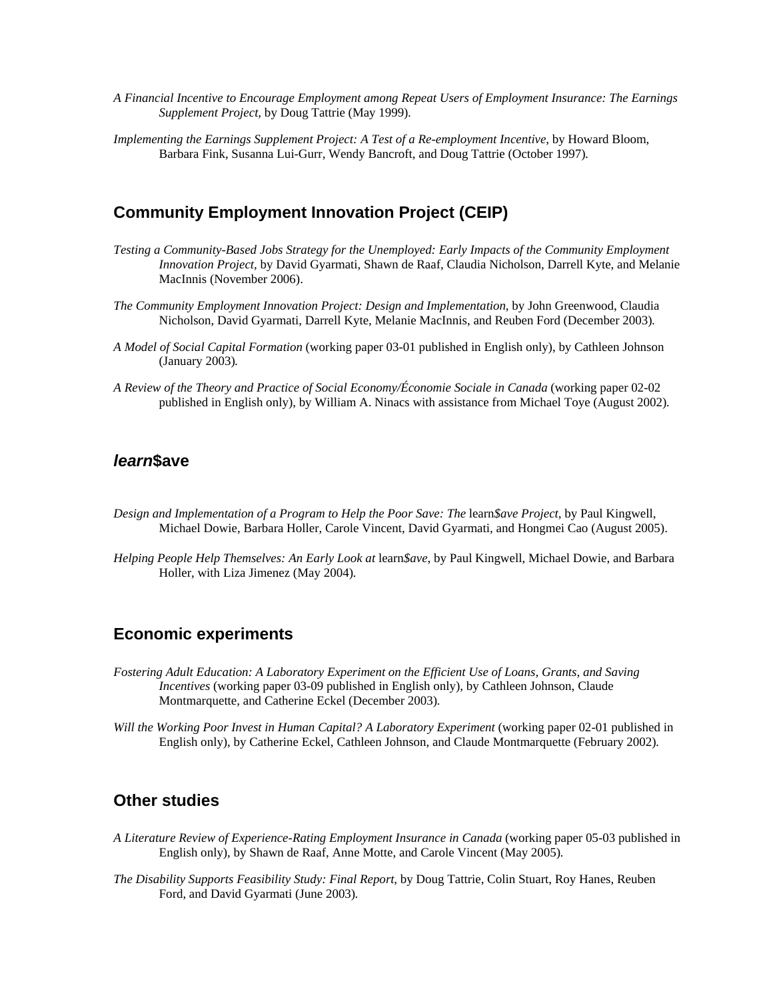- *A Financial Incentive to Encourage Employment among Repeat Users of Employment Insurance: The Earnings Supplement Project*, by Doug Tattrie (May 1999)*.*
- *Implementing the Earnings Supplement Project: A Test of a Re-employment Incentive*, by Howard Bloom, Barbara Fink, Susanna Lui-Gurr, Wendy Bancroft, and Doug Tattrie (October 1997)*.*

## **Community Employment Innovation Project (CEIP)**

- *Testing a Community-Based Jobs Strategy for the Unemployed: Early Impacts of the Community Employment Innovation Project*, by David Gyarmati, Shawn de Raaf, Claudia Nicholson, Darrell Kyte, and Melanie MacInnis (November 2006).
- *The Community Employment Innovation Project: Design and Implementation*, by John Greenwood, Claudia Nicholson, David Gyarmati, Darrell Kyte, Melanie MacInnis, and Reuben Ford (December 2003)*.*
- *A Model of Social Capital Formation* (working paper 03-01 published in English only), by Cathleen Johnson (January 2003)*.*
- *A Review of the Theory and Practice of Social Economy/Économie Sociale in Canada* (working paper 02-02 published in English only), by William A. Ninacs with assistance from Michael Toye (August 2002)*.*

## *learn***\$ave**

- *Design and Implementation of a Program to Help the Poor Save: The* learn*\$ave Project*, by Paul Kingwell, Michael Dowie, Barbara Holler, Carole Vincent, David Gyarmati, and Hongmei Cao (August 2005).
- *Helping People Help Themselves: An Early Look at learn<i>\$ave*, by Paul Kingwell, Michael Dowie, and Barbara Holler, with Liza Jimenez (May 2004)*.*

#### **Economic experiments**

- *Fostering Adult Education: A Laboratory Experiment on the Efficient Use of Loans, Grants, and Saving Incentives* (working paper 03-09 published in English only), by Cathleen Johnson, Claude Montmarquette, and Catherine Eckel (December 2003)*.*
- *Will the Working Poor Invest in Human Capital? A Laboratory Experiment* (working paper 02-01 published in English only), by Catherine Eckel, Cathleen Johnson, and Claude Montmarquette (February 2002)*.*

#### **Other studies**

- *A Literature Review of Experience-Rating Employment Insurance in Canada* (working paper 05-03 published in English only), by Shawn de Raaf, Anne Motte, and Carole Vincent (May 2005)*.*
- *The Disability Supports Feasibility Study: Final Report*, by Doug Tattrie, Colin Stuart, Roy Hanes, Reuben Ford, and David Gyarmati (June 2003)*.*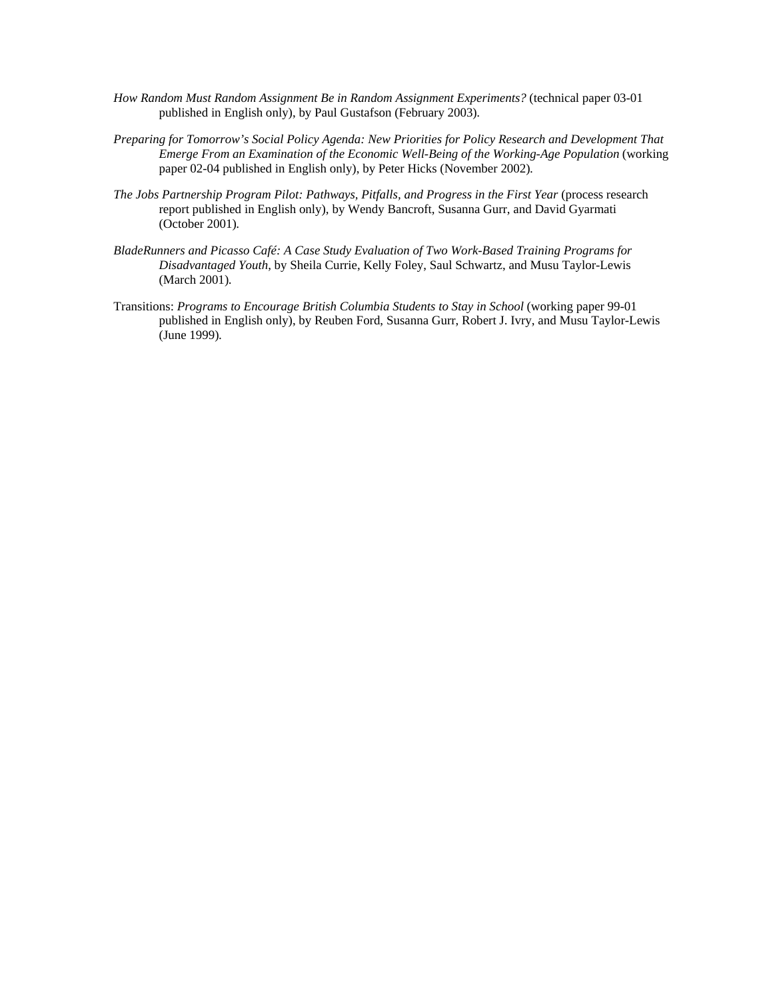- *How Random Must Random Assignment Be in Random Assignment Experiments?* (technical paper 03-01 published in English only), by Paul Gustafson (February 2003)*.*
- *Preparing for Tomorrow's Social Policy Agenda: New Priorities for Policy Research and Development That Emerge From an Examination of the Economic Well-Being of the Working-Age Population* (working paper 02-04 published in English only), by Peter Hicks (November 2002)*.*
- *The Jobs Partnership Program Pilot: Pathways, Pitfalls, and Progress in the First Year* (process research report published in English only), by Wendy Bancroft, Susanna Gurr, and David Gyarmati (October 2001)*.*
- *BladeRunners and Picasso Café: A Case Study Evaluation of Two Work-Based Training Programs for Disadvantaged Youth*, by Sheila Currie, Kelly Foley, Saul Schwartz, and Musu Taylor-Lewis (March 2001)*.*
- Transitions: *Programs to Encourage British Columbia Students to Stay in School* (working paper 99-01 published in English only), by Reuben Ford, Susanna Gurr, Robert J. Ivry, and Musu Taylor-Lewis (June 1999)*.*